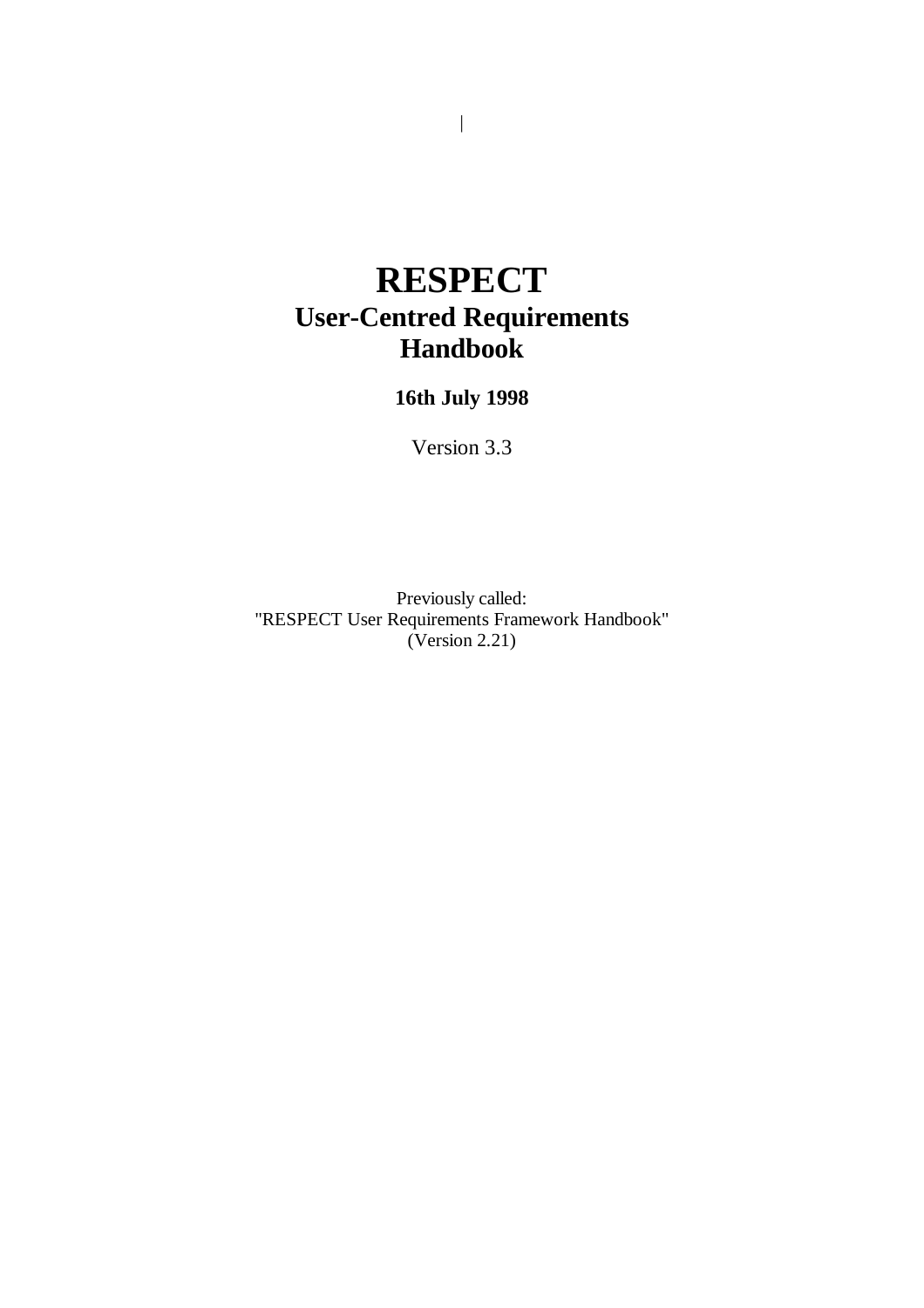# **RESPECT User-Centred Requirements Handbook**

### **16th July 1998**

Version 3.3

Previously called: "RESPECT User Requirements Framework Handbook" (Version 2.21)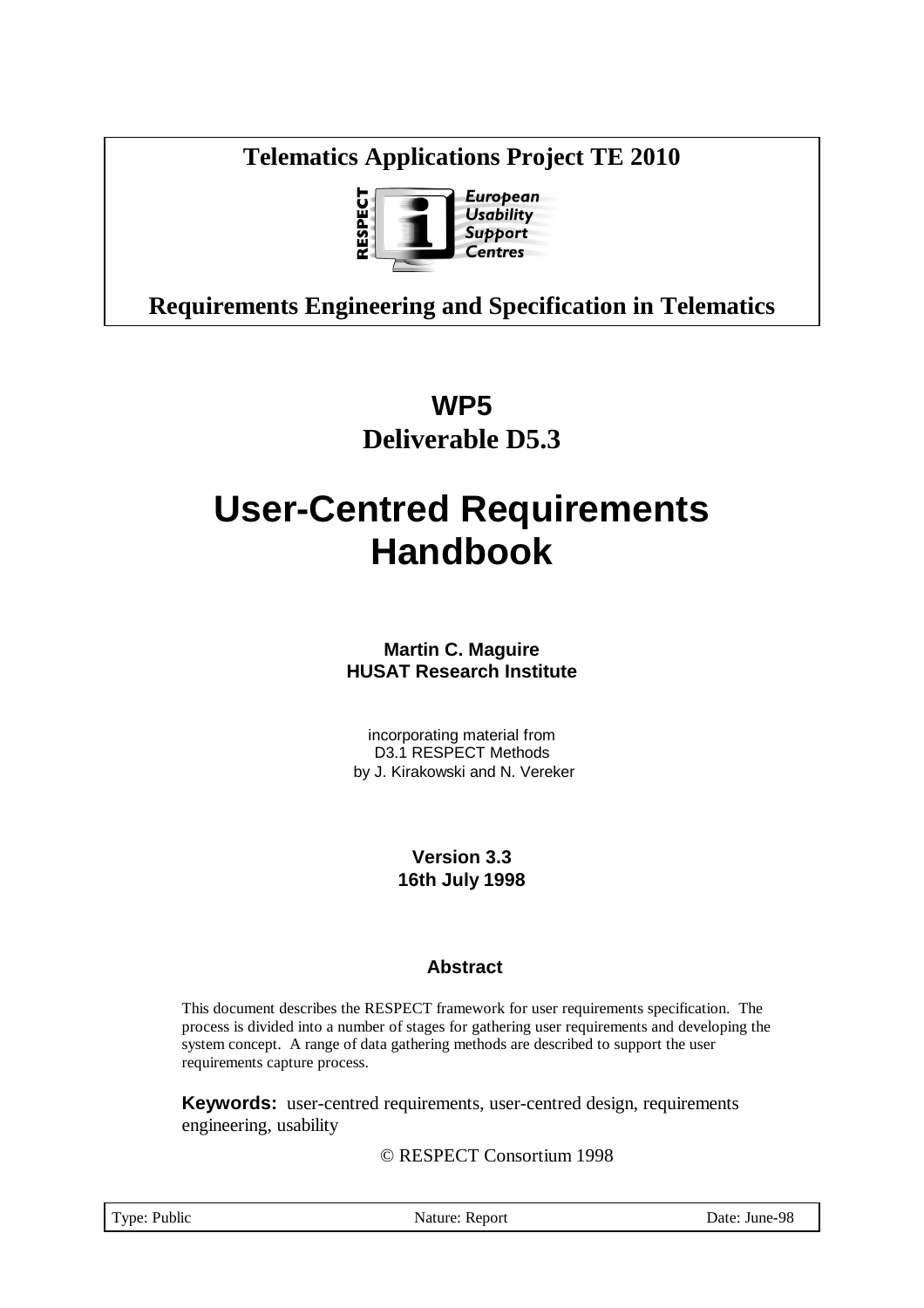### **Telematics Applications Project TE 2010**



## **Requirements Engineering and Specification in Telematics**

## **WP5 Deliverable D5.3**

# **User-Centred Requirements Handbook**

**Martin C. Maguire HUSAT Research Institute**

incorporating material from D3.1 RESPECT Methods by J. Kirakowski and N. Vereker

> **Version 3.3 16th July 1998**

#### **Abstract**

This document describes the RESPECT framework for user requirements specification. The process is divided into a number of stages for gathering user requirements and developing the system concept. A range of data gathering methods are described to support the user requirements capture process.

**Keywords:** user-centred requirements, user-centred design, requirements engineering, usability

© RESPECT Consortium 1998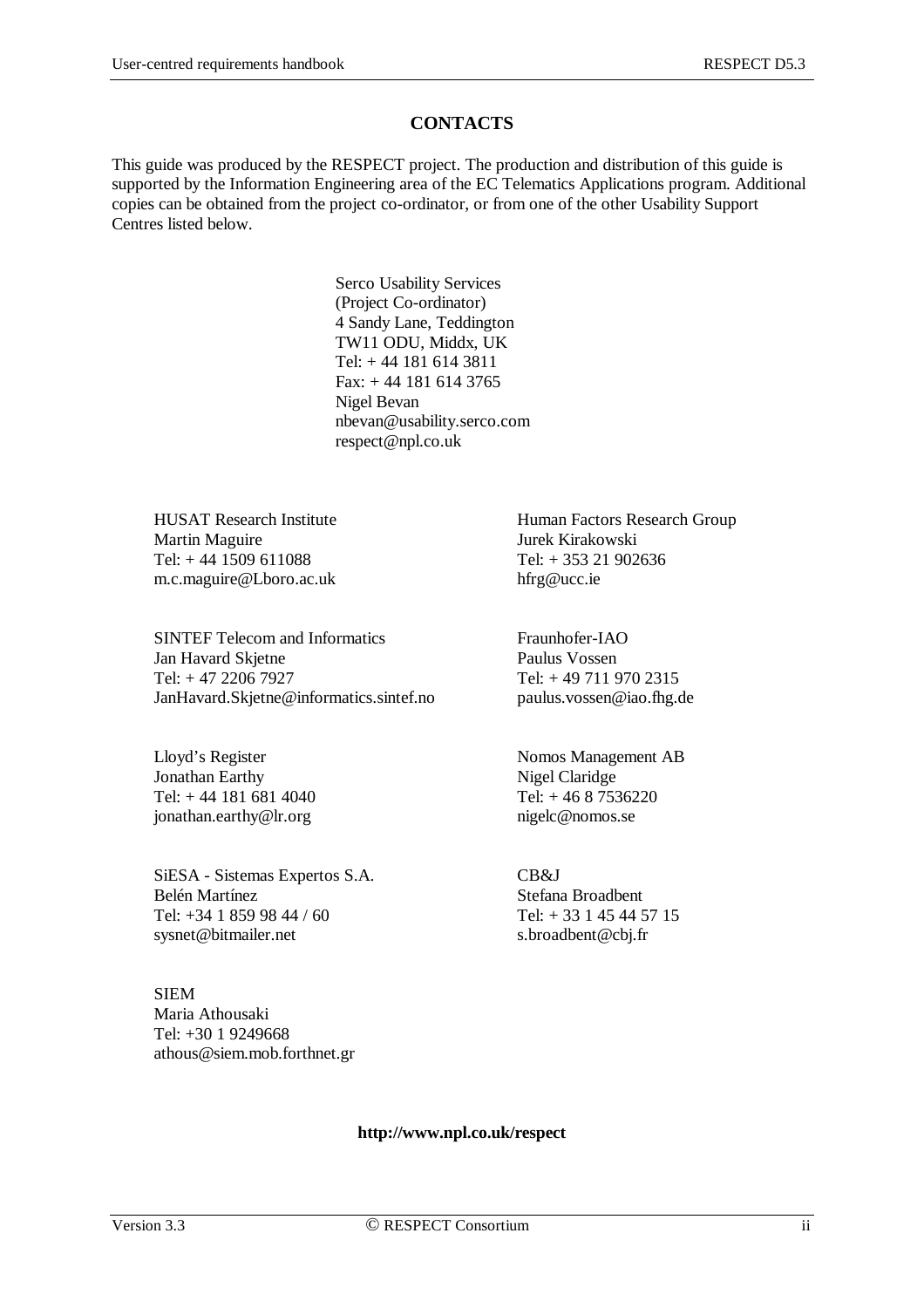#### **CONTACTS**

This guide was produced by the RESPECT project. The production and distribution of this guide is supported by the Information Engineering area of the EC Telematics Applications program. Additional copies can be obtained from the project co-ordinator, or from one of the other Usability Support Centres listed below.

> Serco Usability Services (Project Co-ordinator) 4 Sandy Lane, Teddington TW11 ODU, Middx, UK Tel: + 44 181 614 3811 Fax: + 44 181 614 3765 Nigel Bevan nbevan@usability.serco.com respect@npl.co.uk

Martin Maguire Tel:  $+ 44 1509 611088$  Tel:  $+ 353 21 902636$ m.c.maguire@Lboro.ac.uk hfrg@ucc.ie

SINTEF Telecom and Informatics<br>
Ian Havard Skietne<br>
Paulus Vossen Jan Havard Skjetne Tel: + 47 2206 7927 Tel: + 49 711 970 2315 JanHavard.Skjetne@informatics.sintef.no paulus.vossen@iao.fhg.de

Jonathan Earthy Nigel Claridge Tel:  $+ 44 181 681 4040$  Tel:  $+ 46 8 7536220$ jonathan.earthy@lr.org nigelc@nomos.se

SiESA - Sistemas Expertos S.A. CB&J **Belén Martínez Stefana Broadbent** Tel: +34 1 859 98 44 / 60 Tel: + 33 1 45 44 57 15 sysnet @bitmailer.net s.broadbent @cbj.fr

SIEM Maria Athousaki Tel: +30 1 9249668 athous@siem.mob.forthnet.gr

HUSAT Research Institute<br>
Martin Magnire<br>
Human Factors Research Group<br>
Human Factors Research Group

Lloyd's Register Nomos Management AB

**http://www.npl.co.uk/respect**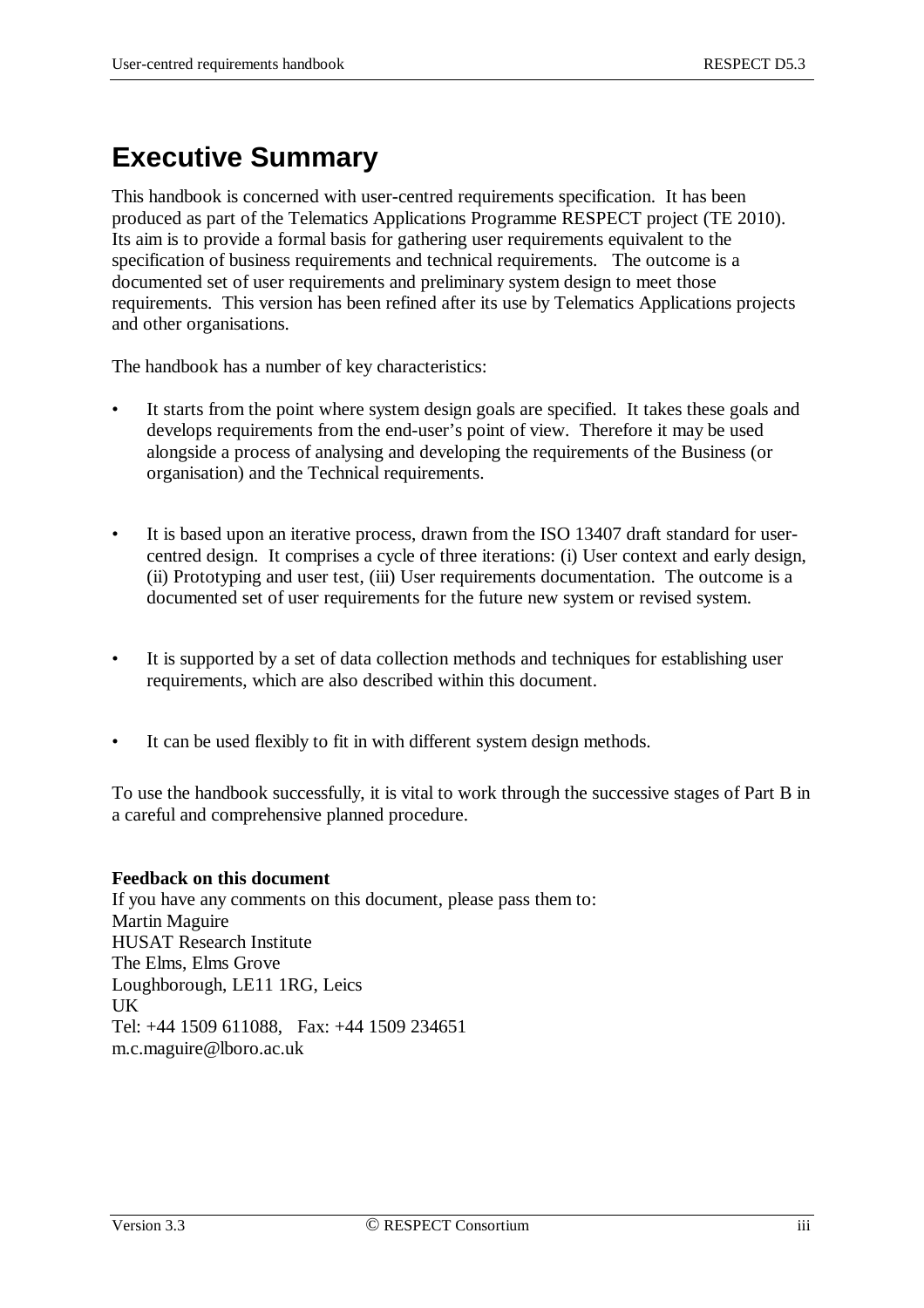# **Executive Summary**

This handbook is concerned with user-centred requirements specification. It has been produced as part of the Telematics Applications Programme RESPECT project (TE 2010). Its aim is to provide a formal basis for gathering user requirements equivalent to the specification of business requirements and technical requirements. The outcome is a documented set of user requirements and preliminary system design to meet those requirements. This version has been refined after its use by Telematics Applications projects and other organisations.

The handbook has a number of key characteristics:

- It starts from the point where system design goals are specified. It takes these goals and develops requirements from the end-user's point of view. Therefore it may be used alongside a process of analysing and developing the requirements of the Business (or organisation) and the Technical requirements.
- It is based upon an iterative process, drawn from the ISO 13407 draft standard for usercentred design. It comprises a cycle of three iterations: (i) User context and early design, (ii) Prototyping and user test, (iii) User requirements documentation. The outcome is a documented set of user requirements for the future new system or revised system.
- It is supported by a set of data collection methods and techniques for establishing user requirements, which are also described within this document.
- It can be used flexibly to fit in with different system design methods.

To use the handbook successfully, it is vital to work through the successive stages of Part B in a careful and comprehensive planned procedure.

#### **Feedback on this document**

If you have any comments on this document, please pass them to: Martin Maguire HUSAT Research Institute The Elms, Elms Grove Loughborough, LE11 1RG, Leics UK Tel: +44 1509 611088, Fax: +44 1509 234651 m.c.maguire@lboro.ac.uk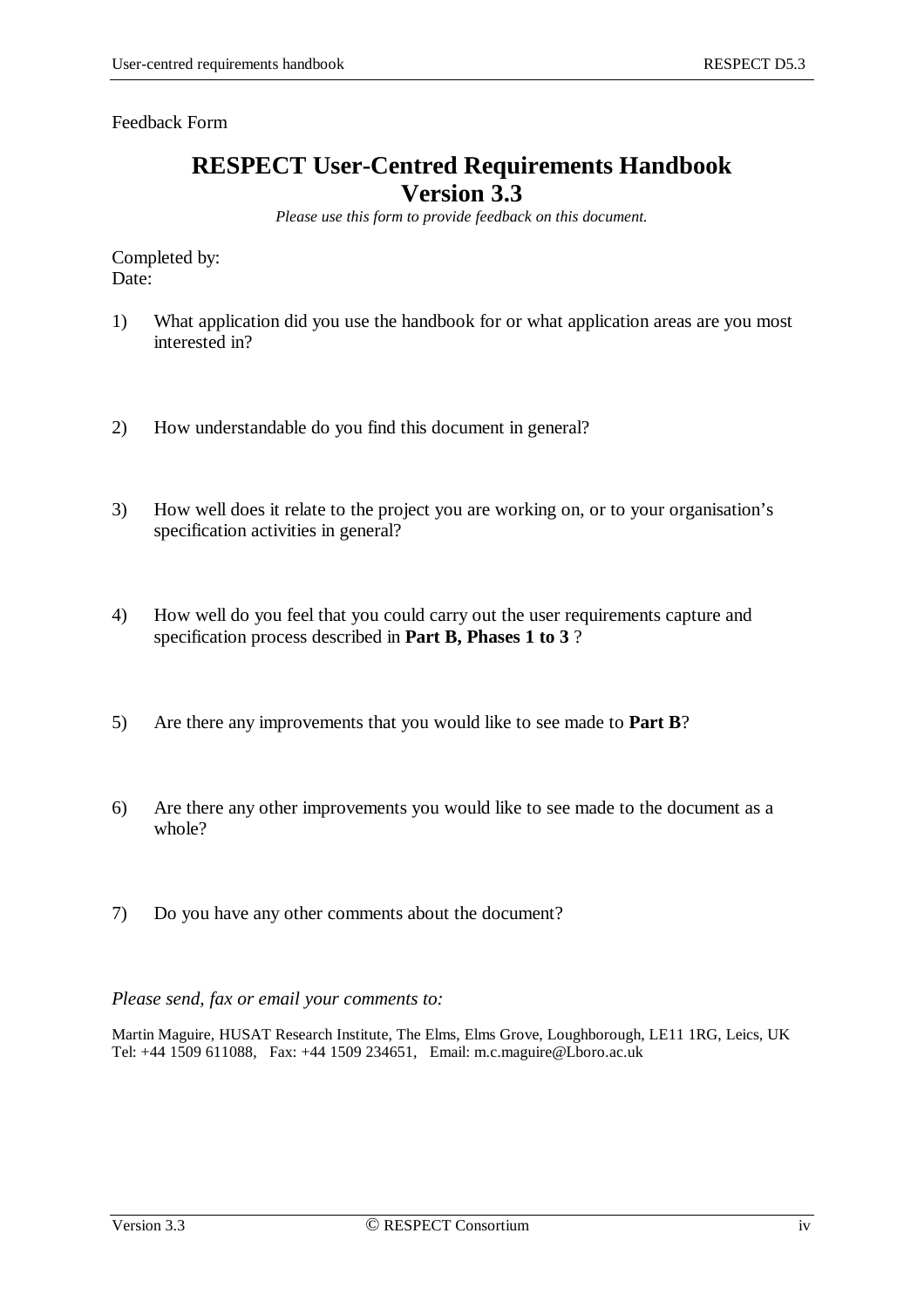Feedback Form

### **RESPECT User-Centred Requirements Handbook Version 3.3**

*Please use this form to provide feedback on this document.*

Completed by: Date:

- 1) What application did you use the handbook for or what application areas are you most interested in?
- 2) How understandable do you find this document in general?
- 3) How well does it relate to the project you are working on, or to your organisation's specification activities in general?
- 4) How well do you feel that you could carry out the user requirements capture and specification process described in **Part B, Phases 1 to 3** ?
- 5) Are there any improvements that you would like to see made to **Part B**?
- 6) Are there any other improvements you would like to see made to the document as a whole?
- 7) Do you have any other comments about the document?

#### *Please send, fax or email your comments to:*

Martin Maguire, HUSAT Research Institute, The Elms, Elms Grove, Loughborough, LE11 1RG, Leics, UK Tel: +44 1509 611088, Fax: +44 1509 234651, Email: m.c.maguire@Lboro.ac.uk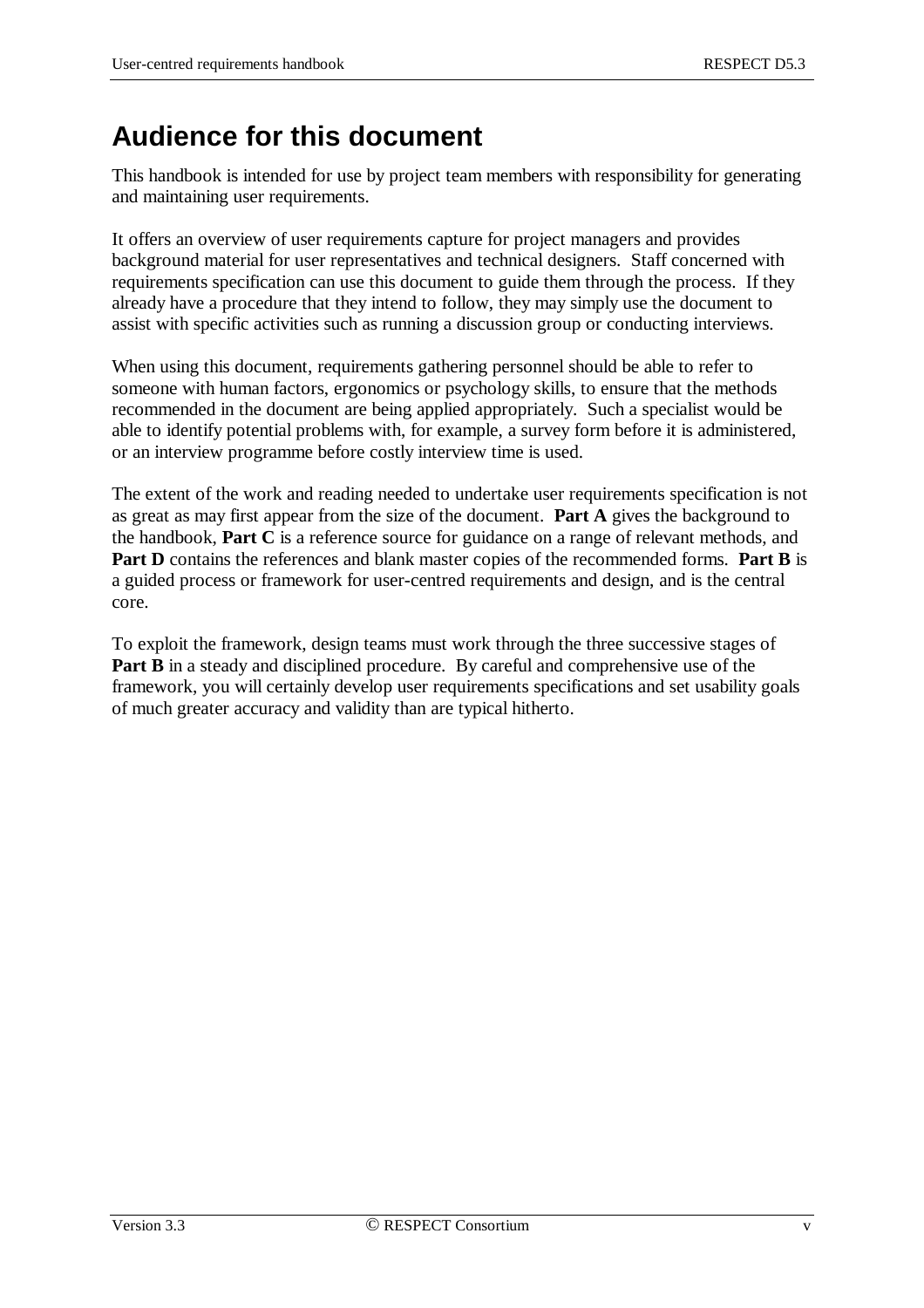## **Audience for this document**

This handbook is intended for use by project team members with responsibility for generating and maintaining user requirements.

It offers an overview of user requirements capture for project managers and provides background material for user representatives and technical designers. Staff concerned with requirements specification can use this document to guide them through the process. If they already have a procedure that they intend to follow, they may simply use the document to assist with specific activities such as running a discussion group or conducting interviews.

When using this document, requirements gathering personnel should be able to refer to someone with human factors, ergonomics or psychology skills, to ensure that the methods recommended in the document are being applied appropriately. Such a specialist would be able to identify potential problems with, for example, a survey form before it is administered, or an interview programme before costly interview time is used.

The extent of the work and reading needed to undertake user requirements specification is not as great as may first appear from the size of the document. **Part A** gives the background to the handbook, **Part C** is a reference source for guidance on a range of relevant methods, and **Part D** contains the references and blank master copies of the recommended forms. **Part B** is a guided process or framework for user-centred requirements and design, and is the central core.

To exploit the framework, design teams must work through the three successive stages of **Part B** in a steady and disciplined procedure. By careful and comprehensive use of the framework, you will certainly develop user requirements specifications and set usability goals of much greater accuracy and validity than are typical hitherto.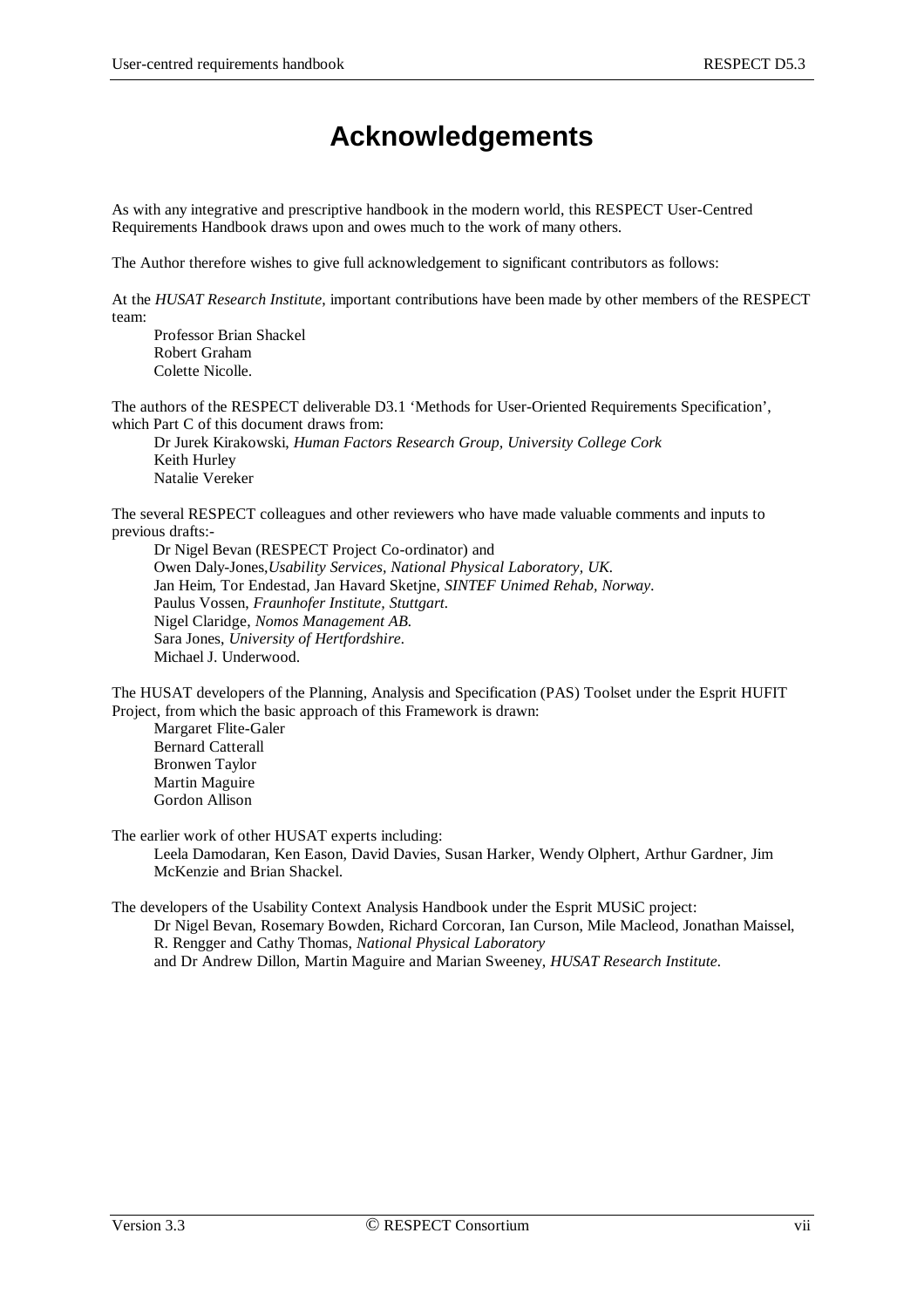## **Acknowledgements**

As with any integrative and prescriptive handbook in the modern world, this RESPECT User-Centred Requirements Handbook draws upon and owes much to the work of many others.

The Author therefore wishes to give full acknowledgement to significant contributors as follows:

At the *HUSAT Research Institute*, important contributions have been made by other members of the RESPECT team:

Professor Brian Shackel Robert Graham Colette Nicolle.

The authors of the RESPECT deliverable D3.1 'Methods for User-Oriented Requirements Specification', which Part C of this document draws from:

Dr Jurek Kirakowski, *Human Factors Research Group, University College Cork* Keith Hurley Natalie Vereker

The several RESPECT colleagues and other reviewers who have made valuable comments and inputs to previous drafts:-

Dr Nigel Bevan (RESPECT Project Co-ordinator) and Owen Daly-Jones,*Usability Services, National Physical Laboratory, UK.* Jan Heim, Tor Endestad, Jan Havard Sketjne, *SINTEF Unimed Rehab, Norway.* Paulus Vossen, *Fraunhofer Institute, Stuttgart.* Nigel Claridge, *Nomos Management AB.* Sara Jones, *University of Hertfordshire.* Michael J. Underwood.

The HUSAT developers of the Planning, Analysis and Specification (PAS) Toolset under the Esprit HUFIT Project, from which the basic approach of this Framework is drawn:

Margaret Flite-Galer Bernard Catterall Bronwen Taylor Martin Maguire Gordon Allison

The earlier work of other HUSAT experts including:

Leela Damodaran, Ken Eason, David Davies, Susan Harker, Wendy Olphert, Arthur Gardner, Jim McKenzie and Brian Shackel.

The developers of the Usability Context Analysis Handbook under the Esprit MUSiC project: Dr Nigel Bevan, Rosemary Bowden, Richard Corcoran, Ian Curson, Mile Macleod, Jonathan Maissel, R. Rengger and Cathy Thomas, *National Physical Laboratory* and Dr Andrew Dillon, Martin Maguire and Marian Sweeney, *HUSAT Research Institute.*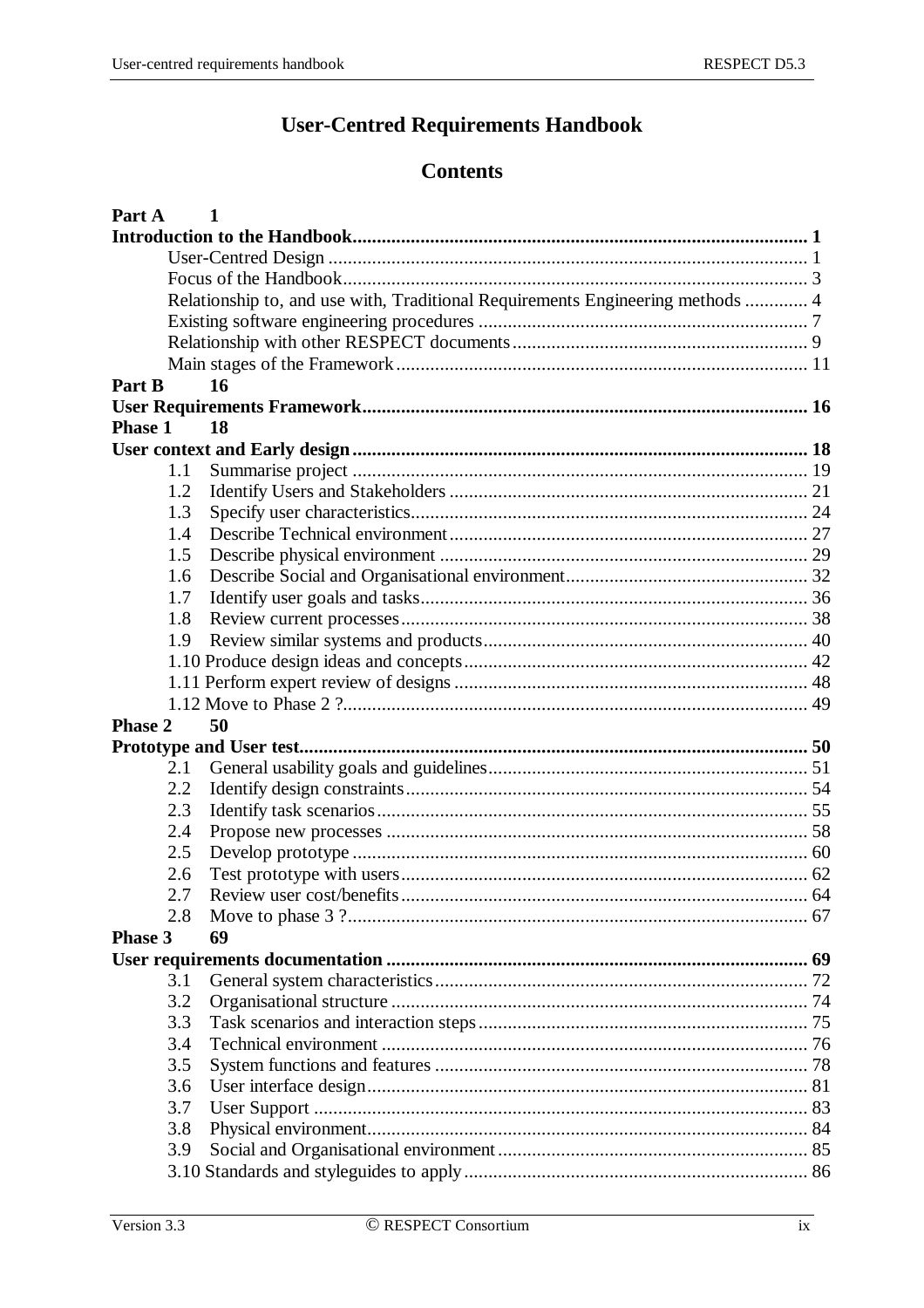### **User-Centred Requirements Handbook**

## **Contents**

| Part A         | $\mathbf{1}$                                                                   |  |
|----------------|--------------------------------------------------------------------------------|--|
|                |                                                                                |  |
|                |                                                                                |  |
|                |                                                                                |  |
|                | Relationship to, and use with, Traditional Requirements Engineering methods  4 |  |
|                |                                                                                |  |
|                |                                                                                |  |
|                |                                                                                |  |
| Part B         | 16                                                                             |  |
|                |                                                                                |  |
| <b>Phase 1</b> | 18                                                                             |  |
|                |                                                                                |  |
| 1.1            |                                                                                |  |
| 1.2            |                                                                                |  |
| 1.3            |                                                                                |  |
| 1.4            |                                                                                |  |
| 1.5            |                                                                                |  |
| 1.6            |                                                                                |  |
| 1.7            |                                                                                |  |
| 1.8            |                                                                                |  |
| 1.9            |                                                                                |  |
|                |                                                                                |  |
|                |                                                                                |  |
|                |                                                                                |  |
| <b>Phase 2</b> | 50                                                                             |  |
|                |                                                                                |  |
| 2.1            |                                                                                |  |
| 2.2            |                                                                                |  |
| 2.3            |                                                                                |  |
| 2.4            |                                                                                |  |
| 2.5            |                                                                                |  |
| 2.6            |                                                                                |  |
| 2.7            |                                                                                |  |
| 2.8            |                                                                                |  |
| <b>Phase 3</b> | 69                                                                             |  |
|                |                                                                                |  |
| 3.1            |                                                                                |  |
| 3.2            |                                                                                |  |
| 3.3            |                                                                                |  |
| 3.4            |                                                                                |  |
| 3.5            |                                                                                |  |
| 3.6            |                                                                                |  |
| 3.7            |                                                                                |  |
| 3.8            |                                                                                |  |
| 3.9            |                                                                                |  |
|                |                                                                                |  |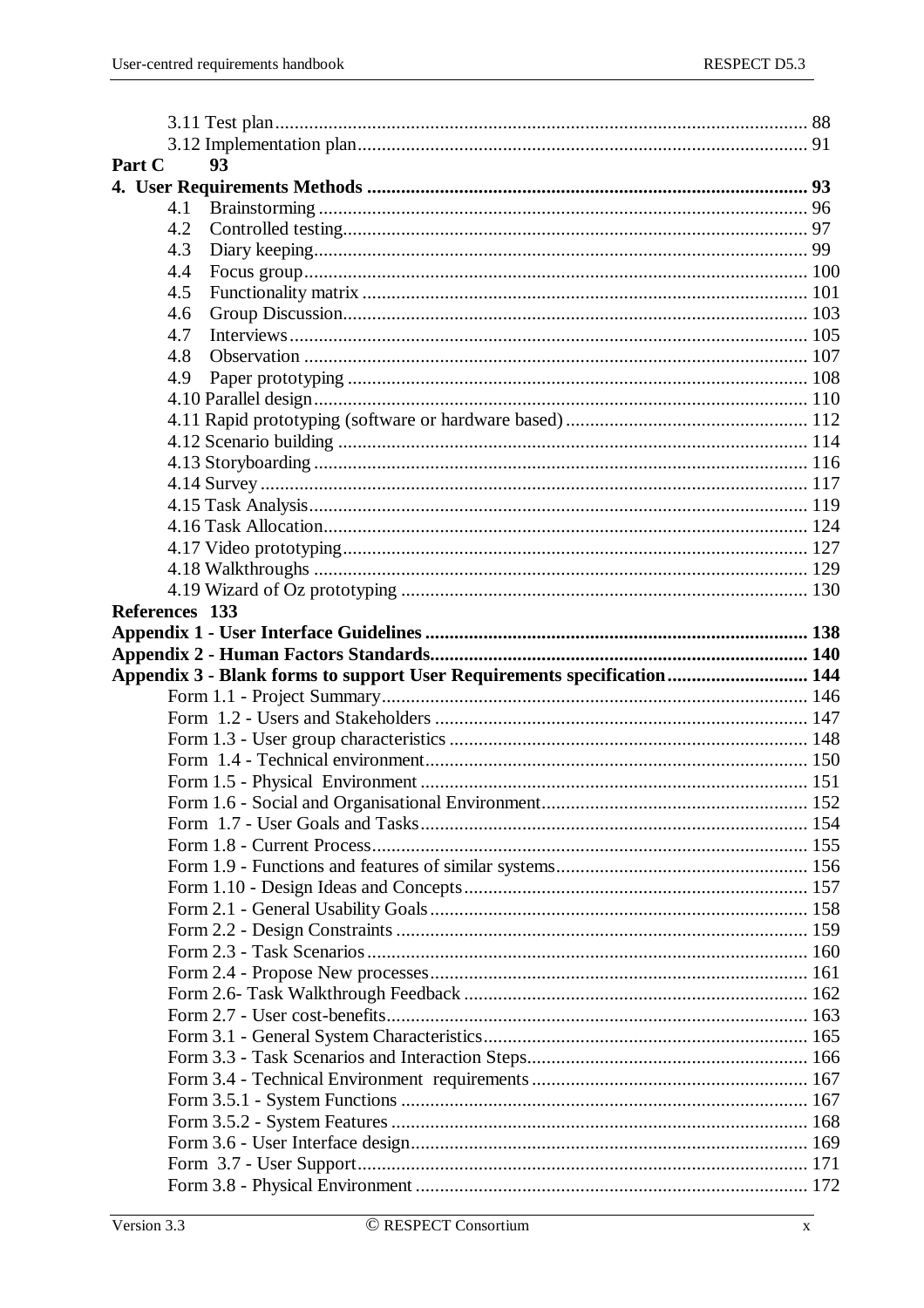| Part C |                | 93                                                                      |  |
|--------|----------------|-------------------------------------------------------------------------|--|
|        |                |                                                                         |  |
|        | 4.1            |                                                                         |  |
|        | 4.2            |                                                                         |  |
|        | 4.3            |                                                                         |  |
|        | 4.4            |                                                                         |  |
|        | 4.5            |                                                                         |  |
|        | 4.6            |                                                                         |  |
|        | 4.7            |                                                                         |  |
|        | 4.8            |                                                                         |  |
|        | 4.9            |                                                                         |  |
|        |                |                                                                         |  |
|        |                |                                                                         |  |
|        |                |                                                                         |  |
|        |                |                                                                         |  |
|        |                |                                                                         |  |
|        |                |                                                                         |  |
|        |                |                                                                         |  |
|        |                |                                                                         |  |
|        |                |                                                                         |  |
|        |                |                                                                         |  |
|        | References 133 |                                                                         |  |
|        |                |                                                                         |  |
|        |                |                                                                         |  |
|        |                |                                                                         |  |
|        |                |                                                                         |  |
|        |                | Appendix 3 - Blank forms to support User Requirements specification 144 |  |
|        |                |                                                                         |  |
|        |                |                                                                         |  |
|        |                |                                                                         |  |
|        |                |                                                                         |  |
|        |                |                                                                         |  |
|        |                |                                                                         |  |
|        |                |                                                                         |  |
|        |                |                                                                         |  |
|        |                |                                                                         |  |
|        |                |                                                                         |  |
|        |                |                                                                         |  |
|        |                |                                                                         |  |
|        |                |                                                                         |  |
|        |                |                                                                         |  |
|        |                |                                                                         |  |
|        |                |                                                                         |  |
|        |                |                                                                         |  |
|        |                |                                                                         |  |
|        |                |                                                                         |  |
|        |                |                                                                         |  |
|        |                |                                                                         |  |
|        |                |                                                                         |  |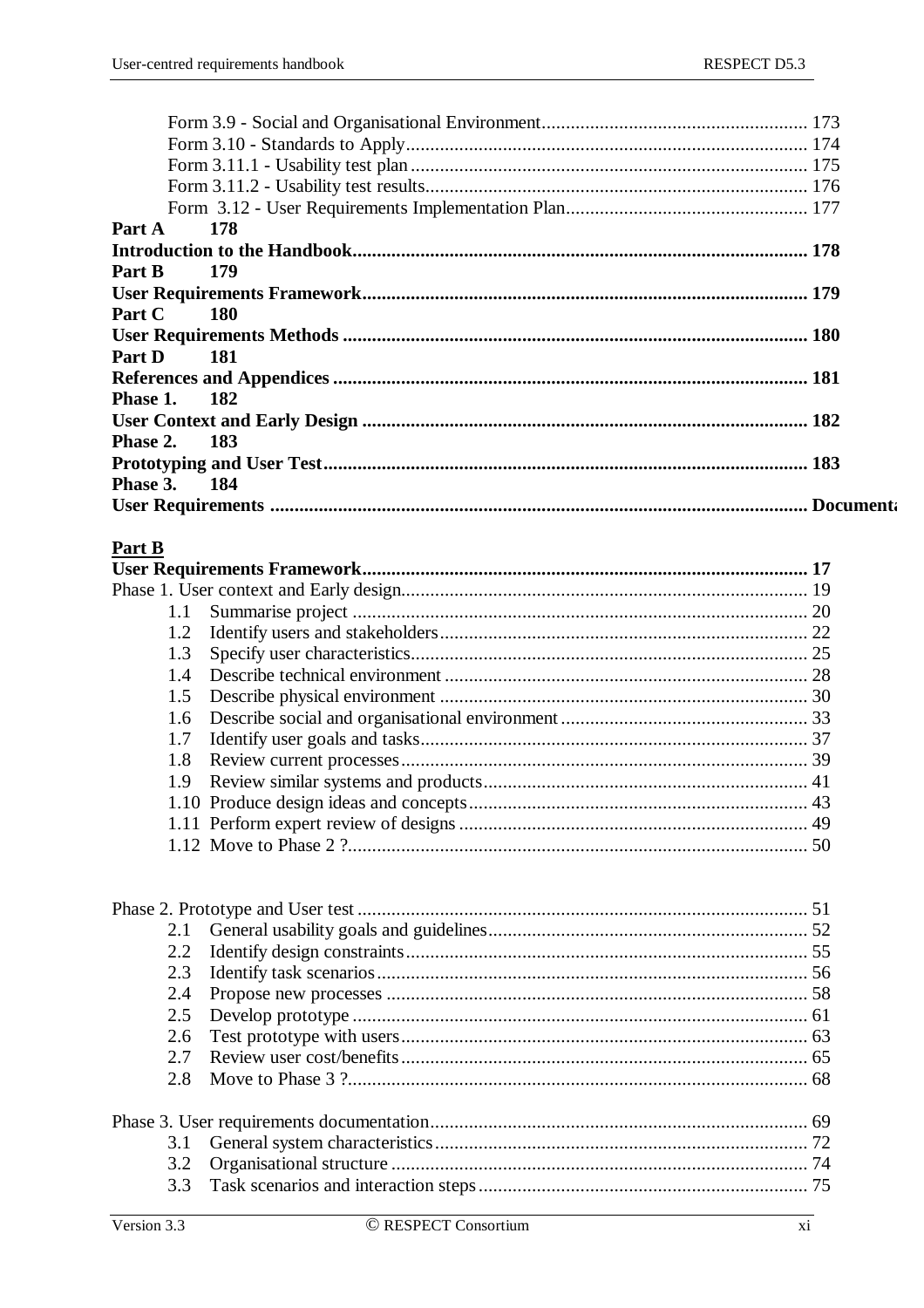| Part A 178          |  |
|---------------------|--|
|                     |  |
| Part B<br>179       |  |
|                     |  |
| <b>Part C</b> 180   |  |
|                     |  |
| Part D 181          |  |
|                     |  |
| Phase 1. 182        |  |
|                     |  |
| <b>Phase 2. 183</b> |  |
|                     |  |
| Phase 3. 184        |  |
|                     |  |
|                     |  |

### Part B

| 1.3 |  |
|-----|--|
|     |  |
|     |  |
|     |  |
|     |  |
|     |  |
|     |  |
|     |  |
|     |  |
|     |  |
|     |  |

| 2.1           |  |  |  |
|---------------|--|--|--|
| $2.2^{\circ}$ |  |  |  |
| 2.3           |  |  |  |
| 2.4           |  |  |  |
| 2.5           |  |  |  |
| 2.6           |  |  |  |
|               |  |  |  |
| 2.8           |  |  |  |
|               |  |  |  |
|               |  |  |  |
| 3.2           |  |  |  |
| 3.3           |  |  |  |
|               |  |  |  |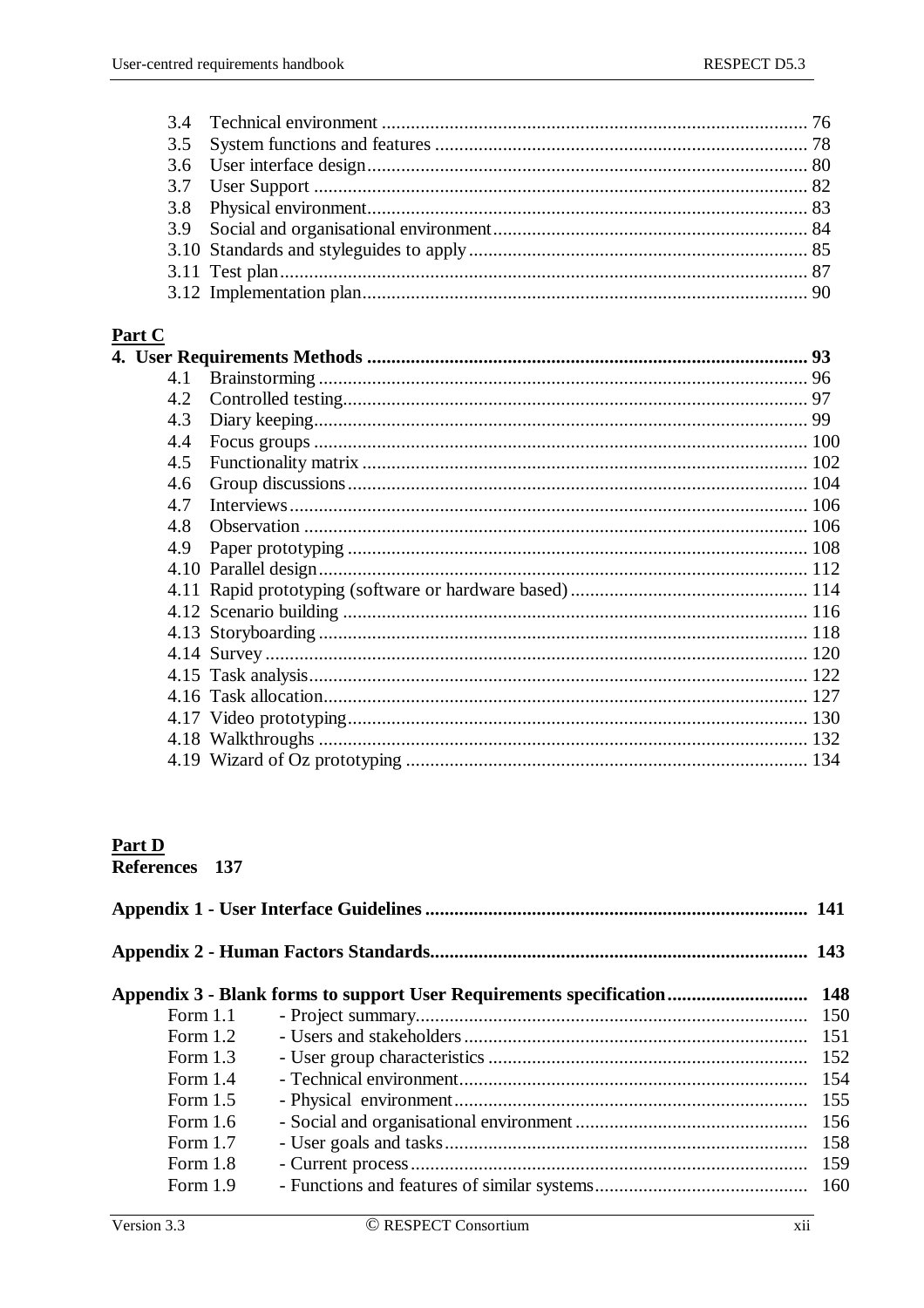## Part C

|     | 93 |
|-----|----|
| 4.1 |    |
| 4.2 |    |
| 4.3 |    |
| 4.4 |    |
| 4.5 |    |
| 4.6 |    |
| 4.7 |    |
| 4.8 |    |
| 4.9 |    |
|     |    |
|     |    |
|     |    |
|     |    |
|     |    |
|     |    |
|     |    |
|     |    |
|     |    |
|     |    |
|     |    |

# **Part D**<br>References 137

|            | Appendix 3 - Blank forms to support User Requirements specification 148 |     |
|------------|-------------------------------------------------------------------------|-----|
| Form $1.1$ |                                                                         |     |
| Form $1.2$ |                                                                         | 151 |
| Form $1.3$ |                                                                         | 152 |
| Form $1.4$ |                                                                         | 154 |
| Form $1.5$ |                                                                         | 155 |
| Form $1.6$ |                                                                         | 156 |
| Form $1.7$ |                                                                         | 158 |
| Form $1.8$ |                                                                         | 159 |
| Form 1.9   |                                                                         |     |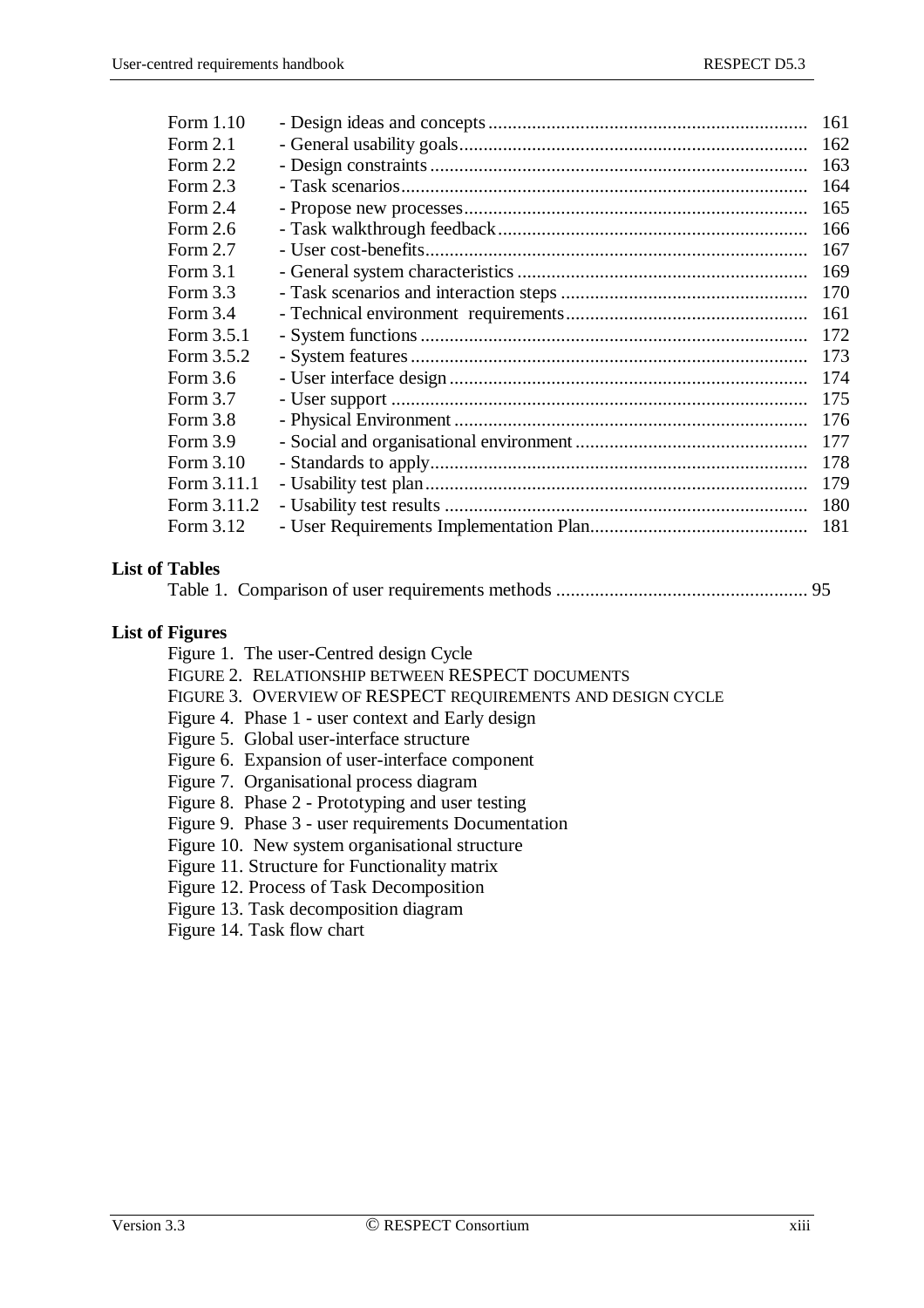| Form 1.10   | 161 |
|-------------|-----|
| Form $2.1$  | 162 |
| Form $2.2$  | 163 |
| Form $2.3$  | 164 |
| Form $2.4$  | 165 |
| Form $2.6$  | 166 |
| Form $2.7$  | 167 |
| Form $3.1$  | 169 |
| Form $3.3$  | 170 |
| Form $3.4$  | 161 |
| Form 3.5.1  | 172 |
| Form 3.5.2  | 173 |
| Form 3.6    | 174 |
| Form $3.7$  | 175 |
| Form $3.8$  | 176 |
| Form $3.9$  | 177 |
| Form 3.10   | 178 |
| Form 3.11.1 | 179 |
| Form 3.11.2 | 180 |
| Form 3.12   | 181 |
|             |     |

#### **List of Tables**

Table 1. Comparison of user requirements methods .................................................... 95

#### **List of Figures**

Figure 1. The user-Centred design Cycle

- FIGURE 2. RELATIONSHIP BETWEEN RESPECT DOCUMENTS
- FIGURE 3. OVERVIEW OF RESPECT REQUIREMENTS AND DESIGN CYCLE
- Figure 4. Phase 1 user context and Early design
- Figure 5. Global user-interface structure
- Figure 6. Expansion of user-interface component
- Figure 7. Organisational process diagram
- Figure 8. Phase 2 Prototyping and user testing
- Figure 9. Phase 3 user requirements Documentation
- Figure 10. New system organisational structure
- Figure 11. Structure for Functionality matrix
- Figure 12. Process of Task Decomposition
- Figure 13. Task decomposition diagram
- Figure 14. Task flow chart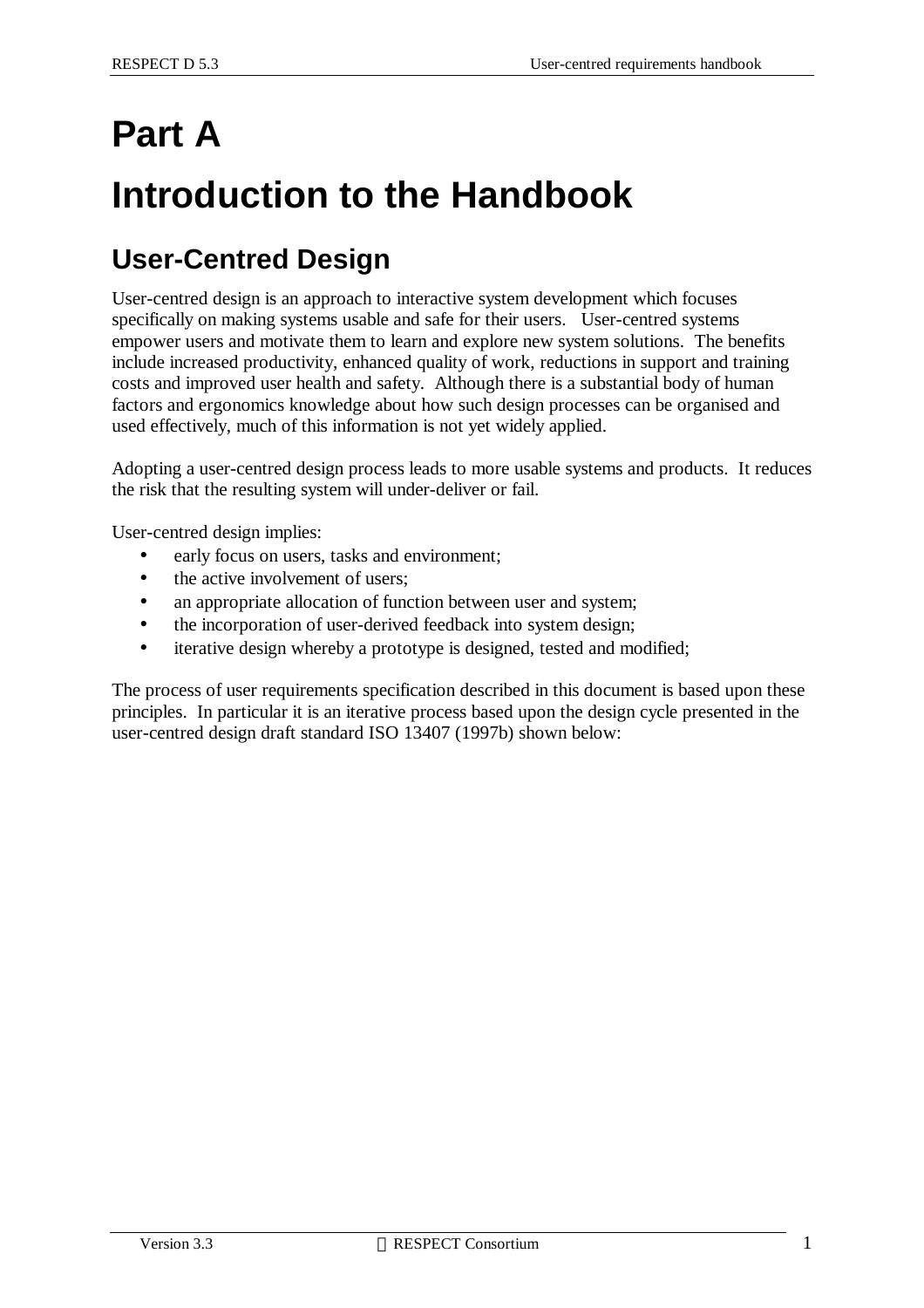# **Part A**

# **Introduction to the Handbook**

# **User-Centred Design**

User-centred design is an approach to interactive system development which focuses specifically on making systems usable and safe for their users. User-centred systems empower users and motivate them to learn and explore new system solutions. The benefits include increased productivity, enhanced quality of work, reductions in support and training costs and improved user health and safety. Although there is a substantial body of human factors and ergonomics knowledge about how such design processes can be organised and used effectively, much of this information is not yet widely applied.

Adopting a user-centred design process leads to more usable systems and products. It reduces the risk that the resulting system will under-deliver or fail.

User-centred design implies:

- early focus on users, tasks and environment;
- the active involvement of users;
- an appropriate allocation of function between user and system;
- the incorporation of user-derived feedback into system design;
- iterative design whereby a prototype is designed, tested and modified;

The process of user requirements specification described in this document is based upon these principles. In particular it is an iterative process based upon the design cycle presented in the user-centred design draft standard ISO 13407 (1997b) shown below: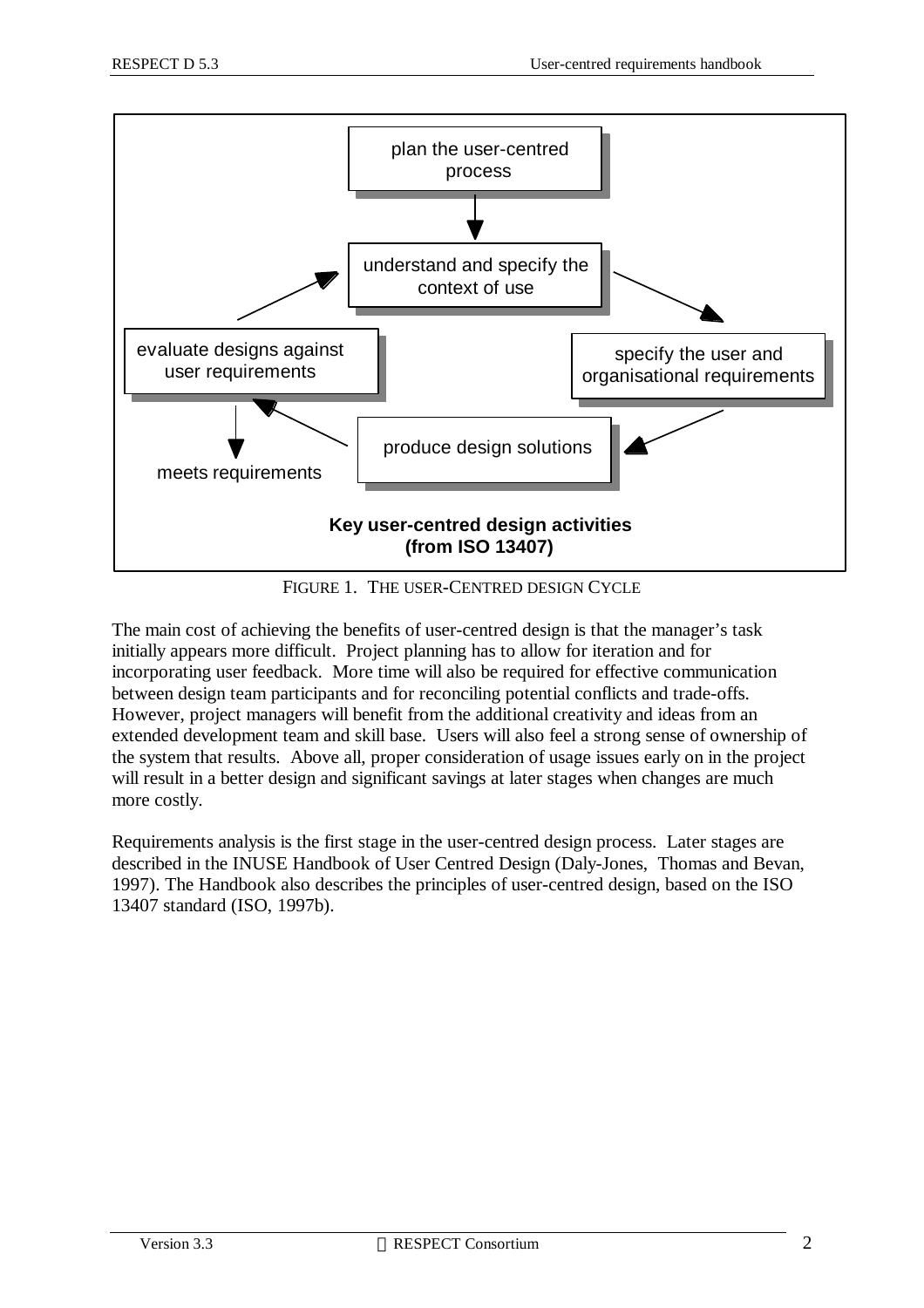

FIGURE 1. THE USER-CENTRED DESIGN CYCLE

The main cost of achieving the benefits of user-centred design is that the manager's task initially appears more difficult. Project planning has to allow for iteration and for incorporating user feedback. More time will also be required for effective communication between design team participants and for reconciling potential conflicts and trade-offs. However, project managers will benefit from the additional creativity and ideas from an extended development team and skill base. Users will also feel a strong sense of ownership of the system that results. Above all, proper consideration of usage issues early on in the project will result in a better design and significant savings at later stages when changes are much more costly.

Requirements analysis is the first stage in the user-centred design process. Later stages are described in the INUSE Handbook of User Centred Design (Daly-Jones, Thomas and Bevan, 1997). The Handbook also describes the principles of user-centred design, based on the ISO 13407 standard (ISO, 1997b).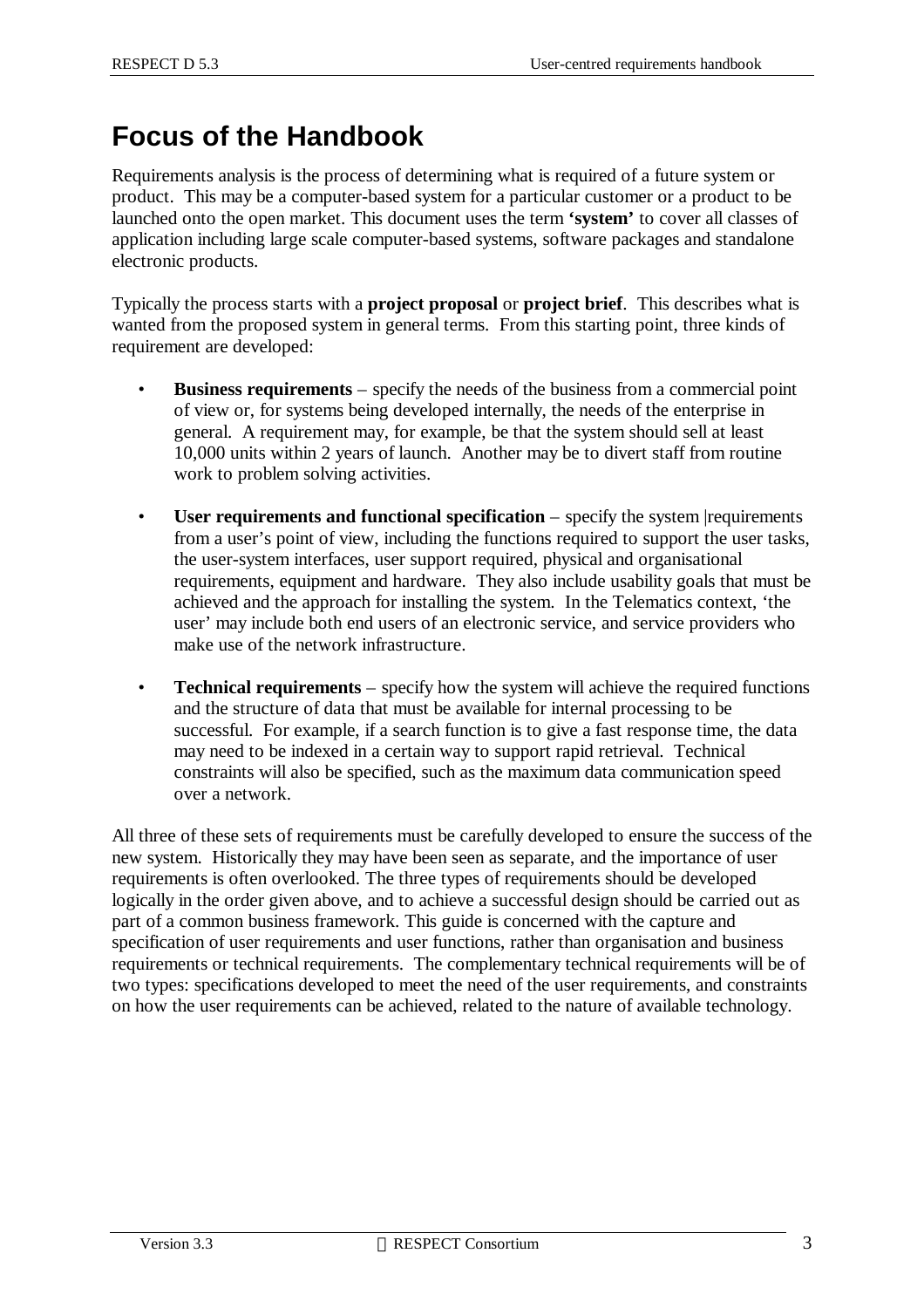# **Focus of the Handbook**

Requirements analysis is the process of determining what is required of a future system or product. This may be a computer-based system for a particular customer or a product to be launched onto the open market. This document uses the term **'system'** to cover all classes of application including large scale computer-based systems, software packages and standalone electronic products.

Typically the process starts with a **project proposal** or **project brief**. This describes what is wanted from the proposed system in general terms. From this starting point, three kinds of requirement are developed:

- **Business requirements** specify the needs of the business from a commercial point of view or, for systems being developed internally, the needs of the enterprise in general. A requirement may, for example, be that the system should sell at least 10,000 units within 2 years of launch. Another may be to divert staff from routine work to problem solving activities.
- **User requirements and functional specification** specify the system |requirements from a user's point of view, including the functions required to support the user tasks, the user-system interfaces, user support required, physical and organisational requirements, equipment and hardware. They also include usability goals that must be achieved and the approach for installing the system. In the Telematics context, 'the user' may include both end users of an electronic service, and service providers who make use of the network infrastructure.
- **Technical requirements** specify how the system will achieve the required functions and the structure of data that must be available for internal processing to be successful. For example, if a search function is to give a fast response time, the data may need to be indexed in a certain way to support rapid retrieval. Technical constraints will also be specified, such as the maximum data communication speed over a network.

All three of these sets of requirements must be carefully developed to ensure the success of the new system. Historically they may have been seen as separate, and the importance of user requirements is often overlooked. The three types of requirements should be developed logically in the order given above, and to achieve a successful design should be carried out as part of a common business framework. This guide is concerned with the capture and specification of user requirements and user functions, rather than organisation and business requirements or technical requirements. The complementary technical requirements will be of two types: specifications developed to meet the need of the user requirements, and constraints on how the user requirements can be achieved, related to the nature of available technology.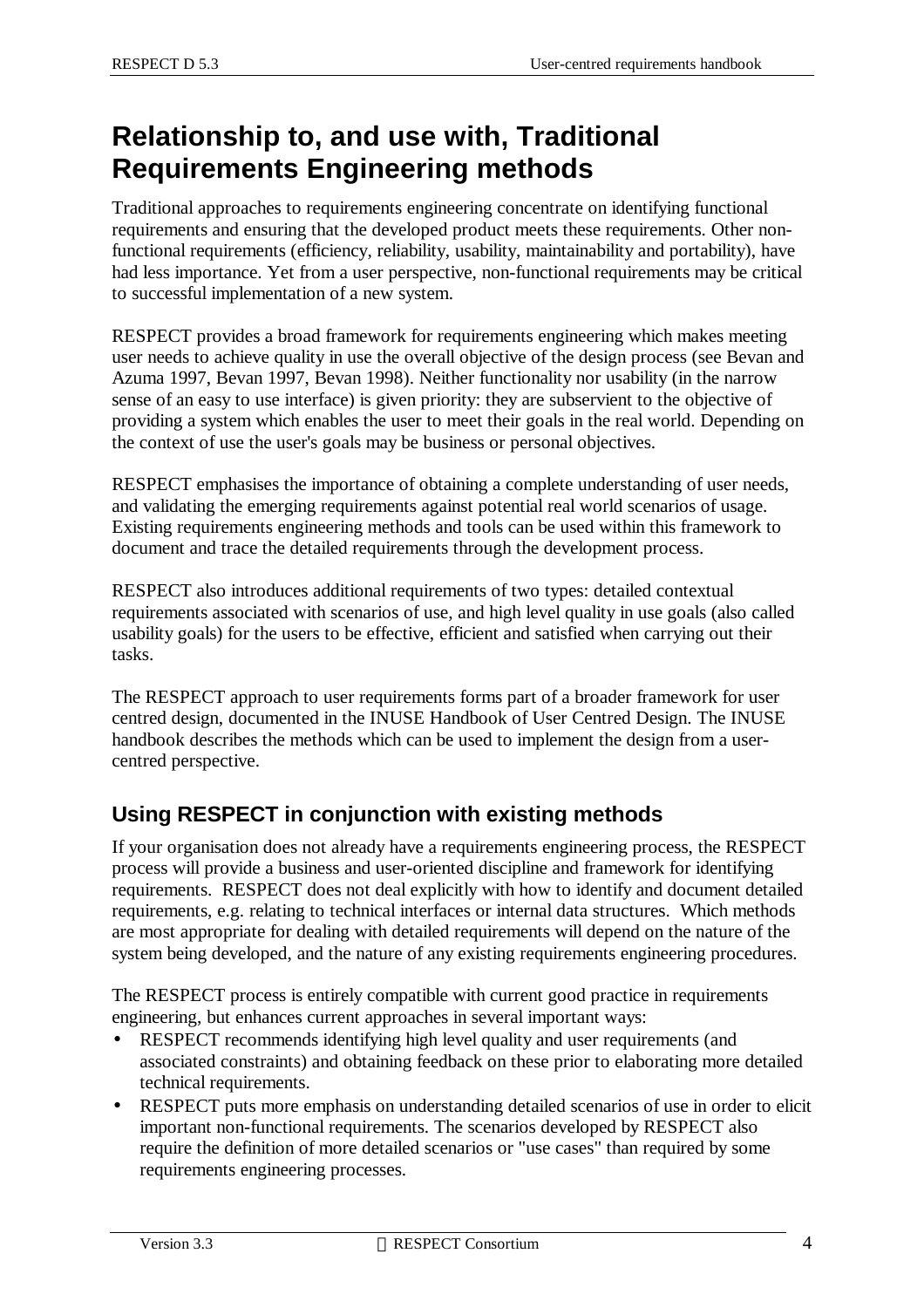# **Relationship to, and use with, Traditional Requirements Engineering methods**

Traditional approaches to requirements engineering concentrate on identifying functional requirements and ensuring that the developed product meets these requirements. Other nonfunctional requirements (efficiency, reliability, usability, maintainability and portability), have had less importance. Yet from a user perspective, non-functional requirements may be critical to successful implementation of a new system.

RESPECT provides a broad framework for requirements engineering which makes meeting user needs to achieve quality in use the overall objective of the design process (see Bevan and Azuma 1997, Bevan 1997, Bevan 1998). Neither functionality nor usability (in the narrow sense of an easy to use interface) is given priority: they are subservient to the objective of providing a system which enables the user to meet their goals in the real world. Depending on the context of use the user's goals may be business or personal objectives.

RESPECT emphasises the importance of obtaining a complete understanding of user needs, and validating the emerging requirements against potential real world scenarios of usage. Existing requirements engineering methods and tools can be used within this framework to document and trace the detailed requirements through the development process.

RESPECT also introduces additional requirements of two types: detailed contextual requirements associated with scenarios of use, and high level quality in use goals (also called usability goals) for the users to be effective, efficient and satisfied when carrying out their tasks.

The RESPECT approach to user requirements forms part of a broader framework for user centred design, documented in the INUSE Handbook of User Centred Design. The INUSE handbook describes the methods which can be used to implement the design from a usercentred perspective.

### **Using RESPECT in conjunction with existing methods**

If your organisation does not already have a requirements engineering process, the RESPECT process will provide a business and user-oriented discipline and framework for identifying requirements. RESPECT does not deal explicitly with how to identify and document detailed requirements, e.g. relating to technical interfaces or internal data structures. Which methods are most appropriate for dealing with detailed requirements will depend on the nature of the system being developed, and the nature of any existing requirements engineering procedures.

The RESPECT process is entirely compatible with current good practice in requirements engineering, but enhances current approaches in several important ways:

- RESPECT recommends identifying high level quality and user requirements (and associated constraints) and obtaining feedback on these prior to elaborating more detailed technical requirements.
- RESPECT puts more emphasis on understanding detailed scenarios of use in order to elicit important non-functional requirements. The scenarios developed by RESPECT also require the definition of more detailed scenarios or "use cases" than required by some requirements engineering processes.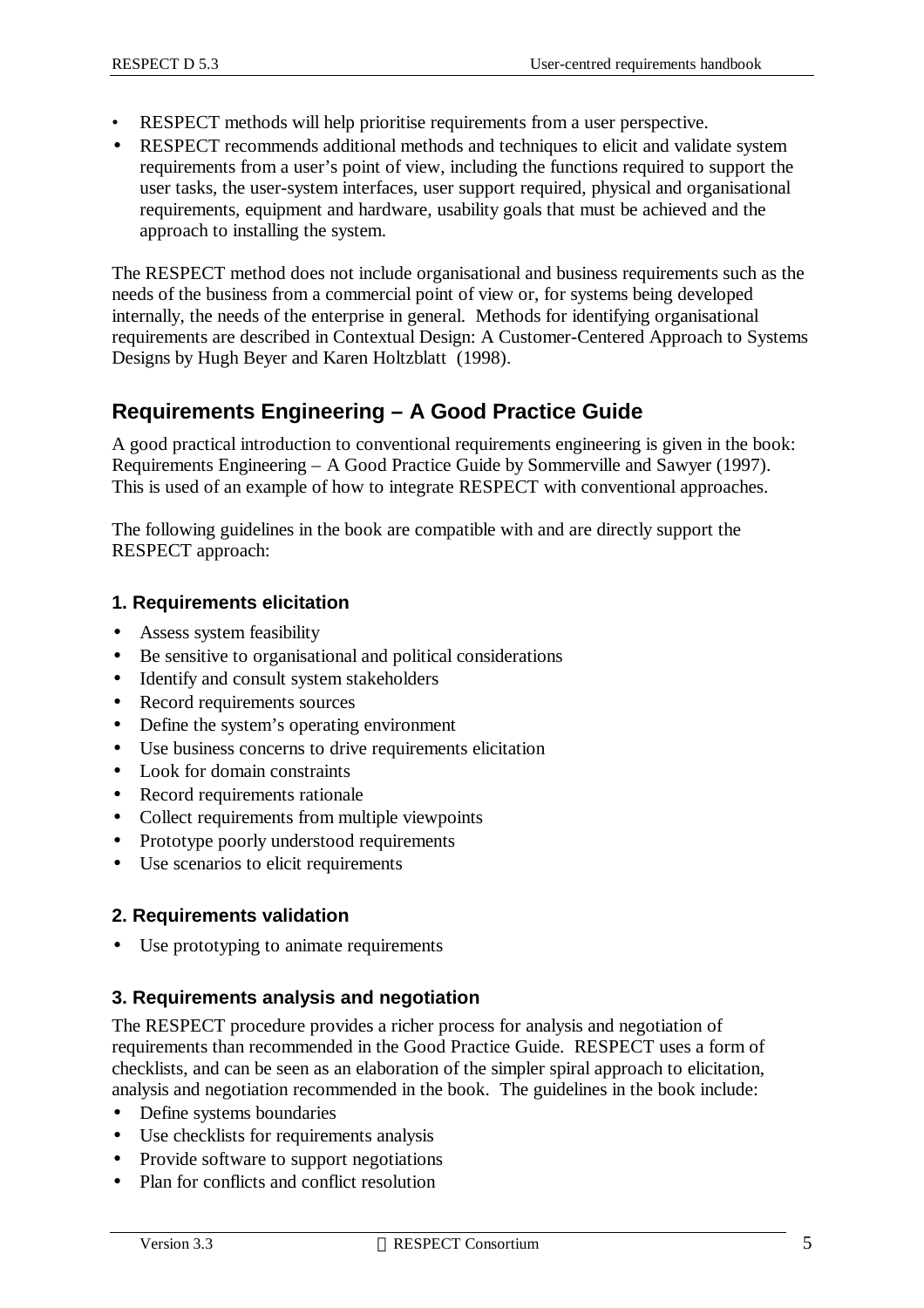- RESPECT methods will help prioritise requirements from a user perspective.
- RESPECT recommends additional methods and techniques to elicit and validate system requirements from a user's point of view, including the functions required to support the user tasks, the user-system interfaces, user support required, physical and organisational requirements, equipment and hardware, usability goals that must be achieved and the approach to installing the system.

The RESPECT method does not include organisational and business requirements such as the needs of the business from a commercial point of view or, for systems being developed internally, the needs of the enterprise in general. Methods for identifying organisational requirements are described in Contextual Design: A Customer-Centered Approach to Systems Designs by Hugh Beyer and Karen Holtzblatt (1998).

### **Requirements Engineering – A Good Practice Guide**

A good practical introduction to conventional requirements engineering is given in the book: Requirements Engineering – A Good Practice Guide by Sommerville and Sawyer (1997). This is used of an example of how to integrate RESPECT with conventional approaches.

The following guidelines in the book are compatible with and are directly support the RESPECT approach:

#### **1. Requirements elicitation**

- Assess system feasibility
- Be sensitive to organisational and political considerations
- Identify and consult system stakeholders
- Record requirements sources
- Define the system's operating environment
- Use business concerns to drive requirements elicitation
- Look for domain constraints
- Record requirements rationale
- Collect requirements from multiple viewpoints
- Prototype poorly understood requirements
- Use scenarios to elicit requirements

#### **2. Requirements validation**

• Use prototyping to animate requirements

#### **3. Requirements analysis and negotiation**

The RESPECT procedure provides a richer process for analysis and negotiation of requirements than recommended in the Good Practice Guide. RESPECT uses a form of checklists, and can be seen as an elaboration of the simpler spiral approach to elicitation, analysis and negotiation recommended in the book. The guidelines in the book include:

- Define systems boundaries
- Use checklists for requirements analysis
- Provide software to support negotiations
- Plan for conflicts and conflict resolution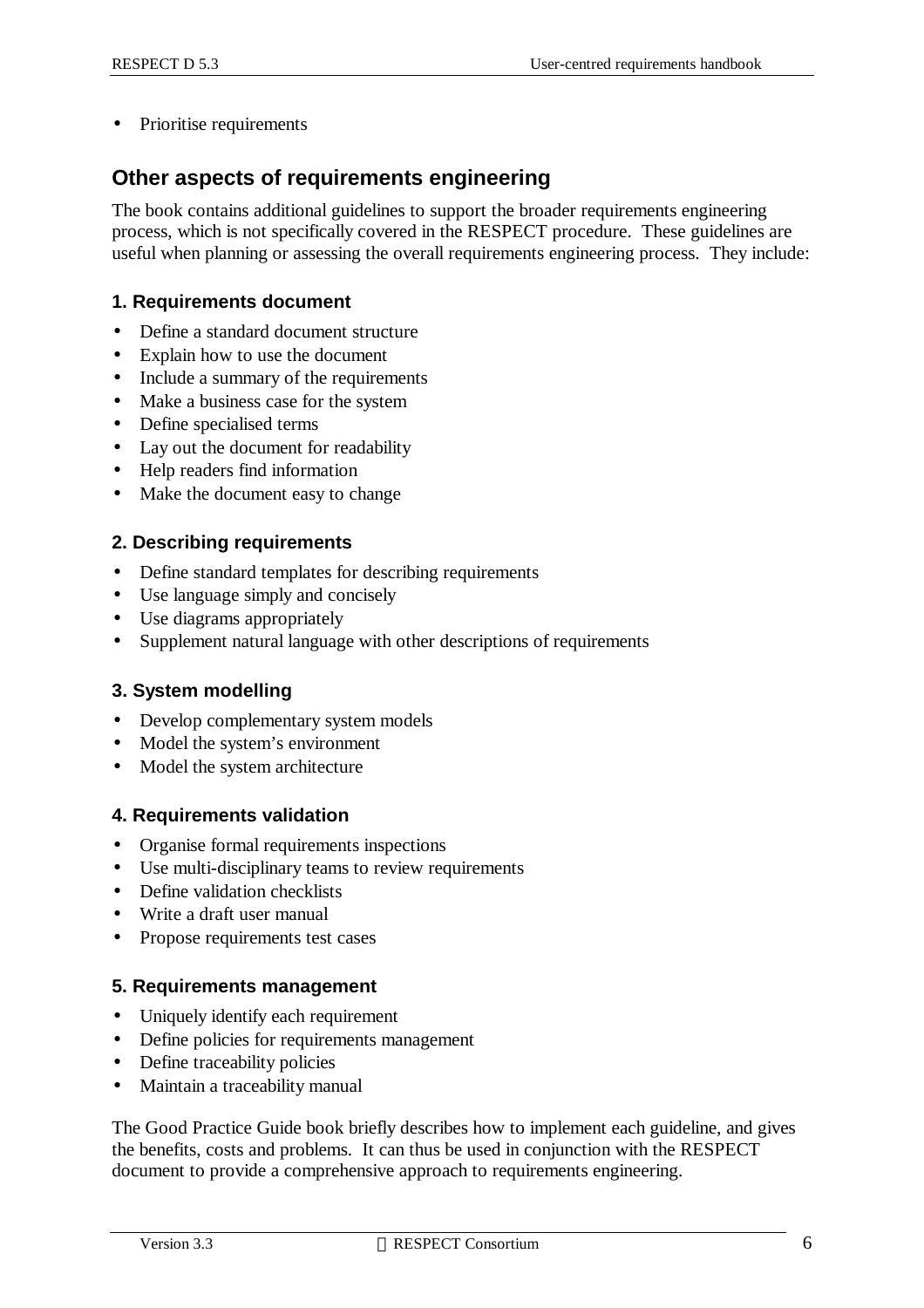• Prioritise requirements

### **Other aspects of requirements engineering**

The book contains additional guidelines to support the broader requirements engineering process, which is not specifically covered in the RESPECT procedure. These guidelines are useful when planning or assessing the overall requirements engineering process. They include:

#### **1. Requirements document**

- Define a standard document structure
- Explain how to use the document
- Include a summary of the requirements
- Make a business case for the system
- Define specialised terms
- Lay out the document for readability
- Help readers find information
- Make the document easy to change

#### **2. Describing requirements**

- Define standard templates for describing requirements
- Use language simply and concisely
- Use diagrams appropriately
- Supplement natural language with other descriptions of requirements

#### **3. System modelling**

- Develop complementary system models
- Model the system's environment
- Model the system architecture

#### **4. Requirements validation**

- Organise formal requirements inspections
- Use multi-disciplinary teams to review requirements
- Define validation checklists
- Write a draft user manual
- Propose requirements test cases

#### **5. Requirements management**

- Uniquely identify each requirement
- Define policies for requirements management
- Define traceability policies
- Maintain a traceability manual

The Good Practice Guide book briefly describes how to implement each guideline, and gives the benefits, costs and problems. It can thus be used in conjunction with the RESPECT document to provide a comprehensive approach to requirements engineering.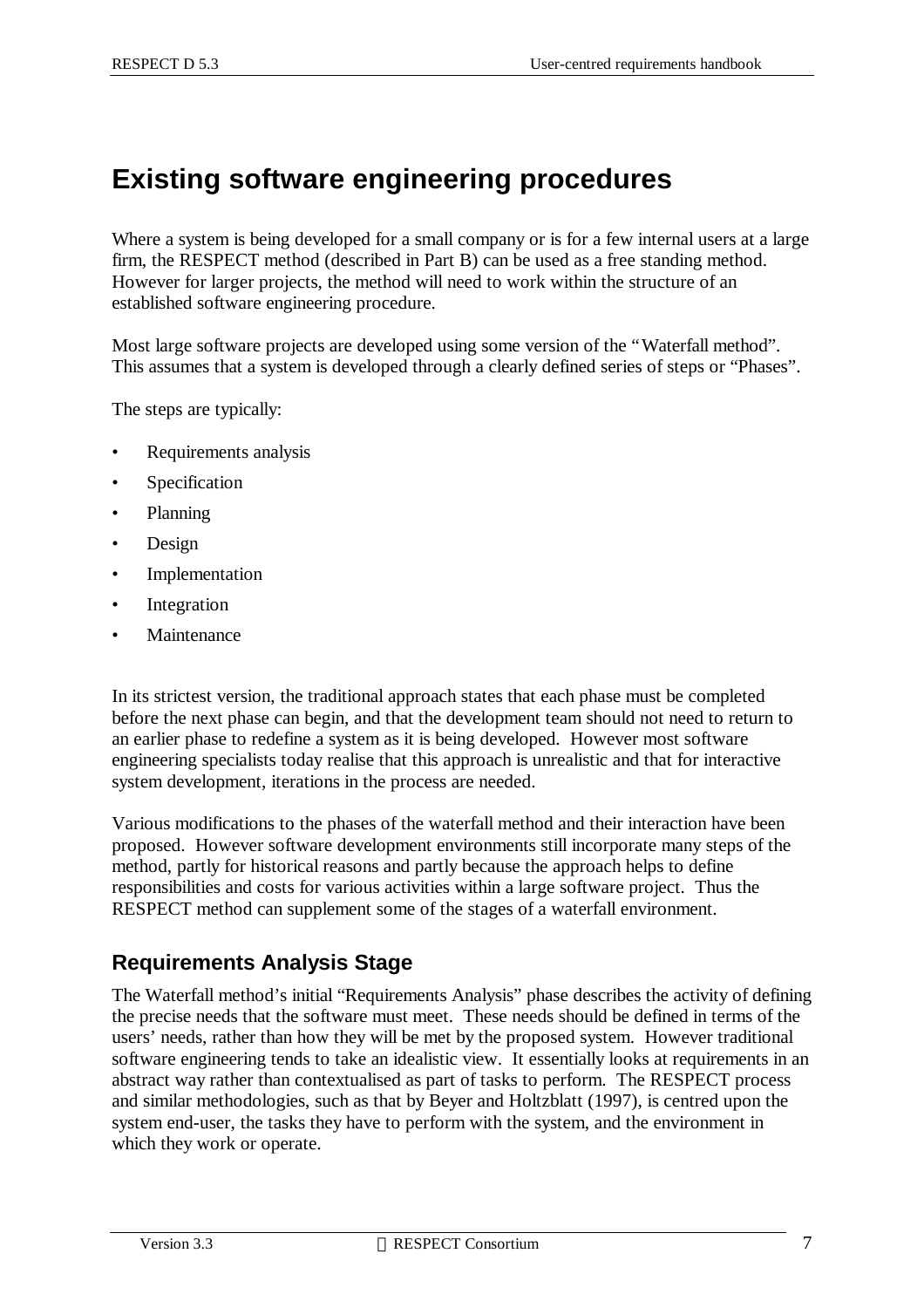# **Existing software engineering procedures**

Where a system is being developed for a small company or is for a few internal users at a large firm, the RESPECT method (described in Part B) can be used as a free standing method. However for larger projects, the method will need to work within the structure of an established software engineering procedure.

Most large software projects are developed using some version of the "Waterfall method". This assumes that a system is developed through a clearly defined series of steps or "Phases".

The steps are typically:

- Requirements analysis
- Specification
- Planning
- Design
- Implementation
- Integration
- **Maintenance**

In its strictest version, the traditional approach states that each phase must be completed before the next phase can begin, and that the development team should not need to return to an earlier phase to redefine a system as it is being developed. However most software engineering specialists today realise that this approach is unrealistic and that for interactive system development, iterations in the process are needed.

Various modifications to the phases of the waterfall method and their interaction have been proposed. However software development environments still incorporate many steps of the method, partly for historical reasons and partly because the approach helps to define responsibilities and costs for various activities within a large software project. Thus the RESPECT method can supplement some of the stages of a waterfall environment.

### **Requirements Analysis Stage**

The Waterfall method's initial "Requirements Analysis" phase describes the activity of defining the precise needs that the software must meet. These needs should be defined in terms of the users' needs, rather than how they will be met by the proposed system. However traditional software engineering tends to take an idealistic view. It essentially looks at requirements in an abstract way rather than contextualised as part of tasks to perform. The RESPECT process and similar methodologies, such as that by Beyer and Holtzblatt (1997), is centred upon the system end-user, the tasks they have to perform with the system, and the environment in which they work or operate.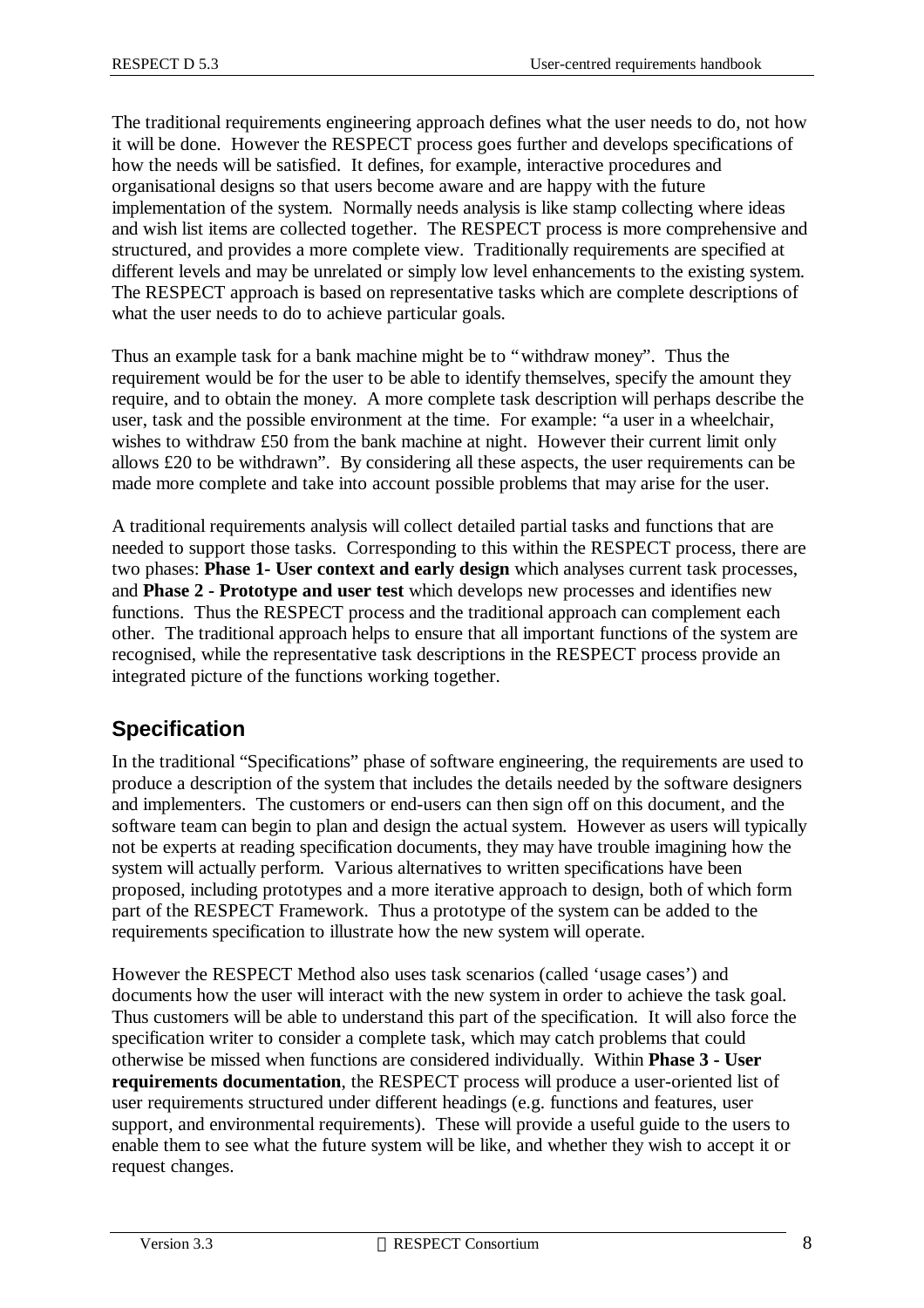The traditional requirements engineering approach defines what the user needs to do, not how it will be done. However the RESPECT process goes further and develops specifications of how the needs will be satisfied. It defines, for example, interactive procedures and organisational designs so that users become aware and are happy with the future implementation of the system. Normally needs analysis is like stamp collecting where ideas and wish list items are collected together. The RESPECT process is more comprehensive and structured, and provides a more complete view. Traditionally requirements are specified at different levels and may be unrelated or simply low level enhancements to the existing system. The RESPECT approach is based on representative tasks which are complete descriptions of what the user needs to do to achieve particular goals.

Thus an example task for a bank machine might be to "withdraw money". Thus the requirement would be for the user to be able to identify themselves, specify the amount they require, and to obtain the money. A more complete task description will perhaps describe the user, task and the possible environment at the time. For example: "a user in a wheelchair, wishes to withdraw £50 from the bank machine at night. However their current limit only allows £20 to be withdrawn". By considering all these aspects, the user requirements can be made more complete and take into account possible problems that may arise for the user.

A traditional requirements analysis will collect detailed partial tasks and functions that are needed to support those tasks. Corresponding to this within the RESPECT process, there are two phases: **Phase 1- User context and early design** which analyses current task processes, and **Phase 2 - Prototype and user test** which develops new processes and identifies new functions. Thus the RESPECT process and the traditional approach can complement each other. The traditional approach helps to ensure that all important functions of the system are recognised, while the representative task descriptions in the RESPECT process provide an integrated picture of the functions working together.

### **Specification**

In the traditional "Specifications" phase of software engineering, the requirements are used to produce a description of the system that includes the details needed by the software designers and implementers. The customers or end-users can then sign off on this document, and the software team can begin to plan and design the actual system. However as users will typically not be experts at reading specification documents, they may have trouble imagining how the system will actually perform. Various alternatives to written specifications have been proposed, including prototypes and a more iterative approach to design, both of which form part of the RESPECT Framework. Thus a prototype of the system can be added to the requirements specification to illustrate how the new system will operate.

However the RESPECT Method also uses task scenarios (called 'usage cases') and documents how the user will interact with the new system in order to achieve the task goal. Thus customers will be able to understand this part of the specification. It will also force the specification writer to consider a complete task, which may catch problems that could otherwise be missed when functions are considered individually. Within **Phase 3 - User requirements documentation**, the RESPECT process will produce a user-oriented list of user requirements structured under different headings (e.g. functions and features, user support, and environmental requirements). These will provide a useful guide to the users to enable them to see what the future system will be like, and whether they wish to accept it or request changes.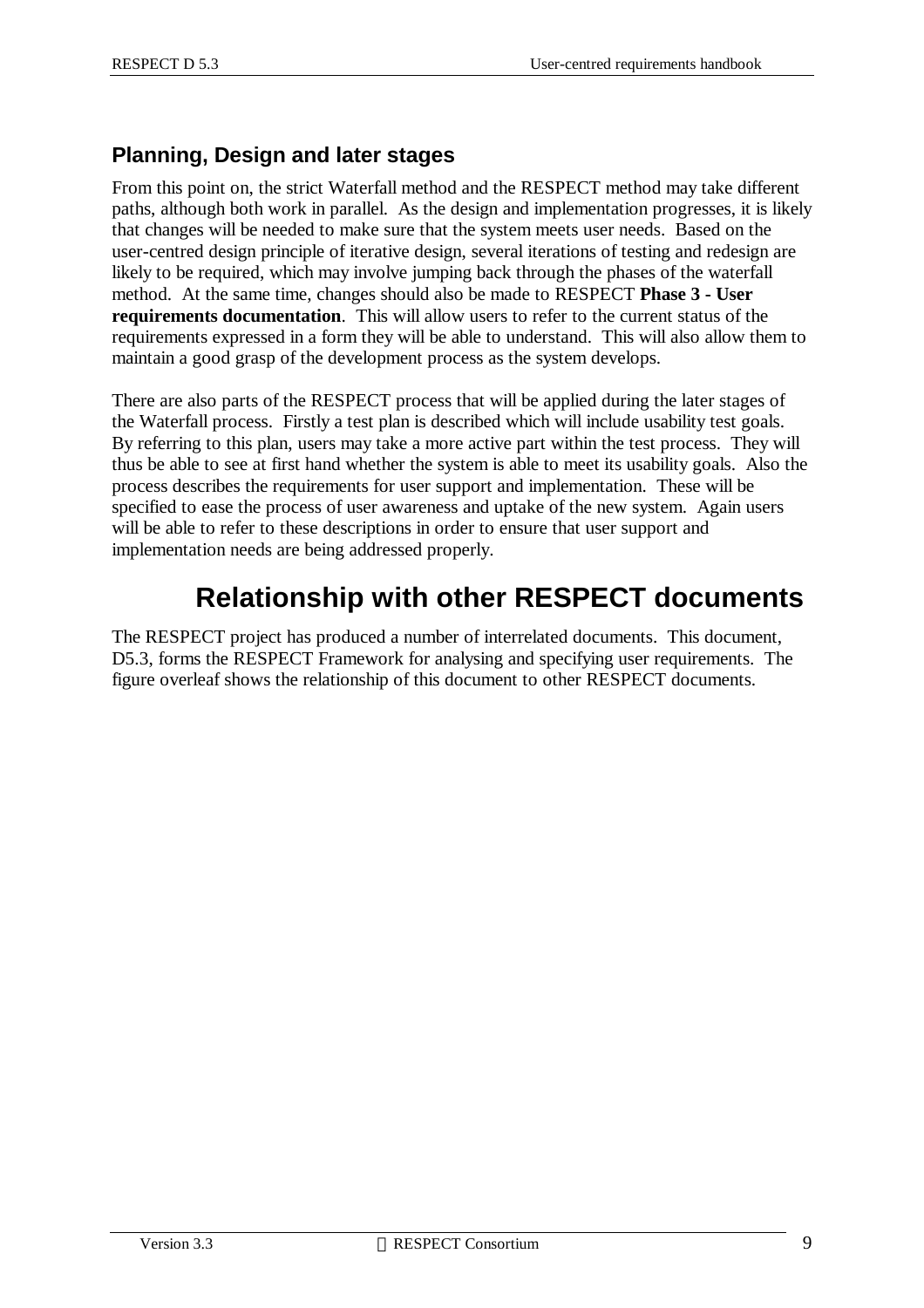### **Planning, Design and later stages**

From this point on, the strict Waterfall method and the RESPECT method may take different paths, although both work in parallel. As the design and implementation progresses, it is likely that changes will be needed to make sure that the system meets user needs. Based on the user-centred design principle of iterative design, several iterations of testing and redesign are likely to be required, which may involve jumping back through the phases of the waterfall method. At the same time, changes should also be made to RESPECT **Phase 3 - User requirements documentation**. This will allow users to refer to the current status of the requirements expressed in a form they will be able to understand. This will also allow them to maintain a good grasp of the development process as the system develops.

There are also parts of the RESPECT process that will be applied during the later stages of the Waterfall process. Firstly a test plan is described which will include usability test goals. By referring to this plan, users may take a more active part within the test process. They will thus be able to see at first hand whether the system is able to meet its usability goals. Also the process describes the requirements for user support and implementation. These will be specified to ease the process of user awareness and uptake of the new system. Again users will be able to refer to these descriptions in order to ensure that user support and implementation needs are being addressed properly.

# **Relationship with other RESPECT documents**

The RESPECT project has produced a number of interrelated documents. This document, D5.3, forms the RESPECT Framework for analysing and specifying user requirements. The figure overleaf shows the relationship of this document to other RESPECT documents.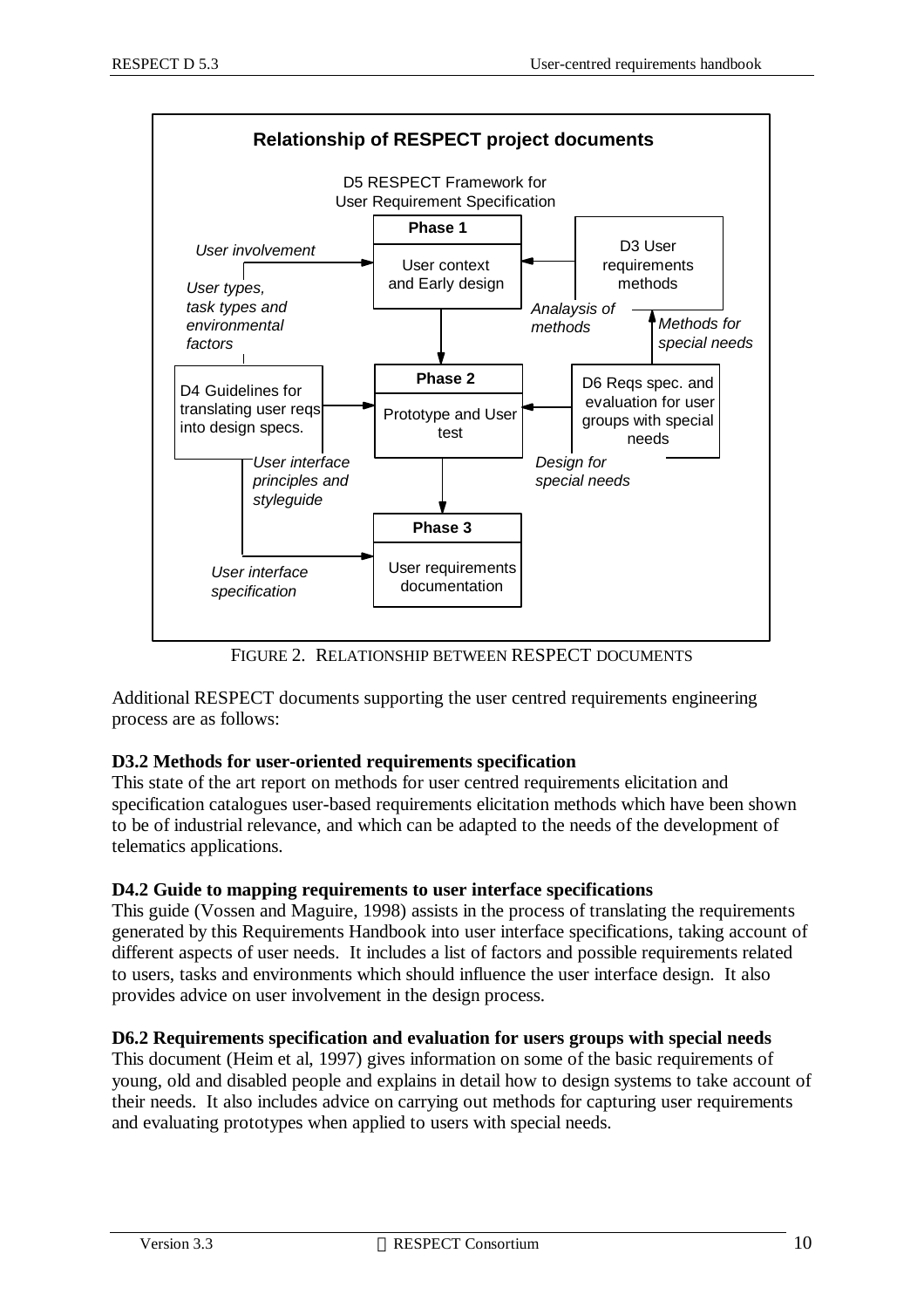

FIGURE 2. RELATIONSHIP BETWEEN RESPECT DOCUMENTS

Additional RESPECT documents supporting the user centred requirements engineering process are as follows:

#### **D3.2 Methods for user-oriented requirements specification**

This state of the art report on methods for user centred requirements elicitation and specification catalogues user-based requirements elicitation methods which have been shown to be of industrial relevance, and which can be adapted to the needs of the development of telematics applications.

#### **D4.2 Guide to mapping requirements to user interface specifications**

This guide (Vossen and Maguire, 1998) assists in the process of translating the requirements generated by this Requirements Handbook into user interface specifications, taking account of different aspects of user needs. It includes a list of factors and possible requirements related to users, tasks and environments which should influence the user interface design. It also provides advice on user involvement in the design process.

#### **D6.2 Requirements specification and evaluation for users groups with special needs**

This document (Heim et al, 1997) gives information on some of the basic requirements of young, old and disabled people and explains in detail how to design systems to take account of their needs. It also includes advice on carrying out methods for capturing user requirements and evaluating prototypes when applied to users with special needs.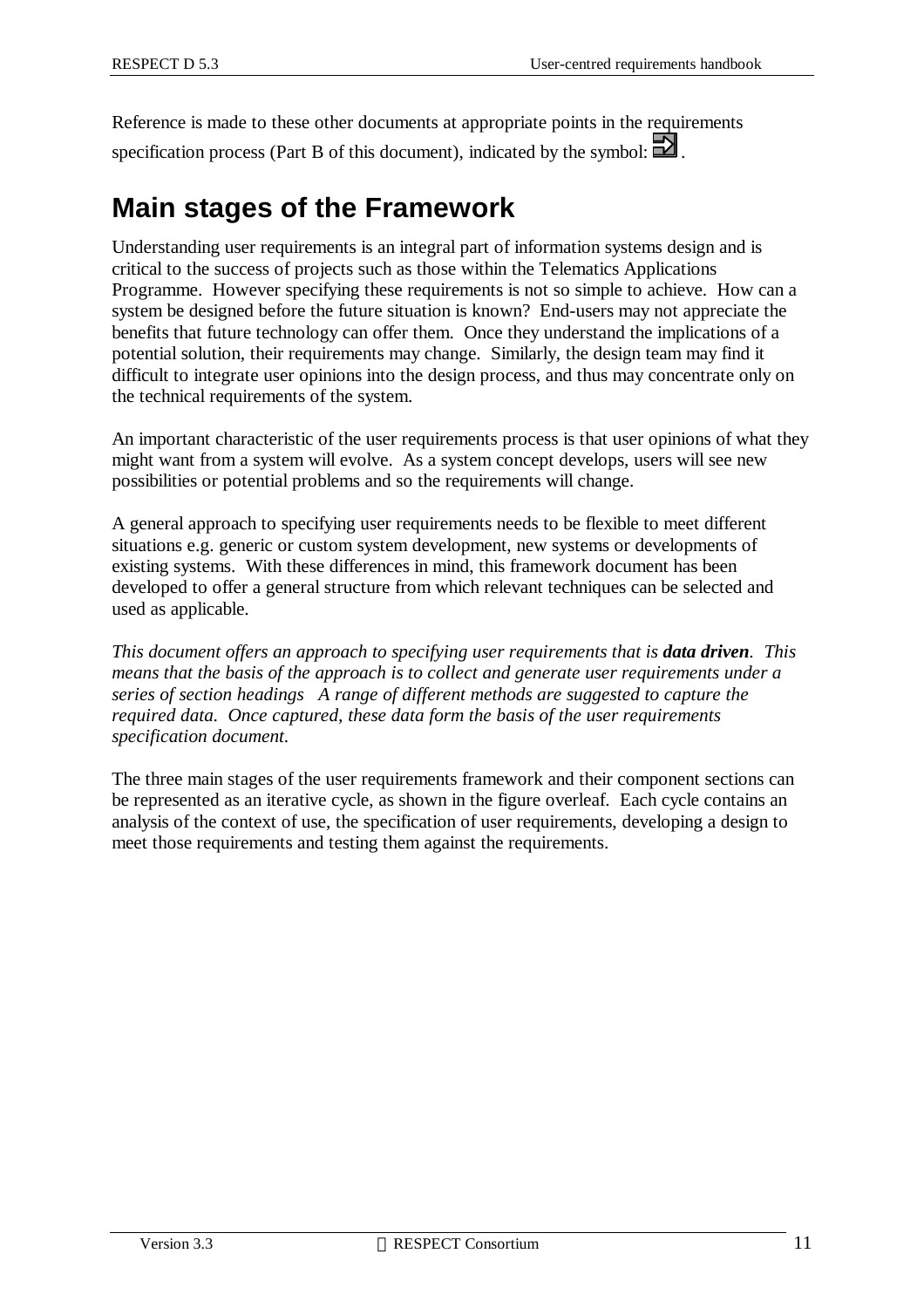Reference is made to these other documents at appropriate points in the requirements specification process (Part B of this document), indicated by the symbol:  $\Box$ .

# **Main stages of the Framework**

Understanding user requirements is an integral part of information systems design and is critical to the success of projects such as those within the Telematics Applications Programme. However specifying these requirements is not so simple to achieve. How can a system be designed before the future situation is known? End-users may not appreciate the benefits that future technology can offer them. Once they understand the implications of a potential solution, their requirements may change. Similarly, the design team may find it difficult to integrate user opinions into the design process, and thus may concentrate only on the technical requirements of the system.

An important characteristic of the user requirements process is that user opinions of what they might want from a system will evolve. As a system concept develops, users will see new possibilities or potential problems and so the requirements will change.

A general approach to specifying user requirements needs to be flexible to meet different situations e.g. generic or custom system development, new systems or developments of existing systems. With these differences in mind, this framework document has been developed to offer a general structure from which relevant techniques can be selected and used as applicable.

*This document offers an approach to specifying user requirements that is <i>data driven. This means that the basis of the approach is to collect and generate user requirements under a series of section headings A range of different methods are suggested to capture the required data. Once captured, these data form the basis of the user requirements specification document.*

The three main stages of the user requirements framework and their component sections can be represented as an iterative cycle, as shown in the figure overleaf. Each cycle contains an analysis of the context of use, the specification of user requirements, developing a design to meet those requirements and testing them against the requirements.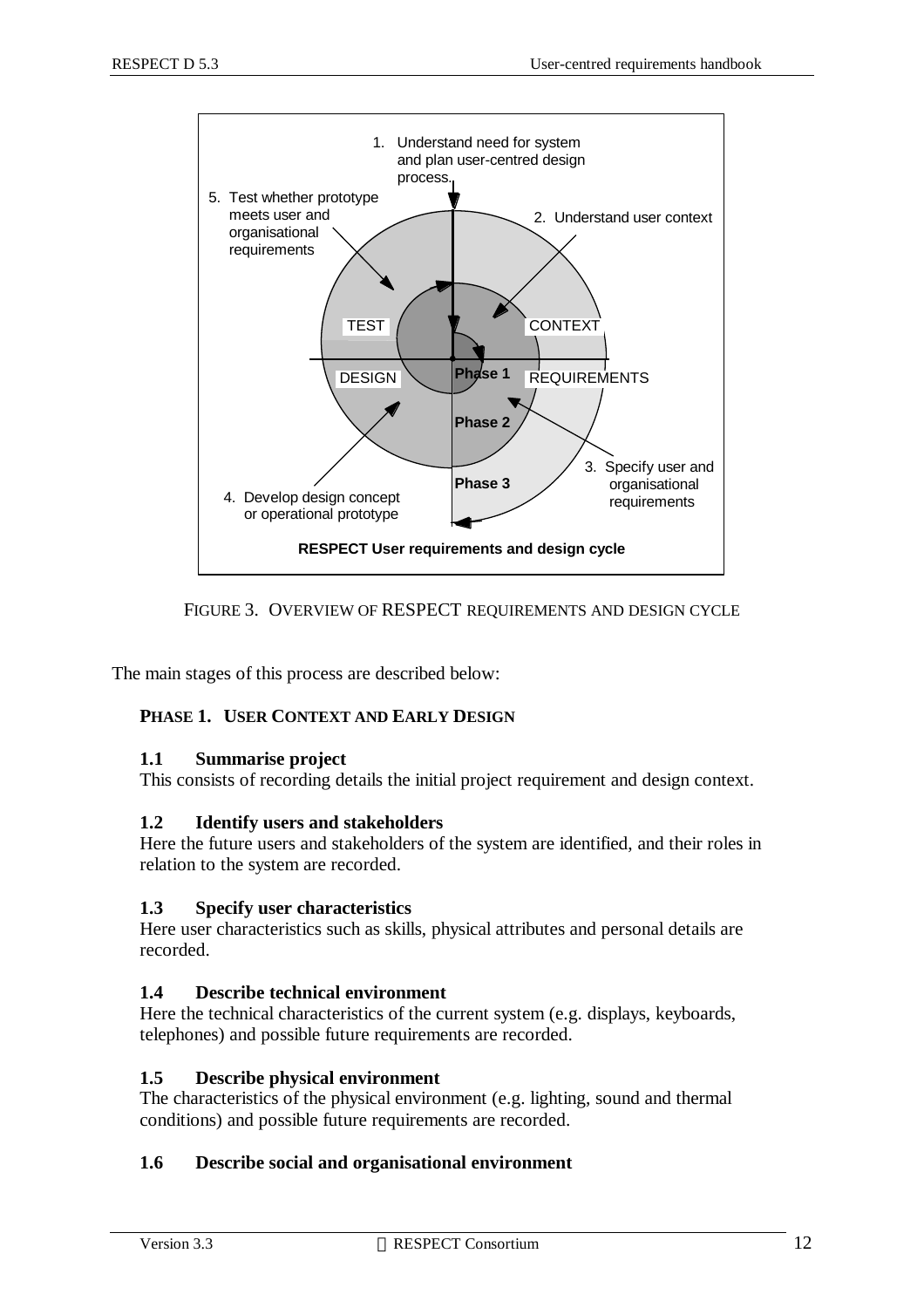

FIGURE 3. OVERVIEW OF RESPECT REQUIREMENTS AND DESIGN CYCLE

The main stages of this process are described below:

#### **PHASE 1. USER CONTEXT AND EARLY DESIGN**

#### **1.1 Summarise project**

This consists of recording details the initial project requirement and design context.

#### **1.2 Identify users and stakeholders**

Here the future users and stakeholders of the system are identified, and their roles in relation to the system are recorded.

#### **1.3 Specify user characteristics**

Here user characteristics such as skills, physical attributes and personal details are recorded.

#### **1.4 Describe technical environment**

Here the technical characteristics of the current system (e.g. displays, keyboards, telephones) and possible future requirements are recorded.

#### **1.5 Describe physical environment**

The characteristics of the physical environment (e.g. lighting, sound and thermal conditions) and possible future requirements are recorded.

#### **1.6 Describe social and organisational environment**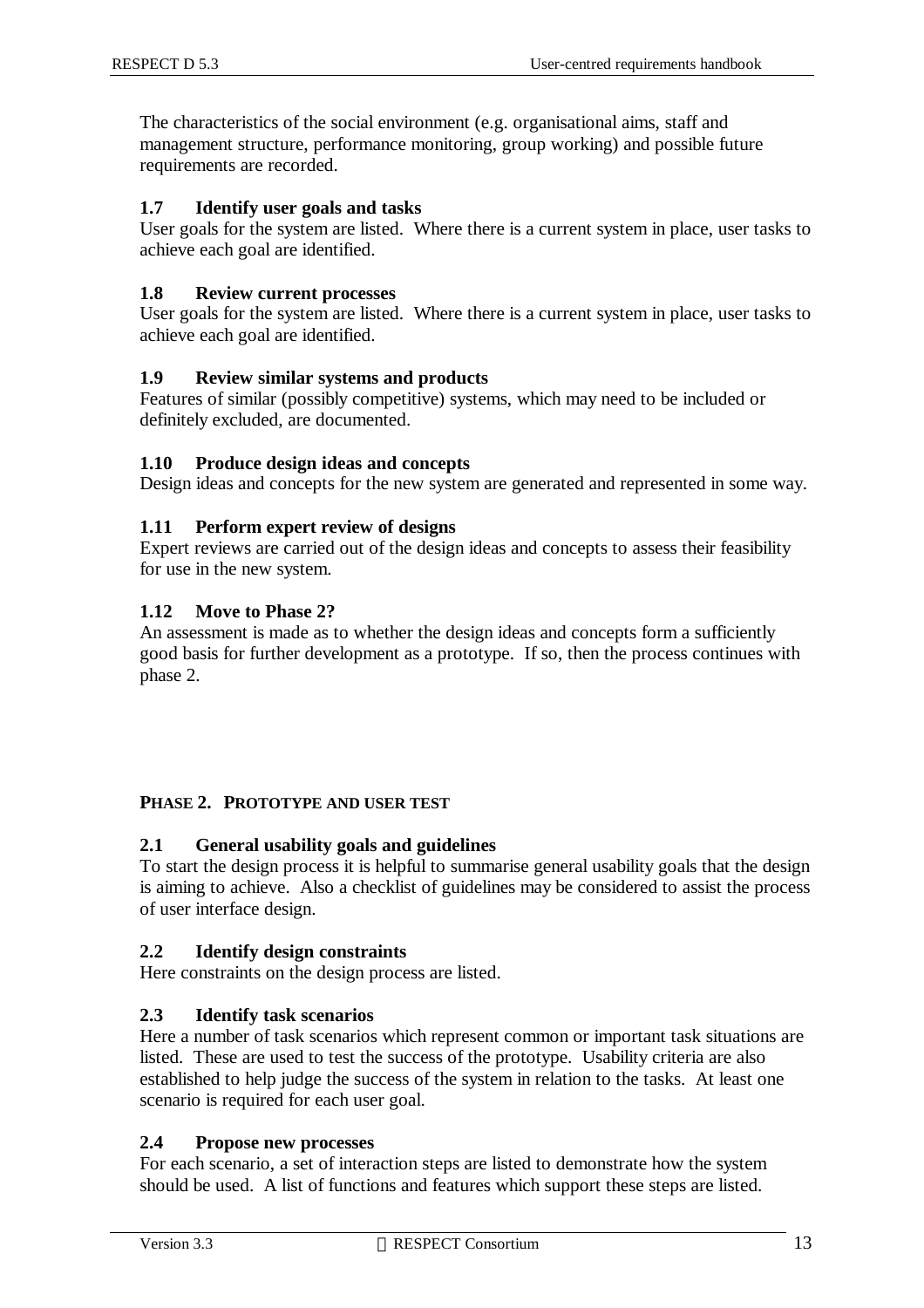The characteristics of the social environment (e.g. organisational aims, staff and management structure, performance monitoring, group working) and possible future requirements are recorded.

#### **1.7 Identify user goals and tasks**

User goals for the system are listed. Where there is a current system in place, user tasks to achieve each goal are identified.

#### **1.8 Review current processes**

User goals for the system are listed. Where there is a current system in place, user tasks to achieve each goal are identified.

#### **1.9 Review similar systems and products**

Features of similar (possibly competitive) systems, which may need to be included or definitely excluded, are documented.

#### **1.10 Produce design ideas and concepts**

Design ideas and concepts for the new system are generated and represented in some way.

#### **1.11 Perform expert review of designs**

Expert reviews are carried out of the design ideas and concepts to assess their feasibility for use in the new system.

#### **1.12 Move to Phase 2?**

An assessment is made as to whether the design ideas and concepts form a sufficiently good basis for further development as a prototype. If so, then the process continues with phase 2.

#### **PHASE 2. PROTOTYPE AND USER TEST**

#### **2.1 General usability goals and guidelines**

To start the design process it is helpful to summarise general usability goals that the design is aiming to achieve. Also a checklist of guidelines may be considered to assist the process of user interface design.

#### **2.2 Identify design constraints**

Here constraints on the design process are listed.

#### **2.3 Identify task scenarios**

Here a number of task scenarios which represent common or important task situations are listed. These are used to test the success of the prototype. Usability criteria are also established to help judge the success of the system in relation to the tasks. At least one scenario is required for each user goal.

#### **2.4 Propose new processes**

For each scenario, a set of interaction steps are listed to demonstrate how the system should be used. A list of functions and features which support these steps are listed.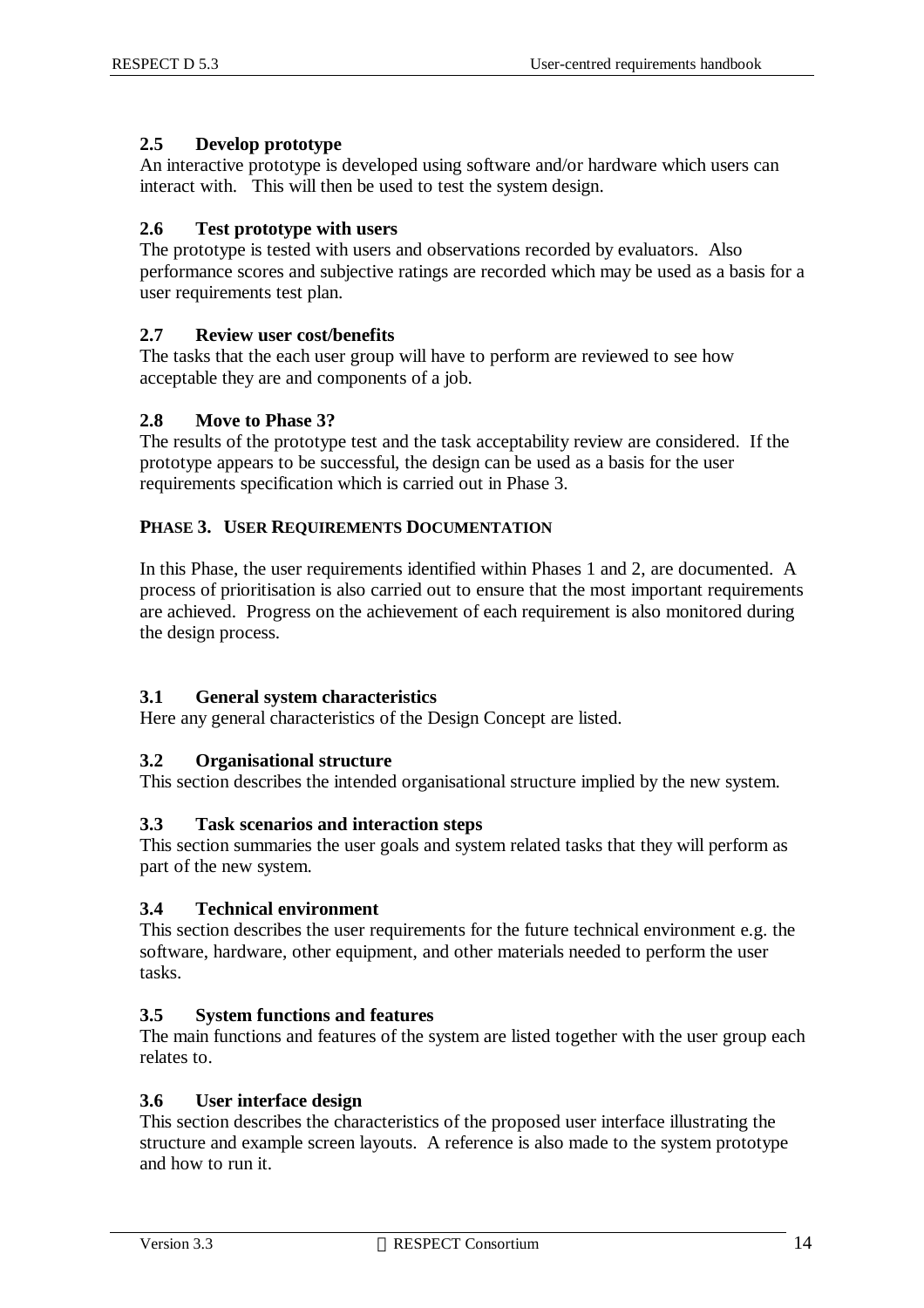#### **2.5 Develop prototype**

An interactive prototype is developed using software and/or hardware which users can interact with. This will then be used to test the system design.

#### **2.6 Test prototype with users**

The prototype is tested with users and observations recorded by evaluators. Also performance scores and subjective ratings are recorded which may be used as a basis for a user requirements test plan.

#### **2.7 Review user cost/benefits**

The tasks that the each user group will have to perform are reviewed to see how acceptable they are and components of a job.

#### **2.8 Move to Phase 3?**

The results of the prototype test and the task acceptability review are considered. If the prototype appears to be successful, the design can be used as a basis for the user requirements specification which is carried out in Phase 3.

#### **PHASE 3. USER REQUIREMENTS DOCUMENTATION**

In this Phase, the user requirements identified within Phases 1 and 2, are documented. A process of prioritisation is also carried out to ensure that the most important requirements are achieved. Progress on the achievement of each requirement is also monitored during the design process.

#### **3.1 General system characteristics**

Here any general characteristics of the Design Concept are listed.

#### **3.2 Organisational structure**

This section describes the intended organisational structure implied by the new system.

#### **3.3 Task scenarios and interaction steps**

This section summaries the user goals and system related tasks that they will perform as part of the new system.

#### **3.4 Technical environment**

This section describes the user requirements for the future technical environment e.g. the software, hardware, other equipment, and other materials needed to perform the user tasks.

#### **3.5 System functions and features**

The main functions and features of the system are listed together with the user group each relates to.

#### **3.6 User interface design**

This section describes the characteristics of the proposed user interface illustrating the structure and example screen layouts. A reference is also made to the system prototype and how to run it.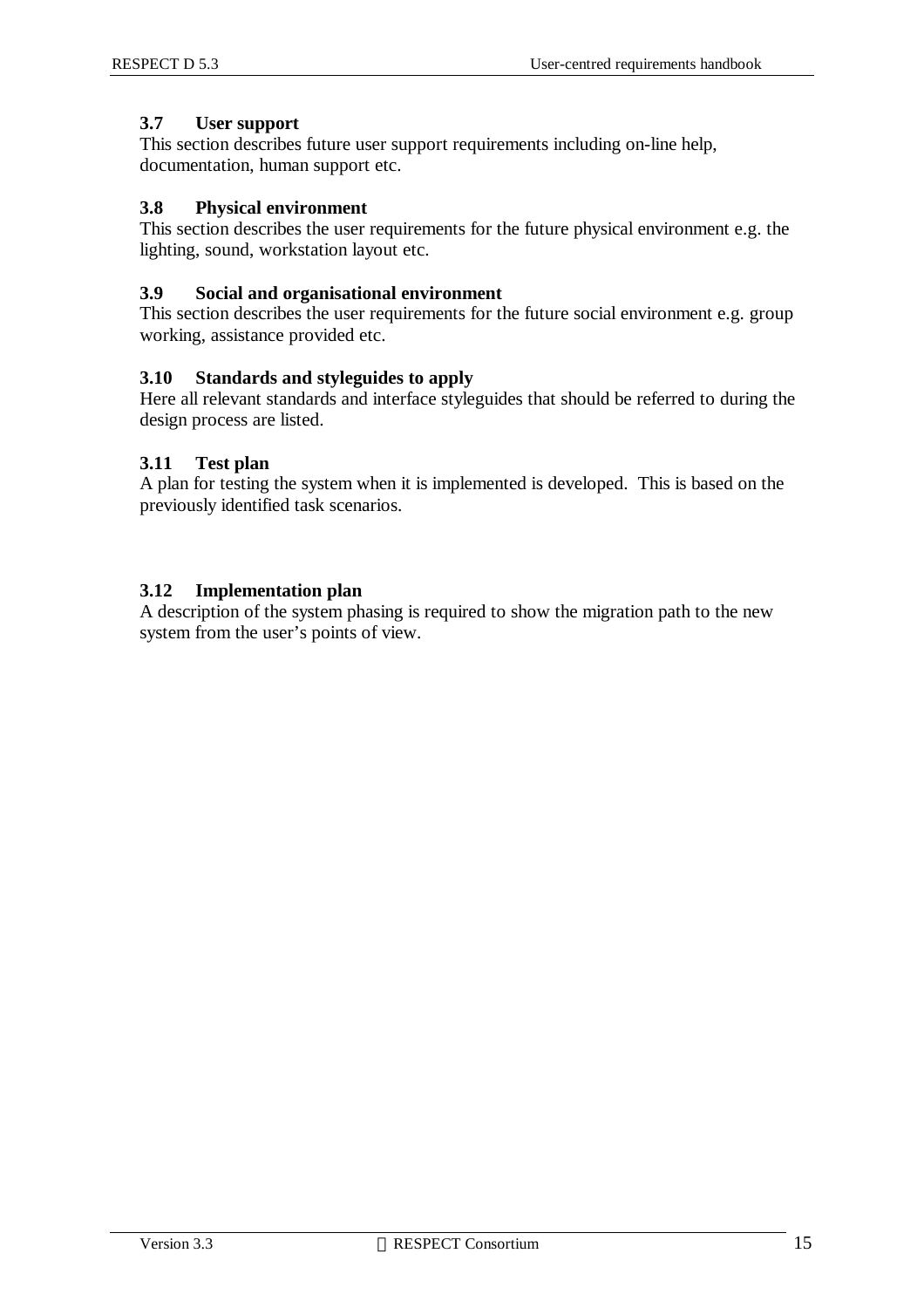#### **3.7 User support**

This section describes future user support requirements including on-line help, documentation, human support etc.

#### **3.8 Physical environment**

This section describes the user requirements for the future physical environment e.g. the lighting, sound, workstation layout etc.

#### **3.9 Social and organisational environment**

This section describes the user requirements for the future social environment e.g. group working, assistance provided etc.

#### **3.10 Standards and styleguides to apply**

Here all relevant standards and interface styleguides that should be referred to during the design process are listed.

#### **3.11 Test plan**

A plan for testing the system when it is implemented is developed. This is based on the previously identified task scenarios.

#### **3.12 Implementation plan**

A description of the system phasing is required to show the migration path to the new system from the user's points of view.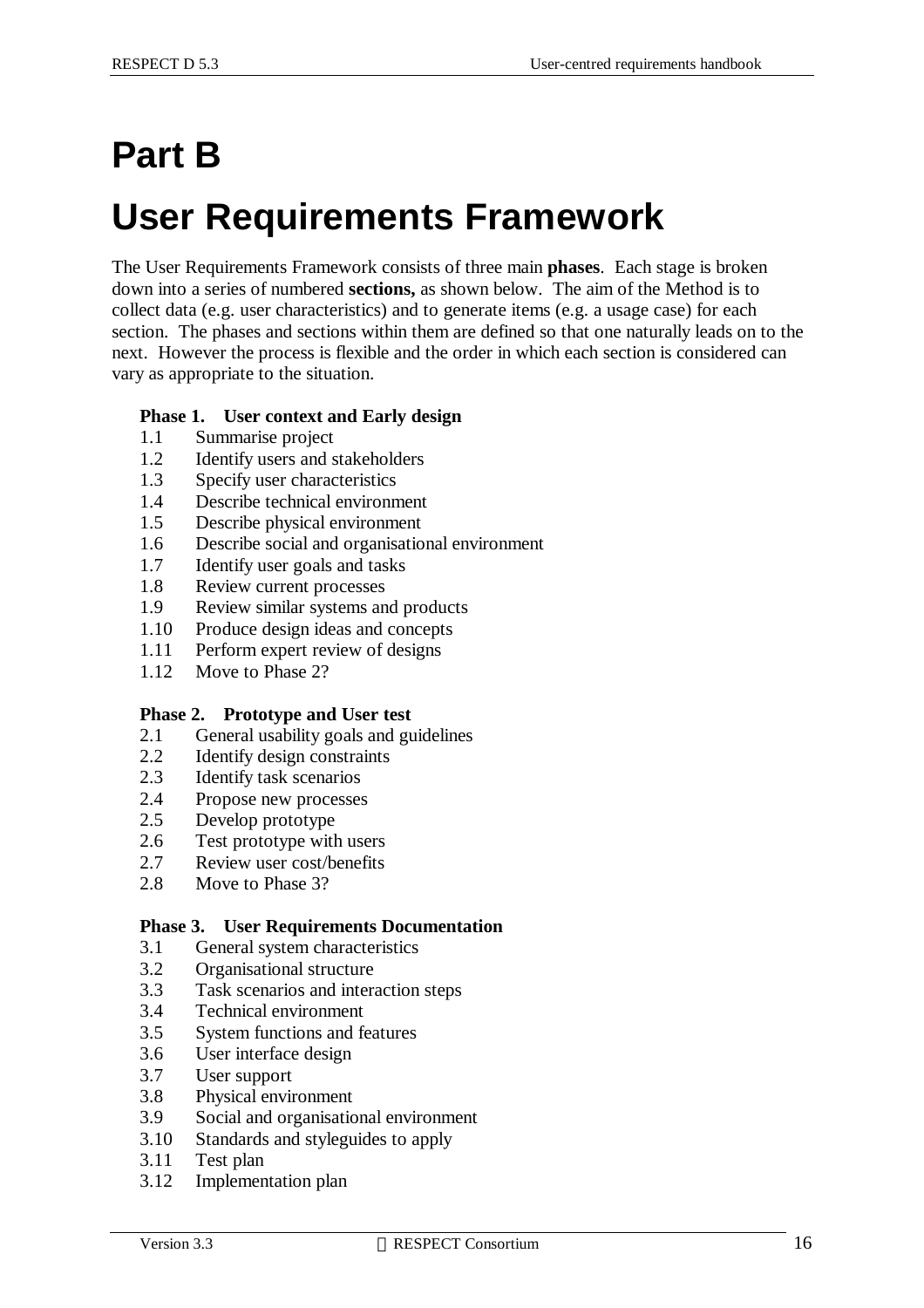# **Part B User Requirements Framework**

The User Requirements Framework consists of three main **phases**. Each stage is broken down into a series of numbered **sections,** as shown below. The aim of the Method is to collect data (e.g. user characteristics) and to generate items (e.g. a usage case) for each section. The phases and sections within them are defined so that one naturally leads on to the next. However the process is flexible and the order in which each section is considered can vary as appropriate to the situation.

#### **Phase 1. User context and Early design**

- 1.1 Summarise project
- 1.2 Identify users and stakeholders
- 1.3 Specify user characteristics
- 1.4 Describe technical environment
- 1.5 Describe physical environment
- 1.6 Describe social and organisational environment
- 1.7 Identify user goals and tasks
- 1.8 Review current processes
- 1.9 Review similar systems and products
- 1.10 Produce design ideas and concepts
- 1.11 Perform expert review of designs
- 1.12 Move to Phase 2?

#### **Phase 2. Prototype and User test**

- 2.1 General usability goals and guidelines
- 2.2 Identify design constraints
- 2.3 Identify task scenarios
- 2.4 Propose new processes
- 2.5 Develop prototype
- 2.6 Test prototype with users
- 2.7 Review user cost/benefits
- 2.8 Move to Phase 3?

#### **Phase 3. User Requirements Documentation**

- 3.1 General system characteristics
- 3.2 Organisational structure
- 3.3 Task scenarios and interaction steps
- 3.4 Technical environment
- 3.5 System functions and features
- 3.6 User interface design
- 3.7 User support
- 3.8 Physical environment
- 3.9 Social and organisational environment
- 3.10 Standards and styleguides to apply
- 3.11 Test plan
- 3.12 Implementation plan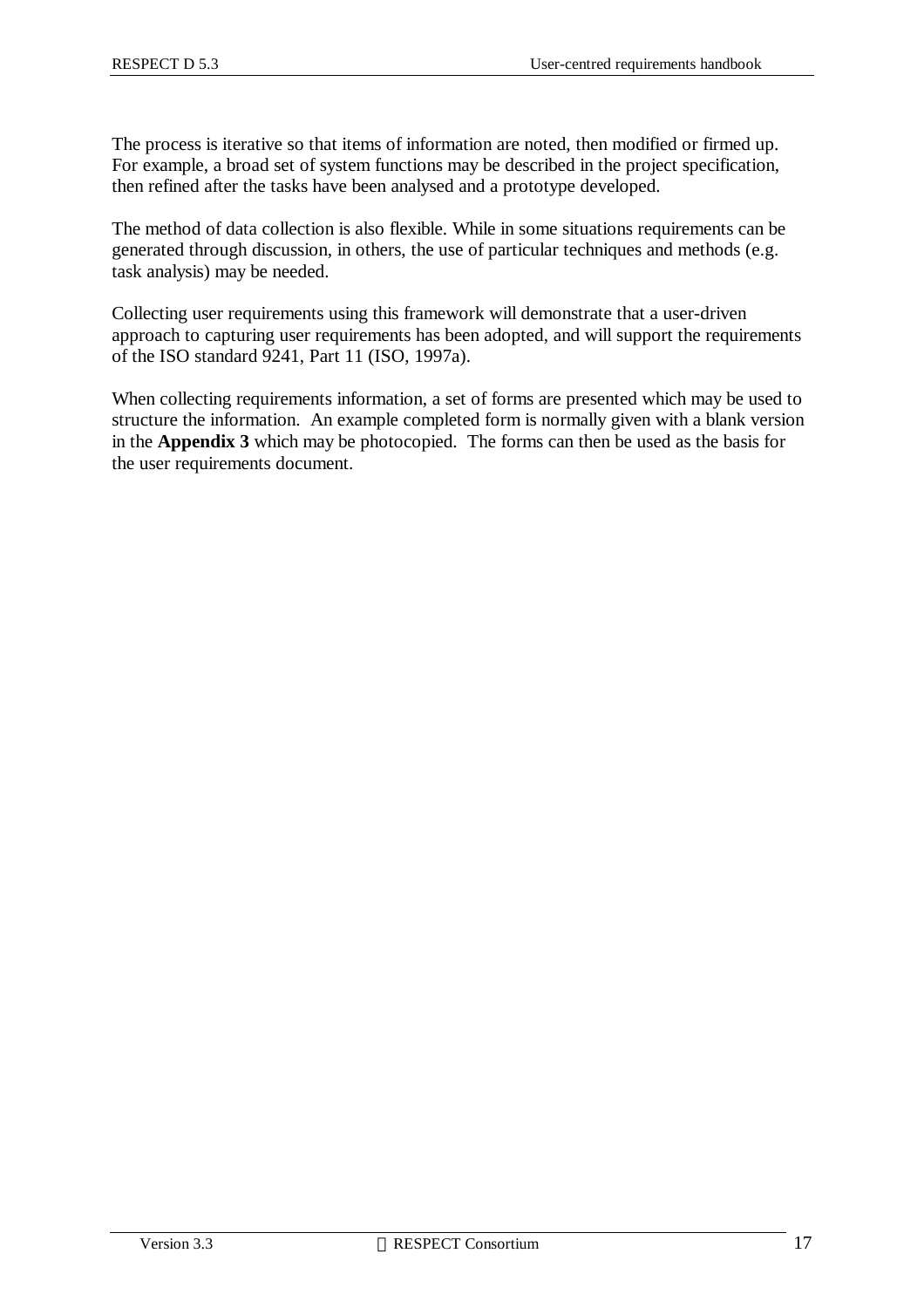The process is iterative so that items of information are noted, then modified or firmed up. For example, a broad set of system functions may be described in the project specification, then refined after the tasks have been analysed and a prototype developed.

The method of data collection is also flexible. While in some situations requirements can be generated through discussion, in others, the use of particular techniques and methods (e.g. task analysis) may be needed.

Collecting user requirements using this framework will demonstrate that a user-driven approach to capturing user requirements has been adopted, and will support the requirements of the ISO standard 9241, Part 11 (ISO, 1997a).

When collecting requirements information, a set of forms are presented which may be used to structure the information. An example completed form is normally given with a blank version in the **Appendix 3** which may be photocopied. The forms can then be used as the basis for the user requirements document.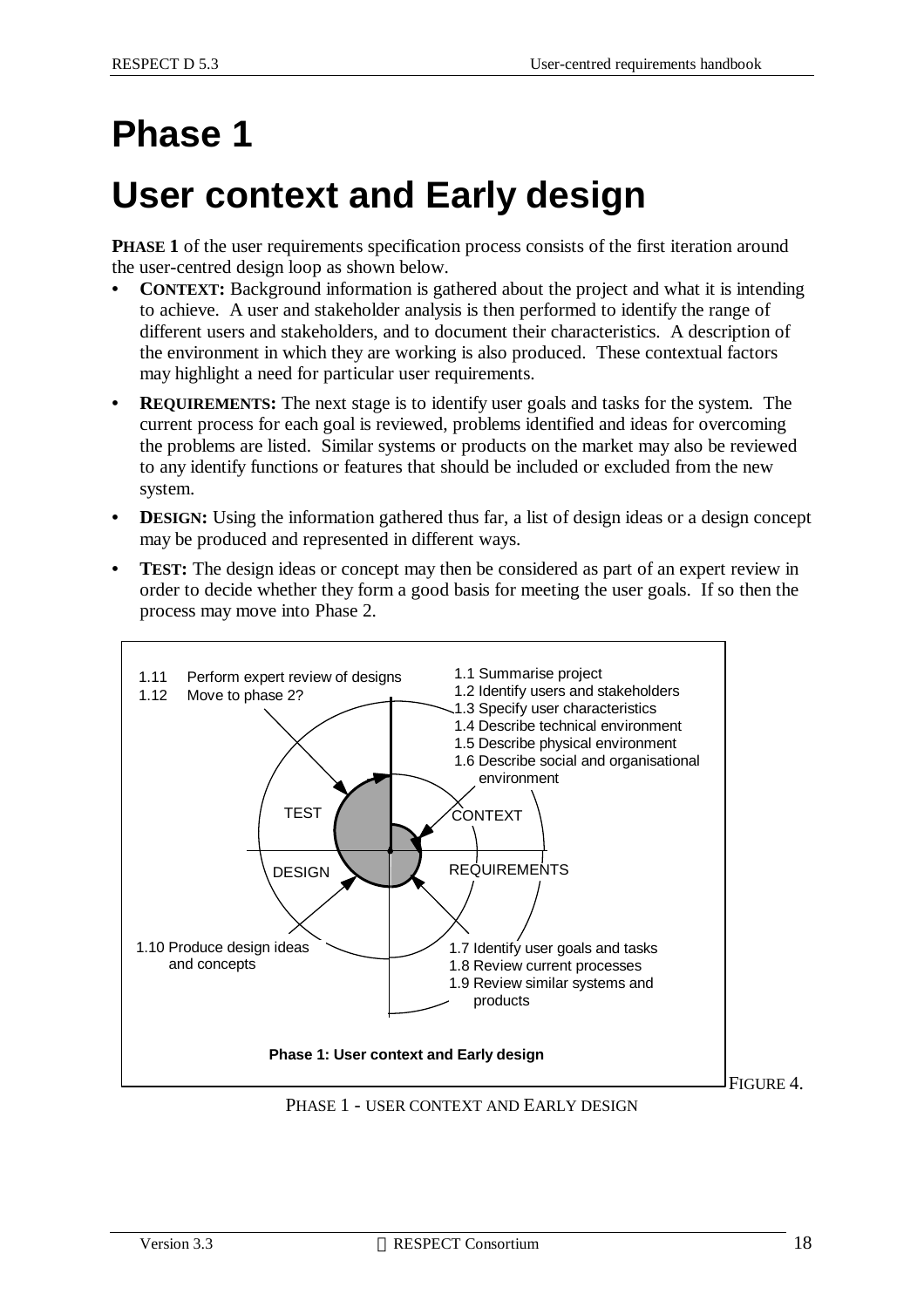# **Phase 1**

# **User context and Early design**

**PHASE 1** of the user requirements specification process consists of the first iteration around the user-centred design loop as shown below.

- **CONTEXT:** Background information is gathered about the project and what it is intending to achieve. A user and stakeholder analysis is then performed to identify the range of different users and stakeholders, and to document their characteristics. A description of the environment in which they are working is also produced. These contextual factors may highlight a need for particular user requirements.
- **• REQUIREMENTS:** The next stage is to identify user goals and tasks for the system. The current process for each goal is reviewed, problems identified and ideas for overcoming the problems are listed. Similar systems or products on the market may also be reviewed to any identify functions or features that should be included or excluded from the new system.
- **DESIGN:** Using the information gathered thus far, a list of design ideas or a design concept may be produced and represented in different ways.
- **TEST:** The design ideas or concept may then be considered as part of an expert review in order to decide whether they form a good basis for meeting the user goals. If so then the process may move into Phase 2.

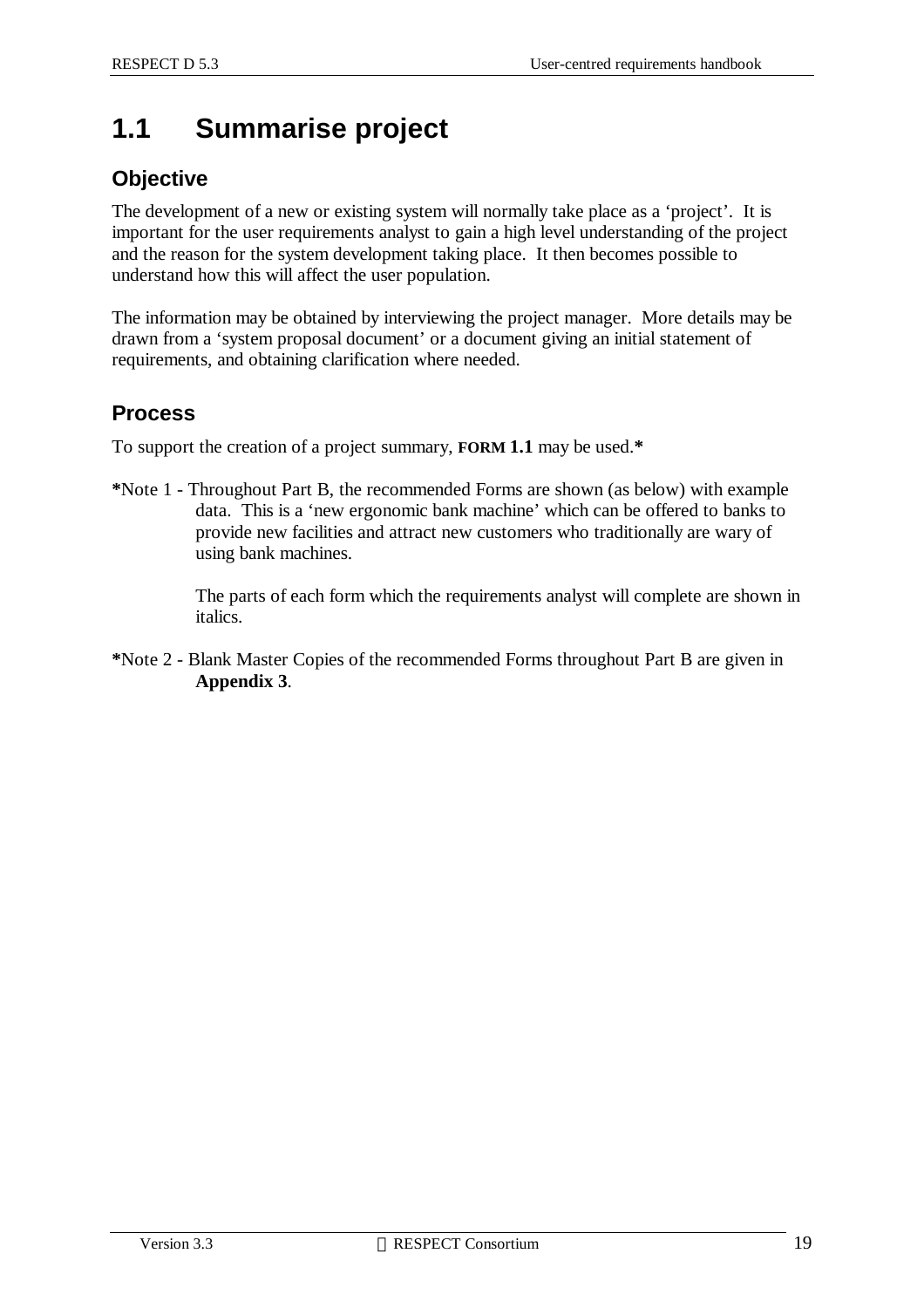## **1.1 Summarise project**

### **Objective**

The development of a new or existing system will normally take place as a 'project'. It is important for the user requirements analyst to gain a high level understanding of the project and the reason for the system development taking place. It then becomes possible to understand how this will affect the user population.

The information may be obtained by interviewing the project manager. More details may be drawn from a 'system proposal document' or a document giving an initial statement of requirements, and obtaining clarification where needed.

### **Process**

To support the creation of a project summary, **FORM 1.1** may be used.**\***

**\***Note 1 - Throughout Part B, the recommended Forms are shown (as below) with example data. This is a 'new ergonomic bank machine' which can be offered to banks to provide new facilities and attract new customers who traditionally are wary of using bank machines.

> The parts of each form which the requirements analyst will complete are shown in italics.

**\***Note 2 - Blank Master Copies of the recommended Forms throughout Part B are given in **Appendix 3**.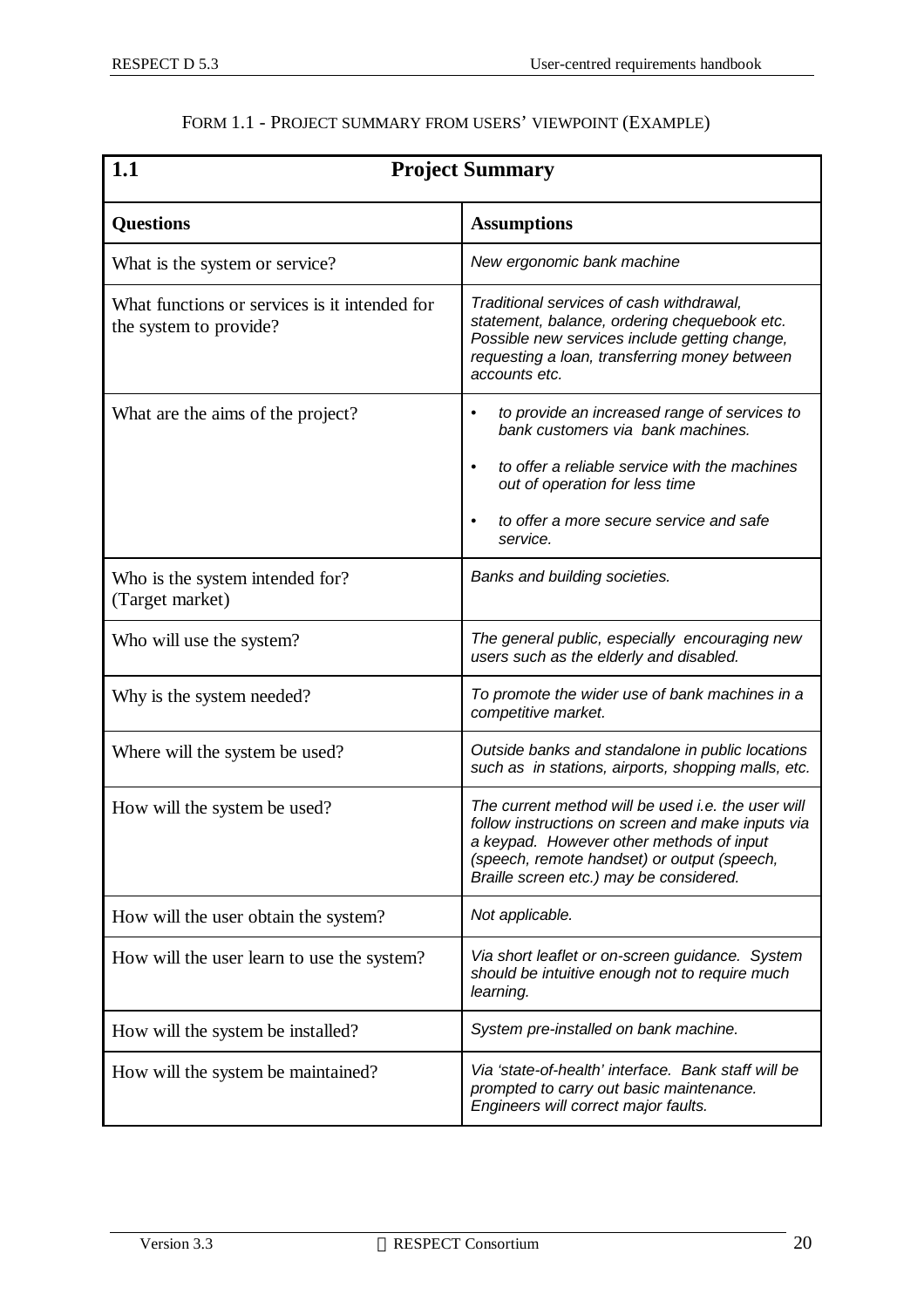| 1.1                                                                     | <b>Project Summary</b>                                                                                                                                                                                                                        |
|-------------------------------------------------------------------------|-----------------------------------------------------------------------------------------------------------------------------------------------------------------------------------------------------------------------------------------------|
| <b>Questions</b>                                                        | <b>Assumptions</b>                                                                                                                                                                                                                            |
| What is the system or service?                                          | New ergonomic bank machine                                                                                                                                                                                                                    |
| What functions or services is it intended for<br>the system to provide? | Traditional services of cash withdrawal,<br>statement, balance, ordering chequebook etc.<br>Possible new services include getting change,<br>requesting a loan, transferring money between<br>accounts etc.                                   |
| What are the aims of the project?                                       | to provide an increased range of services to<br>$\bullet$<br>bank customers via bank machines.                                                                                                                                                |
|                                                                         | to offer a reliable service with the machines<br>$\bullet$<br>out of operation for less time                                                                                                                                                  |
|                                                                         | to offer a more secure service and safe<br>service.                                                                                                                                                                                           |
| Who is the system intended for?<br>(Target market)                      | Banks and building societies.                                                                                                                                                                                                                 |
| Who will use the system?                                                | The general public, especially encouraging new<br>users such as the elderly and disabled.                                                                                                                                                     |
| Why is the system needed?                                               | To promote the wider use of bank machines in a<br>competitive market.                                                                                                                                                                         |
| Where will the system be used?                                          | Outside banks and standalone in public locations<br>such as in stations, airports, shopping malls, etc.                                                                                                                                       |
| How will the system be used?                                            | The current method will be used i.e. the user will<br>follow instructions on screen and make inputs via<br>a keypad. However other methods of input<br>(speech, remote handset) or output (speech,<br>Braille screen etc.) may be considered. |
| How will the user obtain the system?                                    | Not applicable.                                                                                                                                                                                                                               |
| How will the user learn to use the system?                              | Via short leaflet or on-screen guidance. System<br>should be intuitive enough not to require much<br>learning.                                                                                                                                |
| How will the system be installed?                                       | System pre-installed on bank machine.                                                                                                                                                                                                         |
| How will the system be maintained?                                      | Via 'state-of-health' interface. Bank staff will be<br>prompted to carry out basic maintenance.<br>Engineers will correct major faults.                                                                                                       |

### FORM 1.1 - PROJECT SUMMARY FROM USERS' VIEWPOINT (EXAMPLE)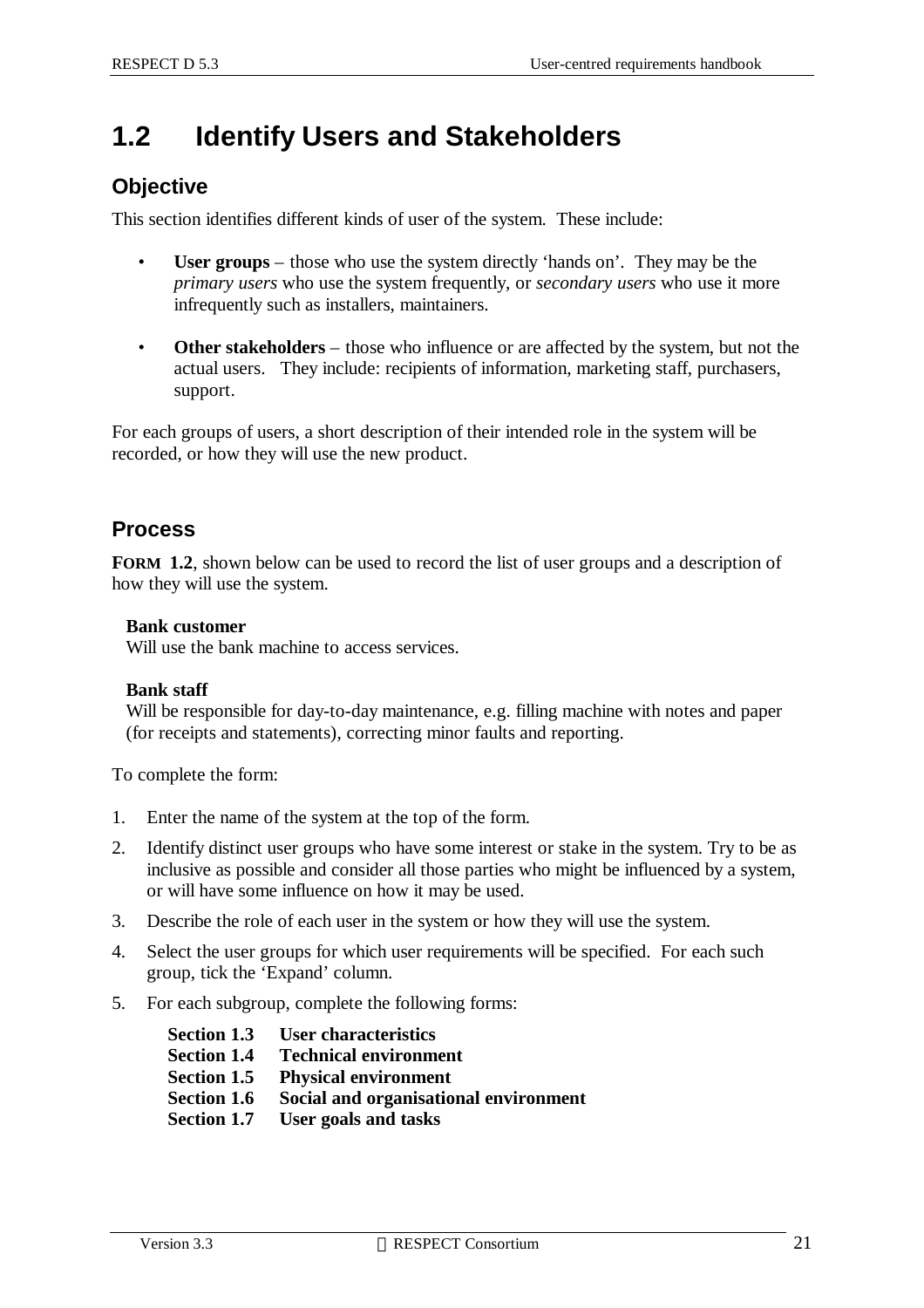## **1.2 Identify Users and Stakeholders**

### **Objective**

This section identifies different kinds of user of the system. These include:

- **User groups** those who use the system directly 'hands on'. They may be the *primary users* who use the system frequently, or *secondary users* who use it more infrequently such as installers, maintainers.
- **Other stakeholders** those who influence or are affected by the system, but not the actual users. They include: recipients of information, marketing staff, purchasers, support.

For each groups of users, a short description of their intended role in the system will be recorded, or how they will use the new product.

### **Process**

**FORM 1.2**, shown below can be used to record the list of user groups and a description of how they will use the system.

#### **Bank customer**

Will use the bank machine to access services.

#### **Bank staff**

Will be responsible for day-to-day maintenance, e.g. filling machine with notes and paper (for receipts and statements), correcting minor faults and reporting.

To complete the form:

- 1. Enter the name of the system at the top of the form.
- 2. Identify distinct user groups who have some interest or stake in the system. Try to be as inclusive as possible and consider all those parties who might be influenced by a system, or will have some influence on how it may be used.
- 3. Describe the role of each user in the system or how they will use the system.
- 4. Select the user groups for which user requirements will be specified. For each such group, tick the 'Expand' column.
- 5. For each subgroup, complete the following forms:
	- **Section 1.3 User characteristics**
	- **Section 1.4 Technical environment**
	- **Section 1.5 Physical environment**
	- **Section 1.6 Social and organisational environment**
	- **Section 1.7 User goals and tasks**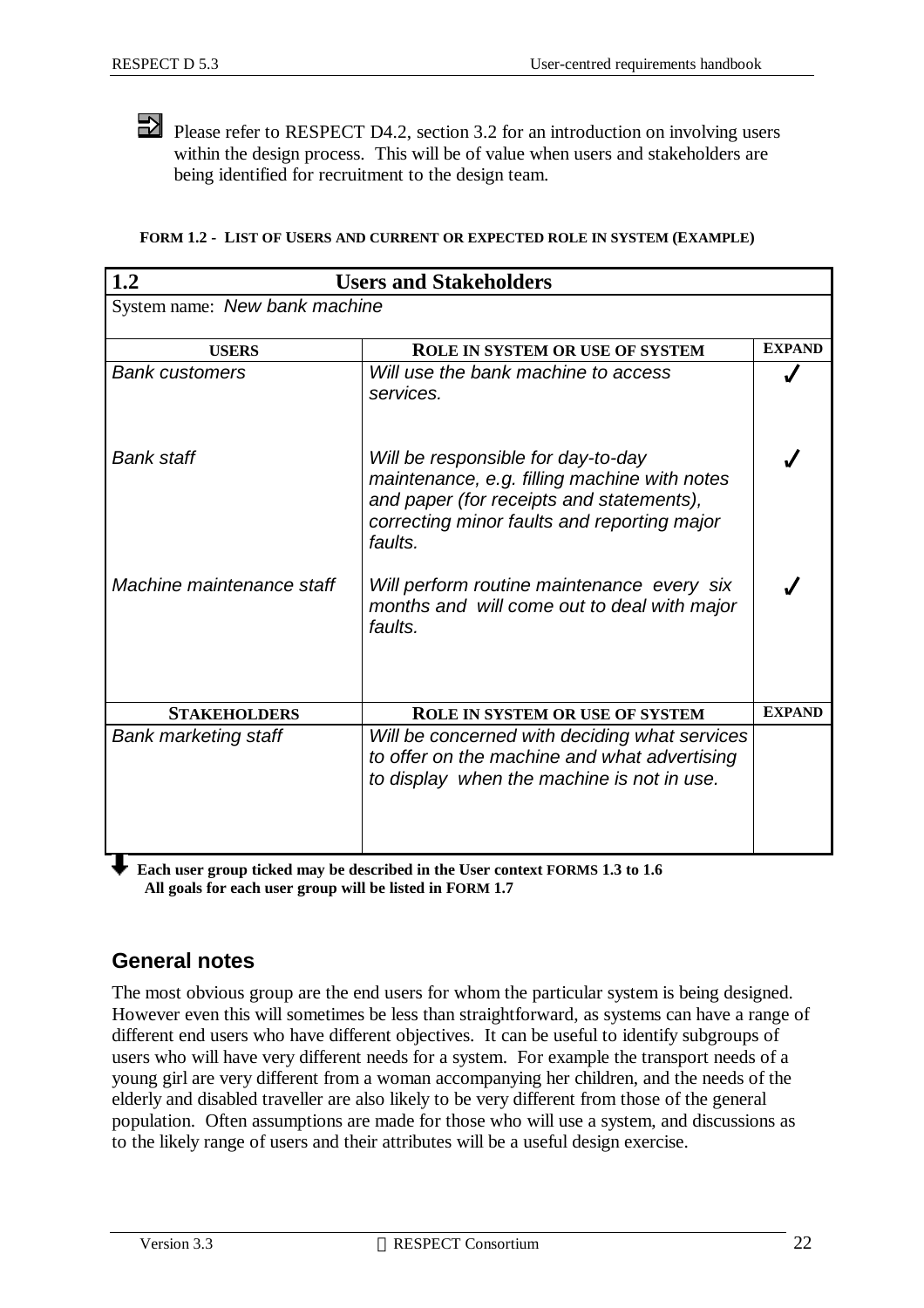Please refer to RESPECT D4.2, section 3.2 for an introduction on involving users within the design process. This will be of value when users and stakeholders are being identified for recruitment to the design team.

|  |  | FORM 1.2 - LIST OF USERS AND CURRENT OR EXPECTED ROLE IN SYSTEM (EXAMPLE) |  |  |
|--|--|---------------------------------------------------------------------------|--|--|

| 1.2                           | <b>Users and Stakeholders</b>                                                                                                                                                            |               |
|-------------------------------|------------------------------------------------------------------------------------------------------------------------------------------------------------------------------------------|---------------|
| System name: New bank machine |                                                                                                                                                                                          |               |
| <b>USERS</b>                  | <b>ROLE IN SYSTEM OR USE OF SYSTEM</b>                                                                                                                                                   | <b>EXPAND</b> |
| <b>Bank customers</b>         | Will use the bank machine to access<br>services.                                                                                                                                         |               |
| <b>Bank staff</b>             | Will be responsible for day-to-day<br>maintenance, e.g. filling machine with notes<br>and paper (for receipts and statements),<br>correcting minor faults and reporting major<br>faults. |               |
| Machine maintenance staff     | Will perform routine maintenance every six<br>months and will come out to deal with major<br>faults.                                                                                     |               |
| <b>STAKEHOLDERS</b>           | <b>ROLE IN SYSTEM OR USE OF SYSTEM</b>                                                                                                                                                   | <b>EXPAND</b> |
| <b>Bank marketing staff</b>   | Will be concerned with deciding what services<br>to offer on the machine and what advertising<br>to display when the machine is not in use.                                              |               |

◆ Each user group ticked may be described in the User context **FORMS** 1.3 to 1.6  **All goals for each user group will be listed in FORM 1.7**

### **General notes**

The most obvious group are the end users for whom the particular system is being designed. However even this will sometimes be less than straightforward, as systems can have a range of different end users who have different objectives. It can be useful to identify subgroups of users who will have very different needs for a system. For example the transport needs of a young girl are very different from a woman accompanying her children, and the needs of the elderly and disabled traveller are also likely to be very different from those of the general population. Often assumptions are made for those who will use a system, and discussions as to the likely range of users and their attributes will be a useful design exercise.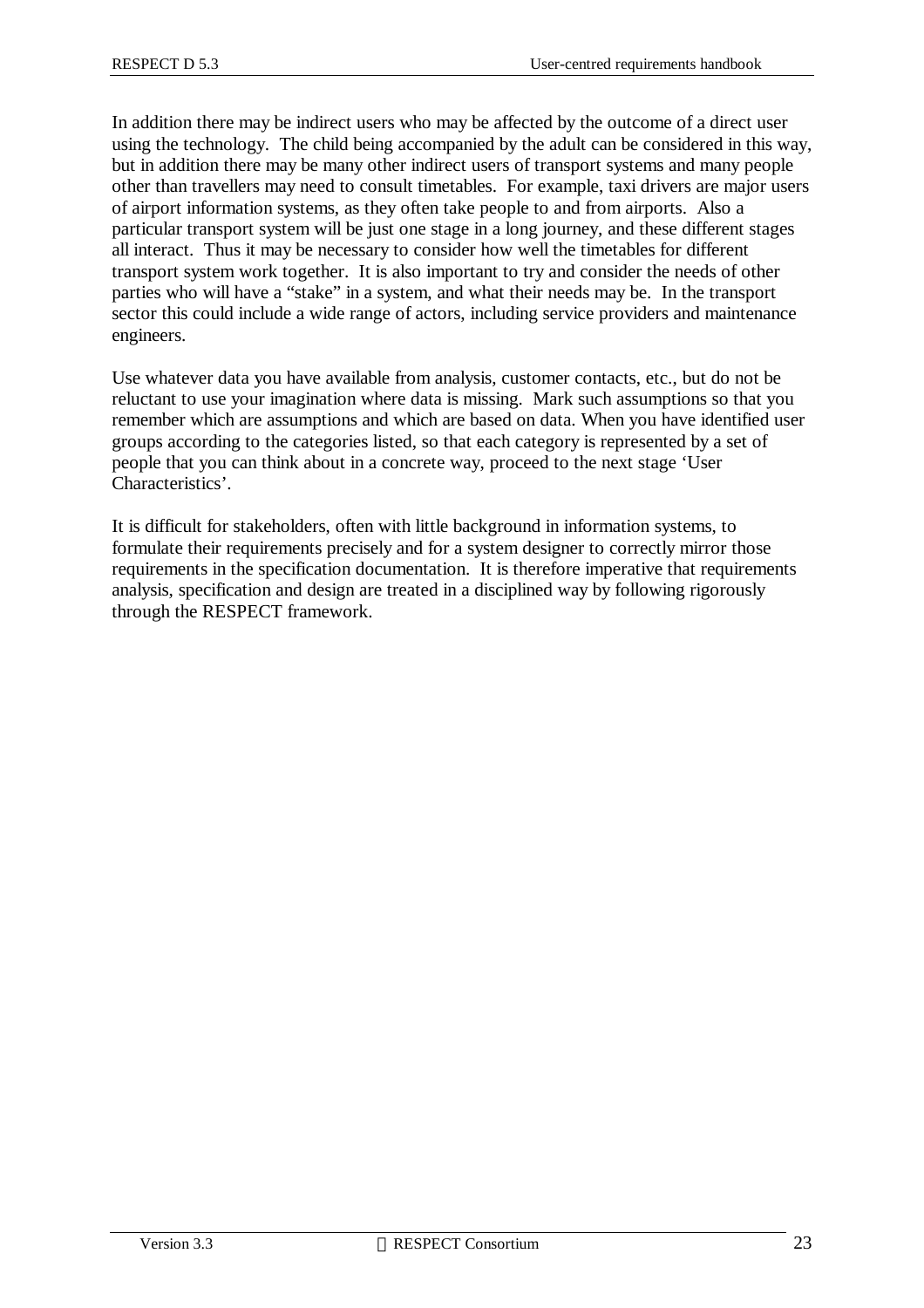In addition there may be indirect users who may be affected by the outcome of a direct user using the technology. The child being accompanied by the adult can be considered in this way, but in addition there may be many other indirect users of transport systems and many people other than travellers may need to consult timetables. For example, taxi drivers are major users of airport information systems, as they often take people to and from airports. Also a particular transport system will be just one stage in a long journey, and these different stages all interact. Thus it may be necessary to consider how well the timetables for different transport system work together. It is also important to try and consider the needs of other parties who will have a "stake" in a system, and what their needs may be. In the transport sector this could include a wide range of actors, including service providers and maintenance engineers.

Use whatever data you have available from analysis, customer contacts, etc., but do not be reluctant to use your imagination where data is missing. Mark such assumptions so that you remember which are assumptions and which are based on data. When you have identified user groups according to the categories listed, so that each category is represented by a set of people that you can think about in a concrete way, proceed to the next stage 'User Characteristics'.

It is difficult for stakeholders, often with little background in information systems, to formulate their requirements precisely and for a system designer to correctly mirror those requirements in the specification documentation. It is therefore imperative that requirements analysis, specification and design are treated in a disciplined way by following rigorously through the RESPECT framework.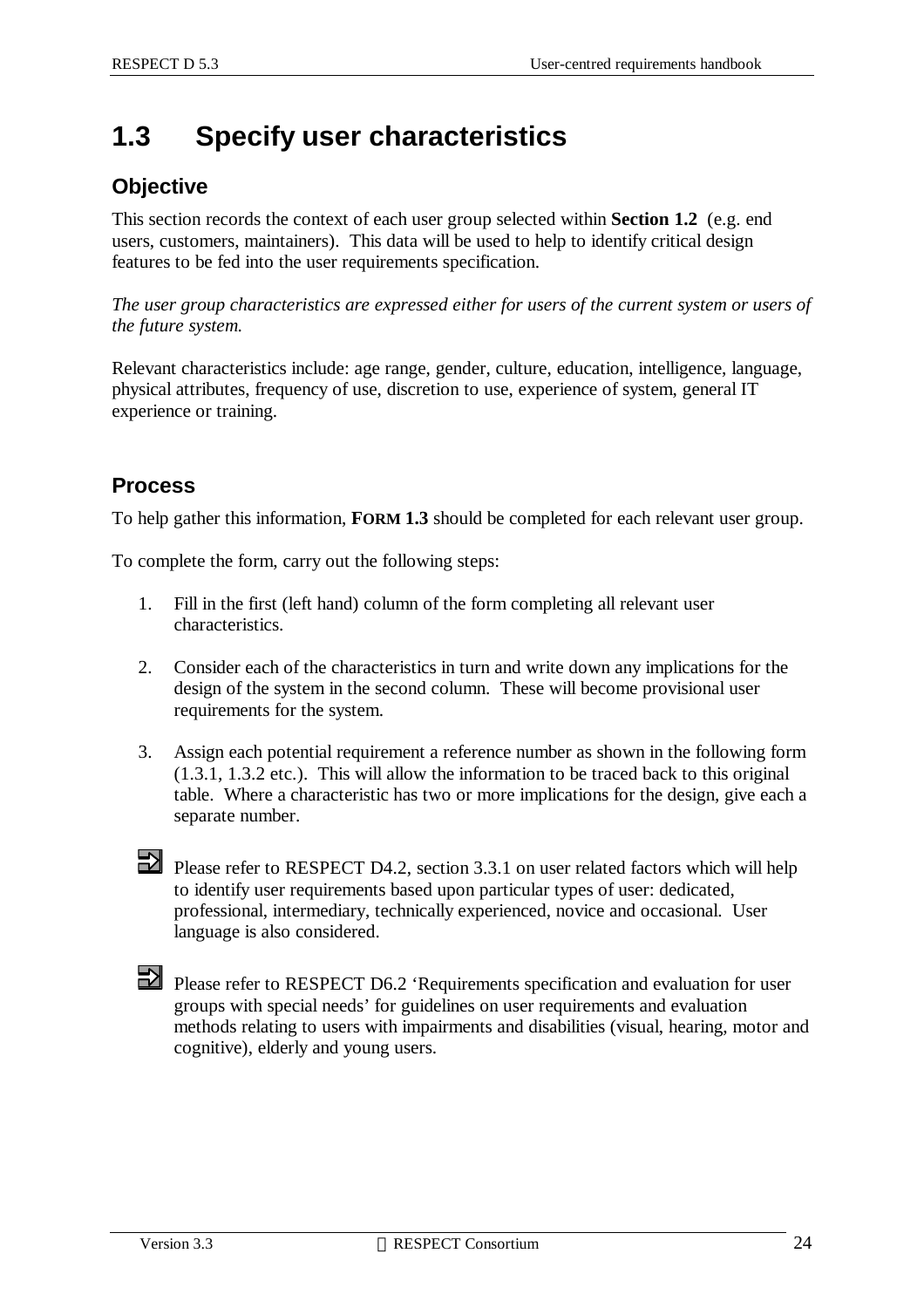## **1.3 Specify user characteristics**

### **Objective**

This section records the context of each user group selected within **Section 1.2** (e.g. end users, customers, maintainers). This data will be used to help to identify critical design features to be fed into the user requirements specification.

*The user group characteristics are expressed either for users of the current system or users of the future system.*

Relevant characteristics include: age range, gender, culture, education, intelligence, language, physical attributes, frequency of use, discretion to use, experience of system, general IT experience or training.

### **Process**

To help gather this information, **FORM 1.3** should be completed for each relevant user group.

To complete the form, carry out the following steps:

- 1. Fill in the first (left hand) column of the form completing all relevant user characteristics.
- 2. Consider each of the characteristics in turn and write down any implications for the design of the system in the second column. These will become provisional user requirements for the system.
- 3. Assign each potential requirement a reference number as shown in the following form (1.3.1, 1.3.2 etc.). This will allow the information to be traced back to this original table. Where a characteristic has two or more implications for the design, give each a separate number.

Please refer to RESPECT D4.2, section 3.3.1 on user related factors which will help to identify user requirements based upon particular types of user: dedicated, professional, intermediary, technically experienced, novice and occasional. User language is also considered.

Please refer to RESPECT D6.2 'Requirements specification and evaluation for user groups with special needs' for guidelines on user requirements and evaluation methods relating to users with impairments and disabilities (visual, hearing, motor and cognitive), elderly and young users.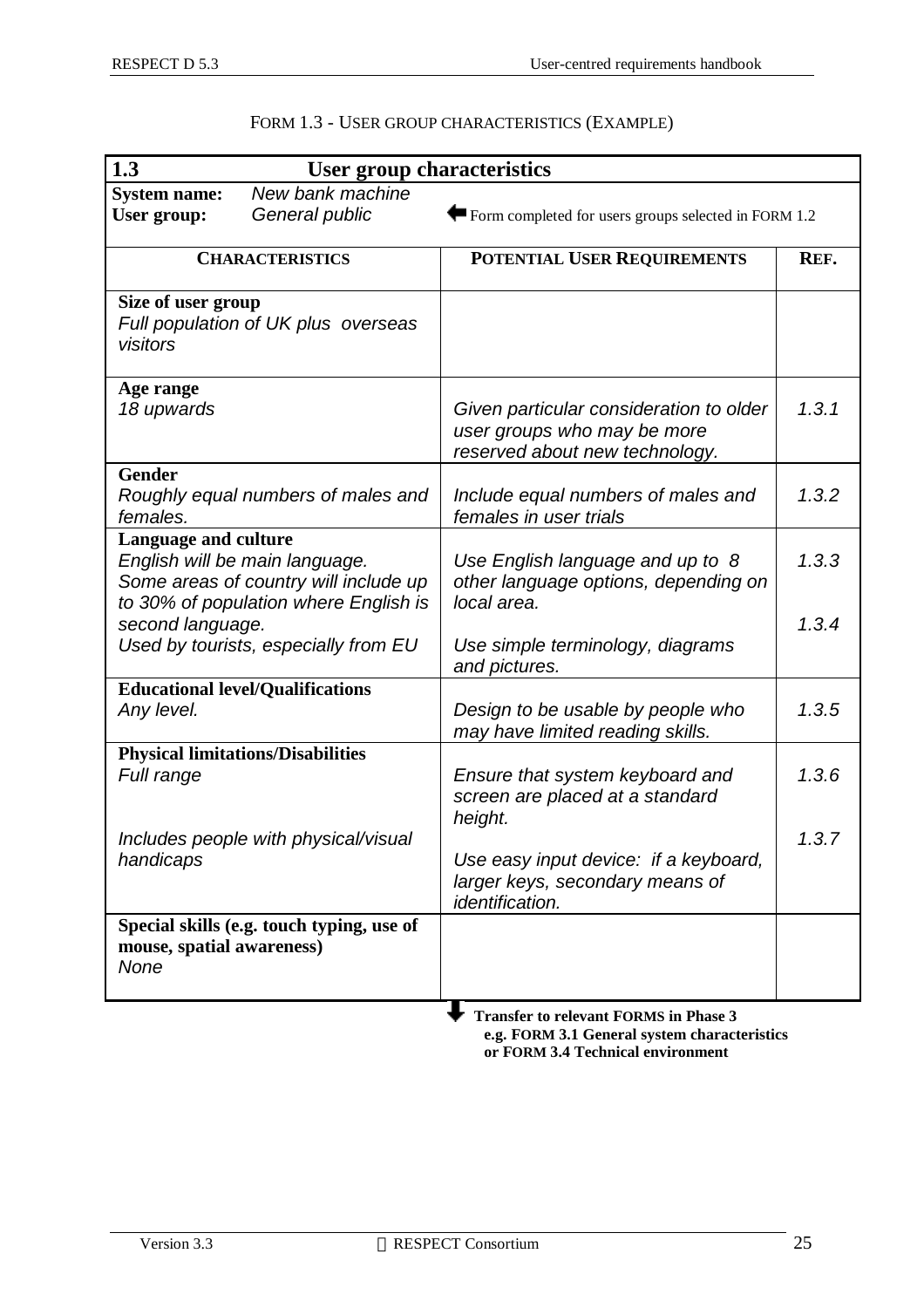| 1.3                                | <b>User group characteristics</b>                                                                                |                                                                                                          |         |
|------------------------------------|------------------------------------------------------------------------------------------------------------------|----------------------------------------------------------------------------------------------------------|---------|
| <b>System name:</b><br>User group: | New bank machine<br>General public                                                                               | $\blacktriangleright$ Form completed for users groups selected in FORM 1.2                               |         |
|                                    | <b>CHARACTERISTICS</b>                                                                                           | POTENTIAL USER REQUIREMENTS                                                                              | REF.    |
| Size of user group<br>visitors     | Full population of UK plus overseas                                                                              |                                                                                                          |         |
| Age range<br>18 upwards            |                                                                                                                  | Given particular consideration to older<br>user groups who may be more<br>reserved about new technology. | 1, 3, 1 |
| <b>Gender</b><br>females.          | Roughly equal numbers of males and                                                                               | Include equal numbers of males and<br>females in user trials                                             | 1.3.2   |
| <b>Language and culture</b>        | English will be main language.<br>Some areas of country will include up<br>to 30% of population where English is | Use English language and up to 8<br>other language options, depending on<br>local area.                  | 1.3.3   |
| second language.                   | Used by tourists, especially from EU                                                                             | Use simple terminology, diagrams<br>and pictures.                                                        | 1, 3, 4 |
| Any level.                         | <b>Educational level/Qualifications</b>                                                                          | Design to be usable by people who<br>may have limited reading skills.                                    | 1.3.5   |
| Full range                         | <b>Physical limitations/Disabilities</b>                                                                         | Ensure that system keyboard and<br>screen are placed at a standard<br>height.                            | 1.3.6   |
| handicaps                          | Includes people with physical/visual                                                                             | Use easy input device: if a keyboard,<br>larger keys, secondary means of<br><i>identification.</i>       | 1.3.7   |
| mouse, spatial awareness)<br>None  | Special skills (e.g. touch typing, use of                                                                        |                                                                                                          |         |
|                                    |                                                                                                                  | <b>Transfer to relevant FORMS in Phase 3</b><br>e σ-FORM 3.1 General system characteristics              |         |

### FORM 1.3 - USER GROUP CHARACTERISTICS (EXAMPLE)

 **e.g. FORM 3.1 General system characteristics or FORM 3.4 Technical environment**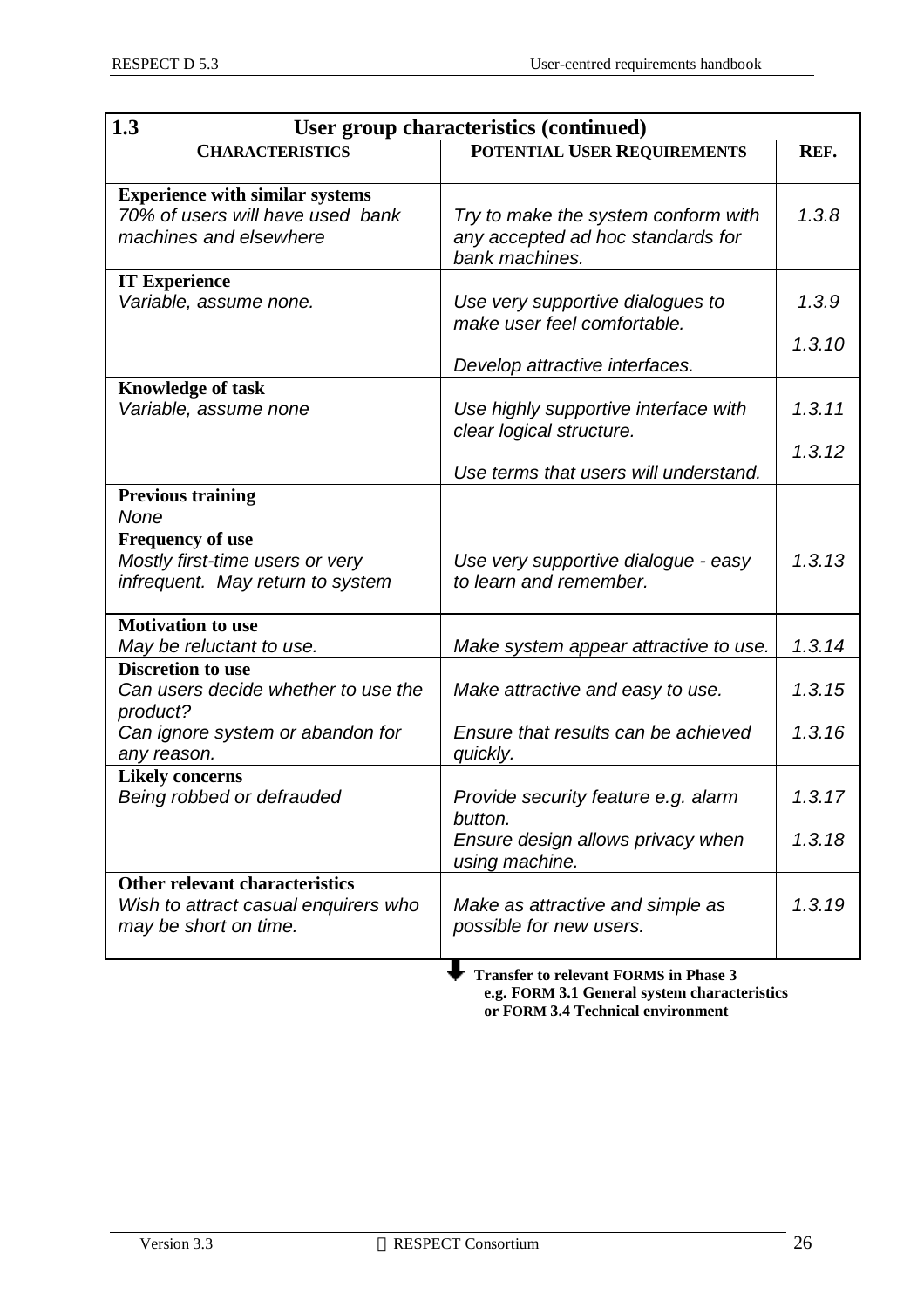| 1.3<br>User group characteristics (continued)                                                        |                                                                                                           |                  |  |
|------------------------------------------------------------------------------------------------------|-----------------------------------------------------------------------------------------------------------|------------------|--|
| <b>CHARACTERISTICS</b>                                                                               | <b>POTENTIAL USER REQUIREMENTS</b>                                                                        | REF.             |  |
| <b>Experience with similar systems</b><br>70% of users will have used bank<br>machines and elsewhere | Try to make the system conform with<br>any accepted ad hoc standards for<br>bank machines.                | 1.3.8            |  |
| <b>IT Experience</b><br>Variable, assume none.                                                       | Use very supportive dialogues to<br>make user feel comfortable.<br>Develop attractive interfaces.         | 1.3.9<br>1.3.10  |  |
| <b>Knowledge of task</b><br>Variable, assume none                                                    | Use highly supportive interface with<br>clear logical structure.<br>Use terms that users will understand. | 1.3.11<br>1.3.12 |  |
| <b>Previous training</b><br>None                                                                     |                                                                                                           |                  |  |
| <b>Frequency of use</b><br>Mostly first-time users or very<br>infrequent. May return to system       | Use very supportive dialogue - easy<br>to learn and remember.                                             | 1.3.13           |  |
| <b>Motivation to use</b><br>May be reluctant to use.                                                 | Make system appear attractive to use.                                                                     | 1.3.14           |  |
| <b>Discretion to use</b><br>Can users decide whether to use the<br>product?                          | Make attractive and easy to use.                                                                          | 1.3.15           |  |
| Can ignore system or abandon for<br>any reason.                                                      | Ensure that results can be achieved<br>quickly.                                                           | 1.3.16           |  |
| <b>Likely concerns</b><br>Being robbed or defrauded                                                  | Provide security feature e.g. alarm<br>button.<br>Ensure design allows privacy when                       | 1.3.17<br>1.3.18 |  |
| Other relevant characteristics<br>Wish to attract casual enquirers who<br>may be short on time.      | using machine.<br>Make as attractive and simple as<br>possible for new users.                             | 1.3.19           |  |

 **Transfer to relevant FORMS in Phase 3 e.g. FORM 3.1 General system characteristics or FORM 3.4 Technical environment**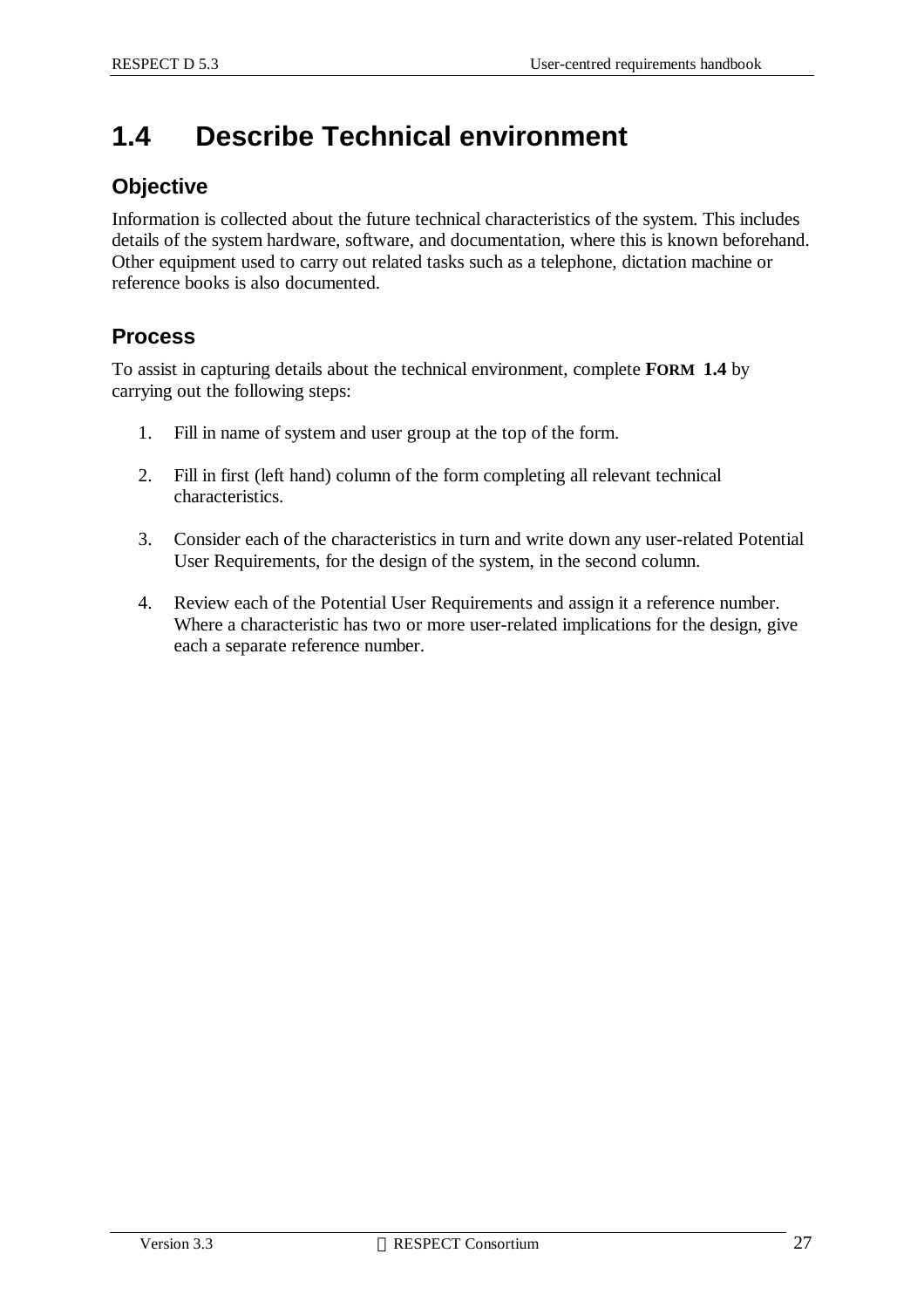## **1.4 Describe Technical environment**

### **Objective**

Information is collected about the future technical characteristics of the system. This includes details of the system hardware, software, and documentation, where this is known beforehand. Other equipment used to carry out related tasks such as a telephone, dictation machine or reference books is also documented.

### **Process**

To assist in capturing details about the technical environment, complete **FORM 1.4** by carrying out the following steps:

- 1. Fill in name of system and user group at the top of the form.
- 2. Fill in first (left hand) column of the form completing all relevant technical characteristics.
- 3. Consider each of the characteristics in turn and write down any user-related Potential User Requirements, for the design of the system, in the second column.
- 4. Review each of the Potential User Requirements and assign it a reference number. Where a characteristic has two or more user-related implications for the design, give each a separate reference number.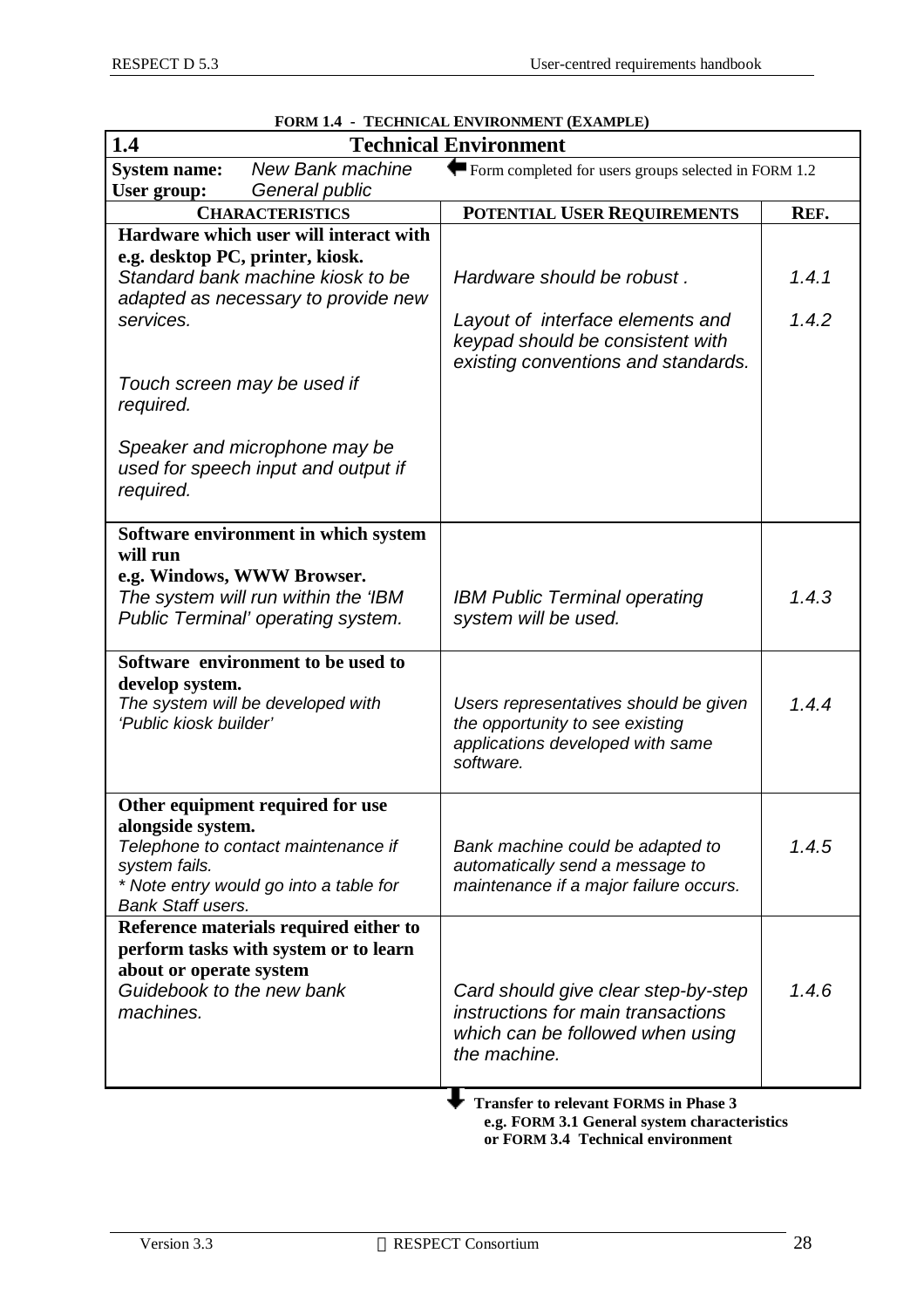| 1.4                                                               |                                                                                                                   | <b>Technical Environment</b>                                                                                                  |       |
|-------------------------------------------------------------------|-------------------------------------------------------------------------------------------------------------------|-------------------------------------------------------------------------------------------------------------------------------|-------|
| <b>System name:</b>                                               | New Bank machine                                                                                                  | Form completed for users groups selected in FORM 1.2                                                                          |       |
| User group:                                                       | General public                                                                                                    |                                                                                                                               |       |
|                                                                   | <b>CHARACTERISTICS</b>                                                                                            | POTENTIAL USER REQUIREMENTS                                                                                                   | REF.  |
|                                                                   | Hardware which user will interact with                                                                            |                                                                                                                               |       |
| e.g. desktop PC, printer, kiosk.                                  | Standard bank machine kiosk to be<br>adapted as necessary to provide new                                          | Hardware should be robust.                                                                                                    | 1.4.1 |
| services.                                                         |                                                                                                                   | Layout of interface elements and<br>keypad should be consistent with<br>existing conventions and standards.                   | 1.4.2 |
| Touch screen may be used if<br>required.                          |                                                                                                                   |                                                                                                                               |       |
| required.                                                         | Speaker and microphone may be<br>used for speech input and output if                                              |                                                                                                                               |       |
| will run                                                          | Software environment in which system                                                                              |                                                                                                                               |       |
| e.g. Windows, WWW Browser.                                        | The system will run within the 'IBM<br>Public Terminal' operating system.                                         | <b>IBM Public Terminal operating</b><br>system will be used.                                                                  | 1.4.3 |
| develop system.<br>'Public kiosk builder'                         | Software environment to be used to<br>The system will be developed with                                           | Users representatives should be given<br>the opportunity to see existing<br>applications developed with same<br>software.     | 1.4.4 |
| alongside system.<br>system fails.<br><b>Bank Staff users.</b>    | Other equipment required for use<br>Telephone to contact maintenance if<br>* Note entry would go into a table for | Bank machine could be adapted to<br>automatically send a message to<br>maintenance if a major failure occurs.                 | 1.4.5 |
| about or operate system<br>Guidebook to the new bank<br>machines. | Reference materials required either to<br>perform tasks with system or to learn                                   | Card should give clear step-by-step<br>instructions for main transactions<br>which can be followed when using<br>the machine. | 1.4.6 |
|                                                                   |                                                                                                                   | <b>Transfer to relevant FORMS in Phase 3</b>                                                                                  |       |

#### **FORM 1.4 - TECHNICAL ENVIRONMENT (EXAMPLE)**

 **e.g. FORM 3.1 General system characteristics or FORM 3.4 Technical environment**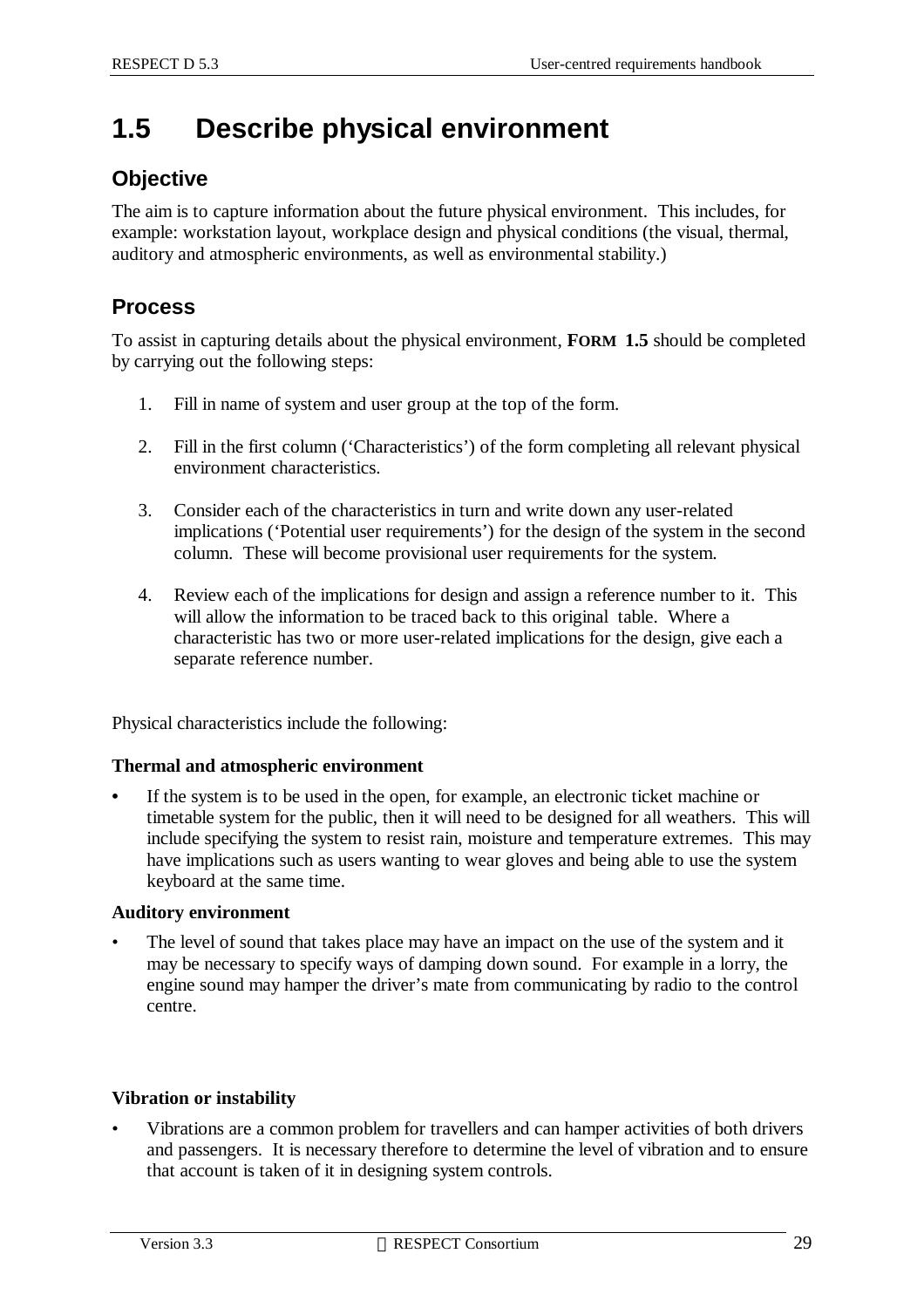## **1.5 Describe physical environment**

### **Objective**

The aim is to capture information about the future physical environment. This includes, for example: workstation layout, workplace design and physical conditions (the visual, thermal, auditory and atmospheric environments, as well as environmental stability.)

### **Process**

To assist in capturing details about the physical environment, **FORM 1.5** should be completed by carrying out the following steps:

- 1. Fill in name of system and user group at the top of the form.
- 2. Fill in the first column ('Characteristics') of the form completing all relevant physical environment characteristics.
- 3. Consider each of the characteristics in turn and write down any user-related implications ('Potential user requirements') for the design of the system in the second column. These will become provisional user requirements for the system.
- 4. Review each of the implications for design and assign a reference number to it. This will allow the information to be traced back to this original table. Where a characteristic has two or more user-related implications for the design, give each a separate reference number.

Physical characteristics include the following:

#### **Thermal and atmospheric environment**

**•** If the system is to be used in the open, for example, an electronic ticket machine or timetable system for the public, then it will need to be designed for all weathers. This will include specifying the system to resist rain, moisture and temperature extremes. This may have implications such as users wanting to wear gloves and being able to use the system keyboard at the same time.

#### **Auditory environment**

The level of sound that takes place may have an impact on the use of the system and it may be necessary to specify ways of damping down sound. For example in a lorry, the engine sound may hamper the driver's mate from communicating by radio to the control centre.

#### **Vibration or instability**

• Vibrations are a common problem for travellers and can hamper activities of both drivers and passengers. It is necessary therefore to determine the level of vibration and to ensure that account is taken of it in designing system controls.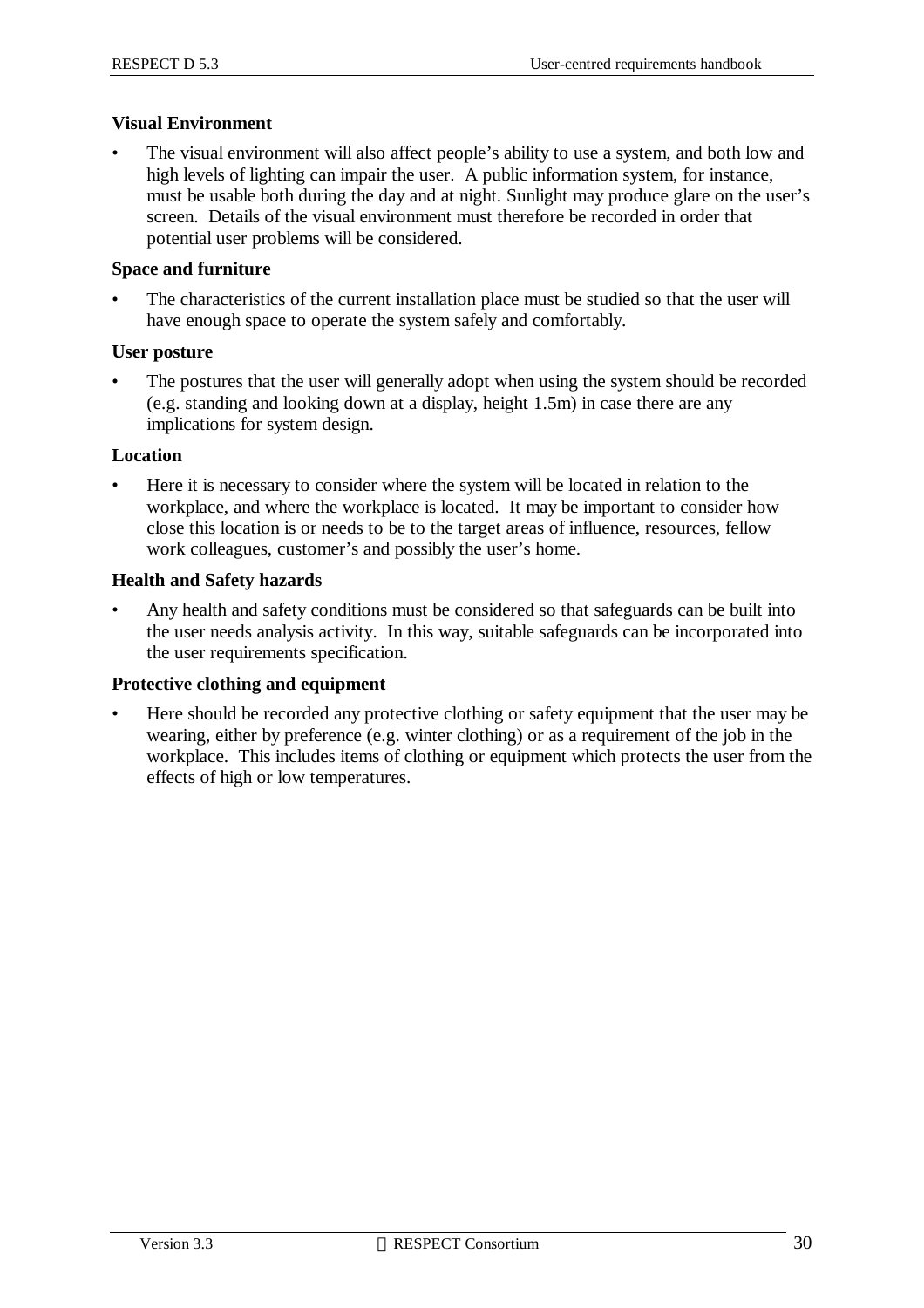#### **Visual Environment**

• The visual environment will also affect people's ability to use a system, and both low and high levels of lighting can impair the user. A public information system, for instance, must be usable both during the day and at night. Sunlight may produce glare on the user's screen. Details of the visual environment must therefore be recorded in order that potential user problems will be considered.

#### **Space and furniture**

The characteristics of the current installation place must be studied so that the user will have enough space to operate the system safely and comfortably.

#### **User posture**

The postures that the user will generally adopt when using the system should be recorded (e.g. standing and looking down at a display, height 1.5m) in case there are any implications for system design.

#### **Location**

• Here it is necessary to consider where the system will be located in relation to the workplace, and where the workplace is located. It may be important to consider how close this location is or needs to be to the target areas of influence, resources, fellow work colleagues, customer's and possibly the user's home.

#### **Health and Safety hazards**

• Any health and safety conditions must be considered so that safeguards can be built into the user needs analysis activity. In this way, suitable safeguards can be incorporated into the user requirements specification.

#### **Protective clothing and equipment**

• Here should be recorded any protective clothing or safety equipment that the user may be wearing, either by preference (e.g. winter clothing) or as a requirement of the job in the workplace. This includes items of clothing or equipment which protects the user from the effects of high or low temperatures.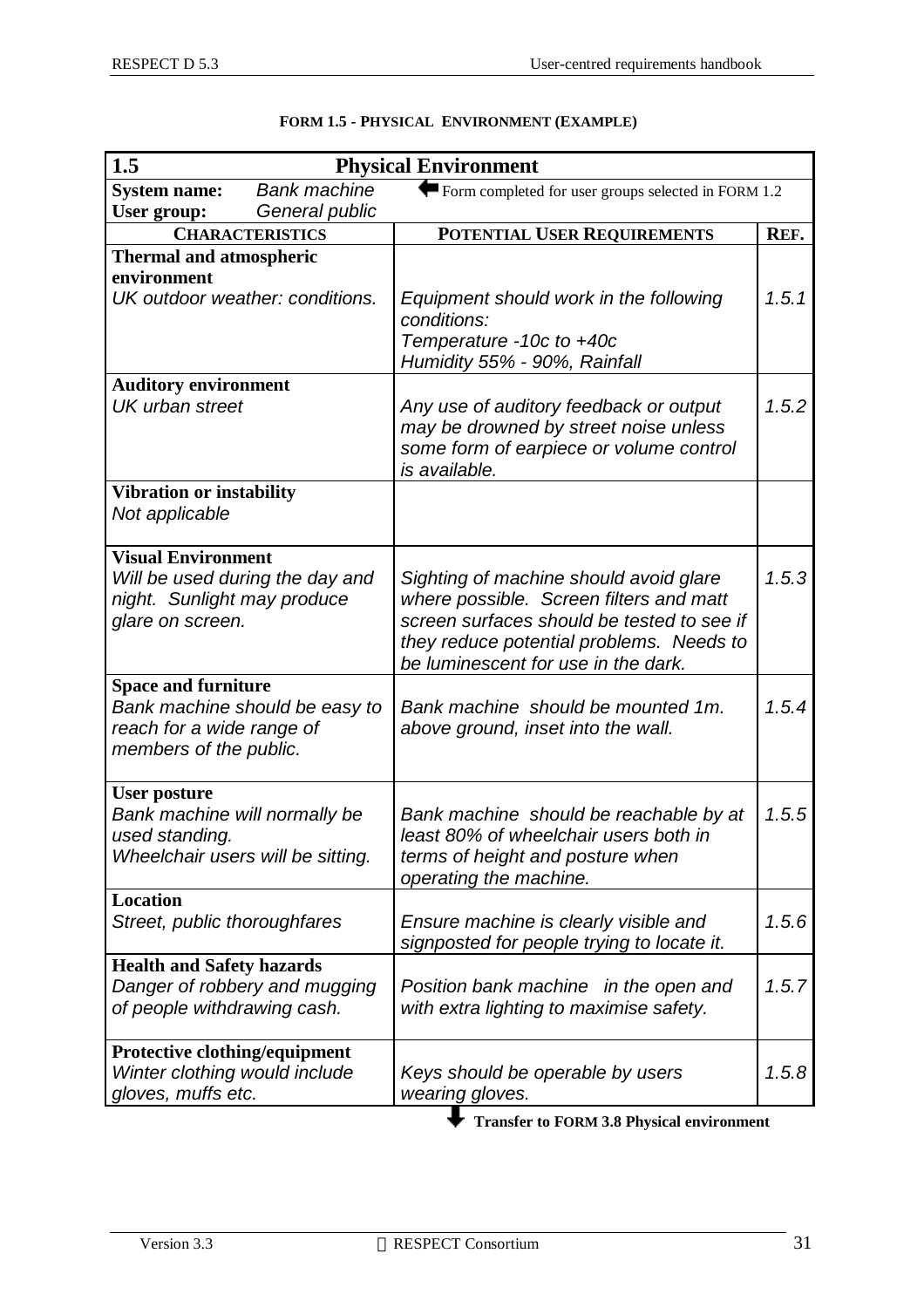| 1.5                               |                                 | <b>Physical Environment</b>                                                         |       |
|-----------------------------------|---------------------------------|-------------------------------------------------------------------------------------|-------|
| <b>System name:</b>               | <b>Bank machine</b>             | Form completed for user groups selected in FORM $1.2$                               |       |
| User group:                       | General public                  |                                                                                     |       |
|                                   | <b>CHARACTERISTICS</b>          | POTENTIAL USER REQUIREMENTS                                                         | REF.  |
| <b>Thermal and atmospheric</b>    |                                 |                                                                                     |       |
| environment                       |                                 |                                                                                     |       |
|                                   | UK outdoor weather: conditions. | Equipment should work in the following<br>conditions:                               | 1.5.1 |
|                                   |                                 | Temperature -10c to +40c                                                            |       |
|                                   |                                 | Humidity 55% - 90%, Rainfall                                                        |       |
| <b>Auditory environment</b>       |                                 |                                                                                     |       |
| <b>UK</b> urban street            |                                 | Any use of auditory feedback or output                                              | 1.5.2 |
|                                   |                                 | may be drowned by street noise unless                                               |       |
|                                   |                                 | some form of earpiece or volume control<br>is available.                            |       |
| <b>Vibration or instability</b>   |                                 |                                                                                     |       |
| Not applicable                    |                                 |                                                                                     |       |
|                                   |                                 |                                                                                     |       |
| <b>Visual Environment</b>         |                                 |                                                                                     |       |
| night. Sunlight may produce       | Will be used during the day and | Sighting of machine should avoid glare<br>where possible. Screen filters and matt   | 1.5.3 |
| glare on screen.                  |                                 | screen surfaces should be tested to see if                                          |       |
|                                   |                                 | they reduce potential problems. Needs to                                            |       |
|                                   |                                 | be luminescent for use in the dark.                                                 |       |
| <b>Space and furniture</b>        |                                 |                                                                                     |       |
|                                   | Bank machine should be easy to  | Bank machine should be mounted 1m.                                                  | 1.5.4 |
| reach for a wide range of         |                                 | above ground, inset into the wall.                                                  |       |
| members of the public.            |                                 |                                                                                     |       |
| <b>User posture</b>               |                                 |                                                                                     |       |
| Bank machine will normally be     |                                 | Bank machine should be reachable by at                                              | 1.5.5 |
| used standing.                    |                                 | least 80% of wheelchair users both in                                               |       |
| Wheelchair users will be sitting. |                                 | terms of height and posture when                                                    |       |
|                                   |                                 | operating the machine.                                                              |       |
| <b>Location</b>                   |                                 |                                                                                     | 1.5.6 |
| Street, public thoroughfares      |                                 | Ensure machine is clearly visible and<br>signposted for people trying to locate it. |       |
| <b>Health and Safety hazards</b>  |                                 |                                                                                     |       |
| Danger of robbery and mugging     |                                 | Position bank machine in the open and                                               | 1.5.7 |
| of people withdrawing cash.       |                                 | with extra lighting to maximise safety.                                             |       |
| Protective clothing/equipment     |                                 |                                                                                     |       |
| Winter clothing would include     |                                 | Keys should be operable by users                                                    | 1.5.8 |
| gloves, muffs etc.                |                                 | wearing gloves.                                                                     |       |

#### **FORM 1.5 - PHYSICAL ENVIRONMENT (EXAMPLE)**

**Transfer to FORM 3.8 Physical environment**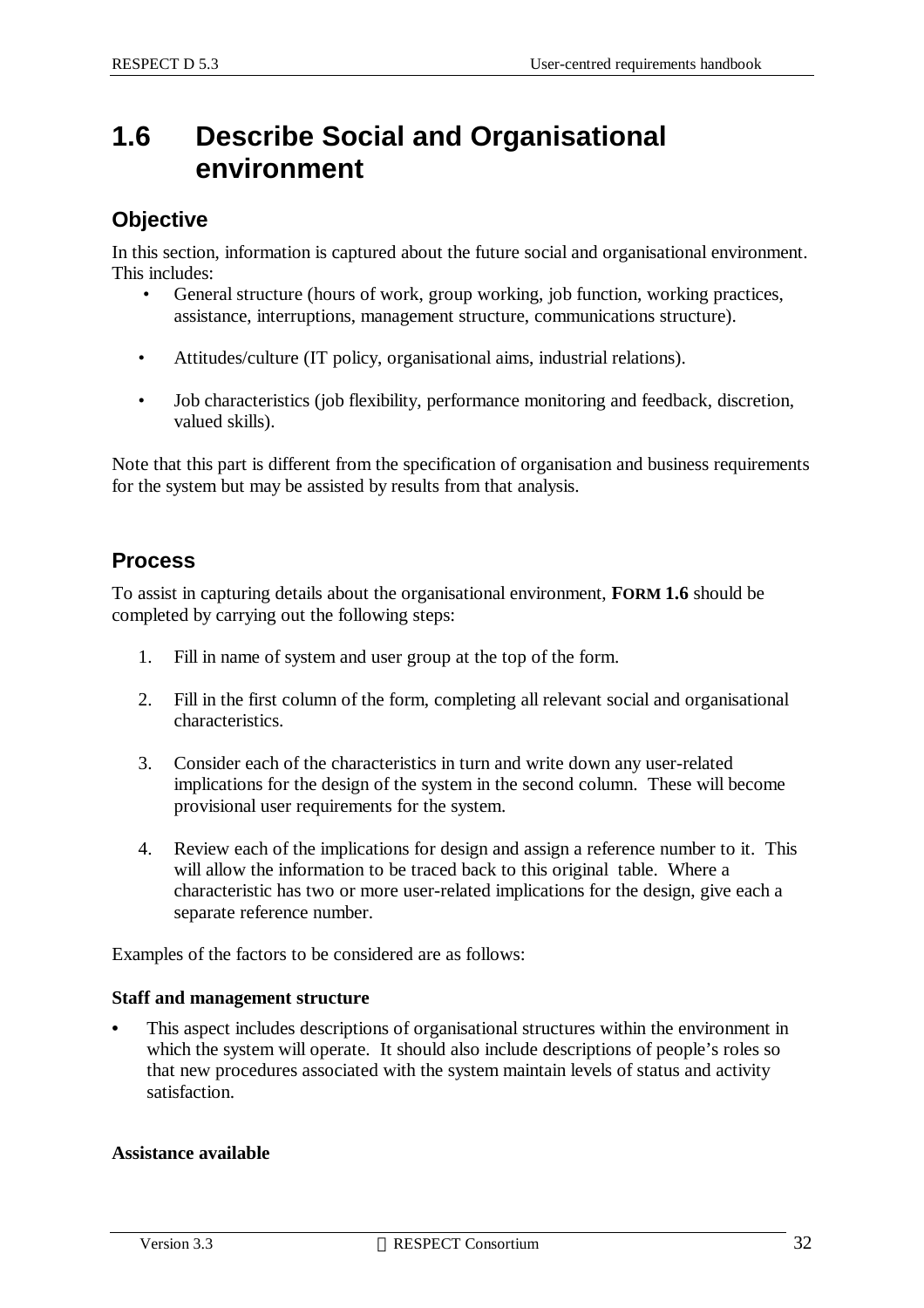## **1.6 Describe Social and Organisational environment**

### **Objective**

In this section, information is captured about the future social and organisational environment. This includes:

- General structure (hours of work, group working, job function, working practices, assistance, interruptions, management structure, communications structure).
- Attitudes/culture (IT policy, organisational aims, industrial relations).
- Job characteristics (job flexibility, performance monitoring and feedback, discretion, valued skills).

Note that this part is different from the specification of organisation and business requirements for the system but may be assisted by results from that analysis.

### **Process**

To assist in capturing details about the organisational environment, **FORM 1.6** should be completed by carrying out the following steps:

- 1. Fill in name of system and user group at the top of the form.
- 2. Fill in the first column of the form, completing all relevant social and organisational characteristics.
- 3. Consider each of the characteristics in turn and write down any user-related implications for the design of the system in the second column. These will become provisional user requirements for the system.
- 4. Review each of the implications for design and assign a reference number to it. This will allow the information to be traced back to this original table. Where a characteristic has two or more user-related implications for the design, give each a separate reference number.

Examples of the factors to be considered are as follows:

#### **Staff and management structure**

**•** This aspect includes descriptions of organisational structures within the environment in which the system will operate. It should also include descriptions of people's roles so that new procedures associated with the system maintain levels of status and activity satisfaction.

#### **Assistance available**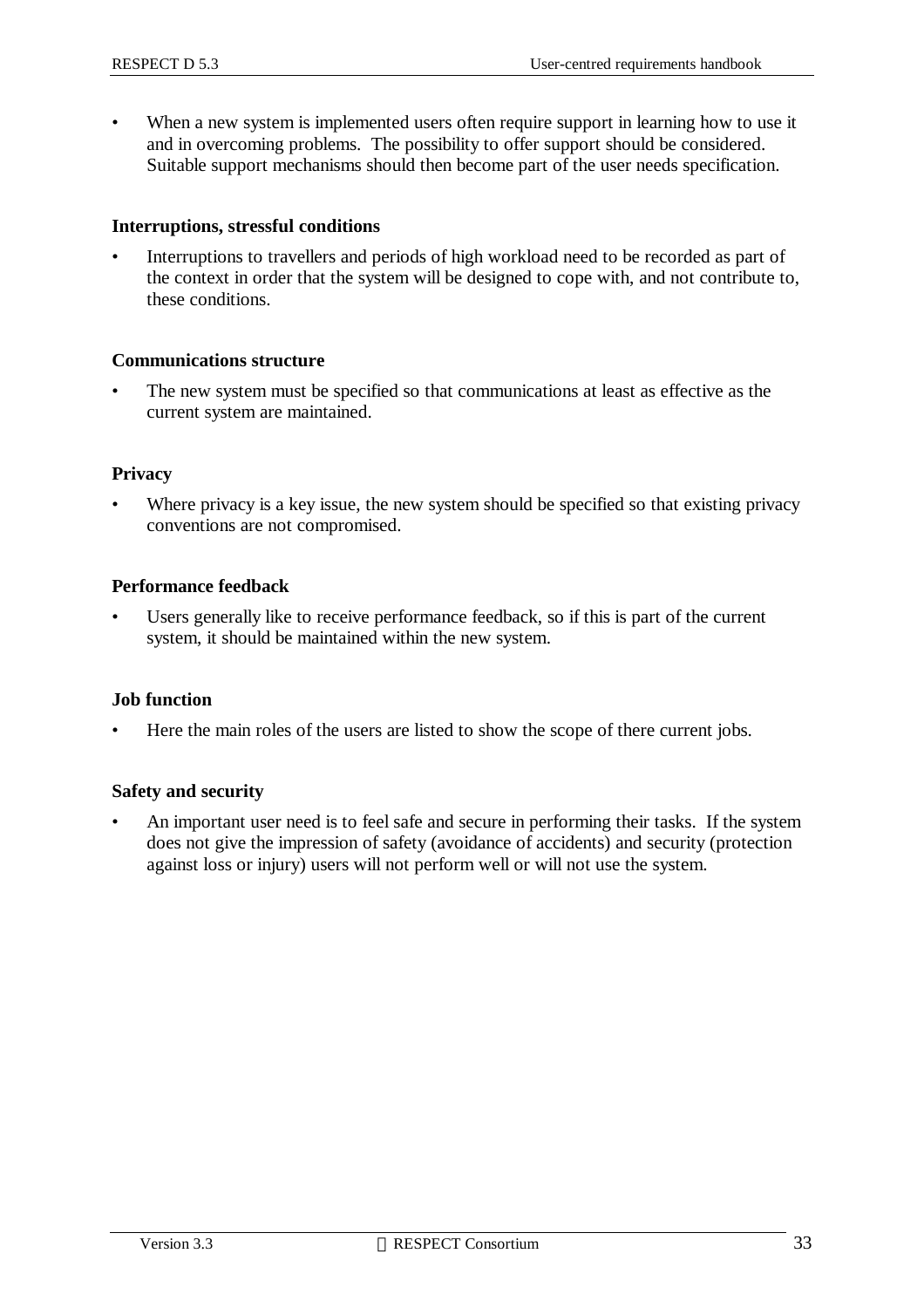• When a new system is implemented users often require support in learning how to use it and in overcoming problems. The possibility to offer support should be considered. Suitable support mechanisms should then become part of the user needs specification.

#### **Interruptions, stressful conditions**

• Interruptions to travellers and periods of high workload need to be recorded as part of the context in order that the system will be designed to cope with, and not contribute to, these conditions.

#### **Communications structure**

The new system must be specified so that communications at least as effective as the current system are maintained.

#### **Privacy**

Where privacy is a key issue, the new system should be specified so that existing privacy conventions are not compromised.

#### **Performance feedback**

Users generally like to receive performance feedback, so if this is part of the current system, it should be maintained within the new system.

#### **Job function**

• Here the main roles of the users are listed to show the scope of there current jobs.

#### **Safety and security**

• An important user need is to feel safe and secure in performing their tasks. If the system does not give the impression of safety (avoidance of accidents) and security (protection against loss or injury) users will not perform well or will not use the system.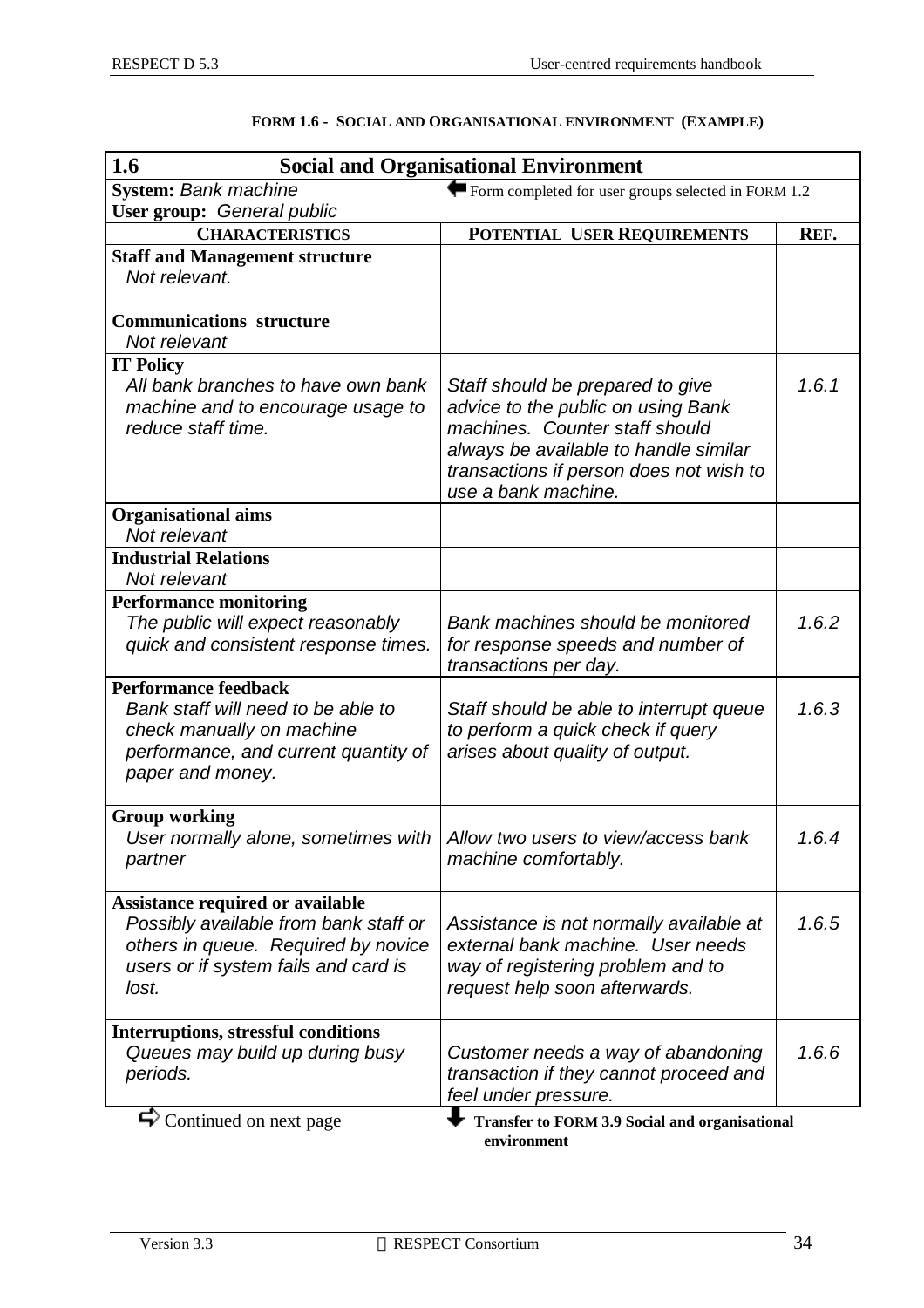| 1.6<br><b>Social and Organisational Environment</b>                                                                                                                      |                                                                                                                                                                                                                     |       |  |
|--------------------------------------------------------------------------------------------------------------------------------------------------------------------------|---------------------------------------------------------------------------------------------------------------------------------------------------------------------------------------------------------------------|-------|--|
| <b>System: Bank machine</b>                                                                                                                                              | Form completed for user groups selected in FORM 1.2                                                                                                                                                                 |       |  |
| User group: General public                                                                                                                                               |                                                                                                                                                                                                                     |       |  |
| <b>CHARACTERISTICS</b>                                                                                                                                                   | POTENTIAL USER REQUIREMENTS                                                                                                                                                                                         | REF.  |  |
| <b>Staff and Management structure</b><br>Not relevant.                                                                                                                   |                                                                                                                                                                                                                     |       |  |
| <b>Communications structure</b><br>Not relevant                                                                                                                          |                                                                                                                                                                                                                     |       |  |
| <b>IT Policy</b>                                                                                                                                                         |                                                                                                                                                                                                                     |       |  |
| All bank branches to have own bank<br>machine and to encourage usage to<br>reduce staff time.                                                                            | Staff should be prepared to give<br>advice to the public on using Bank<br>machines. Counter staff should<br>always be available to handle similar<br>transactions if person does not wish to<br>use a bank machine. | 1.6.1 |  |
| <b>Organisational aims</b><br>Not relevant                                                                                                                               |                                                                                                                                                                                                                     |       |  |
| <b>Industrial Relations</b>                                                                                                                                              |                                                                                                                                                                                                                     |       |  |
| Not relevant                                                                                                                                                             |                                                                                                                                                                                                                     |       |  |
| <b>Performance monitoring</b><br>The public will expect reasonably<br>quick and consistent response times.                                                               | Bank machines should be monitored<br>for response speeds and number of<br>transactions per day.                                                                                                                     | 1.6.2 |  |
| <b>Performance feedback</b><br>Bank staff will need to be able to<br>check manually on machine<br>performance, and current quantity of<br>paper and money.               | Staff should be able to interrupt queue<br>to perform a quick check if query<br>arises about quality of output.                                                                                                     | 1.6.3 |  |
| <b>Group working</b><br>User normally alone, sometimes with<br>partner                                                                                                   | Allow two users to view/access bank<br>machine comfortably.                                                                                                                                                         | 1.6.4 |  |
| <b>Assistance required or available</b><br>Possibly available from bank staff or<br>others in queue. Required by novice<br>users or if system fails and card is<br>lost. | Assistance is not normally available at<br>external bank machine. User needs<br>way of registering problem and to<br>request help soon afterwards.                                                                  | 1.6.5 |  |
| <b>Interruptions, stressful conditions</b><br>Queues may build up during busy<br>periods.                                                                                | Customer needs a way of abandoning<br>transaction if they cannot proceed and<br>feel under pressure.                                                                                                                | 1.6.6 |  |
| $\blacktriangleright$ Continued on next page                                                                                                                             | <b>Transfer to FORM 3.9 Social and organisational</b><br>environment                                                                                                                                                |       |  |

#### **FORM 1.6 - SOCIAL AND ORGANISATIONAL ENVIRONMENT (EXAMPLE)**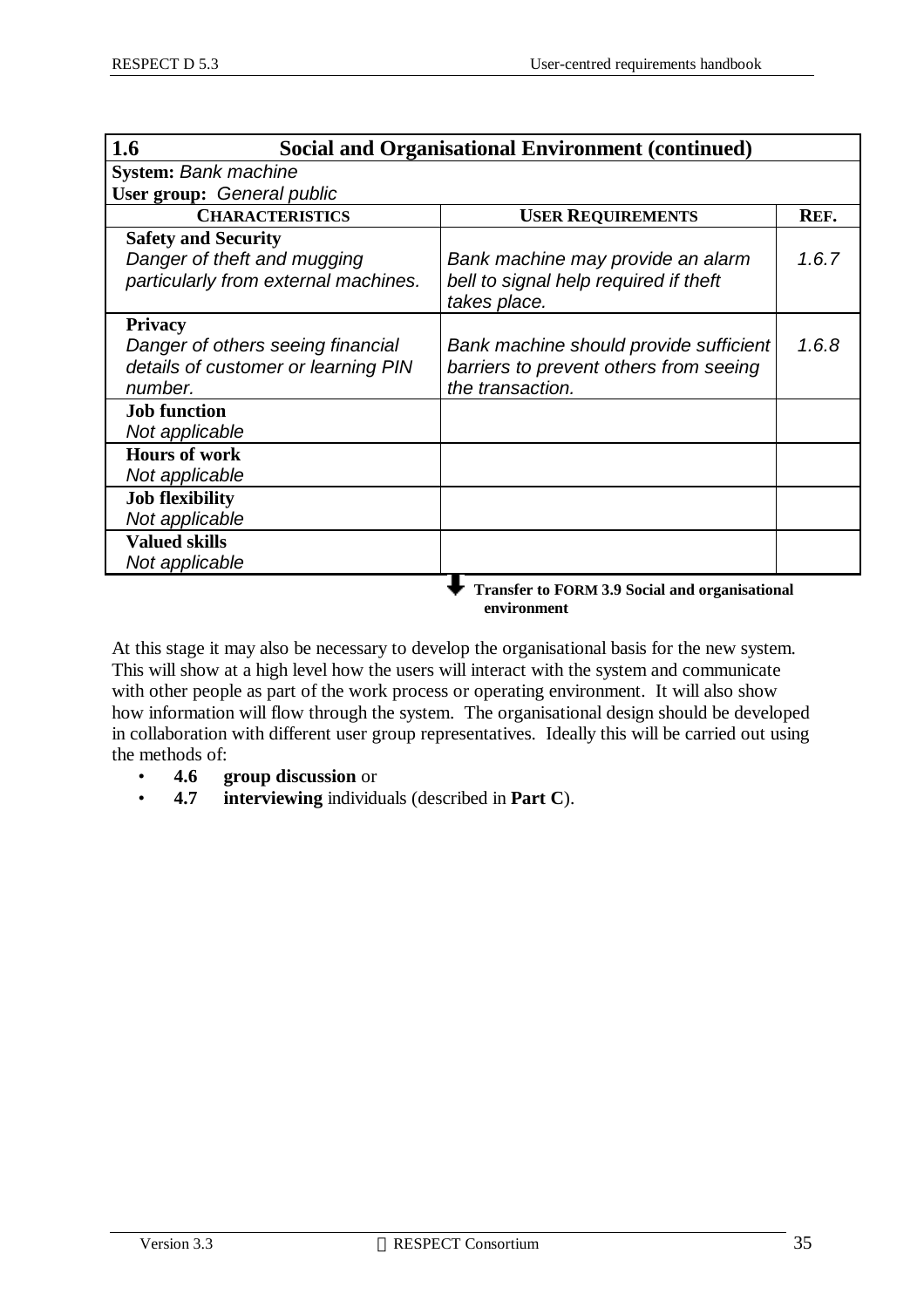| 1.6                                  | <b>Social and Organisational Environment (continued)</b> |       |
|--------------------------------------|----------------------------------------------------------|-------|
| <b>System: Bank machine</b>          |                                                          |       |
| User group: General public           |                                                          |       |
| <b>CHARACTERISTICS</b>               | <b>USER REQUIREMENTS</b>                                 | REF.  |
| <b>Safety and Security</b>           |                                                          |       |
| Danger of theft and mugging          | Bank machine may provide an alarm                        | 1.6.7 |
| particularly from external machines. | bell to signal help required if theft                    |       |
|                                      | takes place.                                             |       |
| <b>Privacy</b>                       |                                                          |       |
| Danger of others seeing financial    | Bank machine should provide sufficient                   | 1.6.8 |
| details of customer or learning PIN  | barriers to prevent others from seeing                   |       |
| number.                              | the transaction.                                         |       |
| <b>Job function</b>                  |                                                          |       |
| Not applicable                       |                                                          |       |
| <b>Hours of work</b>                 |                                                          |       |
| Not applicable                       |                                                          |       |
| <b>Job flexibility</b>               |                                                          |       |
| Not applicable                       |                                                          |       |
| <b>Valued skills</b>                 |                                                          |       |
| Not applicable                       |                                                          |       |
|                                      | <b>Transfer to FORM 3.9 Social and organisational</b>    |       |

 **environment**

At this stage it may also be necessary to develop the organisational basis for the new system. This will show at a high level how the users will interact with the system and communicate with other people as part of the work process or operating environment. It will also show how information will flow through the system. The organisational design should be developed in collaboration with different user group representatives. Ideally this will be carried out using the methods of:

- **4.6 group discussion** or
- **4.7 interviewing** individuals (described in **Part C**).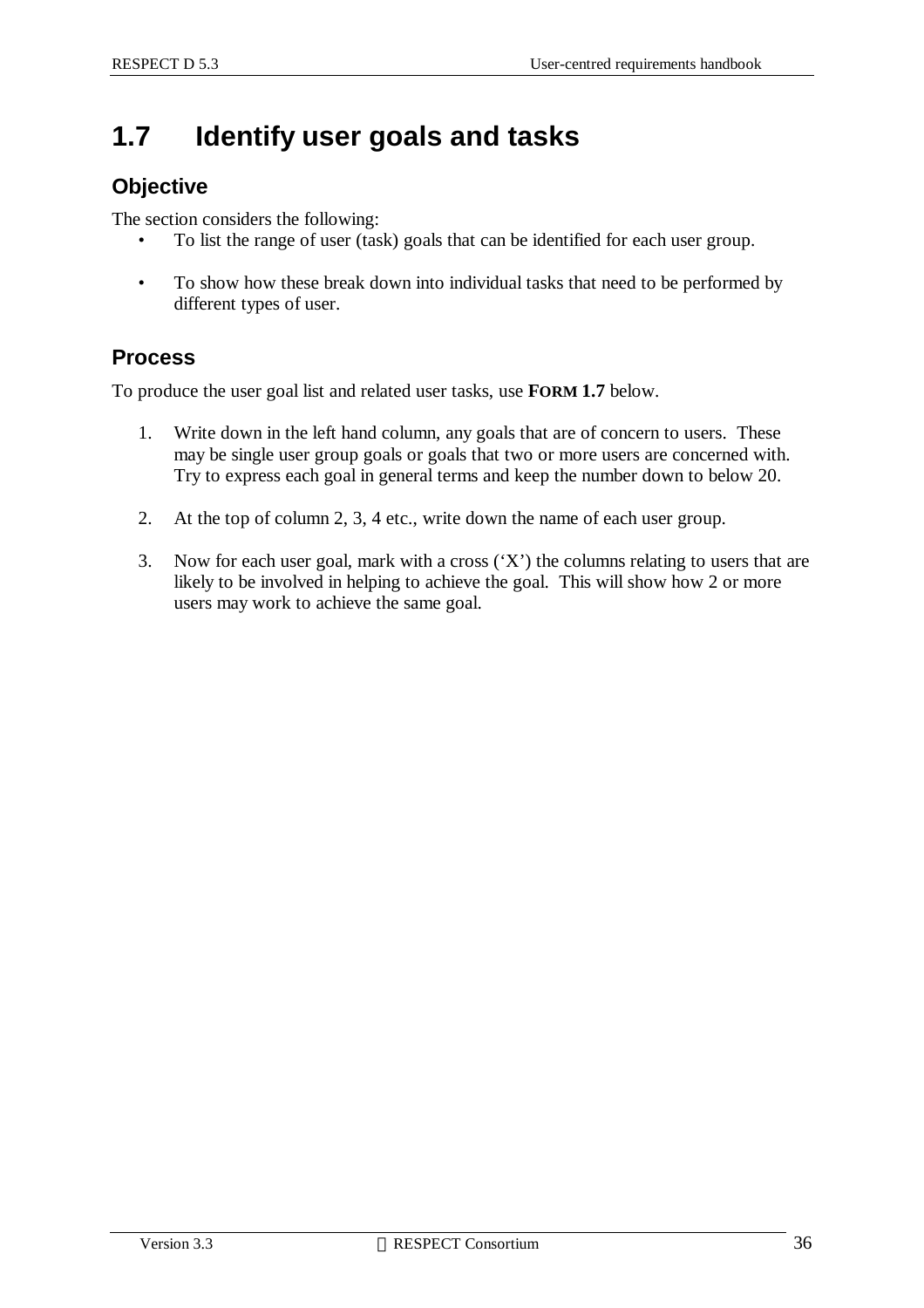## **1.7 Identify user goals and tasks**

### **Objective**

The section considers the following:

- To list the range of user (task) goals that can be identified for each user group.
- To show how these break down into individual tasks that need to be performed by different types of user.

### **Process**

To produce the user goal list and related user tasks, use **FORM 1.7** below.

- 1. Write down in the left hand column, any goals that are of concern to users. These may be single user group goals or goals that two or more users are concerned with. Try to express each goal in general terms and keep the number down to below 20.
- 2. At the top of column 2, 3, 4 etc., write down the name of each user group.
- 3. Now for each user goal, mark with a cross ('X') the columns relating to users that are likely to be involved in helping to achieve the goal. This will show how 2 or more users may work to achieve the same goal.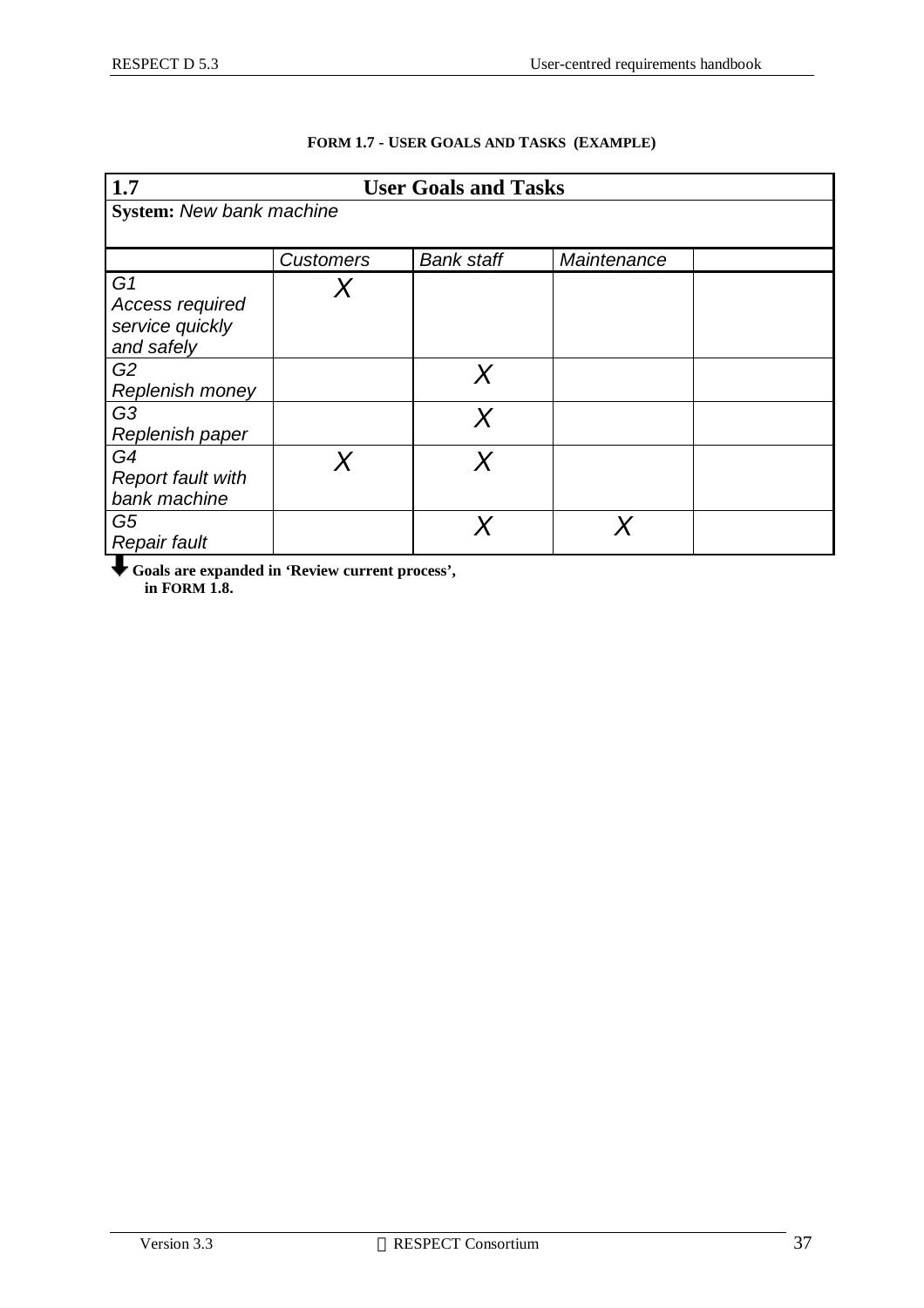| 1.7                                                                |                  | <b>User Goals and Tasks</b> |             |  |
|--------------------------------------------------------------------|------------------|-----------------------------|-------------|--|
| <b>System: New bank machine</b>                                    |                  |                             |             |  |
|                                                                    |                  |                             |             |  |
|                                                                    | <b>Customers</b> | <b>Bank staff</b>           | Maintenance |  |
| G <sub>1</sub><br>Access required<br>service quickly<br>and safely |                  |                             |             |  |
| G <sub>2</sub><br>Replenish money                                  |                  | Χ                           |             |  |
| G <sub>3</sub><br>Replenish paper                                  |                  |                             |             |  |
| G4<br><b>Report fault with</b><br>bank machine                     |                  |                             |             |  |
| G5<br><b>Repair fault</b>                                          |                  |                             |             |  |

#### **FORM 1.7 - USER GOALS AND TASKS (EXAMPLE)**

**Goals are expanded in 'Review current process', in FORM 1.8.**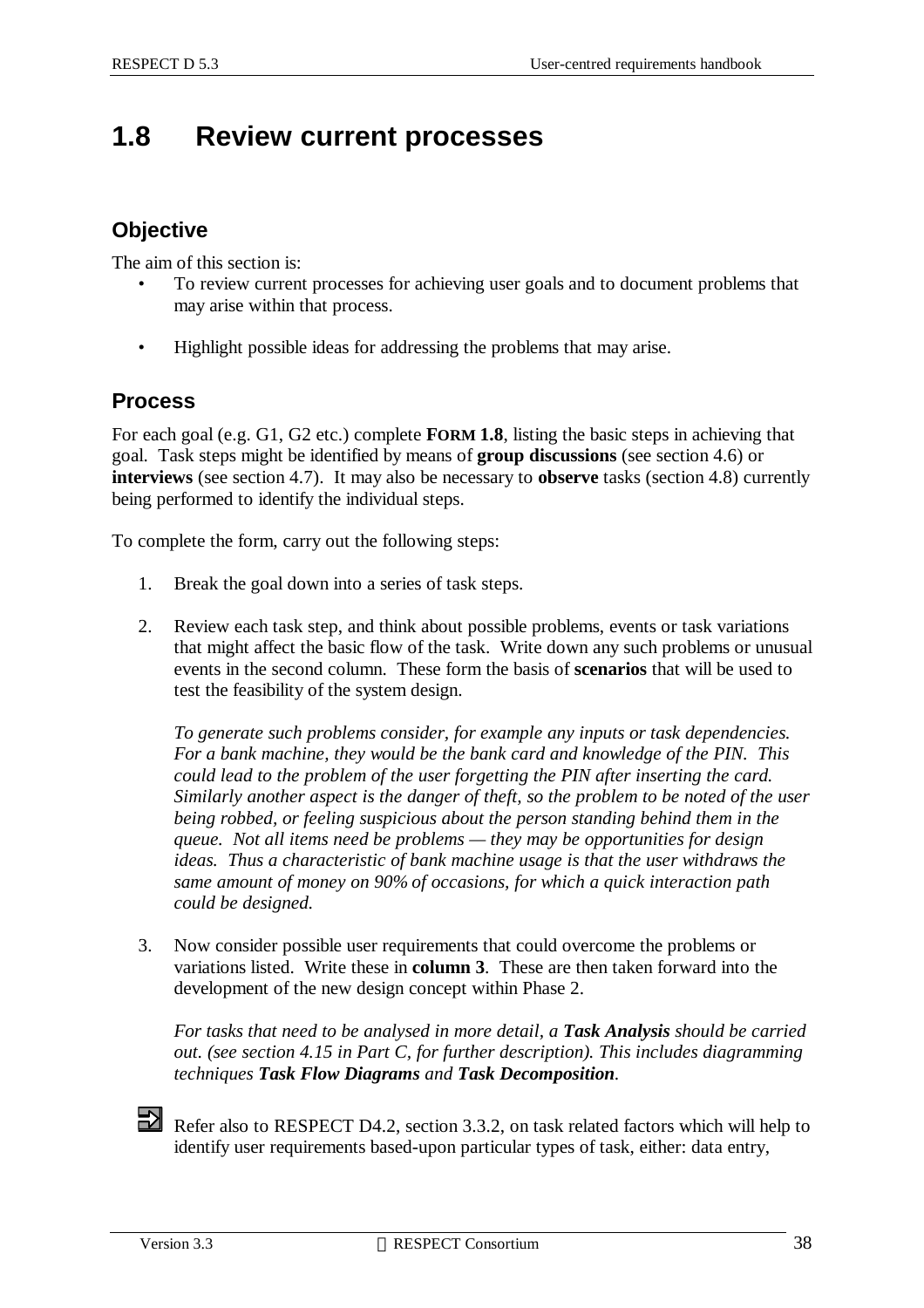## **1.8 Review current processes**

### **Objective**

The aim of this section is:

- To review current processes for achieving user goals and to document problems that may arise within that process.
- Highlight possible ideas for addressing the problems that may arise.

### **Process**

For each goal (e.g. G1, G2 etc.) complete **FORM 1.8**, listing the basic steps in achieving that goal. Task steps might be identified by means of **group discussions** (see section 4.6) or **interviews** (see section 4.7). It may also be necessary to **observe** tasks (section 4.8) currently being performed to identify the individual steps.

To complete the form, carry out the following steps:

- 1. Break the goal down into a series of task steps.
- 2. Review each task step, and think about possible problems, events or task variations that might affect the basic flow of the task. Write down any such problems or unusual events in the second column. These form the basis of **scenarios** that will be used to test the feasibility of the system design.

*To generate such problems consider, for example any inputs or task dependencies. For a bank machine, they would be the bank card and knowledge of the PIN. This could lead to the problem of the user forgetting the PIN after inserting the card. Similarly another aspect is the danger of theft, so the problem to be noted of the user being robbed, or feeling suspicious about the person standing behind them in the queue. Not all items need be problems — they may be opportunities for design ideas. Thus a characteristic of bank machine usage is that the user withdraws the same amount of money on 90% of occasions, for which a quick interaction path could be designed.*

3. Now consider possible user requirements that could overcome the problems or variations listed. Write these in **column 3**. These are then taken forward into the development of the new design concept within Phase 2.

*For tasks that need to be analysed in more detail, a Task Analysis should be carried out. (see section 4.15 in Part C, for further description). This includes diagramming techniques Task Flow Diagrams and Task Decomposition.*

Refer also to RESPECT D4.2, section 3.3.2, on task related factors which will help to identify user requirements based-upon particular types of task, either: data entry,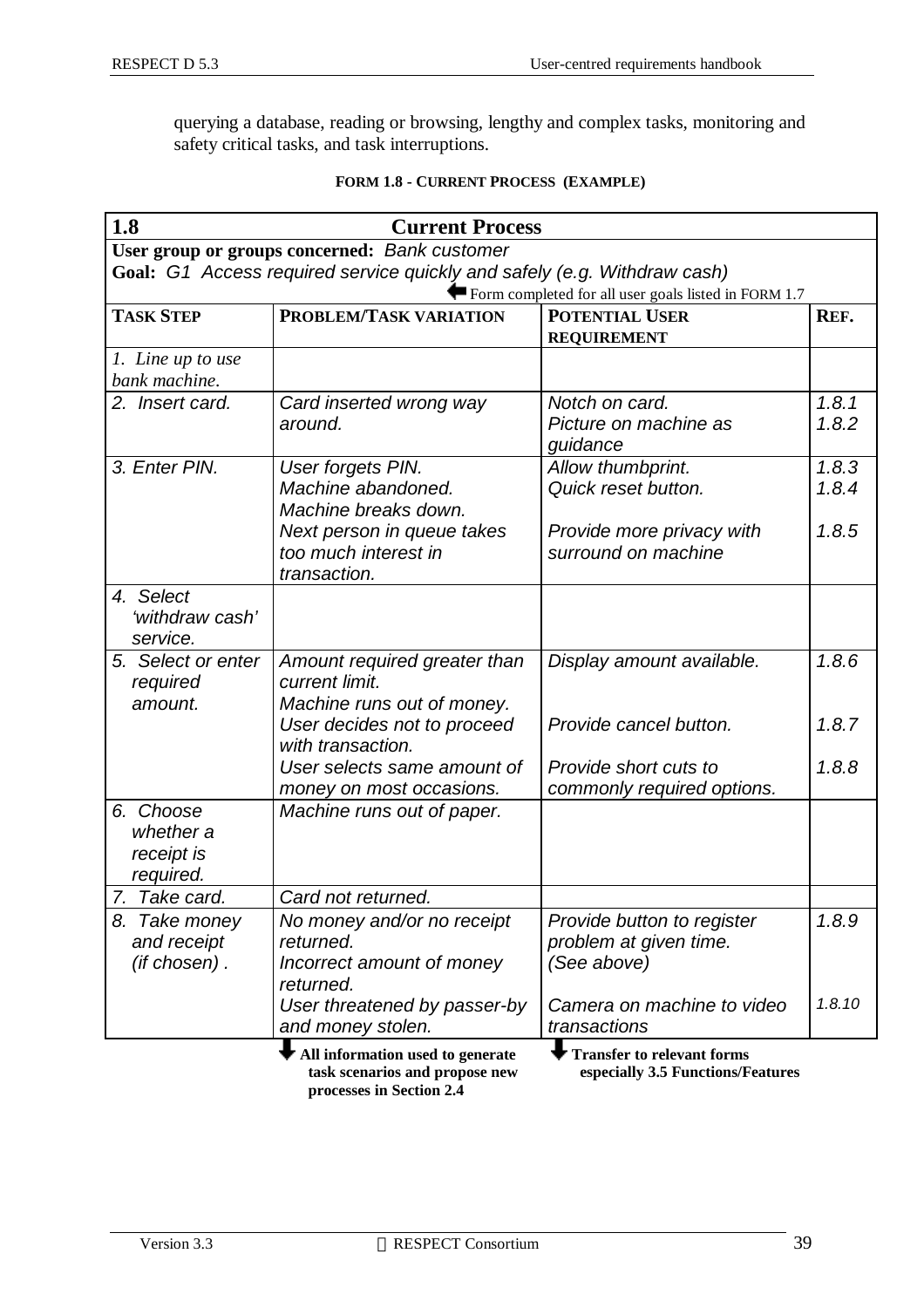querying a database, reading or browsing, lengthy and complex tasks, monitoring and safety critical tasks, and task interruptions.

| 1.8                                               | <b>Current Process</b>                                                            |                                                                        |                |
|---------------------------------------------------|-----------------------------------------------------------------------------------|------------------------------------------------------------------------|----------------|
|                                                   | User group or groups concerned: Bank customer                                     |                                                                        |                |
|                                                   | Goal: G1 Access required service quickly and safely (e.g. Withdraw cash)          |                                                                        |                |
|                                                   |                                                                                   | Form completed for all user goals listed in FORM 1.7                   |                |
| <b>TASK STEP</b>                                  | PROBLEM/TASK VARIATION                                                            | <b>POTENTIAL USER</b>                                                  | REF.           |
|                                                   |                                                                                   | <b>REQUIREMENT</b>                                                     |                |
| 1. Line up to use<br>bank machine.                |                                                                                   |                                                                        |                |
| 2. Insert card.                                   | Card inserted wrong way<br>around.                                                | Notch on card.<br>Picture on machine as<br>guidance                    | 1.8.1<br>1.8.2 |
| 3. Enter PIN.                                     | User forgets PIN.<br>Machine abandoned.<br>Machine breaks down.                   | Allow thumbprint.<br>Quick reset button.                               | 1.8.3<br>1.8.4 |
|                                                   | Next person in queue takes<br>too much interest in<br>transaction.                | Provide more privacy with<br>surround on machine                       | 1.8.5          |
| 4. Select<br>'withdraw cash'<br>service.          |                                                                                   |                                                                        |                |
| 5. Select or enter<br>required<br>amount.         | Amount required greater than<br>current limit.<br>Machine runs out of money.      | Display amount available.                                              | 1.8.6          |
|                                                   | User decides not to proceed<br>with transaction.                                  | Provide cancel button.                                                 | 1.8.7          |
|                                                   | User selects same amount of<br>money on most occasions.                           | Provide short cuts to<br>commonly required options.                    | 1.8.8          |
| 6. Choose<br>whether a<br>receipt is<br>required. | Machine runs out of paper.                                                        |                                                                        |                |
| 7. Take card.                                     | Card not returned.                                                                |                                                                        |                |
| 8. Take money<br>and receipt<br>(if chosen).      | No money and/or no receipt<br>returned.<br>Incorrect amount of money<br>returned. | Provide button to register<br>problem at given time.<br>(See above)    | 1.8.9          |
|                                                   | User threatened by passer-by<br>and money stolen.                                 | Camera on machine to video<br>transactions                             | 1.8.10         |
|                                                   | All information used to generate<br>task scenarios and propose new                | <b>Transfer to relevant forms</b><br>especially 3.5 Functions/Features |                |

#### **FORM 1.8 - CURRENT PROCESS (EXAMPLE)**

 **processes in Section 2.4**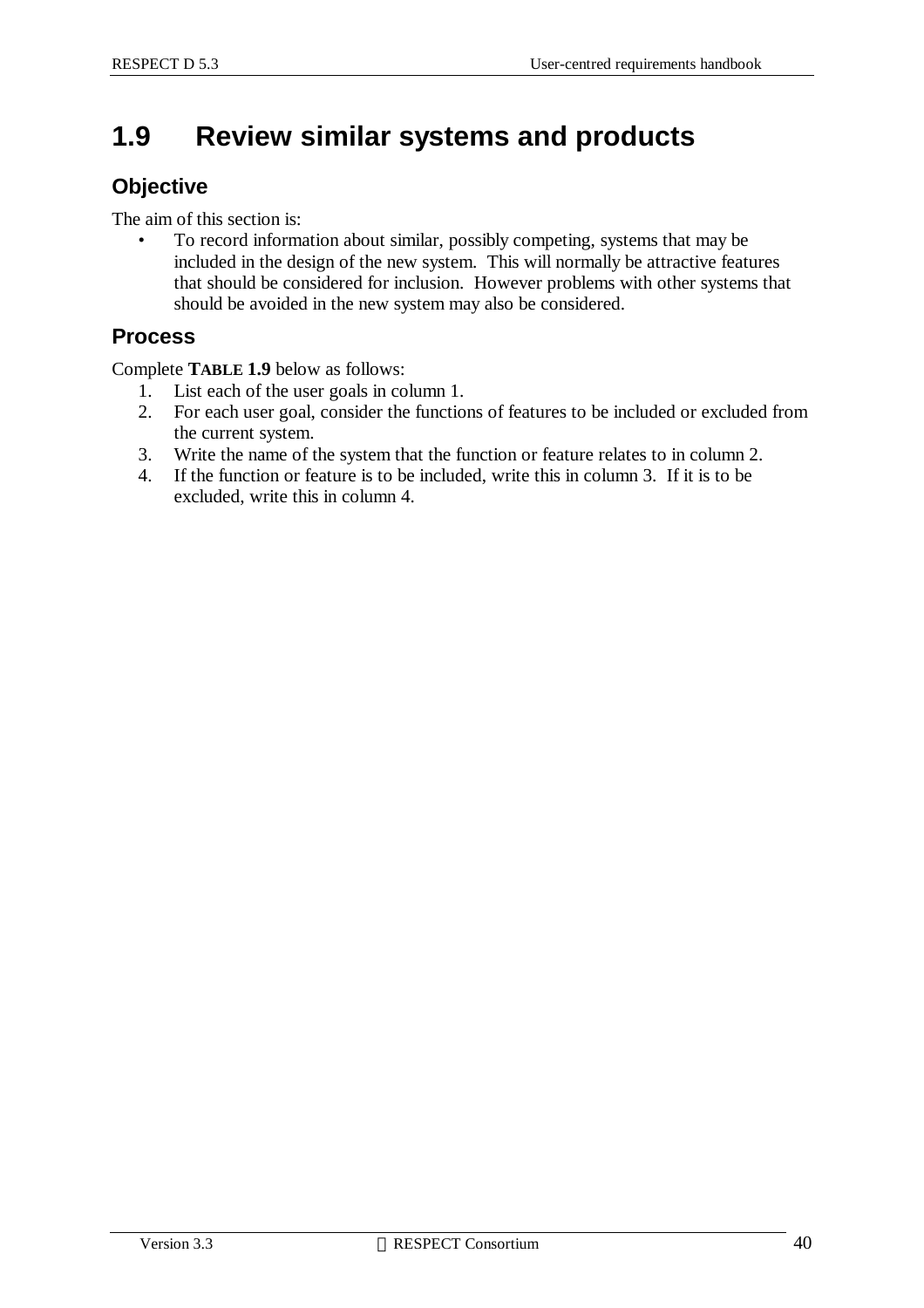## **1.9 Review similar systems and products**

### **Objective**

The aim of this section is:

• To record information about similar, possibly competing, systems that may be included in the design of the new system. This will normally be attractive features that should be considered for inclusion. However problems with other systems that should be avoided in the new system may also be considered.

### **Process**

Complete **TABLE 1.9** below as follows:

- 1. List each of the user goals in column 1.
- 2. For each user goal, consider the functions of features to be included or excluded from the current system.
- 3. Write the name of the system that the function or feature relates to in column 2.
- 4. If the function or feature is to be included, write this in column 3. If it is to be excluded, write this in column 4.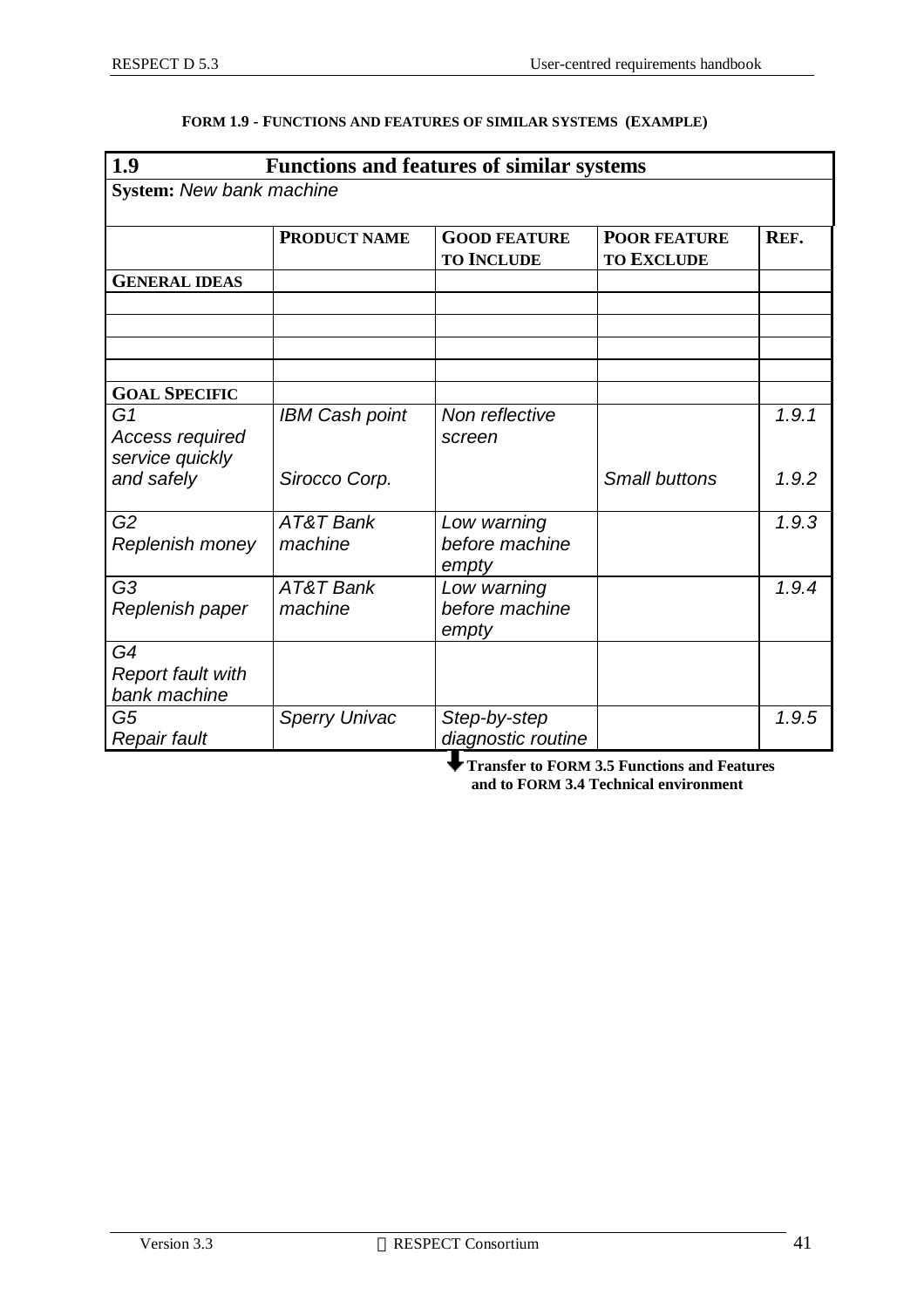| 1.9                                                  |                       | <b>Functions and features of similar systems</b> |                                          |       |
|------------------------------------------------------|-----------------------|--------------------------------------------------|------------------------------------------|-------|
| <b>System: New bank machine</b>                      |                       |                                                  |                                          |       |
|                                                      | <b>PRODUCT NAME</b>   | <b>GOOD FEATURE</b><br><b>TO INCLUDE</b>         | <b>POOR FEATURE</b><br><b>TO EXCLUDE</b> | REF.  |
| <b>GENERAL IDEAS</b>                                 |                       |                                                  |                                          |       |
|                                                      |                       |                                                  |                                          |       |
|                                                      |                       |                                                  |                                          |       |
|                                                      |                       |                                                  |                                          |       |
| <b>GOAL SPECIFIC</b>                                 |                       |                                                  |                                          |       |
| G <sub>1</sub><br>Access required<br>service quickly | <b>IBM Cash point</b> | Non reflective<br>screen                         |                                          | 1.9.1 |
| and safely                                           | Sirocco Corp.         |                                                  | <b>Small buttons</b>                     | 1.9.2 |
| G <sub>2</sub><br>Replenish money                    | AT&T Bank<br>machine  | Low warning<br>before machine<br>empty           |                                          | 1.9.3 |
| G <sub>3</sub><br>Replenish paper                    | AT&T Bank<br>machine  | Low warning<br>before machine<br>empty           |                                          | 1.9.4 |
| G4                                                   |                       |                                                  |                                          |       |
| <b>Report fault with</b><br>bank machine             |                       |                                                  |                                          |       |
| G <sub>5</sub><br>Repair fault                       | <b>Sperry Univac</b>  | Step-by-step<br>diagnostic routine               |                                          | 1.9.5 |

#### **FORM 1.9 - FUNCTIONS AND FEATURES OF SIMILAR SYSTEMS (EXAMPLE)**

 **Transfer to FORM 3.5 Functions and Features and to FORM 3.4 Technical environment**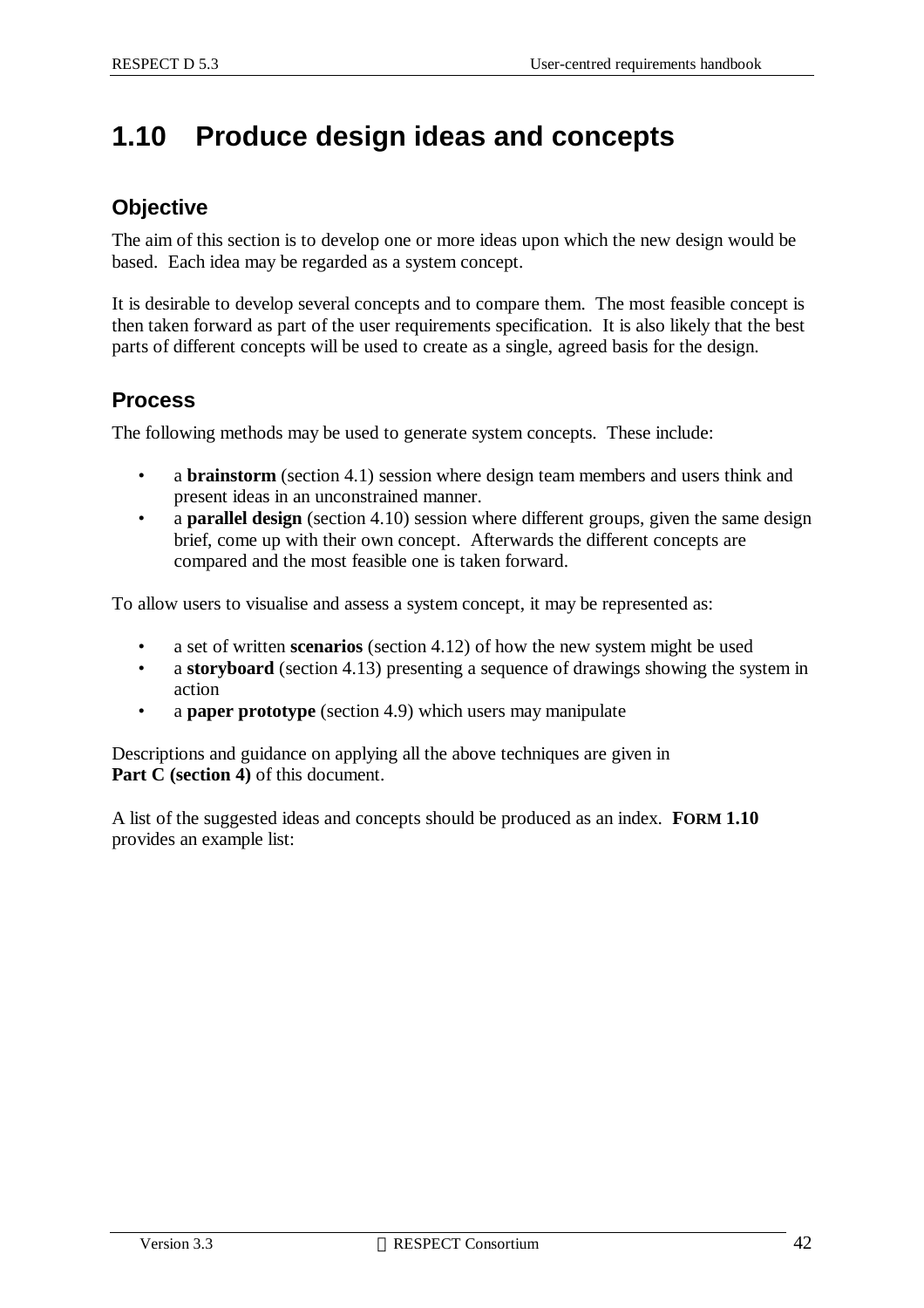## **1.10 Produce design ideas and concepts**

### **Objective**

The aim of this section is to develop one or more ideas upon which the new design would be based. Each idea may be regarded as a system concept.

It is desirable to develop several concepts and to compare them. The most feasible concept is then taken forward as part of the user requirements specification. It is also likely that the best parts of different concepts will be used to create as a single, agreed basis for the design.

### **Process**

The following methods may be used to generate system concepts. These include:

- a **brainstorm** (section 4.1) session where design team members and users think and present ideas in an unconstrained manner.
- a **parallel design** (section 4.10) session where different groups, given the same design brief, come up with their own concept. Afterwards the different concepts are compared and the most feasible one is taken forward.

To allow users to visualise and assess a system concept, it may be represented as:

- a set of written **scenarios** (section 4.12) of how the new system might be used
- a **storyboard** (section 4.13) presenting a sequence of drawings showing the system in action
- a **paper prototype** (section 4.9) which users may manipulate

Descriptions and guidance on applying all the above techniques are given in **Part C (section 4)** of this document.

A list of the suggested ideas and concepts should be produced as an index. **FORM 1.10** provides an example list: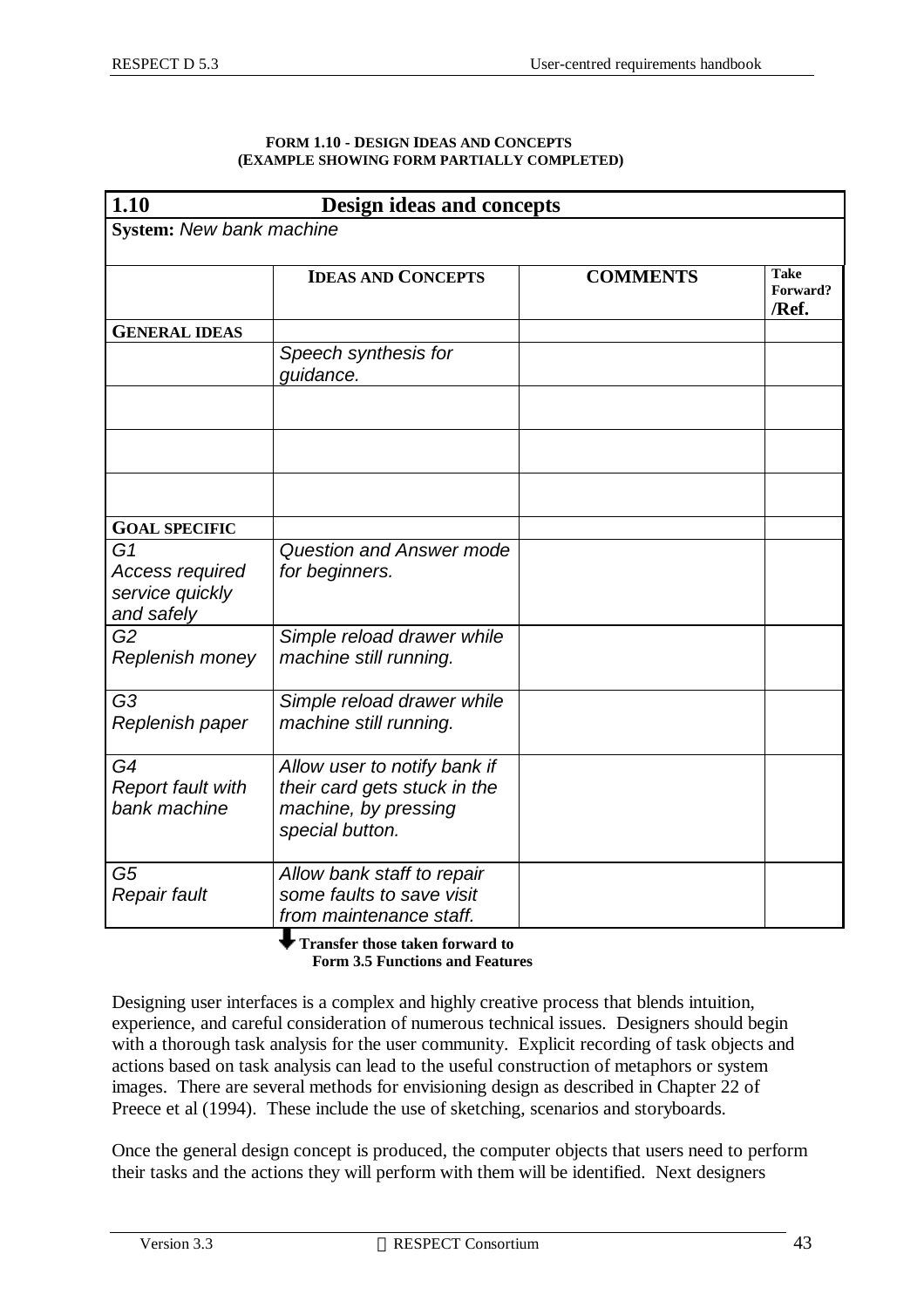#### **FORM 1.10 - DESIGN IDEAS AND CONCEPTS (EXAMPLE SHOWING FORM PARTIALLY COMPLETED)**

| 1.10<br><b>Design ideas and concepts</b>                                  |                                                                                                         |                 |                                  |  |  |
|---------------------------------------------------------------------------|---------------------------------------------------------------------------------------------------------|-----------------|----------------------------------|--|--|
| <b>System: New bank machine</b>                                           |                                                                                                         |                 |                                  |  |  |
|                                                                           | <b>IDEAS AND CONCEPTS</b>                                                                               | <b>COMMENTS</b> | <b>Take</b><br>Forward?<br>/Ref. |  |  |
| <b>GENERAL IDEAS</b>                                                      |                                                                                                         |                 |                                  |  |  |
|                                                                           | Speech synthesis for<br>guidance.                                                                       |                 |                                  |  |  |
|                                                                           |                                                                                                         |                 |                                  |  |  |
|                                                                           |                                                                                                         |                 |                                  |  |  |
|                                                                           |                                                                                                         |                 |                                  |  |  |
| <b>GOAL SPECIFIC</b>                                                      |                                                                                                         |                 |                                  |  |  |
| G <sub>1</sub><br><b>Access required</b><br>service quickly<br>and safely | <b>Question and Answer mode</b><br>for beginners.                                                       |                 |                                  |  |  |
| G <sub>2</sub><br>Replenish money                                         | Simple reload drawer while<br>machine still running.                                                    |                 |                                  |  |  |
| G <sub>3</sub><br>Replenish paper                                         | Simple reload drawer while<br>machine still running.                                                    |                 |                                  |  |  |
| G4<br><b>Report fault with</b><br>bank machine                            | Allow user to notify bank if<br>their card gets stuck in the<br>machine, by pressing<br>special button. |                 |                                  |  |  |
| G5<br>Repair fault                                                        | Allow bank staff to repair<br>some faults to save visit<br>from maintenance staff.                      |                 |                                  |  |  |

 **Transfer those taken forward to Form 3.5 Functions and Features**

Designing user interfaces is a complex and highly creative process that blends intuition, experience, and careful consideration of numerous technical issues. Designers should begin with a thorough task analysis for the user community. Explicit recording of task objects and actions based on task analysis can lead to the useful construction of metaphors or system images. There are several methods for envisioning design as described in Chapter 22 of Preece et al (1994). These include the use of sketching, scenarios and storyboards.

Once the general design concept is produced, the computer objects that users need to perform their tasks and the actions they will perform with them will be identified. Next designers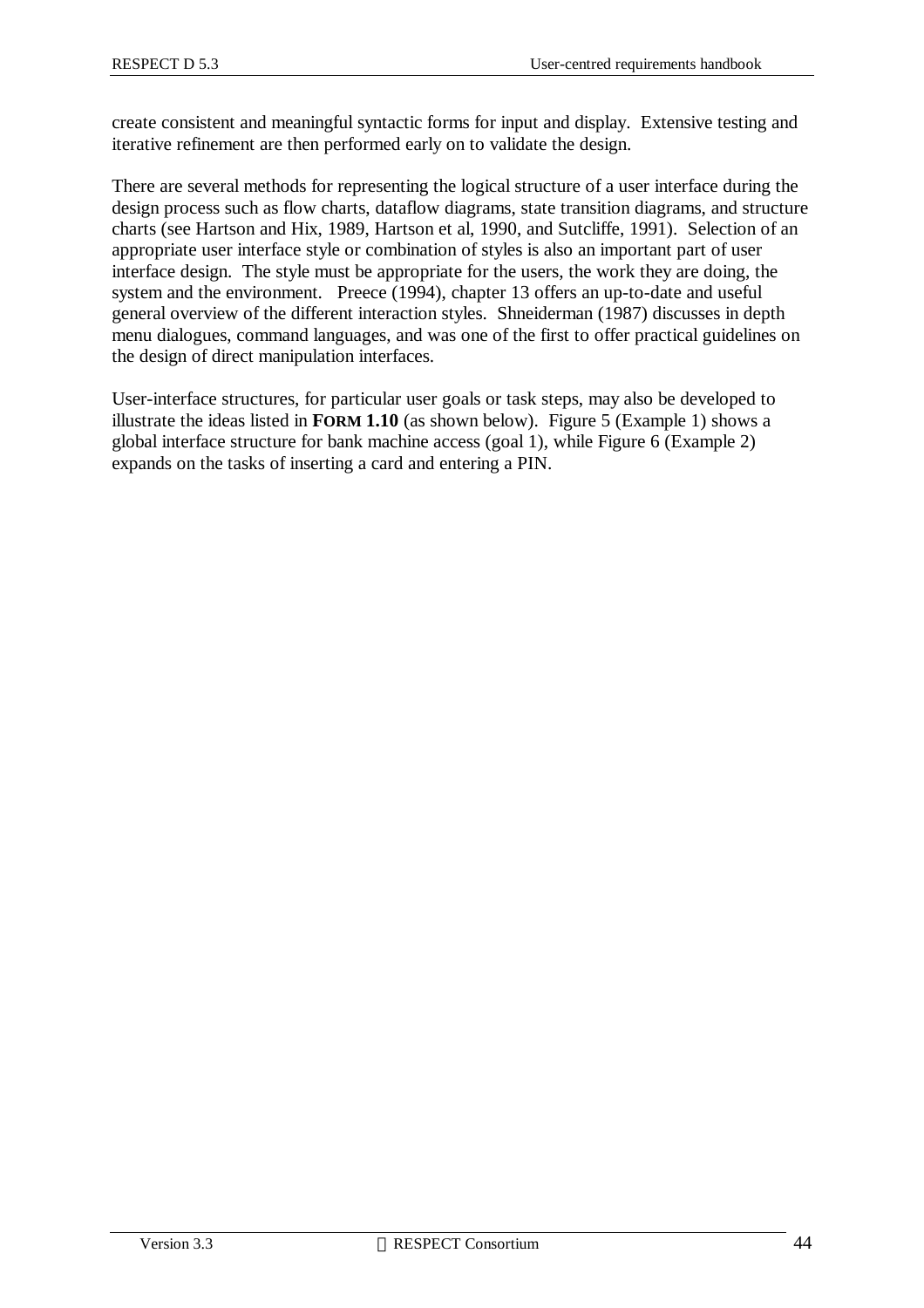create consistent and meaningful syntactic forms for input and display. Extensive testing and iterative refinement are then performed early on to validate the design.

There are several methods for representing the logical structure of a user interface during the design process such as flow charts, dataflow diagrams, state transition diagrams, and structure charts (see Hartson and Hix, 1989, Hartson et al, 1990, and Sutcliffe, 1991). Selection of an appropriate user interface style or combination of styles is also an important part of user interface design. The style must be appropriate for the users, the work they are doing, the system and the environment. Preece (1994), chapter 13 offers an up-to-date and useful general overview of the different interaction styles. Shneiderman (1987) discusses in depth menu dialogues, command languages, and was one of the first to offer practical guidelines on the design of direct manipulation interfaces.

User-interface structures, for particular user goals or task steps, may also be developed to illustrate the ideas listed in **FORM 1.10** (as shown below). Figure 5 (Example 1) shows a global interface structure for bank machine access (goal 1), while Figure 6 (Example 2) expands on the tasks of inserting a card and entering a PIN.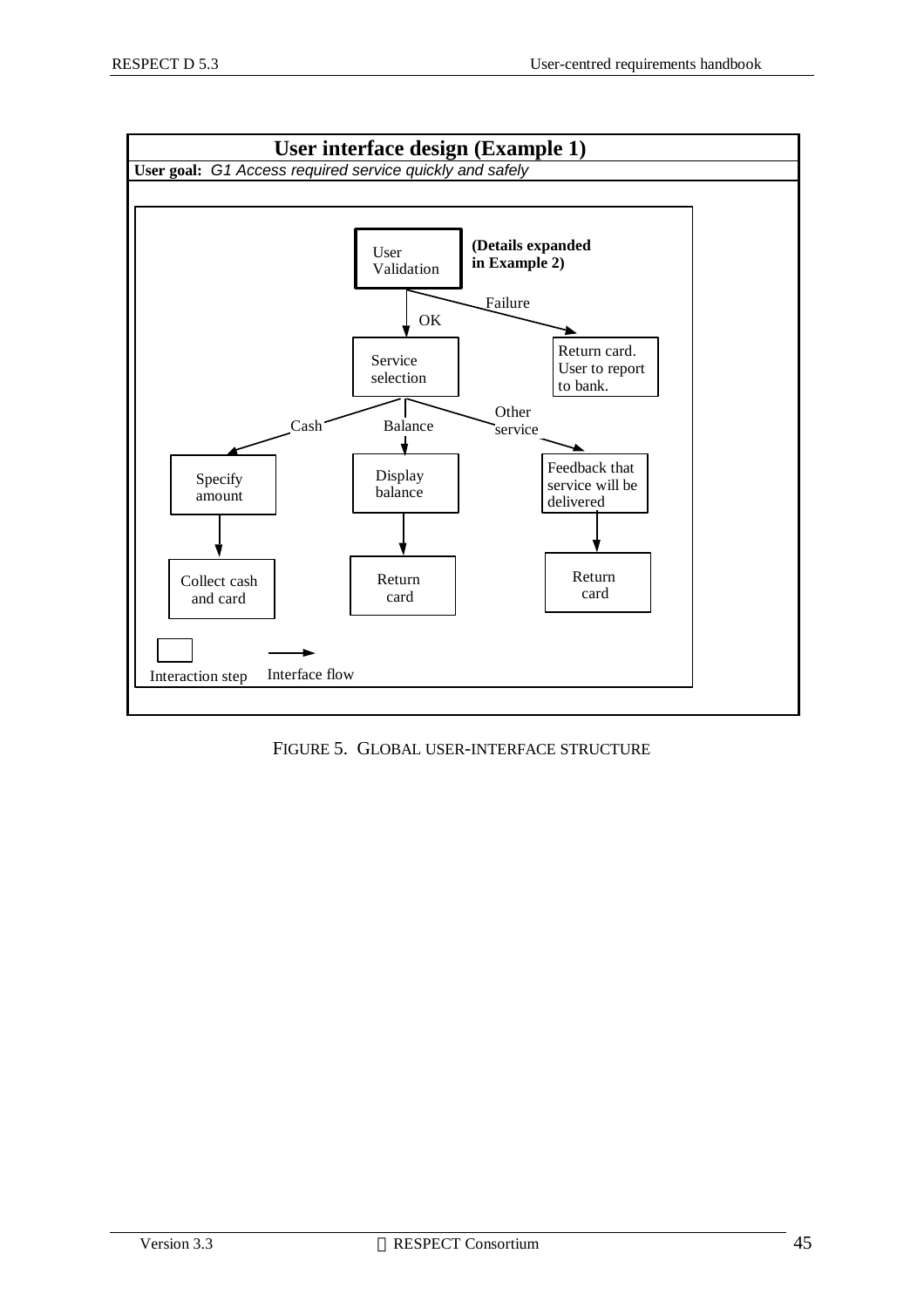

FIGURE 5. GLOBAL USER-INTERFACE STRUCTURE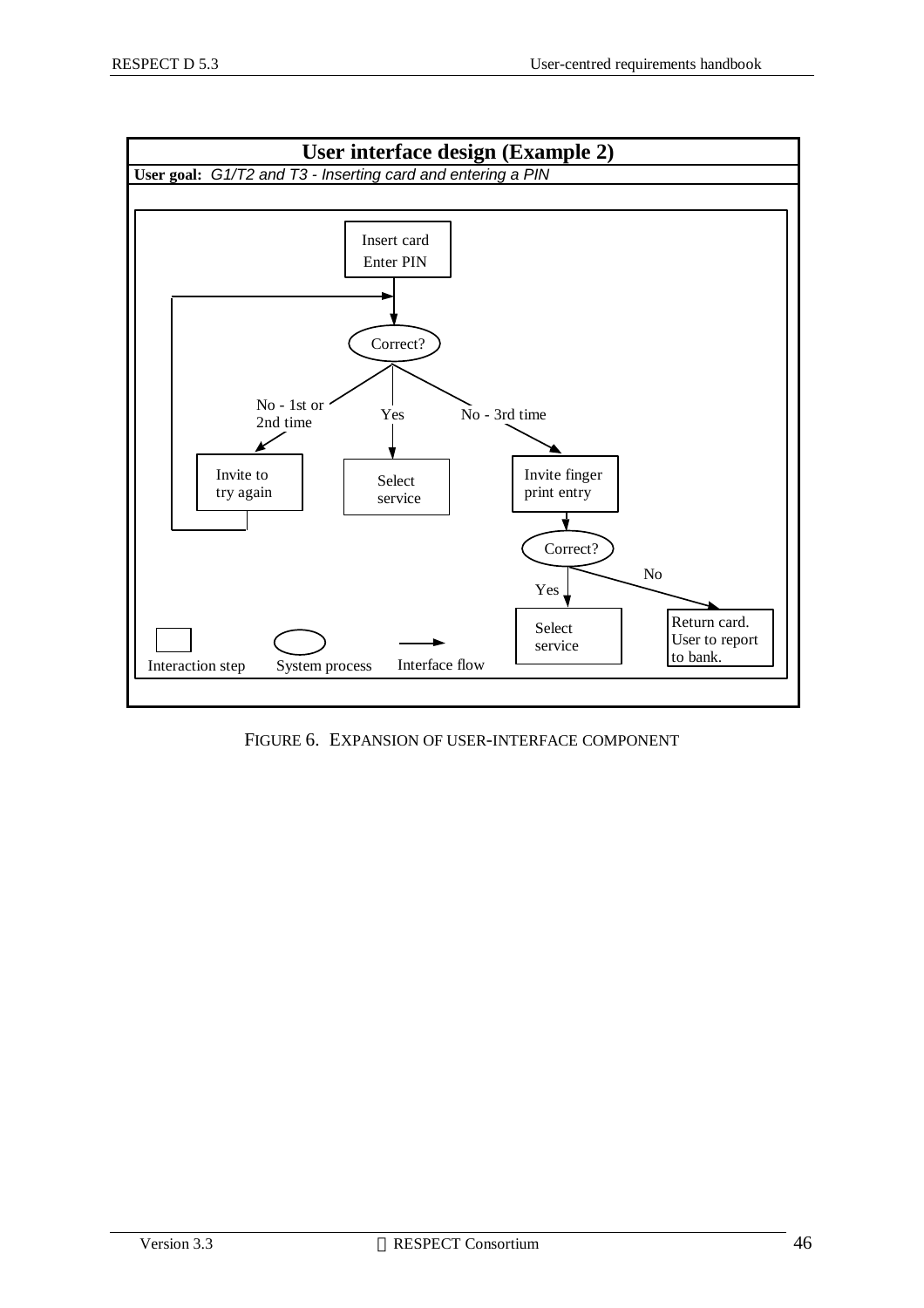

FIGURE 6. EXPANSION OF USER-INTERFACE COMPONENT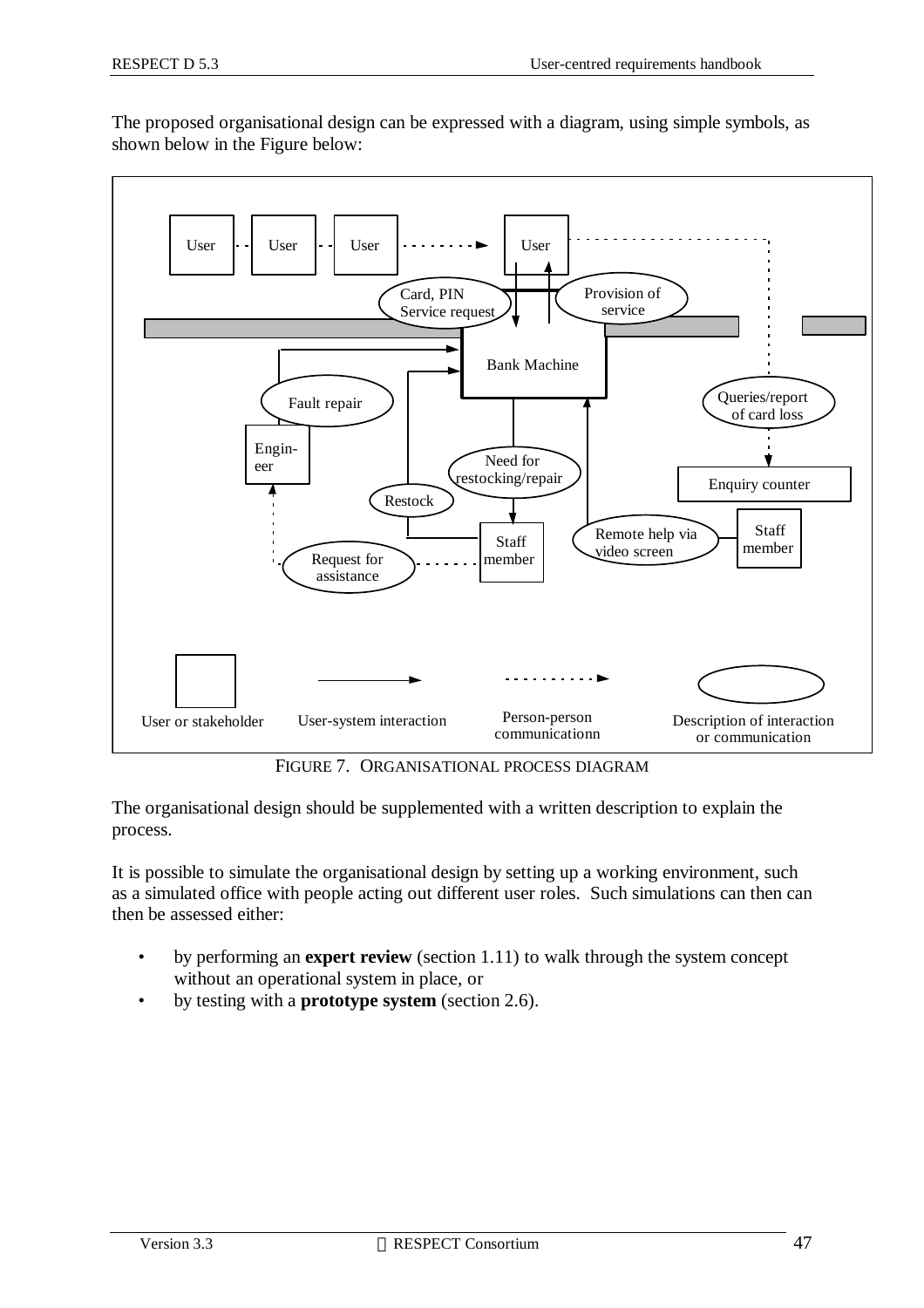The proposed organisational design can be expressed with a diagram, using simple symbols, as shown below in the Figure below:



FIGURE 7. ORGANISATIONAL PROCESS DIAGRAM

The organisational design should be supplemented with a written description to explain the process.

It is possible to simulate the organisational design by setting up a working environment, such as a simulated office with people acting out different user roles. Such simulations can then can then be assessed either:

- by performing an **expert review** (section 1.11) to walk through the system concept without an operational system in place, or
- by testing with a **prototype system** (section 2.6).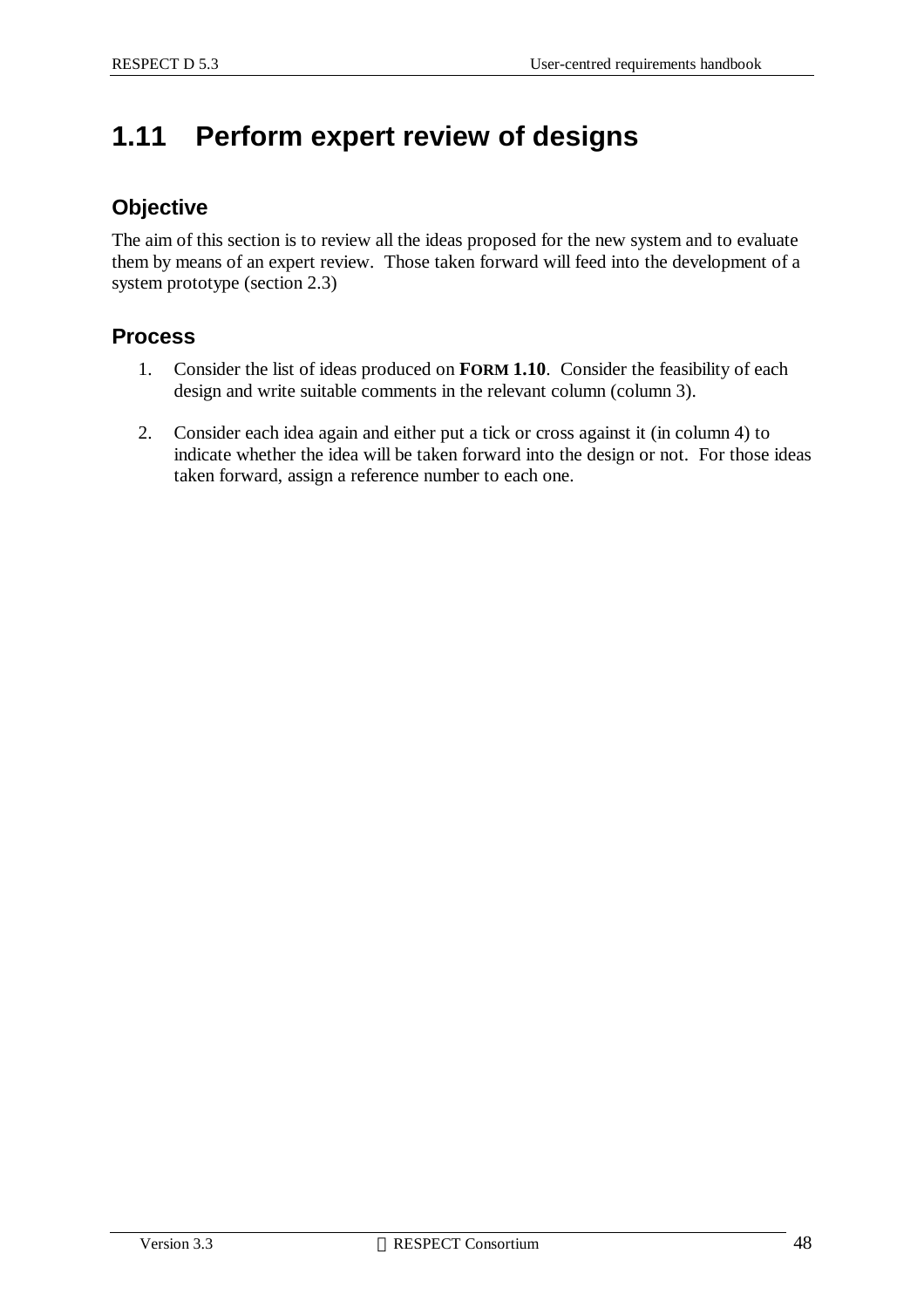## **1.11 Perform expert review of designs**

### **Objective**

The aim of this section is to review all the ideas proposed for the new system and to evaluate them by means of an expert review. Those taken forward will feed into the development of a system prototype (section 2.3)

### **Process**

- 1. Consider the list of ideas produced on **FORM 1.10**. Consider the feasibility of each design and write suitable comments in the relevant column (column 3).
- 2. Consider each idea again and either put a tick or cross against it (in column 4) to indicate whether the idea will be taken forward into the design or not. For those ideas taken forward, assign a reference number to each one.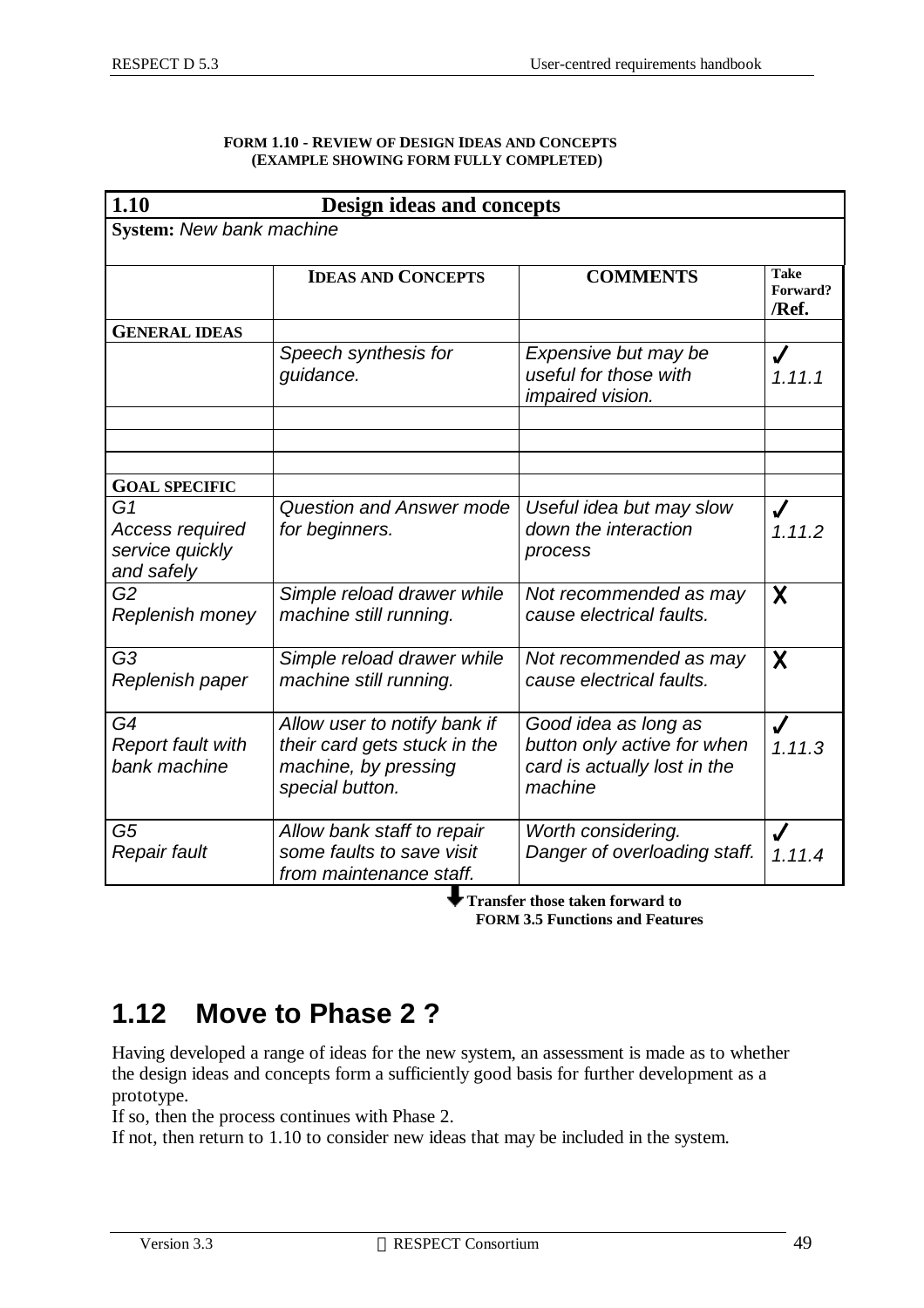| <b>FORM 1.10 - REVIEW OF DESIGN IDEAS AND CONCEPTS</b> |
|--------------------------------------------------------|
| (EXAMPLE SHOWING FORM FULLY COMPLETED)                 |

| 1.10                                                          | Design ideas and concepts                                                                               |                                                                                                |                                  |  |  |
|---------------------------------------------------------------|---------------------------------------------------------------------------------------------------------|------------------------------------------------------------------------------------------------|----------------------------------|--|--|
| System: New bank machine                                      |                                                                                                         |                                                                                                |                                  |  |  |
|                                                               | <b>IDEAS AND CONCEPTS</b>                                                                               | <b>COMMENTS</b>                                                                                | <b>Take</b><br>Forward?<br>/Ref. |  |  |
| <b>GENERAL IDEAS</b>                                          |                                                                                                         |                                                                                                |                                  |  |  |
|                                                               | Speech synthesis for<br>guidance.                                                                       | Expensive but may be<br>useful for those with<br>impaired vision.                              | J<br>1.11.1                      |  |  |
|                                                               |                                                                                                         |                                                                                                |                                  |  |  |
| <b>GOAL SPECIFIC</b>                                          |                                                                                                         |                                                                                                |                                  |  |  |
| G1<br><b>Access required</b><br>service quickly<br>and safely | <b>Question and Answer mode</b><br>for beginners.                                                       | Useful idea but may slow<br>down the interaction<br>process                                    | 1.11.2                           |  |  |
| G <sub>2</sub><br>Replenish money                             | Simple reload drawer while<br>machine still running.                                                    | Not recommended as may<br>cause electrical faults.                                             | X                                |  |  |
| G <sub>3</sub><br>Replenish paper                             | Simple reload drawer while<br>machine still running.                                                    | Not recommended as may<br>cause electrical faults.                                             | X                                |  |  |
| G4<br><b>Report fault with</b><br>bank machine                | Allow user to notify bank if<br>their card gets stuck in the<br>machine, by pressing<br>special button. | Good idea as long as<br>button only active for when<br>card is actually lost in the<br>machine | J<br>1.11.3                      |  |  |
| G5<br>Repair fault                                            | Allow bank staff to repair<br>some faults to save visit<br>from maintenance staff.                      | Worth considering.<br>Danger of overloading staff.                                             | 1.11.4                           |  |  |

 **Transfer those taken forward to FORM 3.5 Functions and Features**

## **1.12 Move to Phase 2 ?**

Having developed a range of ideas for the new system, an assessment is made as to whether the design ideas and concepts form a sufficiently good basis for further development as a prototype.

If so, then the process continues with Phase 2.

If not, then return to 1.10 to consider new ideas that may be included in the system.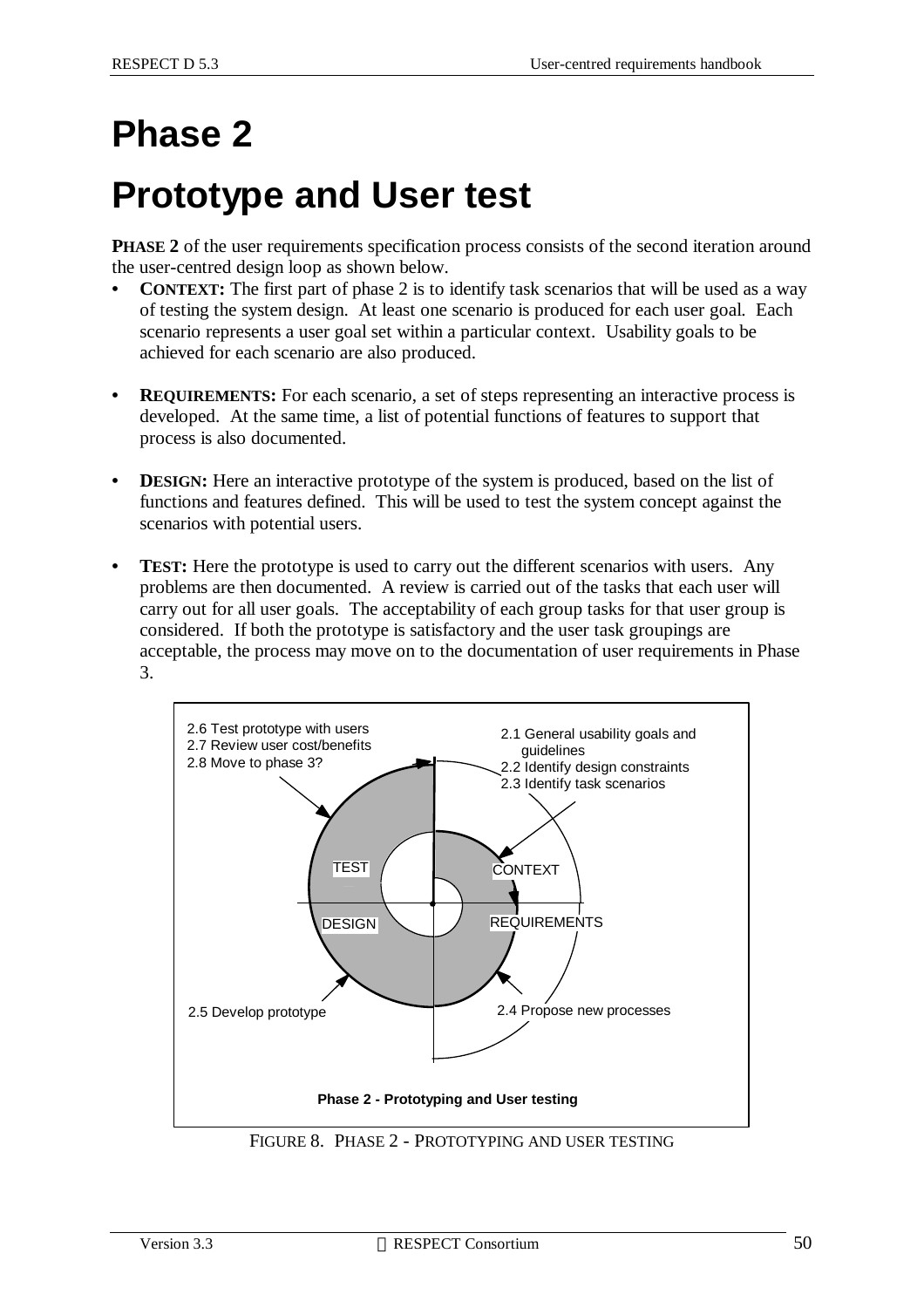# **Phase 2**

# **Prototype and User test**

**PHASE 2** of the user requirements specification process consists of the second iteration around the user-centred design loop as shown below.

- **CONTEXT:** The first part of phase 2 is to identify task scenarios that will be used as a way of testing the system design. At least one scenario is produced for each user goal. Each scenario represents a user goal set within a particular context. Usability goals to be achieved for each scenario are also produced.
- **• REQUIREMENTS:** For each scenario, a set of steps representing an interactive process is developed. At the same time, a list of potential functions of features to support that process is also documented.
- **DESIGN:** Here an interactive prototype of the system is produced, based on the list of functions and features defined. This will be used to test the system concept against the scenarios with potential users.
- **TEST:** Here the prototype is used to carry out the different scenarios with users. Any problems are then documented. A review is carried out of the tasks that each user will carry out for all user goals. The acceptability of each group tasks for that user group is considered. If both the prototype is satisfactory and the user task groupings are acceptable, the process may move on to the documentation of user requirements in Phase 3.



FIGURE 8. PHASE 2 - PROTOTYPING AND USER TESTING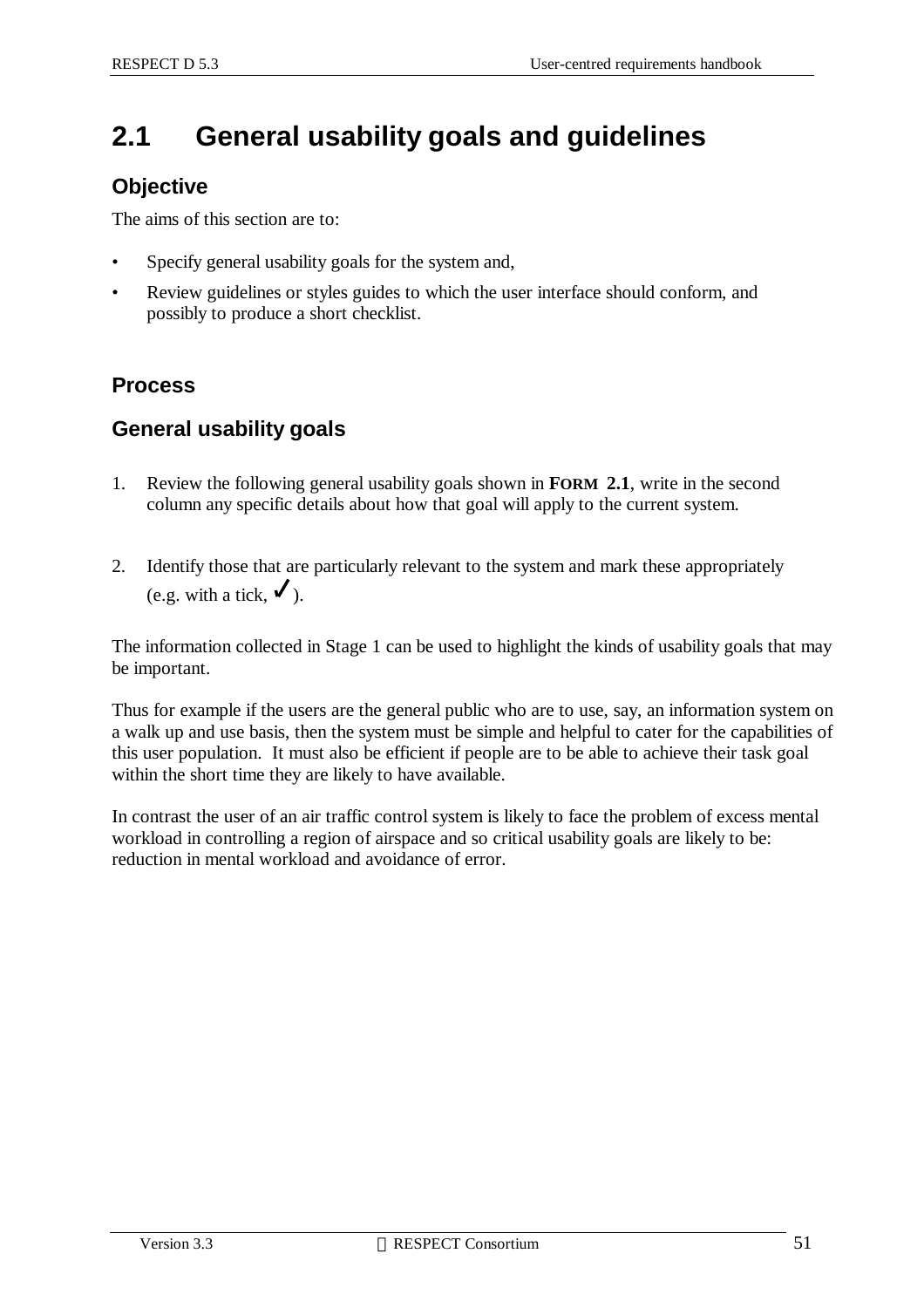## **2.1 General usability goals and guidelines**

### **Objective**

The aims of this section are to:

- Specify general usability goals for the system and,
- Review guidelines or styles guides to which the user interface should conform, and possibly to produce a short checklist.

### **Process**

### **General usability goals**

- 1. Review the following general usability goals shown in **FORM 2.1**, write in the second column any specific details about how that goal will apply to the current system.
- 2. Identify those that are particularly relevant to the system and mark these appropriately (e.g. with a tick,  $\checkmark$ ).

The information collected in Stage 1 can be used to highlight the kinds of usability goals that may be important.

Thus for example if the users are the general public who are to use, say, an information system on a walk up and use basis, then the system must be simple and helpful to cater for the capabilities of this user population. It must also be efficient if people are to be able to achieve their task goal within the short time they are likely to have available.

In contrast the user of an air traffic control system is likely to face the problem of excess mental workload in controlling a region of airspace and so critical usability goals are likely to be: reduction in mental workload and avoidance of error.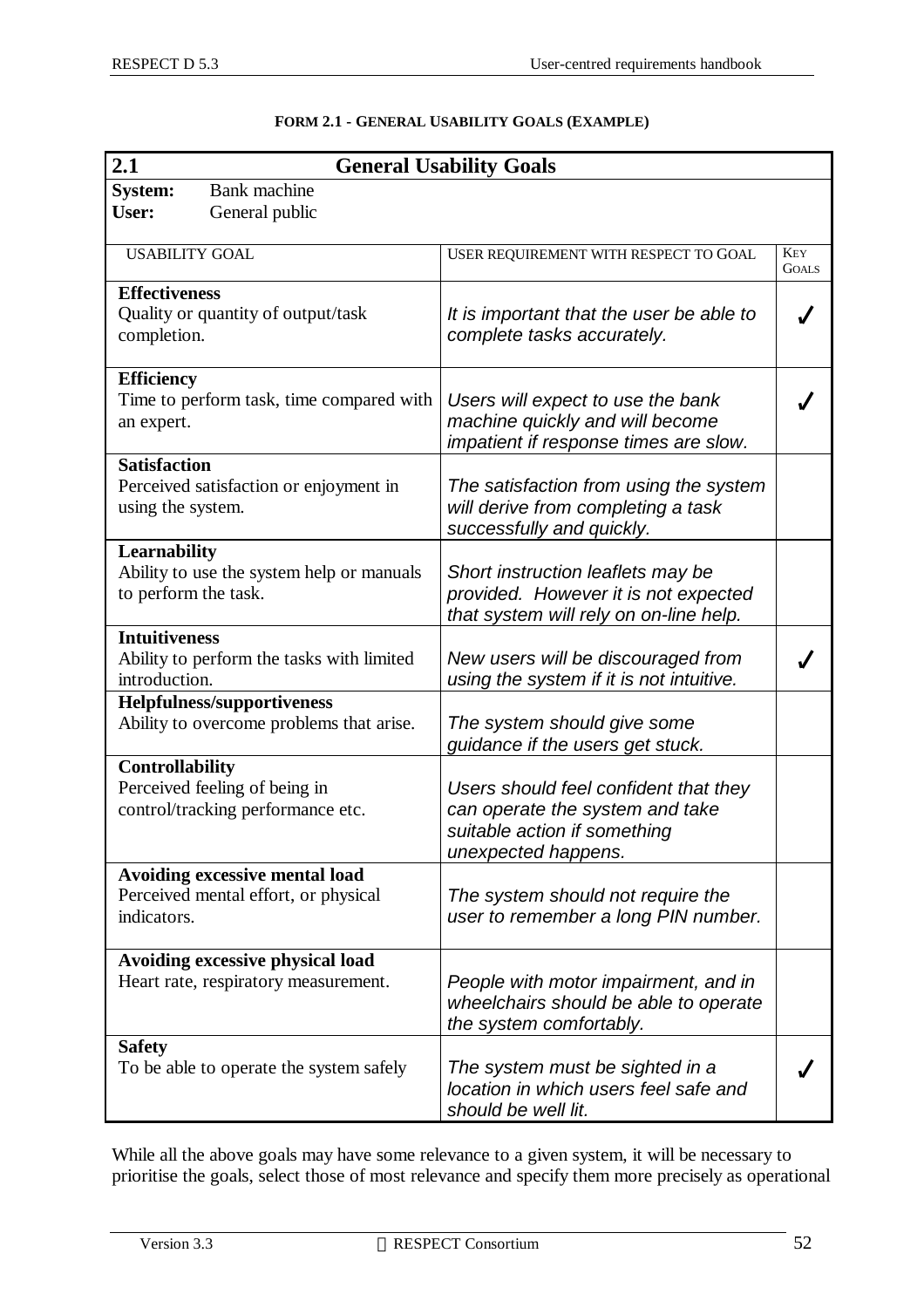| 2.1<br><b>General Usability Goals</b>                                                        |                                       |                                                                                                                                 |                            |  |
|----------------------------------------------------------------------------------------------|---------------------------------------|---------------------------------------------------------------------------------------------------------------------------------|----------------------------|--|
| <b>System:</b><br>User:                                                                      | <b>Bank</b> machine<br>General public |                                                                                                                                 |                            |  |
| <b>USABILITY GOAL</b>                                                                        |                                       | USER REQUIREMENT WITH RESPECT TO GOAL                                                                                           | <b>KEY</b><br><b>GOALS</b> |  |
| <b>Effectiveness</b><br>Quality or quantity of output/task<br>completion.                    |                                       | It is important that the user be able to<br>complete tasks accurately.                                                          |                            |  |
| <b>Efficiency</b><br>Time to perform task, time compared with<br>an expert.                  |                                       | Users will expect to use the bank<br>machine quickly and will become<br>impatient if response times are slow.                   |                            |  |
| <b>Satisfaction</b><br>Perceived satisfaction or enjoyment in<br>using the system.           |                                       | The satisfaction from using the system<br>will derive from completing a task<br>successfully and quickly.                       |                            |  |
| Learnability<br>Ability to use the system help or manuals<br>to perform the task.            |                                       | Short instruction leaflets may be<br>provided. However it is not expected<br>that system will rely on on-line help.             |                            |  |
| <b>Intuitiveness</b><br>Ability to perform the tasks with limited<br>introduction.           |                                       | New users will be discouraged from<br>using the system if it is not intuitive.                                                  |                            |  |
| <b>Helpfulness/supportiveness</b><br>Ability to overcome problems that arise.                |                                       | The system should give some<br>guidance if the users get stuck.                                                                 |                            |  |
| <b>Controllability</b><br>Perceived feeling of being in<br>control/tracking performance etc. |                                       | Users should feel confident that they<br>can operate the system and take<br>suitable action if something<br>unexpected happens. |                            |  |
| Avoiding excessive mental load<br>Perceived mental effort, or physical<br>indicators.        |                                       | The system should not require the<br>user to remember a long PIN number.                                                        |                            |  |
| Avoiding excessive physical load<br>Heart rate, respiratory measurement.                     |                                       | People with motor impairment, and in<br>wheelchairs should be able to operate<br>the system comfortably.                        |                            |  |
| <b>Safety</b><br>To be able to operate the system safely                                     |                                       | The system must be sighted in a<br>location in which users feel safe and<br>should be well lit.                                 |                            |  |

#### **FORM 2.1 - GENERAL USABILITY GOALS (EXAMPLE)**

While all the above goals may have some relevance to a given system, it will be necessary to prioritise the goals, select those of most relevance and specify them more precisely as operational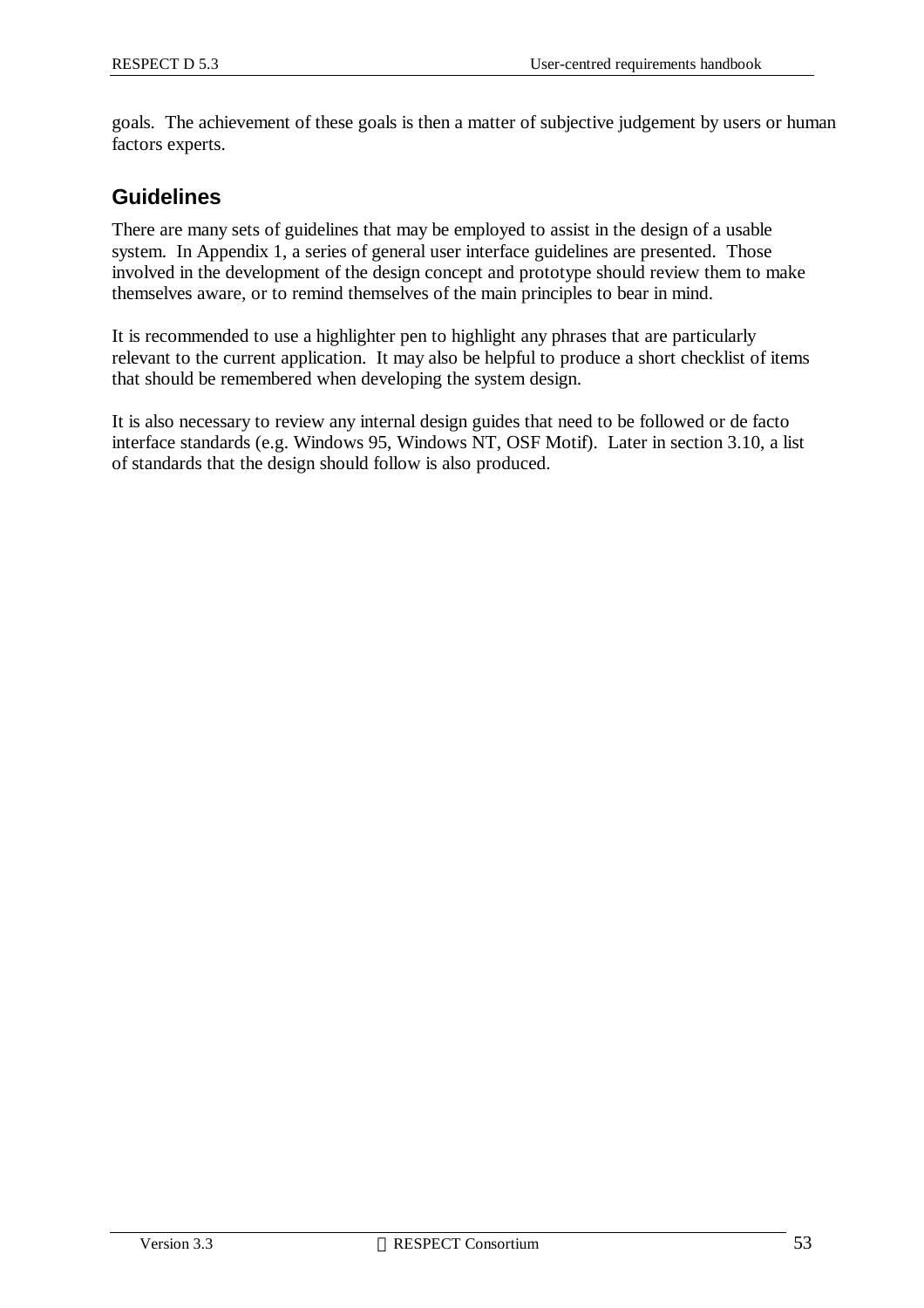goals. The achievement of these goals is then a matter of subjective judgement by users or human factors experts.

### **Guidelines**

There are many sets of guidelines that may be employed to assist in the design of a usable system. In Appendix 1, a series of general user interface guidelines are presented. Those involved in the development of the design concept and prototype should review them to make themselves aware, or to remind themselves of the main principles to bear in mind.

It is recommended to use a highlighter pen to highlight any phrases that are particularly relevant to the current application. It may also be helpful to produce a short checklist of items that should be remembered when developing the system design.

It is also necessary to review any internal design guides that need to be followed or de facto interface standards (e.g. Windows 95, Windows NT, OSF Motif). Later in section 3.10, a list of standards that the design should follow is also produced.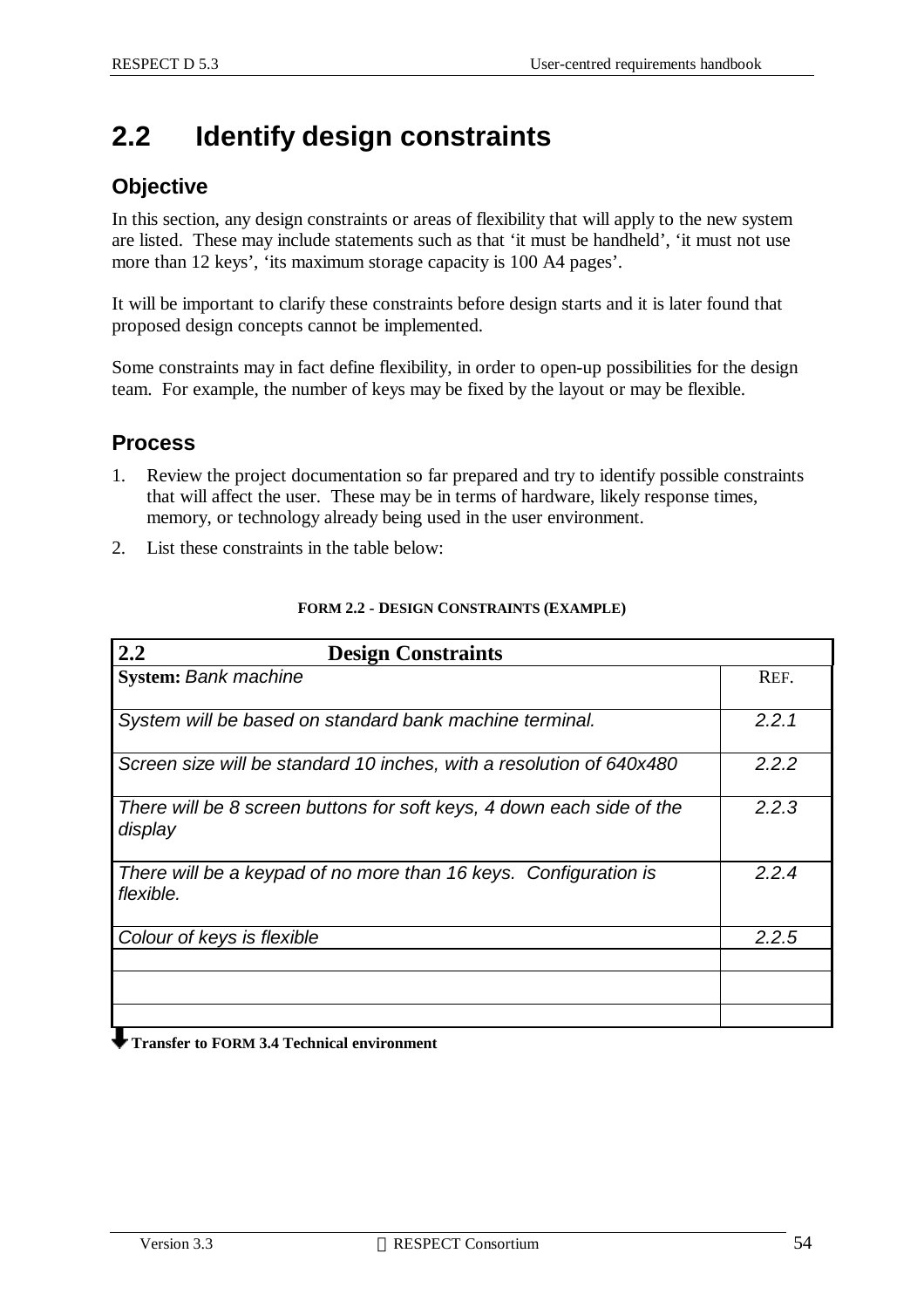## **2.2 Identify design constraints**

### **Objective**

In this section, any design constraints or areas of flexibility that will apply to the new system are listed. These may include statements such as that 'it must be handheld', 'it must not use more than 12 keys', 'its maximum storage capacity is 100 A4 pages'.

It will be important to clarify these constraints before design starts and it is later found that proposed design concepts cannot be implemented.

Some constraints may in fact define flexibility, in order to open-up possibilities for the design team. For example, the number of keys may be fixed by the layout or may be flexible.

### **Process**

- 1. Review the project documentation so far prepared and try to identify possible constraints that will affect the user. These may be in terms of hardware, likely response times, memory, or technology already being used in the user environment.
- 2. List these constraints in the table below:

| 2.2<br><b>Design Constraints</b>                                                 |       |
|----------------------------------------------------------------------------------|-------|
| <b>System: Bank machine</b>                                                      | REF.  |
| System will be based on standard bank machine terminal.                          | 2.2.1 |
| Screen size will be standard 10 inches, with a resolution of 640x480             | 2.2.2 |
| There will be 8 screen buttons for soft keys, 4 down each side of the<br>display | 2.2.3 |
| There will be a keypad of no more than 16 keys. Configuration is<br>flexible.    | 2.2.4 |
| Colour of keys is flexible                                                       | 2.2.5 |
|                                                                                  |       |
|                                                                                  |       |

#### **FORM 2.2 - DESIGN CONSTRAINTS (EXAMPLE)**

 **Transfer to FORM 3.4 Technical environment**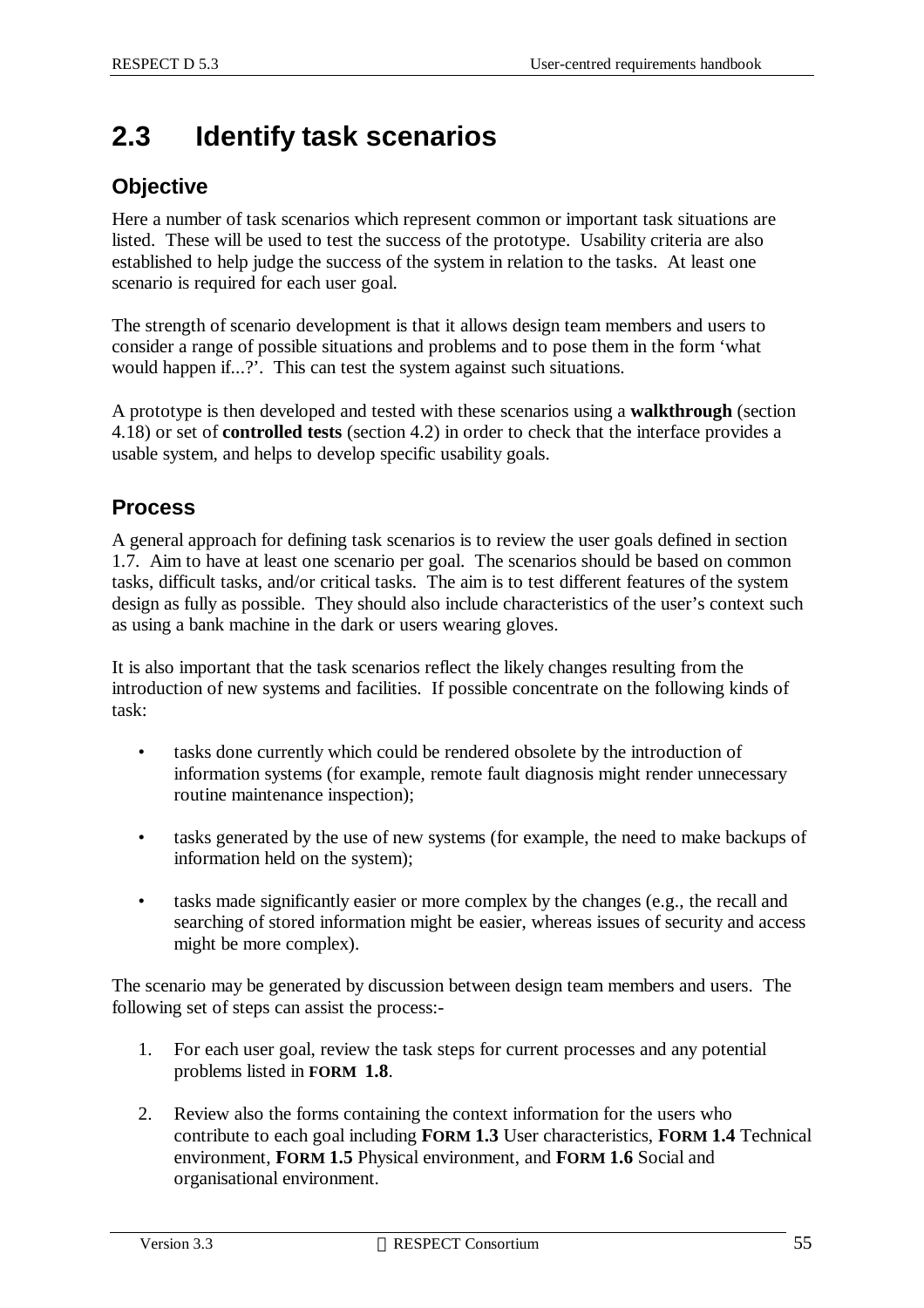# **2.3 Identify task scenarios**

## **Objective**

Here a number of task scenarios which represent common or important task situations are listed. These will be used to test the success of the prototype. Usability criteria are also established to help judge the success of the system in relation to the tasks. At least one scenario is required for each user goal.

The strength of scenario development is that it allows design team members and users to consider a range of possible situations and problems and to pose them in the form 'what would happen if...?'. This can test the system against such situations.

A prototype is then developed and tested with these scenarios using a **walkthrough** (section 4.18) or set of **controlled tests** (section 4.2) in order to check that the interface provides a usable system, and helps to develop specific usability goals.

## **Process**

A general approach for defining task scenarios is to review the user goals defined in section 1.7. Aim to have at least one scenario per goal. The scenarios should be based on common tasks, difficult tasks, and/or critical tasks. The aim is to test different features of the system design as fully as possible. They should also include characteristics of the user's context such as using a bank machine in the dark or users wearing gloves.

It is also important that the task scenarios reflect the likely changes resulting from the introduction of new systems and facilities. If possible concentrate on the following kinds of task:

- tasks done currently which could be rendered obsolete by the introduction of information systems (for example, remote fault diagnosis might render unnecessary routine maintenance inspection);
- tasks generated by the use of new systems (for example, the need to make backups of information held on the system);
- tasks made significantly easier or more complex by the changes (e.g., the recall and searching of stored information might be easier, whereas issues of security and access might be more complex).

The scenario may be generated by discussion between design team members and users. The following set of steps can assist the process:-

- 1. For each user goal, review the task steps for current processes and any potential problems listed in **FORM 1.8**.
- 2. Review also the forms containing the context information for the users who contribute to each goal including **FORM 1.3** User characteristics, **FORM 1.4** Technical environment, **FORM 1.5** Physical environment, and **FORM 1.6** Social and organisational environment.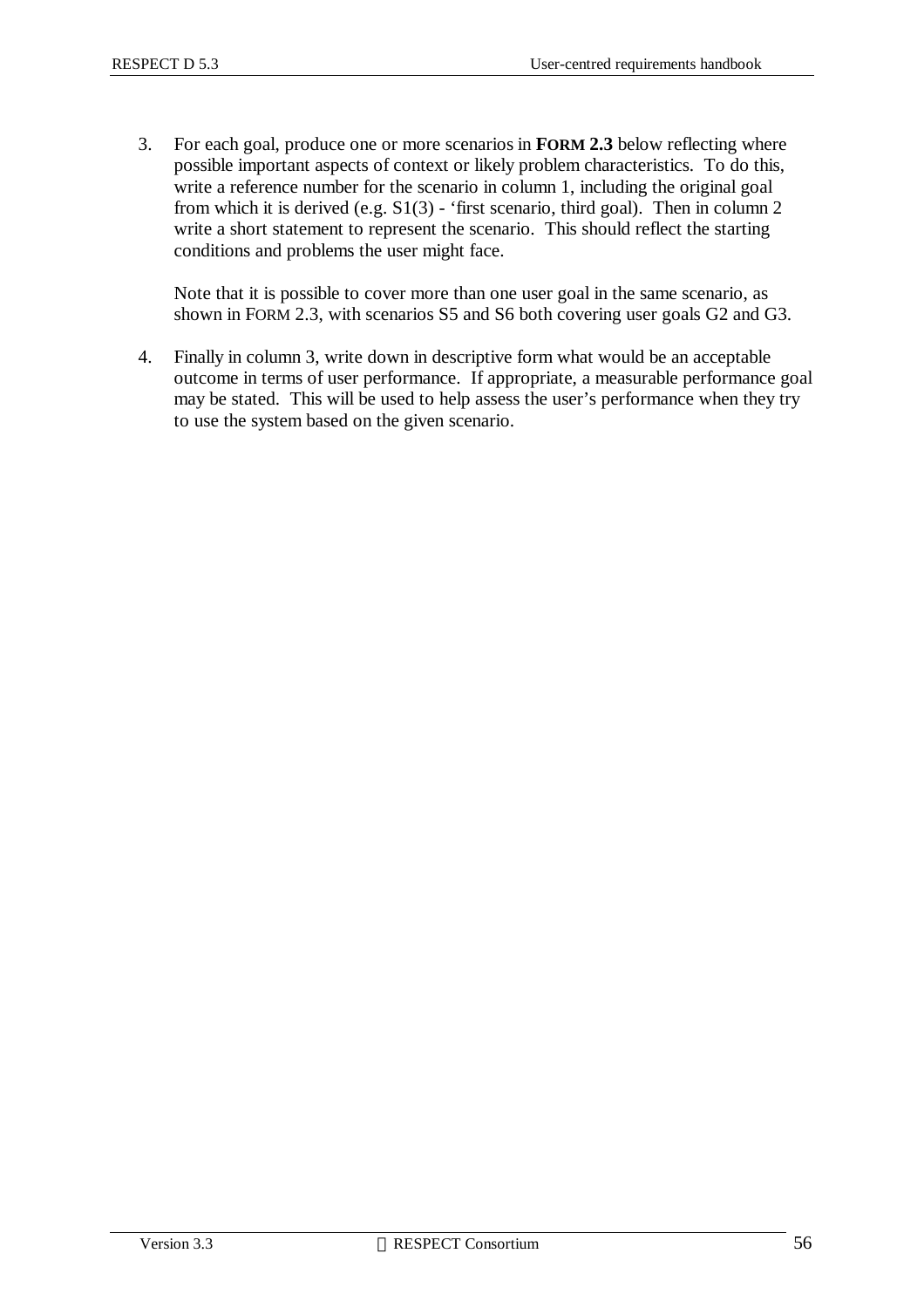3. For each goal, produce one or more scenarios in **FORM 2.3** below reflecting where possible important aspects of context or likely problem characteristics. To do this, write a reference number for the scenario in column 1, including the original goal from which it is derived (e.g.  $S1(3)$  - 'first scenario, third goal). Then in column 2 write a short statement to represent the scenario. This should reflect the starting conditions and problems the user might face.

Note that it is possible to cover more than one user goal in the same scenario, as shown in FORM 2.3, with scenarios S5 and S6 both covering user goals G2 and G3.

4. Finally in column 3, write down in descriptive form what would be an acceptable outcome in terms of user performance. If appropriate, a measurable performance goal may be stated. This will be used to help assess the user's performance when they try to use the system based on the given scenario.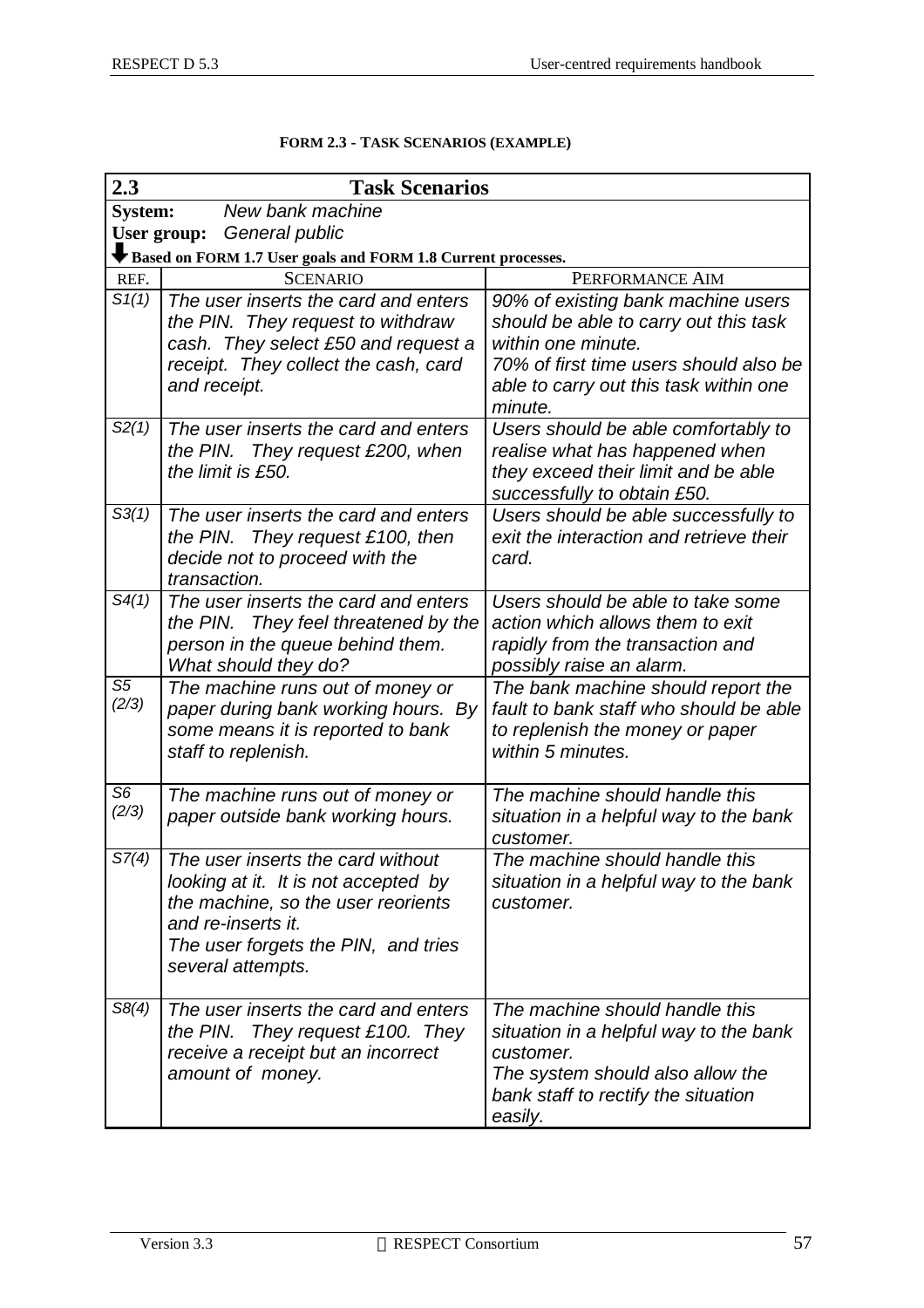| 2.3                     | <b>Task Scenarios</b>                                                                                                                                                                             |                                                                                                                                                                                                  |  |  |  |  |  |
|-------------------------|---------------------------------------------------------------------------------------------------------------------------------------------------------------------------------------------------|--------------------------------------------------------------------------------------------------------------------------------------------------------------------------------------------------|--|--|--|--|--|
| <b>System:</b>          | New bank machine                                                                                                                                                                                  |                                                                                                                                                                                                  |  |  |  |  |  |
|                         | General public<br>User group:                                                                                                                                                                     |                                                                                                                                                                                                  |  |  |  |  |  |
|                         | Based on FORM 1.7 User goals and FORM 1.8 Current processes.                                                                                                                                      |                                                                                                                                                                                                  |  |  |  |  |  |
| REF.                    | <b>SCENARIO</b>                                                                                                                                                                                   | PERFORMANCE AIM                                                                                                                                                                                  |  |  |  |  |  |
| S1(1)                   | The user inserts the card and enters<br>the PIN. They request to withdraw<br>cash. They select £50 and request a<br>receipt. They collect the cash, card<br>and receipt.                          | 90% of existing bank machine users<br>should be able to carry out this task<br>within one minute.<br>70% of first time users should also be<br>able to carry out this task within one<br>minute. |  |  |  |  |  |
| S2(1)                   | The user inserts the card and enters<br>They request £200, when<br>the PIN.<br>the limit is £50.                                                                                                  | Users should be able comfortably to<br>realise what has happened when<br>they exceed their limit and be able<br>successfully to obtain £50.                                                      |  |  |  |  |  |
| S3(1)                   | The user inserts the card and enters<br>the PIN.<br>They request £100, then<br>decide not to proceed with the<br>transaction.                                                                     | Users should be able successfully to<br>exit the interaction and retrieve their<br>card.                                                                                                         |  |  |  |  |  |
| S4(1)                   | The user inserts the card and enters<br>They feel threatened by the<br>the PIN.<br>person in the queue behind them.<br>What should they do?                                                       | Users should be able to take some<br>action which allows them to exit<br>rapidly from the transaction and<br>possibly raise an alarm.                                                            |  |  |  |  |  |
| S <sub>5</sub><br>(2/3) | The machine runs out of money or<br>paper during bank working hours. By<br>some means it is reported to bank<br>staff to replenish.                                                               | The bank machine should report the<br>fault to bank staff who should be able<br>to replenish the money or paper<br>within 5 minutes.                                                             |  |  |  |  |  |
| S <sub>6</sub><br>(2/3) | The machine runs out of money or<br>paper outside bank working hours.                                                                                                                             | The machine should handle this<br>situation in a helpful way to the bank<br>customer.                                                                                                            |  |  |  |  |  |
| S7(4)                   | The user inserts the card without<br>looking at it. It is not accepted by<br>the machine, so the user reorients<br>and re-inserts it.<br>The user forgets the PIN, and tries<br>several attempts. | The machine should handle this<br>situation in a helpful way to the bank<br>customer.                                                                                                            |  |  |  |  |  |
| S8(4)                   | The user inserts the card and enters<br>They request £100. They<br>the PIN.<br>receive a receipt but an incorrect<br>amount of money.                                                             | The machine should handle this<br>situation in a helpful way to the bank<br>customer.<br>The system should also allow the<br>bank staff to rectify the situation<br>easily.                      |  |  |  |  |  |

#### **FORM 2.3 - TASK SCENARIOS (EXAMPLE)**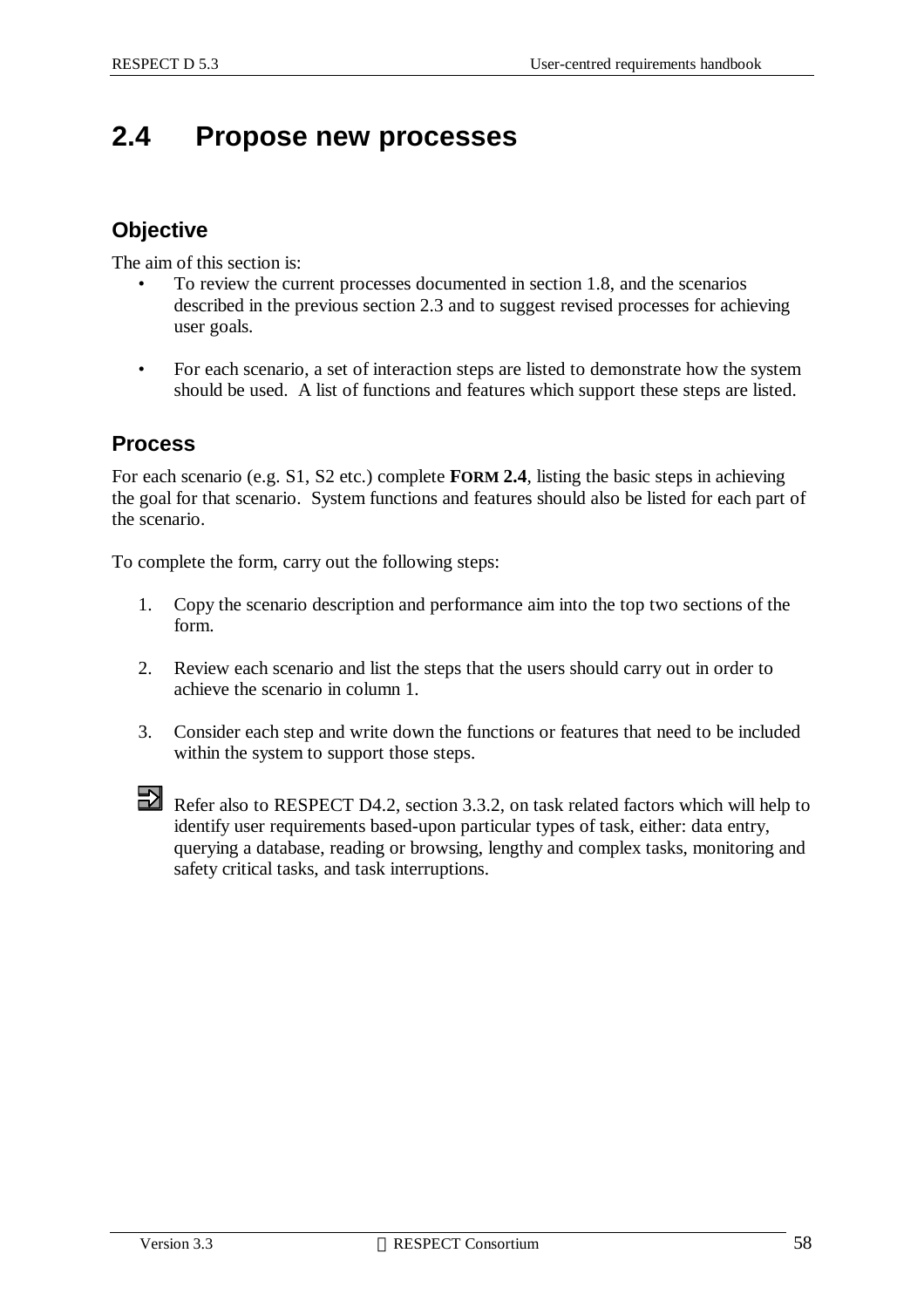# **2.4 Propose new processes**

#### **Objective**

The aim of this section is:

- To review the current processes documented in section 1.8, and the scenarios described in the previous section 2.3 and to suggest revised processes for achieving user goals.
- For each scenario, a set of interaction steps are listed to demonstrate how the system should be used. A list of functions and features which support these steps are listed.

#### **Process**

For each scenario (e.g. S1, S2 etc.) complete **FORM 2.4**, listing the basic steps in achieving the goal for that scenario. System functions and features should also be listed for each part of the scenario.

To complete the form, carry out the following steps:

- 1. Copy the scenario description and performance aim into the top two sections of the form.
- 2. Review each scenario and list the steps that the users should carry out in order to achieve the scenario in column 1.
- 3. Consider each step and write down the functions or features that need to be included within the system to support those steps.



Refer also to RESPECT D4.2, section 3.3.2, on task related factors which will help to identify user requirements based-upon particular types of task, either: data entry, querying a database, reading or browsing, lengthy and complex tasks, monitoring and safety critical tasks, and task interruptions.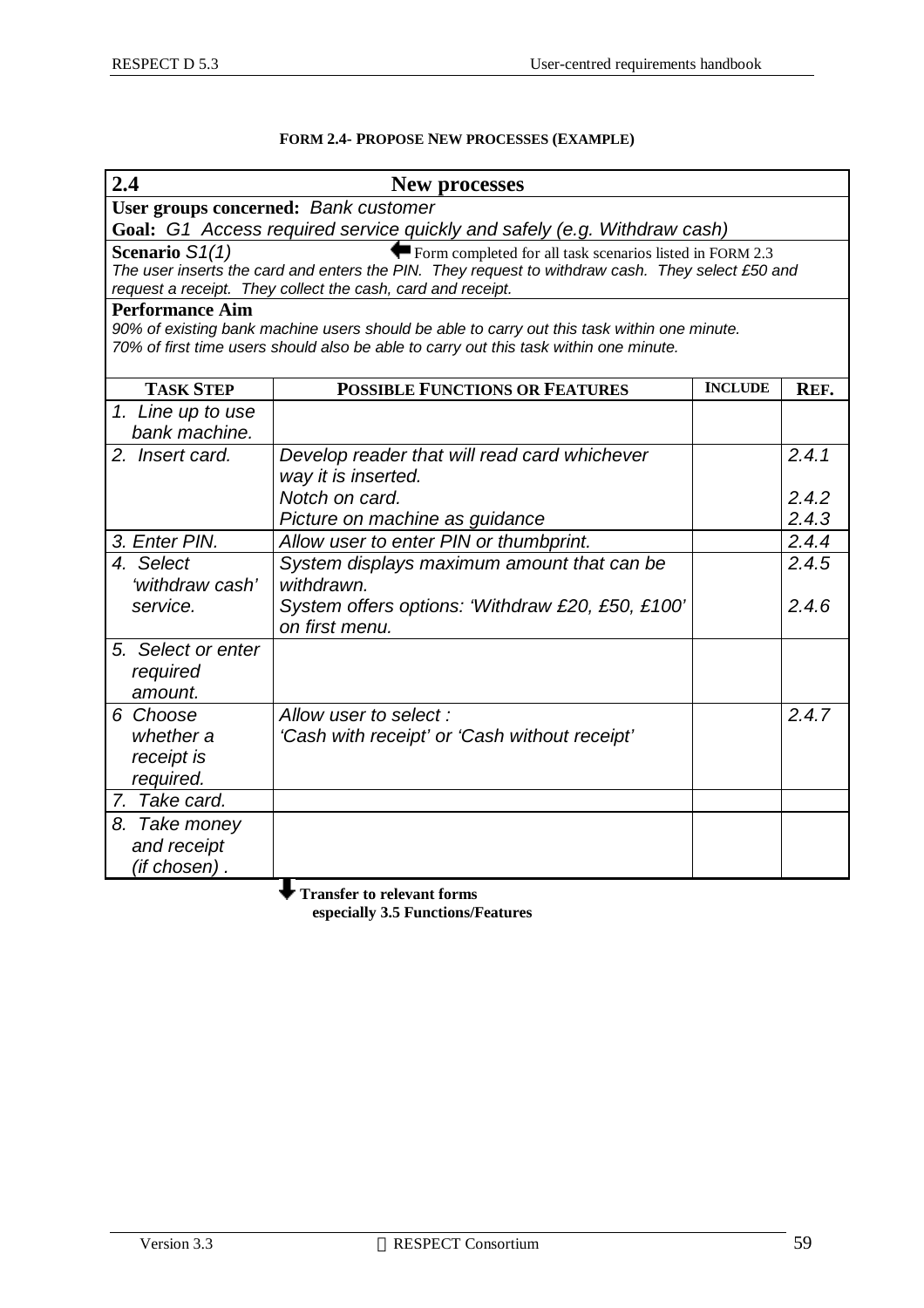#### **FORM 2.4- PROPOSE NEW PROCESSES (EXAMPLE)**

| 2.4                    | <b>New processes</b>                                                                                                                                                                 |                |       |
|------------------------|--------------------------------------------------------------------------------------------------------------------------------------------------------------------------------------|----------------|-------|
|                        | User groups concerned: Bank customer                                                                                                                                                 |                |       |
|                        | Goal: G1 Access required service quickly and safely (e.g. Withdraw cash)                                                                                                             |                |       |
| Scenario S1(1)         | Form completed for all task scenarios listed in FORM 2.3                                                                                                                             |                |       |
|                        | The user inserts the card and enters the PIN. They request to withdraw cash. They select £50 and                                                                                     |                |       |
|                        | request a receipt. They collect the cash, card and receipt.                                                                                                                          |                |       |
| <b>Performance Aim</b> |                                                                                                                                                                                      |                |       |
|                        | 90% of existing bank machine users should be able to carry out this task within one minute.<br>70% of first time users should also be able to carry out this task within one minute. |                |       |
|                        |                                                                                                                                                                                      |                |       |
| <b>TASK STEP</b>       | <b>POSSIBLE FUNCTIONS OR FEATURES</b>                                                                                                                                                | <b>INCLUDE</b> | REF.  |
| 1. Line up to use      |                                                                                                                                                                                      |                |       |
| bank machine.          |                                                                                                                                                                                      |                |       |
| 2. Insert card.        | Develop reader that will read card whichever                                                                                                                                         |                | 2.4.1 |
|                        | way it is inserted.                                                                                                                                                                  |                |       |
|                        | Notch on card.                                                                                                                                                                       |                | 2.4.2 |
|                        | Picture on machine as guidance                                                                                                                                                       |                | 2.4.3 |
| 3. Enter PIN.          | Allow user to enter PIN or thumbprint.                                                                                                                                               |                | 2.4.4 |
| 4. Select              | System displays maximum amount that can be                                                                                                                                           |                | 2.4.5 |
| 'withdraw cash'        | withdrawn.                                                                                                                                                                           |                |       |
| service.               | System offers options: 'Withdraw £20, £50, £100'                                                                                                                                     |                | 2.4.6 |
|                        | on first menu.                                                                                                                                                                       |                |       |
| 5. Select or enter     |                                                                                                                                                                                      |                |       |
| required               |                                                                                                                                                                                      |                |       |
| amount.                |                                                                                                                                                                                      |                |       |
| 6 Choose               | Allow user to select:                                                                                                                                                                |                | 2.4.7 |
| whether a              | 'Cash with receipt' or 'Cash without receipt'                                                                                                                                        |                |       |
| receipt is             |                                                                                                                                                                                      |                |       |
| required.              |                                                                                                                                                                                      |                |       |
| 7. Take card.          |                                                                                                                                                                                      |                |       |
| 8. Take money          |                                                                                                                                                                                      |                |       |
| and receipt            |                                                                                                                                                                                      |                |       |
| (if chosen) .          |                                                                                                                                                                                      |                |       |
|                        | <b>Transfer to relevant forms</b>                                                                                                                                                    |                |       |

 **especially 3.5 Functions/Features**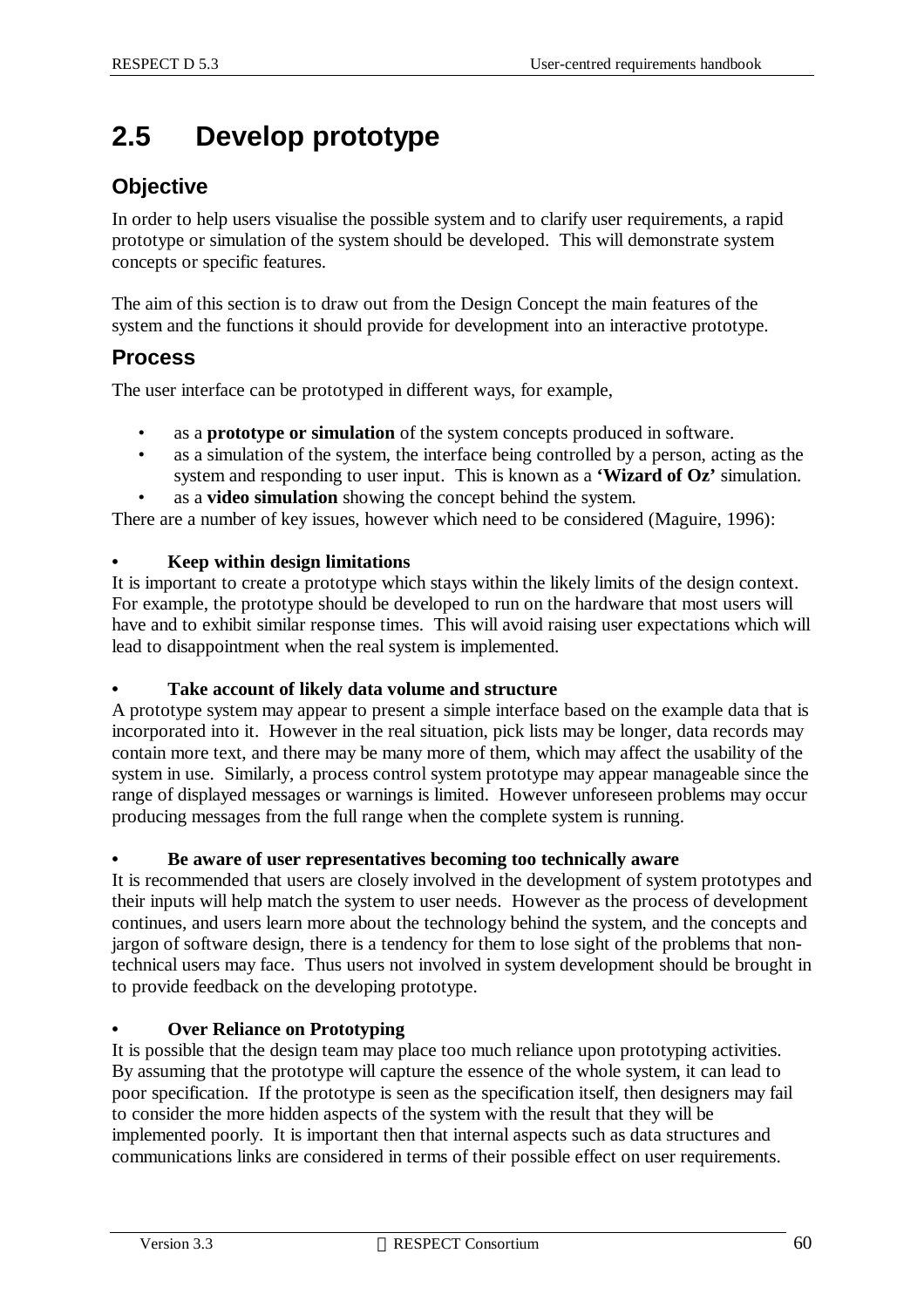# **2.5 Develop prototype**

### **Objective**

In order to help users visualise the possible system and to clarify user requirements, a rapid prototype or simulation of the system should be developed. This will demonstrate system concepts or specific features.

The aim of this section is to draw out from the Design Concept the main features of the system and the functions it should provide for development into an interactive prototype.

### **Process**

The user interface can be prototyped in different ways, for example,

- as a **prototype or simulation** of the system concepts produced in software.
- as a simulation of the system, the interface being controlled by a person, acting as the system and responding to user input. This is known as a **'Wizard of Oz'** simulation.
- as a **video simulation** showing the concept behind the system.

There are a number of key issues, however which need to be considered (Maguire, 1996):

#### **• Keep within design limitations**

It is important to create a prototype which stays within the likely limits of the design context. For example, the prototype should be developed to run on the hardware that most users will have and to exhibit similar response times. This will avoid raising user expectations which will lead to disappointment when the real system is implemented.

#### **• Take account of likely data volume and structure**

A prototype system may appear to present a simple interface based on the example data that is incorporated into it. However in the real situation, pick lists may be longer, data records may contain more text, and there may be many more of them, which may affect the usability of the system in use. Similarly, a process control system prototype may appear manageable since the range of displayed messages or warnings is limited. However unforeseen problems may occur producing messages from the full range when the complete system is running.

#### **• Be aware of user representatives becoming too technically aware**

It is recommended that users are closely involved in the development of system prototypes and their inputs will help match the system to user needs. However as the process of development continues, and users learn more about the technology behind the system, and the concepts and jargon of software design, there is a tendency for them to lose sight of the problems that nontechnical users may face. Thus users not involved in system development should be brought in to provide feedback on the developing prototype.

#### **• Over Reliance on Prototyping**

It is possible that the design team may place too much reliance upon prototyping activities. By assuming that the prototype will capture the essence of the whole system, it can lead to poor specification. If the prototype is seen as the specification itself, then designers may fail to consider the more hidden aspects of the system with the result that they will be implemented poorly. It is important then that internal aspects such as data structures and communications links are considered in terms of their possible effect on user requirements.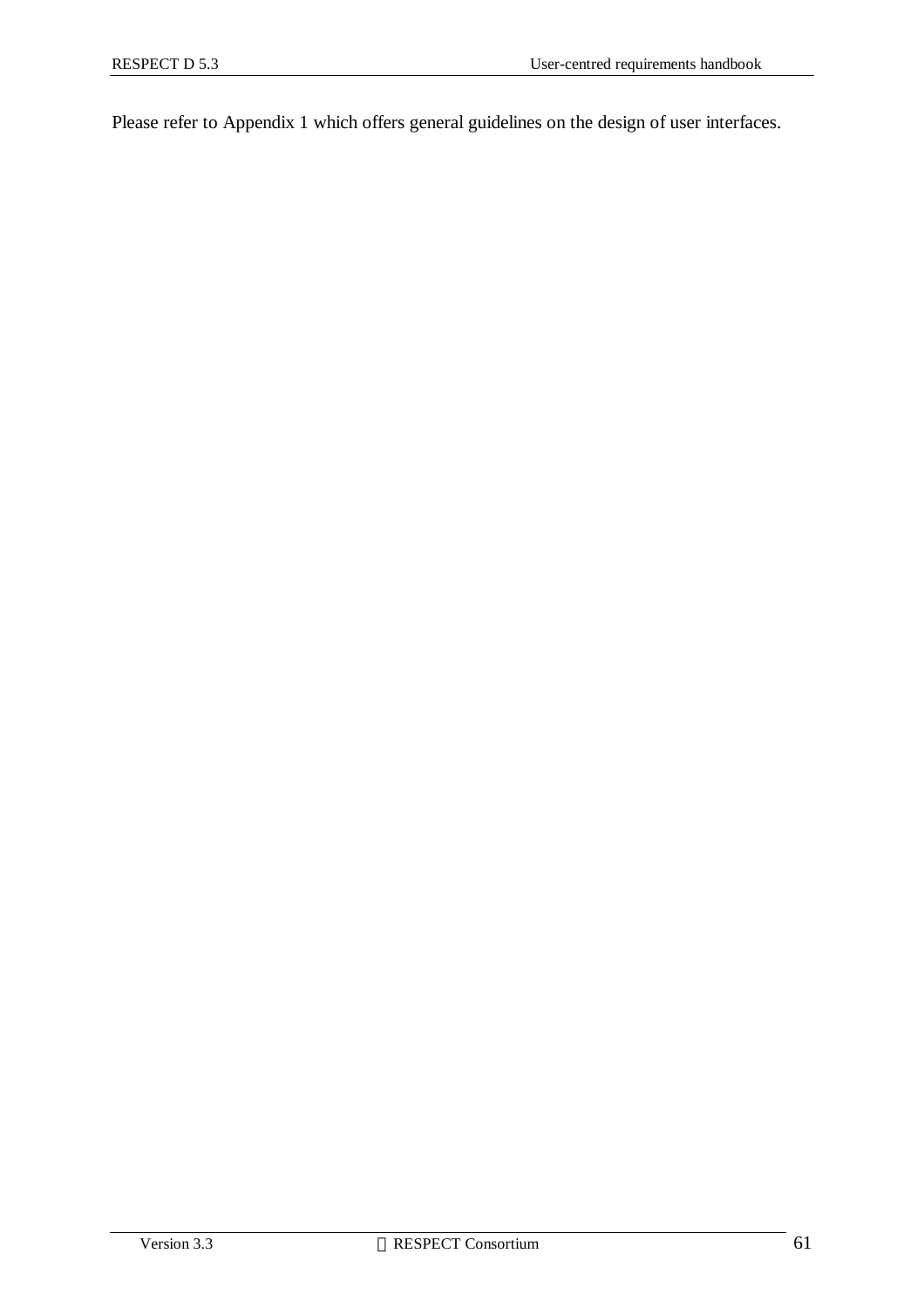Please refer to Appendix 1 which offers general guidelines on the design of user interfaces.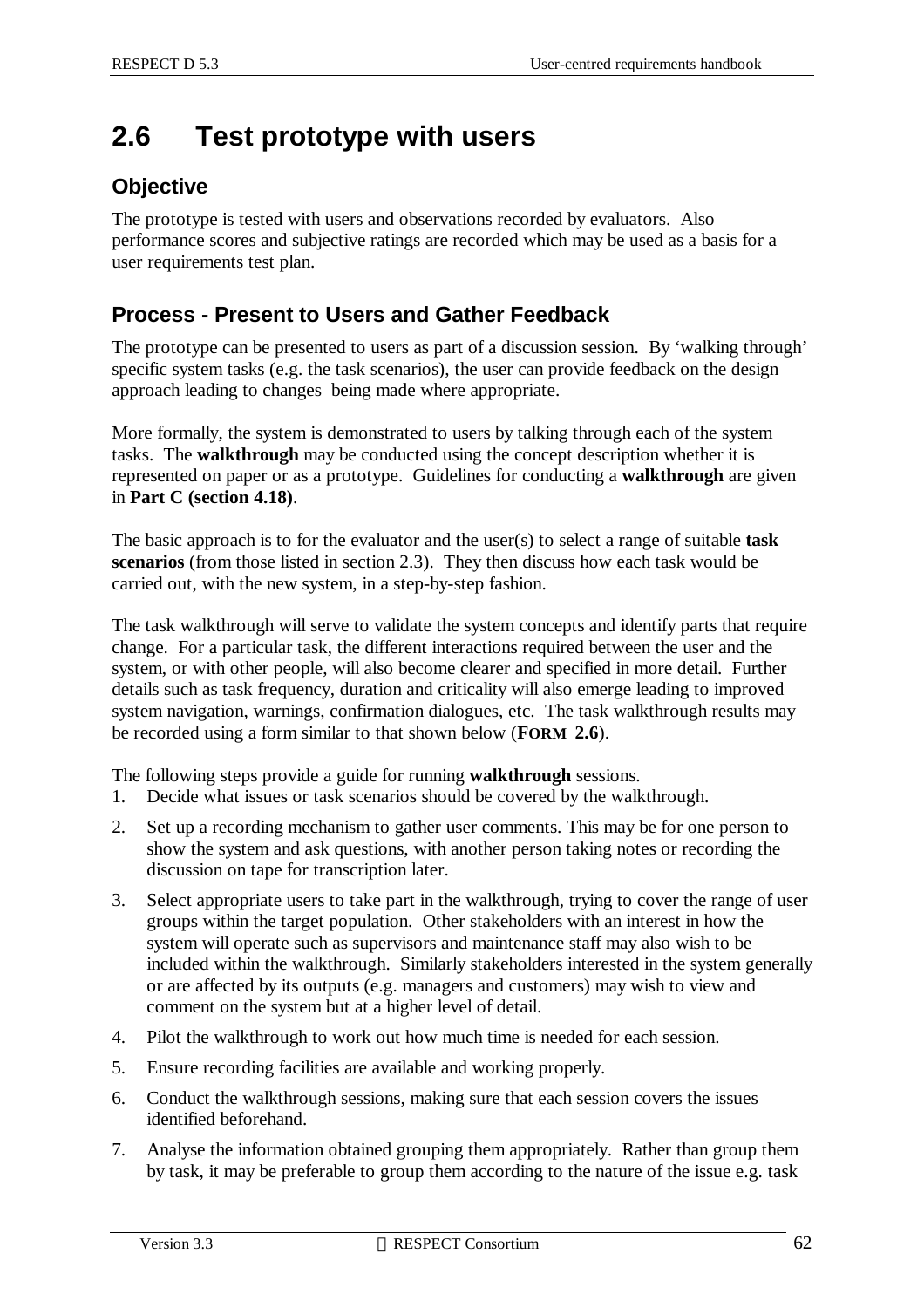# **2.6 Test prototype with users**

### **Objective**

The prototype is tested with users and observations recorded by evaluators. Also performance scores and subjective ratings are recorded which may be used as a basis for a user requirements test plan.

### **Process - Present to Users and Gather Feedback**

The prototype can be presented to users as part of a discussion session. By 'walking through' specific system tasks (e.g. the task scenarios), the user can provide feedback on the design approach leading to changes being made where appropriate.

More formally, the system is demonstrated to users by talking through each of the system tasks. The **walkthrough** may be conducted using the concept description whether it is represented on paper or as a prototype. Guidelines for conducting a **walkthrough** are given in **Part C (section 4.18)**.

The basic approach is to for the evaluator and the user(s) to select a range of suitable **task scenarios** (from those listed in section 2.3). They then discuss how each task would be carried out, with the new system, in a step-by-step fashion.

The task walkthrough will serve to validate the system concepts and identify parts that require change. For a particular task, the different interactions required between the user and the system, or with other people, will also become clearer and specified in more detail. Further details such as task frequency, duration and criticality will also emerge leading to improved system navigation, warnings, confirmation dialogues, etc. The task walkthrough results may be recorded using a form similar to that shown below (**FORM 2.6**).

The following steps provide a guide for running **walkthrough** sessions.

- 1. Decide what issues or task scenarios should be covered by the walkthrough.
- 2. Set up a recording mechanism to gather user comments. This may be for one person to show the system and ask questions, with another person taking notes or recording the discussion on tape for transcription later.
- 3. Select appropriate users to take part in the walkthrough, trying to cover the range of user groups within the target population. Other stakeholders with an interest in how the system will operate such as supervisors and maintenance staff may also wish to be included within the walkthrough. Similarly stakeholders interested in the system generally or are affected by its outputs (e.g. managers and customers) may wish to view and comment on the system but at a higher level of detail.
- 4. Pilot the walkthrough to work out how much time is needed for each session.
- 5. Ensure recording facilities are available and working properly.
- 6. Conduct the walkthrough sessions, making sure that each session covers the issues identified beforehand.
- 7. Analyse the information obtained grouping them appropriately. Rather than group them by task, it may be preferable to group them according to the nature of the issue e.g. task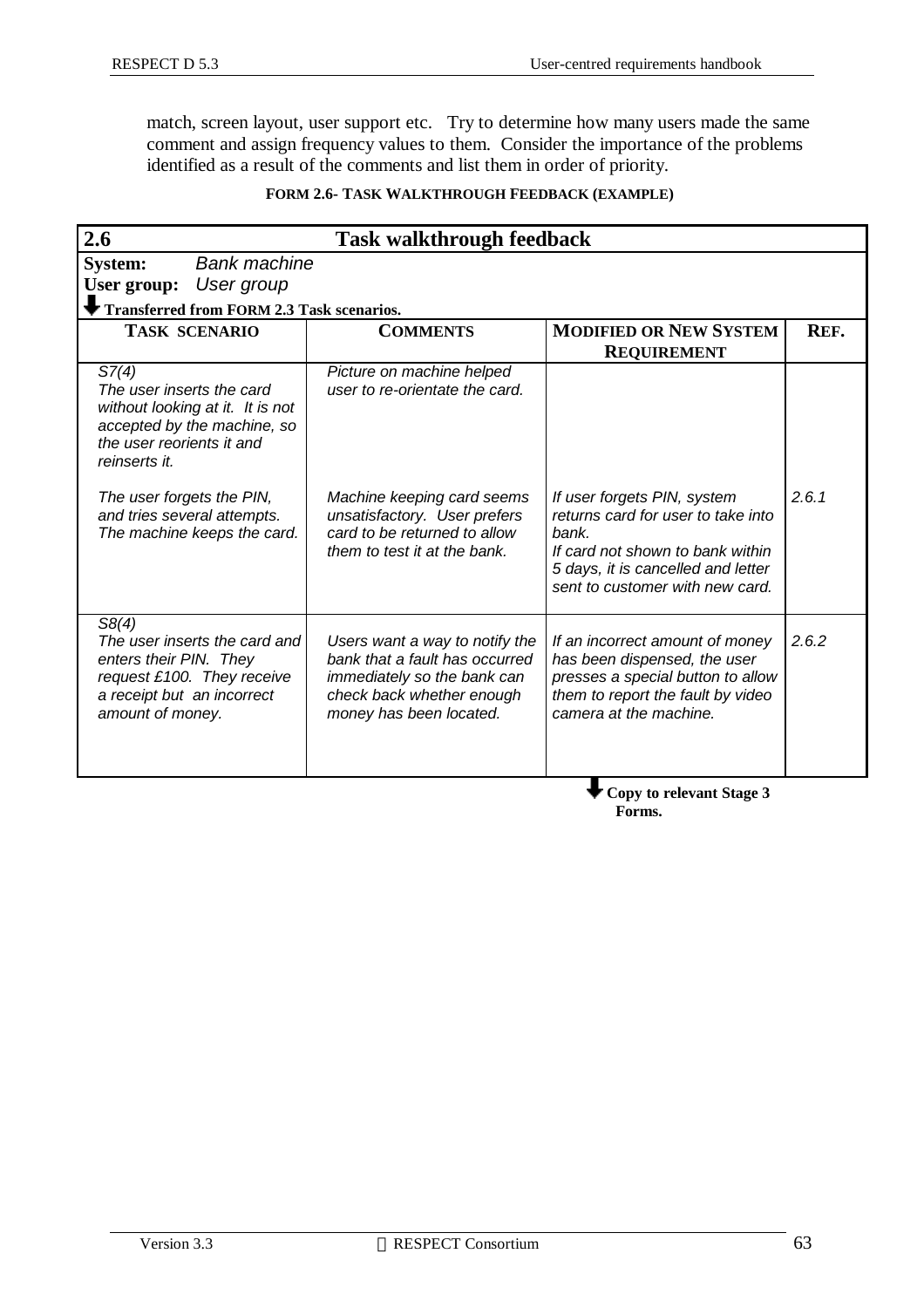match, screen layout, user support etc. Try to determine how many users made the same comment and assign frequency values to them. Consider the importance of the problems identified as a result of the comments and list them in order of priority.

#### **FORM 2.6- TASK WALKTHROUGH FEEDBACK (EXAMPLE)**

| 2.6<br><b>Task walkthrough feedback</b>                                                                                                             |                                                                                                                                                         |                                                                                                                                                                                         |       |  |  |  |
|-----------------------------------------------------------------------------------------------------------------------------------------------------|---------------------------------------------------------------------------------------------------------------------------------------------------------|-----------------------------------------------------------------------------------------------------------------------------------------------------------------------------------------|-------|--|--|--|
| <b>Bank machine</b><br><b>System:</b>                                                                                                               |                                                                                                                                                         |                                                                                                                                                                                         |       |  |  |  |
| User group<br>User group:                                                                                                                           |                                                                                                                                                         |                                                                                                                                                                                         |       |  |  |  |
| <b>Transferred from FORM 2.3 Task scenarios.</b>                                                                                                    |                                                                                                                                                         |                                                                                                                                                                                         |       |  |  |  |
| <b>TASK SCENARIO</b>                                                                                                                                | <b>COMMENTS</b>                                                                                                                                         | <b>MODIFIED OR NEW SYSTEM</b><br><b>REQUIREMENT</b>                                                                                                                                     | REF.  |  |  |  |
| S7(4)<br>The user inserts the card<br>without looking at it. It is not<br>accepted by the machine, so<br>the user reorients it and<br>reinserts it. | Picture on machine helped<br>user to re-orientate the card.                                                                                             |                                                                                                                                                                                         |       |  |  |  |
| The user forgets the PIN,<br>and tries several attempts.<br>The machine keeps the card.                                                             | Machine keeping card seems<br>unsatisfactory. User prefers<br>card to be returned to allow<br>them to test it at the bank.                              | If user forgets PIN, system<br>returns card for user to take into<br>bank.<br>If card not shown to bank within<br>5 days, it is cancelled and letter<br>sent to customer with new card. | 2.6.1 |  |  |  |
| S8(4)<br>The user inserts the card and<br>enters their PIN. They<br>request £100. They receive<br>a receipt but an incorrect<br>amount of money.    | Users want a way to notify the<br>bank that a fault has occurred<br>immediately so the bank can<br>check back whether enough<br>money has been located. | If an incorrect amount of money<br>has been dispensed, the user<br>presses a special button to allow<br>them to report the fault by video<br>camera at the machine.                     | 2.6.2 |  |  |  |
|                                                                                                                                                     | Copy to relevant Stage 3                                                                                                                                |                                                                                                                                                                                         |       |  |  |  |

 **Forms.**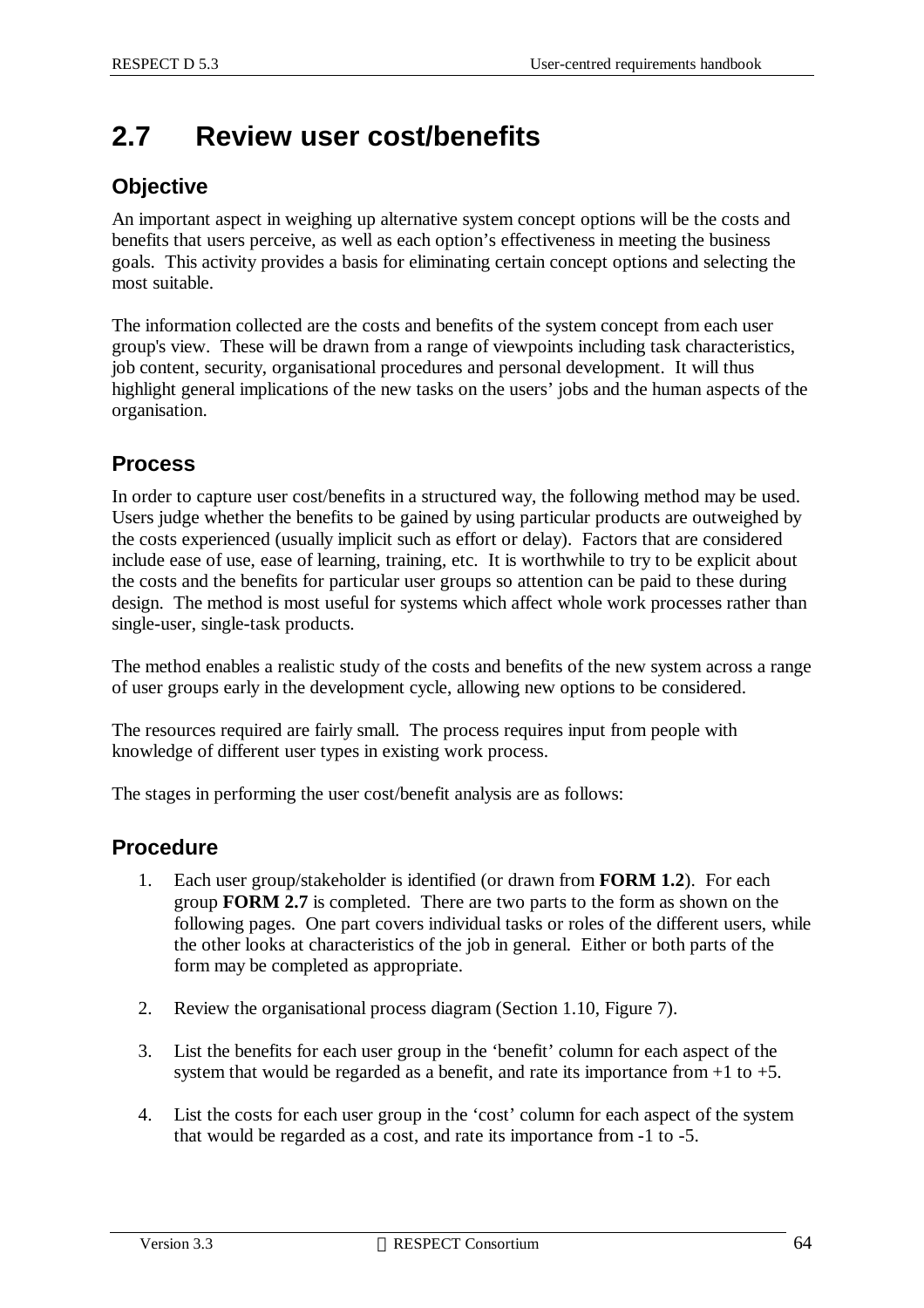# **2.7 Review user cost/benefits**

### **Objective**

An important aspect in weighing up alternative system concept options will be the costs and benefits that users perceive, as well as each option's effectiveness in meeting the business goals. This activity provides a basis for eliminating certain concept options and selecting the most suitable.

The information collected are the costs and benefits of the system concept from each user group's view. These will be drawn from a range of viewpoints including task characteristics, job content, security, organisational procedures and personal development. It will thus highlight general implications of the new tasks on the users' jobs and the human aspects of the organisation.

### **Process**

In order to capture user cost/benefits in a structured way, the following method may be used. Users judge whether the benefits to be gained by using particular products are outweighed by the costs experienced (usually implicit such as effort or delay). Factors that are considered include ease of use, ease of learning, training, etc. It is worthwhile to try to be explicit about the costs and the benefits for particular user groups so attention can be paid to these during design. The method is most useful for systems which affect whole work processes rather than single-user, single-task products.

The method enables a realistic study of the costs and benefits of the new system across a range of user groups early in the development cycle, allowing new options to be considered.

The resources required are fairly small. The process requires input from people with knowledge of different user types in existing work process.

The stages in performing the user cost/benefit analysis are as follows:

#### **Procedure**

- 1. Each user group/stakeholder is identified (or drawn from **FORM 1.2**). For each group **FORM 2.7** is completed. There are two parts to the form as shown on the following pages. One part covers individual tasks or roles of the different users, while the other looks at characteristics of the job in general. Either or both parts of the form may be completed as appropriate.
- 2. Review the organisational process diagram (Section 1.10, Figure 7).
- 3. List the benefits for each user group in the 'benefit' column for each aspect of the system that would be regarded as a benefit, and rate its importance from  $+1$  to  $+5$ .
- 4. List the costs for each user group in the 'cost' column for each aspect of the system that would be regarded as a cost, and rate its importance from -1 to -5.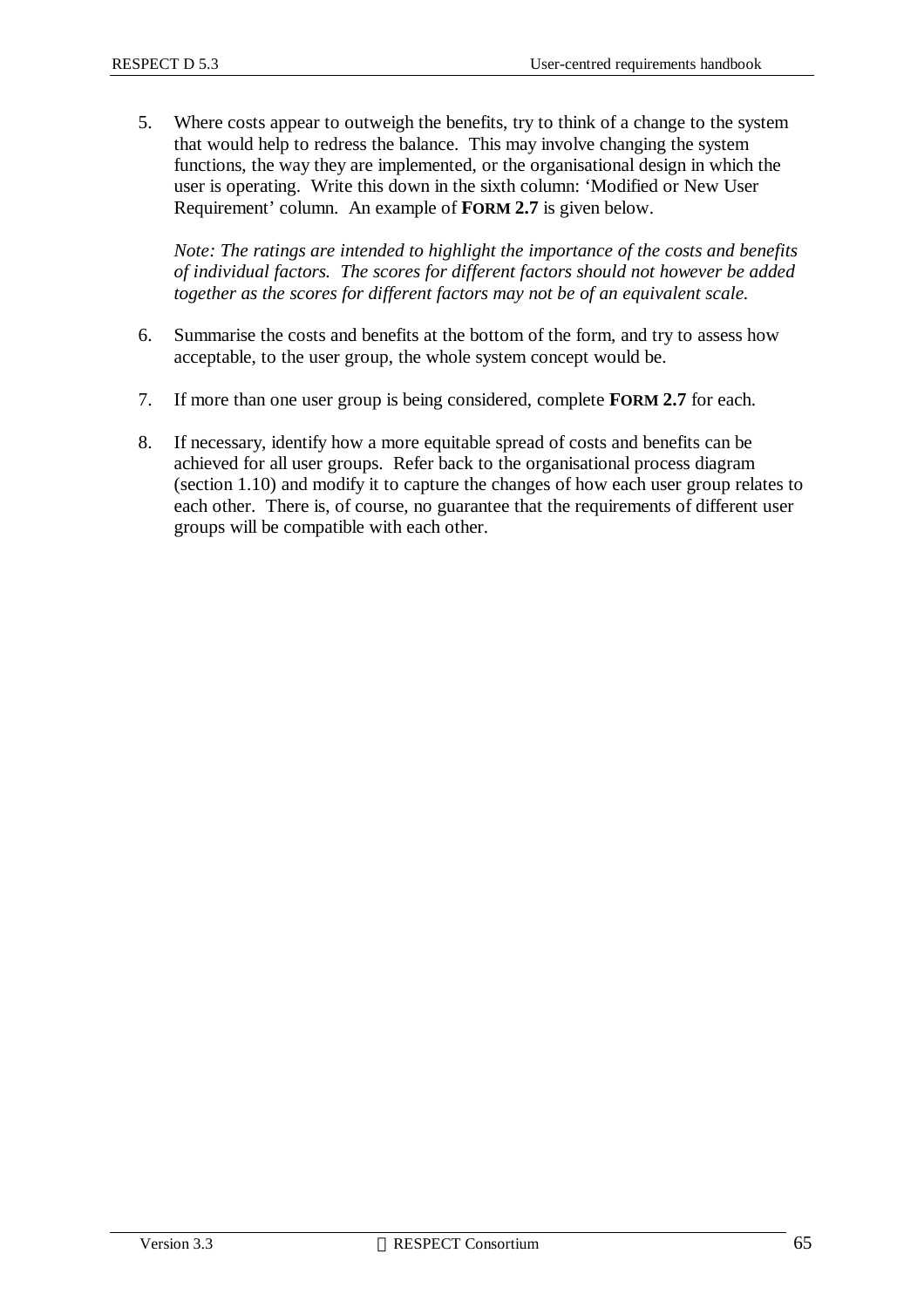5. Where costs appear to outweigh the benefits, try to think of a change to the system that would help to redress the balance. This may involve changing the system functions, the way they are implemented, or the organisational design in which the user is operating. Write this down in the sixth column: 'Modified or New User Requirement' column. An example of **FORM 2.7** is given below.

*Note: The ratings are intended to highlight the importance of the costs and benefits of individual factors. The scores for different factors should not however be added together as the scores for different factors may not be of an equivalent scale.*

- 6. Summarise the costs and benefits at the bottom of the form, and try to assess how acceptable, to the user group, the whole system concept would be.
- 7. If more than one user group is being considered, complete **FORM 2.7** for each.
- 8. If necessary, identify how a more equitable spread of costs and benefits can be achieved for all user groups. Refer back to the organisational process diagram (section 1.10) and modify it to capture the changes of how each user group relates to each other. There is, of course, no guarantee that the requirements of different user groups will be compatible with each other.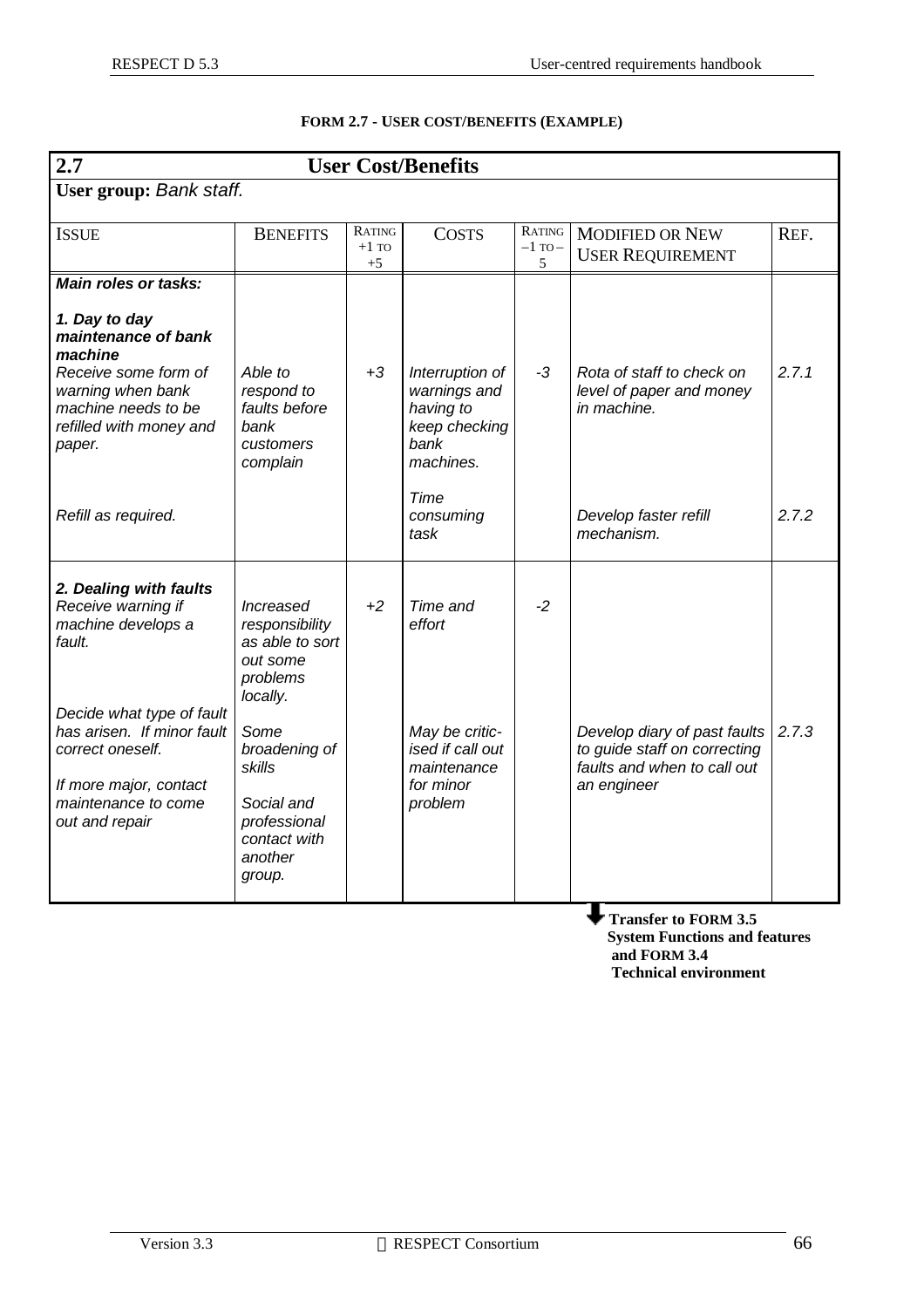| 2.7                                                                                                                                                                                                                            |                                                                                                                                                                                          |                           | <b>User Cost/Benefits</b>                                                                       |                            |                                                                                                            |       |
|--------------------------------------------------------------------------------------------------------------------------------------------------------------------------------------------------------------------------------|------------------------------------------------------------------------------------------------------------------------------------------------------------------------------------------|---------------------------|-------------------------------------------------------------------------------------------------|----------------------------|------------------------------------------------------------------------------------------------------------|-------|
| User group: Bank staff.                                                                                                                                                                                                        |                                                                                                                                                                                          |                           |                                                                                                 |                            |                                                                                                            |       |
| <b>ISSUE</b>                                                                                                                                                                                                                   | <b>BENEFITS</b>                                                                                                                                                                          | RATING<br>$+1$ TO<br>$+5$ | <b>COSTS</b>                                                                                    | RATING<br>$-1$ TO $-$<br>5 | <b>MODIFIED OR NEW</b><br><b>USER REQUIREMENT</b>                                                          | REF.  |
| <b>Main roles or tasks:</b>                                                                                                                                                                                                    |                                                                                                                                                                                          |                           |                                                                                                 |                            |                                                                                                            |       |
| 1. Day to day<br>maintenance of bank<br>machine<br>Receive some form of<br>warning when bank<br>machine needs to be<br>refilled with money and<br>paper.                                                                       | Able to<br>respond to<br>faults before<br>hank<br>customers<br>complain                                                                                                                  | $+3$                      | Interruption of<br>warnings and<br>having to<br>keep checking<br>bank<br>machines.              | $-3$                       | Rota of staff to check on<br>level of paper and money<br>in machine.                                       | 2.7.1 |
| Refill as required.                                                                                                                                                                                                            |                                                                                                                                                                                          |                           | Time<br>consuming<br>task                                                                       |                            | Develop faster refill<br>mechanism.                                                                        | 2.7.2 |
| 2. Dealing with faults<br>Receive warning if<br>machine develops a<br>fault.<br>Decide what type of fault<br>has arisen. If minor fault<br>correct oneself.<br>If more major, contact<br>maintenance to come<br>out and repair | Increased<br>responsibility<br>as able to sort<br>out some<br>problems<br>locally.<br>Some<br>broadening of<br>skills<br>Social and<br>professional<br>contact with<br>another<br>group. | $+2$                      | Time and<br>effort<br>May be critic-<br>ised if call out<br>maintenance<br>for minor<br>problem | $-2$                       | Develop diary of past faults<br>to guide staff on correcting<br>faults and when to call out<br>an engineer | 2.7.3 |

#### **FORM 2.7 - USER COST/BENEFITS (EXAMPLE)**

**Transfer to FORM 3.5 System Functions and features and FORM 3.4 Technical environment**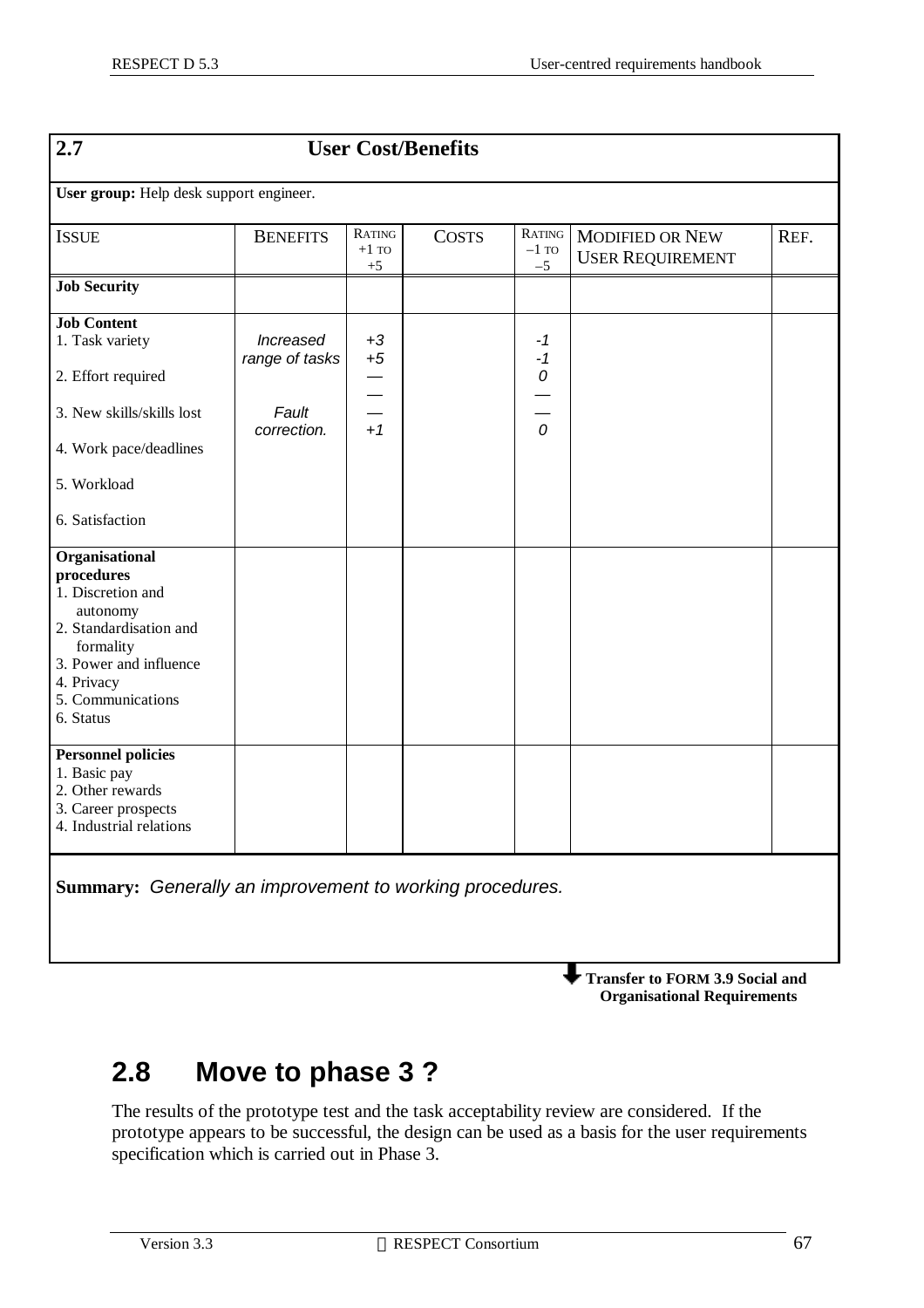| $\overline{2.7}$                                                                                                                                                               |                                    |                                  | <b>User Cost/Benefits</b> |                           |                                                   |      |  |
|--------------------------------------------------------------------------------------------------------------------------------------------------------------------------------|------------------------------------|----------------------------------|---------------------------|---------------------------|---------------------------------------------------|------|--|
| User group: Help desk support engineer.                                                                                                                                        |                                    |                                  |                           |                           |                                                   |      |  |
| <b>ISSUE</b>                                                                                                                                                                   | <b>BENEFITS</b>                    | RATING<br>$+1$ TO<br>$+5$        | <b>COSTS</b>              | RATING<br>$-1$ TO<br>$-5$ | <b>MODIFIED OR NEW</b><br><b>USER REQUIREMENT</b> | REF. |  |
| <b>Job Security</b>                                                                                                                                                            |                                    |                                  |                           |                           |                                                   |      |  |
| <b>Job Content</b><br>1. Task variety                                                                                                                                          | <i>Increased</i><br>range of tasks | $+3$<br>$+5$                     |                           | -1<br>$-1$                |                                                   |      |  |
| 2. Effort required                                                                                                                                                             |                                    | $\overline{\phantom{0}}$         |                           | 0                         |                                                   |      |  |
| 3. New skills/skills lost                                                                                                                                                      | Fault<br>correction.               | $\overline{\phantom{0}}$<br>$+1$ |                           | $\mathcal{O}$             |                                                   |      |  |
| 4. Work pace/deadlines                                                                                                                                                         |                                    |                                  |                           |                           |                                                   |      |  |
| 5. Workload                                                                                                                                                                    |                                    |                                  |                           |                           |                                                   |      |  |
| 6. Satisfaction                                                                                                                                                                |                                    |                                  |                           |                           |                                                   |      |  |
| Organisational<br>procedures<br>1. Discretion and<br>autonomy<br>2. Standardisation and<br>formality<br>3. Power and influence<br>4. Privacy<br>5. Communications<br>6. Status |                                    |                                  |                           |                           |                                                   |      |  |
| <b>Personnel policies</b><br>1. Basic pay<br>2. Other rewards<br>3. Career prospects<br>4. Industrial relations                                                                |                                    |                                  |                           |                           |                                                   |      |  |
| Summary: Generally an improvement to working procedures.                                                                                                                       |                                    |                                  |                           |                           |                                                   |      |  |

**Transfer to FORM 3.9 Social and Organisational Requirements**

# **2.8 Move to phase 3 ?**

The results of the prototype test and the task acceptability review are considered. If the prototype appears to be successful, the design can be used as a basis for the user requirements specification which is carried out in Phase 3.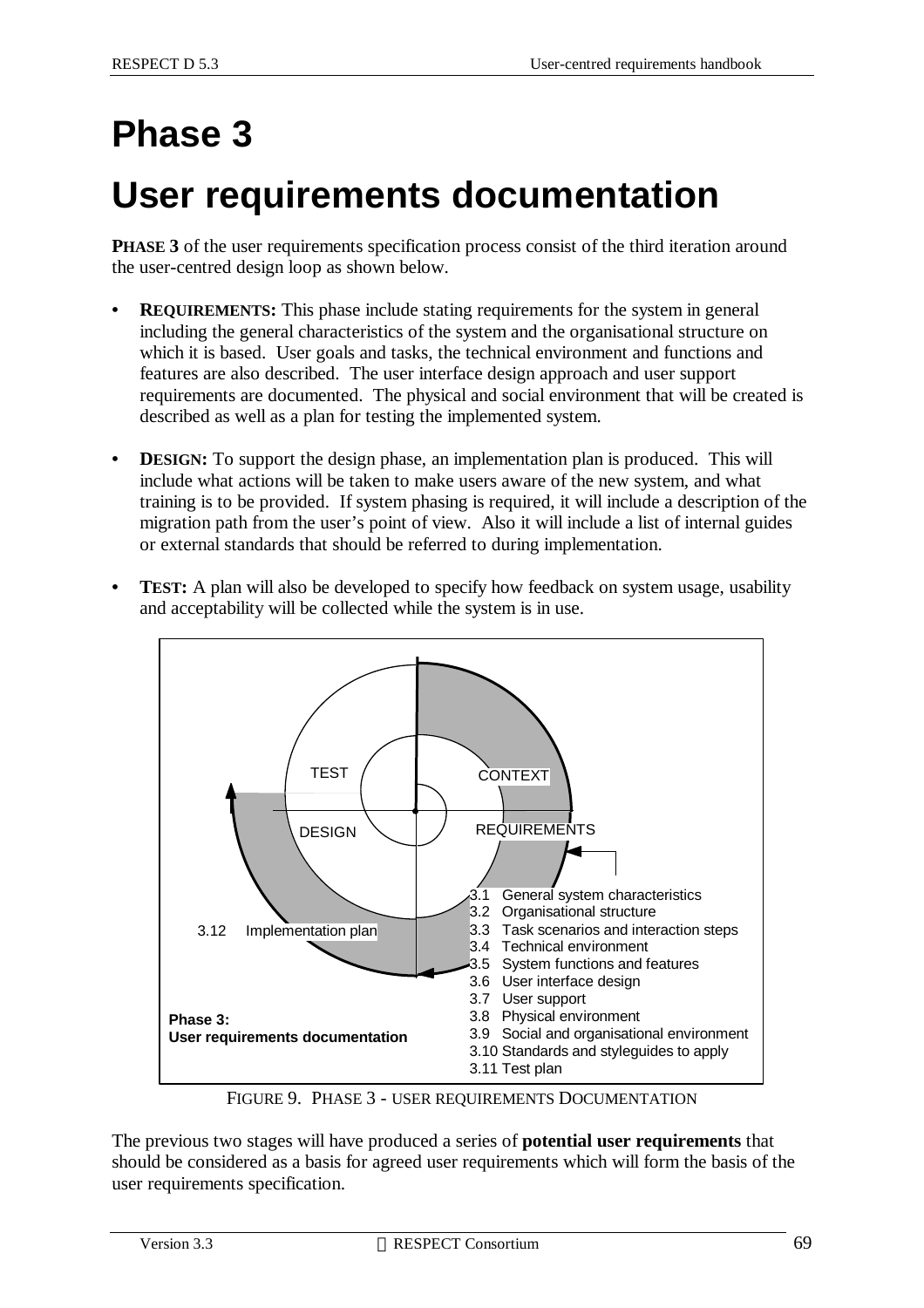# **Phase 3**

# **User requirements documentation**

**PHASE 3** of the user requirements specification process consist of the third iteration around the user-centred design loop as shown below.

- **• REQUIREMENTS:** This phase include stating requirements for the system in general including the general characteristics of the system and the organisational structure on which it is based. User goals and tasks, the technical environment and functions and features are also described. The user interface design approach and user support requirements are documented. The physical and social environment that will be created is described as well as a plan for testing the implemented system.
- **DESIGN:** To support the design phase, an implementation plan is produced. This will include what actions will be taken to make users aware of the new system, and what training is to be provided. If system phasing is required, it will include a description of the migration path from the user's point of view. Also it will include a list of internal guides or external standards that should be referred to during implementation.
- **• TEST:** A plan will also be developed to specify how feedback on system usage, usability and acceptability will be collected while the system is in use.



FIGURE 9. PHASE 3 - USER REQUIREMENTS DOCUMENTATION

The previous two stages will have produced a series of **potential user requirements** that should be considered as a basis for agreed user requirements which will form the basis of the user requirements specification.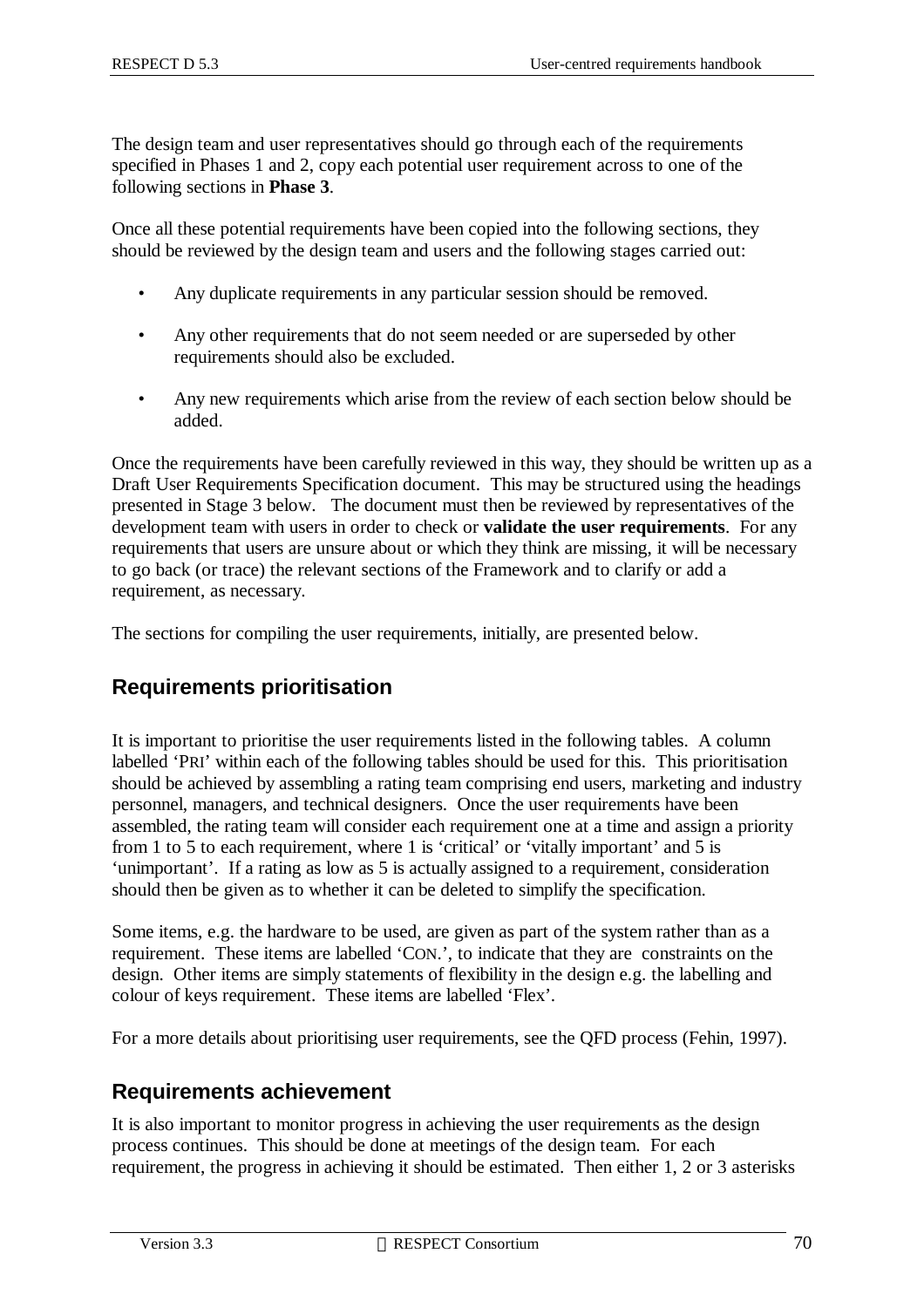The design team and user representatives should go through each of the requirements specified in Phases 1 and 2, copy each potential user requirement across to one of the following sections in **Phase 3**.

Once all these potential requirements have been copied into the following sections, they should be reviewed by the design team and users and the following stages carried out:

- Any duplicate requirements in any particular session should be removed.
- Any other requirements that do not seem needed or are superseded by other requirements should also be excluded.
- Any new requirements which arise from the review of each section below should be added.

Once the requirements have been carefully reviewed in this way, they should be written up as a Draft User Requirements Specification document. This may be structured using the headings presented in Stage 3 below. The document must then be reviewed by representatives of the development team with users in order to check or **validate the user requirements**. For any requirements that users are unsure about or which they think are missing, it will be necessary to go back (or trace) the relevant sections of the Framework and to clarify or add a requirement, as necessary.

The sections for compiling the user requirements, initially, are presented below.

### **Requirements prioritisation**

It is important to prioritise the user requirements listed in the following tables. A column labelled 'PRI' within each of the following tables should be used for this. This prioritisation should be achieved by assembling a rating team comprising end users, marketing and industry personnel, managers, and technical designers. Once the user requirements have been assembled, the rating team will consider each requirement one at a time and assign a priority from 1 to 5 to each requirement, where 1 is 'critical' or 'vitally important' and 5 is 'unimportant'. If a rating as low as 5 is actually assigned to a requirement, consideration should then be given as to whether it can be deleted to simplify the specification.

Some items, e.g. the hardware to be used, are given as part of the system rather than as a requirement. These items are labelled 'CON.', to indicate that they are constraints on the design. Other items are simply statements of flexibility in the design e.g. the labelling and colour of keys requirement. These items are labelled 'Flex'.

For a more details about prioritising user requirements, see the QFD process (Fehin, 1997).

### **Requirements achievement**

It is also important to monitor progress in achieving the user requirements as the design process continues. This should be done at meetings of the design team. For each requirement, the progress in achieving it should be estimated. Then either 1, 2 or 3 asterisks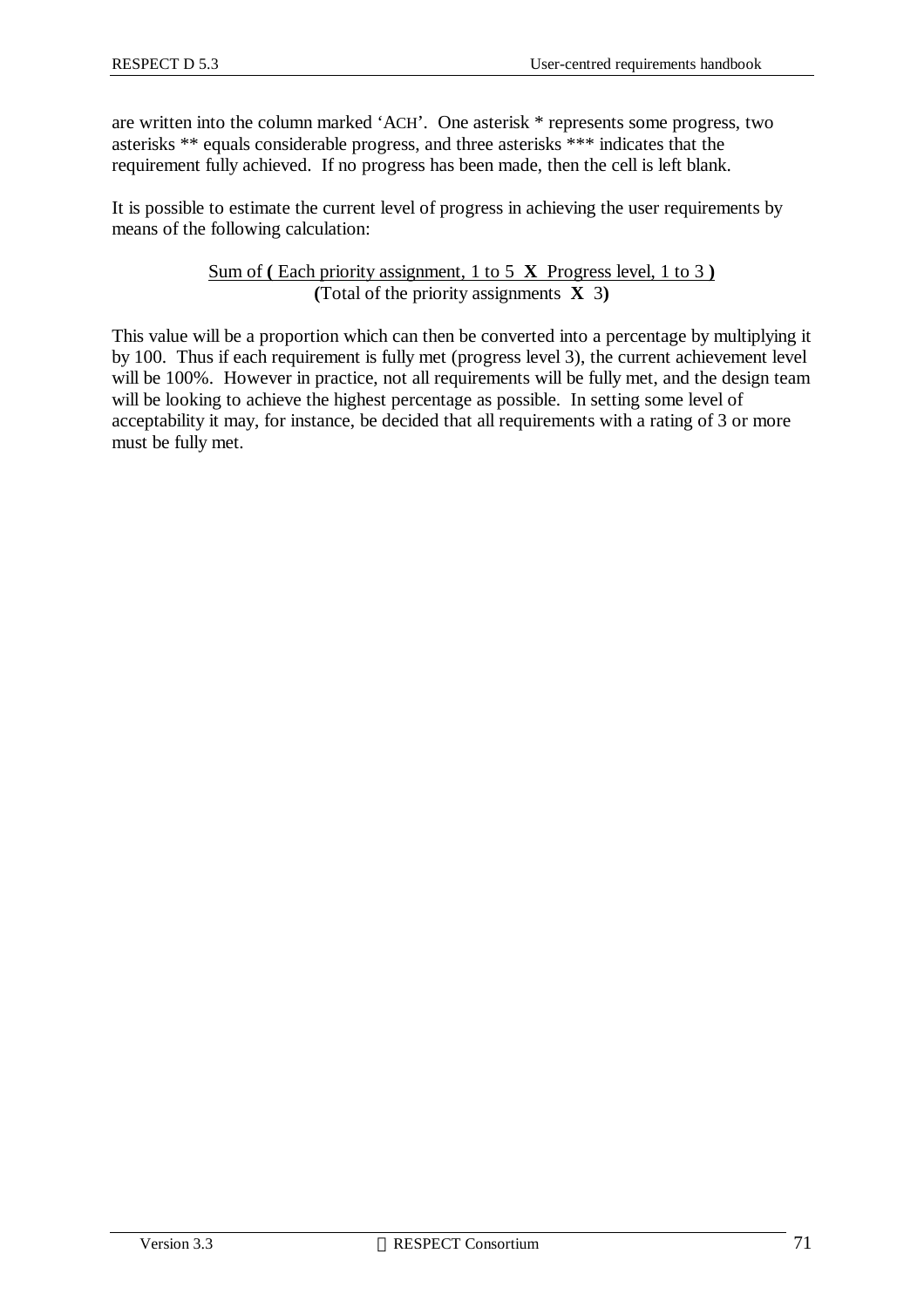are written into the column marked 'ACH'. One asterisk \* represents some progress, two asterisks \*\* equals considerable progress, and three asterisks \*\*\* indicates that the requirement fully achieved. If no progress has been made, then the cell is left blank.

It is possible to estimate the current level of progress in achieving the user requirements by means of the following calculation:

> Sum of **(** Each priority assignment, 1 to 5 **X** Progress level, 1 to 3 **) (**Total of the priority assignments **X** 3**)**

This value will be a proportion which can then be converted into a percentage by multiplying it by 100. Thus if each requirement is fully met (progress level 3), the current achievement level will be 100%. However in practice, not all requirements will be fully met, and the design team will be looking to achieve the highest percentage as possible. In setting some level of acceptability it may, for instance, be decided that all requirements with a rating of 3 or more must be fully met.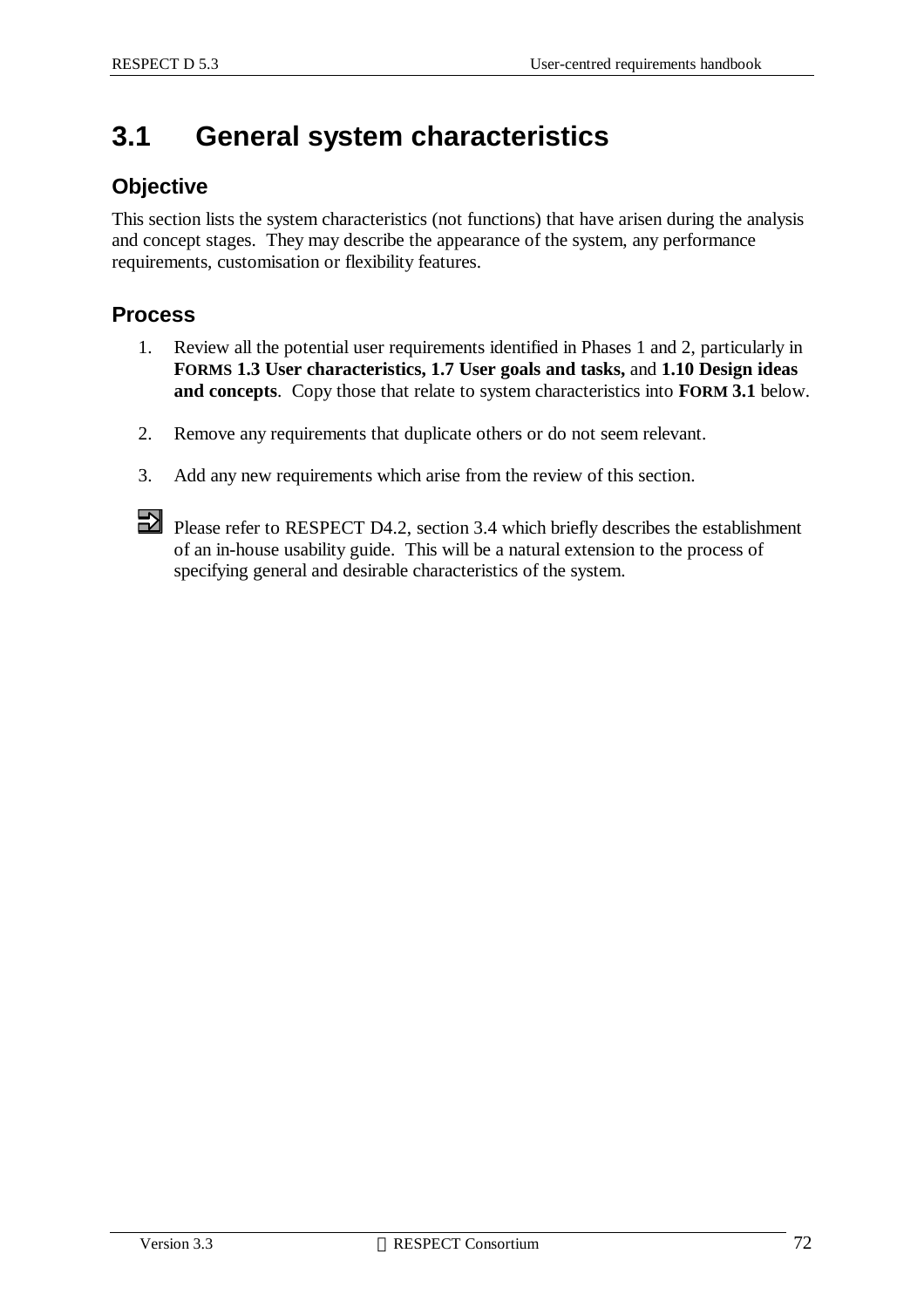# **3.1 General system characteristics**

#### **Objective**

This section lists the system characteristics (not functions) that have arisen during the analysis and concept stages. They may describe the appearance of the system, any performance requirements, customisation or flexibility features.

### **Process**

- 1. Review all the potential user requirements identified in Phases 1 and 2, particularly in **FORMS 1.3 User characteristics, 1.7 User goals and tasks,** and **1.10 Design ideas and concepts**. Copy those that relate to system characteristics into **FORM 3.1** below.
- 2. Remove any requirements that duplicate others or do not seem relevant.
- 3. Add any new requirements which arise from the review of this section.



Please refer to RESPECT D4.2, section 3.4 which briefly describes the establishment of an in-house usability guide. This will be a natural extension to the process of specifying general and desirable characteristics of the system.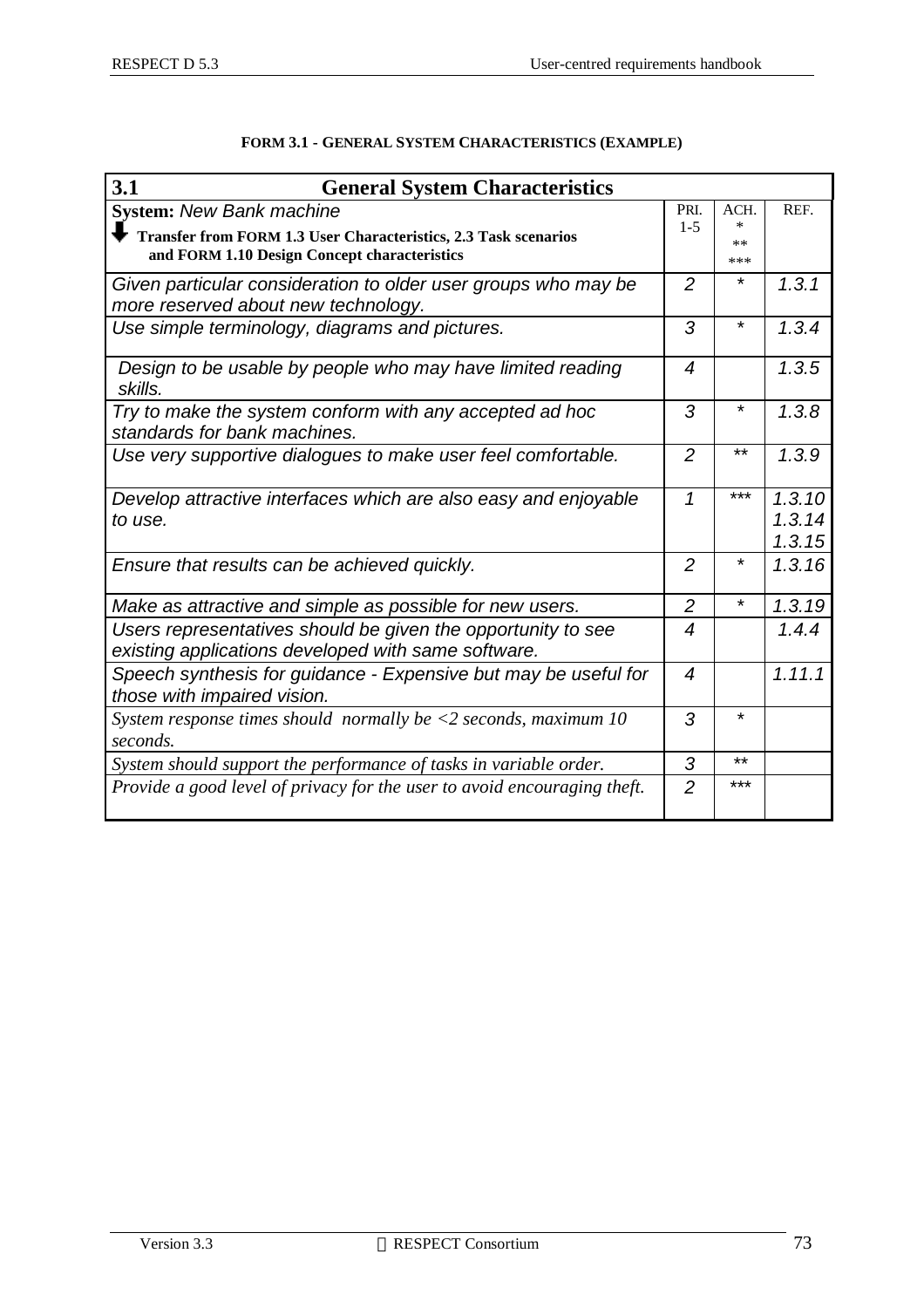| 3.1<br><b>General System Characteristics</b>                                                                        |                          |                |          |
|---------------------------------------------------------------------------------------------------------------------|--------------------------|----------------|----------|
| <b>System: New Bank machine</b>                                                                                     | PRI.                     | ACH.           | REF.     |
| Transfer from FORM 1.3 User Characteristics, 2.3 Task scenarios                                                     | $1 - 5$                  | $\ast$<br>$**$ |          |
| and FORM 1.10 Design Concept characteristics                                                                        |                          | ***            |          |
| Given particular consideration to older user groups who may be<br>more reserved about new technology.               | $\overline{2}$           | *              | 1, 3, 1  |
| Use simple terminology, diagrams and pictures.                                                                      | 3                        | $\star$        | 1.3.4    |
| Design to be usable by people who may have limited reading<br>skills.                                               | 4                        |                | 1.3.5    |
| Try to make the system conform with any accepted ad hoc<br>standards for bank machines.                             | 3                        | $\star$        | 1.3.8    |
| Use very supportive dialogues to make user feel comfortable.                                                        | $\overline{2}$           | $***$          | 1.3.9    |
| Develop attractive interfaces which are also easy and enjoyable                                                     | $\mathbf{1}$             | ***            | 1.3.10   |
| to use.                                                                                                             |                          |                | 1, 3, 14 |
|                                                                                                                     |                          |                | 1.3.15   |
| Ensure that results can be achieved quickly.                                                                        | $\overline{2}$           | *              | 1, 3, 16 |
| Make as attractive and simple as possible for new users.                                                            | $\overline{c}$           | *              | 1.3.19   |
| Users representatives should be given the opportunity to see<br>existing applications developed with same software. | $\overline{\mathcal{A}}$ |                | 1.4.4    |
| Speech synthesis for guidance - Expensive but may be useful for<br>those with impaired vision.                      | $\overline{4}$           |                | 1.11.1   |
| System response times should normally be $\langle 2 \rangle$ seconds, maximum 10<br>seconds.                        | 3                        | *              |          |
| System should support the performance of tasks in variable order.                                                   | 3                        | $***$          |          |
| Provide a good level of privacy for the user to avoid encouraging theft.                                            | $\overline{2}$           | ***            |          |

#### **FORM 3.1 - GENERAL SYSTEM CHARACTERISTICS (EXAMPLE)**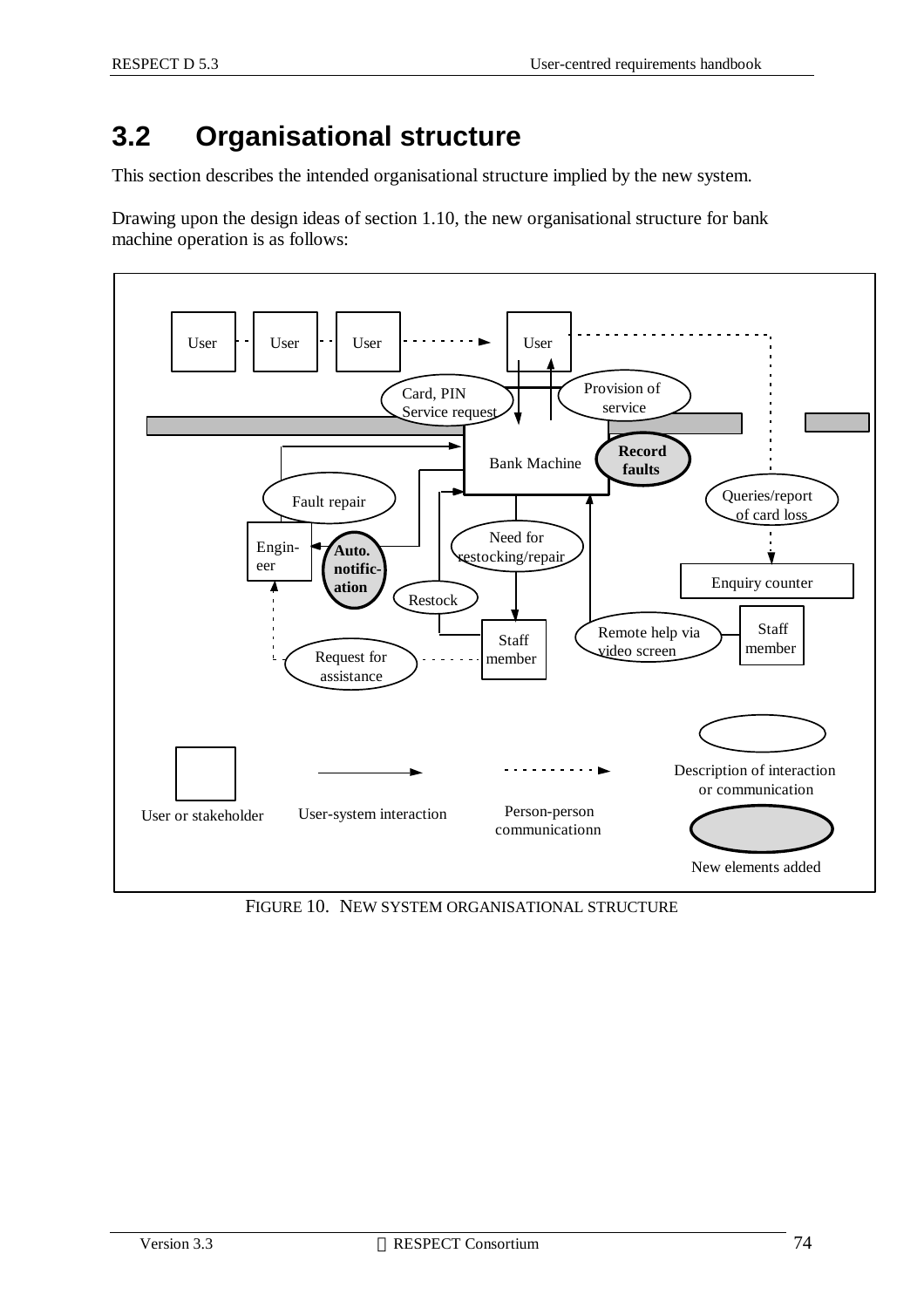# **3.2 Organisational structure**

This section describes the intended organisational structure implied by the new system.

Drawing upon the design ideas of section 1.10, the new organisational structure for bank machine operation is as follows:



FIGURE 10. NEW SYSTEM ORGANISATIONAL STRUCTURE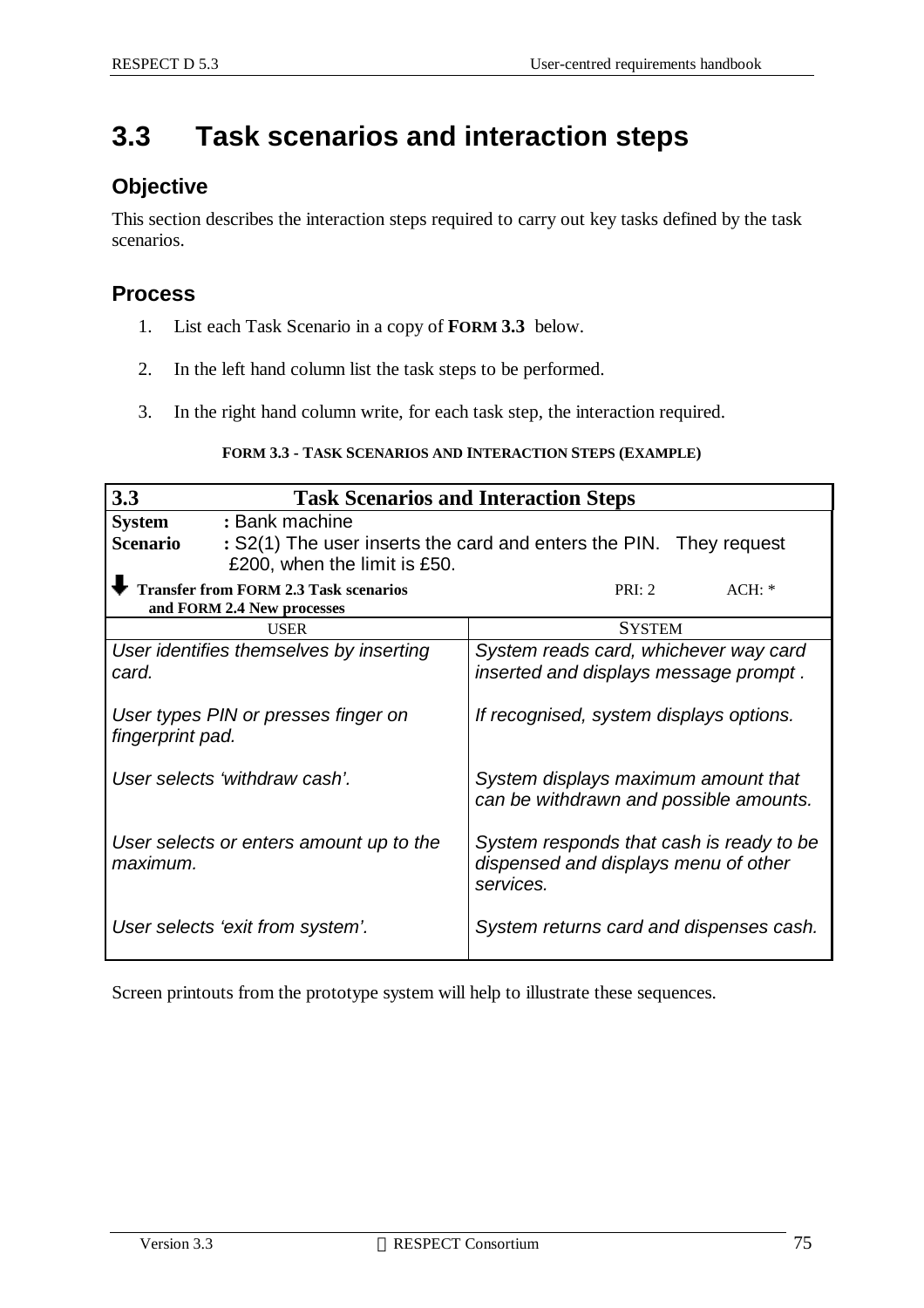# **3.3 Task scenarios and interaction steps**

### **Objective**

This section describes the interaction steps required to carry out key tasks defined by the task scenarios.

#### **Process**

- 1. List each Task Scenario in a copy of **FORM 3.3** below.
- 2. In the left hand column list the task steps to be performed.
- 3. In the right hand column write, for each task step, the interaction required.

#### **FORM 3.3 - TASK SCENARIOS AND INTERACTION STEPS (EXAMPLE)**

| 3.3<br><b>Task Scenarios and Interaction Steps</b>                                                                                                       |                                                                                               |  |  |  |  |  |
|----------------------------------------------------------------------------------------------------------------------------------------------------------|-----------------------------------------------------------------------------------------------|--|--|--|--|--|
| <b>System</b><br>: Bank machine<br><b>Scenario</b><br>: S2(1) The user inserts the card and enters the PIN. They request<br>£200, when the limit is £50. |                                                                                               |  |  |  |  |  |
| <b>Transfer from FORM 2.3 Task scenarios</b><br>and FORM 2.4 New processes                                                                               | PRI: 2<br>$ACH: *$                                                                            |  |  |  |  |  |
| <b>USER</b>                                                                                                                                              | <b>SYSTEM</b>                                                                                 |  |  |  |  |  |
| User identifies themselves by inserting<br>System reads card, whichever way card<br>inserted and displays message prompt.<br>card.                       |                                                                                               |  |  |  |  |  |
| User types PIN or presses finger on<br>fingerprint pad.                                                                                                  | If recognised, system displays options.                                                       |  |  |  |  |  |
| User selects 'withdraw cash'.                                                                                                                            | System displays maximum amount that<br>can be withdrawn and possible amounts.                 |  |  |  |  |  |
| User selects or enters amount up to the<br>maximum.                                                                                                      | System responds that cash is ready to be<br>dispensed and displays menu of other<br>services. |  |  |  |  |  |
| User selects 'exit from system'.                                                                                                                         | System returns card and dispenses cash.                                                       |  |  |  |  |  |

Screen printouts from the prototype system will help to illustrate these sequences.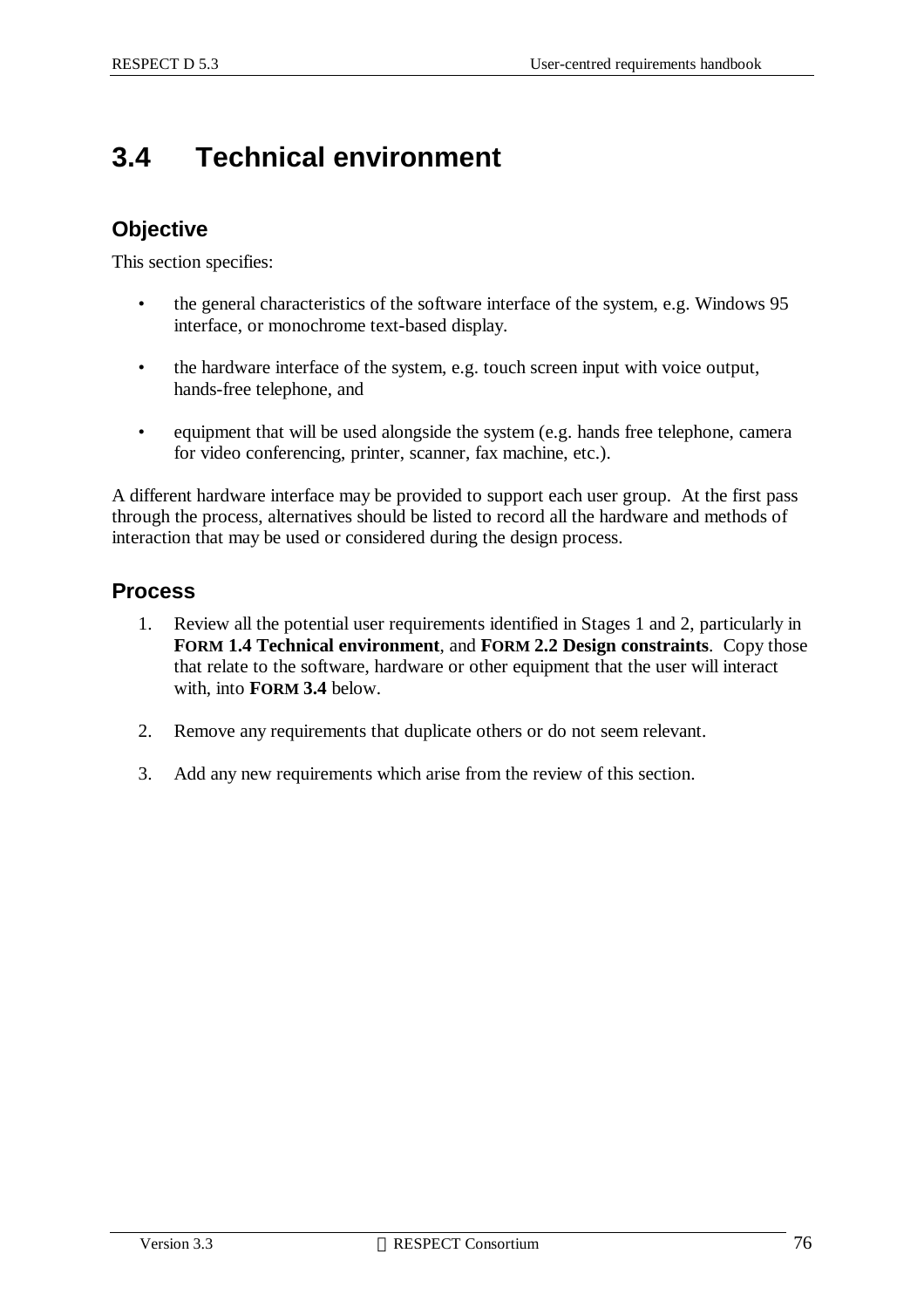# **3.4 Technical environment**

### **Objective**

This section specifies:

- the general characteristics of the software interface of the system, e.g. Windows 95 interface, or monochrome text-based display.
- the hardware interface of the system, e.g. touch screen input with voice output, hands-free telephone, and
- equipment that will be used alongside the system (e.g. hands free telephone, camera for video conferencing, printer, scanner, fax machine, etc.).

A different hardware interface may be provided to support each user group. At the first pass through the process, alternatives should be listed to record all the hardware and methods of interaction that may be used or considered during the design process.

#### **Process**

- 1. Review all the potential user requirements identified in Stages 1 and 2, particularly in **FORM 1.4 Technical environment**, and **FORM 2.2 Design constraints**. Copy those that relate to the software, hardware or other equipment that the user will interact with, into **FORM 3.4** below.
- 2. Remove any requirements that duplicate others or do not seem relevant.
- 3. Add any new requirements which arise from the review of this section.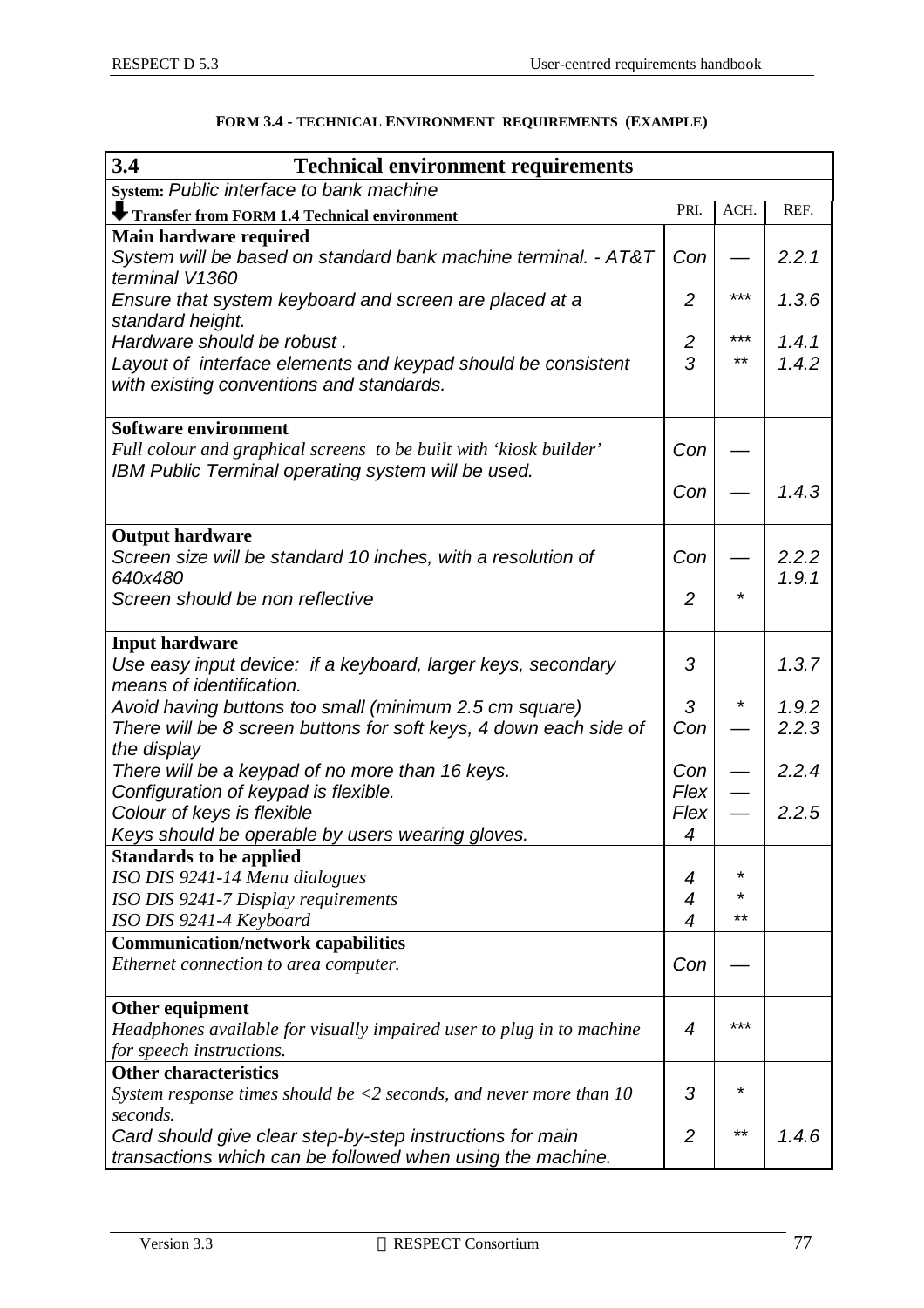| 3.4<br><b>Technical environment requirements</b>                                         |                |         |       |
|------------------------------------------------------------------------------------------|----------------|---------|-------|
| System: Public interface to bank machine                                                 |                |         |       |
| <b>Transfer from FORM 1.4 Technical environment</b>                                      | PRI.           | ACH.    | REF.  |
| Main hardware required                                                                   |                |         |       |
| System will be based on standard bank machine terminal. - AT&T                           | Con            |         | 2.2.1 |
| terminal V1360                                                                           | 2              | ***     | 1.3.6 |
| Ensure that system keyboard and screen are placed at a<br>standard height.               |                |         |       |
| Hardware should be robust.                                                               | 2              | ***     | 1.4.1 |
| Layout of interface elements and keypad should be consistent                             | 3              | $***$   | 1.4.2 |
| with existing conventions and standards.                                                 |                |         |       |
|                                                                                          |                |         |       |
| Software environment                                                                     |                |         |       |
| Full colour and graphical screens to be built with 'kiosk builder'                       | Con            |         |       |
| IBM Public Terminal operating system will be used.                                       | Con            |         | 1.4.3 |
|                                                                                          |                |         |       |
| <b>Output hardware</b>                                                                   |                |         |       |
| Screen size will be standard 10 inches, with a resolution of                             | Con            |         | 2.2.2 |
| 640x480                                                                                  |                |         | 1.9.1 |
| Screen should be non reflective                                                          | $\overline{2}$ | *       |       |
|                                                                                          |                |         |       |
| <b>Input hardware</b>                                                                    | 3              |         | 1.3.7 |
| Use easy input device: if a keyboard, larger keys, secondary<br>means of identification. |                |         |       |
| Avoid having buttons too small (minimum 2.5 cm square)                                   | 3              | *       | 1.9.2 |
| There will be 8 screen buttons for soft keys, 4 down each side of                        | Con            |         | 2.2.3 |
| the display                                                                              |                |         |       |
| There will be a keypad of no more than 16 keys.                                          | Con            |         | 2.2.4 |
| Configuration of keypad is flexible.                                                     | Flex           |         |       |
| Colour of keys is flexible                                                               | Flex           |         | 2.2.5 |
| Keys should be operable by users wearing gloves.                                         | 4              |         |       |
| <b>Standards to be applied</b>                                                           | 4              | $\star$ |       |
| ISO DIS 9241-14 Menu dialogues<br>ISO DIS 9241-7 Display requirements                    | 4              | *       |       |
| ISO DIS 9241-4 Keyboard                                                                  | 4              | **      |       |
| <b>Communication/network capabilities</b>                                                |                |         |       |
| Ethernet connection to area computer.                                                    | Con            |         |       |
|                                                                                          |                |         |       |
| Other equipment                                                                          |                |         |       |
| Headphones available for visually impaired user to plug in to machine                    | 4              | ***     |       |
| for speech instructions.<br><b>Other characteristics</b>                                 |                |         |       |
| System response times should be $\langle 2 \rangle$ seconds, and never more than 10      | 3              | *       |       |
| seconds.                                                                                 |                |         |       |
| Card should give clear step-by-step instructions for main                                | $\overline{2}$ | $***$   | 1.4.6 |
| transactions which can be followed when using the machine.                               |                |         |       |

#### **FORM 3.4 - TECHNICAL ENVIRONMENT REQUIREMENTS (EXAMPLE)**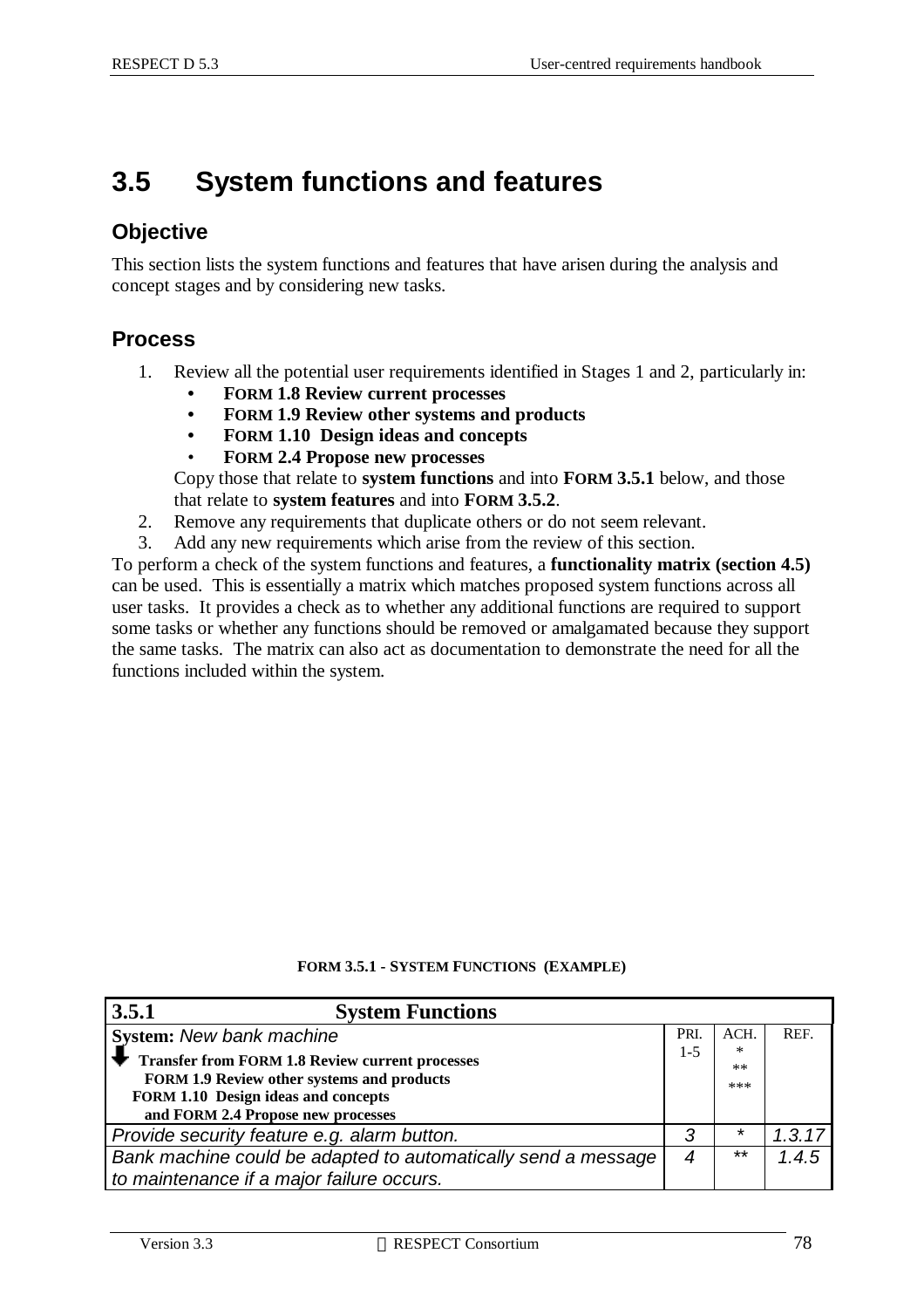# **3.5 System functions and features**

#### **Objective**

This section lists the system functions and features that have arisen during the analysis and concept stages and by considering new tasks.

#### **Process**

- 1. Review all the potential user requirements identified in Stages 1 and 2, particularly in:
	- **• FORM 1.8 Review current processes**
	- **• FORM 1.9 Review other systems and products**
	- **• FORM 1.10 Design ideas and concepts**
	- **FORM 2.4 Propose new processes**

Copy those that relate to **system functions** and into **FORM 3.5.1** below, and those that relate to **system features** and into **FORM 3.5.2**.

- 2. Remove any requirements that duplicate others or do not seem relevant.
- 3. Add any new requirements which arise from the review of this section.

To perform a check of the system functions and features, a **functionality matrix (section 4.5)** can be used. This is essentially a matrix which matches proposed system functions across all user tasks. It provides a check as to whether any additional functions are required to support some tasks or whether any functions should be removed or amalgamated because they support the same tasks. The matrix can also act as documentation to demonstrate the need for all the functions included within the system.

| 3.5.1<br><b>System Functions</b>                                                                                                                                                  |         |                  |          |
|-----------------------------------------------------------------------------------------------------------------------------------------------------------------------------------|---------|------------------|----------|
| <b>System: New bank machine</b>                                                                                                                                                   | PRI.    | ACH.             | REF.     |
| <b>Transfer from FORM 1.8 Review current processes</b><br>FORM 1.9 Review other systems and products<br>FORM 1.10 Design ideas and concepts<br>and FORM 2.4 Propose new processes | $1 - 5$ | ∗<br>$**$<br>*** |          |
| Provide security feature e.g. alarm button.                                                                                                                                       | 3       | *                | 1, 3, 17 |
| Bank machine could be adapted to automatically send a message                                                                                                                     | 4       | $**$             | 1.4.5    |
| to maintenance if a major failure occurs.                                                                                                                                         |         |                  |          |

#### **FORM 3.5.1 - SYSTEM FUNCTIONS (EXAMPLE)**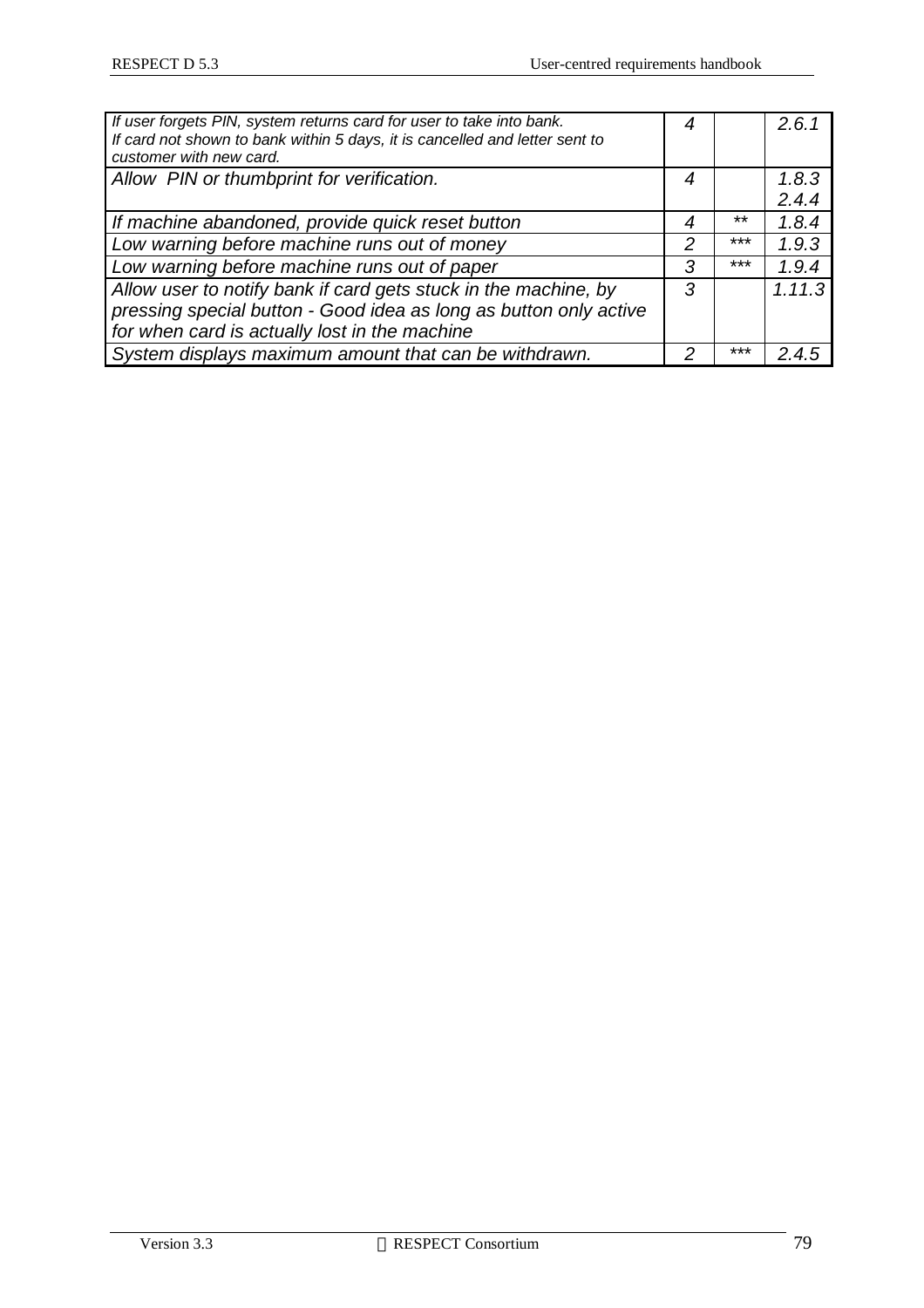| If user forgets PIN, system returns card for user to take into bank.<br>If card not shown to bank within 5 days, it is cancelled and letter sent to<br>customer with new card.        | 4 |       | 2.6.1          |
|---------------------------------------------------------------------------------------------------------------------------------------------------------------------------------------|---|-------|----------------|
| Allow PIN or thumbprint for verification.                                                                                                                                             | 4 |       | 1.8.3<br>2.4.4 |
| If machine abandoned, provide quick reset button                                                                                                                                      | 4 | $***$ | 1.8.4          |
| Low warning before machine runs out of money                                                                                                                                          | 2 | ***   | 1.9.3          |
| Low warning before machine runs out of paper                                                                                                                                          | 3 | $***$ | 1.9.4          |
| Allow user to notify bank if card gets stuck in the machine, by<br>pressing special button - Good idea as long as button only active<br>for when card is actually lost in the machine | 3 |       | 1.11.3         |
| System displays maximum amount that can be withdrawn.                                                                                                                                 | 2 | ***   | 2.4.5          |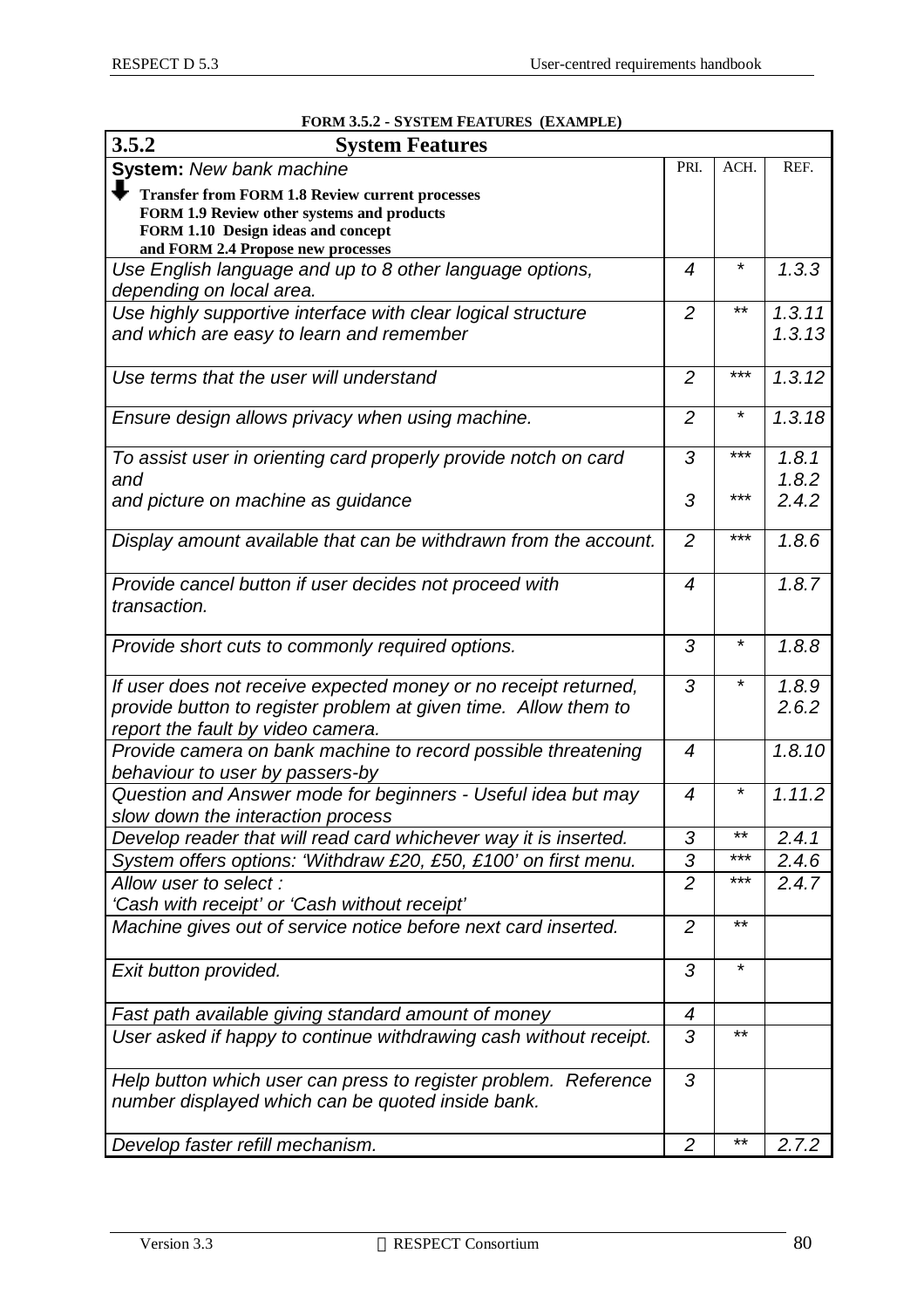| 3.5.2<br><b>System Features</b>                                                                                      |                |          |        |
|----------------------------------------------------------------------------------------------------------------------|----------------|----------|--------|
| System: New bank machine                                                                                             | PRI.           | ACH.     | REF.   |
|                                                                                                                      |                |          |        |
| <b>Transfer from FORM 1.8 Review current processes</b><br>FORM 1.9 Review other systems and products                 |                |          |        |
| FORM 1.10 Design ideas and concept                                                                                   |                |          |        |
| and FORM 2.4 Propose new processes                                                                                   |                |          |        |
| Use English language and up to 8 other language options,                                                             | 4              | $^\star$ | 1.3.3  |
| depending on local area.                                                                                             |                |          |        |
| Use highly supportive interface with clear logical structure                                                         | $\overline{2}$ | $***$    | 1.3.11 |
| and which are easy to learn and remember                                                                             |                |          | 1.3.13 |
| Use terms that the user will understand                                                                              | 2              | ***      | 1.3.12 |
|                                                                                                                      |                |          |        |
| Ensure design allows privacy when using machine.                                                                     | $\overline{2}$ | $^\star$ | 1.3.18 |
| To assist user in orienting card properly provide notch on card                                                      | 3              | ***      | 1.8.1  |
| and                                                                                                                  |                |          | 1.8.2  |
| and picture on machine as guidance                                                                                   | 3              | ***      | 2.4.2  |
| Display amount available that can be withdrawn from the account.                                                     | $\overline{2}$ | ***      | 1.8.6  |
| Provide cancel button if user decides not proceed with                                                               | 4              |          | 1.8.7  |
| transaction.                                                                                                         |                |          |        |
| Provide short cuts to commonly required options.                                                                     | 3              | $^\star$ | 1.8.8  |
| If user does not receive expected money or no receipt returned,                                                      | 3              | *        | 1.8.9  |
| provide button to register problem at given time. Allow them to                                                      |                |          | 2.6.2  |
| report the fault by video camera.                                                                                    |                |          |        |
| Provide camera on bank machine to record possible threatening                                                        | $\overline{4}$ |          | 1.8.10 |
| behaviour to user by passers-by                                                                                      |                |          |        |
| Question and Answer mode for beginners - Useful idea but may                                                         | $\overline{4}$ | *        | 1.11.2 |
| slow down the interaction process                                                                                    |                |          |        |
| Develop reader that will read card whichever way it is inserted.                                                     | 3              | $***$    | 2.4.1  |
| System offers options: 'Withdraw £20, £50, £100' on first menu.                                                      | 3              | ***      | 2.4.6  |
| Allow user to select:                                                                                                | $\overline{2}$ | ***      | 2.4.7  |
| 'Cash with receipt' or 'Cash without receipt'                                                                        |                |          |        |
| Machine gives out of service notice before next card inserted.                                                       | $\overline{2}$ | $***$    |        |
| Exit button provided.                                                                                                | 3              | $\star$  |        |
| Fast path available giving standard amount of money                                                                  | 4              |          |        |
| User asked if happy to continue withdrawing cash without receipt.                                                    | 3              | $***$    |        |
|                                                                                                                      |                |          |        |
| Help button which user can press to register problem. Reference<br>number displayed which can be quoted inside bank. | 3              |          |        |
|                                                                                                                      |                |          |        |
| Develop faster refill mechanism.                                                                                     | $\overline{2}$ | $***$    | 2.7.2  |

#### **FORM 3.5.2 - SYSTEM FEATURES (EXAMPLE)**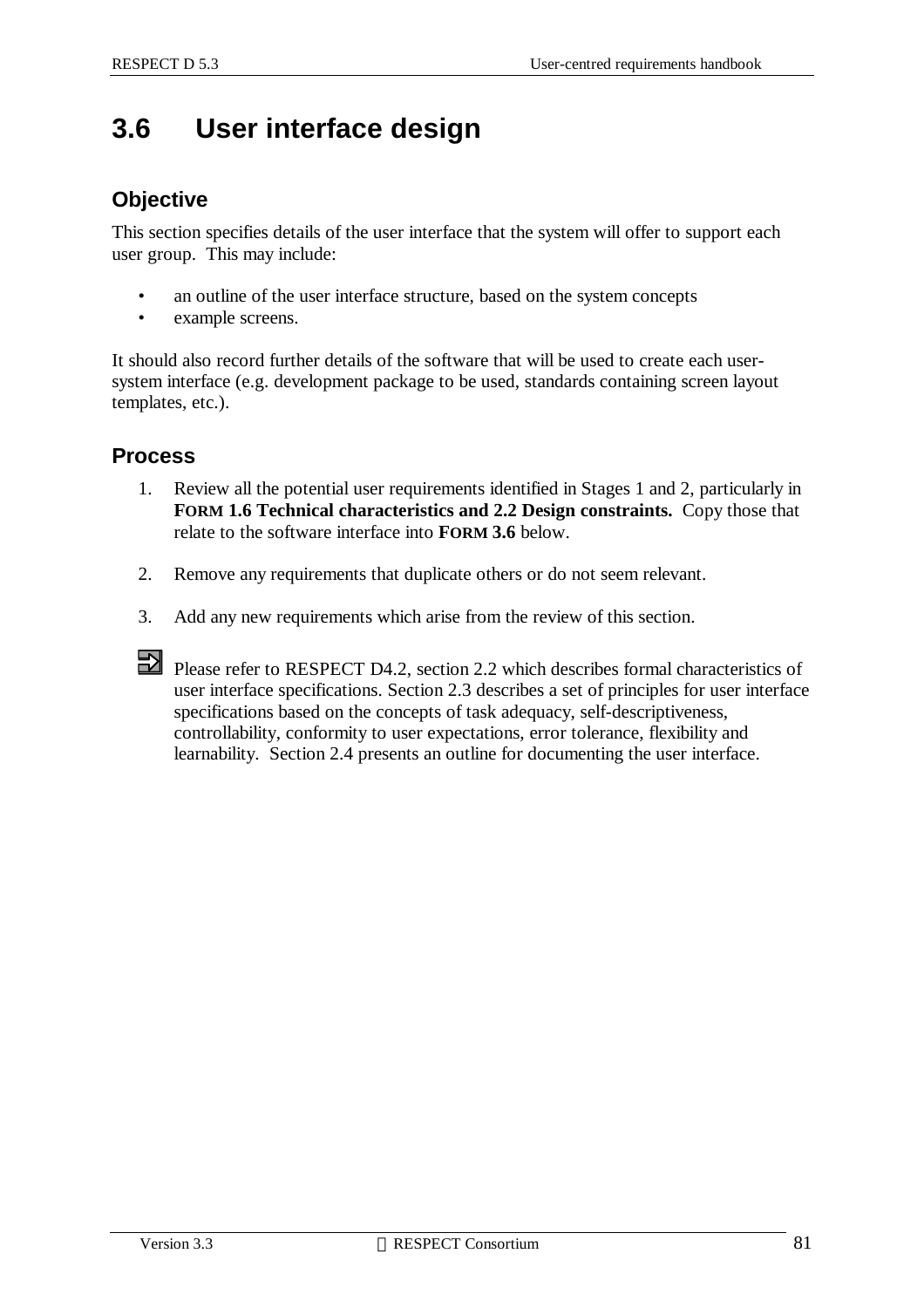# **3.6 User interface design**

#### **Objective**

This section specifies details of the user interface that the system will offer to support each user group. This may include:

- an outline of the user interface structure, based on the system concepts
- example screens.

It should also record further details of the software that will be used to create each usersystem interface (e.g. development package to be used, standards containing screen layout templates, etc.).

#### **Process**

- 1. Review all the potential user requirements identified in Stages 1 and 2, particularly in **FORM 1.6 Technical characteristics and 2.2 Design constraints.** Copy those that relate to the software interface into **FORM 3.6** below.
- 2. Remove any requirements that duplicate others or do not seem relevant.
- 3. Add any new requirements which arise from the review of this section.
- Please refer to RESPECT D4.2, section 2.2 which describes formal characteristics of user interface specifications. Section 2.3 describes a set of principles for user interface specifications based on the concepts of task adequacy, self-descriptiveness, controllability, conformity to user expectations, error tolerance, flexibility and learnability. Section 2.4 presents an outline for documenting the user interface.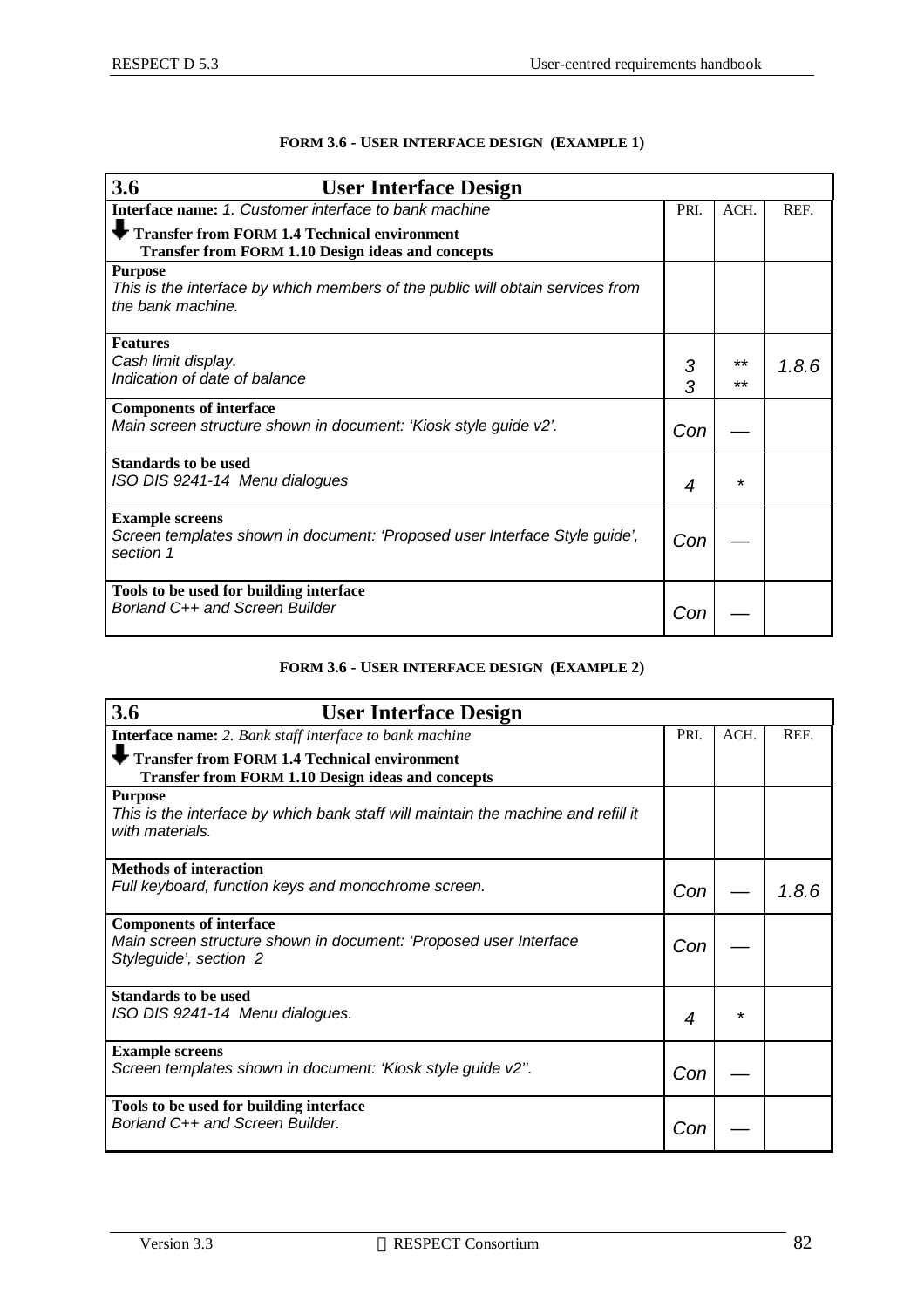| 3.6<br><b>User Interface Design</b>                                                                                   |        |          |       |
|-----------------------------------------------------------------------------------------------------------------------|--------|----------|-------|
| Interface name: 1. Customer interface to bank machine                                                                 | PRI.   | ACH.     | REF.  |
| Transfer from FORM 1.4 Technical environment<br><b>Transfer from FORM 1.10 Design ideas and concepts</b>              |        |          |       |
| <b>Purpose</b><br>This is the interface by which members of the public will obtain services from<br>the bank machine. |        |          |       |
| <b>Features</b><br>Cash limit display.<br>Indication of date of balance                                               | 3<br>3 | **<br>** | 1.8.6 |
| <b>Components of interface</b><br>Main screen structure shown in document: 'Kiosk style guide v2'.                    | Con    |          |       |
| <b>Standards to be used</b><br>ISO DIS 9241-14 Menu dialogues                                                         | 4      | $\star$  |       |
| <b>Example screens</b><br>Screen templates shown in document: 'Proposed user Interface Style guide',<br>section 1     | Con    |          |       |
| Tools to be used for building interface<br>Borland C++ and Screen Builder                                             | Cor    |          |       |

#### **FORM 3.6 - USER INTERFACE DESIGN (EXAMPLE 1)**

#### **FORM 3.6 - USER INTERFACE DESIGN (EXAMPLE 2)**

| 3.6<br><b>User Interface Design</b>                                                                                           |      |      |       |
|-------------------------------------------------------------------------------------------------------------------------------|------|------|-------|
| Interface name: 2. Bank staff interface to bank machine                                                                       | PRI. | ACH. | REF.  |
| Transfer from FORM 1.4 Technical environment<br><b>Transfer from FORM 1.10 Design ideas and concepts</b>                      |      |      |       |
| <b>Purpose</b><br>This is the interface by which bank staff will maintain the machine and refill it<br>with materials.        |      |      |       |
| <b>Methods of interaction</b><br>Full keyboard, function keys and monochrome screen.                                          | Con  |      | 1.8.6 |
| <b>Components of interface</b><br>Main screen structure shown in document: 'Proposed user Interface<br>Styleguide', section 2 | Con  |      |       |
| <b>Standards to be used</b><br>ISO DIS 9241-14 Menu dialogues.                                                                | 4    | *    |       |
| <b>Example screens</b><br>Screen templates shown in document: 'Kiosk style guide v2".                                         | Con  |      |       |
| Tools to be used for building interface<br>Borland C++ and Screen Builder.                                                    | Con  |      |       |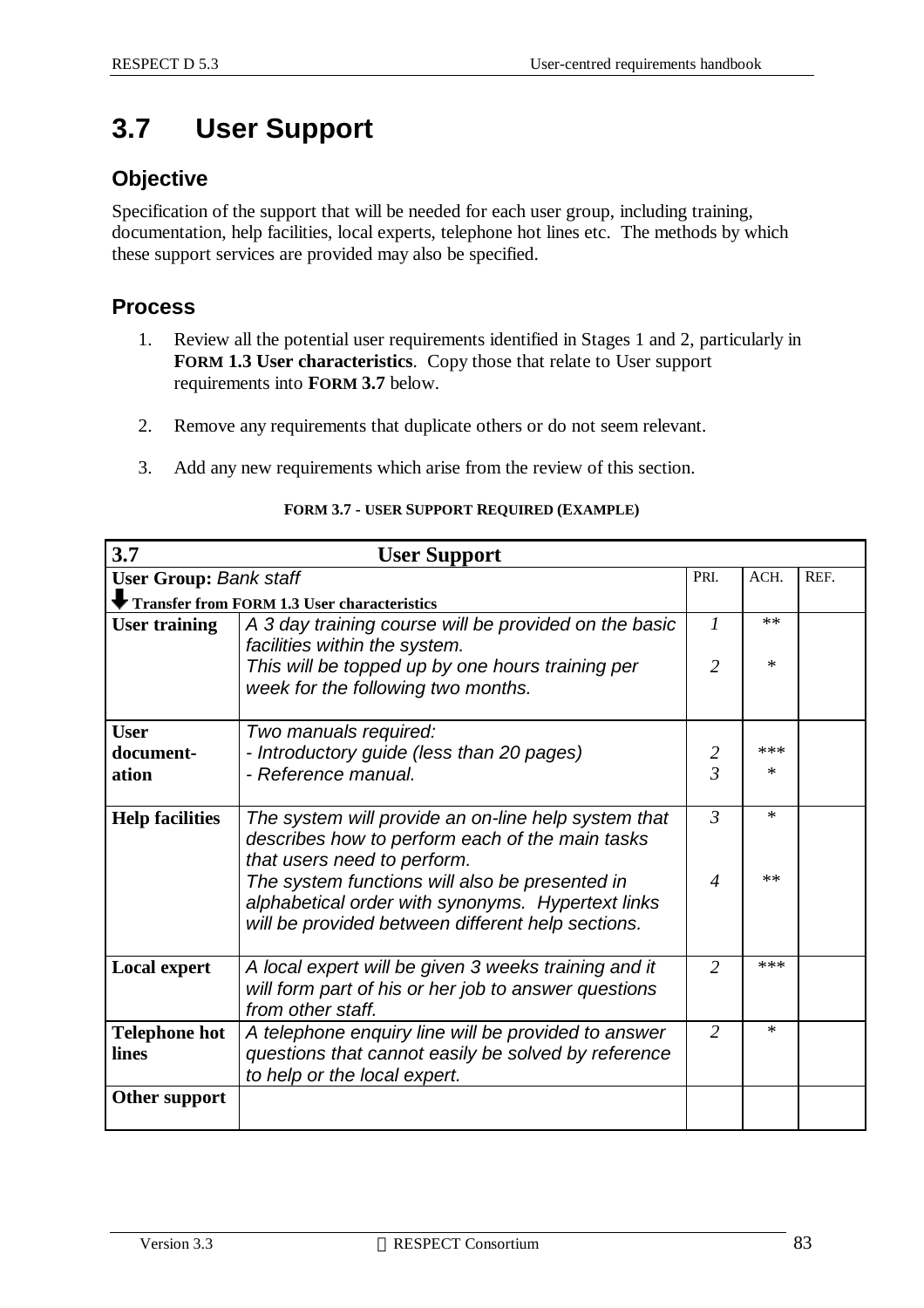# **3.7 User Support**

### **Objective**

Specification of the support that will be needed for each user group, including training, documentation, help facilities, local experts, telephone hot lines etc. The methods by which these support services are provided may also be specified.

### **Process**

- 1. Review all the potential user requirements identified in Stages 1 and 2, particularly in **FORM 1.3 User characteristics**. Copy those that relate to User support requirements into **FORM 3.7** below.
- 2. Remove any requirements that duplicate others or do not seem relevant.
- 3. Add any new requirements which arise from the review of this section.

| 3.7                           | <b>User Support</b>                                                                                                                                      |                |        |  |
|-------------------------------|----------------------------------------------------------------------------------------------------------------------------------------------------------|----------------|--------|--|
| <b>User Group: Bank staff</b> | PRI.                                                                                                                                                     | ACH.           | REF.   |  |
|                               | Transfer from FORM 1.3 User characteristics                                                                                                              |                |        |  |
| <b>User training</b>          | A 3 day training course will be provided on the basic<br>facilities within the system.                                                                   |                |        |  |
|                               | This will be topped up by one hours training per<br>week for the following two months.                                                                   | $\overline{2}$ | $\ast$ |  |
| <b>User</b>                   | Two manuals required:                                                                                                                                    |                |        |  |
| document-                     | - Introductory guide (less than 20 pages)                                                                                                                | 2              | $***$  |  |
| ation                         | - Reference manual.                                                                                                                                      | $\overline{3}$ | $\ast$ |  |
| <b>Help facilities</b>        | The system will provide an on-line help system that<br>describes how to perform each of the main tasks<br>that users need to perform.                    | $\mathfrak{Z}$ | $\ast$ |  |
|                               | The system functions will also be presented in<br>alphabetical order with synonyms. Hypertext links<br>will be provided between different help sections. | $\overline{4}$ | $***$  |  |
| <b>Local expert</b>           | A local expert will be given 3 weeks training and it<br>will form part of his or her job to answer questions<br>from other staff.                        | $\overline{2}$ | $***$  |  |
| <b>Telephone hot</b><br>lines | A telephone enquiry line will be provided to answer<br>questions that cannot easily be solved by reference<br>to help or the local expert.               | 2              | $\ast$ |  |
| Other support                 |                                                                                                                                                          |                |        |  |

#### **FORM 3.7 - USER SUPPORT REQUIRED (EXAMPLE)**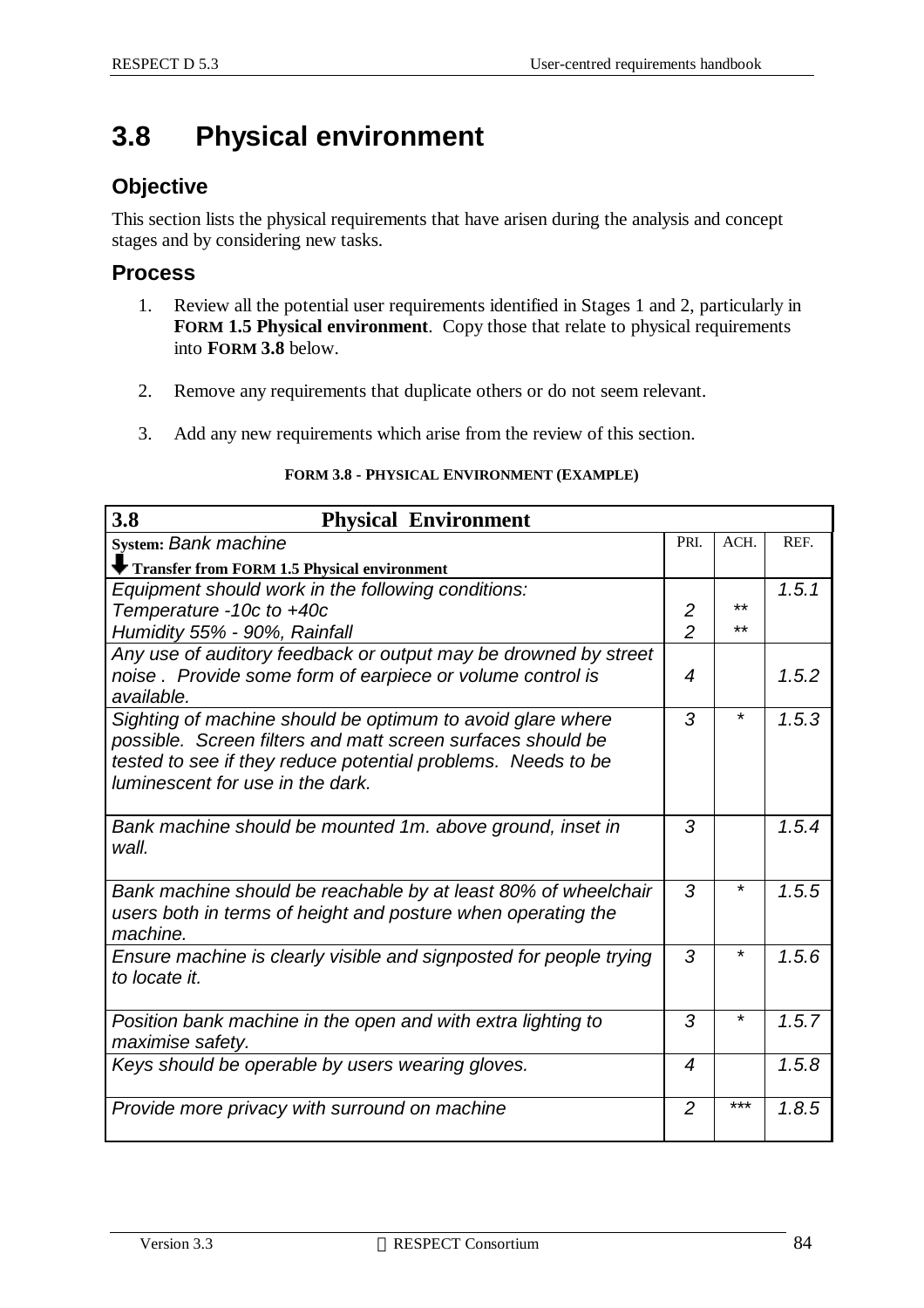# **3.8 Physical environment**

### **Objective**

This section lists the physical requirements that have arisen during the analysis and concept stages and by considering new tasks.

#### **Process**

- 1. Review all the potential user requirements identified in Stages 1 and 2, particularly in **FORM 1.5 Physical environment**. Copy those that relate to physical requirements into **FORM 3.8** below.
- 2. Remove any requirements that duplicate others or do not seem relevant.
- 3. Add any new requirements which arise from the review of this section.

| 3.8<br><b>Physical Environment</b>                                                                                                                                                                                            |                |         |       |
|-------------------------------------------------------------------------------------------------------------------------------------------------------------------------------------------------------------------------------|----------------|---------|-------|
| <b>System: Bank machine</b>                                                                                                                                                                                                   | PRI.           | ACH.    | REF.  |
| Transfer from FORM 1.5 Physical environment                                                                                                                                                                                   |                |         |       |
| Equipment should work in the following conditions:                                                                                                                                                                            |                |         | 1.5.1 |
| Temperature -10c to +40c                                                                                                                                                                                                      | $\overline{2}$ | **      |       |
| Humidity 55% - 90%, Rainfall                                                                                                                                                                                                  | $\overline{2}$ | **      |       |
| Any use of auditory feedback or output may be drowned by street<br>noise. Provide some form of earpiece or volume control is<br>available.                                                                                    | 4              |         | 1.5.2 |
| Sighting of machine should be optimum to avoid glare where<br>possible. Screen filters and matt screen surfaces should be<br>tested to see if they reduce potential problems. Needs to be<br>luminescent for use in the dark. | 3              | *       | 1.5.3 |
| Bank machine should be mounted 1m. above ground, inset in<br>wall.                                                                                                                                                            | 3              |         | 1.5.4 |
| Bank machine should be reachable by at least 80% of wheelchair<br>users both in terms of height and posture when operating the<br>machine.                                                                                    | 3              | *       | 1.5.5 |
| Ensure machine is clearly visible and signposted for people trying<br>to locate it.                                                                                                                                           | 3              | $\star$ | 1.5.6 |
| Position bank machine in the open and with extra lighting to<br>maximise safety.                                                                                                                                              | 3              | $\star$ | 1.5.7 |
| Keys should be operable by users wearing gloves.                                                                                                                                                                              | 4              |         | 1.5.8 |
| Provide more privacy with surround on machine                                                                                                                                                                                 | $\overline{2}$ | $***$   | 1.8.5 |

#### **FORM 3.8 - PHYSICAL ENVIRONMENT (EXAMPLE)**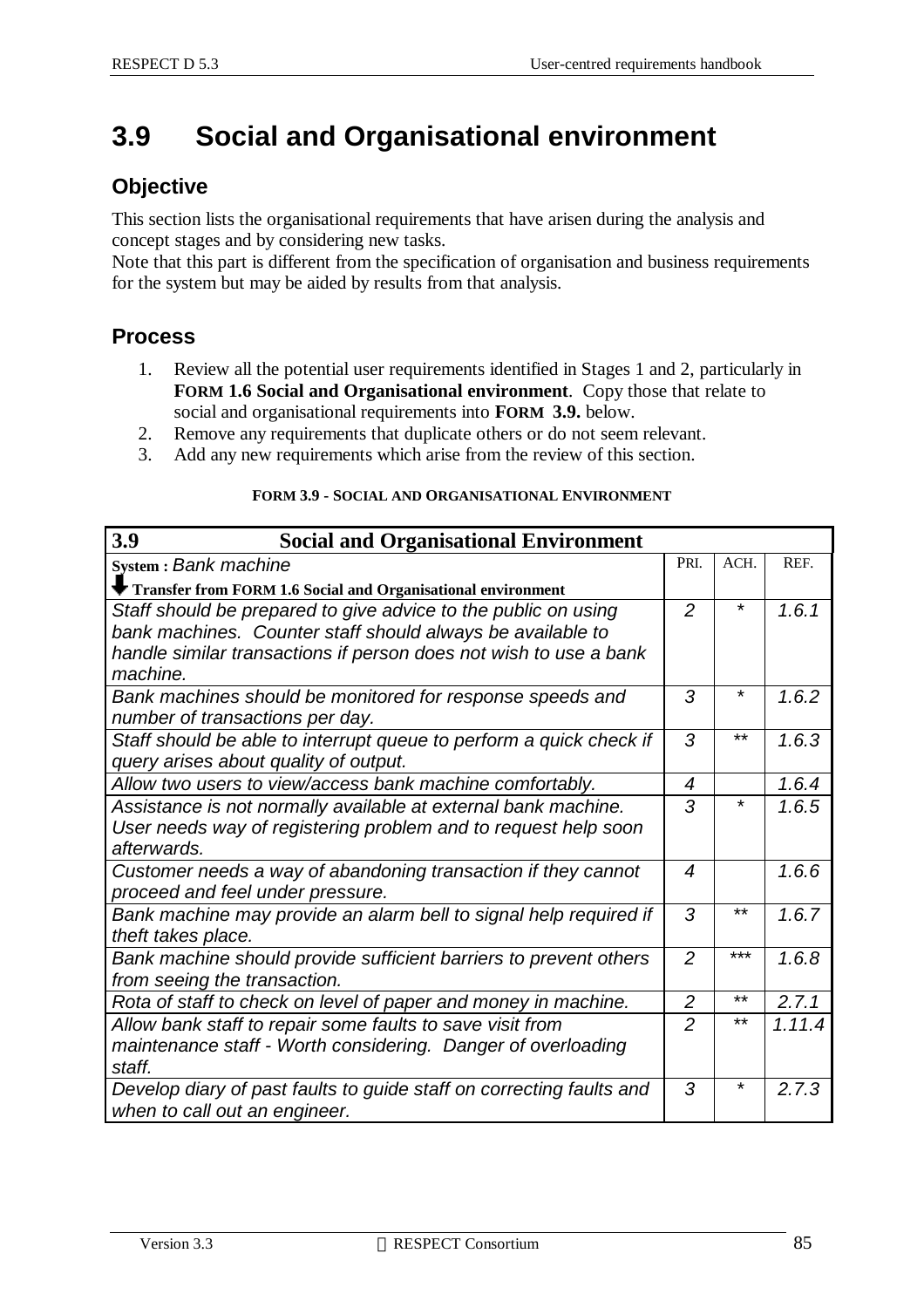# **3.9 Social and Organisational environment**

### **Objective**

This section lists the organisational requirements that have arisen during the analysis and concept stages and by considering new tasks.

Note that this part is different from the specification of organisation and business requirements for the system but may be aided by results from that analysis.

#### **Process**

- 1. Review all the potential user requirements identified in Stages 1 and 2, particularly in **FORM 1.6 Social and Organisational environment**. Copy those that relate to social and organisational requirements into **FORM 3.9.** below.
- 2. Remove any requirements that duplicate others or do not seem relevant.
- 3. Add any new requirements which arise from the review of this section.

|  | <b>FORM 3.9 - SOCIAL AND ORGANISATIONAL ENVIRONMENT</b> |  |
|--|---------------------------------------------------------|--|
|  |                                                         |  |

| 3.9<br><b>Social and Organisational Environment</b>                                                          |                  |         |        |
|--------------------------------------------------------------------------------------------------------------|------------------|---------|--------|
| System: Bank machine                                                                                         | PRI.             | ACH.    | REF.   |
| Transfer from FORM 1.6 Social and Organisational environment                                                 |                  |         |        |
| Staff should be prepared to give advice to the public on using                                               | $\overline{2}$   | $\star$ | 1.6.1  |
| bank machines. Counter staff should always be available to                                                   |                  |         |        |
| handle similar transactions if person does not wish to use a bank<br>machine.                                |                  |         |        |
| Bank machines should be monitored for response speeds and<br>number of transactions per day.                 | 3                | *       | 1.6.2  |
| Staff should be able to interrupt queue to perform a quick check if<br>query arises about quality of output. | 3                | $***$   | 1.6.3  |
| Allow two users to view/access bank machine comfortably.                                                     | 4                |         | 1.6.4  |
| Assistance is not normally available at external bank machine.                                               | 3                | *       | 1.6.5  |
| User needs way of registering problem and to request help soon<br>afterwards.                                |                  |         |        |
| Customer needs a way of abandoning transaction if they cannot                                                | $\boldsymbol{4}$ |         | 1.6.6  |
| proceed and feel under pressure.                                                                             |                  |         |        |
| Bank machine may provide an alarm bell to signal help required if                                            | 3                | $***$   | 1.6.7  |
| theft takes place.                                                                                           |                  |         |        |
| Bank machine should provide sufficient barriers to prevent others                                            | $\overline{2}$   | $***$   | 1.6.8  |
| from seeing the transaction.                                                                                 |                  |         |        |
| Rota of staff to check on level of paper and money in machine.                                               | $\overline{2}$   | $***$   | 2.7.1  |
| Allow bank staff to repair some faults to save visit from                                                    | $\overline{2}$   | $***$   | 1.11.4 |
| maintenance staff - Worth considering. Danger of overloading<br>staff.                                       |                  |         |        |
| Develop diary of past faults to guide staff on correcting faults and<br>when to call out an engineer.        | 3                | *       | 2.7.3  |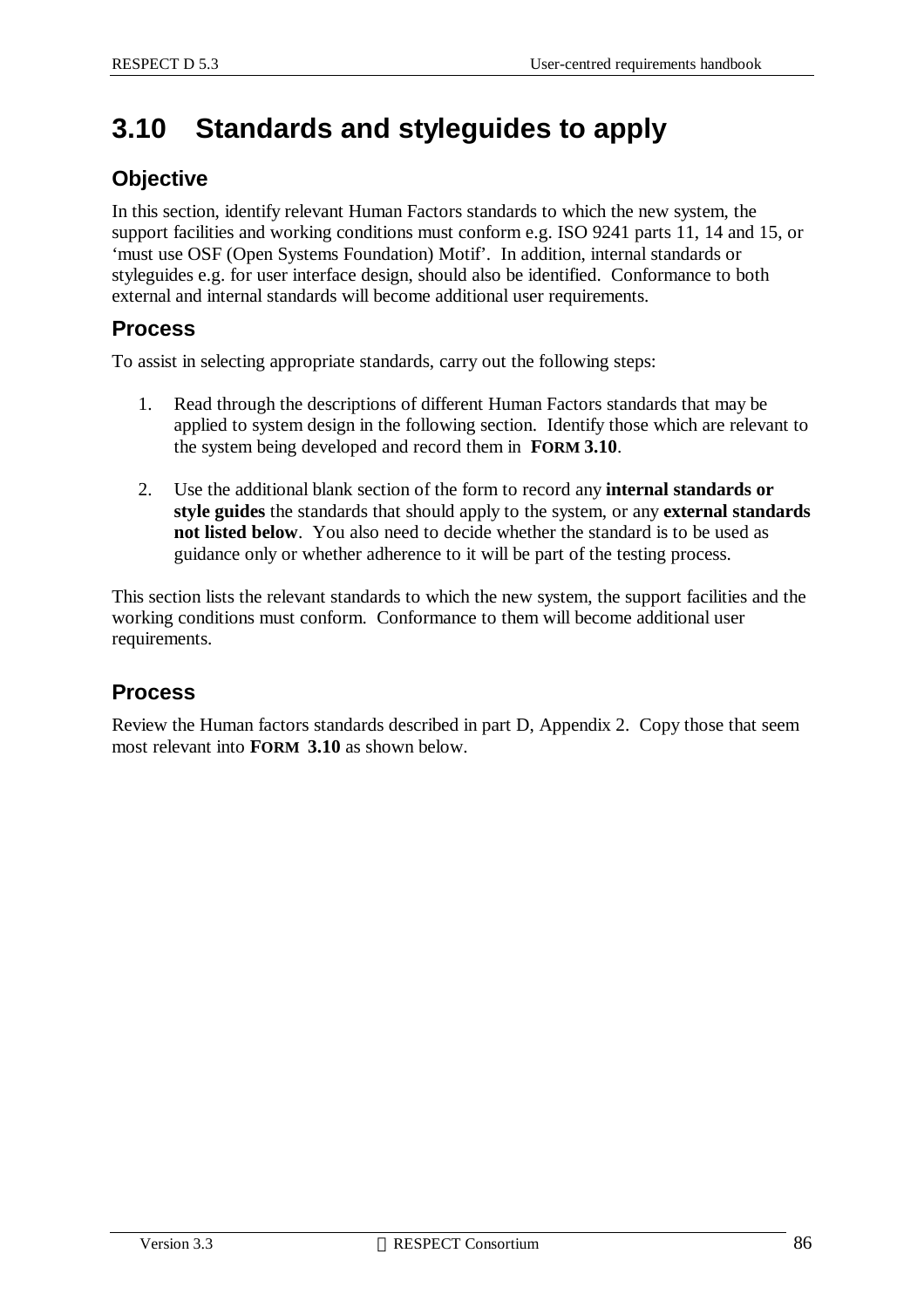# **3.10 Standards and styleguides to apply**

### **Objective**

In this section, identify relevant Human Factors standards to which the new system, the support facilities and working conditions must conform e.g. ISO 9241 parts 11, 14 and 15, or 'must use OSF (Open Systems Foundation) Motif'. In addition, internal standards or styleguides e.g. for user interface design, should also be identified. Conformance to both external and internal standards will become additional user requirements.

### **Process**

To assist in selecting appropriate standards, carry out the following steps:

- 1. Read through the descriptions of different Human Factors standards that may be applied to system design in the following section. Identify those which are relevant to the system being developed and record them in **FORM 3.10**.
- 2. Use the additional blank section of the form to record any **internal standards or style guides** the standards that should apply to the system, or any **external standards not listed below**. You also need to decide whether the standard is to be used as guidance only or whether adherence to it will be part of the testing process.

This section lists the relevant standards to which the new system, the support facilities and the working conditions must conform. Conformance to them will become additional user requirements.

### **Process**

Review the Human factors standards described in part D, Appendix 2. Copy those that seem most relevant into **FORM 3.10** as shown below.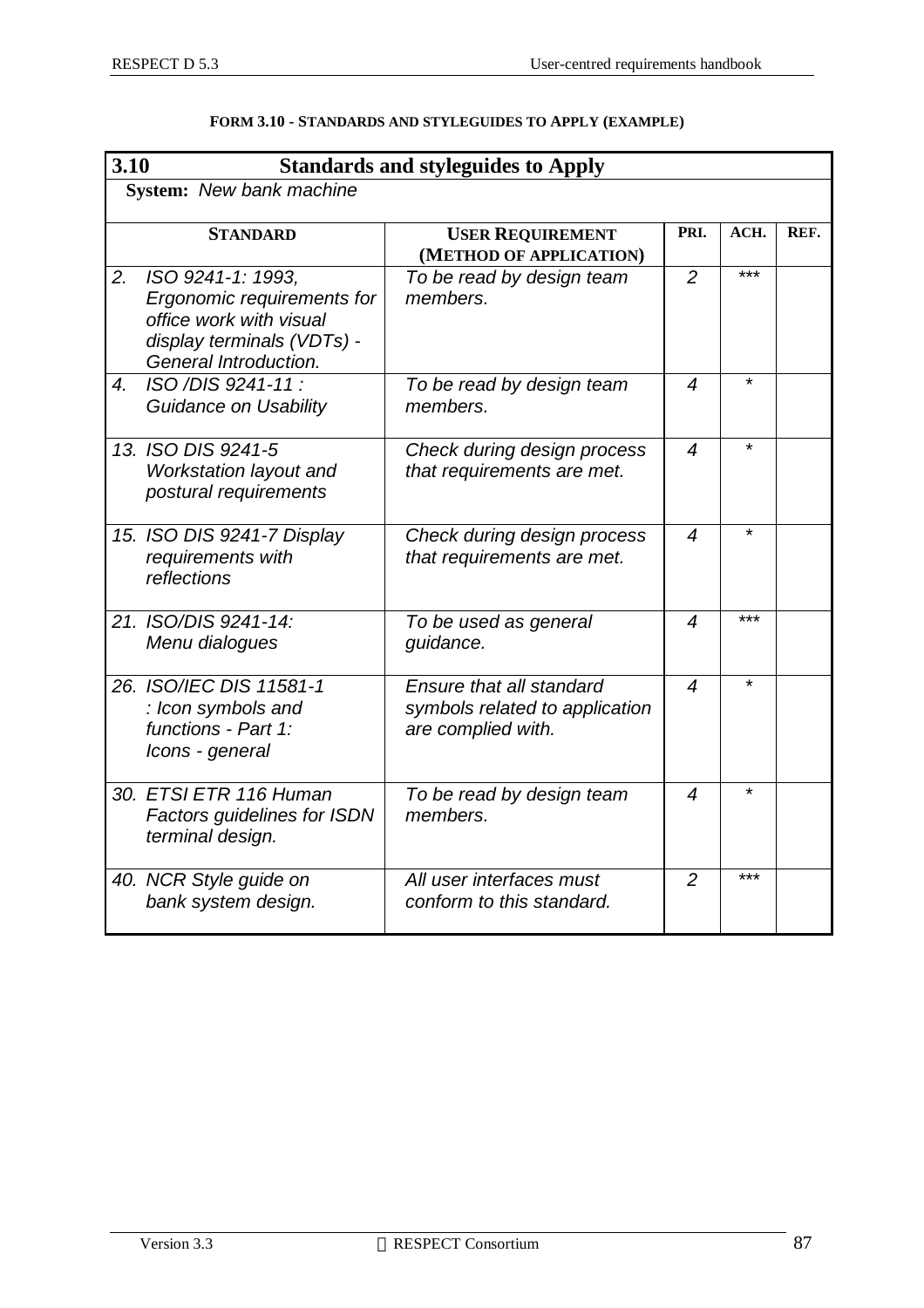|                  | 3.10<br><b>Standards and styleguides to Apply</b>                                                                                 |                                                                                  |                  |         |      |  |  |
|------------------|-----------------------------------------------------------------------------------------------------------------------------------|----------------------------------------------------------------------------------|------------------|---------|------|--|--|
|                  | System: New bank machine                                                                                                          |                                                                                  |                  |         |      |  |  |
|                  | <b>STANDARD</b>                                                                                                                   | <b>USER REQUIREMENT</b><br>(METHOD OF APPLICATION)                               | PRI.             | ACH.    | REF. |  |  |
| 2.               | ISO 9241-1: 1993,<br>Ergonomic requirements for<br>office work with visual<br>display terminals (VDTs) -<br>General Introduction. | To be read by design team<br>members.                                            | $\overline{2}$   | ***     |      |  |  |
| $\overline{4}$ . | ISO /DIS 9241-11 :<br>Guidance on Usability                                                                                       | To be read by design team<br>members.                                            | 4                |         |      |  |  |
|                  | 13. ISO DIS 9241-5<br>Workstation layout and<br>postural requirements                                                             | Check during design process<br>that requirements are met.                        | $\boldsymbol{4}$ | $\star$ |      |  |  |
|                  | 15. ISO DIS 9241-7 Display<br>requirements with<br>reflections                                                                    | Check during design process<br>that requirements are met.                        | $\boldsymbol{4}$ | $\star$ |      |  |  |
|                  | 21. ISO/DIS 9241-14:<br>Menu dialogues                                                                                            | To be used as general<br>guidance.                                               | 4                | ***     |      |  |  |
|                  | 26. ISO/IEC DIS 11581-1<br>: Icon symbols and<br>functions - Part 1:<br>Icons - general                                           | Ensure that all standard<br>symbols related to application<br>are complied with. | 4                | $\star$ |      |  |  |
|                  | 30. ETSI ETR 116 Human<br><b>Factors guidelines for ISDN</b><br>terminal design.                                                  | To be read by design team<br>members.                                            | 4                | $\star$ |      |  |  |
|                  | 40. NCR Style guide on<br>bank system design.                                                                                     | All user interfaces must<br>conform to this standard.                            | $\overline{2}$   | $***$   |      |  |  |

#### **FORM 3.10 - STANDARDS AND STYLEGUIDES TO APPLY (EXAMPLE)**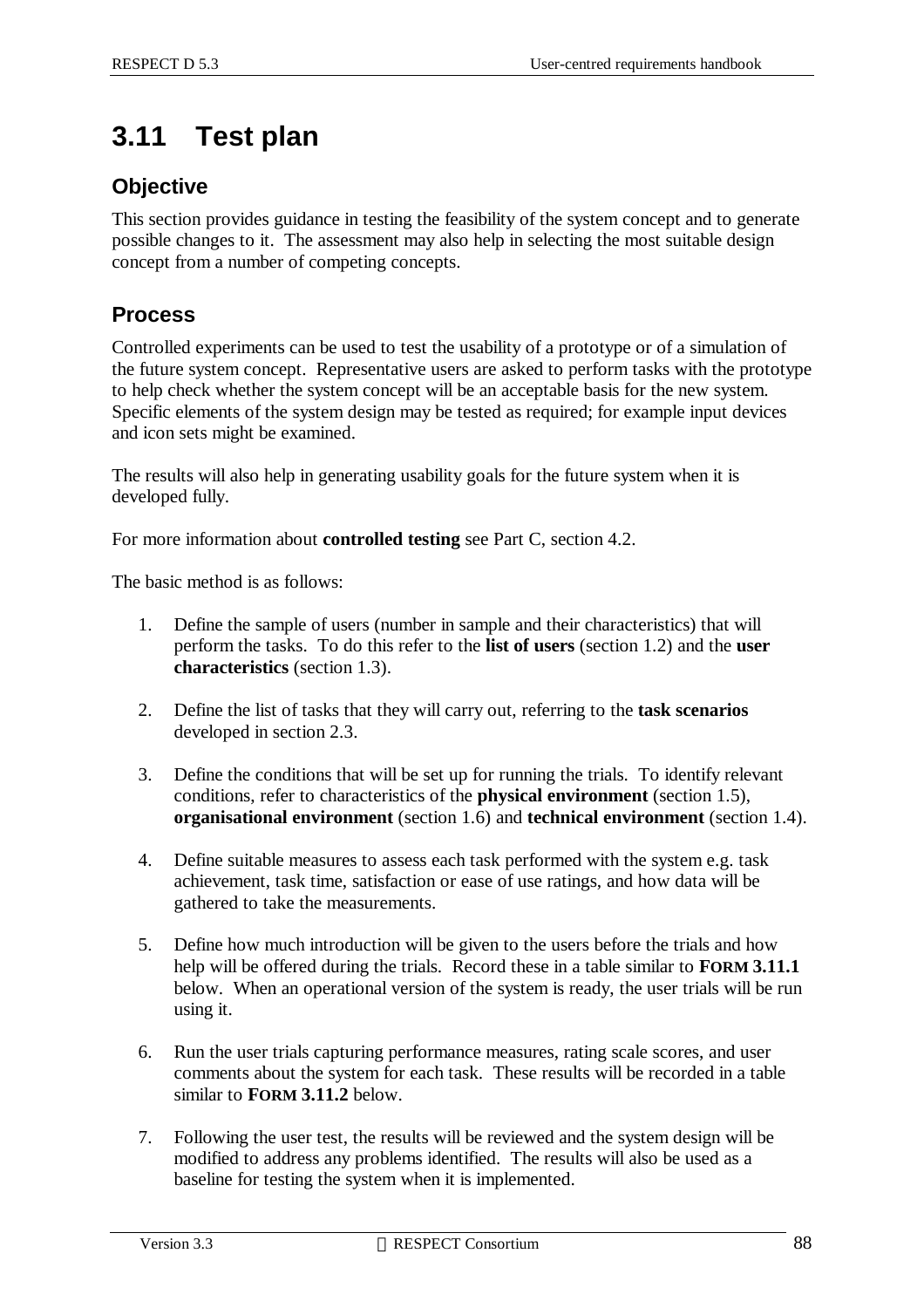# **3.11 Test plan**

#### **Objective**

This section provides guidance in testing the feasibility of the system concept and to generate possible changes to it. The assessment may also help in selecting the most suitable design concept from a number of competing concepts.

## **Process**

Controlled experiments can be used to test the usability of a prototype or of a simulation of the future system concept. Representative users are asked to perform tasks with the prototype to help check whether the system concept will be an acceptable basis for the new system. Specific elements of the system design may be tested as required; for example input devices and icon sets might be examined.

The results will also help in generating usability goals for the future system when it is developed fully.

For more information about **controlled testing** see Part C, section 4.2.

The basic method is as follows:

- 1. Define the sample of users (number in sample and their characteristics) that will perform the tasks. To do this refer to the **list of users** (section 1.2) and the **user characteristics** (section 1.3).
- 2. Define the list of tasks that they will carry out, referring to the **task scenarios** developed in section 2.3.
- 3. Define the conditions that will be set up for running the trials. To identify relevant conditions, refer to characteristics of the **physical environment** (section 1.5), **organisational environment** (section 1.6) and **technical environment** (section 1.4).
- 4. Define suitable measures to assess each task performed with the system e.g. task achievement, task time, satisfaction or ease of use ratings, and how data will be gathered to take the measurements.
- 5. Define how much introduction will be given to the users before the trials and how help will be offered during the trials. Record these in a table similar to **FORM 3.11.1** below. When an operational version of the system is ready, the user trials will be run using it.
- 6. Run the user trials capturing performance measures, rating scale scores, and user comments about the system for each task. These results will be recorded in a table similar to **FORM 3.11.2** below.
- 7. Following the user test, the results will be reviewed and the system design will be modified to address any problems identified. The results will also be used as a baseline for testing the system when it is implemented.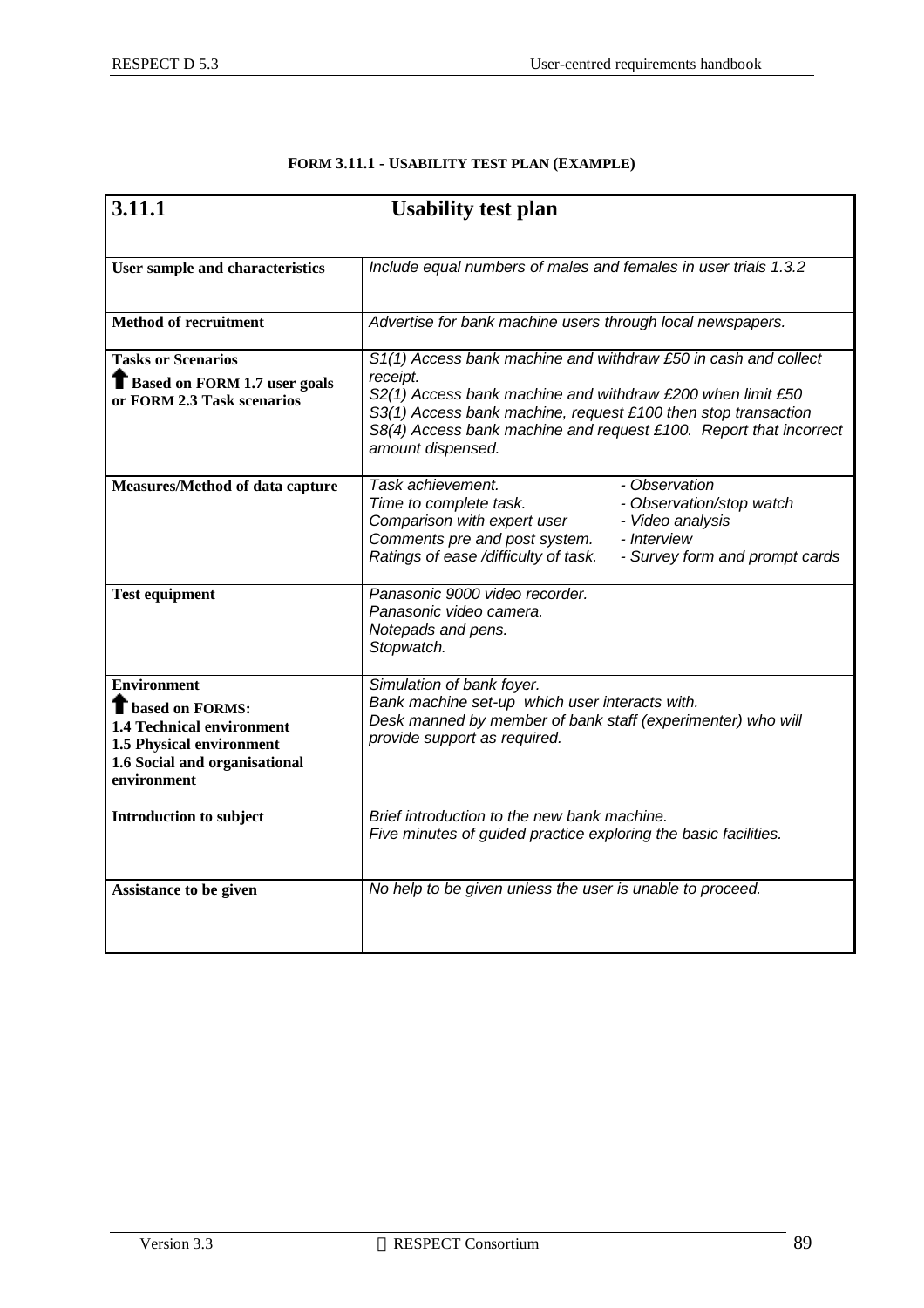| 3.11.1                                                                                                                                                         | <b>Usability test plan</b>                                                                                                                                                                                                                                                                          |  |  |
|----------------------------------------------------------------------------------------------------------------------------------------------------------------|-----------------------------------------------------------------------------------------------------------------------------------------------------------------------------------------------------------------------------------------------------------------------------------------------------|--|--|
|                                                                                                                                                                |                                                                                                                                                                                                                                                                                                     |  |  |
| User sample and characteristics                                                                                                                                | Include equal numbers of males and females in user trials 1.3.2                                                                                                                                                                                                                                     |  |  |
| <b>Method of recruitment</b>                                                                                                                                   | Advertise for bank machine users through local newspapers.                                                                                                                                                                                                                                          |  |  |
| <b>Tasks or Scenarios</b><br><b>T</b> Based on FORM 1.7 user goals<br>or FORM 2.3 Task scenarios                                                               | S1(1) Access bank machine and withdraw £50 in cash and collect<br>receipt.<br>S2(1) Access bank machine and withdraw £200 when limit £50<br>S3(1) Access bank machine, request £100 then stop transaction<br>S8(4) Access bank machine and request £100. Report that incorrect<br>amount dispensed. |  |  |
| Measures/Method of data capture                                                                                                                                | Task achievement.<br>- Observation<br>- Observation/stop watch<br>Time to complete task.<br>Comparison with expert user<br>- Video analysis<br>Comments pre and post system.<br>- Interview<br>Ratings of ease /difficulty of task.<br>- Survey form and prompt cards                               |  |  |
| <b>Test equipment</b>                                                                                                                                          | Panasonic 9000 video recorder.<br>Panasonic video camera.<br>Notepads and pens.<br>Stopwatch.                                                                                                                                                                                                       |  |  |
| <b>Environment</b><br><b>T</b> based on FORMS:<br><b>1.4 Technical environment</b><br>1.5 Physical environment<br>1.6 Social and organisational<br>environment | Simulation of bank foyer.<br>Bank machine set-up which user interacts with.<br>Desk manned by member of bank staff (experimenter) who will<br>provide support as required.                                                                                                                          |  |  |
| Introduction to subject                                                                                                                                        | Brief introduction to the new bank machine.<br>Five minutes of guided practice exploring the basic facilities.                                                                                                                                                                                      |  |  |
| Assistance to be given                                                                                                                                         | No help to be given unless the user is unable to proceed.                                                                                                                                                                                                                                           |  |  |

#### **FORM 3.11.1 - USABILITY TEST PLAN (EXAMPLE)**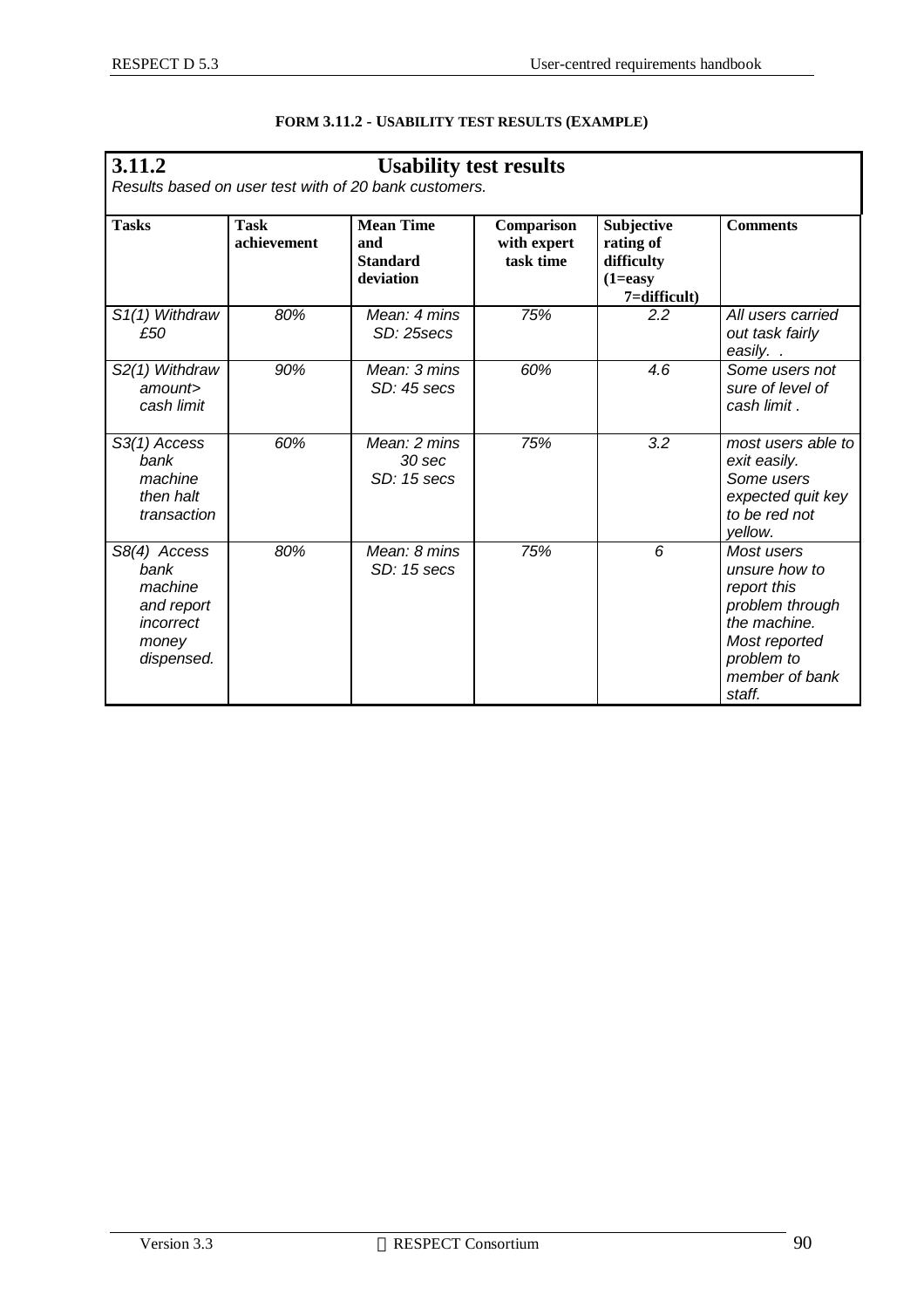| 3.11.2<br><b>Usability test results</b>                                           |                            |                                                         |                                        |                                                                     |                                                                                                                                          |  |
|-----------------------------------------------------------------------------------|----------------------------|---------------------------------------------------------|----------------------------------------|---------------------------------------------------------------------|------------------------------------------------------------------------------------------------------------------------------------------|--|
| Results based on user test with of 20 bank customers.                             |                            |                                                         |                                        |                                                                     |                                                                                                                                          |  |
| <b>Tasks</b>                                                                      | <b>Task</b><br>achievement | <b>Mean Time</b><br>and<br><b>Standard</b><br>deviation | Comparison<br>with expert<br>task time | Subjective<br>rating of<br>difficulty<br>$(1=easy)$<br>7=difficult) | <b>Comments</b>                                                                                                                          |  |
| S <sub>1</sub> (1) Withdraw<br>£50                                                | 80%                        | Mean: 4 mins<br>SD: 25secs                              | 75%                                    | 2.2                                                                 | All users carried<br>out task fairly<br>easily                                                                                           |  |
| S2(1) Withdraw<br>amount<br>cash limit                                            | 90%                        | Mean: 3 mins<br>SD: 45 secs                             | 60%                                    | 4.6                                                                 | Some users not<br>sure of level of<br>cash limit.                                                                                        |  |
| S3(1) Access<br>bank<br>machine<br>then halt<br>transaction                       | 60%                        | Mean: 2 mins<br>30 sec<br>SD: 15 secs                   | 75%                                    | 3.2                                                                 | most users able to<br>exit easily.<br>Some users<br>expected quit key<br>to be red not<br>yellow.                                        |  |
| S8(4) Access<br>bank<br>machine<br>and report<br>incorrect<br>money<br>dispensed. | 80%                        | Mean: 8 mins<br>SD: 15 secs                             | 75%                                    | 6                                                                   | Most users<br>unsure how to<br>report this<br>problem through<br>the machine.<br>Most reported<br>problem to<br>member of bank<br>staff. |  |

#### **FORM 3.11.2 - USABILITY TEST RESULTS (EXAMPLE)**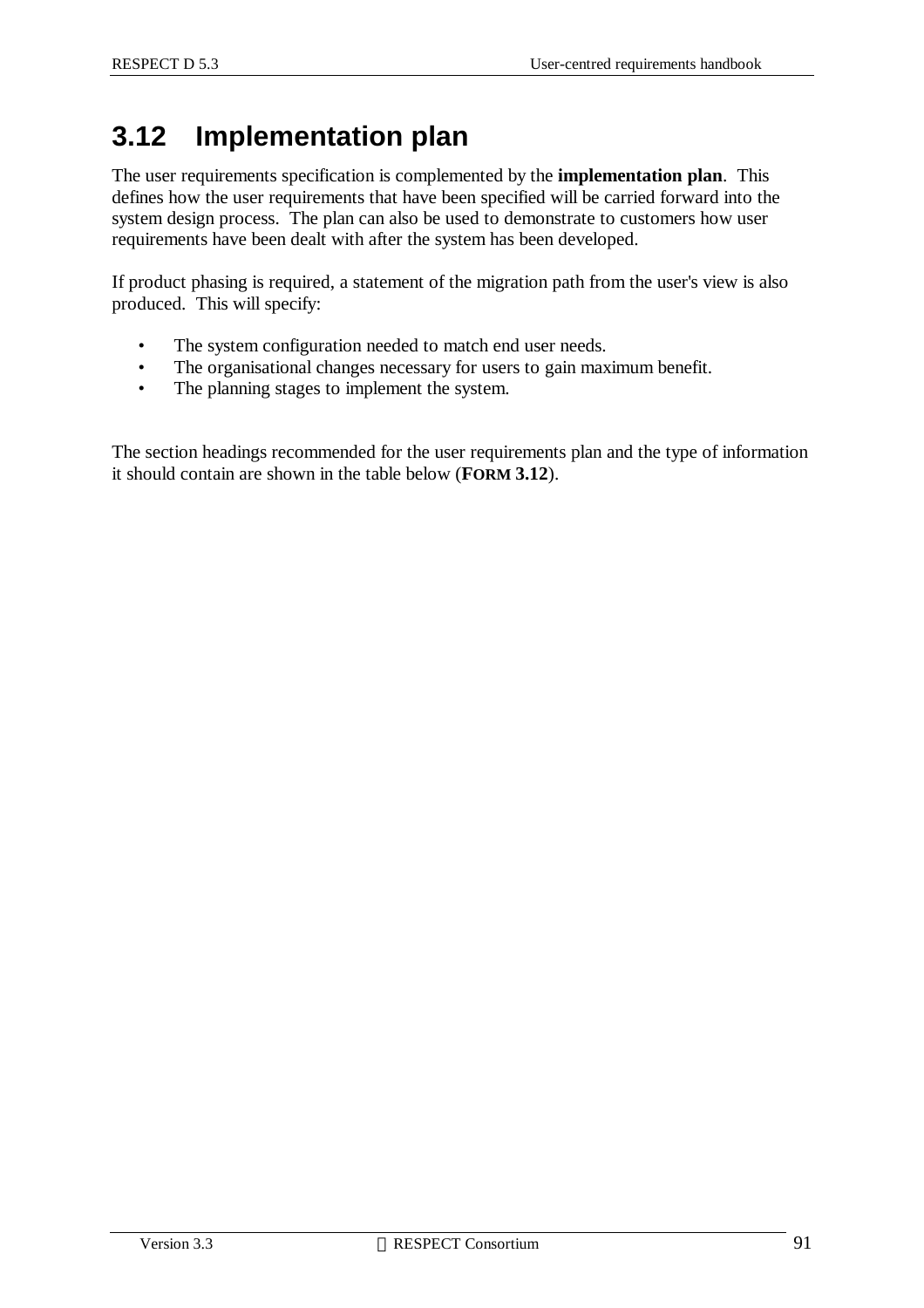# **3.12 Implementation plan**

The user requirements specification is complemented by the **implementation plan**. This defines how the user requirements that have been specified will be carried forward into the system design process. The plan can also be used to demonstrate to customers how user requirements have been dealt with after the system has been developed.

If product phasing is required, a statement of the migration path from the user's view is also produced. This will specify:

- The system configuration needed to match end user needs.
- The organisational changes necessary for users to gain maximum benefit.
- The planning stages to implement the system.

The section headings recommended for the user requirements plan and the type of information it should contain are shown in the table below (**FORM 3.12**).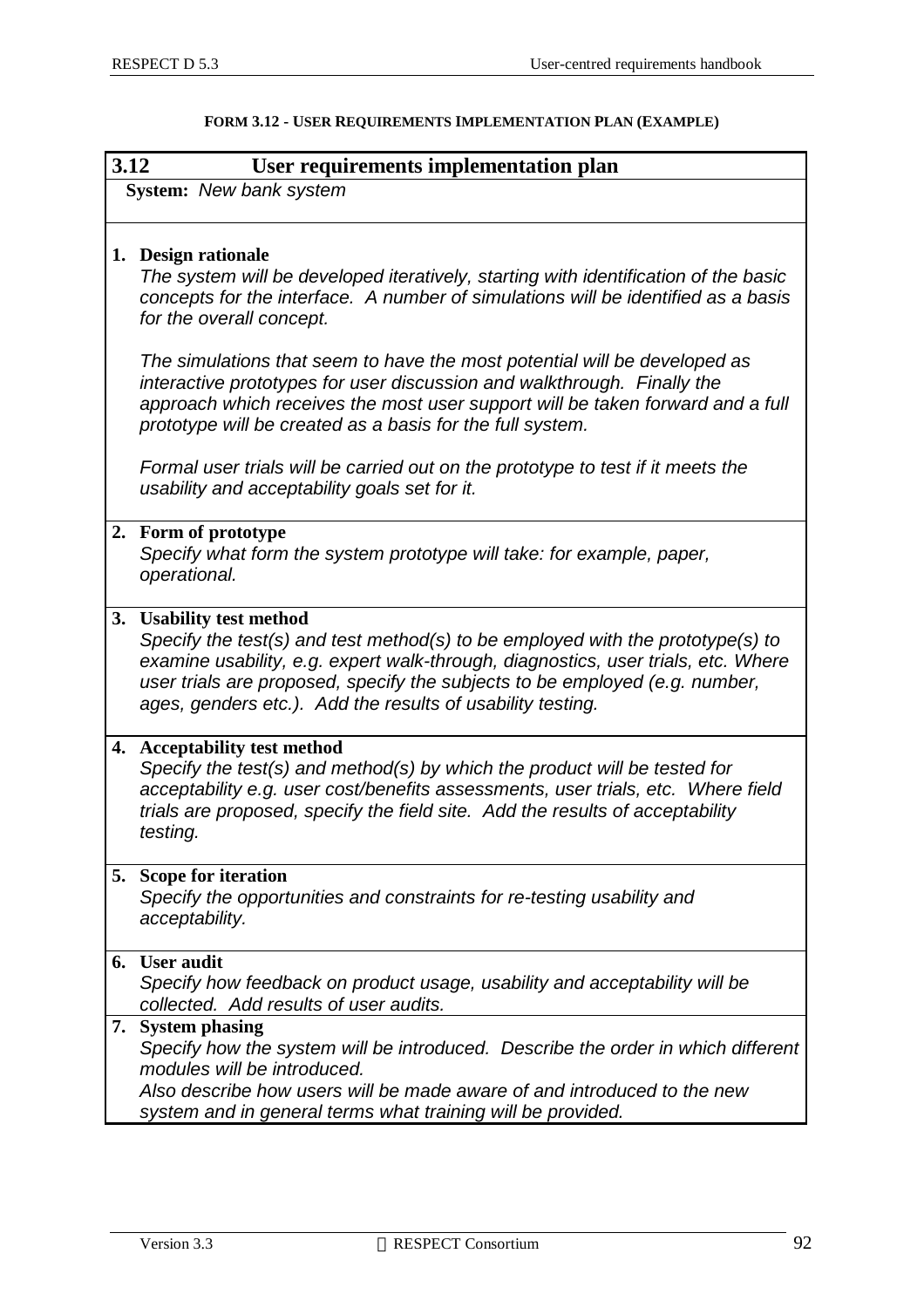|    | 3.12<br>User requirements implementation plan                                                                                                                                                                                                                                                       |  |  |  |  |  |  |  |
|----|-----------------------------------------------------------------------------------------------------------------------------------------------------------------------------------------------------------------------------------------------------------------------------------------------------|--|--|--|--|--|--|--|
|    | System: New bank system                                                                                                                                                                                                                                                                             |  |  |  |  |  |  |  |
|    | 1. Design rationale<br>The system will be developed iteratively, starting with identification of the basic                                                                                                                                                                                          |  |  |  |  |  |  |  |
|    | concepts for the interface. A number of simulations will be identified as a basis<br>for the overall concept.                                                                                                                                                                                       |  |  |  |  |  |  |  |
|    | The simulations that seem to have the most potential will be developed as<br>interactive prototypes for user discussion and walkthrough. Finally the<br>approach which receives the most user support will be taken forward and a full<br>prototype will be created as a basis for the full system. |  |  |  |  |  |  |  |
|    | Formal user trials will be carried out on the prototype to test if it meets the<br>usability and acceptability goals set for it.                                                                                                                                                                    |  |  |  |  |  |  |  |
|    | 2. Form of prototype<br>Specify what form the system prototype will take: for example, paper,<br>operational.                                                                                                                                                                                       |  |  |  |  |  |  |  |
| 3. | <b>Usability test method</b><br>Specify the test(s) and test method(s) to be employed with the prototype(s) to                                                                                                                                                                                      |  |  |  |  |  |  |  |
|    | examine usability, e.g. expert walk-through, diagnostics, user trials, etc. Where<br>user trials are proposed, specify the subjects to be employed (e.g. number,<br>ages, genders etc.). Add the results of usability testing.                                                                      |  |  |  |  |  |  |  |
|    | 4. Acceptability test method<br>Specify the test(s) and method(s) by which the product will be tested for                                                                                                                                                                                           |  |  |  |  |  |  |  |
|    | acceptability e.g. user cost/benefits assessments, user trials, etc. Where field<br>trials are proposed, specify the field site. Add the results of acceptability<br>testing.                                                                                                                       |  |  |  |  |  |  |  |
| 5. | <b>Scope for iteration</b><br>Specify the opportunities and constraints for re-testing usability and<br>acceptability.                                                                                                                                                                              |  |  |  |  |  |  |  |
| 6. | <b>User audit</b>                                                                                                                                                                                                                                                                                   |  |  |  |  |  |  |  |
|    | Specify how feedback on product usage, usability and acceptability will be<br>collected. Add results of user audits.                                                                                                                                                                                |  |  |  |  |  |  |  |
| 7. | <b>System phasing</b><br>Specify how the system will be introduced. Describe the order in which different<br>modules will be introduced.                                                                                                                                                            |  |  |  |  |  |  |  |
|    | Also describe how users will be made aware of and introduced to the new<br>system and in general terms what training will be provided.                                                                                                                                                              |  |  |  |  |  |  |  |

|  | FORM 3.12 - USER REQUIREMENTS IMPLEMENTATION PLAN (EXAMPLE) |  |
|--|-------------------------------------------------------------|--|
|--|-------------------------------------------------------------|--|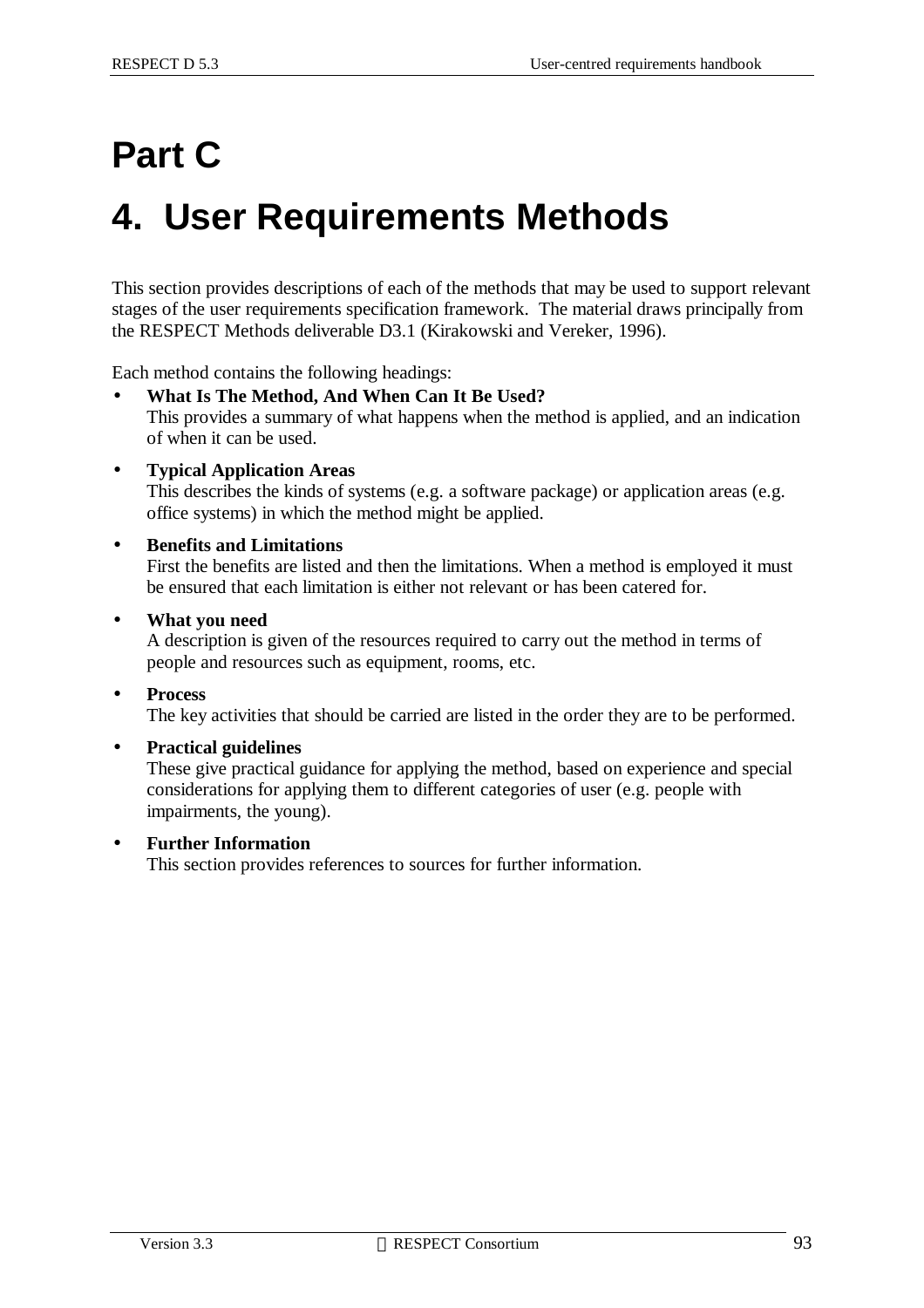# **Part C**

# **4. User Requirements Methods**

This section provides descriptions of each of the methods that may be used to support relevant stages of the user requirements specification framework. The material draws principally from the RESPECT Methods deliverable D3.1 (Kirakowski and Vereker, 1996).

Each method contains the following headings:

- **What Is The Method, And When Can It Be Used?** This provides a summary of what happens when the method is applied, and an indication of when it can be used.
- **Typical Application Areas**

This describes the kinds of systems (e.g. a software package) or application areas (e.g. office systems) in which the method might be applied.

• **Benefits and Limitations**

First the benefits are listed and then the limitations. When a method is employed it must be ensured that each limitation is either not relevant or has been catered for.

• **What you need**

A description is given of the resources required to carry out the method in terms of people and resources such as equipment, rooms, etc.

- **Process** The key activities that should be carried are listed in the order they are to be performed.
- **Practical guidelines**

These give practical guidance for applying the method, based on experience and special considerations for applying them to different categories of user (e.g. people with impairments, the young).

• **Further Information**

This section provides references to sources for further information.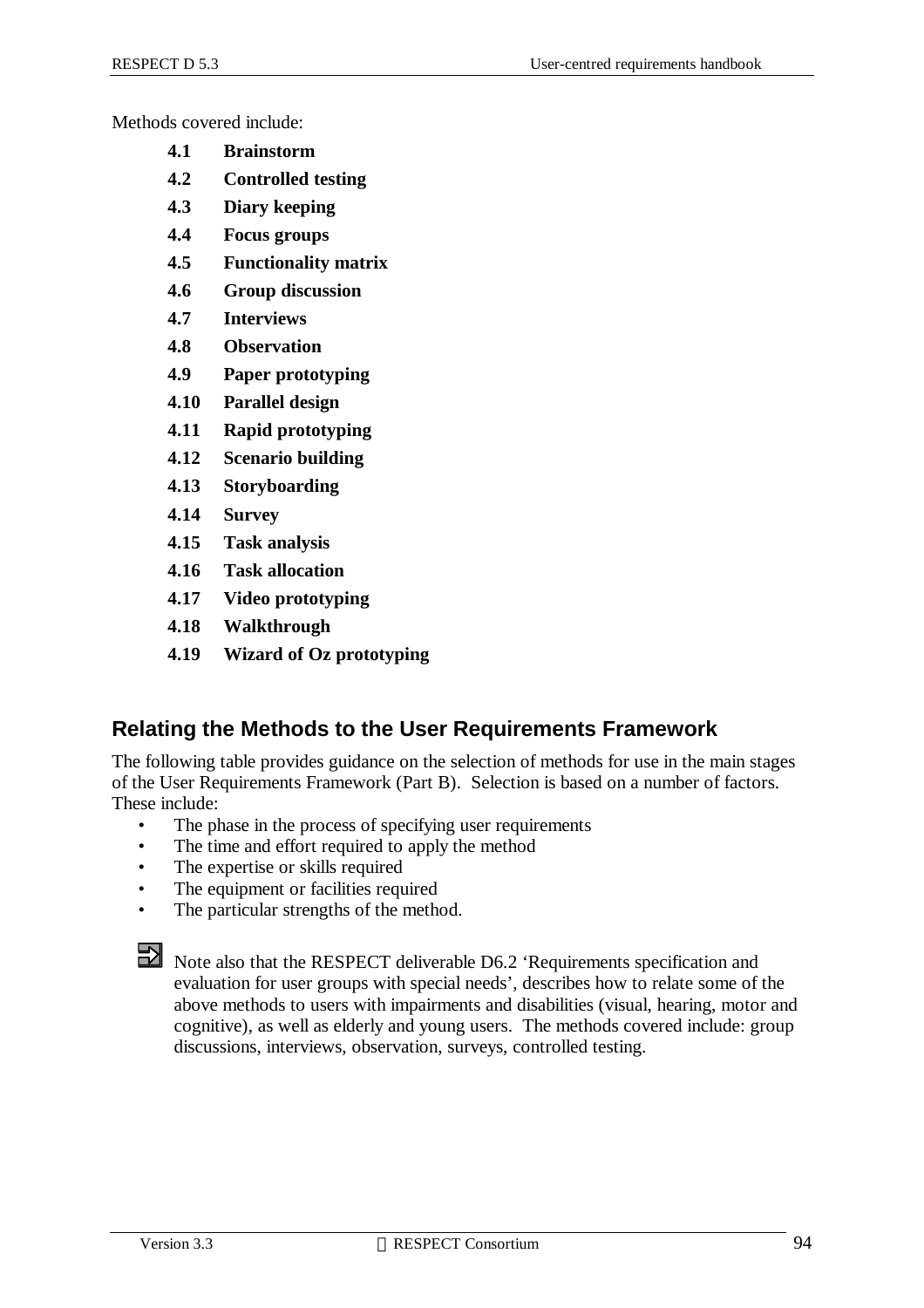Methods covered include:

- **4.1 Brainstorm**
- **4.2 Controlled testing**
- **4.3 Diary keeping**
- **4.4 Focus groups**
- **4.5 Functionality matrix**
- **4.6 Group discussion**
- **4.7 Interviews**
- **4.8 Observation**
- **4.9 Paper prototyping**
- **4.10 Parallel design**
- **4.11 Rapid prototyping**
- **4.12 Scenario building**
- **4.13 Storyboarding**
- **4.14 Survey**
- **4.15 Task analysis**
- **4.16 Task allocation**
- **4.17 Video prototyping**
- **4.18 Walkthrough**
- **4.19 Wizard of Oz prototyping**

#### **Relating the Methods to the User Requirements Framework**

The following table provides guidance on the selection of methods for use in the main stages of the User Requirements Framework (Part B). Selection is based on a number of factors. These include:

- The phase in the process of specifying user requirements
- The time and effort required to apply the method
- The expertise or skills required
- The equipment or facilities required
- The particular strengths of the method.



Note also that the RESPECT deliverable D6.2 'Requirements specification and evaluation for user groups with special needs', describes how to relate some of the above methods to users with impairments and disabilities (visual, hearing, motor and cognitive), as well as elderly and young users. The methods covered include: group discussions, interviews, observation, surveys, controlled testing.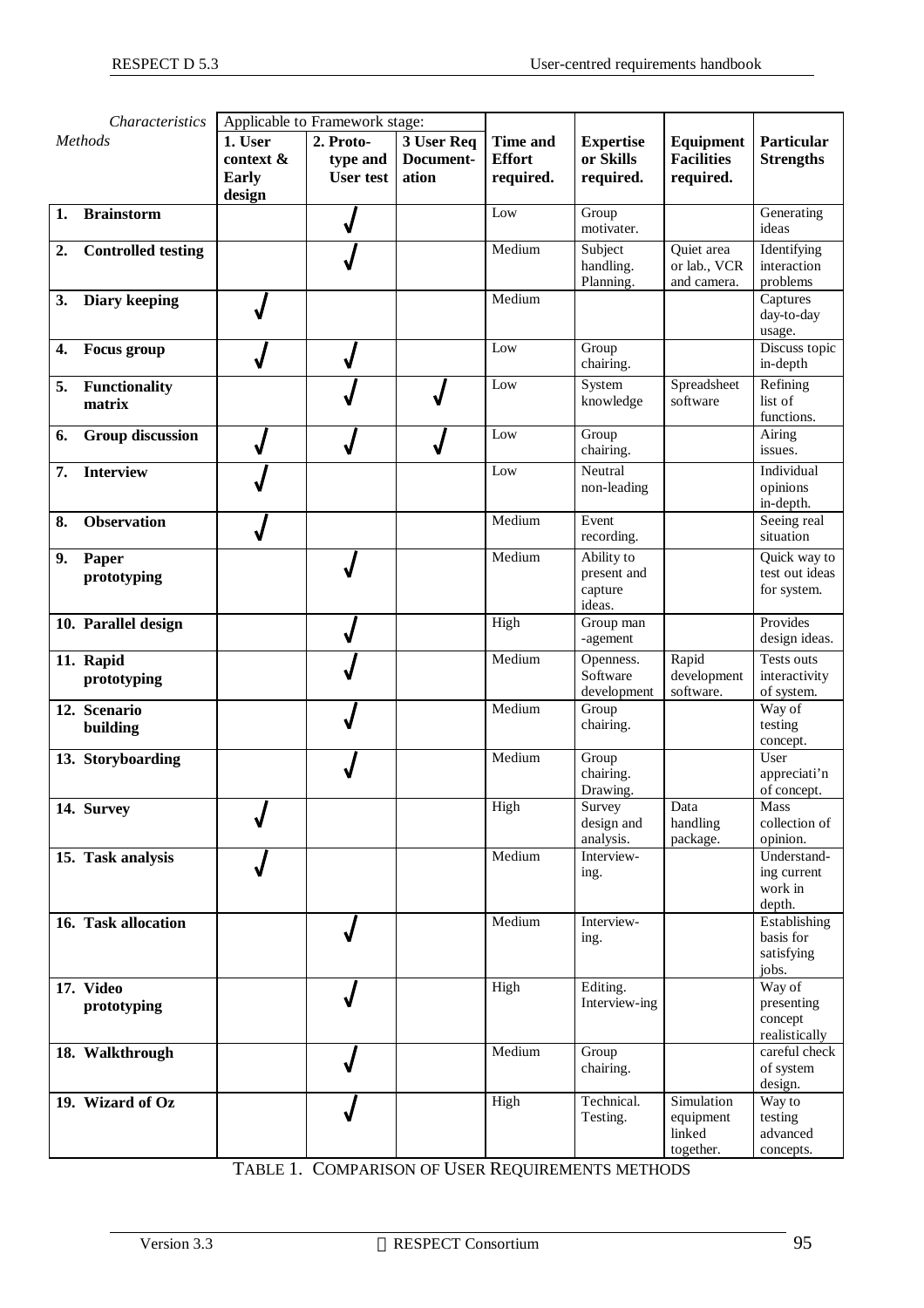| Characteristics |                           | Applicable to Framework stage:                 |                                           |                                  |                                               |                                                |                                                    |                                                  |
|-----------------|---------------------------|------------------------------------------------|-------------------------------------------|----------------------------------|-----------------------------------------------|------------------------------------------------|----------------------------------------------------|--------------------------------------------------|
|                 | Methods                   | 1. User<br>context &<br><b>Early</b><br>design | 2. Proto-<br>type and<br><b>User test</b> | 3 User Req<br>Document-<br>ation | <b>Time and</b><br><b>Effort</b><br>required. | <b>Expertise</b><br>or Skills<br>required.     | <b>Equipment</b><br><b>Facilities</b><br>required. | Particular<br><b>Strengths</b>                   |
| 1.              | <b>Brainstorm</b>         |                                                |                                           |                                  | Low                                           | Group<br>motivater.                            |                                                    | Generating<br>ideas                              |
| 2.              | <b>Controlled testing</b> |                                                |                                           |                                  | Medium                                        | Subject<br>handling.<br>Planning.              | Quiet area<br>or lab., VCR<br>and camera.          | Identifying<br>interaction<br>problems           |
| 3.              | Diary keeping             |                                                |                                           |                                  | Medium                                        |                                                |                                                    | Captures<br>day-to-day<br>usage.                 |
| 4.              | <b>Focus</b> group        |                                                |                                           |                                  | Low                                           | Group<br>chairing.                             |                                                    | Discuss topic<br>in-depth                        |
| 5.              | Functionality<br>matrix   |                                                |                                           |                                  | Low                                           | System<br>knowledge                            | Spreadsheet<br>software                            | Refining<br>list of<br>functions.                |
| 6.              | <b>Group discussion</b>   |                                                |                                           |                                  | Low                                           | Group<br>chairing.                             |                                                    | Airing<br>issues.                                |
| 7.              | <b>Interview</b>          |                                                |                                           |                                  | Low                                           | Neutral<br>non-leading                         |                                                    | Individual<br>opinions<br>in-depth.              |
| 8.              | <b>Observation</b>        |                                                |                                           |                                  | Medium                                        | Event<br>recording.                            |                                                    | Seeing real<br>situation                         |
| 9.              | Paper<br>prototyping      |                                                |                                           |                                  | Medium                                        | Ability to<br>present and<br>capture<br>ideas. |                                                    | Quick way to<br>test out ideas<br>for system.    |
|                 | 10. Parallel design       |                                                |                                           |                                  | High                                          | Group man<br>-agement                          |                                                    | Provides<br>design ideas.                        |
|                 | 11. Rapid<br>prototyping  |                                                |                                           |                                  | Medium                                        | Openness.<br>Software<br>development           | Rapid<br>development<br>software.                  | Tests outs<br>interactivity<br>of system.        |
|                 | 12. Scenario<br>building  |                                                |                                           |                                  | Medium                                        | Group<br>chairing.                             |                                                    | Way of<br>testing<br>concept.                    |
|                 | 13. Storyboarding         |                                                |                                           |                                  | Medium                                        | Group<br>chairing.<br>Drawing.                 |                                                    | User<br>appreciati'n<br>of concept.              |
|                 | 14. Survey                |                                                |                                           |                                  | High                                          | Survey<br>design and<br>analysis.              | Data<br>handling<br>package.                       | Mass<br>collection of<br>opinion.                |
|                 | 15. Task analysis         |                                                |                                           |                                  | Medium                                        | Interview-<br>ing.                             |                                                    | Understand-<br>ing current<br>work in<br>depth.  |
|                 | 16. Task allocation       |                                                |                                           |                                  | Medium                                        | Interview-<br>ing.                             |                                                    | Establishing<br>basis for<br>satisfying<br>jobs. |
|                 | 17. Video<br>prototyping  |                                                |                                           |                                  | High                                          | Editing.<br>Interview-ing                      |                                                    | Way of<br>presenting<br>concept<br>realistically |
|                 | 18. Walkthrough           |                                                |                                           |                                  | Medium                                        | Group<br>chairing.                             |                                                    | careful check<br>of system<br>design.            |
|                 | 19. Wizard of Oz          |                                                |                                           |                                  | High                                          | Technical.<br>Testing.                         | Simulation<br>equipment<br>linked<br>together.     | Way to<br>testing<br>advanced<br>concepts.       |

TABLE 1. COMPARISON OF USER REQUIREMENTS METHODS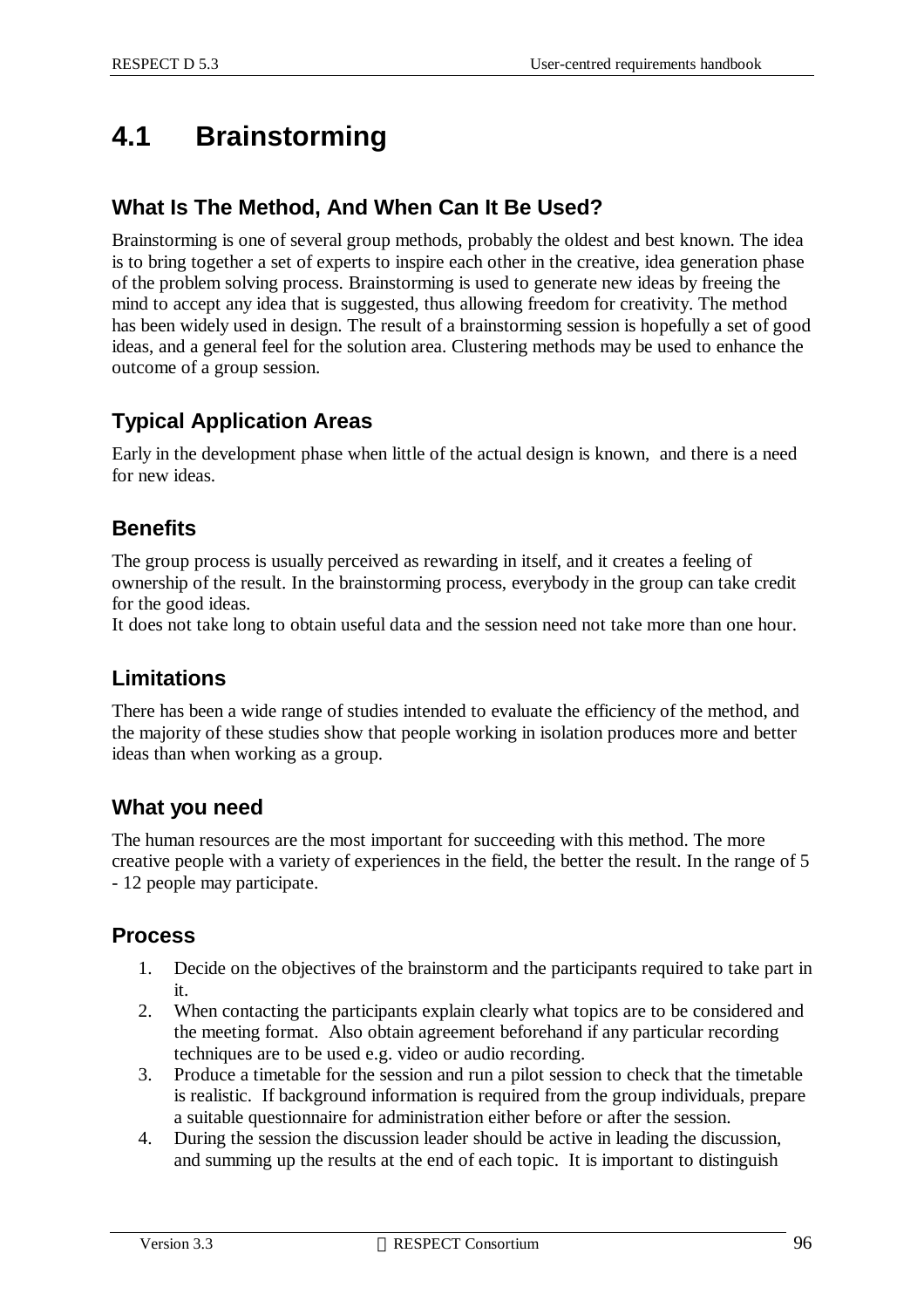# **4.1 Brainstorming**

#### **What Is The Method, And When Can It Be Used?**

Brainstorming is one of several group methods, probably the oldest and best known. The idea is to bring together a set of experts to inspire each other in the creative, idea generation phase of the problem solving process. Brainstorming is used to generate new ideas by freeing the mind to accept any idea that is suggested, thus allowing freedom for creativity. The method has been widely used in design. The result of a brainstorming session is hopefully a set of good ideas, and a general feel for the solution area. Clustering methods may be used to enhance the outcome of a group session.

#### **Typical Application Areas**

Early in the development phase when little of the actual design is known, and there is a need for new ideas.

#### **Benefits**

The group process is usually perceived as rewarding in itself, and it creates a feeling of ownership of the result. In the brainstorming process, everybody in the group can take credit for the good ideas.

It does not take long to obtain useful data and the session need not take more than one hour.

#### **Limitations**

There has been a wide range of studies intended to evaluate the efficiency of the method, and the majority of these studies show that people working in isolation produces more and better ideas than when working as a group.

#### **What you need**

The human resources are the most important for succeeding with this method. The more creative people with a variety of experiences in the field, the better the result. In the range of 5 - 12 people may participate.

#### **Process**

- 1. Decide on the objectives of the brainstorm and the participants required to take part in it.
- 2. When contacting the participants explain clearly what topics are to be considered and the meeting format. Also obtain agreement beforehand if any particular recording techniques are to be used e.g. video or audio recording.
- 3. Produce a timetable for the session and run a pilot session to check that the timetable is realistic. If background information is required from the group individuals, prepare a suitable questionnaire for administration either before or after the session.
- 4. During the session the discussion leader should be active in leading the discussion, and summing up the results at the end of each topic. It is important to distinguish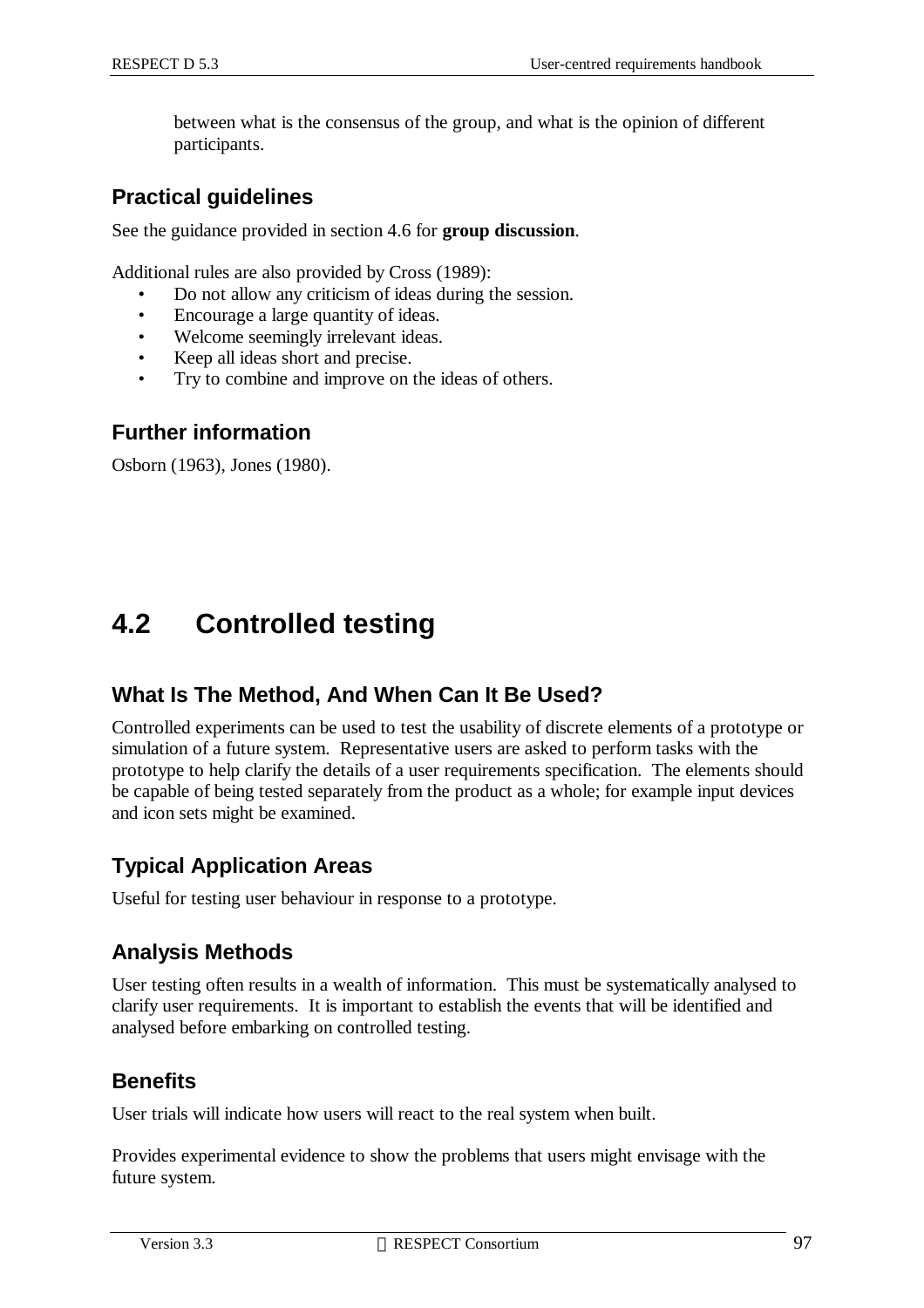between what is the consensus of the group, and what is the opinion of different participants.

#### **Practical guidelines**

See the guidance provided in section 4.6 for **group discussion**.

Additional rules are also provided by Cross (1989):

- Do not allow any criticism of ideas during the session.
- Encourage a large quantity of ideas.
- Welcome seemingly irrelevant ideas.
- Keep all ideas short and precise.
- Try to combine and improve on the ideas of others.

#### **Further information**

Osborn (1963), Jones (1980).

# **4.2 Controlled testing**

#### **What Is The Method, And When Can It Be Used?**

Controlled experiments can be used to test the usability of discrete elements of a prototype or simulation of a future system. Representative users are asked to perform tasks with the prototype to help clarify the details of a user requirements specification. The elements should be capable of being tested separately from the product as a whole; for example input devices and icon sets might be examined.

#### **Typical Application Areas**

Useful for testing user behaviour in response to a prototype.

#### **Analysis Methods**

User testing often results in a wealth of information. This must be systematically analysed to clarify user requirements. It is important to establish the events that will be identified and analysed before embarking on controlled testing.

#### **Benefits**

User trials will indicate how users will react to the real system when built.

Provides experimental evidence to show the problems that users might envisage with the future system.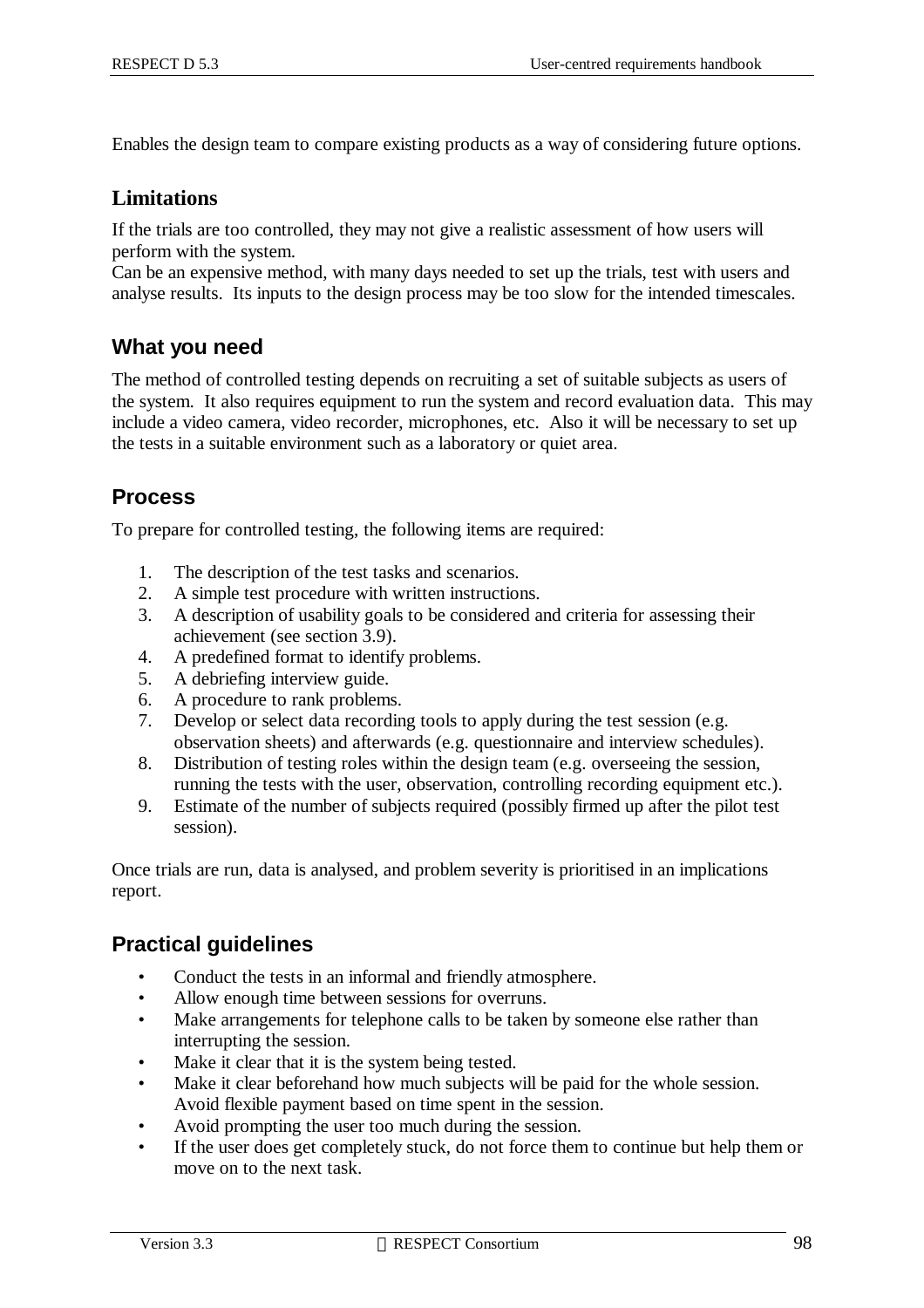Enables the design team to compare existing products as a way of considering future options.

#### **Limitations**

If the trials are too controlled, they may not give a realistic assessment of how users will perform with the system.

Can be an expensive method, with many days needed to set up the trials, test with users and analyse results. Its inputs to the design process may be too slow for the intended timescales.

#### **What you need**

The method of controlled testing depends on recruiting a set of suitable subjects as users of the system. It also requires equipment to run the system and record evaluation data. This may include a video camera, video recorder, microphones, etc. Also it will be necessary to set up the tests in a suitable environment such as a laboratory or quiet area.

#### **Process**

To prepare for controlled testing, the following items are required:

- 1. The description of the test tasks and scenarios.
- 2. A simple test procedure with written instructions.
- 3. A description of usability goals to be considered and criteria for assessing their achievement (see section 3.9).
- 4. A predefined format to identify problems.
- 5. A debriefing interview guide.
- 6. A procedure to rank problems.
- 7. Develop or select data recording tools to apply during the test session (e.g. observation sheets) and afterwards (e.g. questionnaire and interview schedules).
- 8. Distribution of testing roles within the design team (e.g. overseeing the session, running the tests with the user, observation, controlling recording equipment etc.).
- 9. Estimate of the number of subjects required (possibly firmed up after the pilot test session).

Once trials are run, data is analysed, and problem severity is prioritised in an implications report.

#### **Practical guidelines**

- Conduct the tests in an informal and friendly atmosphere.
- Allow enough time between sessions for overruns.
- Make arrangements for telephone calls to be taken by someone else rather than interrupting the session.
- Make it clear that it is the system being tested.
- Make it clear beforehand how much subjects will be paid for the whole session. Avoid flexible payment based on time spent in the session.
- Avoid prompting the user too much during the session.
- If the user does get completely stuck, do not force them to continue but help them or move on to the next task.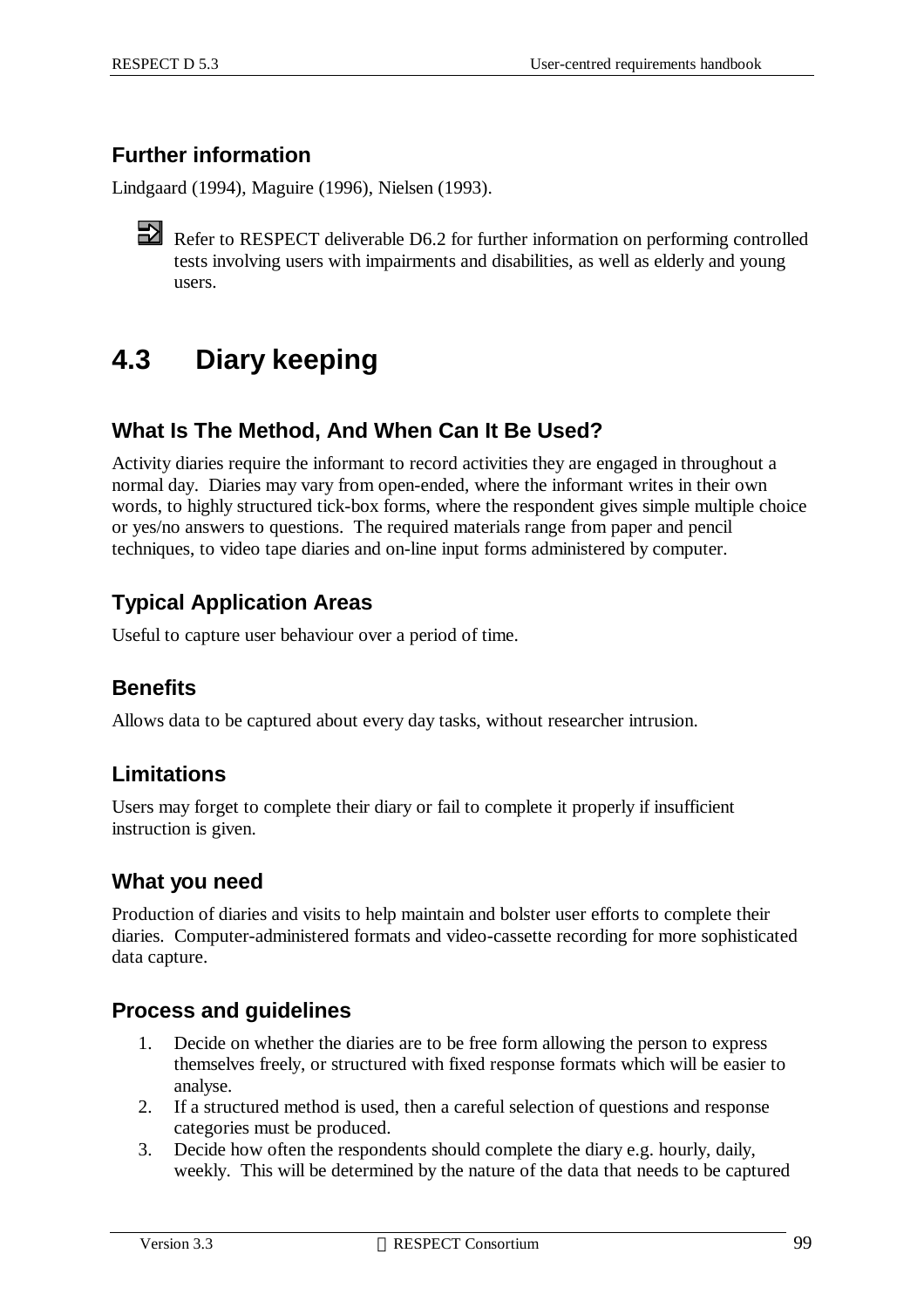# **Further information**

Lindgaard (1994), Maguire (1996), Nielsen (1993).

Refer to RESPECT deliverable D6.2 for further information on performing controlled tests involving users with impairments and disabilities, as well as elderly and young users.

# **4.3 Diary keeping**

#### **What Is The Method, And When Can It Be Used?**

Activity diaries require the informant to record activities they are engaged in throughout a normal day. Diaries may vary from open-ended, where the informant writes in their own words, to highly structured tick-box forms, where the respondent gives simple multiple choice or yes/no answers to questions. The required materials range from paper and pencil techniques, to video tape diaries and on-line input forms administered by computer.

### **Typical Application Areas**

Useful to capture user behaviour over a period of time.

#### **Benefits**

Allows data to be captured about every day tasks, without researcher intrusion.

#### **Limitations**

Users may forget to complete their diary or fail to complete it properly if insufficient instruction is given.

#### **What you need**

Production of diaries and visits to help maintain and bolster user efforts to complete their diaries. Computer-administered formats and video-cassette recording for more sophisticated data capture.

#### **Process and guidelines**

- 1. Decide on whether the diaries are to be free form allowing the person to express themselves freely, or structured with fixed response formats which will be easier to analyse.
- 2. If a structured method is used, then a careful selection of questions and response categories must be produced.
- 3. Decide how often the respondents should complete the diary e.g. hourly, daily, weekly. This will be determined by the nature of the data that needs to be captured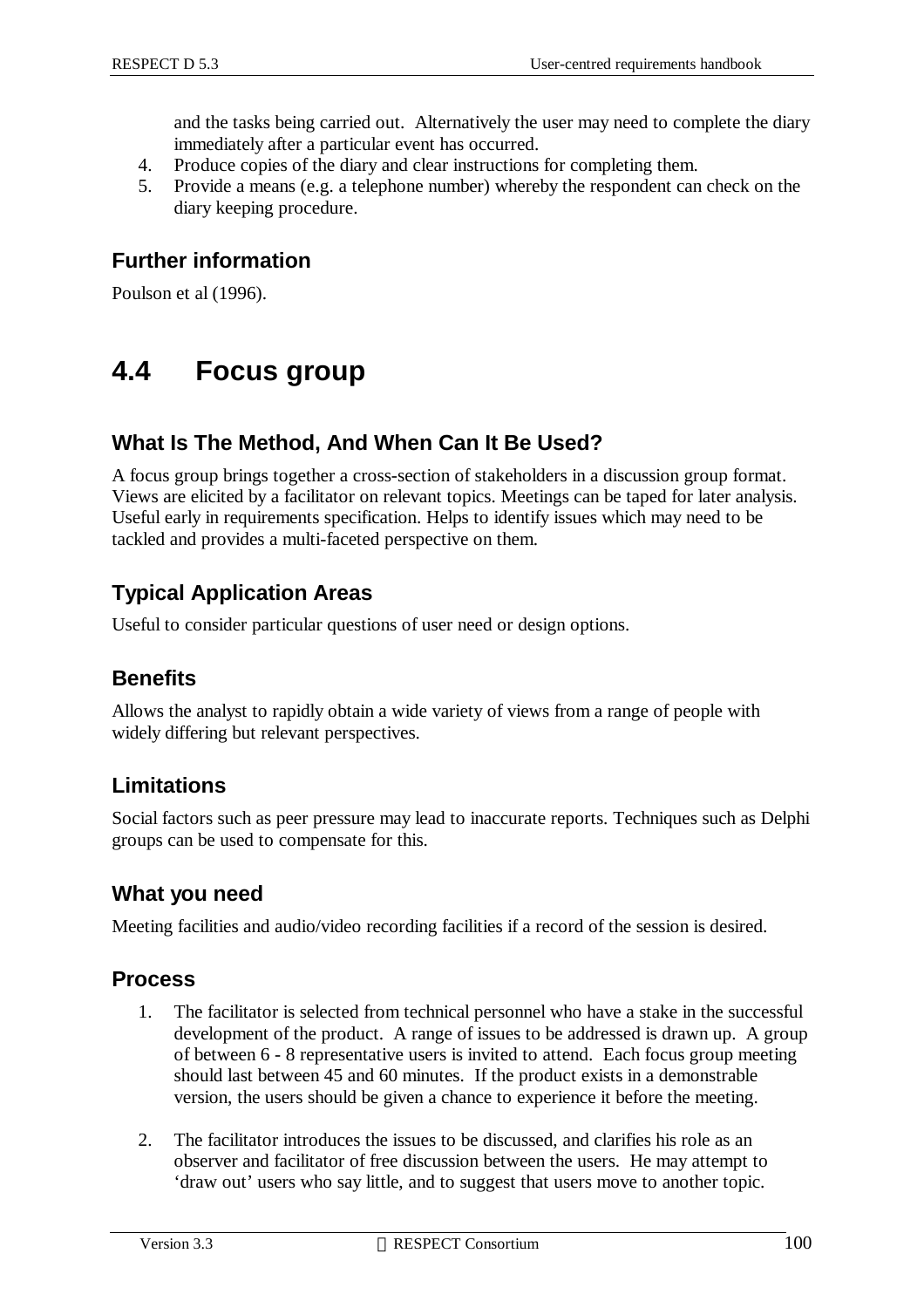and the tasks being carried out. Alternatively the user may need to complete the diary immediately after a particular event has occurred.

- 4. Produce copies of the diary and clear instructions for completing them.
- 5. Provide a means (e.g. a telephone number) whereby the respondent can check on the diary keeping procedure.

#### **Further information**

Poulson et al (1996).

# **4.4 Focus group**

### **What Is The Method, And When Can It Be Used?**

A focus group brings together a cross-section of stakeholders in a discussion group format. Views are elicited by a facilitator on relevant topics. Meetings can be taped for later analysis. Useful early in requirements specification. Helps to identify issues which may need to be tackled and provides a multi-faceted perspective on them.

# **Typical Application Areas**

Useful to consider particular questions of user need or design options.

#### **Benefits**

Allows the analyst to rapidly obtain a wide variety of views from a range of people with widely differing but relevant perspectives.

#### **Limitations**

Social factors such as peer pressure may lead to inaccurate reports. Techniques such as Delphi groups can be used to compensate for this.

#### **What you need**

Meeting facilities and audio/video recording facilities if a record of the session is desired.

#### **Process**

- 1. The facilitator is selected from technical personnel who have a stake in the successful development of the product. A range of issues to be addressed is drawn up. A group of between 6 - 8 representative users is invited to attend. Each focus group meeting should last between 45 and 60 minutes. If the product exists in a demonstrable version, the users should be given a chance to experience it before the meeting.
- 2. The facilitator introduces the issues to be discussed, and clarifies his role as an observer and facilitator of free discussion between the users. He may attempt to 'draw out' users who say little, and to suggest that users move to another topic.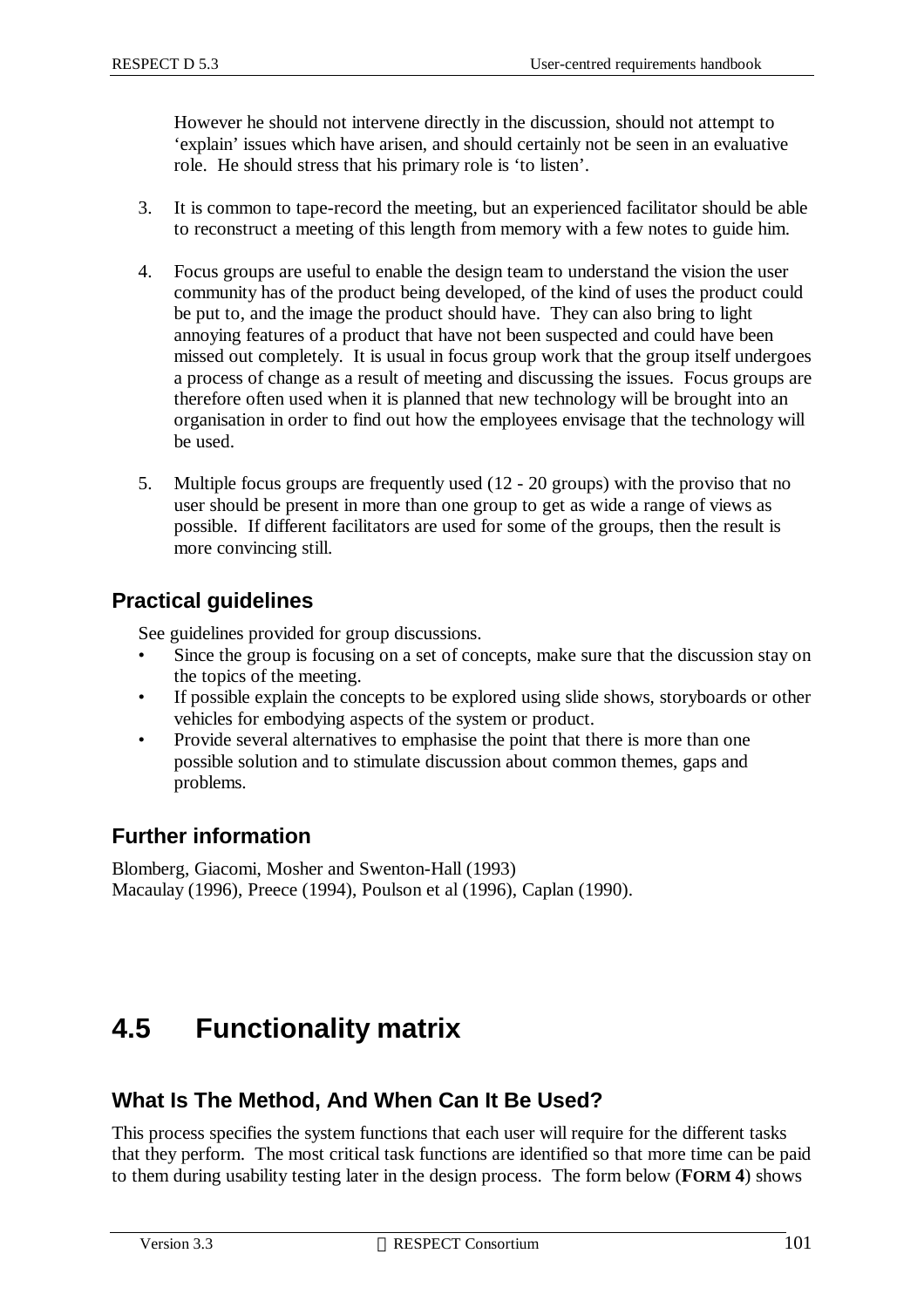However he should not intervene directly in the discussion, should not attempt to 'explain' issues which have arisen, and should certainly not be seen in an evaluative role. He should stress that his primary role is 'to listen'.

- 3. It is common to tape-record the meeting, but an experienced facilitator should be able to reconstruct a meeting of this length from memory with a few notes to guide him.
- 4. Focus groups are useful to enable the design team to understand the vision the user community has of the product being developed, of the kind of uses the product could be put to, and the image the product should have. They can also bring to light annoying features of a product that have not been suspected and could have been missed out completely. It is usual in focus group work that the group itself undergoes a process of change as a result of meeting and discussing the issues. Focus groups are therefore often used when it is planned that new technology will be brought into an organisation in order to find out how the employees envisage that the technology will be used.
- 5. Multiple focus groups are frequently used (12 20 groups) with the proviso that no user should be present in more than one group to get as wide a range of views as possible. If different facilitators are used for some of the groups, then the result is more convincing still.

#### **Practical guidelines**

See guidelines provided for group discussions.

- Since the group is focusing on a set of concepts, make sure that the discussion stay on the topics of the meeting.
- If possible explain the concepts to be explored using slide shows, storyboards or other vehicles for embodying aspects of the system or product.
- Provide several alternatives to emphasise the point that there is more than one possible solution and to stimulate discussion about common themes, gaps and problems.

#### **Further information**

Blomberg, Giacomi, Mosher and Swenton-Hall (1993) Macaulay (1996), Preece (1994), Poulson et al (1996), Caplan (1990).

# **4.5 Functionality matrix**

#### **What Is The Method, And When Can It Be Used?**

This process specifies the system functions that each user will require for the different tasks that they perform. The most critical task functions are identified so that more time can be paid to them during usability testing later in the design process. The form below (**FORM 4**) shows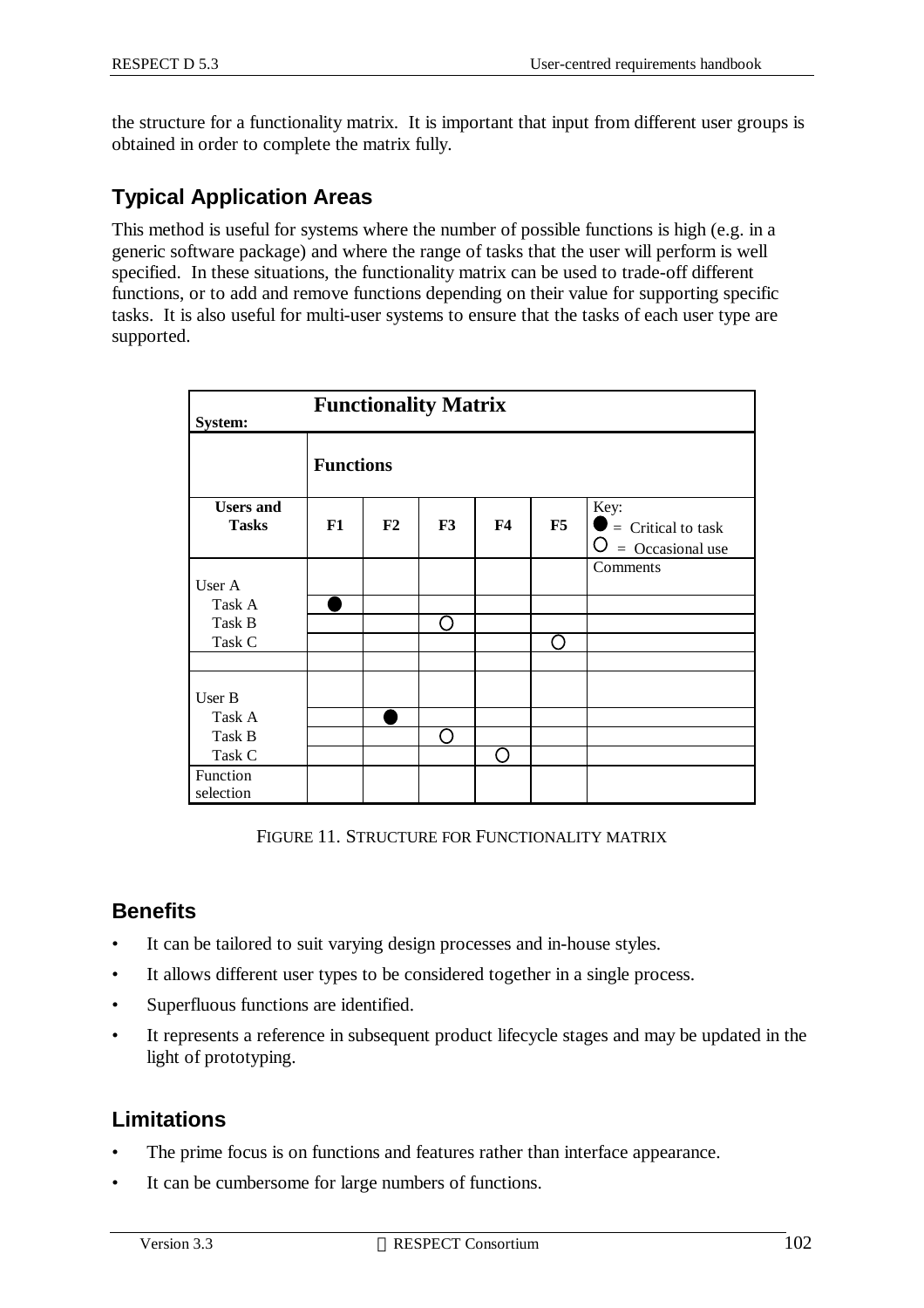the structure for a functionality matrix. It is important that input from different user groups is obtained in order to complete the matrix fully.

# **Typical Application Areas**

This method is useful for systems where the number of possible functions is high (e.g. in a generic software package) and where the range of tasks that the user will perform is well specified. In these situations, the functionality matrix can be used to trade-off different functions, or to add and remove functions depending on their value for supporting specific tasks. It is also useful for multi-user systems to ensure that the tasks of each user type are supported.

| <b>Functionality Matrix</b><br>System: |                  |    |     |                |    |                                                    |  |
|----------------------------------------|------------------|----|-----|----------------|----|----------------------------------------------------|--|
|                                        | <b>Functions</b> |    |     |                |    |                                                    |  |
| <b>Users and</b><br><b>Tasks</b>       | F1               | F2 | F3  | F <sub>4</sub> | F5 | Key:<br>$=$ Critical to task<br>$=$ Occasional use |  |
| User A                                 |                  |    |     |                |    | Comments                                           |  |
| Task A                                 |                  |    |     |                |    |                                                    |  |
| Task B                                 |                  |    | ( ) |                |    |                                                    |  |
| Task C                                 |                  |    |     |                |    |                                                    |  |
|                                        |                  |    |     |                |    |                                                    |  |
| User B                                 |                  |    |     |                |    |                                                    |  |
| Task A                                 |                  |    |     |                |    |                                                    |  |
| Task B                                 |                  |    |     |                |    |                                                    |  |
| Task C                                 |                  |    |     |                |    |                                                    |  |
| Function<br>selection                  |                  |    |     |                |    |                                                    |  |

FIGURE 11. STRUCTURE FOR FUNCTIONALITY MATRIX

### **Benefits**

- It can be tailored to suit varying design processes and in-house styles.
- It allows different user types to be considered together in a single process.
- Superfluous functions are identified.
- It represents a reference in subsequent product lifecycle stages and may be updated in the light of prototyping.

### **Limitations**

- The prime focus is on functions and features rather than interface appearance.
- It can be cumbersome for large numbers of functions.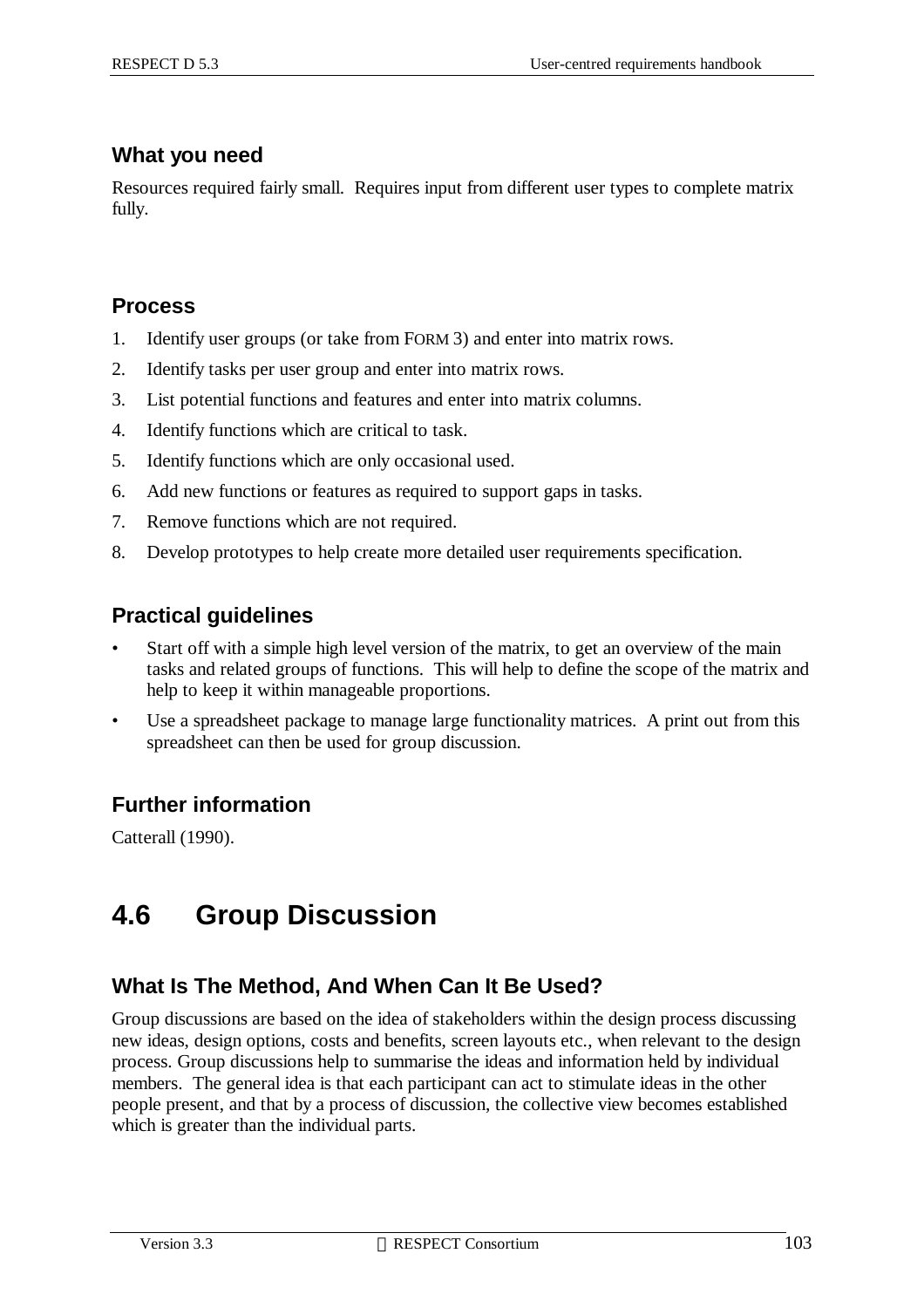#### **What you need**

Resources required fairly small. Requires input from different user types to complete matrix fully.

#### **Process**

- 1. Identify user groups (or take from FORM 3) and enter into matrix rows.
- 2. Identify tasks per user group and enter into matrix rows.
- 3. List potential functions and features and enter into matrix columns.
- 4. Identify functions which are critical to task.
- 5. Identify functions which are only occasional used.
- 6. Add new functions or features as required to support gaps in tasks.
- 7. Remove functions which are not required.
- 8. Develop prototypes to help create more detailed user requirements specification.

#### **Practical guidelines**

- Start off with a simple high level version of the matrix, to get an overview of the main tasks and related groups of functions. This will help to define the scope of the matrix and help to keep it within manageable proportions.
- Use a spreadsheet package to manage large functionality matrices. A print out from this spreadsheet can then be used for group discussion.

### **Further information**

Catterall (1990).

# **4.6 Group Discussion**

### **What Is The Method, And When Can It Be Used?**

Group discussions are based on the idea of stakeholders within the design process discussing new ideas, design options, costs and benefits, screen layouts etc., when relevant to the design process. Group discussions help to summarise the ideas and information held by individual members. The general idea is that each participant can act to stimulate ideas in the other people present, and that by a process of discussion, the collective view becomes established which is greater than the individual parts.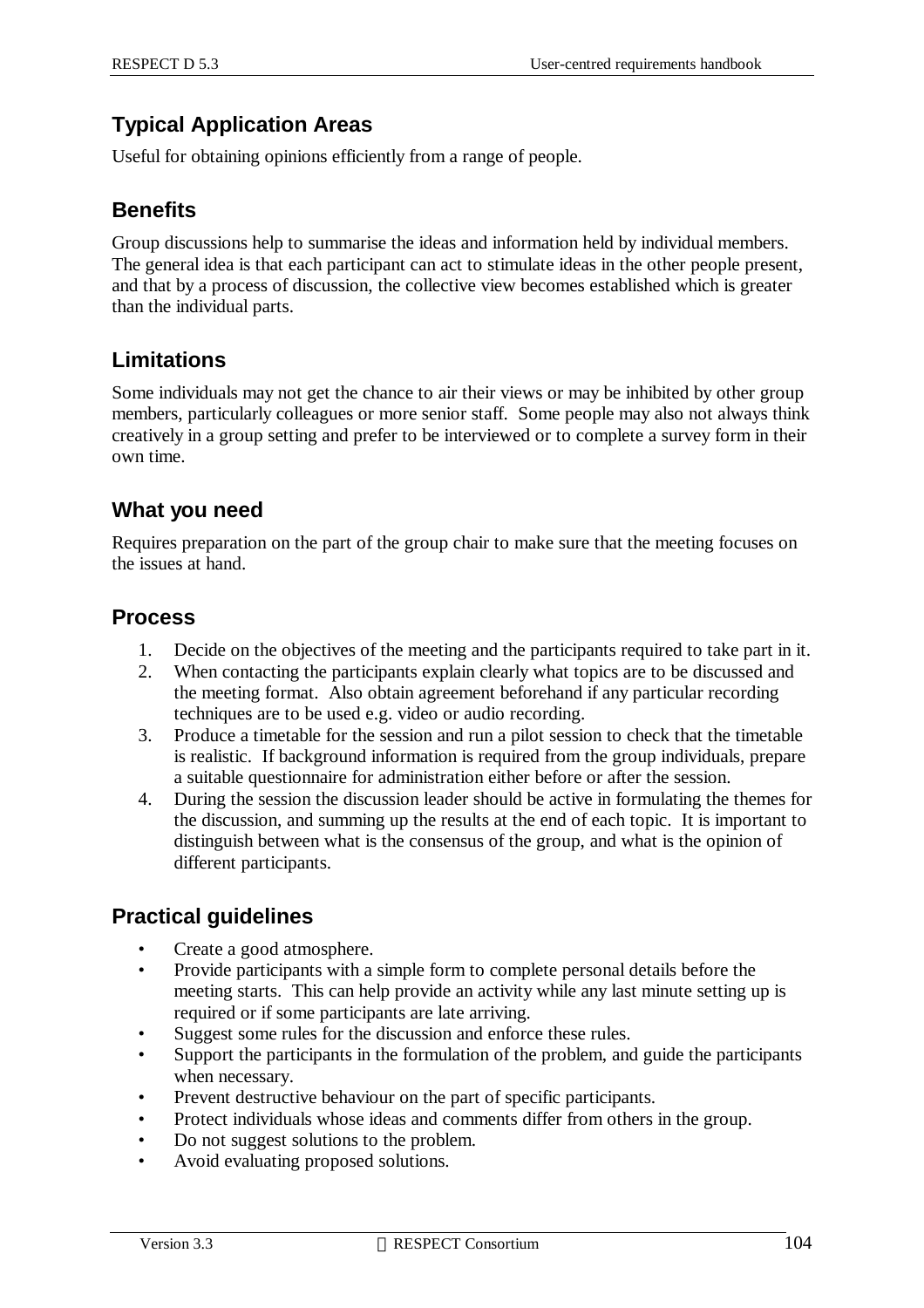### **Typical Application Areas**

Useful for obtaining opinions efficiently from a range of people.

### **Benefits**

Group discussions help to summarise the ideas and information held by individual members. The general idea is that each participant can act to stimulate ideas in the other people present, and that by a process of discussion, the collective view becomes established which is greater than the individual parts.

### **Limitations**

Some individuals may not get the chance to air their views or may be inhibited by other group members, particularly colleagues or more senior staff. Some people may also not always think creatively in a group setting and prefer to be interviewed or to complete a survey form in their own time.

#### **What you need**

Requires preparation on the part of the group chair to make sure that the meeting focuses on the issues at hand.

#### **Process**

- 1. Decide on the objectives of the meeting and the participants required to take part in it.
- 2. When contacting the participants explain clearly what topics are to be discussed and the meeting format. Also obtain agreement beforehand if any particular recording techniques are to be used e.g. video or audio recording.
- 3. Produce a timetable for the session and run a pilot session to check that the timetable is realistic. If background information is required from the group individuals, prepare a suitable questionnaire for administration either before or after the session.
- 4. During the session the discussion leader should be active in formulating the themes for the discussion, and summing up the results at the end of each topic. It is important to distinguish between what is the consensus of the group, and what is the opinion of different participants.

#### **Practical guidelines**

- Create a good atmosphere.
- Provide participants with a simple form to complete personal details before the meeting starts. This can help provide an activity while any last minute setting up is required or if some participants are late arriving.
- Suggest some rules for the discussion and enforce these rules.
- Support the participants in the formulation of the problem, and guide the participants when necessary.
- Prevent destructive behaviour on the part of specific participants.
- Protect individuals whose ideas and comments differ from others in the group.
- Do not suggest solutions to the problem.
- Avoid evaluating proposed solutions.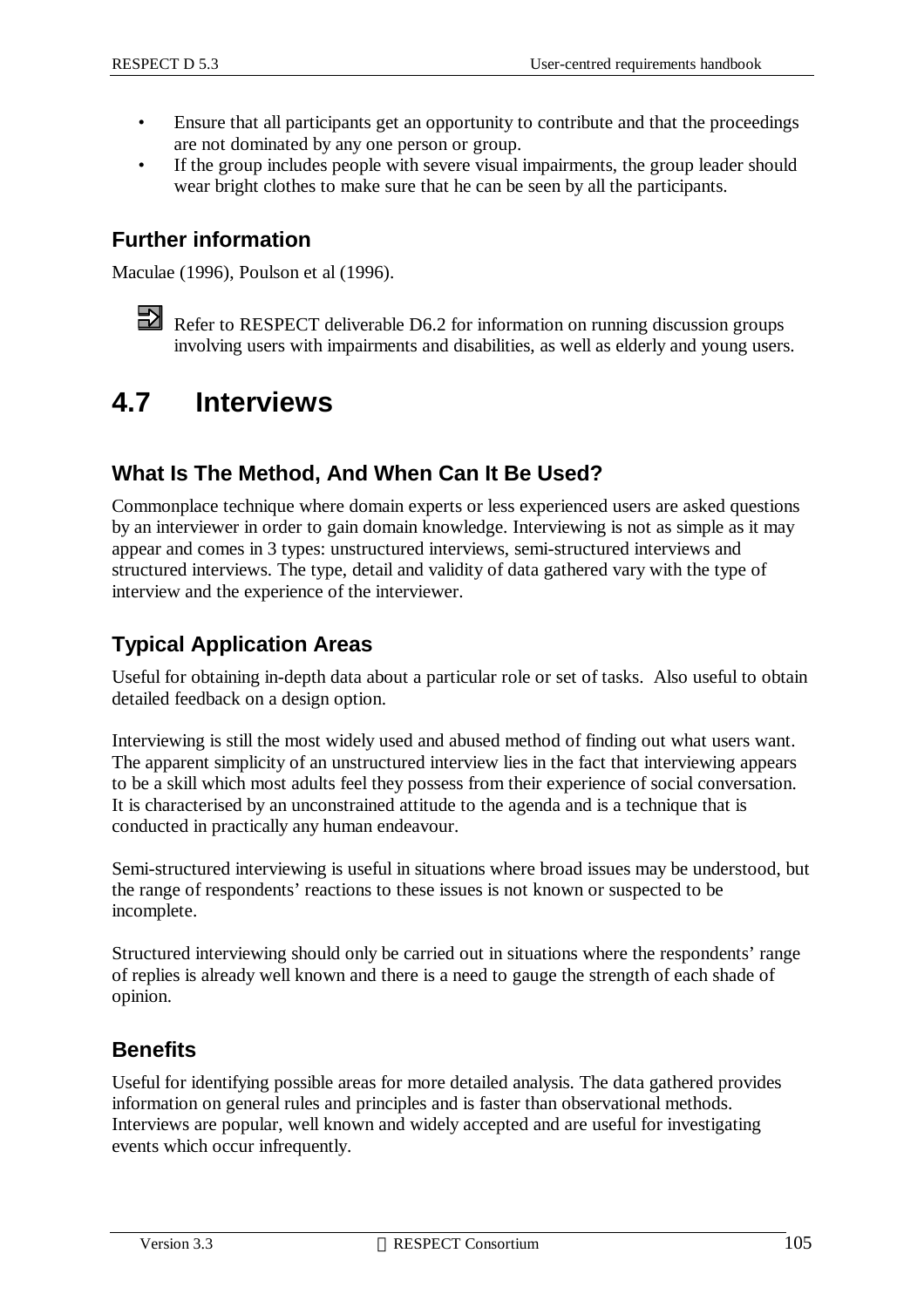- Ensure that all participants get an opportunity to contribute and that the proceedings are not dominated by any one person or group.
- If the group includes people with severe visual impairments, the group leader should wear bright clothes to make sure that he can be seen by all the participants.

#### **Further information**

Maculae (1996), Poulson et al (1996).

Refer to RESPECT deliverable D6.2 for information on running discussion groups involving users with impairments and disabilities, as well as elderly and young users.

# **4.7 Interviews**

### **What Is The Method, And When Can It Be Used?**

Commonplace technique where domain experts or less experienced users are asked questions by an interviewer in order to gain domain knowledge. Interviewing is not as simple as it may appear and comes in 3 types: unstructured interviews, semi-structured interviews and structured interviews. The type, detail and validity of data gathered vary with the type of interview and the experience of the interviewer.

### **Typical Application Areas**

Useful for obtaining in-depth data about a particular role or set of tasks. Also useful to obtain detailed feedback on a design option.

Interviewing is still the most widely used and abused method of finding out what users want. The apparent simplicity of an unstructured interview lies in the fact that interviewing appears to be a skill which most adults feel they possess from their experience of social conversation. It is characterised by an unconstrained attitude to the agenda and is a technique that is conducted in practically any human endeavour.

Semi-structured interviewing is useful in situations where broad issues may be understood, but the range of respondents' reactions to these issues is not known or suspected to be incomplete.

Structured interviewing should only be carried out in situations where the respondents' range of replies is already well known and there is a need to gauge the strength of each shade of opinion.

### **Benefits**

Useful for identifying possible areas for more detailed analysis. The data gathered provides information on general rules and principles and is faster than observational methods. Interviews are popular, well known and widely accepted and are useful for investigating events which occur infrequently.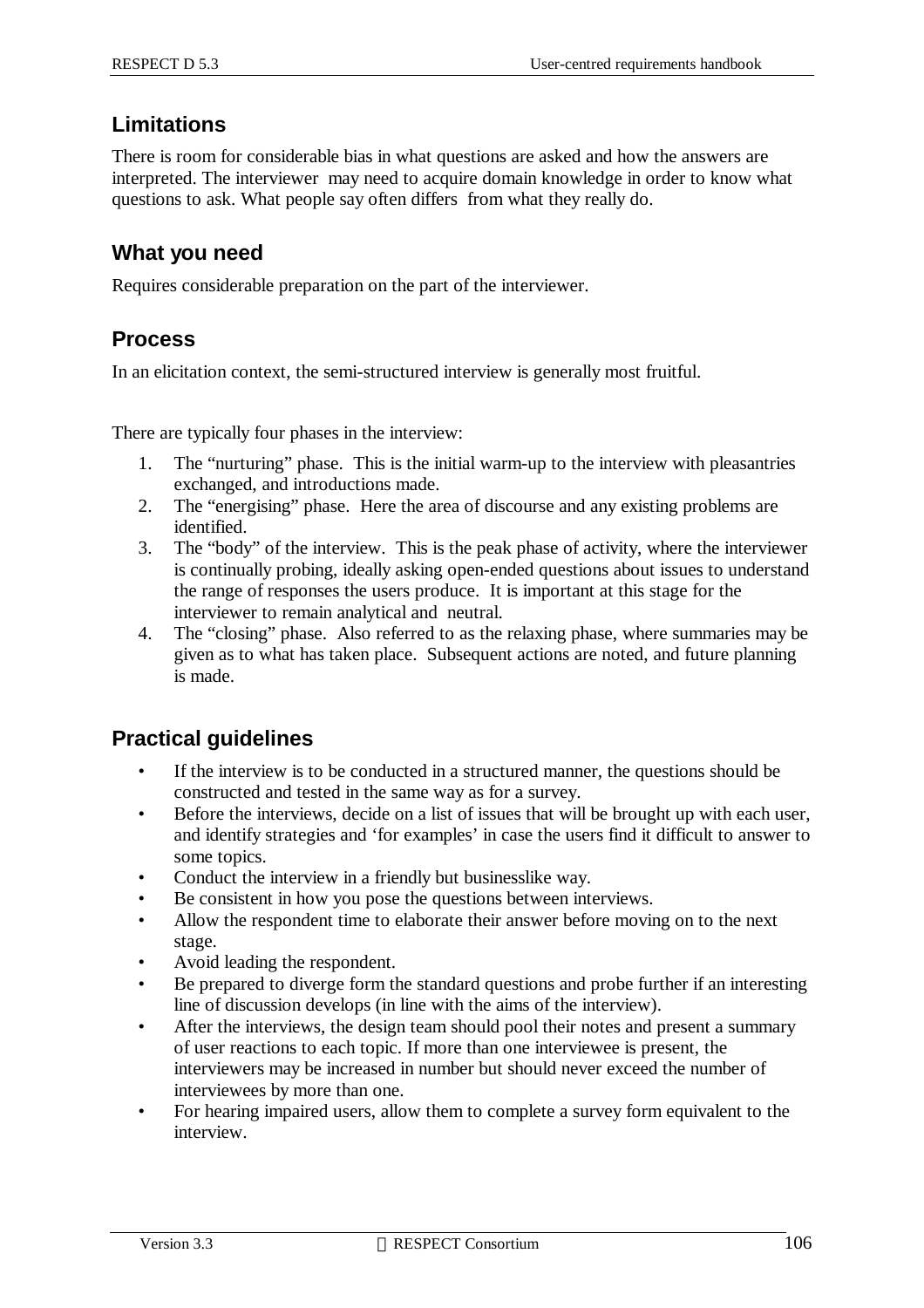#### **Limitations**

There is room for considerable bias in what questions are asked and how the answers are interpreted. The interviewer may need to acquire domain knowledge in order to know what questions to ask. What people say often differs from what they really do.

#### **What you need**

Requires considerable preparation on the part of the interviewer.

#### **Process**

In an elicitation context, the semi-structured interview is generally most fruitful.

There are typically four phases in the interview:

- 1. The "nurturing" phase. This is the initial warm-up to the interview with pleasantries exchanged, and introductions made.
- 2. The "energising" phase. Here the area of discourse and any existing problems are identified.
- 3. The "body" of the interview. This is the peak phase of activity, where the interviewer is continually probing, ideally asking open-ended questions about issues to understand the range of responses the users produce. It is important at this stage for the interviewer to remain analytical and neutral.
- 4. The "closing" phase. Also referred to as the relaxing phase, where summaries may be given as to what has taken place. Subsequent actions are noted, and future planning is made.

#### **Practical guidelines**

- If the interview is to be conducted in a structured manner, the questions should be constructed and tested in the same way as for a survey.
- Before the interviews, decide on a list of issues that will be brought up with each user, and identify strategies and 'for examples' in case the users find it difficult to answer to some topics.
- Conduct the interview in a friendly but businesslike way.
- Be consistent in how you pose the questions between interviews.
- Allow the respondent time to elaborate their answer before moving on to the next stage.
- Avoid leading the respondent.
- Be prepared to diverge form the standard questions and probe further if an interesting line of discussion develops (in line with the aims of the interview).
- After the interviews, the design team should pool their notes and present a summary of user reactions to each topic. If more than one interviewee is present, the interviewers may be increased in number but should never exceed the number of interviewees by more than one.
- For hearing impaired users, allow them to complete a survey form equivalent to the interview.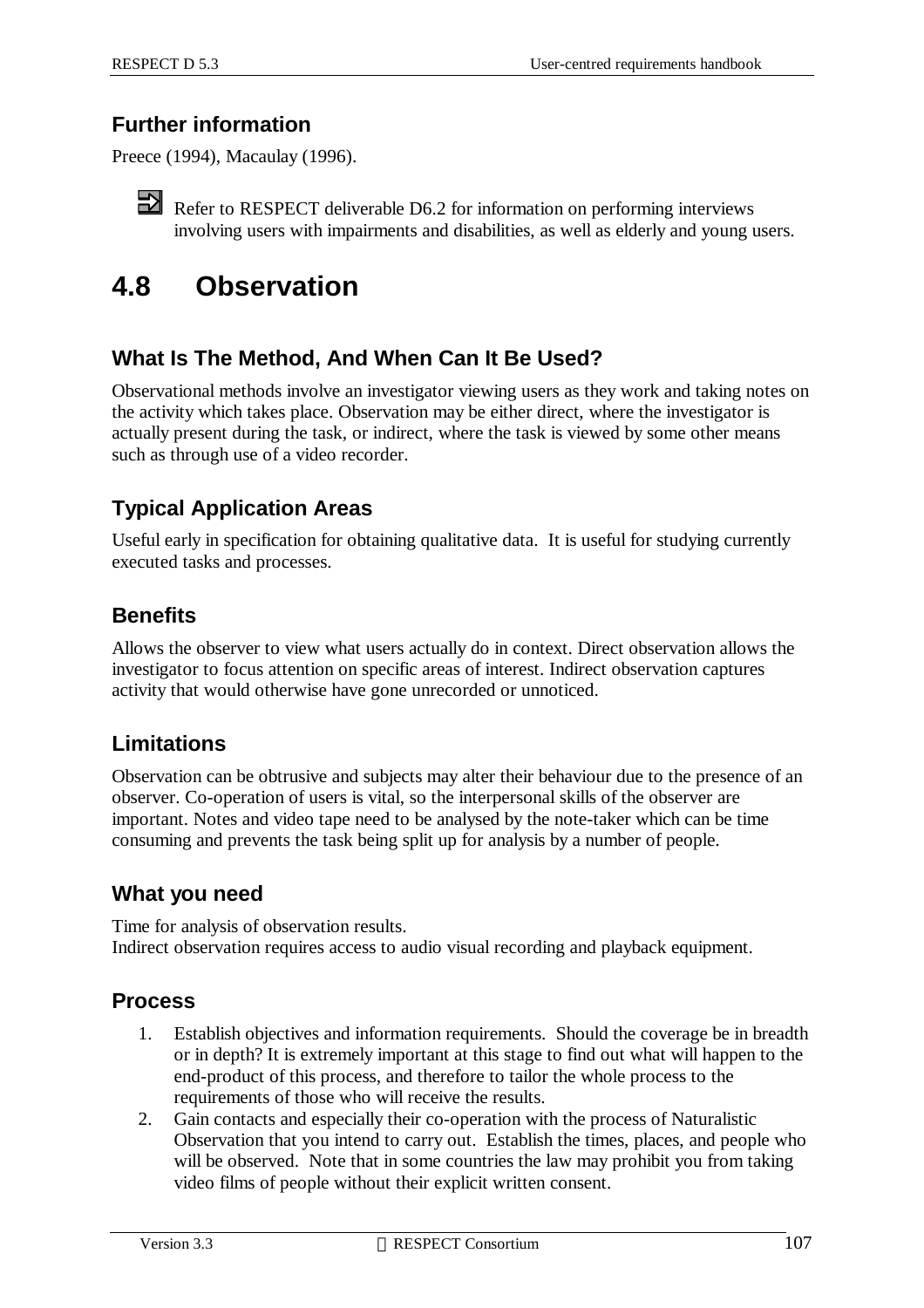#### **Further information**

Preece (1994), Macaulay (1996).

Refer to RESPECT deliverable D6.2 for information on performing interviews involving users with impairments and disabilities, as well as elderly and young users.

# **4.8 Observation**

#### **What Is The Method, And When Can It Be Used?**

Observational methods involve an investigator viewing users as they work and taking notes on the activity which takes place. Observation may be either direct, where the investigator is actually present during the task, or indirect, where the task is viewed by some other means such as through use of a video recorder.

#### **Typical Application Areas**

Useful early in specification for obtaining qualitative data. It is useful for studying currently executed tasks and processes.

#### **Benefits**

Allows the observer to view what users actually do in context. Direct observation allows the investigator to focus attention on specific areas of interest. Indirect observation captures activity that would otherwise have gone unrecorded or unnoticed.

#### **Limitations**

Observation can be obtrusive and subjects may alter their behaviour due to the presence of an observer. Co-operation of users is vital, so the interpersonal skills of the observer are important. Notes and video tape need to be analysed by the note-taker which can be time consuming and prevents the task being split up for analysis by a number of people.

#### **What you need**

Time for analysis of observation results. Indirect observation requires access to audio visual recording and playback equipment.

#### **Process**

- 1. Establish objectives and information requirements. Should the coverage be in breadth or in depth? It is extremely important at this stage to find out what will happen to the end-product of this process, and therefore to tailor the whole process to the requirements of those who will receive the results.
- 2. Gain contacts and especially their co-operation with the process of Naturalistic Observation that you intend to carry out. Establish the times, places, and people who will be observed. Note that in some countries the law may prohibit you from taking video films of people without their explicit written consent.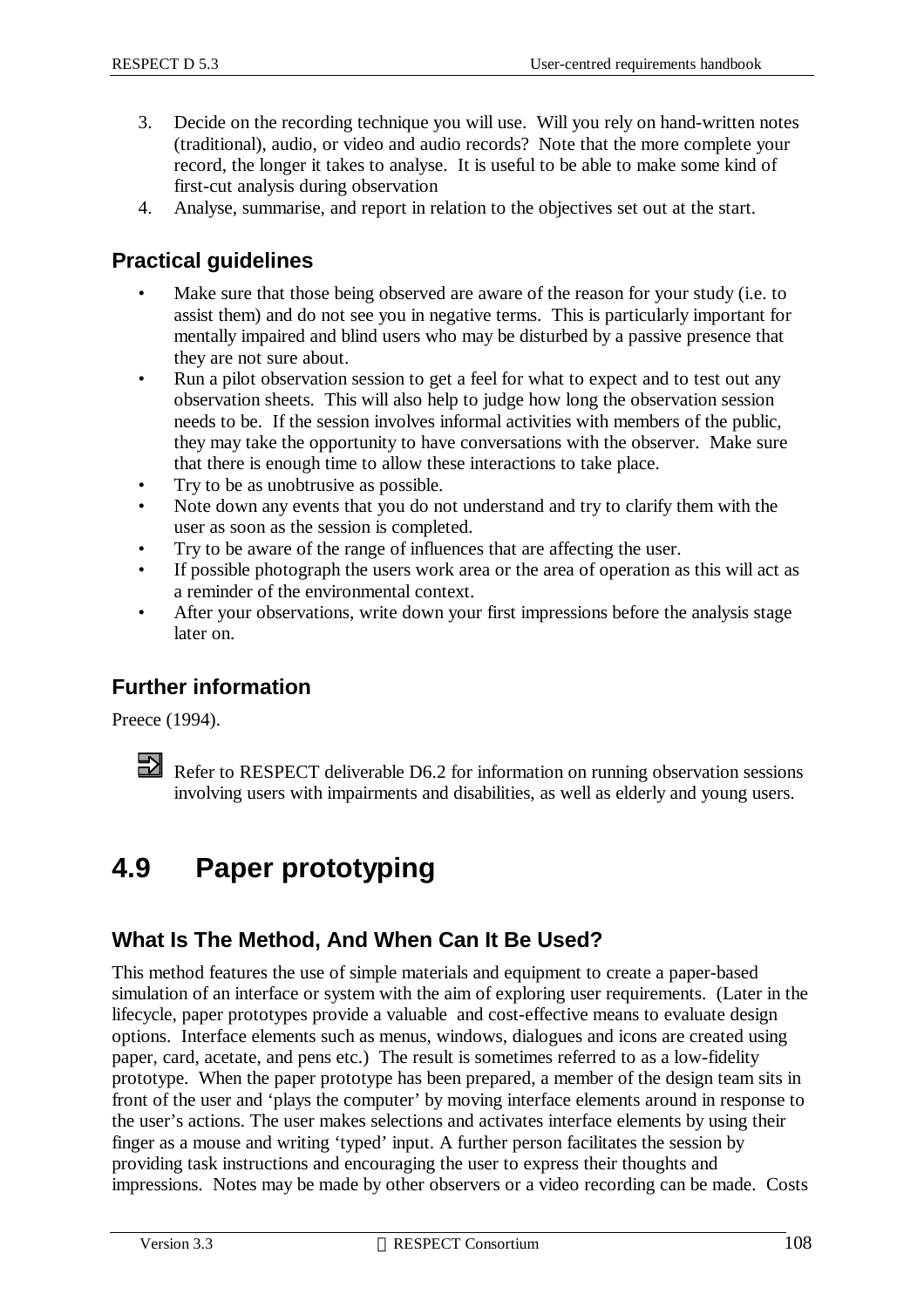- 3. Decide on the recording technique you will use. Will you rely on hand-written notes (traditional), audio, or video and audio records? Note that the more complete your record, the longer it takes to analyse. It is useful to be able to make some kind of first-cut analysis during observation
- 4. Analyse, summarise, and report in relation to the objectives set out at the start.

#### **Practical guidelines**

- Make sure that those being observed are aware of the reason for your study (i.e. to assist them) and do not see you in negative terms. This is particularly important for mentally impaired and blind users who may be disturbed by a passive presence that they are not sure about.
- Run a pilot observation session to get a feel for what to expect and to test out any observation sheets. This will also help to judge how long the observation session needs to be. If the session involves informal activities with members of the public, they may take the opportunity to have conversations with the observer. Make sure that there is enough time to allow these interactions to take place.
- Try to be as unobtrusive as possible.
- Note down any events that you do not understand and try to clarify them with the user as soon as the session is completed.
- Try to be aware of the range of influences that are affecting the user.
- If possible photograph the users work area or the area of operation as this will act as a reminder of the environmental context.
- After your observations, write down your first impressions before the analysis stage later on.

### **Further information**

Preece (1994).

# **4.9 Paper prototyping**

### **What Is The Method, And When Can It Be Used?**

This method features the use of simple materials and equipment to create a paper-based simulation of an interface or system with the aim of exploring user requirements. (Later in the lifecycle, paper prototypes provide a valuable and cost-effective means to evaluate design options. Interface elements such as menus, windows, dialogues and icons are created using paper, card, acetate, and pens etc.) The result is sometimes referred to as a low-fidelity prototype. When the paper prototype has been prepared, a member of the design team sits in front of the user and 'plays the computer' by moving interface elements around in response to the user's actions. The user makes selections and activates interface elements by using their finger as a mouse and writing 'typed' input. A further person facilitates the session by providing task instructions and encouraging the user to express their thoughts and impressions. Notes may be made by other observers or a video recording can be made. Costs

Refer to RESPECT deliverable D6.2 for information on running observation sessions involving users with impairments and disabilities, as well as elderly and young users.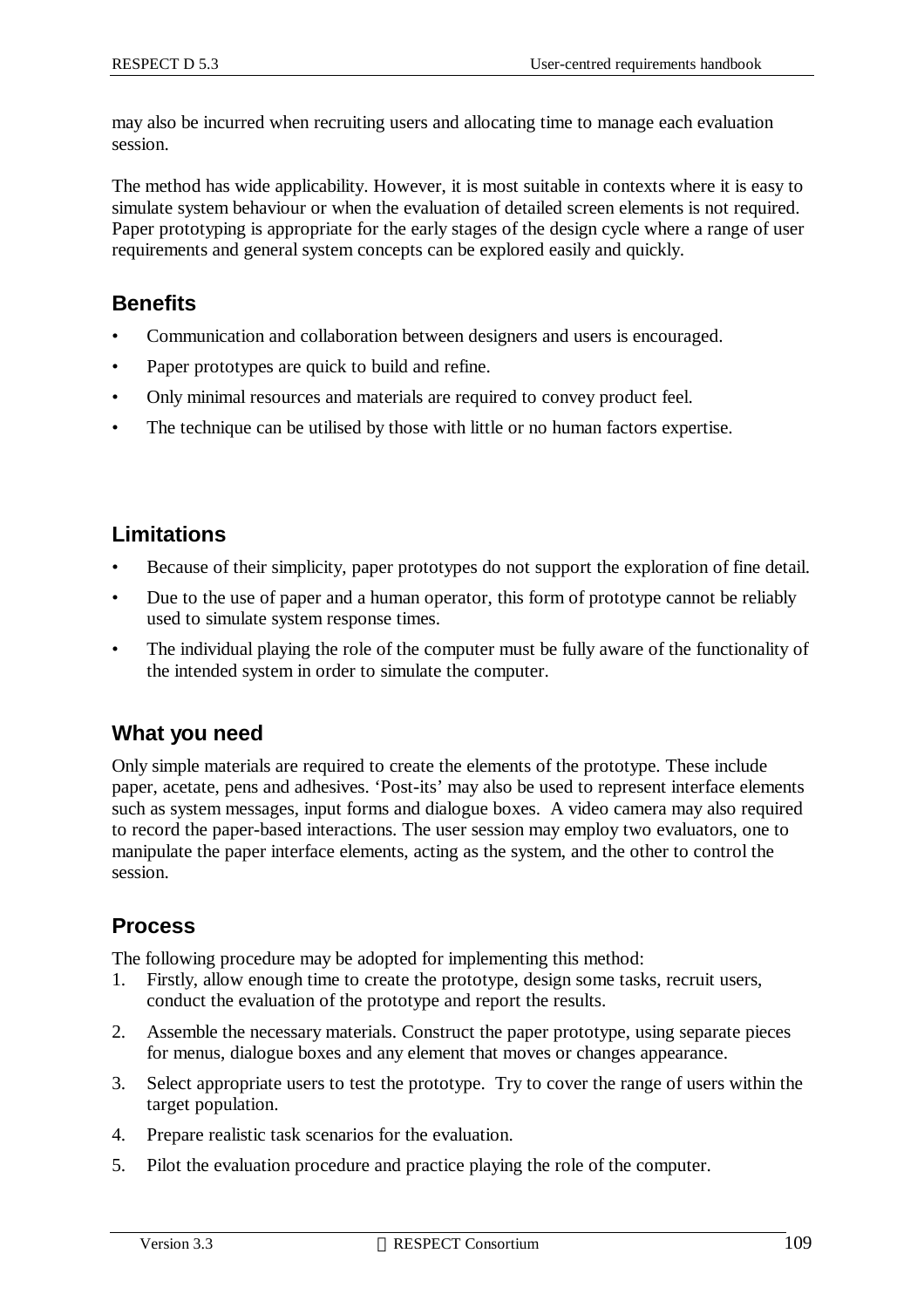may also be incurred when recruiting users and allocating time to manage each evaluation session.

The method has wide applicability. However, it is most suitable in contexts where it is easy to simulate system behaviour or when the evaluation of detailed screen elements is not required. Paper prototyping is appropriate for the early stages of the design cycle where a range of user requirements and general system concepts can be explored easily and quickly.

### **Benefits**

- Communication and collaboration between designers and users is encouraged.
- Paper prototypes are quick to build and refine.
- Only minimal resources and materials are required to convey product feel.
- The technique can be utilised by those with little or no human factors expertise.

#### **Limitations**

- Because of their simplicity, paper prototypes do not support the exploration of fine detail.
- Due to the use of paper and a human operator, this form of prototype cannot be reliably used to simulate system response times.
- The individual playing the role of the computer must be fully aware of the functionality of the intended system in order to simulate the computer.

#### **What you need**

Only simple materials are required to create the elements of the prototype. These include paper, acetate, pens and adhesives. 'Post-its' may also be used to represent interface elements such as system messages, input forms and dialogue boxes. A video camera may also required to record the paper-based interactions. The user session may employ two evaluators, one to manipulate the paper interface elements, acting as the system, and the other to control the session.

### **Process**

The following procedure may be adopted for implementing this method:

- 1. Firstly, allow enough time to create the prototype, design some tasks, recruit users, conduct the evaluation of the prototype and report the results.
- 2. Assemble the necessary materials. Construct the paper prototype, using separate pieces for menus, dialogue boxes and any element that moves or changes appearance.
- 3. Select appropriate users to test the prototype. Try to cover the range of users within the target population.
- 4. Prepare realistic task scenarios for the evaluation.
- 5. Pilot the evaluation procedure and practice playing the role of the computer.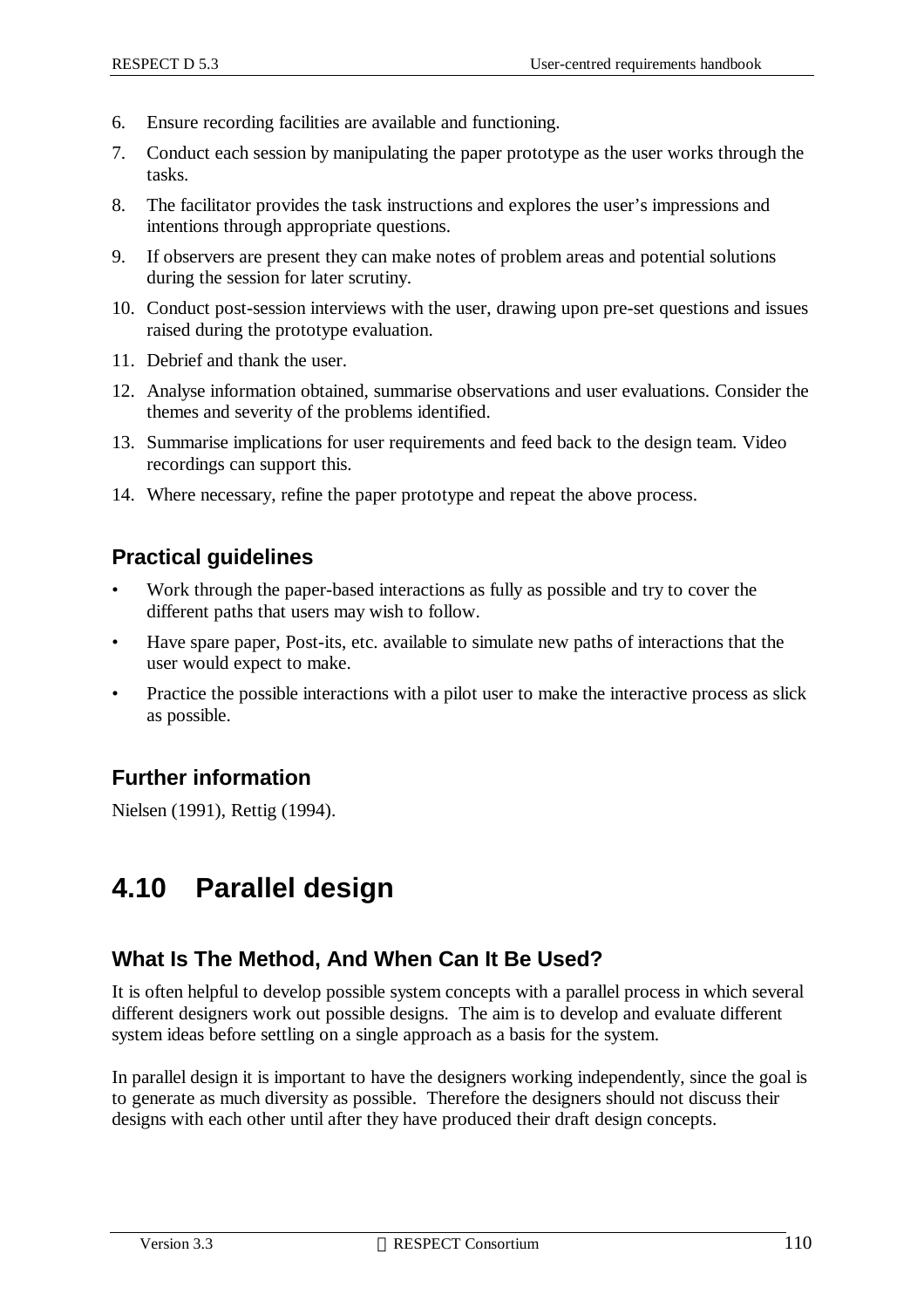- 6. Ensure recording facilities are available and functioning.
- 7. Conduct each session by manipulating the paper prototype as the user works through the tasks.
- 8. The facilitator provides the task instructions and explores the user's impressions and intentions through appropriate questions.
- 9. If observers are present they can make notes of problem areas and potential solutions during the session for later scrutiny.
- 10. Conduct post-session interviews with the user, drawing upon pre-set questions and issues raised during the prototype evaluation.
- 11. Debrief and thank the user.
- 12. Analyse information obtained, summarise observations and user evaluations. Consider the themes and severity of the problems identified.
- 13. Summarise implications for user requirements and feed back to the design team. Video recordings can support this.
- 14. Where necessary, refine the paper prototype and repeat the above process.

### **Practical guidelines**

- Work through the paper-based interactions as fully as possible and try to cover the different paths that users may wish to follow.
- Have spare paper, Post-its, etc. available to simulate new paths of interactions that the user would expect to make.
- Practice the possible interactions with a pilot user to make the interactive process as slick as possible.

### **Further information**

Nielsen (1991), Rettig (1994).

# **4.10 Parallel design**

### **What Is The Method, And When Can It Be Used?**

It is often helpful to develop possible system concepts with a parallel process in which several different designers work out possible designs. The aim is to develop and evaluate different system ideas before settling on a single approach as a basis for the system.

In parallel design it is important to have the designers working independently, since the goal is to generate as much diversity as possible. Therefore the designers should not discuss their designs with each other until after they have produced their draft design concepts.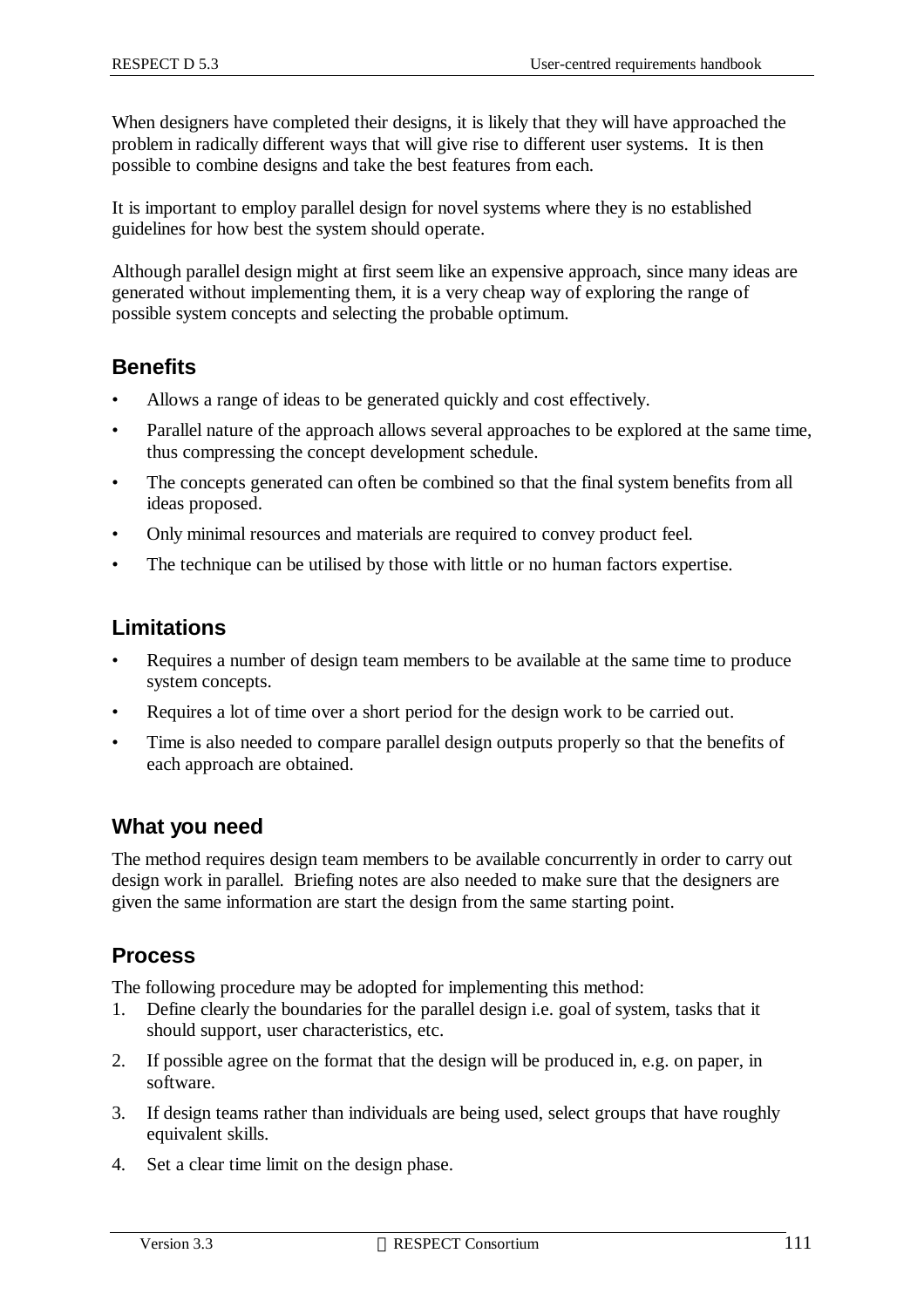When designers have completed their designs, it is likely that they will have approached the problem in radically different ways that will give rise to different user systems. It is then possible to combine designs and take the best features from each.

It is important to employ parallel design for novel systems where they is no established guidelines for how best the system should operate.

Although parallel design might at first seem like an expensive approach, since many ideas are generated without implementing them, it is a very cheap way of exploring the range of possible system concepts and selecting the probable optimum.

#### **Benefits**

- Allows a range of ideas to be generated quickly and cost effectively.
- Parallel nature of the approach allows several approaches to be explored at the same time, thus compressing the concept development schedule.
- The concepts generated can often be combined so that the final system benefits from all ideas proposed.
- Only minimal resources and materials are required to convey product feel.
- The technique can be utilised by those with little or no human factors expertise.

#### **Limitations**

- Requires a number of design team members to be available at the same time to produce system concepts.
- Requires a lot of time over a short period for the design work to be carried out.
- Time is also needed to compare parallel design outputs properly so that the benefits of each approach are obtained.

#### **What you need**

The method requires design team members to be available concurrently in order to carry out design work in parallel. Briefing notes are also needed to make sure that the designers are given the same information are start the design from the same starting point.

#### **Process**

The following procedure may be adopted for implementing this method:

- 1. Define clearly the boundaries for the parallel design i.e. goal of system, tasks that it should support, user characteristics, etc.
- 2. If possible agree on the format that the design will be produced in, e.g. on paper, in software.
- 3. If design teams rather than individuals are being used, select groups that have roughly equivalent skills.
- 4. Set a clear time limit on the design phase.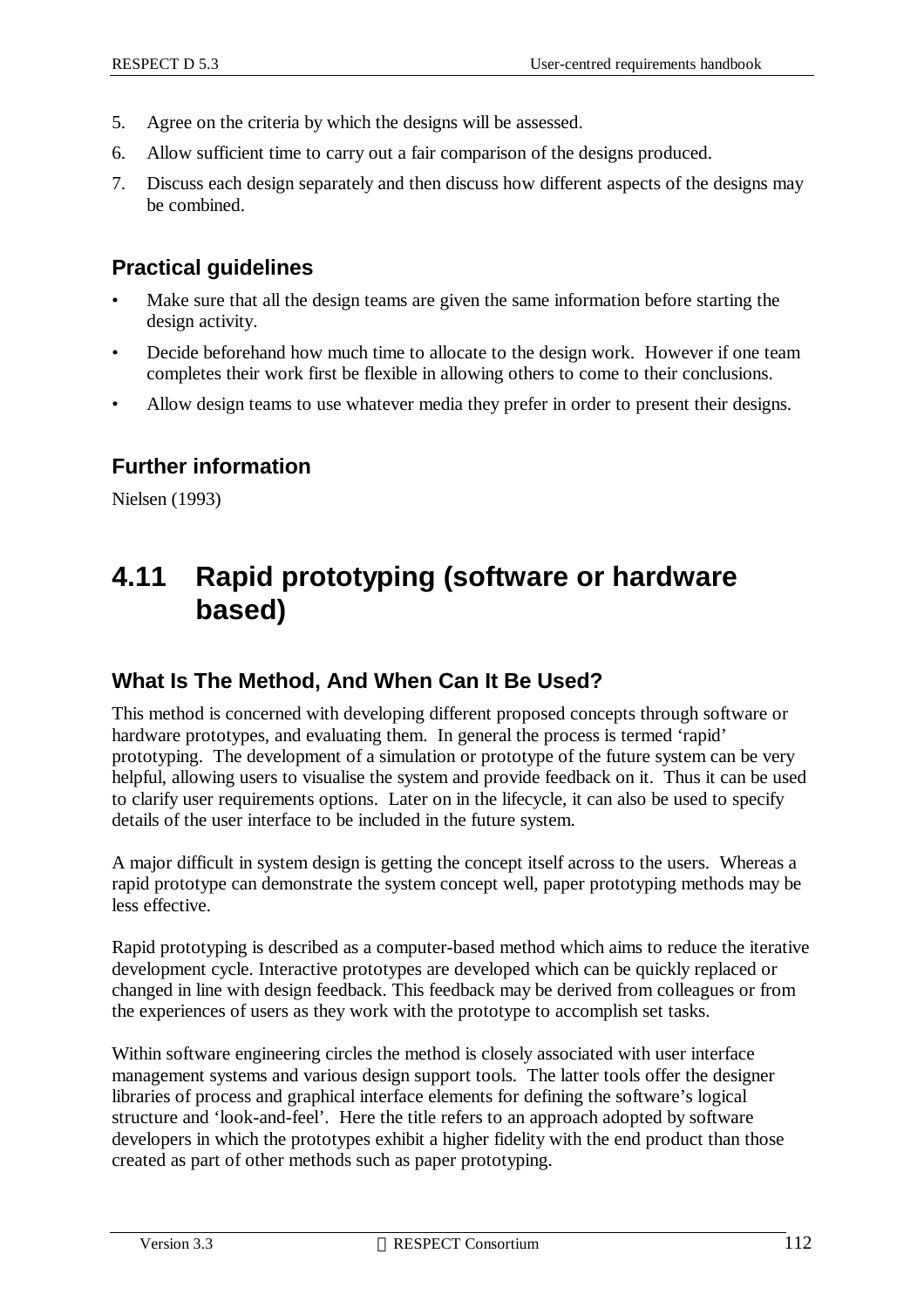- 5. Agree on the criteria by which the designs will be assessed.
- 6. Allow sufficient time to carry out a fair comparison of the designs produced.
- 7. Discuss each design separately and then discuss how different aspects of the designs may be combined.

#### **Practical guidelines**

- Make sure that all the design teams are given the same information before starting the design activity.
- Decide beforehand how much time to allocate to the design work. However if one team completes their work first be flexible in allowing others to come to their conclusions.
- Allow design teams to use whatever media they prefer in order to present their designs.

#### **Further information**

Nielsen (1993)

# **4.11 Rapid prototyping (software or hardware based)**

#### **What Is The Method, And When Can It Be Used?**

This method is concerned with developing different proposed concepts through software or hardware prototypes, and evaluating them. In general the process is termed 'rapid' prototyping. The development of a simulation or prototype of the future system can be very helpful, allowing users to visualise the system and provide feedback on it. Thus it can be used to clarify user requirements options. Later on in the lifecycle, it can also be used to specify details of the user interface to be included in the future system.

A major difficult in system design is getting the concept itself across to the users. Whereas a rapid prototype can demonstrate the system concept well, paper prototyping methods may be less effective.

Rapid prototyping is described as a computer-based method which aims to reduce the iterative development cycle. Interactive prototypes are developed which can be quickly replaced or changed in line with design feedback. This feedback may be derived from colleagues or from the experiences of users as they work with the prototype to accomplish set tasks.

Within software engineering circles the method is closely associated with user interface management systems and various design support tools. The latter tools offer the designer libraries of process and graphical interface elements for defining the software's logical structure and 'look-and-feel'. Here the title refers to an approach adopted by software developers in which the prototypes exhibit a higher fidelity with the end product than those created as part of other methods such as paper prototyping.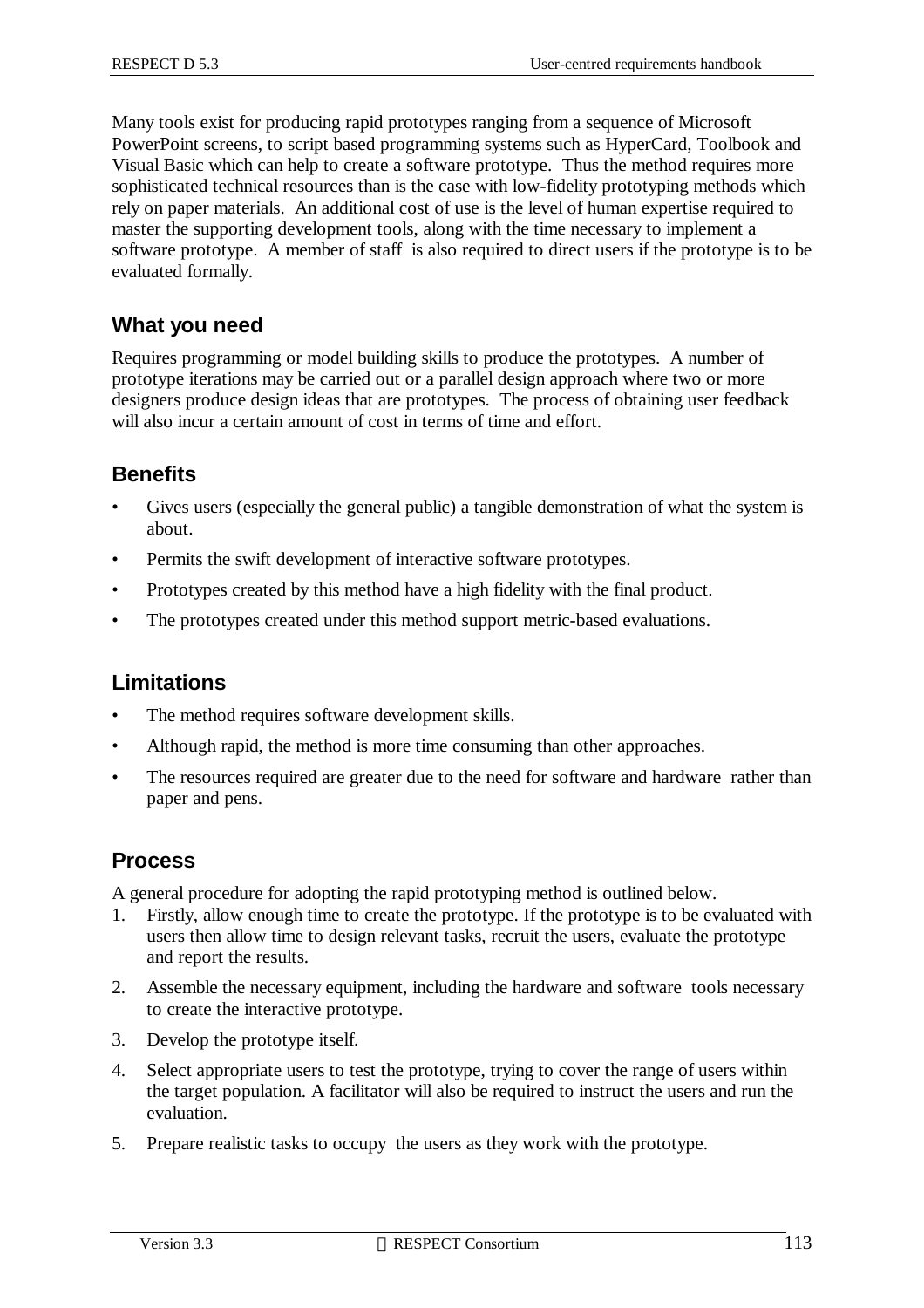Many tools exist for producing rapid prototypes ranging from a sequence of Microsoft PowerPoint screens, to script based programming systems such as HyperCard, Toolbook and Visual Basic which can help to create a software prototype. Thus the method requires more sophisticated technical resources than is the case with low-fidelity prototyping methods which rely on paper materials. An additional cost of use is the level of human expertise required to master the supporting development tools, along with the time necessary to implement a software prototype. A member of staff is also required to direct users if the prototype is to be evaluated formally.

#### **What you need**

Requires programming or model building skills to produce the prototypes. A number of prototype iterations may be carried out or a parallel design approach where two or more designers produce design ideas that are prototypes. The process of obtaining user feedback will also incur a certain amount of cost in terms of time and effort.

#### **Benefits**

- Gives users (especially the general public) a tangible demonstration of what the system is about.
- Permits the swift development of interactive software prototypes.
- Prototypes created by this method have a high fidelity with the final product.
- The prototypes created under this method support metric-based evaluations.

#### **Limitations**

- The method requires software development skills.
- Although rapid, the method is more time consuming than other approaches.
- The resources required are greater due to the need for software and hardware rather than paper and pens.

#### **Process**

A general procedure for adopting the rapid prototyping method is outlined below.

- 1. Firstly, allow enough time to create the prototype. If the prototype is to be evaluated with users then allow time to design relevant tasks, recruit the users, evaluate the prototype and report the results.
- 2. Assemble the necessary equipment, including the hardware and software tools necessary to create the interactive prototype.
- 3. Develop the prototype itself.
- 4. Select appropriate users to test the prototype, trying to cover the range of users within the target population. A facilitator will also be required to instruct the users and run the evaluation.
- 5. Prepare realistic tasks to occupy the users as they work with the prototype.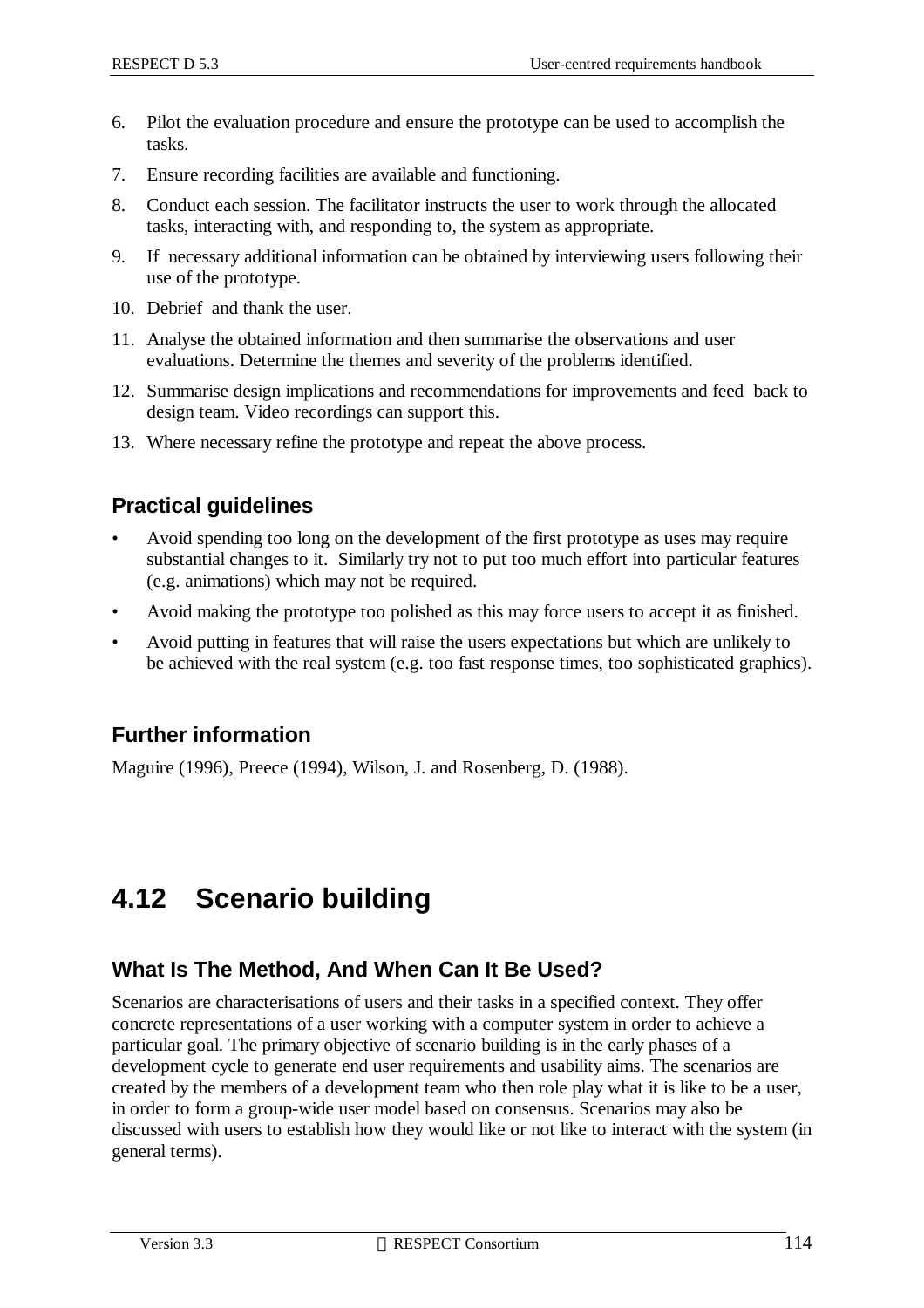- 6. Pilot the evaluation procedure and ensure the prototype can be used to accomplish the tasks.
- 7. Ensure recording facilities are available and functioning.
- 8. Conduct each session. The facilitator instructs the user to work through the allocated tasks, interacting with, and responding to, the system as appropriate.
- 9. If necessary additional information can be obtained by interviewing users following their use of the prototype.
- 10. Debrief and thank the user.
- 11. Analyse the obtained information and then summarise the observations and user evaluations. Determine the themes and severity of the problems identified.
- 12. Summarise design implications and recommendations for improvements and feed back to design team. Video recordings can support this.
- 13. Where necessary refine the prototype and repeat the above process.

#### **Practical guidelines**

- Avoid spending too long on the development of the first prototype as uses may require substantial changes to it. Similarly try not to put too much effort into particular features (e.g. animations) which may not be required.
- Avoid making the prototype too polished as this may force users to accept it as finished.
- Avoid putting in features that will raise the users expectations but which are unlikely to be achieved with the real system (e.g. too fast response times, too sophisticated graphics).

#### **Further information**

Maguire (1996), Preece (1994), Wilson, J. and Rosenberg, D. (1988).

# **4.12 Scenario building**

#### **What Is The Method, And When Can It Be Used?**

Scenarios are characterisations of users and their tasks in a specified context. They offer concrete representations of a user working with a computer system in order to achieve a particular goal. The primary objective of scenario building is in the early phases of a development cycle to generate end user requirements and usability aims. The scenarios are created by the members of a development team who then role play what it is like to be a user, in order to form a group-wide user model based on consensus. Scenarios may also be discussed with users to establish how they would like or not like to interact with the system (in general terms).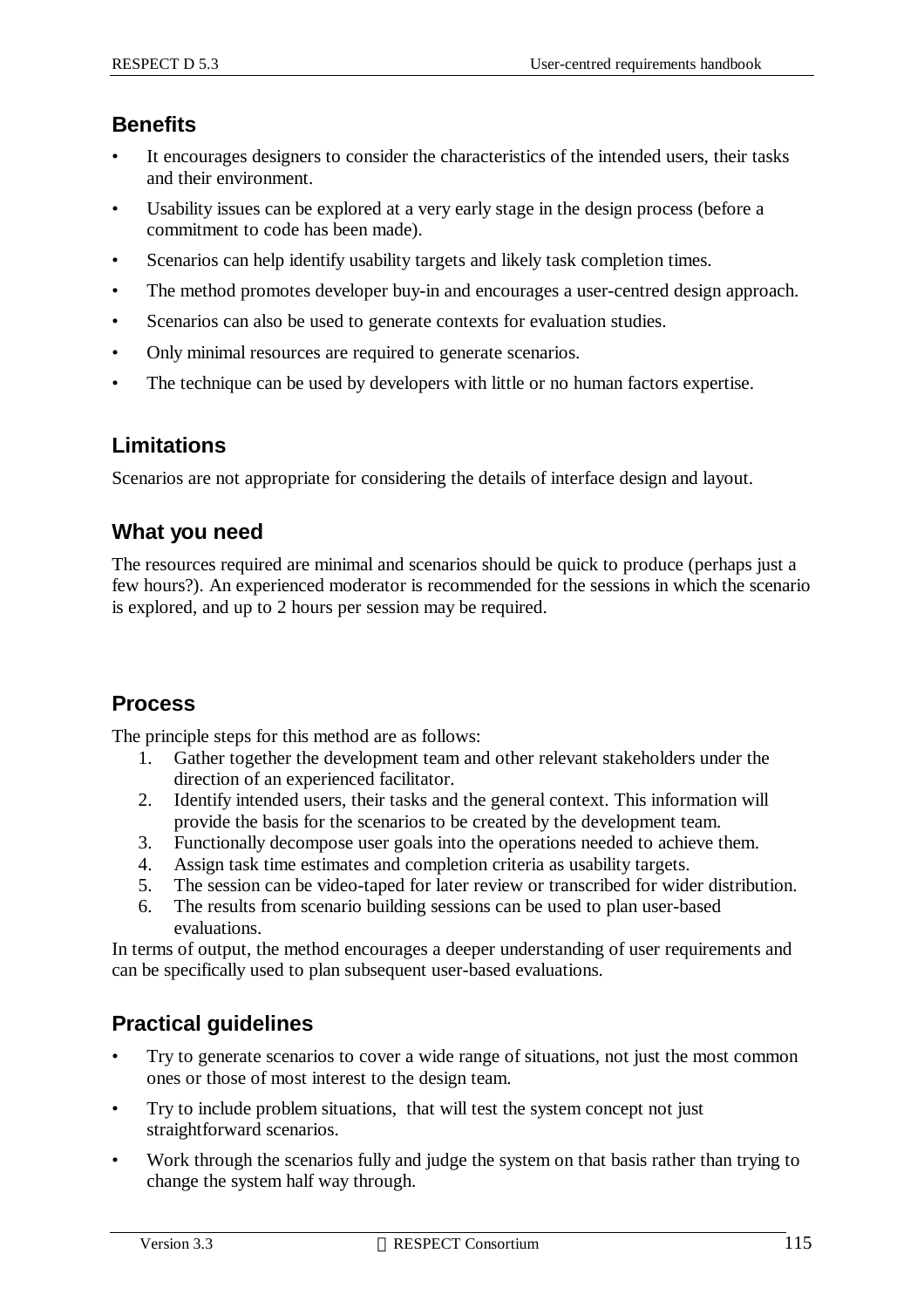#### **Benefits**

- It encourages designers to consider the characteristics of the intended users, their tasks and their environment.
- Usability issues can be explored at a very early stage in the design process (before a commitment to code has been made).
- Scenarios can help identify usability targets and likely task completion times.
- The method promotes developer buy-in and encourages a user-centred design approach.
- Scenarios can also be used to generate contexts for evaluation studies.
- Only minimal resources are required to generate scenarios.
- The technique can be used by developers with little or no human factors expertise.

#### **Limitations**

Scenarios are not appropriate for considering the details of interface design and layout.

#### **What you need**

The resources required are minimal and scenarios should be quick to produce (perhaps just a few hours?). An experienced moderator is recommended for the sessions in which the scenario is explored, and up to 2 hours per session may be required.

#### **Process**

The principle steps for this method are as follows:

- 1. Gather together the development team and other relevant stakeholders under the direction of an experienced facilitator.
- 2. Identify intended users, their tasks and the general context. This information will provide the basis for the scenarios to be created by the development team.
- 3. Functionally decompose user goals into the operations needed to achieve them.
- 4. Assign task time estimates and completion criteria as usability targets.
- 5. The session can be video-taped for later review or transcribed for wider distribution.
- 6. The results from scenario building sessions can be used to plan user-based evaluations.

In terms of output, the method encourages a deeper understanding of user requirements and can be specifically used to plan subsequent user-based evaluations.

### **Practical guidelines**

- Try to generate scenarios to cover a wide range of situations, not just the most common ones or those of most interest to the design team.
- Try to include problem situations, that will test the system concept not just straightforward scenarios.
- Work through the scenarios fully and judge the system on that basis rather than trying to change the system half way through.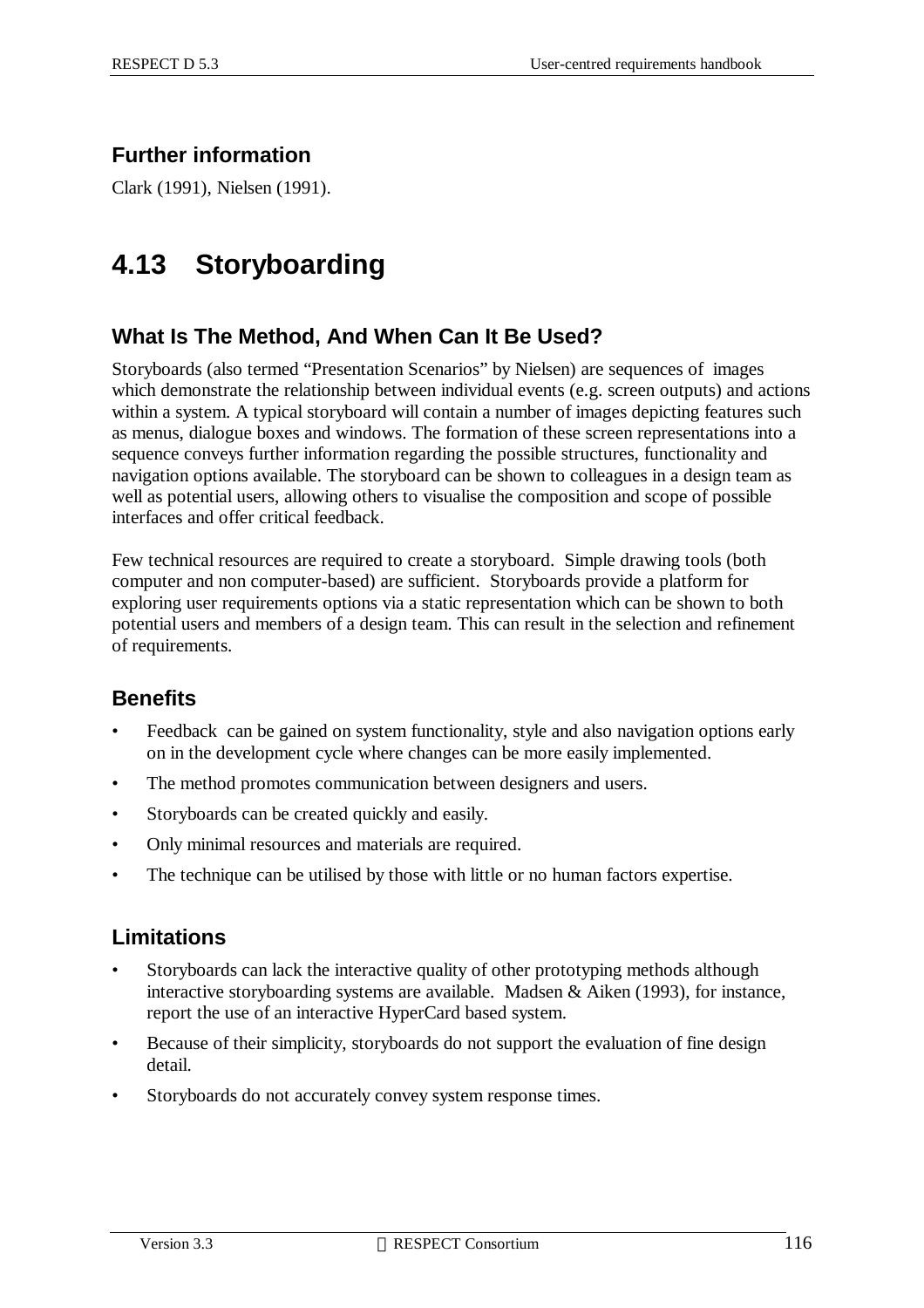# **Further information**

Clark (1991), Nielsen (1991).

# **4.13 Storyboarding**

# **What Is The Method, And When Can It Be Used?**

Storyboards (also termed "Presentation Scenarios" by Nielsen) are sequences of images which demonstrate the relationship between individual events (e.g. screen outputs) and actions within a system. A typical storyboard will contain a number of images depicting features such as menus, dialogue boxes and windows. The formation of these screen representations into a sequence conveys further information regarding the possible structures, functionality and navigation options available. The storyboard can be shown to colleagues in a design team as well as potential users, allowing others to visualise the composition and scope of possible interfaces and offer critical feedback.

Few technical resources are required to create a storyboard. Simple drawing tools (both computer and non computer-based) are sufficient. Storyboards provide a platform for exploring user requirements options via a static representation which can be shown to both potential users and members of a design team. This can result in the selection and refinement of requirements.

### **Benefits**

- Feedback can be gained on system functionality, style and also navigation options early on in the development cycle where changes can be more easily implemented.
- The method promotes communication between designers and users.
- Storyboards can be created quickly and easily.
- Only minimal resources and materials are required.
- The technique can be utilised by those with little or no human factors expertise.

#### **Limitations**

- Storyboards can lack the interactive quality of other prototyping methods although interactive storyboarding systems are available. Madsen & Aiken (1993), for instance, report the use of an interactive HyperCard based system.
- Because of their simplicity, storyboards do not support the evaluation of fine design detail.
- Storyboards do not accurately convey system response times.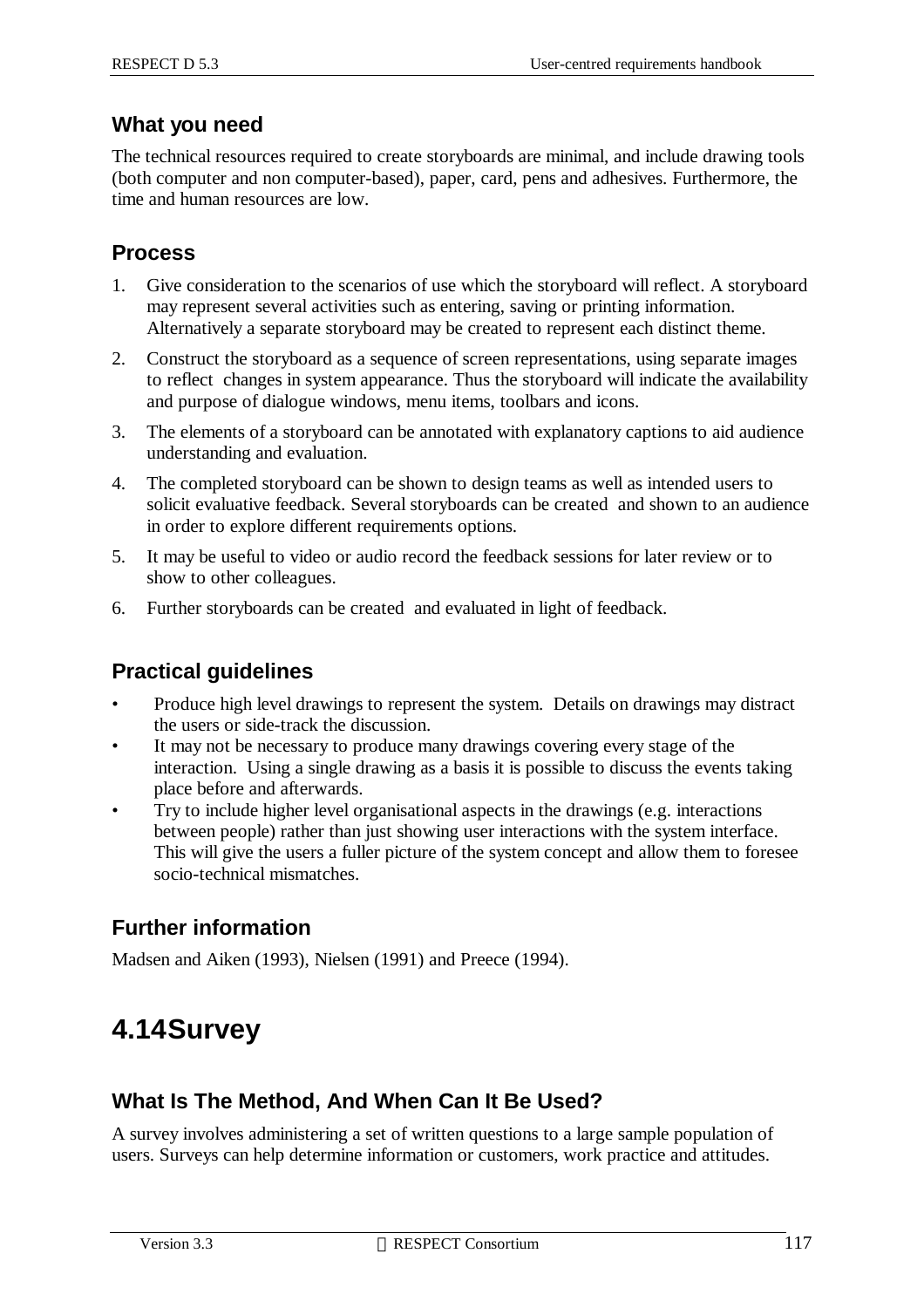#### **What you need**

The technical resources required to create storyboards are minimal, and include drawing tools (both computer and non computer-based), paper, card, pens and adhesives. Furthermore, the time and human resources are low.

#### **Process**

- 1. Give consideration to the scenarios of use which the storyboard will reflect. A storyboard may represent several activities such as entering, saving or printing information. Alternatively a separate storyboard may be created to represent each distinct theme.
- 2. Construct the storyboard as a sequence of screen representations, using separate images to reflect changes in system appearance. Thus the storyboard will indicate the availability and purpose of dialogue windows, menu items, toolbars and icons.
- 3. The elements of a storyboard can be annotated with explanatory captions to aid audience understanding and evaluation.
- 4. The completed storyboard can be shown to design teams as well as intended users to solicit evaluative feedback. Several storyboards can be created and shown to an audience in order to explore different requirements options.
- 5. It may be useful to video or audio record the feedback sessions for later review or to show to other colleagues.
- 6. Further storyboards can be created and evaluated in light of feedback.

### **Practical guidelines**

- Produce high level drawings to represent the system. Details on drawings may distract the users or side-track the discussion.
- It may not be necessary to produce many drawings covering every stage of the interaction. Using a single drawing as a basis it is possible to discuss the events taking place before and afterwards.
- Try to include higher level organisational aspects in the drawings (e.g. interactions between people) rather than just showing user interactions with the system interface. This will give the users a fuller picture of the system concept and allow them to foresee socio-technical mismatches.

### **Further information**

Madsen and Aiken (1993), Nielsen (1991) and Preece (1994).

# **4.14Survey**

### **What Is The Method, And When Can It Be Used?**

A survey involves administering a set of written questions to a large sample population of users. Surveys can help determine information or customers, work practice and attitudes.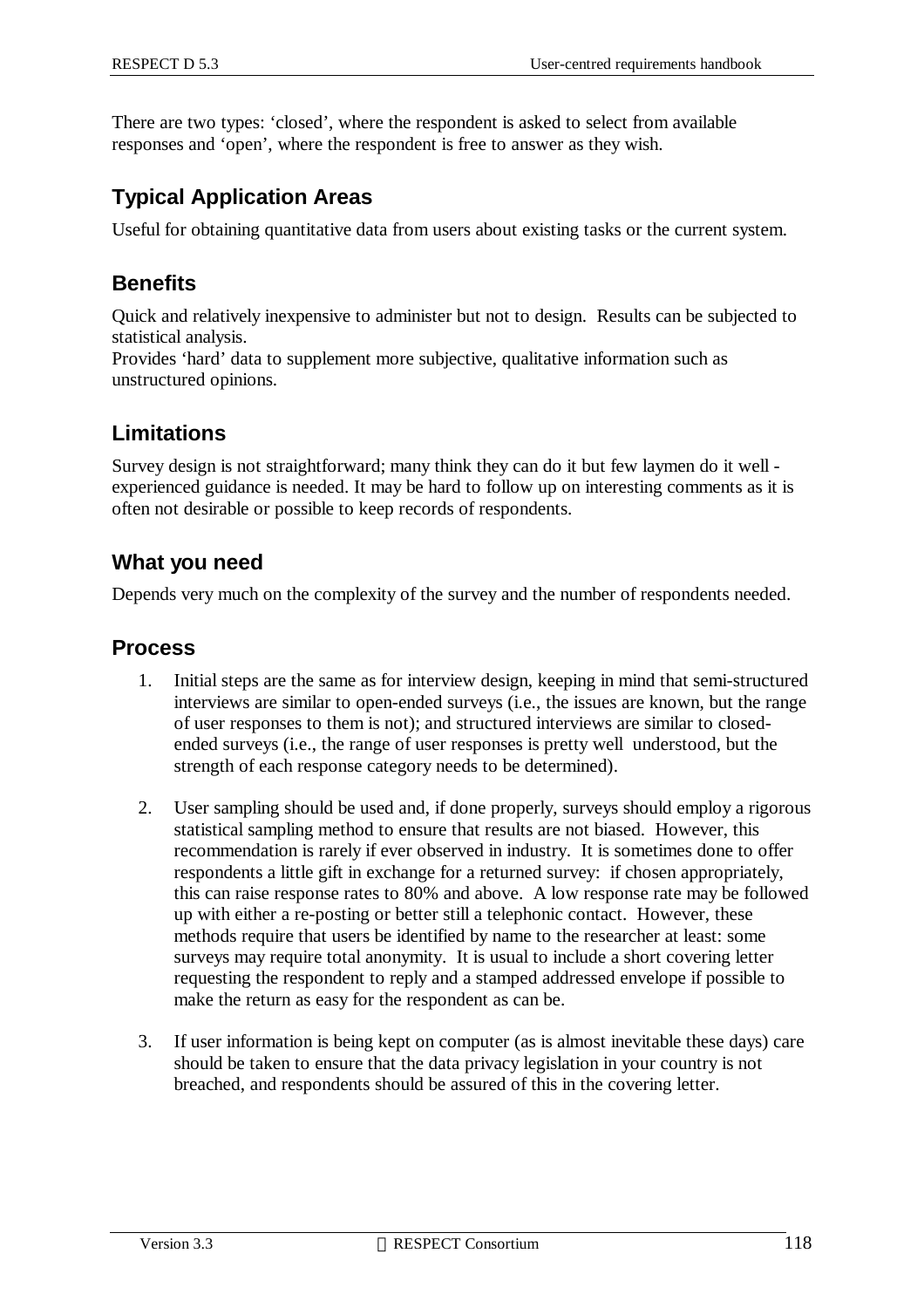There are two types: 'closed', where the respondent is asked to select from available responses and 'open', where the respondent is free to answer as they wish.

#### **Typical Application Areas**

Useful for obtaining quantitative data from users about existing tasks or the current system.

#### **Benefits**

Quick and relatively inexpensive to administer but not to design. Results can be subjected to statistical analysis.

Provides 'hard' data to supplement more subjective, qualitative information such as unstructured opinions.

#### **Limitations**

Survey design is not straightforward; many think they can do it but few laymen do it well experienced guidance is needed. It may be hard to follow up on interesting comments as it is often not desirable or possible to keep records of respondents.

#### **What you need**

Depends very much on the complexity of the survey and the number of respondents needed.

#### **Process**

- 1. Initial steps are the same as for interview design, keeping in mind that semi-structured interviews are similar to open-ended surveys (i.e., the issues are known, but the range of user responses to them is not); and structured interviews are similar to closedended surveys (i.e., the range of user responses is pretty well understood, but the strength of each response category needs to be determined).
- 2. User sampling should be used and, if done properly, surveys should employ a rigorous statistical sampling method to ensure that results are not biased. However, this recommendation is rarely if ever observed in industry. It is sometimes done to offer respondents a little gift in exchange for a returned survey: if chosen appropriately, this can raise response rates to 80% and above. A low response rate may be followed up with either a re-posting or better still a telephonic contact. However, these methods require that users be identified by name to the researcher at least: some surveys may require total anonymity. It is usual to include a short covering letter requesting the respondent to reply and a stamped addressed envelope if possible to make the return as easy for the respondent as can be.
- 3. If user information is being kept on computer (as is almost inevitable these days) care should be taken to ensure that the data privacy legislation in your country is not breached, and respondents should be assured of this in the covering letter.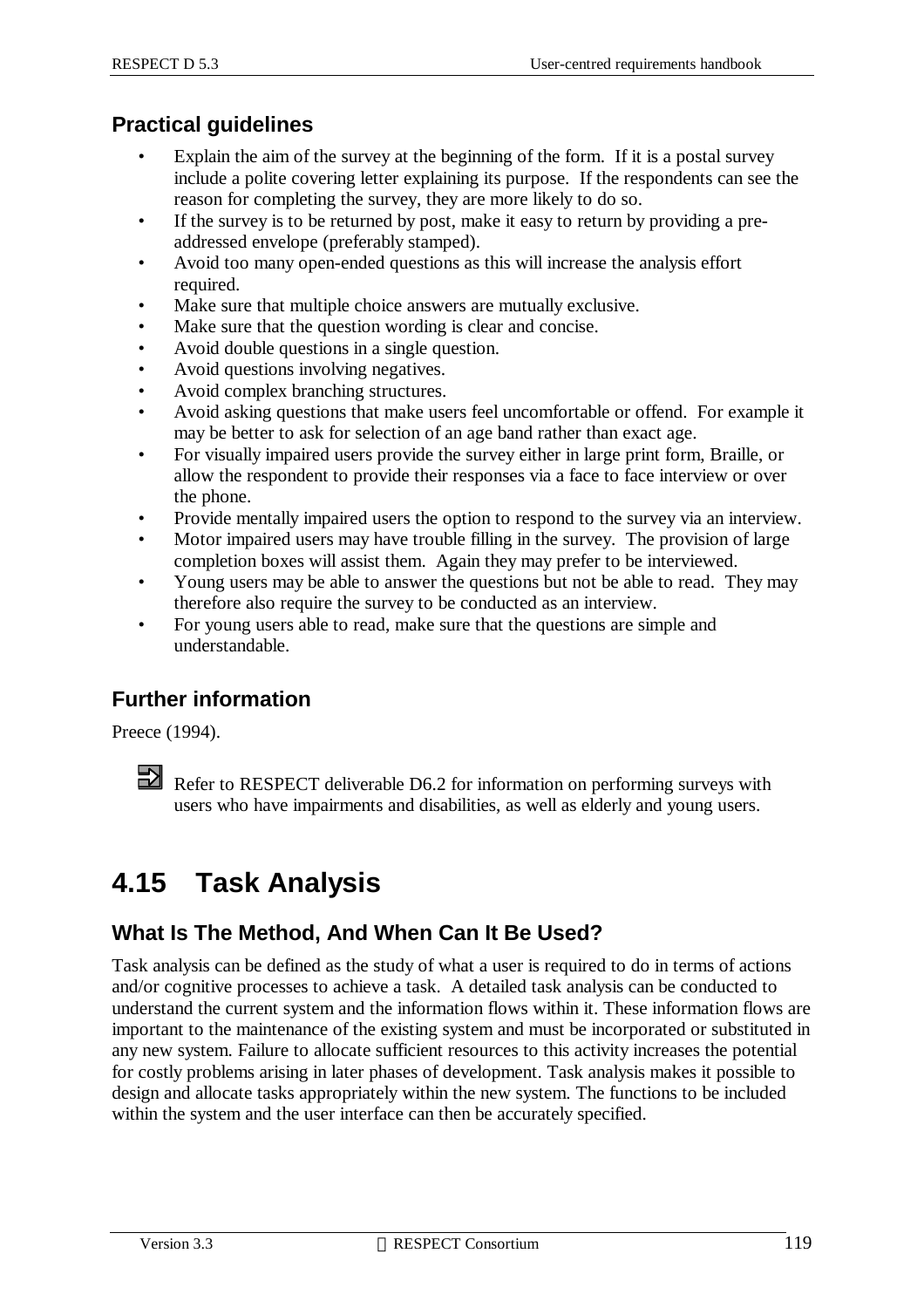### **Practical guidelines**

- Explain the aim of the survey at the beginning of the form. If it is a postal survey include a polite covering letter explaining its purpose. If the respondents can see the reason for completing the survey, they are more likely to do so.
- If the survey is to be returned by post, make it easy to return by providing a preaddressed envelope (preferably stamped).
- Avoid too many open-ended questions as this will increase the analysis effort required.
- Make sure that multiple choice answers are mutually exclusive.
- Make sure that the question wording is clear and concise.
- Avoid double questions in a single question.
- Avoid questions involving negatives.
- Avoid complex branching structures.
- Avoid asking questions that make users feel uncomfortable or offend. For example it may be better to ask for selection of an age band rather than exact age.
- For visually impaired users provide the survey either in large print form, Braille, or allow the respondent to provide their responses via a face to face interview or over the phone.
- Provide mentally impaired users the option to respond to the survey via an interview.
- Motor impaired users may have trouble filling in the survey. The provision of large completion boxes will assist them. Again they may prefer to be interviewed.
- Young users may be able to answer the questions but not be able to read. They may therefore also require the survey to be conducted as an interview.
- For young users able to read, make sure that the questions are simple and understandable.

### **Further information**

Preece (1994).

Refer to RESPECT deliverable D6.2 for information on performing surveys with users who have impairments and disabilities, as well as elderly and young users.

# **4.15 Task Analysis**

### **What Is The Method, And When Can It Be Used?**

Task analysis can be defined as the study of what a user is required to do in terms of actions and/or cognitive processes to achieve a task. A detailed task analysis can be conducted to understand the current system and the information flows within it. These information flows are important to the maintenance of the existing system and must be incorporated or substituted in any new system. Failure to allocate sufficient resources to this activity increases the potential for costly problems arising in later phases of development. Task analysis makes it possible to design and allocate tasks appropriately within the new system. The functions to be included within the system and the user interface can then be accurately specified.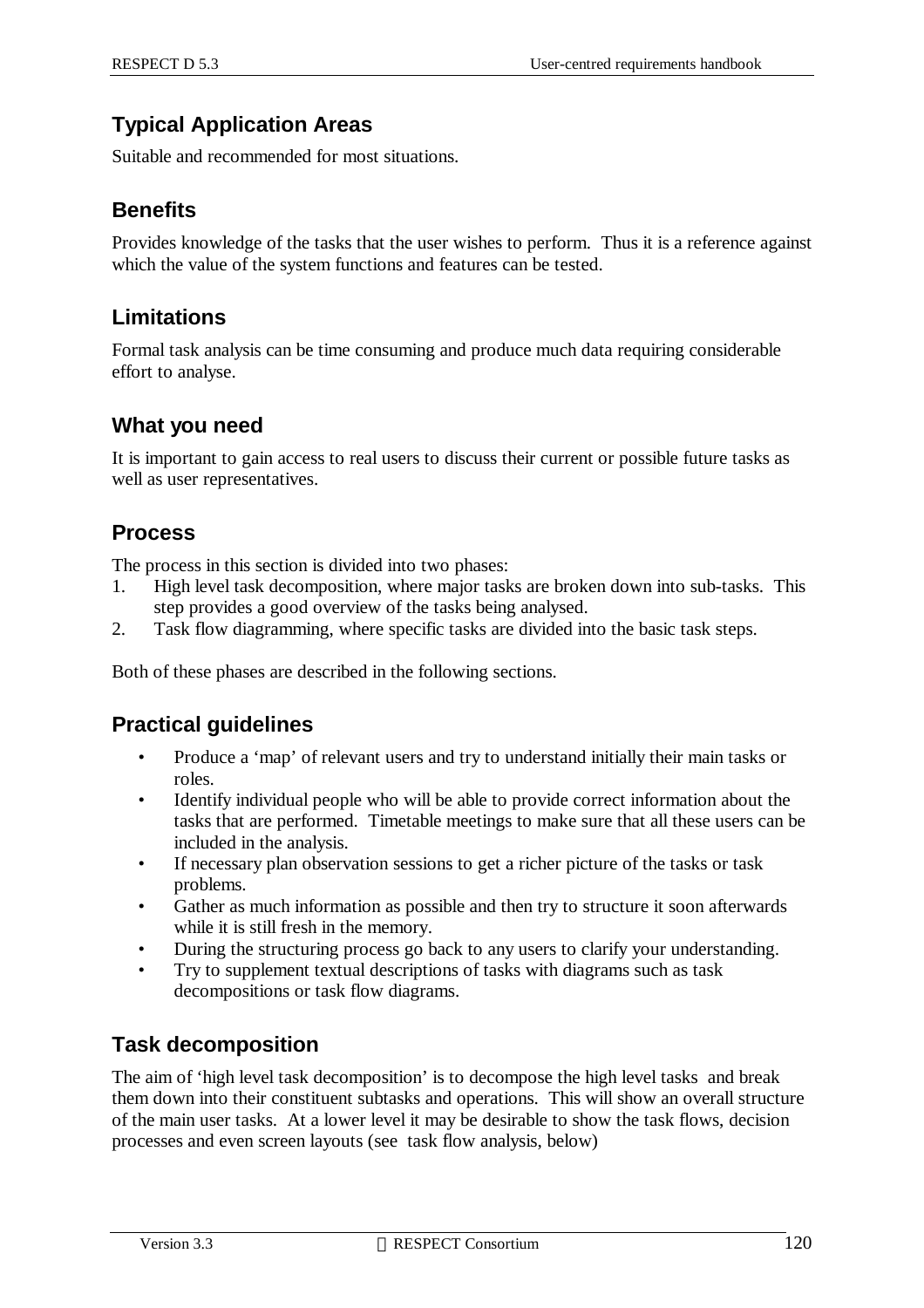### **Typical Application Areas**

Suitable and recommended for most situations.

### **Benefits**

Provides knowledge of the tasks that the user wishes to perform. Thus it is a reference against which the value of the system functions and features can be tested.

### **Limitations**

Formal task analysis can be time consuming and produce much data requiring considerable effort to analyse.

#### **What you need**

It is important to gain access to real users to discuss their current or possible future tasks as well as user representatives.

### **Process**

The process in this section is divided into two phases:

- 1. High level task decomposition, where major tasks are broken down into sub-tasks. This step provides a good overview of the tasks being analysed.
- 2. Task flow diagramming, where specific tasks are divided into the basic task steps.

Both of these phases are described in the following sections.

#### **Practical guidelines**

- Produce a 'map' of relevant users and try to understand initially their main tasks or roles.
- Identify individual people who will be able to provide correct information about the tasks that are performed. Timetable meetings to make sure that all these users can be included in the analysis.
- If necessary plan observation sessions to get a richer picture of the tasks or task problems.
- Gather as much information as possible and then try to structure it soon afterwards while it is still fresh in the memory.
- During the structuring process go back to any users to clarify your understanding.
- Try to supplement textual descriptions of tasks with diagrams such as task decompositions or task flow diagrams.

#### **Task decomposition**

The aim of 'high level task decomposition' is to decompose the high level tasks and break them down into their constituent subtasks and operations. This will show an overall structure of the main user tasks. At a lower level it may be desirable to show the task flows, decision processes and even screen layouts (see task flow analysis, below)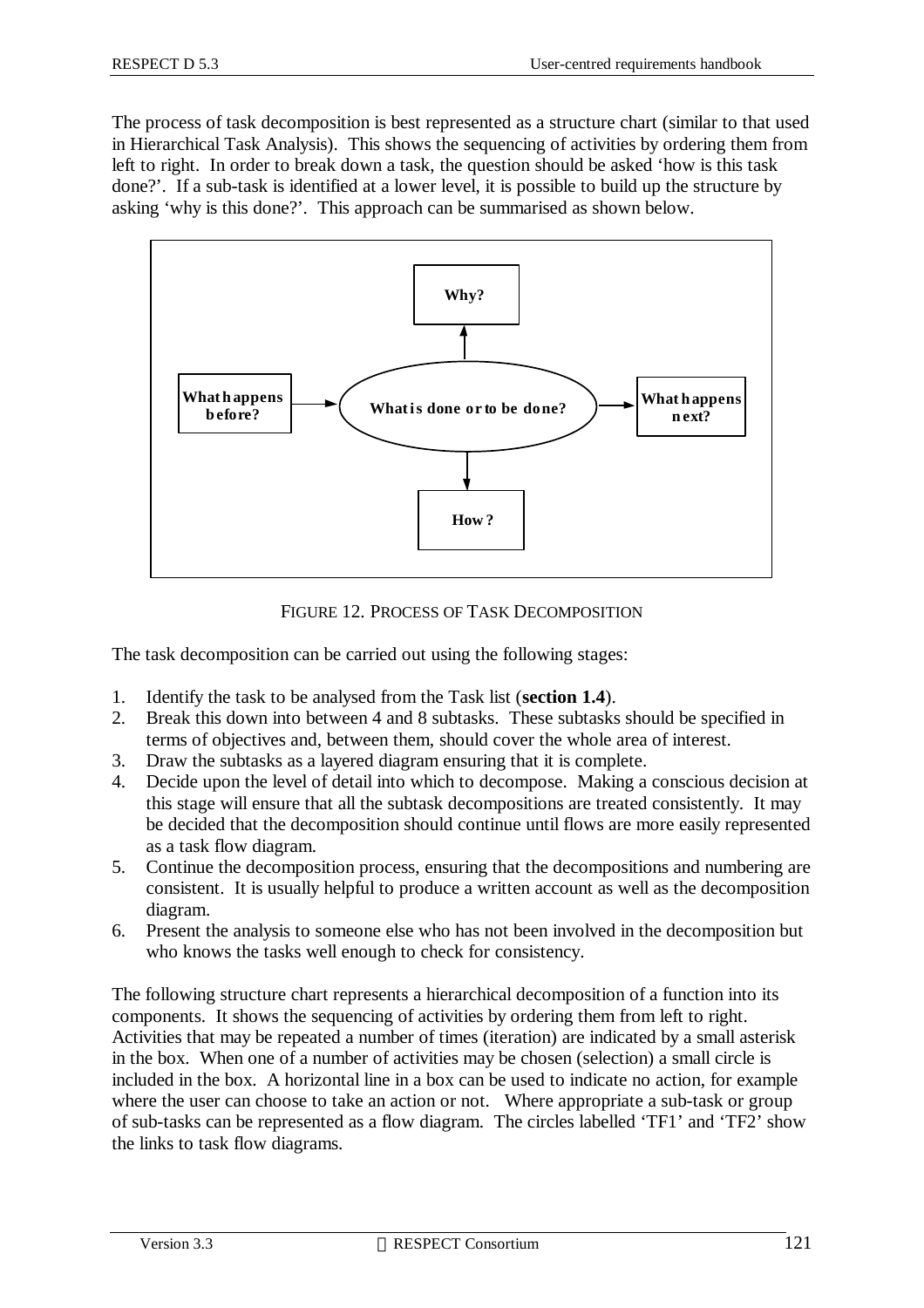The process of task decomposition is best represented as a structure chart (similar to that used in Hierarchical Task Analysis). This shows the sequencing of activities by ordering them from left to right. In order to break down a task, the question should be asked 'how is this task done?'. If a sub-task is identified at a lower level, it is possible to build up the structure by asking 'why is this done?'. This approach can be summarised as shown below.



FIGURE 12. PROCESS OF TASK DECOMPOSITION

The task decomposition can be carried out using the following stages:

- 1. Identify the task to be analysed from the Task list (**section 1.4**).
- 2. Break this down into between 4 and 8 subtasks. These subtasks should be specified in terms of objectives and, between them, should cover the whole area of interest.
- 3. Draw the subtasks as a layered diagram ensuring that it is complete.
- 4. Decide upon the level of detail into which to decompose. Making a conscious decision at this stage will ensure that all the subtask decompositions are treated consistently. It may be decided that the decomposition should continue until flows are more easily represented as a task flow diagram.
- 5. Continue the decomposition process, ensuring that the decompositions and numbering are consistent. It is usually helpful to produce a written account as well as the decomposition diagram.
- 6. Present the analysis to someone else who has not been involved in the decomposition but who knows the tasks well enough to check for consistency.

The following structure chart represents a hierarchical decomposition of a function into its components. It shows the sequencing of activities by ordering them from left to right. Activities that may be repeated a number of times (iteration) are indicated by a small asterisk in the box. When one of a number of activities may be chosen (selection) a small circle is included in the box. A horizontal line in a box can be used to indicate no action, for example where the user can choose to take an action or not. Where appropriate a sub-task or group of sub-tasks can be represented as a flow diagram. The circles labelled 'TF1' and 'TF2' show the links to task flow diagrams.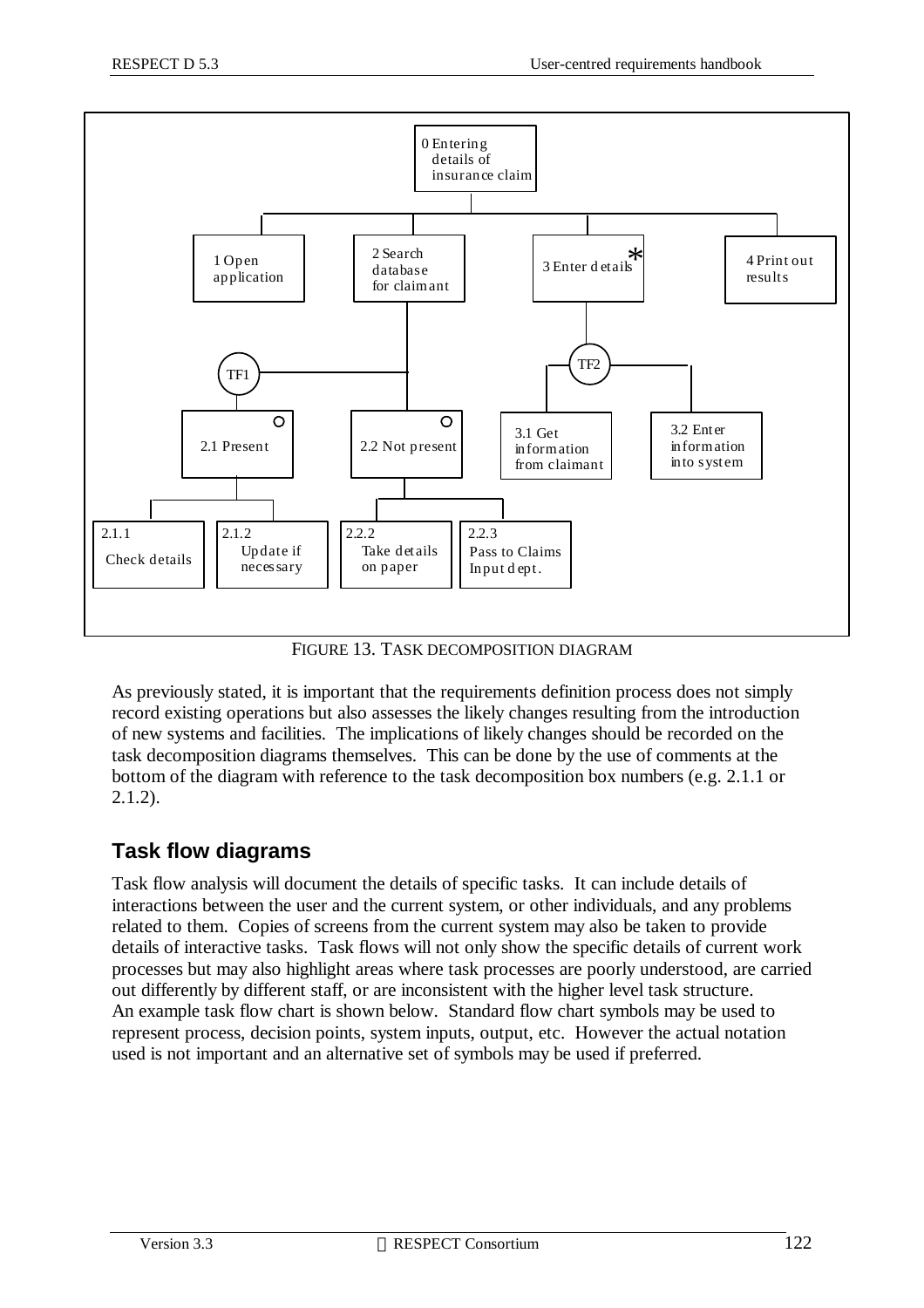

FIGURE 13. TASK DECOMPOSITION DIAGRAM

As previously stated, it is important that the requirements definition process does not simply record existing operations but also assesses the likely changes resulting from the introduction of new systems and facilities. The implications of likely changes should be recorded on the task decomposition diagrams themselves. This can be done by the use of comments at the bottom of the diagram with reference to the task decomposition box numbers (e.g. 2.1.1 or 2.1.2).

#### **Task flow diagrams**

Task flow analysis will document the details of specific tasks. It can include details of interactions between the user and the current system, or other individuals, and any problems related to them. Copies of screens from the current system may also be taken to provide details of interactive tasks. Task flows will not only show the specific details of current work processes but may also highlight areas where task processes are poorly understood, are carried out differently by different staff, or are inconsistent with the higher level task structure. An example task flow chart is shown below. Standard flow chart symbols may be used to represent process, decision points, system inputs, output, etc. However the actual notation used is not important and an alternative set of symbols may be used if preferred.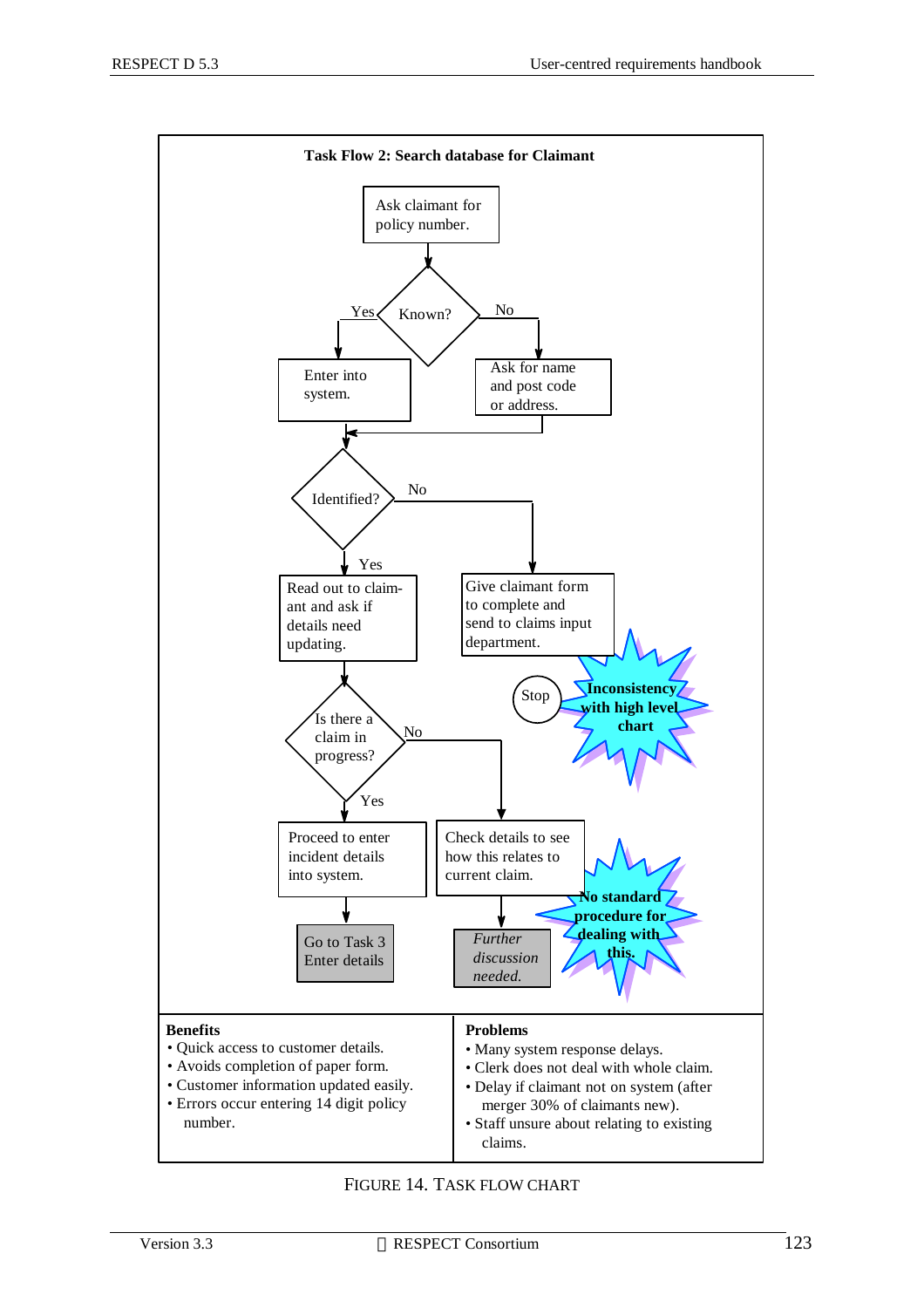

FIGURE 14. TASK FLOW CHART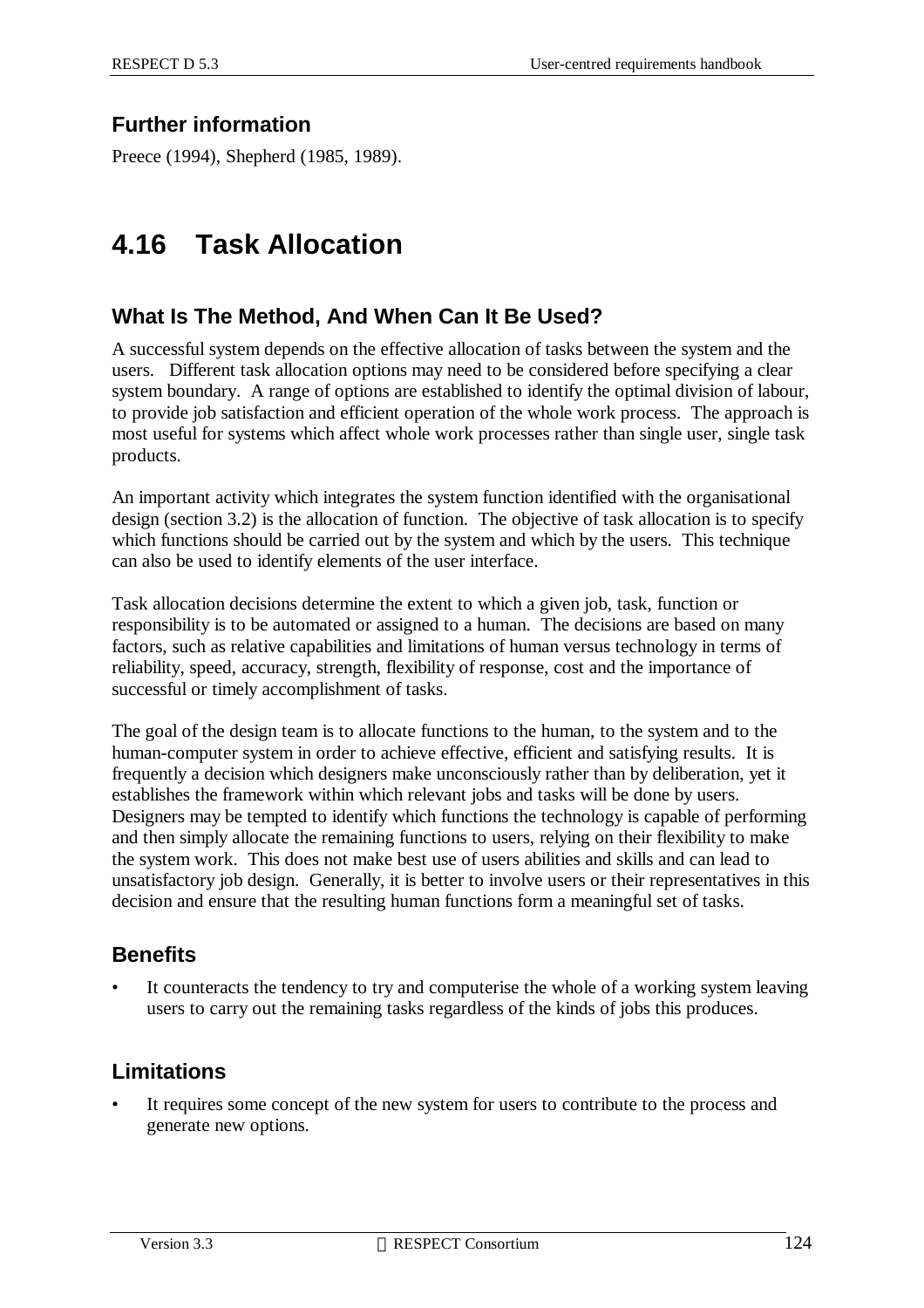### **Further information**

Preece (1994), Shepherd (1985, 1989).

# **4.16 Task Allocation**

#### **What Is The Method, And When Can It Be Used?**

A successful system depends on the effective allocation of tasks between the system and the users. Different task allocation options may need to be considered before specifying a clear system boundary. A range of options are established to identify the optimal division of labour, to provide job satisfaction and efficient operation of the whole work process. The approach is most useful for systems which affect whole work processes rather than single user, single task products.

An important activity which integrates the system function identified with the organisational design (section 3.2) is the allocation of function. The objective of task allocation is to specify which functions should be carried out by the system and which by the users. This technique can also be used to identify elements of the user interface.

Task allocation decisions determine the extent to which a given job, task, function or responsibility is to be automated or assigned to a human. The decisions are based on many factors, such as relative capabilities and limitations of human versus technology in terms of reliability, speed, accuracy, strength, flexibility of response, cost and the importance of successful or timely accomplishment of tasks.

The goal of the design team is to allocate functions to the human, to the system and to the human-computer system in order to achieve effective, efficient and satisfying results. It is frequently a decision which designers make unconsciously rather than by deliberation, yet it establishes the framework within which relevant jobs and tasks will be done by users. Designers may be tempted to identify which functions the technology is capable of performing and then simply allocate the remaining functions to users, relying on their flexibility to make the system work. This does not make best use of users abilities and skills and can lead to unsatisfactory job design. Generally, it is better to involve users or their representatives in this decision and ensure that the resulting human functions form a meaningful set of tasks.

### **Benefits**

It counteracts the tendency to try and computerise the whole of a working system leaving users to carry out the remaining tasks regardless of the kinds of jobs this produces.

### **Limitations**

It requires some concept of the new system for users to contribute to the process and generate new options.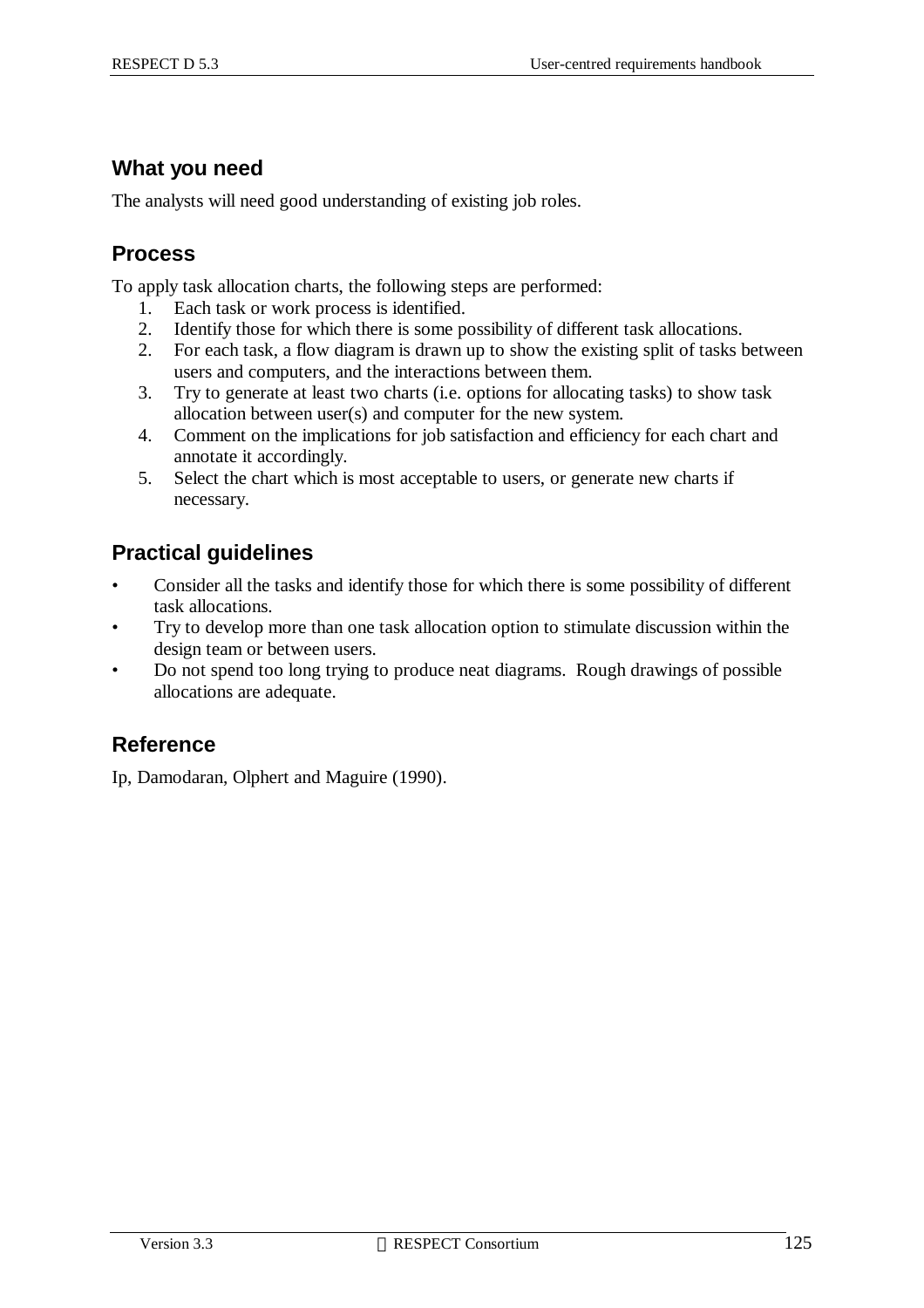#### **What you need**

The analysts will need good understanding of existing job roles.

#### **Process**

To apply task allocation charts, the following steps are performed:

- 1. Each task or work process is identified.
- 2. Identify those for which there is some possibility of different task allocations.
- 2. For each task, a flow diagram is drawn up to show the existing split of tasks between users and computers, and the interactions between them.
- 3. Try to generate at least two charts (i.e. options for allocating tasks) to show task allocation between user(s) and computer for the new system.
- 4. Comment on the implications for job satisfaction and efficiency for each chart and annotate it accordingly.
- 5. Select the chart which is most acceptable to users, or generate new charts if necessary.

# **Practical guidelines**

- Consider all the tasks and identify those for which there is some possibility of different task allocations.
- Try to develop more than one task allocation option to stimulate discussion within the design team or between users.
- Do not spend too long trying to produce neat diagrams. Rough drawings of possible allocations are adequate.

#### **Reference**

Ip, Damodaran, Olphert and Maguire (1990).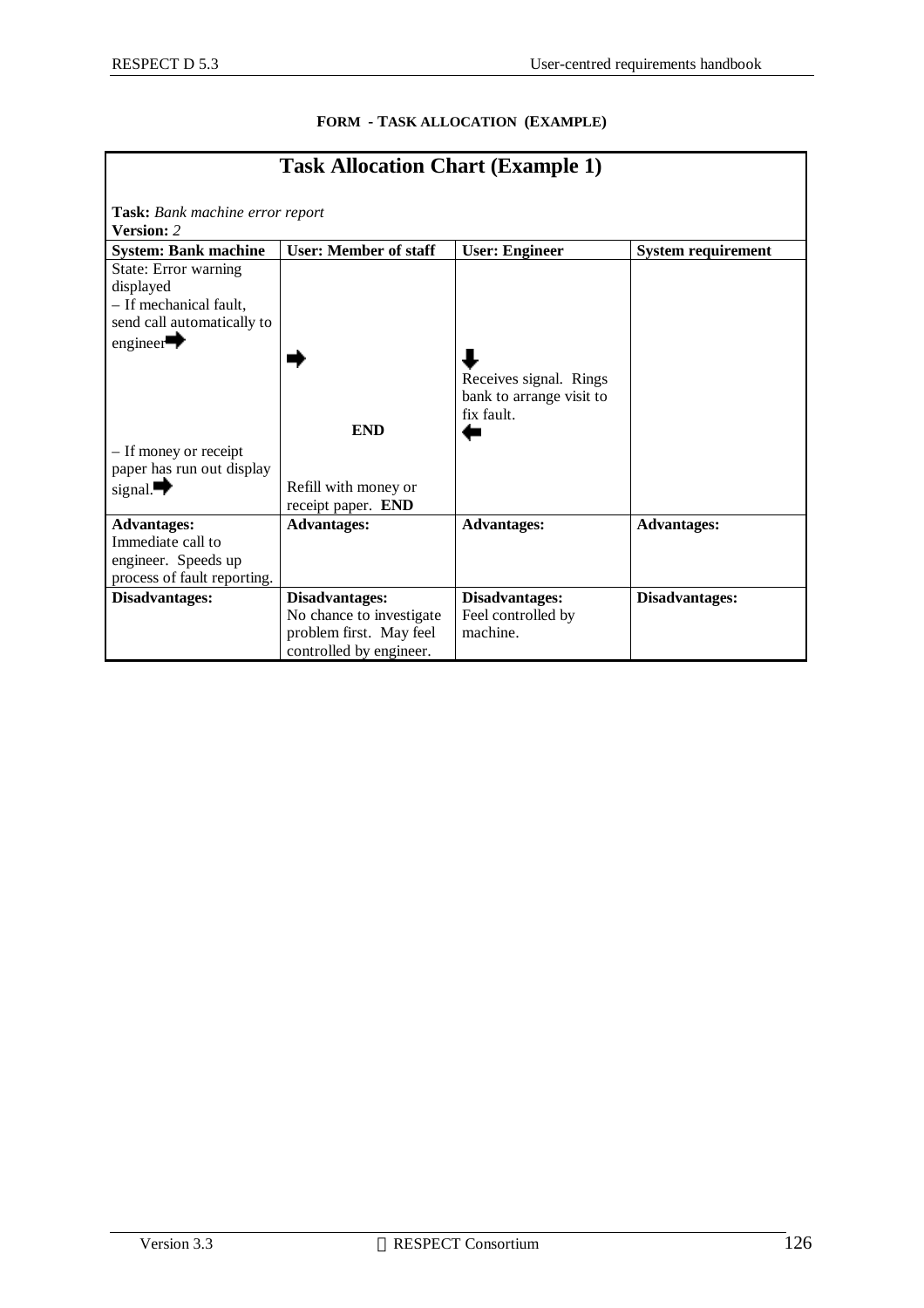| <b>Task Allocation Chart (Example 1)</b>                                                                            |                                                                                                  |                                                                  |                    |  |  |  |  |  |
|---------------------------------------------------------------------------------------------------------------------|--------------------------------------------------------------------------------------------------|------------------------------------------------------------------|--------------------|--|--|--|--|--|
| Task: Bank machine error report<br><b>Version: 2</b>                                                                |                                                                                                  |                                                                  |                    |  |  |  |  |  |
| <b>User: Member of staff</b><br><b>System: Bank machine</b><br><b>User: Engineer</b><br><b>System requirement</b>   |                                                                                                  |                                                                  |                    |  |  |  |  |  |
| State: Error warning<br>displayed<br>- If mechanical fault,<br>send call automatically to<br>engineer $\rightarrow$ |                                                                                                  |                                                                  |                    |  |  |  |  |  |
|                                                                                                                     | <b>END</b>                                                                                       | Receives signal. Rings<br>bank to arrange visit to<br>fix fault. |                    |  |  |  |  |  |
| - If money or receipt<br>paper has run out display<br>signal. $\rightarrow$                                         | Refill with money or<br>receipt paper. END                                                       |                                                                  |                    |  |  |  |  |  |
| <b>Advantages:</b><br>Immediate call to<br>engineer. Speeds up<br>process of fault reporting.                       | <b>Advantages:</b>                                                                               | <b>Advantages:</b>                                               | <b>Advantages:</b> |  |  |  |  |  |
| Disadvantages:                                                                                                      | Disadvantages:<br>No chance to investigate<br>problem first. May feel<br>controlled by engineer. | Disadvantages:<br>Feel controlled by<br>machine.                 | Disadvantages:     |  |  |  |  |  |

#### **FORM - TASK ALLOCATION (EXAMPLE)**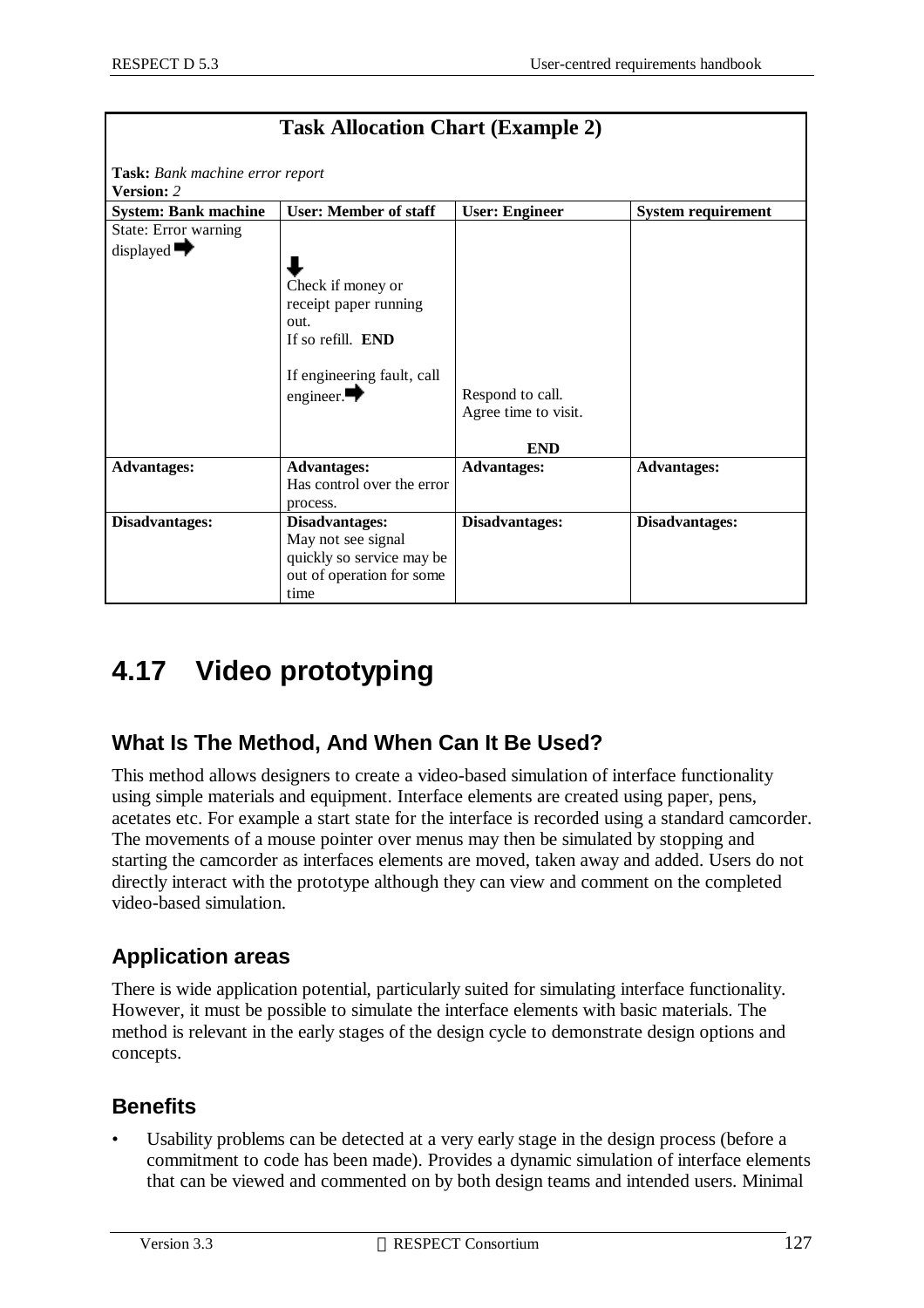| <b>Task Allocation Chart (Example 2)</b>             |                                                                                                                                          |                                                        |                           |  |
|------------------------------------------------------|------------------------------------------------------------------------------------------------------------------------------------------|--------------------------------------------------------|---------------------------|--|
| Task: Bank machine error report<br><b>Version: 2</b> |                                                                                                                                          |                                                        |                           |  |
| <b>System: Bank machine</b>                          | <b>User: Member of staff</b>                                                                                                             | <b>User: Engineer</b>                                  | <b>System requirement</b> |  |
| State: Error warning<br>displayed $\rightarrow$      | Check if money or<br>receipt paper running<br>out.<br>If so refill. <b>END</b><br>If engineering fault, call<br>engineer. $\blacksquare$ | Respond to call.<br>Agree time to visit.<br><b>END</b> |                           |  |
| <b>Advantages:</b>                                   | <b>Advantages:</b><br>Has control over the error<br>process.                                                                             | <b>Advantages:</b>                                     | <b>Advantages:</b>        |  |
| Disadvantages:                                       | Disadvantages:<br>May not see signal<br>quickly so service may be<br>out of operation for some<br>time                                   | Disadvantages:                                         | Disadvantages:            |  |

## **4.17 Video prototyping**

## **What Is The Method, And When Can It Be Used?**

This method allows designers to create a video-based simulation of interface functionality using simple materials and equipment. Interface elements are created using paper, pens, acetates etc. For example a start state for the interface is recorded using a standard camcorder. The movements of a mouse pointer over menus may then be simulated by stopping and starting the camcorder as interfaces elements are moved, taken away and added. Users do not directly interact with the prototype although they can view and comment on the completed video-based simulation.

## **Application areas**

There is wide application potential, particularly suited for simulating interface functionality. However, it must be possible to simulate the interface elements with basic materials. The method is relevant in the early stages of the design cycle to demonstrate design options and concepts.

## **Benefits**

Usability problems can be detected at a very early stage in the design process (before a commitment to code has been made). Provides a dynamic simulation of interface elements that can be viewed and commented on by both design teams and intended users. Minimal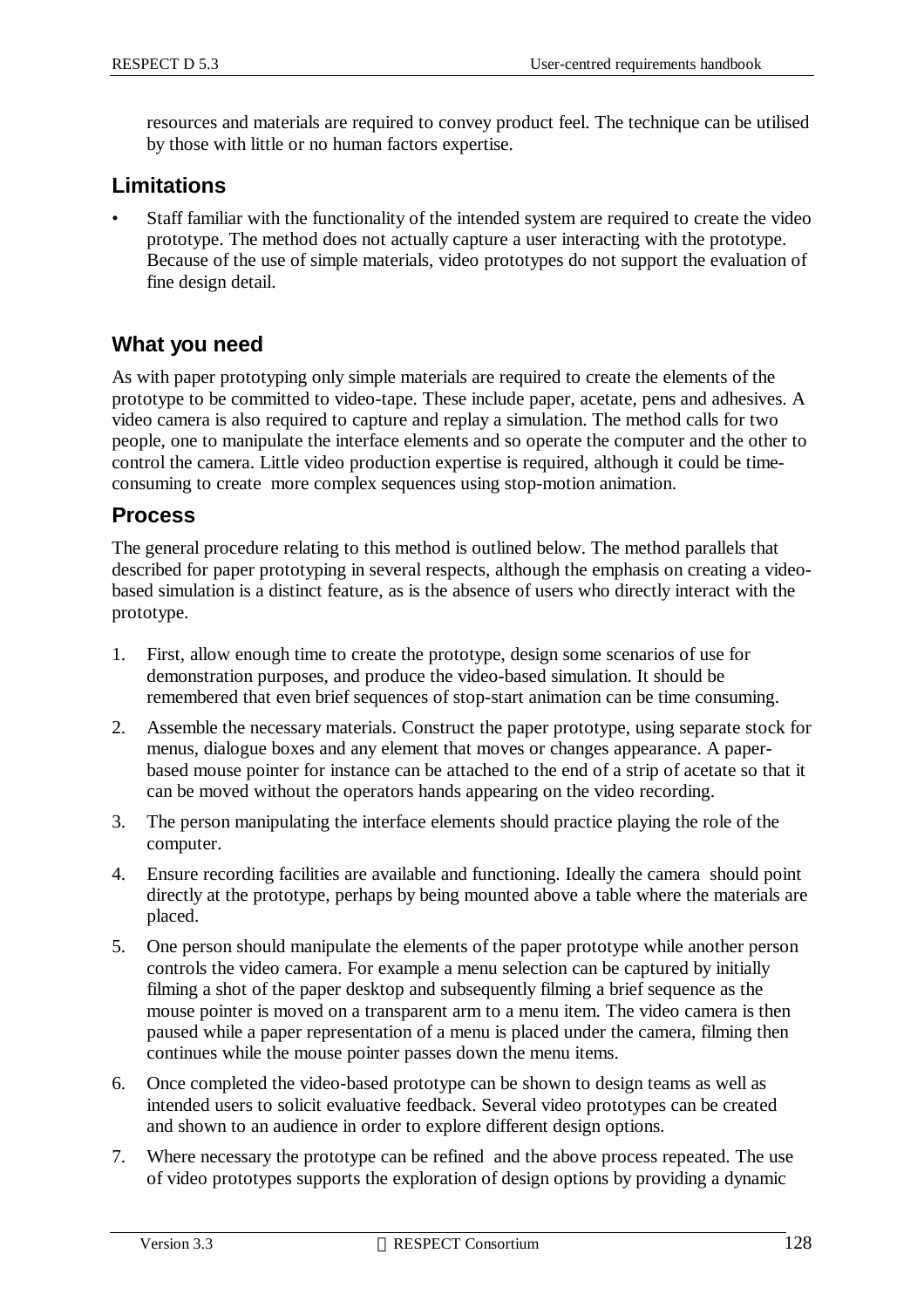resources and materials are required to convey product feel. The technique can be utilised by those with little or no human factors expertise.

#### **Limitations**

• Staff familiar with the functionality of the intended system are required to create the video prototype. The method does not actually capture a user interacting with the prototype. Because of the use of simple materials, video prototypes do not support the evaluation of fine design detail.

### **What you need**

As with paper prototyping only simple materials are required to create the elements of the prototype to be committed to video-tape. These include paper, acetate, pens and adhesives. A video camera is also required to capture and replay a simulation. The method calls for two people, one to manipulate the interface elements and so operate the computer and the other to control the camera. Little video production expertise is required, although it could be timeconsuming to create more complex sequences using stop-motion animation.

### **Process**

The general procedure relating to this method is outlined below. The method parallels that described for paper prototyping in several respects, although the emphasis on creating a videobased simulation is a distinct feature, as is the absence of users who directly interact with the prototype.

- 1. First, allow enough time to create the prototype, design some scenarios of use for demonstration purposes, and produce the video-based simulation. It should be remembered that even brief sequences of stop-start animation can be time consuming.
- 2. Assemble the necessary materials. Construct the paper prototype, using separate stock for menus, dialogue boxes and any element that moves or changes appearance. A paperbased mouse pointer for instance can be attached to the end of a strip of acetate so that it can be moved without the operators hands appearing on the video recording.
- 3. The person manipulating the interface elements should practice playing the role of the computer.
- 4. Ensure recording facilities are available and functioning. Ideally the camera should point directly at the prototype, perhaps by being mounted above a table where the materials are placed.
- 5. One person should manipulate the elements of the paper prototype while another person controls the video camera. For example a menu selection can be captured by initially filming a shot of the paper desktop and subsequently filming a brief sequence as the mouse pointer is moved on a transparent arm to a menu item. The video camera is then paused while a paper representation of a menu is placed under the camera, filming then continues while the mouse pointer passes down the menu items.
- 6. Once completed the video-based prototype can be shown to design teams as well as intended users to solicit evaluative feedback. Several video prototypes can be created and shown to an audience in order to explore different design options.
- 7. Where necessary the prototype can be refined and the above process repeated. The use of video prototypes supports the exploration of design options by providing a dynamic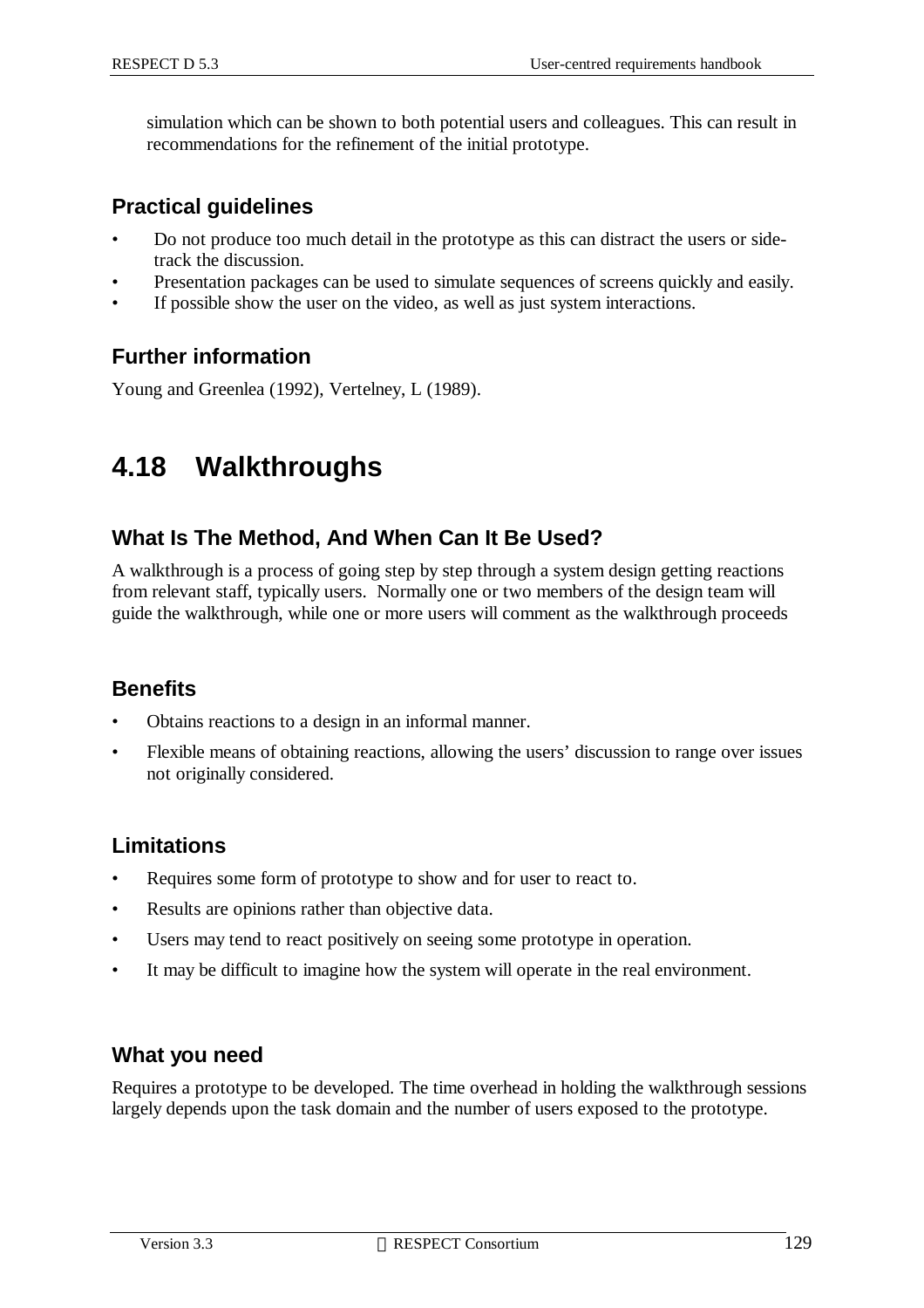simulation which can be shown to both potential users and colleagues. This can result in recommendations for the refinement of the initial prototype.

### **Practical guidelines**

- Do not produce too much detail in the prototype as this can distract the users or sidetrack the discussion.
- Presentation packages can be used to simulate sequences of screens quickly and easily.
- If possible show the user on the video, as well as just system interactions.

### **Further information**

Young and Greenlea (1992), Vertelney, L (1989).

## **4.18 Walkthroughs**

### **What Is The Method, And When Can It Be Used?**

A walkthrough is a process of going step by step through a system design getting reactions from relevant staff, typically users. Normally one or two members of the design team will guide the walkthrough, while one or more users will comment as the walkthrough proceeds

### **Benefits**

- Obtains reactions to a design in an informal manner.
- Flexible means of obtaining reactions, allowing the users' discussion to range over issues not originally considered.

### **Limitations**

- Requires some form of prototype to show and for user to react to.
- Results are opinions rather than objective data.
- Users may tend to react positively on seeing some prototype in operation.
- It may be difficult to imagine how the system will operate in the real environment.

### **What you need**

Requires a prototype to be developed. The time overhead in holding the walkthrough sessions largely depends upon the task domain and the number of users exposed to the prototype.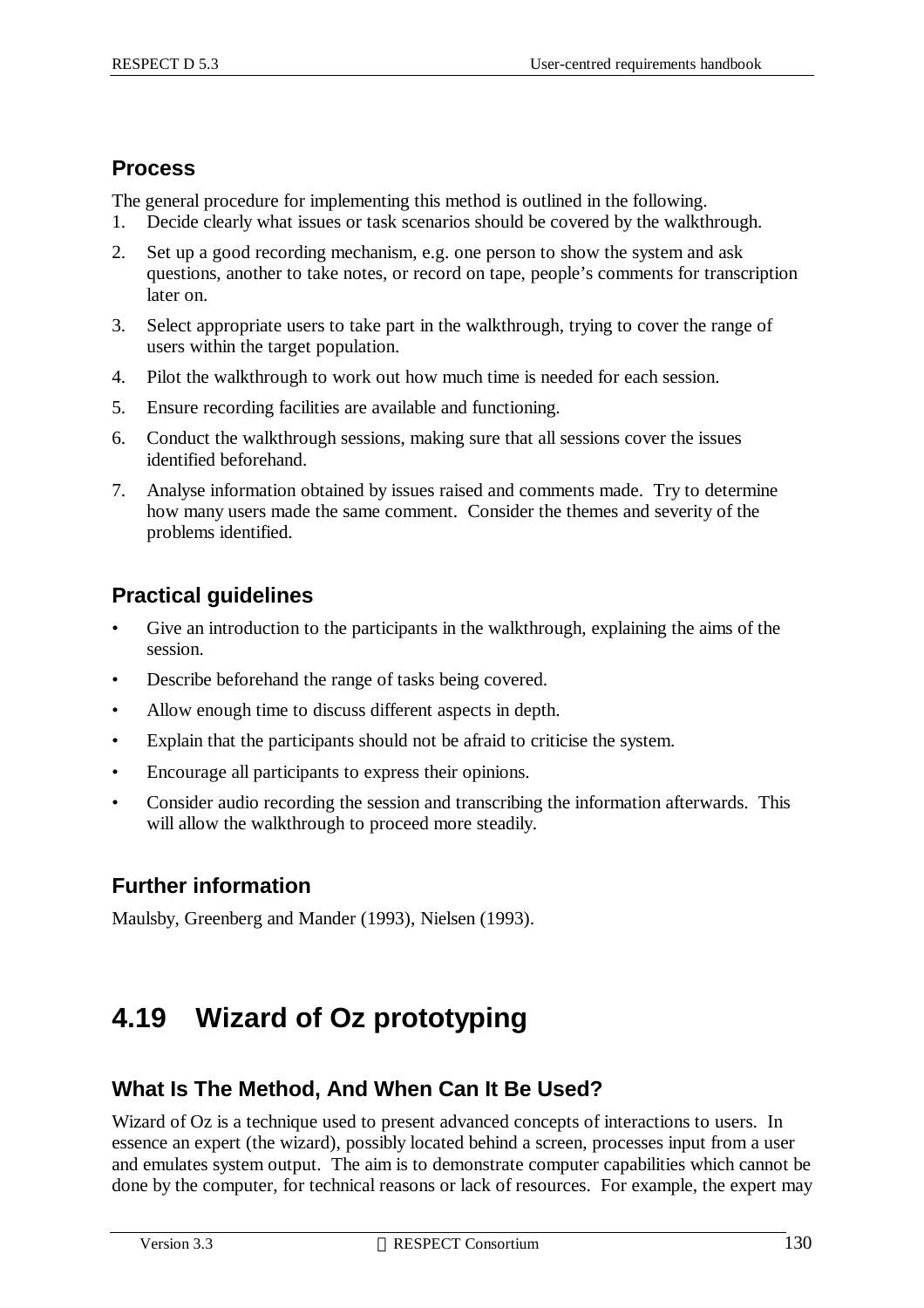### **Process**

The general procedure for implementing this method is outlined in the following.

- 1. Decide clearly what issues or task scenarios should be covered by the walkthrough.
- 2. Set up a good recording mechanism, e.g. one person to show the system and ask questions, another to take notes, or record on tape, people's comments for transcription later on.
- 3. Select appropriate users to take part in the walkthrough, trying to cover the range of users within the target population.
- 4. Pilot the walkthrough to work out how much time is needed for each session.
- 5. Ensure recording facilities are available and functioning.
- 6. Conduct the walkthrough sessions, making sure that all sessions cover the issues identified beforehand.
- 7. Analyse information obtained by issues raised and comments made. Try to determine how many users made the same comment. Consider the themes and severity of the problems identified.

## **Practical guidelines**

- Give an introduction to the participants in the walkthrough, explaining the aims of the session.
- Describe beforehand the range of tasks being covered.
- Allow enough time to discuss different aspects in depth.
- Explain that the participants should not be afraid to criticise the system.
- Encourage all participants to express their opinions.
- Consider audio recording the session and transcribing the information afterwards. This will allow the walkthrough to proceed more steadily.

## **Further information**

Maulsby, Greenberg and Mander (1993), Nielsen (1993).

## **4.19 Wizard of Oz prototyping**

## **What Is The Method, And When Can It Be Used?**

Wizard of Oz is a technique used to present advanced concepts of interactions to users. In essence an expert (the wizard), possibly located behind a screen, processes input from a user and emulates system output. The aim is to demonstrate computer capabilities which cannot be done by the computer, for technical reasons or lack of resources. For example, the expert may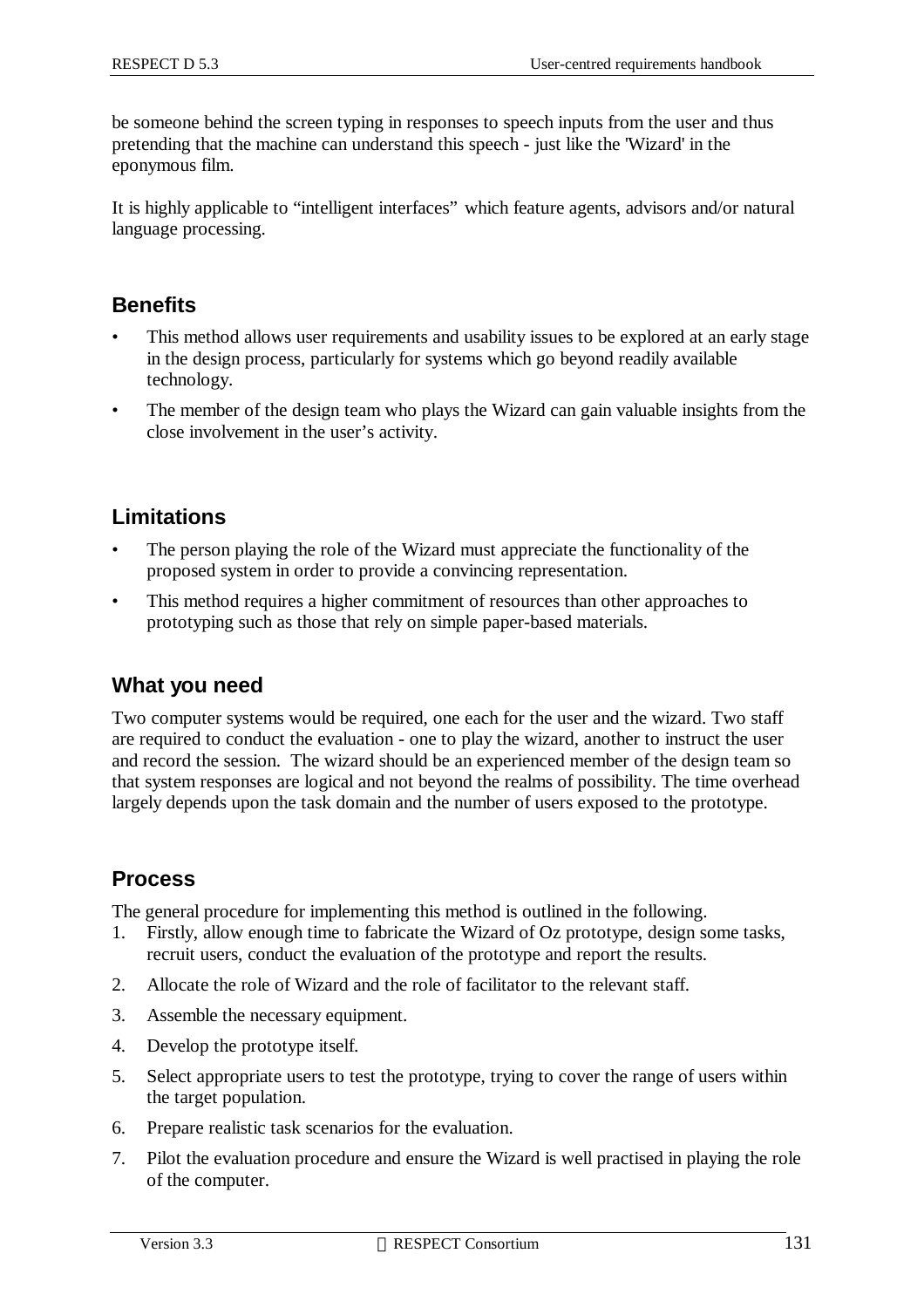be someone behind the screen typing in responses to speech inputs from the user and thus pretending that the machine can understand this speech - just like the 'Wizard' in the eponymous film.

It is highly applicable to "intelligent interfaces" which feature agents, advisors and/or natural language processing.

### **Benefits**

- This method allows user requirements and usability issues to be explored at an early stage in the design process, particularly for systems which go beyond readily available technology.
- The member of the design team who plays the Wizard can gain valuable insights from the close involvement in the user's activity.

### **Limitations**

- The person playing the role of the Wizard must appreciate the functionality of the proposed system in order to provide a convincing representation.
- This method requires a higher commitment of resources than other approaches to prototyping such as those that rely on simple paper-based materials.

### **What you need**

Two computer systems would be required, one each for the user and the wizard. Two staff are required to conduct the evaluation - one to play the wizard, another to instruct the user and record the session. The wizard should be an experienced member of the design team so that system responses are logical and not beyond the realms of possibility. The time overhead largely depends upon the task domain and the number of users exposed to the prototype.

### **Process**

The general procedure for implementing this method is outlined in the following.

- 1. Firstly, allow enough time to fabricate the Wizard of Oz prototype, design some tasks, recruit users, conduct the evaluation of the prototype and report the results.
- 2. Allocate the role of Wizard and the role of facilitator to the relevant staff.
- 3. Assemble the necessary equipment.
- 4. Develop the prototype itself.
- 5. Select appropriate users to test the prototype, trying to cover the range of users within the target population.
- 6. Prepare realistic task scenarios for the evaluation.
- 7. Pilot the evaluation procedure and ensure the Wizard is well practised in playing the role of the computer.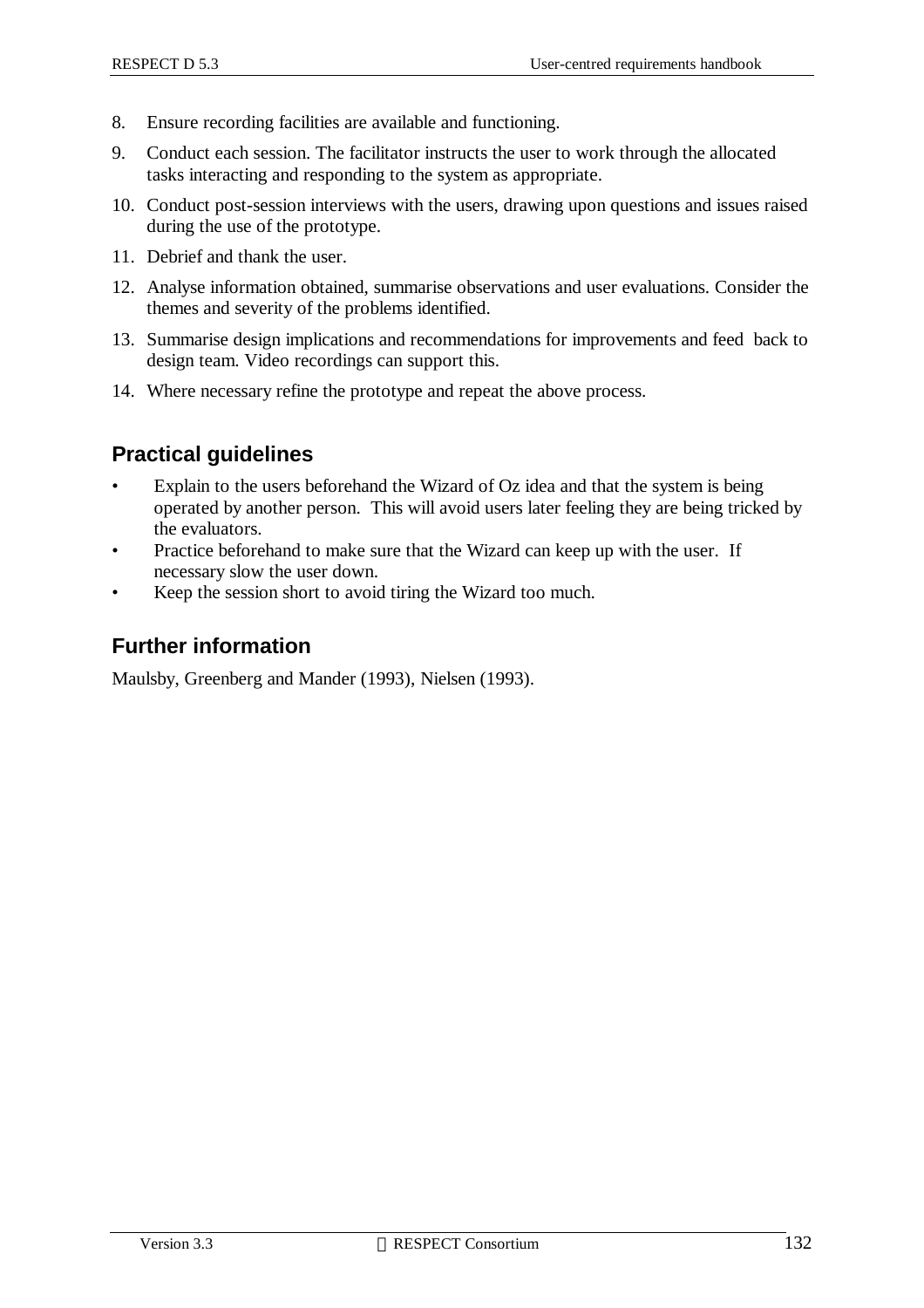- 8. Ensure recording facilities are available and functioning.
- 9. Conduct each session. The facilitator instructs the user to work through the allocated tasks interacting and responding to the system as appropriate.
- 10. Conduct post-session interviews with the users, drawing upon questions and issues raised during the use of the prototype.
- 11. Debrief and thank the user.
- 12. Analyse information obtained, summarise observations and user evaluations. Consider the themes and severity of the problems identified.
- 13. Summarise design implications and recommendations for improvements and feed back to design team. Video recordings can support this.
- 14. Where necessary refine the prototype and repeat the above process.

## **Practical guidelines**

- Explain to the users beforehand the Wizard of Oz idea and that the system is being operated by another person. This will avoid users later feeling they are being tricked by the evaluators.
- Practice beforehand to make sure that the Wizard can keep up with the user. If necessary slow the user down.
- Keep the session short to avoid tiring the Wizard too much.

## **Further information**

Maulsby, Greenberg and Mander (1993), Nielsen (1993).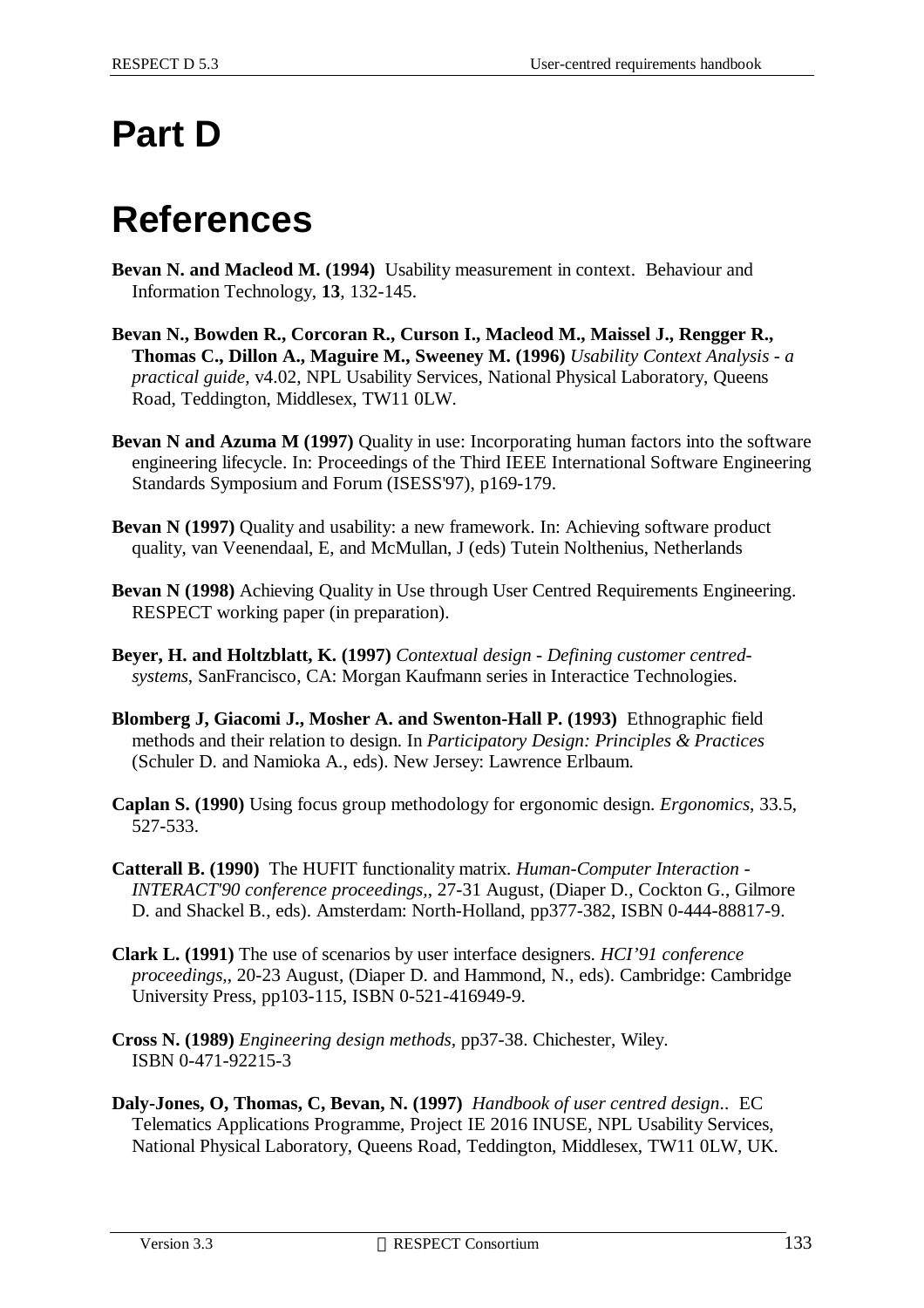# **Part D**

# **References**

- **Bevan N. and Macleod M. (1994)** Usability measurement in context. Behaviour and Information Technology, **13**, 132-145.
- **Bevan N., Bowden R., Corcoran R., Curson I., Macleod M., Maissel J., Rengger R., Thomas C., Dillon A., Maguire M., Sweeney M. (1996)** *Usability Context Analysis - a practical guide*, v4.02, NPL Usability Services, National Physical Laboratory, Queens Road, Teddington, Middlesex, TW11 0LW.
- **Bevan N and Azuma M (1997)** Quality in use: Incorporating human factors into the software engineering lifecycle. In: Proceedings of the Third IEEE International Software Engineering Standards Symposium and Forum (ISESS'97), p169-179.
- **Bevan N (1997)** Quality and usability: a new framework. In: Achieving software product quality, van Veenendaal, E, and McMullan, J (eds) Tutein Nolthenius, Netherlands
- **Bevan N (1998)** Achieving Quality in Use through User Centred Requirements Engineering. RESPECT working paper (in preparation).
- **Beyer, H. and Holtzblatt, K. (1997)** *Contextual design Defining customer centredsystems*, SanFrancisco, CA: Morgan Kaufmann series in Interactice Technologies.
- **Blomberg J, Giacomi J., Mosher A. and Swenton-Hall P. (1993)** Ethnographic field methods and their relation to design. In *Participatory Design: Principles & Practices* (Schuler D. and Namioka A., eds). New Jersey: Lawrence Erlbaum.
- **Caplan S. (1990)** Using focus group methodology for ergonomic design. *Ergonomics*, 33.5, 527-533.
- **Catterall B. (1990)** The HUFIT functionality matrix. *Human-Computer Interaction - INTERACT'90 conference proceedings,*, 27-31 August, (Diaper D., Cockton G., Gilmore D. and Shackel B., eds). Amsterdam: North-Holland, pp377-382, ISBN 0-444-88817-9.
- **Clark L. (1991)** The use of scenarios by user interface designers. *HCI'91 conference proceedings,*, 20-23 August, (Diaper D. and Hammond, N., eds). Cambridge: Cambridge University Press, pp103-115, ISBN 0-521-416949-9.
- **Cross N. (1989)** *Engineering design methods,* pp37-38. Chichester, Wiley. ISBN 0-471-92215-3
- **Daly-Jones, O, Thomas, C, Bevan, N. (1997)** *Handbook of user centred design*.. EC Telematics Applications Programme, Project IE 2016 INUSE, NPL Usability Services, National Physical Laboratory, Queens Road, Teddington, Middlesex, TW11 0LW, UK.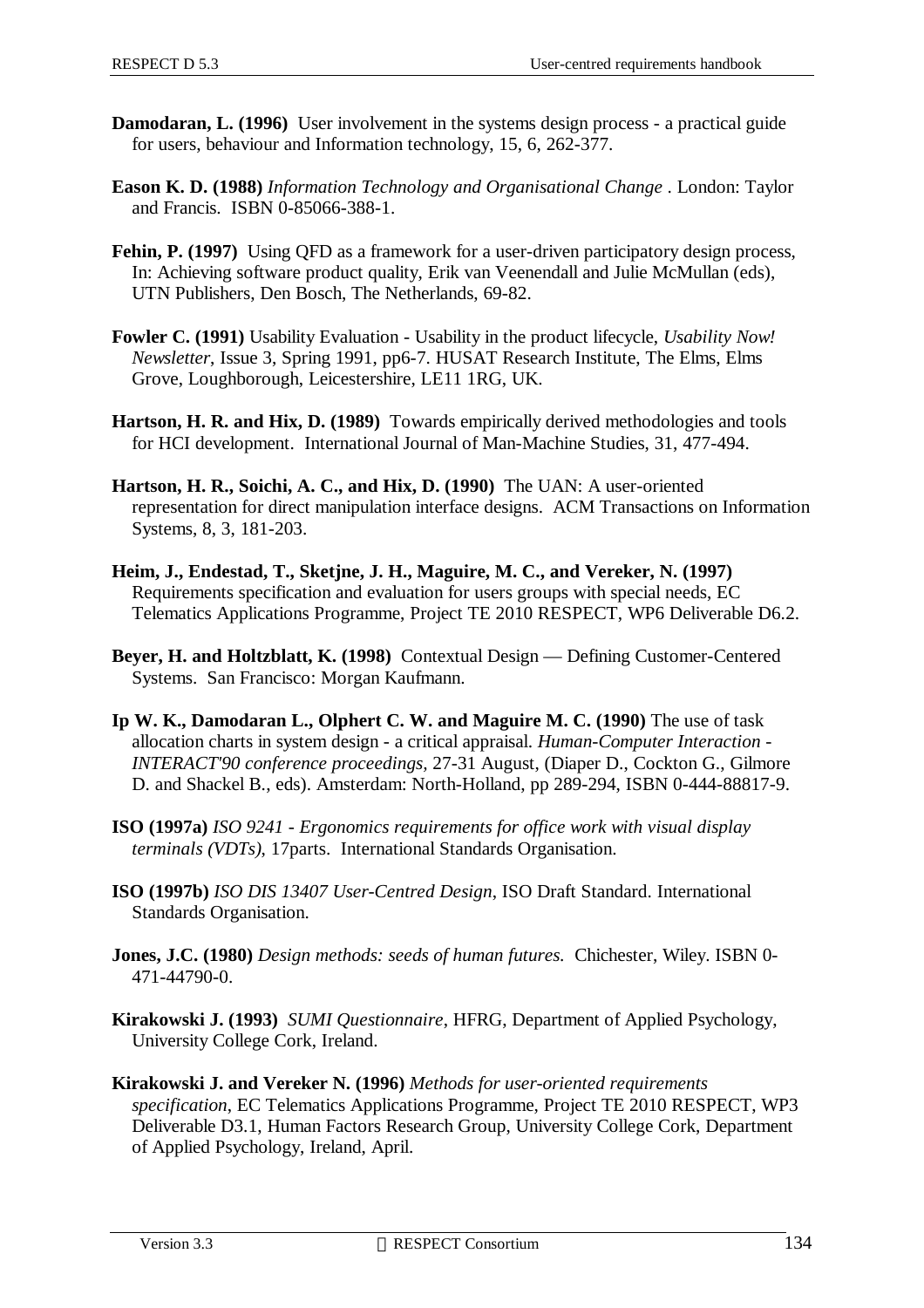- **Damodaran, L. (1996)** User involvement in the systems design process a practical guide for users, behaviour and Information technology, 15, 6, 262-377.
- **Eason K. D. (1988)** *Information Technology and Organisational Change* . London: Taylor and Francis. ISBN 0-85066-388-1.
- **Fehin, P. (1997)** Using QFD as a framework for a user-driven participatory design process, In: Achieving software product quality, Erik van Veenendall and Julie McMullan (eds), UTN Publishers, Den Bosch, The Netherlands, 69-82.
- **Fowler C. (1991)** Usability Evaluation Usability in the product lifecycle, *Usability Now! Newsletter*, Issue 3, Spring 1991, pp6-7. HUSAT Research Institute, The Elms, Elms Grove, Loughborough, Leicestershire, LE11 1RG, UK.
- **Hartson, H. R. and Hix, D. (1989)** Towards empirically derived methodologies and tools for HCI development. International Journal of Man-Machine Studies, 31, 477-494.
- **Hartson, H. R., Soichi, A. C., and Hix, D. (1990)** The UAN: A user-oriented representation for direct manipulation interface designs. ACM Transactions on Information Systems, 8, 3, 181-203.
- **Heim, J., Endestad, T., Sketjne, J. H., Maguire, M. C., and Vereker, N. (1997)** Requirements specification and evaluation for users groups with special needs, EC Telematics Applications Programme, Project TE 2010 RESPECT, WP6 Deliverable D6.2.
- **Beyer, H. and Holtzblatt, K. (1998)** Contextual Design Defining Customer-Centered Systems. San Francisco: Morgan Kaufmann.
- **Ip W. K., Damodaran L., Olphert C. W. and Maguire M. C. (1990)** The use of task allocation charts in system design - a critical appraisal. *Human-Computer Interaction - INTERACT'90 conference proceedings,* 27-31 August, (Diaper D., Cockton G., Gilmore D. and Shackel B., eds). Amsterdam: North-Holland, pp 289-294, ISBN 0-444-88817-9.
- **ISO (1997a)** *ISO 9241 Ergonomics requirements for office work with visual display terminals (VDTs)*, 17parts. International Standards Organisation.
- **ISO (1997b)** *ISO DIS 13407 User-Centred Design*, ISO Draft Standard. International Standards Organisation.
- **Jones, J.C. (1980)** *Design methods: seeds of human futures.* Chichester, Wiley. ISBN 0- 471-44790-0.
- **Kirakowski J. (1993)** *SUMI Questionnaire*, HFRG, Department of Applied Psychology, University College Cork, Ireland.
- **Kirakowski J. and Vereker N. (1996)** *Methods for user-oriented requirements specification*, EC Telematics Applications Programme, Project TE 2010 RESPECT, WP3 Deliverable D3.1, Human Factors Research Group, University College Cork, Department of Applied Psychology, Ireland, April.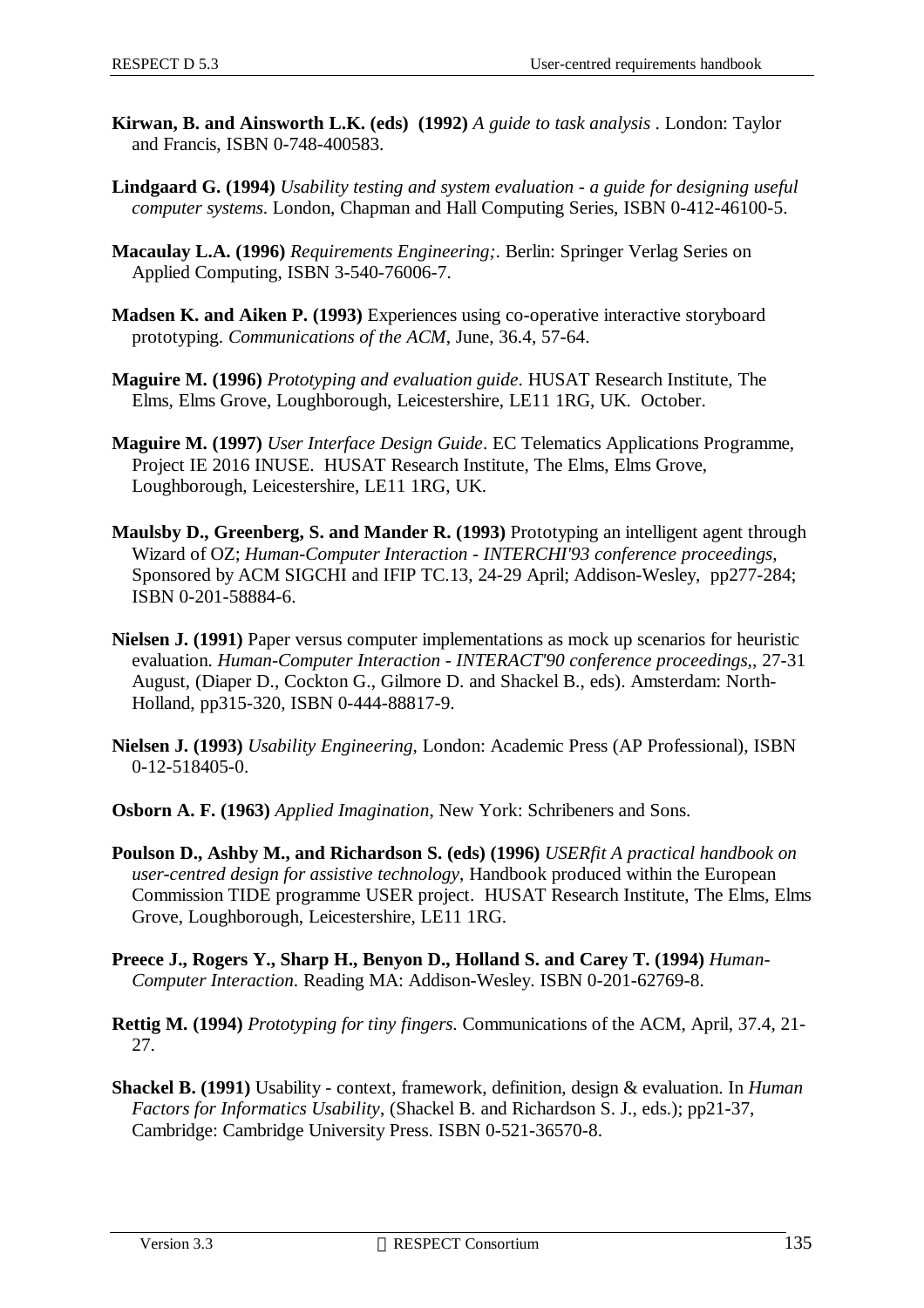- **Kirwan, B. and Ainsworth L.K. (eds) (1992)** *A guide to task analysis* . London: Taylor and Francis, ISBN 0-748-400583.
- **Lindgaard G. (1994)** *Usability testing and system evaluation a guide for designing useful computer systems*. London, Chapman and Hall Computing Series, ISBN 0-412-46100-5.
- **Macaulay L.A. (1996)** *Requirements Engineering;*. Berlin: Springer Verlag Series on Applied Computing, ISBN 3-540-76006-7.
- **Madsen K. and Aiken P. (1993)** Experiences using co-operative interactive storyboard prototyping. *Communications of the ACM*, June, 36.4, 57-64.
- **Maguire M. (1996)** *Prototyping and evaluation guide*. HUSAT Research Institute, The Elms, Elms Grove, Loughborough, Leicestershire, LE11 1RG, UK. October.
- **Maguire M. (1997)** *User Interface Design Guide*. EC Telematics Applications Programme, Project IE 2016 INUSE. HUSAT Research Institute, The Elms, Elms Grove, Loughborough, Leicestershire, LE11 1RG, UK.
- **Maulsby D., Greenberg, S. and Mander R. (1993)** Prototyping an intelligent agent through Wizard of OZ; *Human-Computer Interaction - INTERCHI'93 conference proceedings*, Sponsored by ACM SIGCHI and IFIP TC.13, 24-29 April; Addison-Wesley, pp277-284; ISBN 0-201-58884-6.
- **Nielsen J. (1991)** Paper versus computer implementations as mock up scenarios for heuristic evaluation. *Human-Computer Interaction - INTERACT'90 conference proceedings,*, 27-31 August, (Diaper D., Cockton G., Gilmore D. and Shackel B., eds). Amsterdam: North-Holland, pp315-320, ISBN 0-444-88817-9.
- **Nielsen J. (1993)** *Usability Engineering*, London: Academic Press (AP Professional), ISBN 0-12-518405-0.
- **Osborn A. F. (1963)** *Applied Imagination*, New York: Schribeners and Sons.
- **Poulson D., Ashby M., and Richardson S. (eds) (1996)** *USERfit A practical handbook on user-centred design for assistive technology*, Handbook produced within the European Commission TIDE programme USER project. HUSAT Research Institute, The Elms, Elms Grove, Loughborough, Leicestershire, LE11 1RG.
- **Preece J., Rogers Y., Sharp H., Benyon D., Holland S. and Carey T. (1994)** *Human-Computer Interaction*. Reading MA: Addison-Wesley. ISBN 0-201-62769-8.
- **Rettig M. (1994)** *Prototyping for tiny fingers*. Communications of the ACM, April, 37.4, 21- 27.
- **Shackel B. (1991)** Usability context, framework, definition, design & evaluation. In *Human Factors for Informatics Usability*, (Shackel B. and Richardson S. J., eds.); pp21-37, Cambridge: Cambridge University Press. ISBN 0-521-36570-8.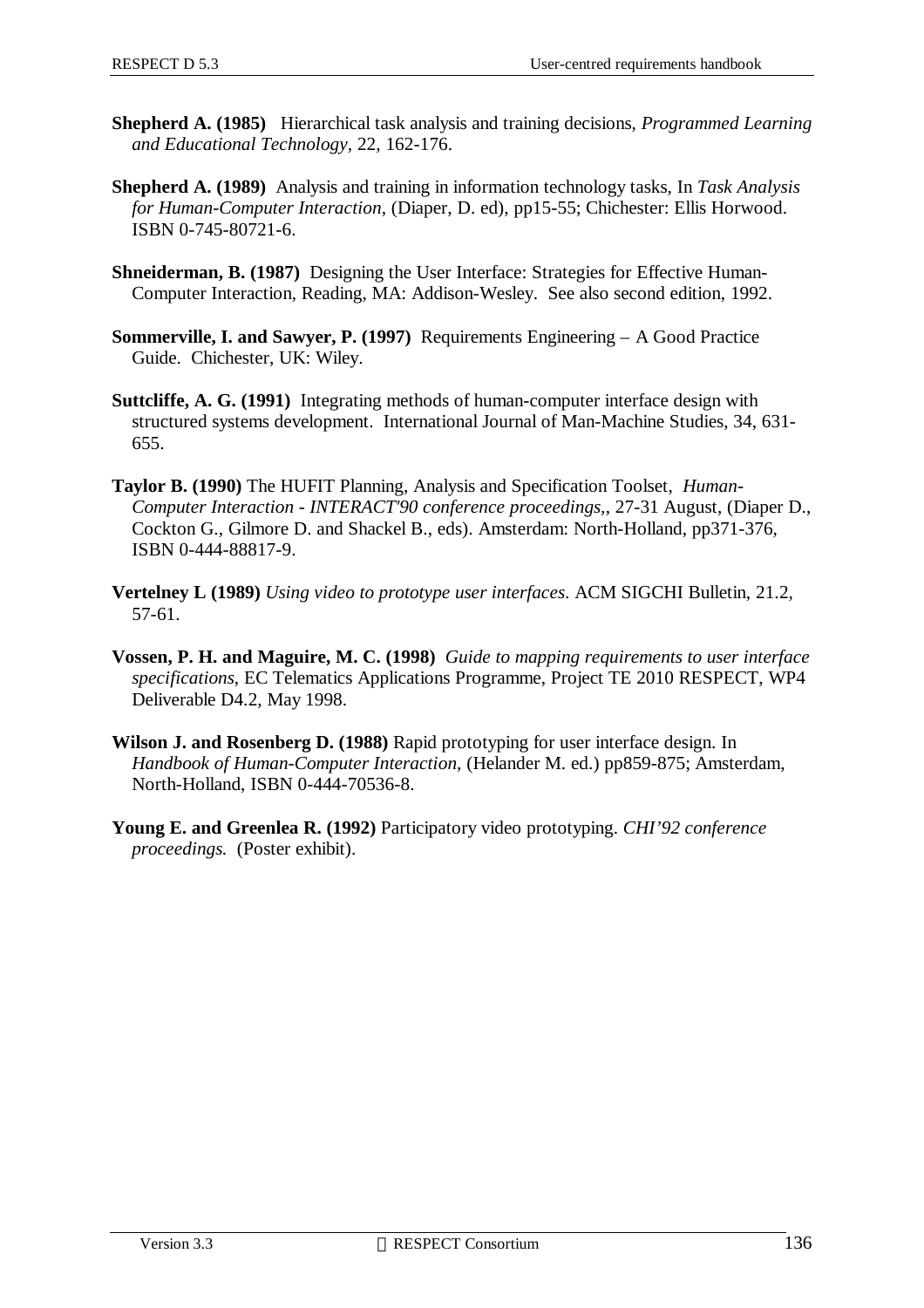- **Shepherd A. (1985)** Hierarchical task analysis and training decisions, *Programmed Learning and Educational Technology,* 22, 162-176.
- **Shepherd A. (1989)** Analysis and training in information technology tasks, In *Task Analysis for Human-Computer Interaction*, (Diaper, D. ed), pp15-55; Chichester: Ellis Horwood. ISBN 0-745-80721-6.
- **Shneiderman, B. (1987)** Designing the User Interface: Strategies for Effective Human-Computer Interaction, Reading, MA: Addison-Wesley. See also second edition, 1992.
- **Sommerville, I. and Sawyer, P. (1997)** Requirements Engineering A Good Practice Guide. Chichester, UK: Wiley.
- **Suttcliffe, A. G. (1991)** Integrating methods of human-computer interface design with structured systems development. International Journal of Man-Machine Studies, 34, 631- 655.
- **Taylor B. (1990)** The HUFIT Planning, Analysis and Specification Toolset, *Human-Computer Interaction - INTERACT'90 conference proceedings,*, 27-31 August, (Diaper D., Cockton G., Gilmore D. and Shackel B., eds). Amsterdam: North-Holland, pp371-376, ISBN 0-444-88817-9.
- **Vertelney L (1989)** *Using video to prototype user interfaces*. ACM SIGCHI Bulletin, 21.2, 57-61.
- **Vossen, P. H. and Maguire, M. C. (1998)** *Guide to mapping requirements to user interface specifications*, EC Telematics Applications Programme, Project TE 2010 RESPECT, WP4 Deliverable D4.2, May 1998.
- **Wilson J. and Rosenberg D. (1988)** Rapid prototyping for user interface design. In *Handbook of Human-Computer Interaction*, (Helander M. ed.) pp859-875; Amsterdam, North-Holland, ISBN 0-444-70536-8.
- **Young E. and Greenlea R. (1992)** Participatory video prototyping. *CHI'92 conference proceedings.* (Poster exhibit).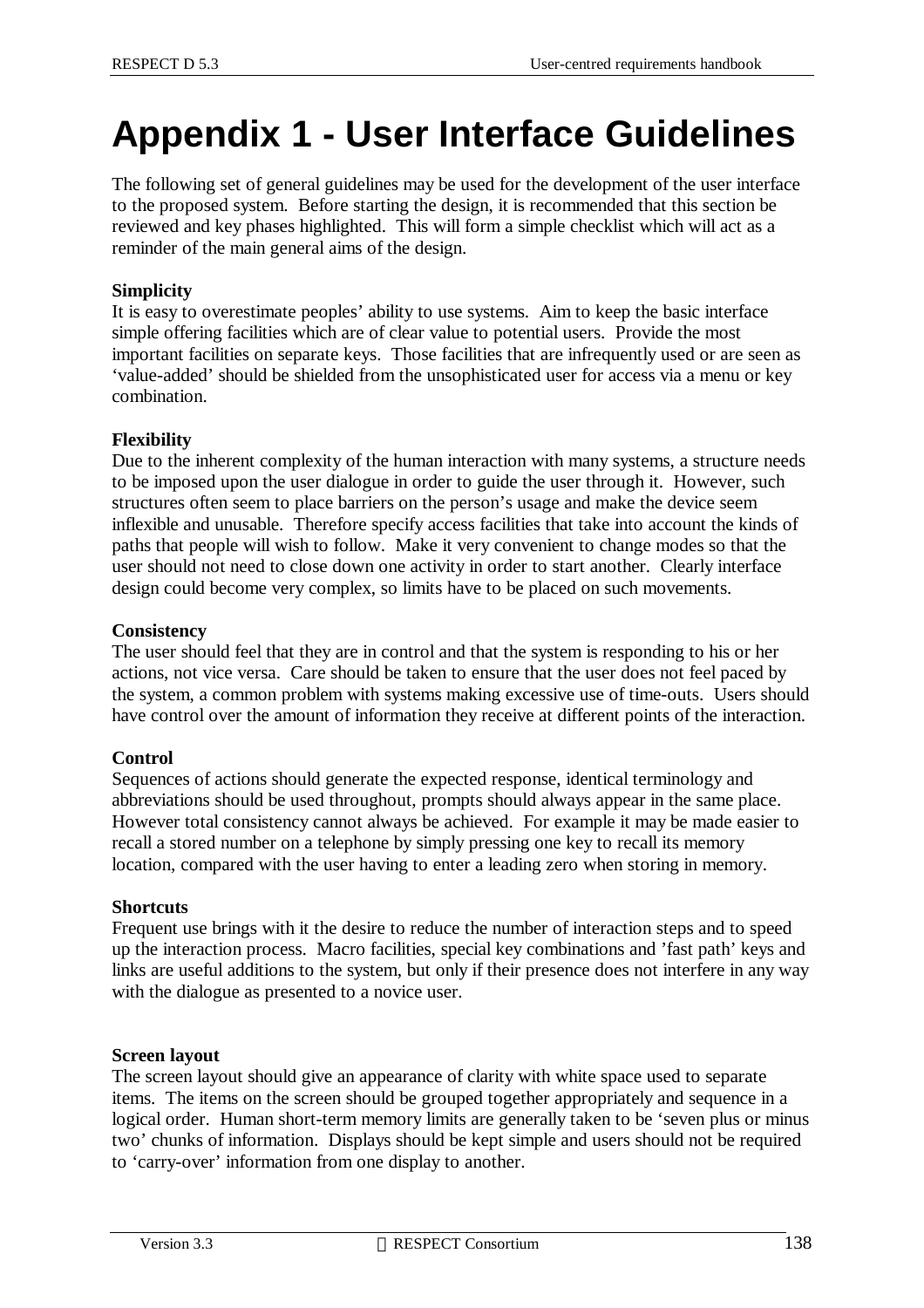# **Appendix 1 - User Interface Guidelines**

The following set of general guidelines may be used for the development of the user interface to the proposed system. Before starting the design, it is recommended that this section be reviewed and key phases highlighted. This will form a simple checklist which will act as a reminder of the main general aims of the design.

#### **Simplicity**

It is easy to overestimate peoples' ability to use systems. Aim to keep the basic interface simple offering facilities which are of clear value to potential users. Provide the most important facilities on separate keys. Those facilities that are infrequently used or are seen as 'value-added' should be shielded from the unsophisticated user for access via a menu or key combination.

#### **Flexibility**

Due to the inherent complexity of the human interaction with many systems, a structure needs to be imposed upon the user dialogue in order to guide the user through it. However, such structures often seem to place barriers on the person's usage and make the device seem inflexible and unusable. Therefore specify access facilities that take into account the kinds of paths that people will wish to follow. Make it very convenient to change modes so that the user should not need to close down one activity in order to start another. Clearly interface design could become very complex, so limits have to be placed on such movements.

#### **Consistency**

The user should feel that they are in control and that the system is responding to his or her actions, not vice versa. Care should be taken to ensure that the user does not feel paced by the system, a common problem with systems making excessive use of time-outs. Users should have control over the amount of information they receive at different points of the interaction.

#### **Control**

Sequences of actions should generate the expected response, identical terminology and abbreviations should be used throughout, prompts should always appear in the same place. However total consistency cannot always be achieved. For example it may be made easier to recall a stored number on a telephone by simply pressing one key to recall its memory location, compared with the user having to enter a leading zero when storing in memory.

#### **Shortcuts**

Frequent use brings with it the desire to reduce the number of interaction steps and to speed up the interaction process. Macro facilities, special key combinations and 'fast path' keys and links are useful additions to the system, but only if their presence does not interfere in any way with the dialogue as presented to a novice user.

#### **Screen layout**

The screen layout should give an appearance of clarity with white space used to separate items. The items on the screen should be grouped together appropriately and sequence in a logical order. Human short-term memory limits are generally taken to be 'seven plus or minus two' chunks of information. Displays should be kept simple and users should not be required to 'carry-over' information from one display to another.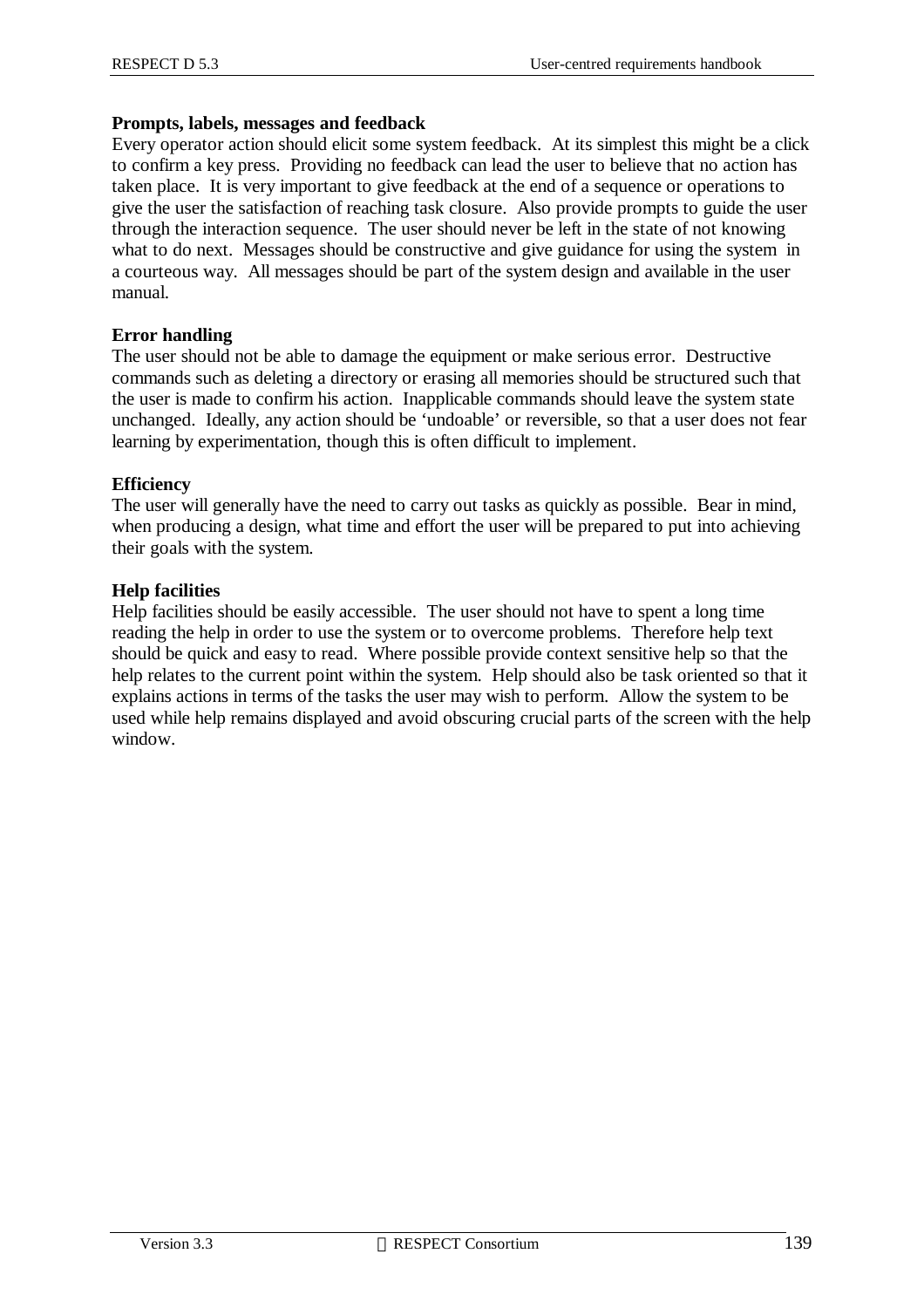#### **Prompts, labels, messages and feedback**

Every operator action should elicit some system feedback. At its simplest this might be a click to confirm a key press. Providing no feedback can lead the user to believe that no action has taken place. It is very important to give feedback at the end of a sequence or operations to give the user the satisfaction of reaching task closure. Also provide prompts to guide the user through the interaction sequence. The user should never be left in the state of not knowing what to do next. Messages should be constructive and give guidance for using the system in a courteous way. All messages should be part of the system design and available in the user manual.

#### **Error handling**

The user should not be able to damage the equipment or make serious error. Destructive commands such as deleting a directory or erasing all memories should be structured such that the user is made to confirm his action. Inapplicable commands should leave the system state unchanged. Ideally, any action should be 'undoable' or reversible, so that a user does not fear learning by experimentation, though this is often difficult to implement.

#### **Efficiency**

The user will generally have the need to carry out tasks as quickly as possible. Bear in mind, when producing a design, what time and effort the user will be prepared to put into achieving their goals with the system.

#### **Help facilities**

Help facilities should be easily accessible. The user should not have to spent a long time reading the help in order to use the system or to overcome problems. Therefore help text should be quick and easy to read. Where possible provide context sensitive help so that the help relates to the current point within the system. Help should also be task oriented so that it explains actions in terms of the tasks the user may wish to perform. Allow the system to be used while help remains displayed and avoid obscuring crucial parts of the screen with the help window.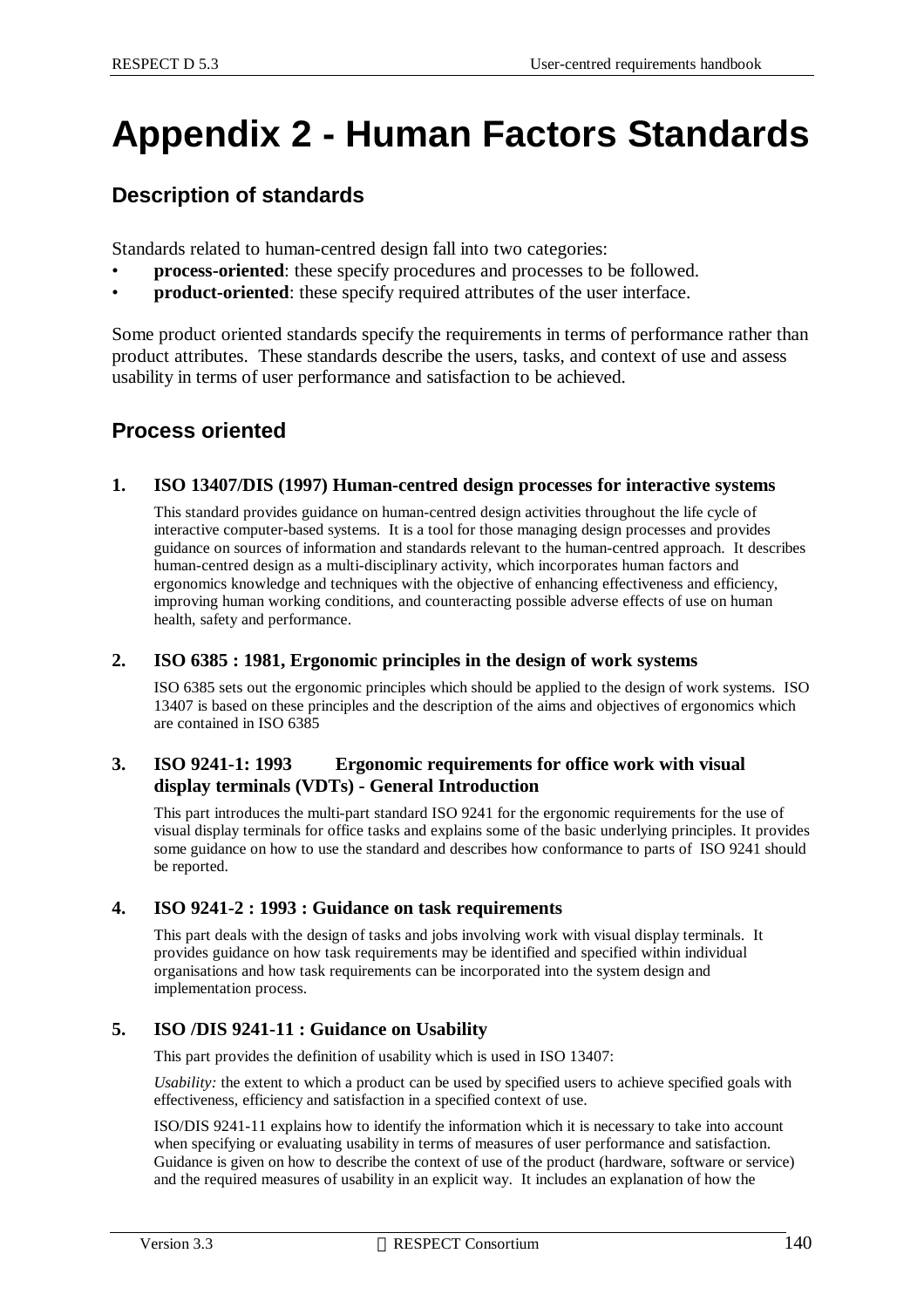# **Appendix 2 - Human Factors Standards**

## **Description of standards**

Standards related to human-centred design fall into two categories:

- **process-oriented**: these specify procedures and processes to be followed.
- **product-oriented**: these specify required attributes of the user interface.

Some product oriented standards specify the requirements in terms of performance rather than product attributes. These standards describe the users, tasks, and context of use and assess usability in terms of user performance and satisfaction to be achieved.

### **Process oriented**

#### **1. ISO 13407/DIS (1997) Human-centred design processes for interactive systems**

This standard provides guidance on human-centred design activities throughout the life cycle of interactive computer-based systems. It is a tool for those managing design processes and provides guidance on sources of information and standards relevant to the human-centred approach. It describes human-centred design as a multi-disciplinary activity, which incorporates human factors and ergonomics knowledge and techniques with the objective of enhancing effectiveness and efficiency, improving human working conditions, and counteracting possible adverse effects of use on human health, safety and performance.

#### **2. ISO 6385 : 1981, Ergonomic principles in the design of work systems**

ISO 6385 sets out the ergonomic principles which should be applied to the design of work systems. ISO 13407 is based on these principles and the description of the aims and objectives of ergonomics which are contained in ISO 6385

#### **3. ISO 9241-1: 1993 Ergonomic requirements for office work with visual display terminals (VDTs) - General Introduction**

This part introduces the multi-part standard ISO 9241 for the ergonomic requirements for the use of visual display terminals for office tasks and explains some of the basic underlying principles. It provides some guidance on how to use the standard and describes how conformance to parts of ISO 9241 should be reported.

#### **4. ISO 9241-2 : 1993 : Guidance on task requirements**

This part deals with the design of tasks and jobs involving work with visual display terminals. It provides guidance on how task requirements may be identified and specified within individual organisations and how task requirements can be incorporated into the system design and implementation process.

#### **5. ISO /DIS 9241-11 : Guidance on Usability**

This part provides the definition of usability which is used in ISO 13407:

*Usability:* the extent to which a product can be used by specified users to achieve specified goals with effectiveness, efficiency and satisfaction in a specified context of use.

ISO/DIS 9241-11 explains how to identify the information which it is necessary to take into account when specifying or evaluating usability in terms of measures of user performance and satisfaction. Guidance is given on how to describe the context of use of the product (hardware, software or service) and the required measures of usability in an explicit way. It includes an explanation of how the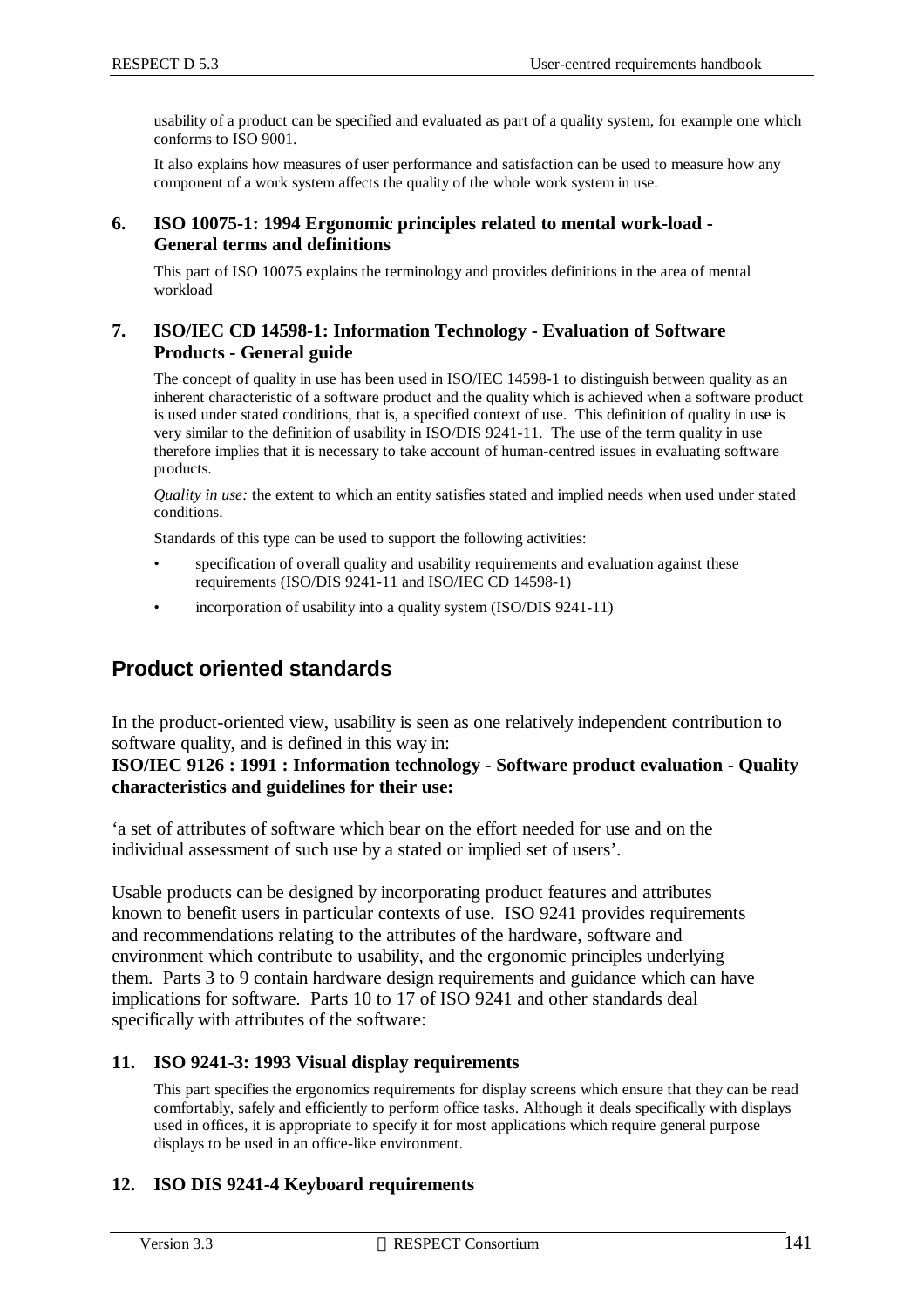usability of a product can be specified and evaluated as part of a quality system, for example one which conforms to ISO 9001.

It also explains how measures of user performance and satisfaction can be used to measure how any component of a work system affects the quality of the whole work system in use.

#### **6. ISO 10075-1: 1994 Ergonomic principles related to mental work-load - General terms and definitions**

This part of ISO 10075 explains the terminology and provides definitions in the area of mental workload

#### **7. ISO/IEC CD 14598-1: Information Technology - Evaluation of Software Products - General guide**

The concept of quality in use has been used in ISO/IEC 14598-1 to distinguish between quality as an inherent characteristic of a software product and the quality which is achieved when a software product is used under stated conditions, that is, a specified context of use. This definition of quality in use is very similar to the definition of usability in ISO/DIS 9241-11. The use of the term quality in use therefore implies that it is necessary to take account of human-centred issues in evaluating software products.

*Quality in use:* the extent to which an entity satisfies stated and implied needs when used under stated conditions.

Standards of this type can be used to support the following activities:

- specification of overall quality and usability requirements and evaluation against these requirements (ISO/DIS 9241-11 and ISO/IEC CD 14598-1)
- incorporation of usability into a quality system (ISO/DIS 9241-11)

### **Product oriented standards**

In the product-oriented view, usability is seen as one relatively independent contribution to software quality, and is defined in this way in:

#### **ISO/IEC 9126 : 1991 : Information technology - Software product evaluation - Quality characteristics and guidelines for their use:**

'a set of attributes of software which bear on the effort needed for use and on the individual assessment of such use by a stated or implied set of users'.

Usable products can be designed by incorporating product features and attributes known to benefit users in particular contexts of use. ISO 9241 provides requirements and recommendations relating to the attributes of the hardware, software and environment which contribute to usability, and the ergonomic principles underlying them. Parts 3 to 9 contain hardware design requirements and guidance which can have implications for software. Parts 10 to 17 of ISO 9241 and other standards deal specifically with attributes of the software:

#### **11. ISO 9241-3: 1993 Visual display requirements**

This part specifies the ergonomics requirements for display screens which ensure that they can be read comfortably, safely and efficiently to perform office tasks. Although it deals specifically with displays used in offices, it is appropriate to specify it for most applications which require general purpose displays to be used in an office-like environment.

#### **12. ISO DIS 9241-4 Keyboard requirements**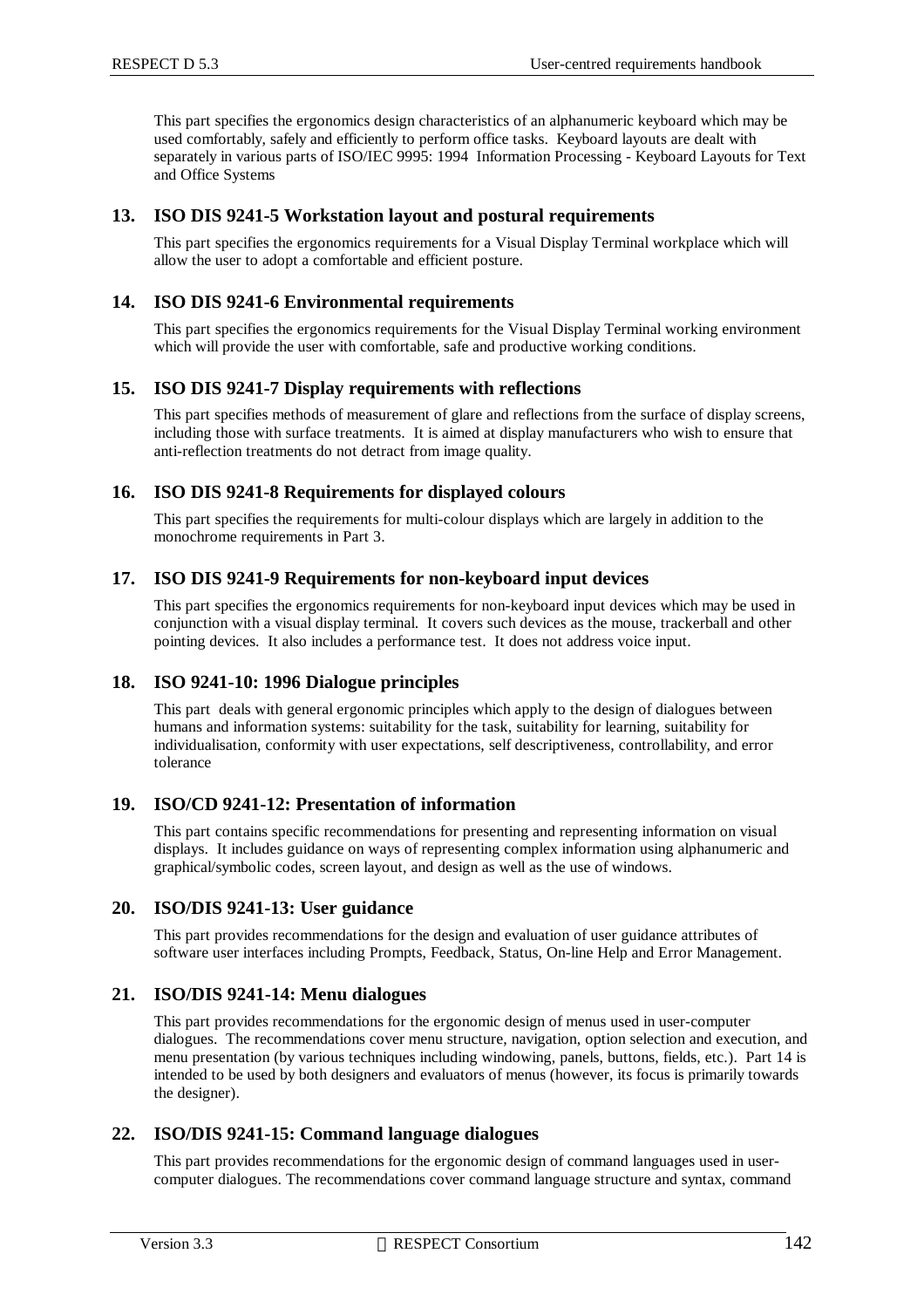This part specifies the ergonomics design characteristics of an alphanumeric keyboard which may be used comfortably, safely and efficiently to perform office tasks. Keyboard layouts are dealt with separately in various parts of ISO/IEC 9995: 1994 Information Processing - Keyboard Layouts for Text and Office Systems

#### **13. ISO DIS 9241-5 Workstation layout and postural requirements**

This part specifies the ergonomics requirements for a Visual Display Terminal workplace which will allow the user to adopt a comfortable and efficient posture.

#### **14. ISO DIS 9241-6 Environmental requirements**

This part specifies the ergonomics requirements for the Visual Display Terminal working environment which will provide the user with comfortable, safe and productive working conditions.

#### **15. ISO DIS 9241-7 Display requirements with reflections**

This part specifies methods of measurement of glare and reflections from the surface of display screens, including those with surface treatments. It is aimed at display manufacturers who wish to ensure that anti-reflection treatments do not detract from image quality.

#### **16. ISO DIS 9241-8 Requirements for displayed colours**

This part specifies the requirements for multi-colour displays which are largely in addition to the monochrome requirements in Part 3.

#### **17. ISO DIS 9241-9 Requirements for non-keyboard input devices**

This part specifies the ergonomics requirements for non-keyboard input devices which may be used in conjunction with a visual display terminal. It covers such devices as the mouse, trackerball and other pointing devices. It also includes a performance test. It does not address voice input.

#### **18. ISO 9241-10: 1996 Dialogue principles**

This part deals with general ergonomic principles which apply to the design of dialogues between humans and information systems: suitability for the task, suitability for learning, suitability for individualisation, conformity with user expectations, self descriptiveness, controllability, and error tolerance

#### **19. ISO/CD 9241-12: Presentation of information**

This part contains specific recommendations for presenting and representing information on visual displays. It includes guidance on ways of representing complex information using alphanumeric and graphical/symbolic codes, screen layout, and design as well as the use of windows.

#### **20. ISO/DIS 9241-13: User guidance**

This part provides recommendations for the design and evaluation of user guidance attributes of software user interfaces including Prompts, Feedback, Status, On-line Help and Error Management.

#### **21. ISO/DIS 9241-14: Menu dialogues**

This part provides recommendations for the ergonomic design of menus used in user-computer dialogues. The recommendations cover menu structure, navigation, option selection and execution, and menu presentation (by various techniques including windowing, panels, buttons, fields, etc.). Part 14 is intended to be used by both designers and evaluators of menus (however, its focus is primarily towards the designer).

#### **22. ISO/DIS 9241-15: Command language dialogues**

This part provides recommendations for the ergonomic design of command languages used in usercomputer dialogues. The recommendations cover command language structure and syntax, command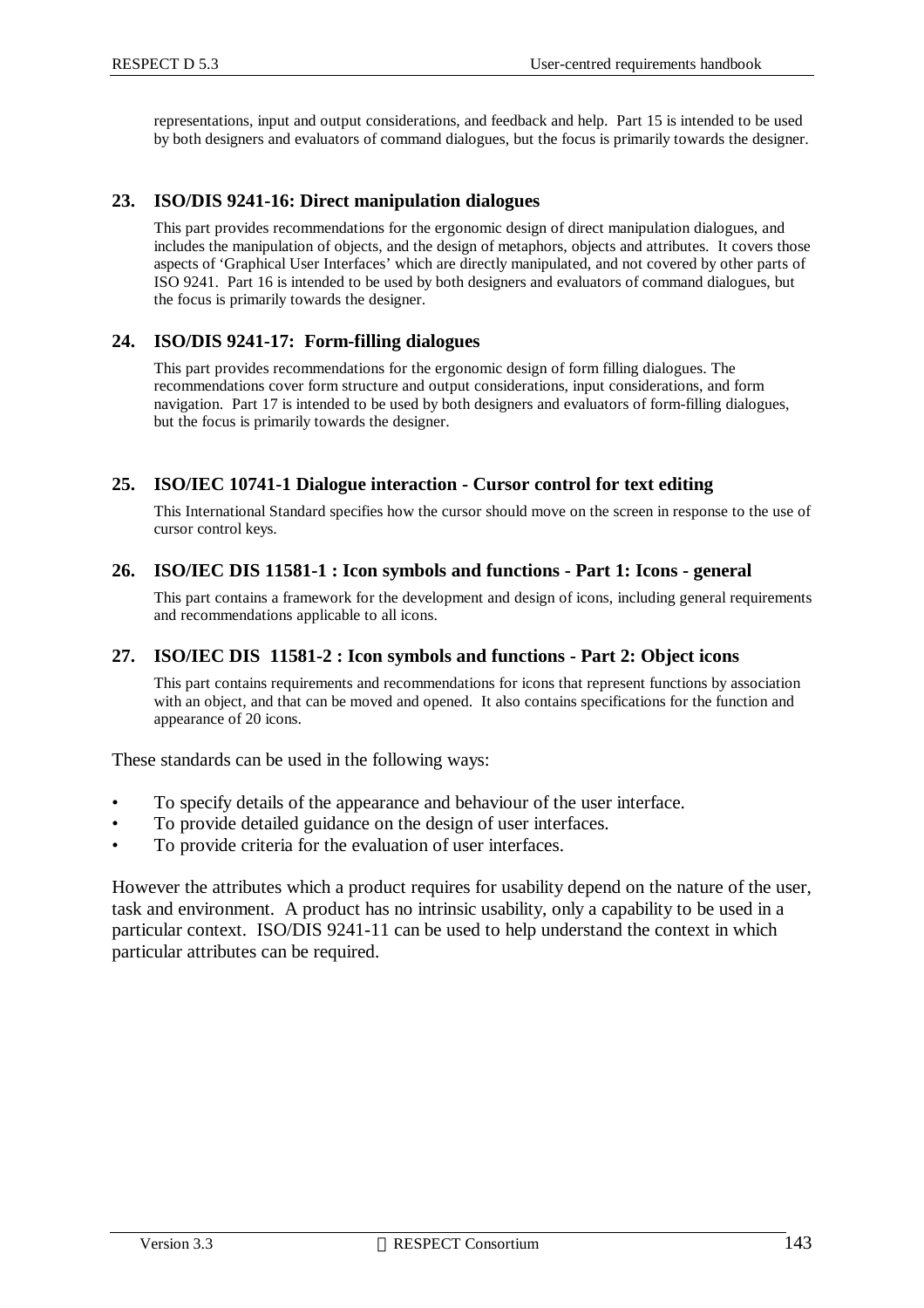representations, input and output considerations, and feedback and help. Part 15 is intended to be used by both designers and evaluators of command dialogues, but the focus is primarily towards the designer.

#### **23. ISO/DIS 9241-16: Direct manipulation dialogues**

This part provides recommendations for the ergonomic design of direct manipulation dialogues, and includes the manipulation of objects, and the design of metaphors, objects and attributes. It covers those aspects of 'Graphical User Interfaces' which are directly manipulated, and not covered by other parts of ISO 9241. Part 16 is intended to be used by both designers and evaluators of command dialogues, but the focus is primarily towards the designer.

#### **24. ISO/DIS 9241-17: Form-filling dialogues**

This part provides recommendations for the ergonomic design of form filling dialogues. The recommendations cover form structure and output considerations, input considerations, and form navigation. Part 17 is intended to be used by both designers and evaluators of form-filling dialogues, but the focus is primarily towards the designer.

#### **25. ISO/IEC 10741-1 Dialogue interaction - Cursor control for text editing**

This International Standard specifies how the cursor should move on the screen in response to the use of cursor control keys.

#### **26. ISO/IEC DIS 11581-1 : Icon symbols and functions - Part 1: Icons - general**

This part contains a framework for the development and design of icons, including general requirements and recommendations applicable to all icons.

#### **27. ISO/IEC DIS 11581-2 : Icon symbols and functions - Part 2: Object icons**

This part contains requirements and recommendations for icons that represent functions by association with an object, and that can be moved and opened. It also contains specifications for the function and appearance of 20 icons.

These standards can be used in the following ways:

- To specify details of the appearance and behaviour of the user interface.
- To provide detailed guidance on the design of user interfaces.
- To provide criteria for the evaluation of user interfaces.

However the attributes which a product requires for usability depend on the nature of the user, task and environment. A product has no intrinsic usability, only a capability to be used in a particular context. ISO/DIS 9241-11 can be used to help understand the context in which particular attributes can be required.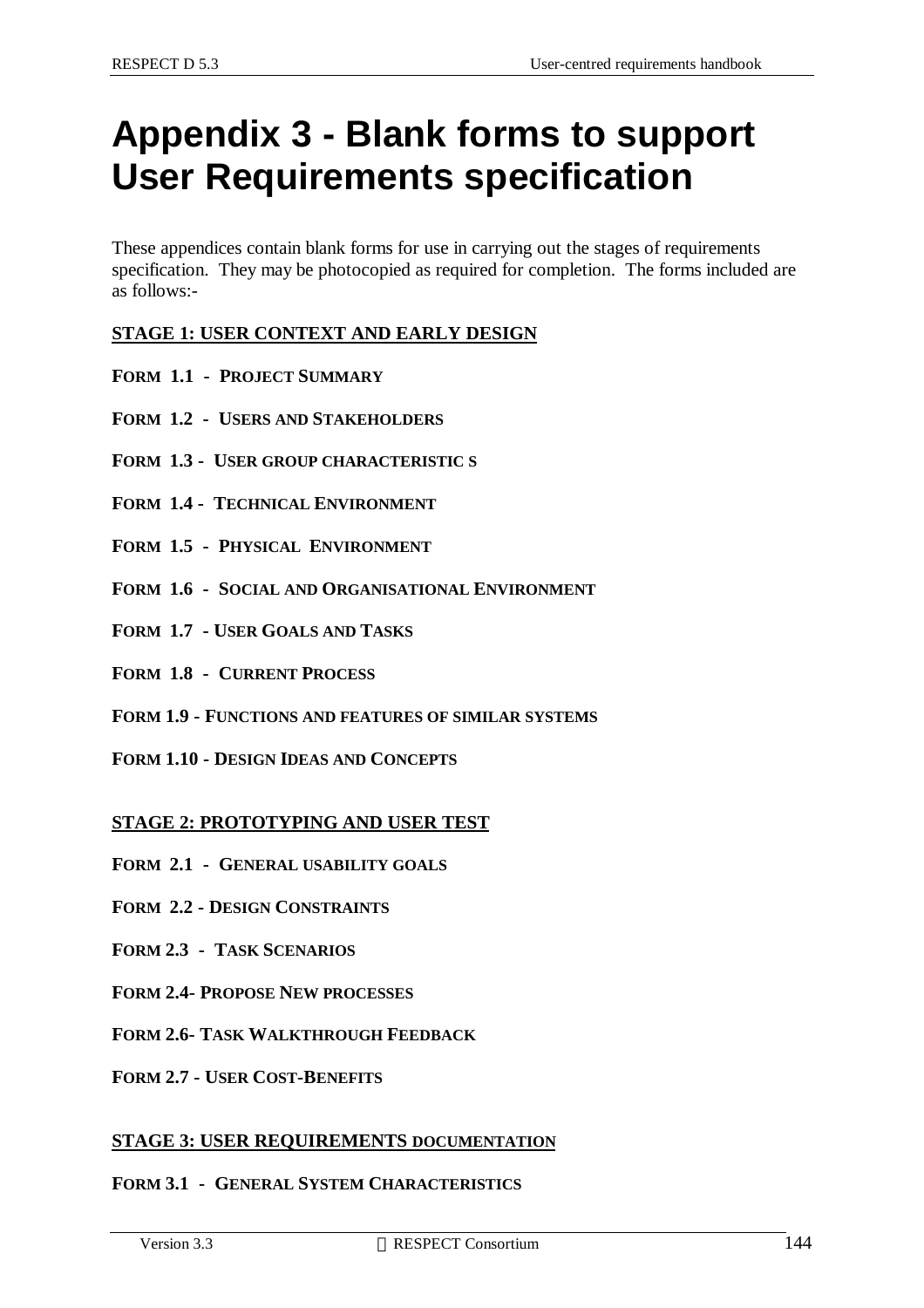# **Appendix 3 - Blank forms to support User Requirements specification**

These appendices contain blank forms for use in carrying out the stages of requirements specification. They may be photocopied as required for completion. The forms included are as follows:-

#### **STAGE 1: USER CONTEXT AND EARLY DESIGN**

- **FORM 1.1 PROJECT SUMMARY**
- **FORM 1.2 USERS AND STAKEHOLDERS**
- **FORM 1.3 USER GROUP CHARACTERISTIC S**
- **FORM 1.4 TECHNICAL ENVIRONMENT**
- **FORM 1.5 PHYSICAL ENVIRONMENT**
- **FORM 1.6 SOCIAL AND ORGANISATIONAL ENVIRONMENT**
- **FORM 1.7 USER GOALS AND TASKS**
- **FORM 1.8 CURRENT PROCESS**
- **FORM 1.9 FUNCTIONS AND FEATURES OF SIMILAR SYSTEMS**
- **FORM 1.10 DESIGN IDEAS AND CONCEPTS**

#### **STAGE 2: PROTOTYPING AND USER TEST**

- **FORM 2.1 GENERAL USABILITY GOALS**
- **FORM 2.2 DESIGN CONSTRAINTS**
- **FORM 2.3 TASK SCENARIOS**
- **FORM 2.4- PROPOSE NEW PROCESSES**
- **FORM 2.6- TASK WALKTHROUGH FEEDBACK**
- **FORM 2.7 USER COST-BENEFITS**

#### **STAGE 3: USER REQUIREMENTS DOCUMENTATION**

#### **FORM 3.1 - GENERAL SYSTEM CHARACTERISTICS**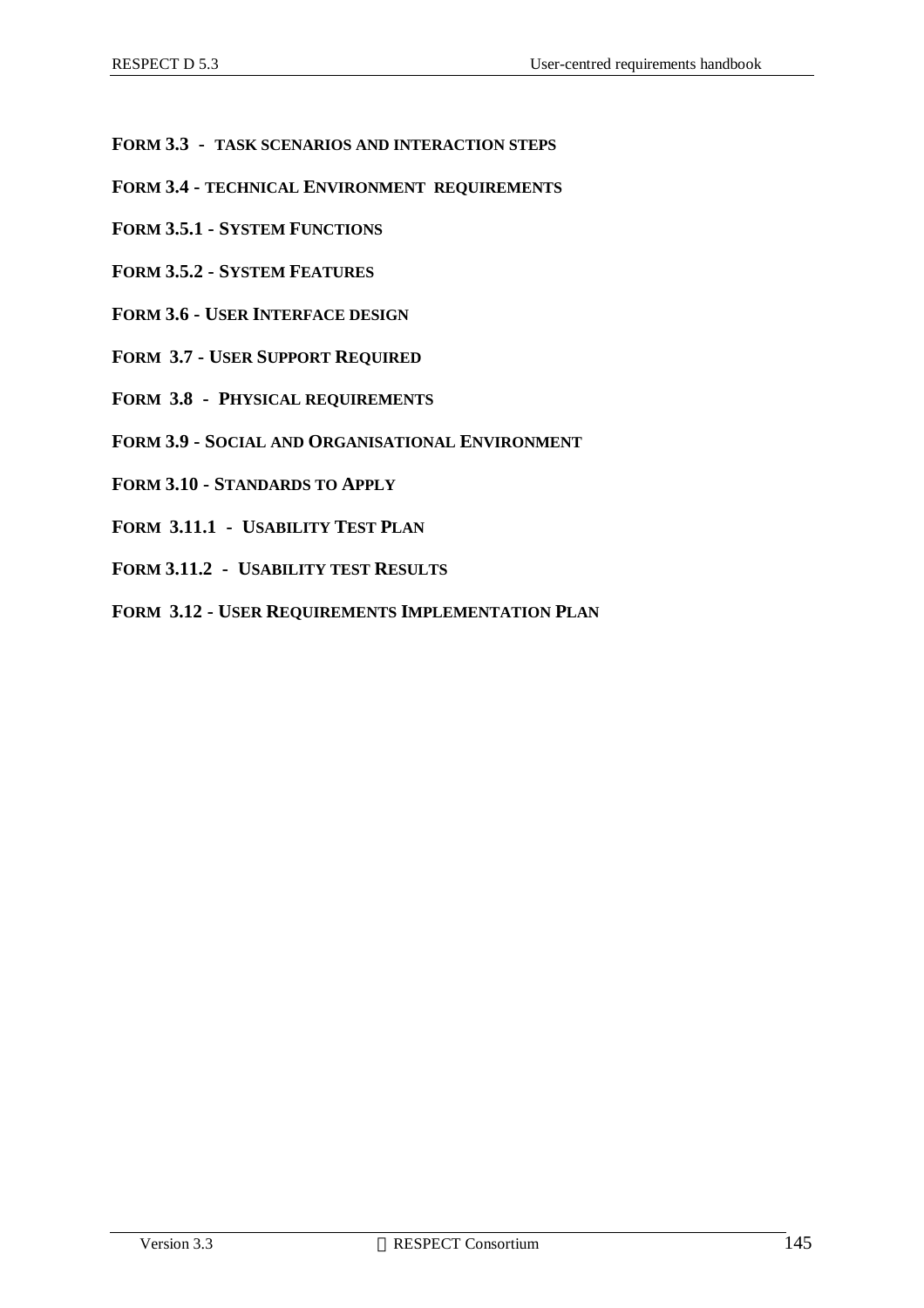- **FORM 3.3 TASK SCENARIOS AND INTERACTION STEPS**
- **FORM 3.4 TECHNICAL ENVIRONMENT REQUIREMENTS**
- **FORM 3.5.1 SYSTEM FUNCTIONS**
- **FORM 3.5.2 SYSTEM FEATURES**
- **FORM 3.6 USER INTERFACE DESIGN**
- **FORM 3.7 USER SUPPORT REQUIRED**
- **FORM 3.8 PHYSICAL REQUIREMENTS**
- **FORM 3.9 SOCIAL AND ORGANISATIONAL ENVIRONMENT**
- **FORM 3.10 STANDARDS TO APPLY**
- **FORM 3.11.1 USABILITY TEST PLAN**
- **FORM 3.11.2 USABILITY TEST RESULTS**
- **FORM 3.12 USER REQUIREMENTS IMPLEMENTATION PLAN**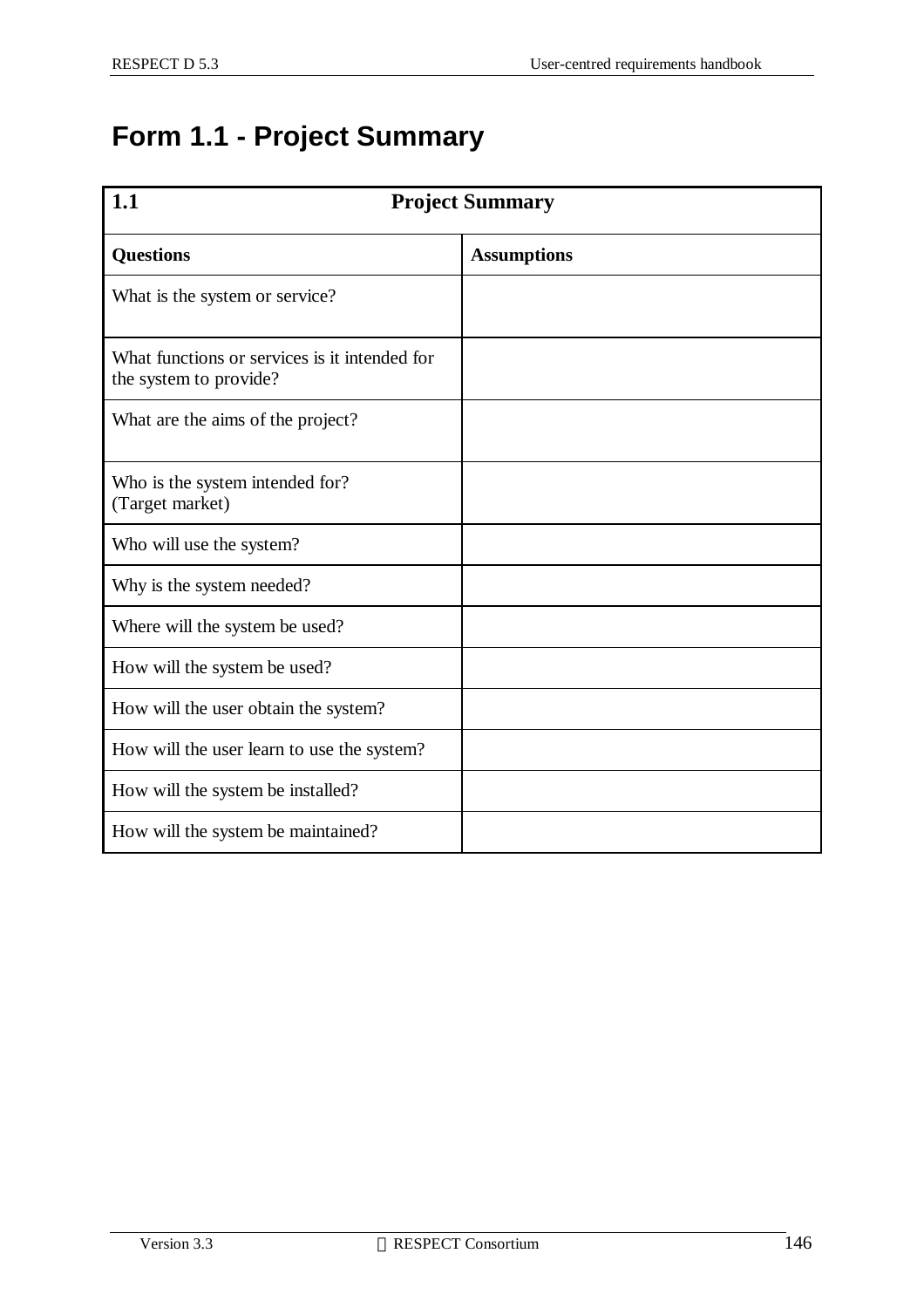## **Form 1.1 - Project Summary**

| 1.1<br><b>Project Summary</b>                                           |                    |  |
|-------------------------------------------------------------------------|--------------------|--|
| <b>Questions</b>                                                        | <b>Assumptions</b> |  |
| What is the system or service?                                          |                    |  |
| What functions or services is it intended for<br>the system to provide? |                    |  |
| What are the aims of the project?                                       |                    |  |
| Who is the system intended for?<br>(Target market)                      |                    |  |
| Who will use the system?                                                |                    |  |
| Why is the system needed?                                               |                    |  |
| Where will the system be used?                                          |                    |  |
| How will the system be used?                                            |                    |  |
| How will the user obtain the system?                                    |                    |  |
| How will the user learn to use the system?                              |                    |  |
| How will the system be installed?                                       |                    |  |
| How will the system be maintained?                                      |                    |  |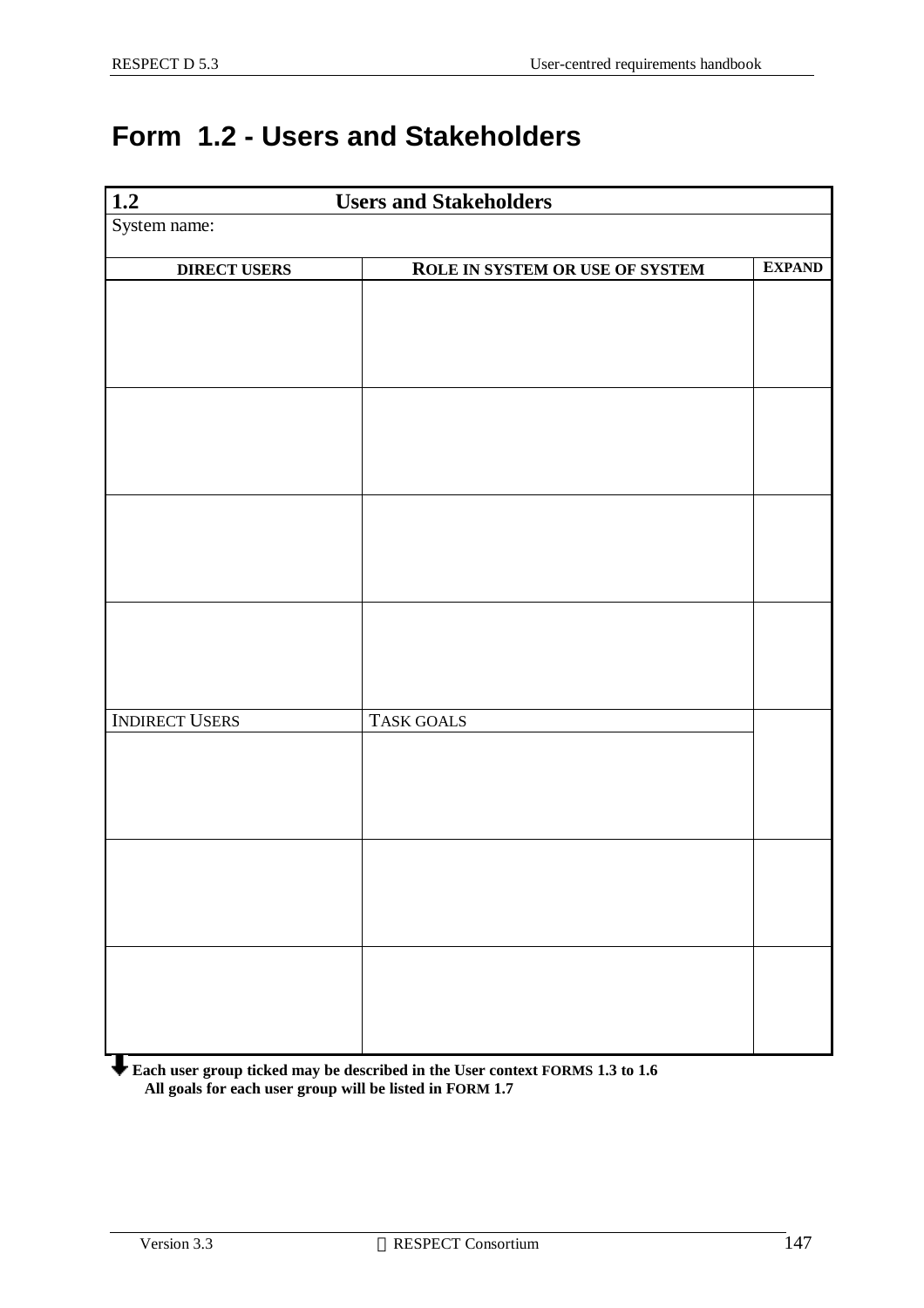## **Form 1.2 - Users and Stakeholders**

| $\frac{1.2}{\text{System name:}}$ | <b>Users and Stakeholders</b>   |               |
|-----------------------------------|---------------------------------|---------------|
|                                   |                                 |               |
| <b>DIRECT USERS</b>               | ROLE IN SYSTEM OR USE OF SYSTEM | <b>EXPAND</b> |
|                                   |                                 |               |
|                                   |                                 |               |
|                                   |                                 |               |
|                                   |                                 |               |
|                                   |                                 |               |
|                                   |                                 |               |
|                                   |                                 |               |
|                                   |                                 |               |
|                                   |                                 |               |
|                                   |                                 |               |
|                                   |                                 |               |
|                                   |                                 |               |
|                                   |                                 |               |
| <b>INDIRECT USERS</b>             | TASK GOALS                      |               |
|                                   |                                 |               |
|                                   |                                 |               |
|                                   |                                 |               |
|                                   |                                 |               |
|                                   |                                 |               |
|                                   |                                 |               |
|                                   |                                 |               |
|                                   |                                 |               |
|                                   |                                 |               |
|                                   |                                 |               |
|                                   |                                 |               |

**Each user group ticked may be described in the User context FORMS 1.3 to 1.6 All goals for each user group will be listed in FORM 1.7**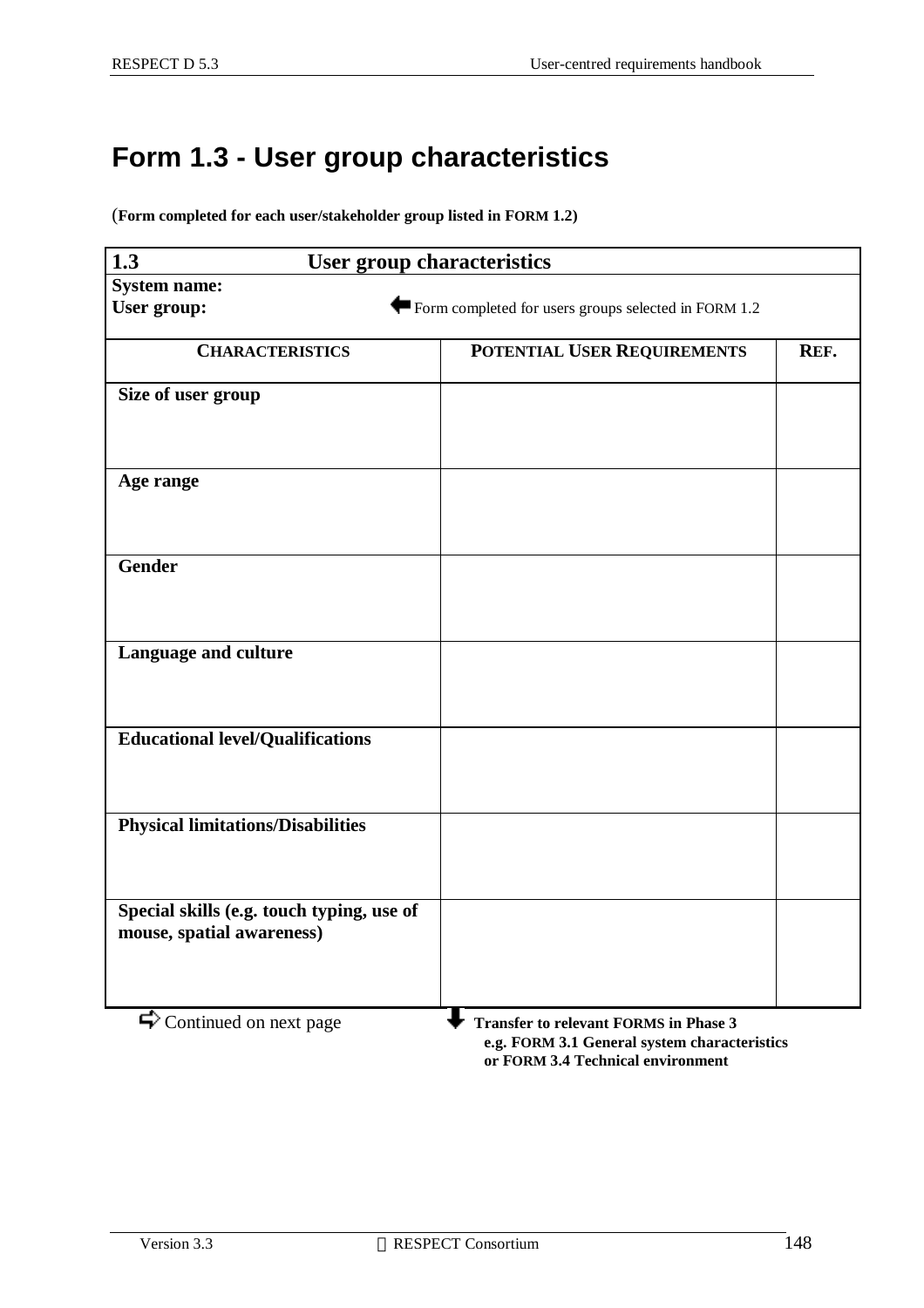## **Form 1.3 - User group characteristics**

(**Form completed for each user/stakeholder group listed in FORM 1.2)**

| $\overline{1.3}$<br><b>User group characteristics</b> |                                                      |      |  |  |
|-------------------------------------------------------|------------------------------------------------------|------|--|--|
| <b>System name:</b>                                   |                                                      |      |  |  |
| User group:                                           | Form completed for users groups selected in FORM 1.2 |      |  |  |
|                                                       |                                                      |      |  |  |
| <b>CHARACTERISTICS</b>                                | POTENTIAL USER REQUIREMENTS                          | REF. |  |  |
| Size of user group                                    |                                                      |      |  |  |
|                                                       |                                                      |      |  |  |
|                                                       |                                                      |      |  |  |
|                                                       |                                                      |      |  |  |
| Age range                                             |                                                      |      |  |  |
|                                                       |                                                      |      |  |  |
|                                                       |                                                      |      |  |  |
| <b>Gender</b>                                         |                                                      |      |  |  |
|                                                       |                                                      |      |  |  |
|                                                       |                                                      |      |  |  |
|                                                       |                                                      |      |  |  |
| Language and culture                                  |                                                      |      |  |  |
|                                                       |                                                      |      |  |  |
|                                                       |                                                      |      |  |  |
| <b>Educational level/Qualifications</b>               |                                                      |      |  |  |
|                                                       |                                                      |      |  |  |
|                                                       |                                                      |      |  |  |
|                                                       |                                                      |      |  |  |
| <b>Physical limitations/Disabilities</b>              |                                                      |      |  |  |
|                                                       |                                                      |      |  |  |
|                                                       |                                                      |      |  |  |
| Special skills (e.g. touch typing, use of             |                                                      |      |  |  |
| mouse, spatial awareness)                             |                                                      |      |  |  |
|                                                       |                                                      |      |  |  |
|                                                       |                                                      |      |  |  |
|                                                       |                                                      |      |  |  |
| $\blacktriangleright$ Continued on next page          | <b>Transfer to relevant FORMS in Phase 3</b>         |      |  |  |
|                                                       | e.g. FORM 3.1 General system characteristics         |      |  |  |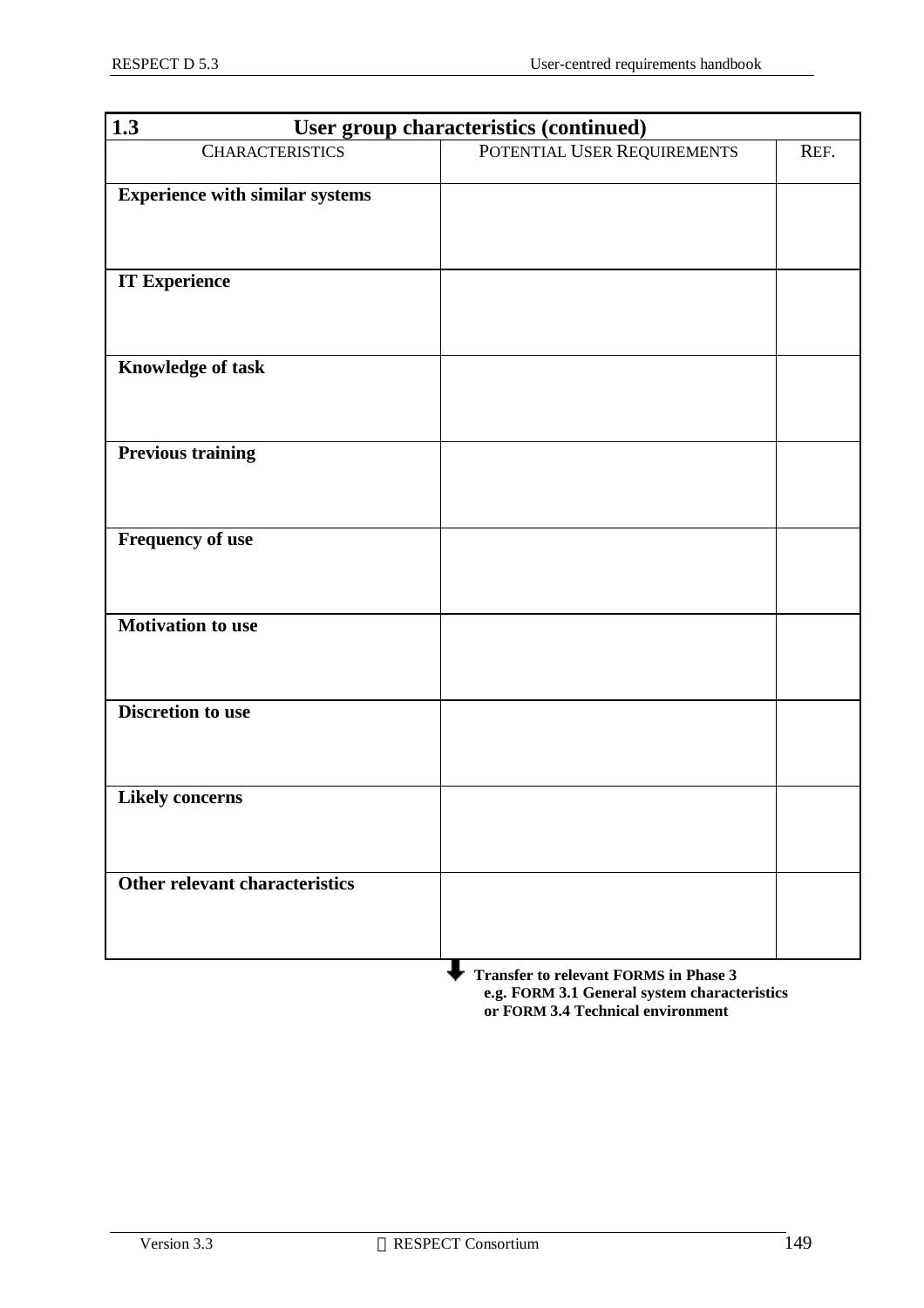| 1.3<br>User group characteristics (continued) |                                              |      |  |
|-----------------------------------------------|----------------------------------------------|------|--|
| <b>CHARACTERISTICS</b>                        | POTENTIAL USER REQUIREMENTS                  | REF. |  |
| <b>Experience with similar systems</b>        |                                              |      |  |
|                                               |                                              |      |  |
|                                               |                                              |      |  |
| <b>IT Experience</b>                          |                                              |      |  |
|                                               |                                              |      |  |
|                                               |                                              |      |  |
| Knowledge of task                             |                                              |      |  |
|                                               |                                              |      |  |
|                                               |                                              |      |  |
| <b>Previous training</b>                      |                                              |      |  |
|                                               |                                              |      |  |
|                                               |                                              |      |  |
| Frequency of use                              |                                              |      |  |
|                                               |                                              |      |  |
|                                               |                                              |      |  |
| <b>Motivation to use</b>                      |                                              |      |  |
|                                               |                                              |      |  |
|                                               |                                              |      |  |
| <b>Discretion to use</b>                      |                                              |      |  |
|                                               |                                              |      |  |
|                                               |                                              |      |  |
| <b>Likely concerns</b>                        |                                              |      |  |
|                                               |                                              |      |  |
|                                               |                                              |      |  |
| <b>Other relevant characteristics</b>         |                                              |      |  |
|                                               |                                              |      |  |
|                                               |                                              |      |  |
|                                               | <b>Transfer to relevant FORMS in Phase 3</b> |      |  |

 **e.g. FORM 3.1 General system characteristics or FORM 3.4 Technical environment**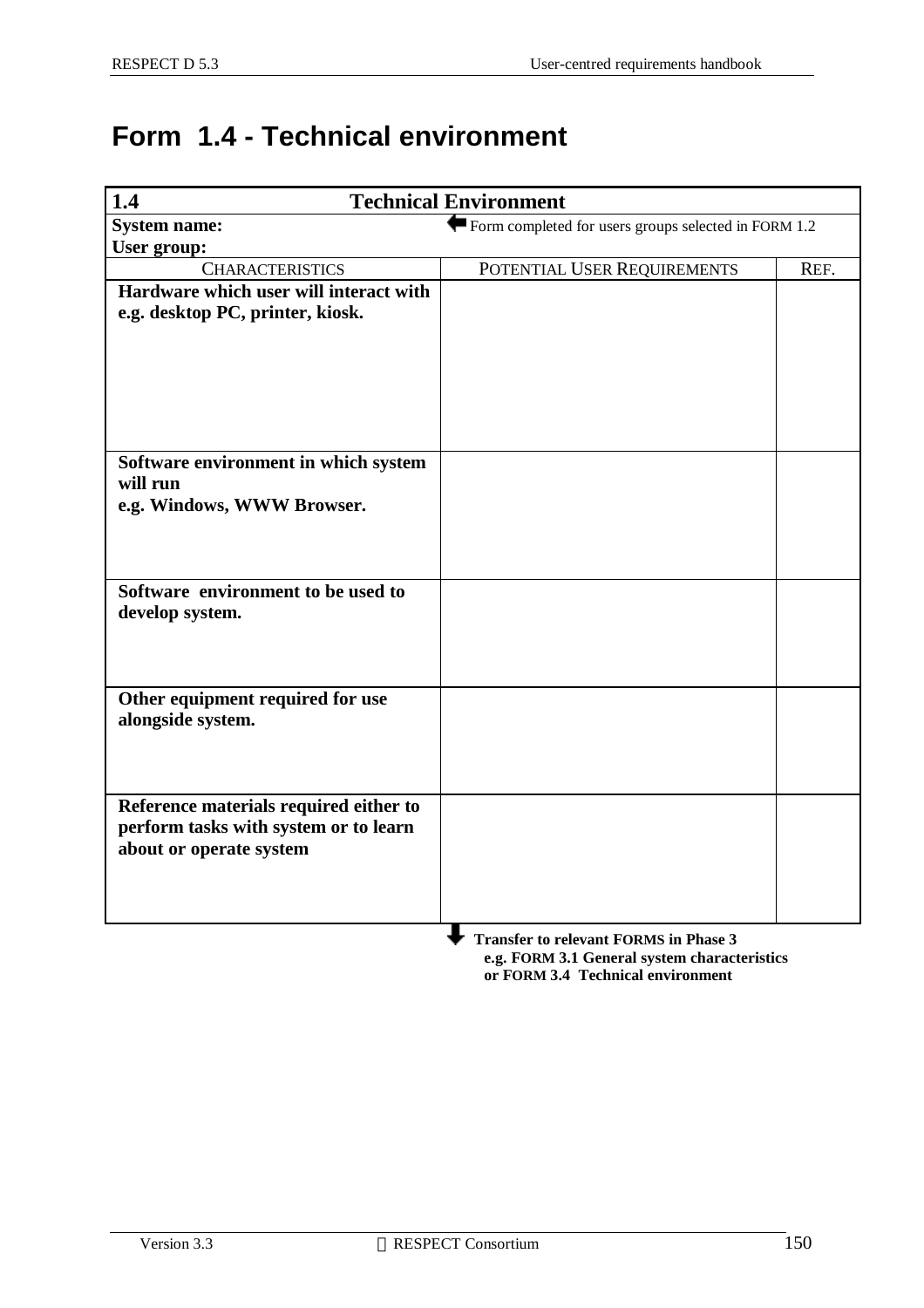## **Form 1.4 - Technical environment**

| <b>Technical Environment</b><br>1.4          |                                                      |      |  |
|----------------------------------------------|------------------------------------------------------|------|--|
| <b>System name:</b>                          | Form completed for users groups selected in FORM 1.2 |      |  |
| <b>User group:</b>                           |                                                      |      |  |
| <b>CHARACTERISTICS</b>                       | POTENTIAL USER REQUIREMENTS                          | REF. |  |
| Hardware which user will interact with       |                                                      |      |  |
| e.g. desktop PC, printer, kiosk.             |                                                      |      |  |
|                                              |                                                      |      |  |
|                                              |                                                      |      |  |
|                                              |                                                      |      |  |
|                                              |                                                      |      |  |
|                                              |                                                      |      |  |
| Software environment in which system         |                                                      |      |  |
| will run                                     |                                                      |      |  |
| e.g. Windows, WWW Browser.                   |                                                      |      |  |
|                                              |                                                      |      |  |
|                                              |                                                      |      |  |
| Software environment to be used to           |                                                      |      |  |
| develop system.                              |                                                      |      |  |
|                                              |                                                      |      |  |
|                                              |                                                      |      |  |
|                                              |                                                      |      |  |
| Other equipment required for use             |                                                      |      |  |
| alongside system.                            |                                                      |      |  |
|                                              |                                                      |      |  |
|                                              |                                                      |      |  |
| Reference materials required either to       |                                                      |      |  |
| perform tasks with system or to learn        |                                                      |      |  |
| about or operate system                      |                                                      |      |  |
|                                              |                                                      |      |  |
|                                              |                                                      |      |  |
|                                              |                                                      |      |  |
| <b>Transfer to relevant FORMS in Phase 3</b> |                                                      |      |  |

 **e.g. FORM 3.1 General system characteristics or FORM 3.4 Technical environment**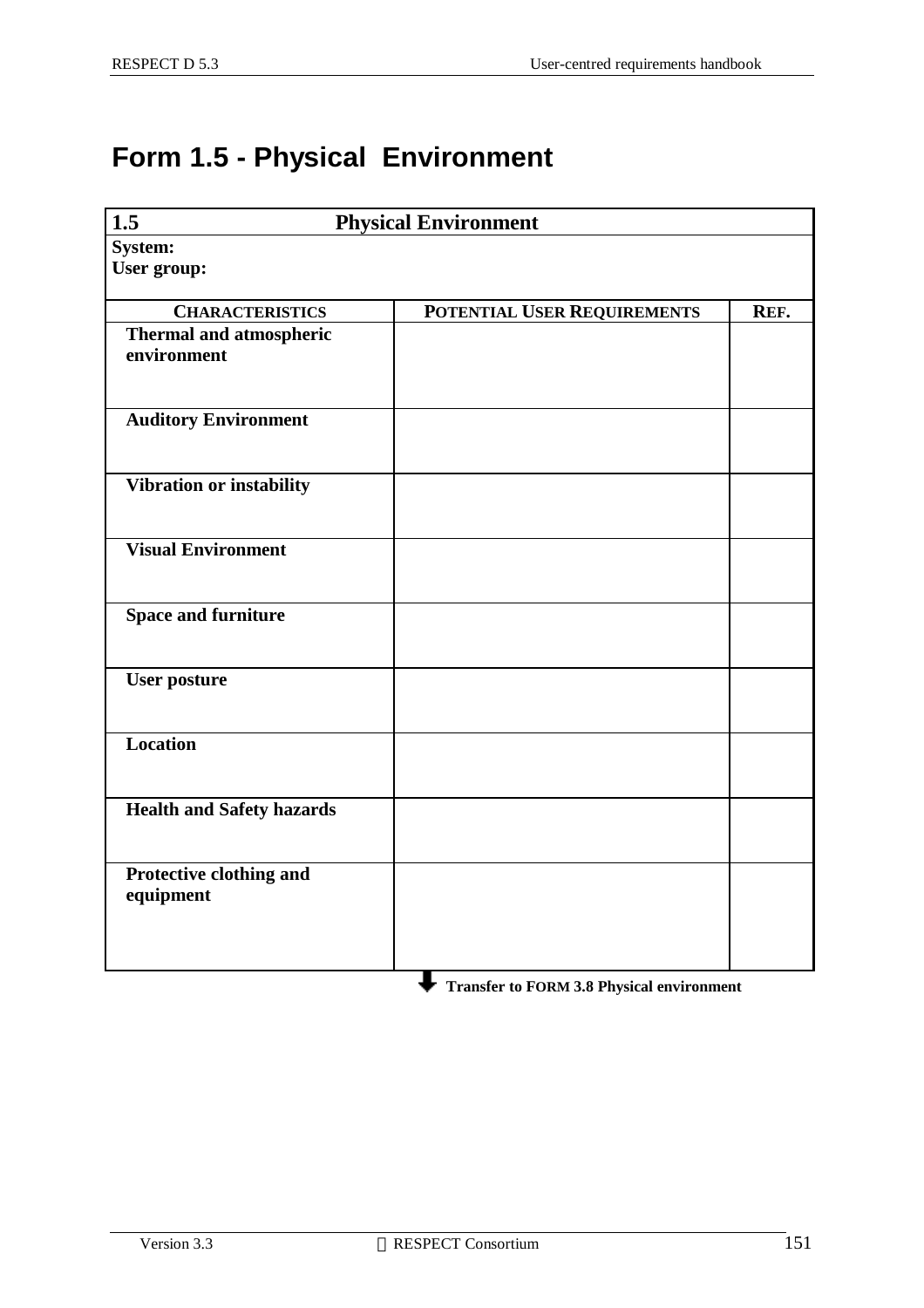## **Form 1.5 - Physical Environment**

| 1.5                                           | <b>Physical Environment</b> |      |
|-----------------------------------------------|-----------------------------|------|
| <b>System:</b>                                |                             |      |
| User group:                                   |                             |      |
| <b>CHARACTERISTICS</b>                        | POTENTIAL USER REQUIREMENTS | REF. |
| <b>Thermal and atmospheric</b><br>environment |                             |      |
| <b>Auditory Environment</b>                   |                             |      |
| Vibration or instability                      |                             |      |
| <b>Visual Environment</b>                     |                             |      |
| <b>Space and furniture</b>                    |                             |      |
| <b>User posture</b>                           |                             |      |
| Location                                      |                             |      |
| <b>Health and Safety hazards</b>              |                             |      |
| Protective clothing and<br>equipment          |                             |      |
|                                               |                             |      |

**Transfer to FORM 3.8 Physical environment**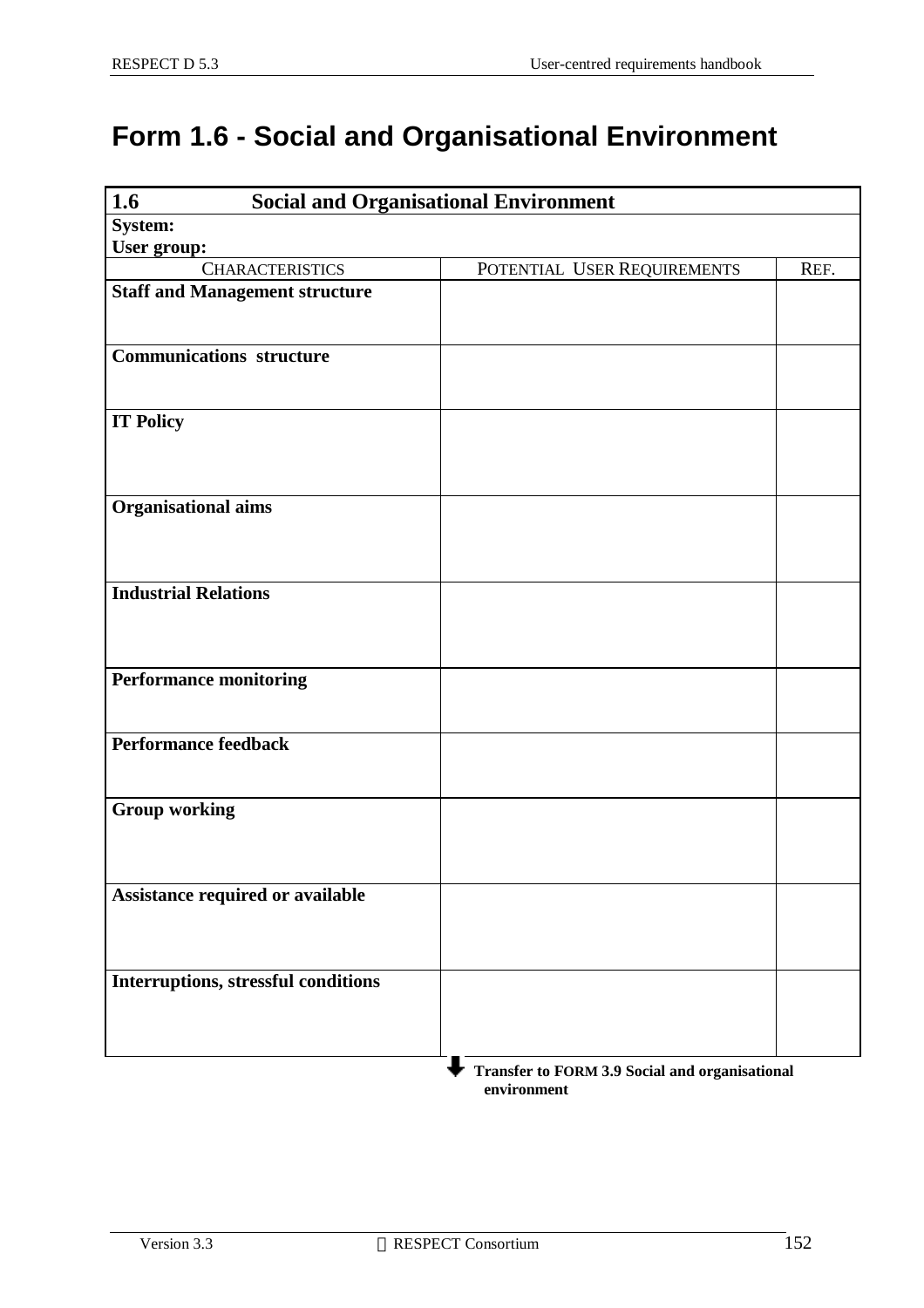## **Form 1.6 - Social and Organisational Environment**

| 1.6<br><b>Social and Organisational Environment</b> |                             |      |
|-----------------------------------------------------|-----------------------------|------|
| System:                                             |                             |      |
| User group:                                         |                             |      |
| <b>CHARACTERISTICS</b>                              | POTENTIAL USER REQUIREMENTS | REF. |
| <b>Staff and Management structure</b>               |                             |      |
|                                                     |                             |      |
|                                                     |                             |      |
| <b>Communications structure</b>                     |                             |      |
|                                                     |                             |      |
| <b>IT Policy</b>                                    |                             |      |
|                                                     |                             |      |
|                                                     |                             |      |
|                                                     |                             |      |
| <b>Organisational aims</b>                          |                             |      |
|                                                     |                             |      |
|                                                     |                             |      |
|                                                     |                             |      |
| <b>Industrial Relations</b>                         |                             |      |
|                                                     |                             |      |
|                                                     |                             |      |
| <b>Performance monitoring</b>                       |                             |      |
|                                                     |                             |      |
|                                                     |                             |      |
| Performance feedback                                |                             |      |
|                                                     |                             |      |
|                                                     |                             |      |
| <b>Group working</b>                                |                             |      |
|                                                     |                             |      |
|                                                     |                             |      |
| Assistance required or available                    |                             |      |
|                                                     |                             |      |
|                                                     |                             |      |
|                                                     |                             |      |
| Interruptions, stressful conditions                 |                             |      |
|                                                     |                             |      |
|                                                     |                             |      |
|                                                     |                             |      |

 **Transfer to FORM 3.9 Social and organisational environment**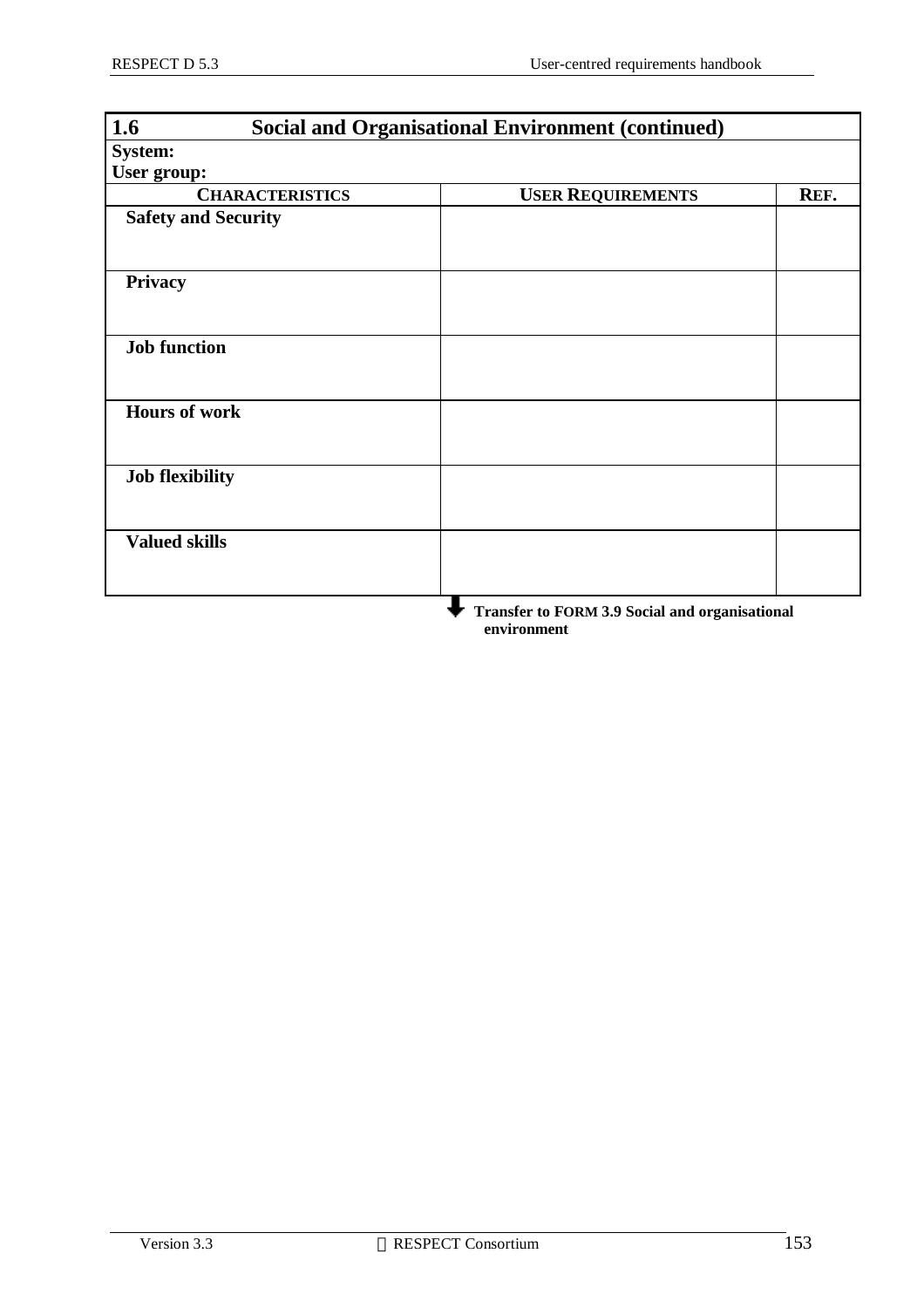| 1.6<br><b>Social and Organisational Environment (continued)</b> |                                                       |      |
|-----------------------------------------------------------------|-------------------------------------------------------|------|
| <b>System:</b>                                                  |                                                       |      |
| User group:                                                     |                                                       |      |
| <b>CHARACTERISTICS</b>                                          | <b>USER REQUIREMENTS</b>                              | REF. |
| <b>Safety and Security</b>                                      |                                                       |      |
|                                                                 |                                                       |      |
| Privacy                                                         |                                                       |      |
| <b>Job function</b>                                             |                                                       |      |
| <b>Hours of work</b>                                            |                                                       |      |
| <b>Job flexibility</b>                                          |                                                       |      |
| <b>Valued skills</b>                                            |                                                       |      |
|                                                                 | <b>Transfer to FORM 3.9 Social and organisational</b> |      |

 **Transfer to FORM 3.9 Social and organisational environment**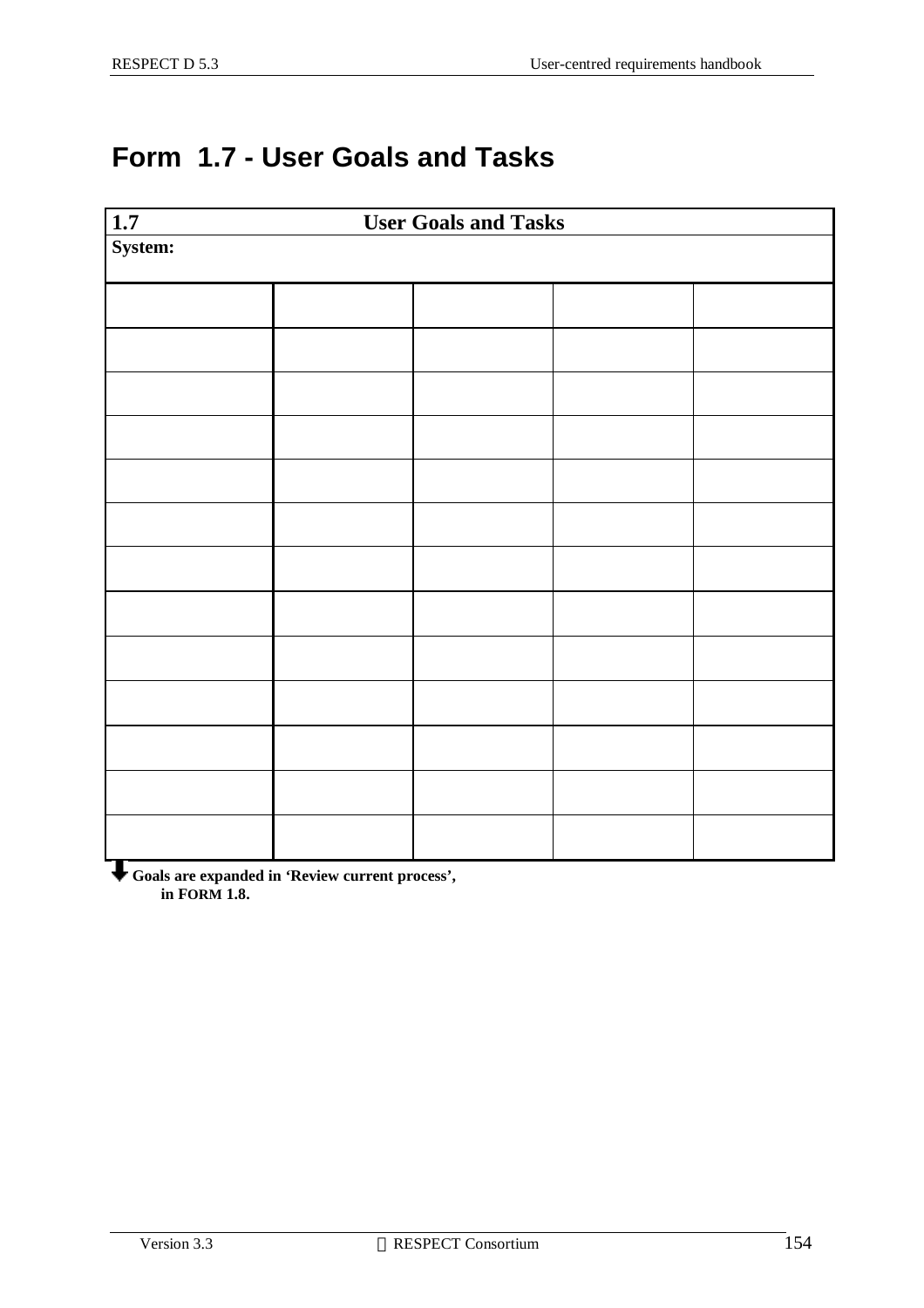## **Form 1.7 - User Goals and Tasks**

| $\overline{1.7}$ |  | <b>User Goals and Tasks</b> |  |  |
|------------------|--|-----------------------------|--|--|
| System:          |  |                             |  |  |
|                  |  |                             |  |  |
|                  |  |                             |  |  |
|                  |  |                             |  |  |
|                  |  |                             |  |  |
|                  |  |                             |  |  |
|                  |  |                             |  |  |
|                  |  |                             |  |  |
|                  |  |                             |  |  |
|                  |  |                             |  |  |
|                  |  |                             |  |  |
|                  |  |                             |  |  |
|                  |  |                             |  |  |
|                  |  |                             |  |  |

**Goals are expanded in 'Review current process', in FORM 1.8.**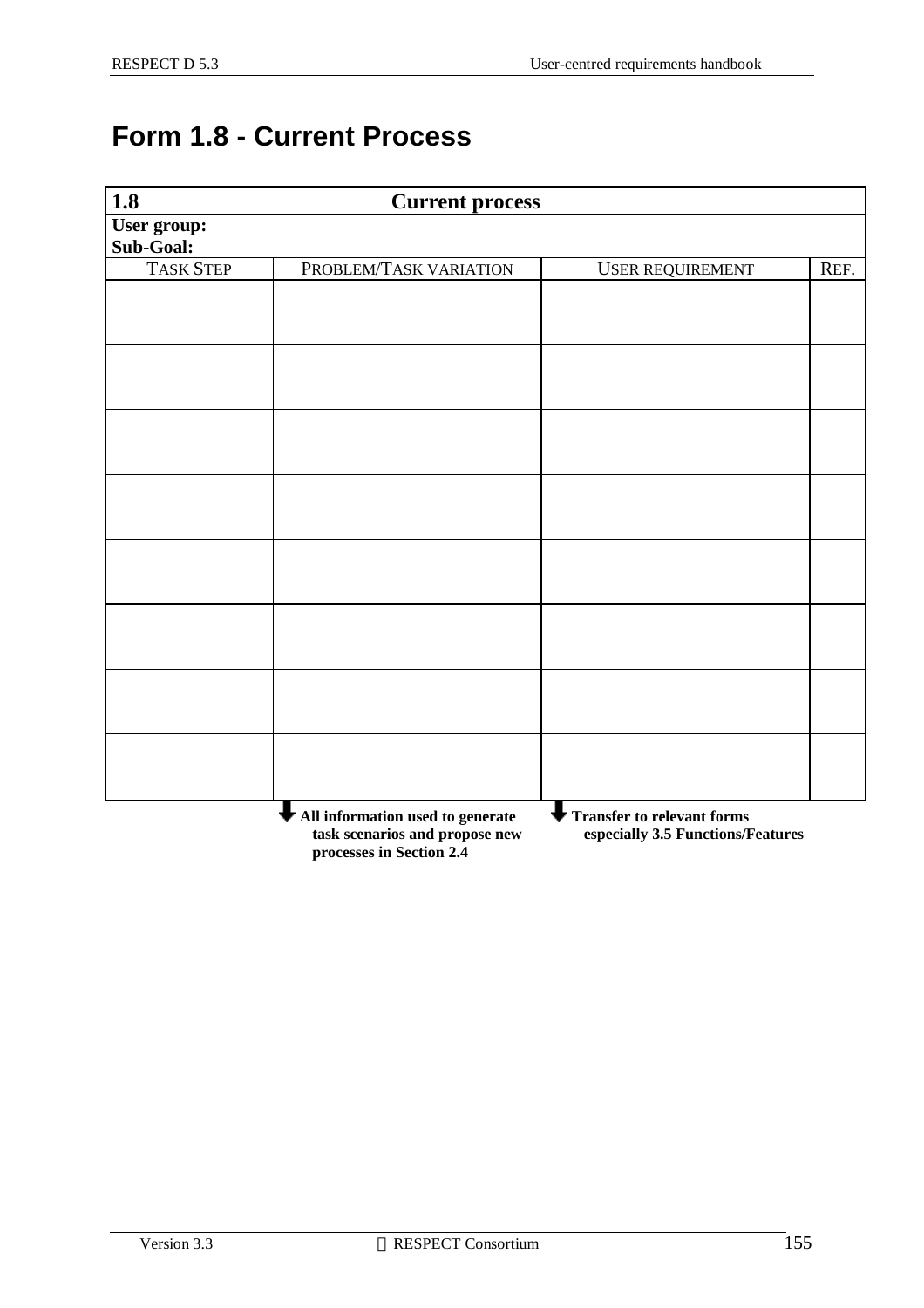## **Form 1.8 - Current Process**

| $\overline{1.8}$         | <b>Current process</b>                                             |                                                                        |      |
|--------------------------|--------------------------------------------------------------------|------------------------------------------------------------------------|------|
| User group:<br>Sub-Goal: |                                                                    |                                                                        |      |
| <b>TASK STEP</b>         | PROBLEM/TASK VARIATION                                             | <b>USER REQUIREMENT</b>                                                | REF. |
|                          |                                                                    |                                                                        |      |
|                          |                                                                    |                                                                        |      |
|                          |                                                                    |                                                                        |      |
|                          |                                                                    |                                                                        |      |
|                          |                                                                    |                                                                        |      |
|                          |                                                                    |                                                                        |      |
|                          |                                                                    |                                                                        |      |
|                          |                                                                    |                                                                        |      |
|                          |                                                                    |                                                                        |      |
|                          |                                                                    |                                                                        |      |
|                          |                                                                    |                                                                        |      |
|                          |                                                                    |                                                                        |      |
|                          |                                                                    |                                                                        |      |
|                          |                                                                    |                                                                        |      |
|                          |                                                                    |                                                                        |      |
|                          |                                                                    |                                                                        |      |
|                          | All information used to generate<br>task scenarios and propose new | <b>Transfer to relevant forms</b><br>especially 3.5 Functions/Features |      |

 **processes in Section 2.4**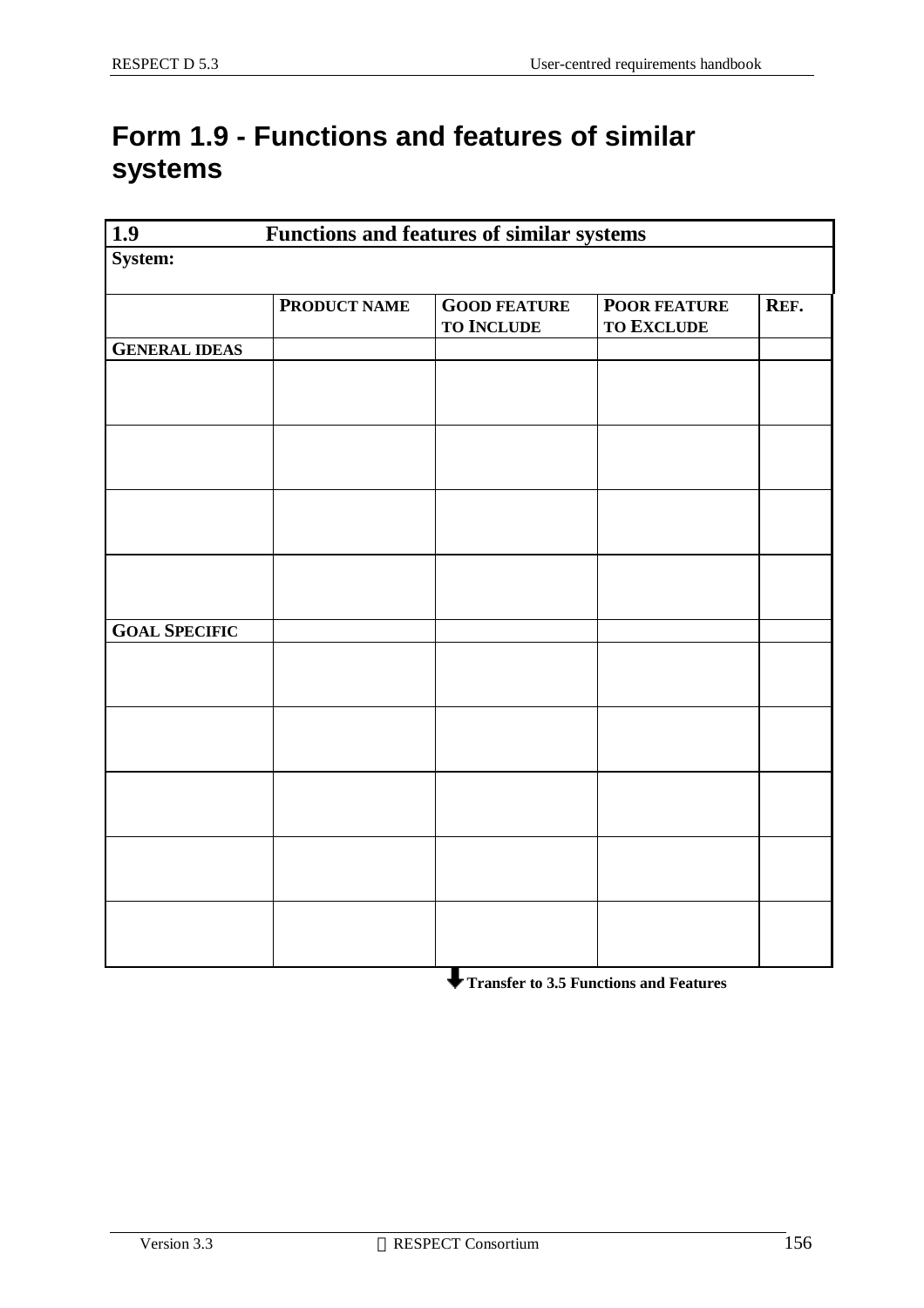## **Form 1.9 - Functions and features of similar systems**

| $\overline{1.9}$<br><b>Functions and features of similar systems</b> |              |                                          |                                          |      |
|----------------------------------------------------------------------|--------------|------------------------------------------|------------------------------------------|------|
| System:                                                              |              |                                          |                                          |      |
|                                                                      | PRODUCT NAME | <b>GOOD FEATURE</b><br><b>TO INCLUDE</b> | <b>POOR FEATURE</b><br><b>TO EXCLUDE</b> | REF. |
| <b>GENERAL IDEAS</b>                                                 |              |                                          |                                          |      |
|                                                                      |              |                                          |                                          |      |
|                                                                      |              |                                          |                                          |      |
|                                                                      |              |                                          |                                          |      |
|                                                                      |              |                                          |                                          |      |
| <b>GOAL SPECIFIC</b>                                                 |              |                                          |                                          |      |
|                                                                      |              |                                          |                                          |      |
|                                                                      |              |                                          |                                          |      |
|                                                                      |              |                                          |                                          |      |
|                                                                      |              |                                          |                                          |      |
|                                                                      |              |                                          |                                          |      |

 **Transfer to 3.5 Functions and Features**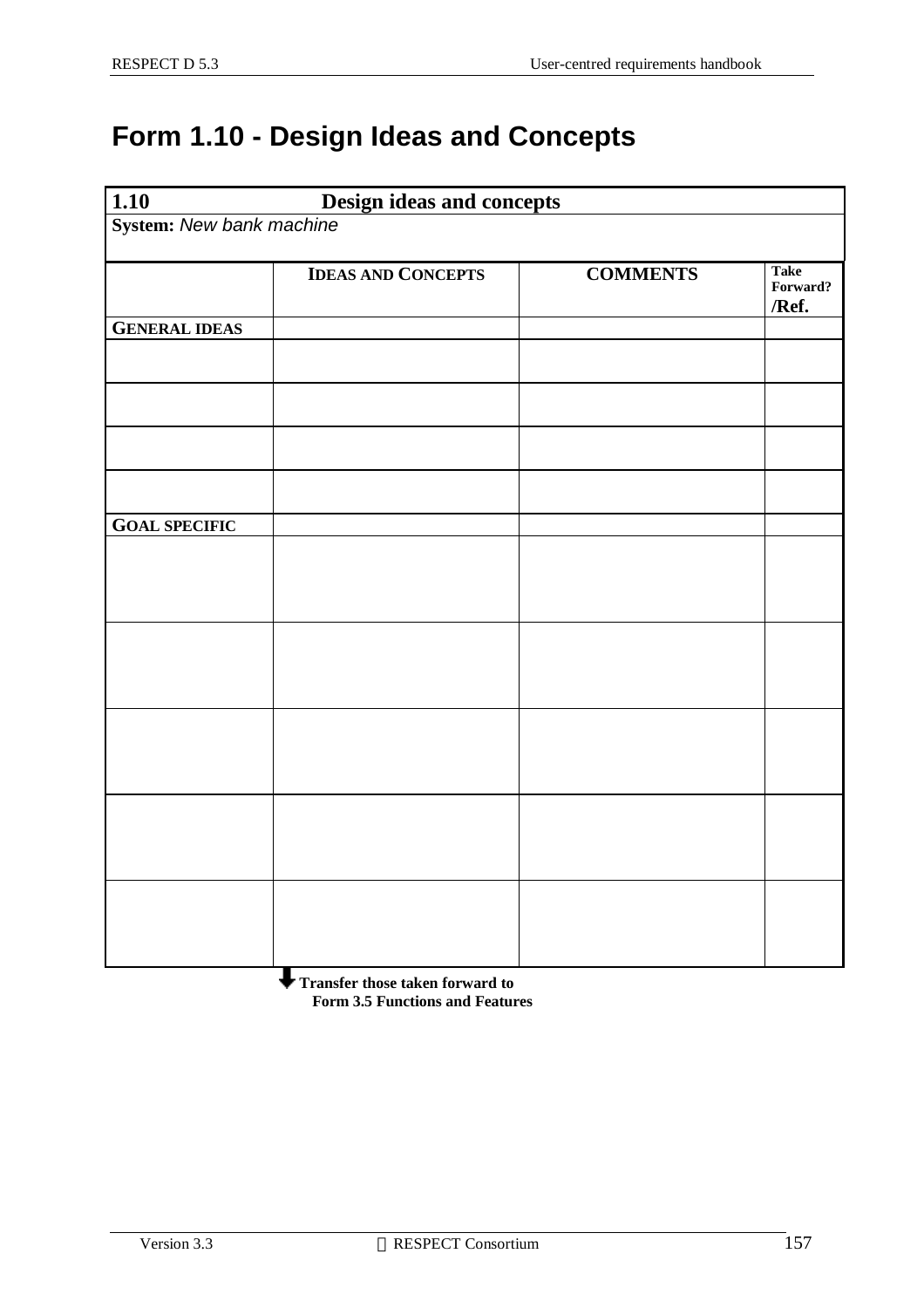## **Form 1.10 - Design Ideas and Concepts**

| 1.10                     | <b>Design ideas and concepts</b> |                 |                                  |
|--------------------------|----------------------------------|-----------------|----------------------------------|
| System: New bank machine |                                  |                 |                                  |
|                          | <b>IDEAS AND CONCEPTS</b>        | <b>COMMENTS</b> | <b>Take</b><br>Forward?<br>/Ref. |
| <b>GENERAL IDEAS</b>     |                                  |                 |                                  |
|                          |                                  |                 |                                  |
|                          |                                  |                 |                                  |
|                          |                                  |                 |                                  |
|                          |                                  |                 |                                  |
| <b>GOAL SPECIFIC</b>     |                                  |                 |                                  |
|                          |                                  |                 |                                  |
|                          |                                  |                 |                                  |
|                          |                                  |                 |                                  |
|                          |                                  |                 |                                  |
|                          |                                  |                 |                                  |

 **Transfer those taken forward to Form 3.5 Functions and Features**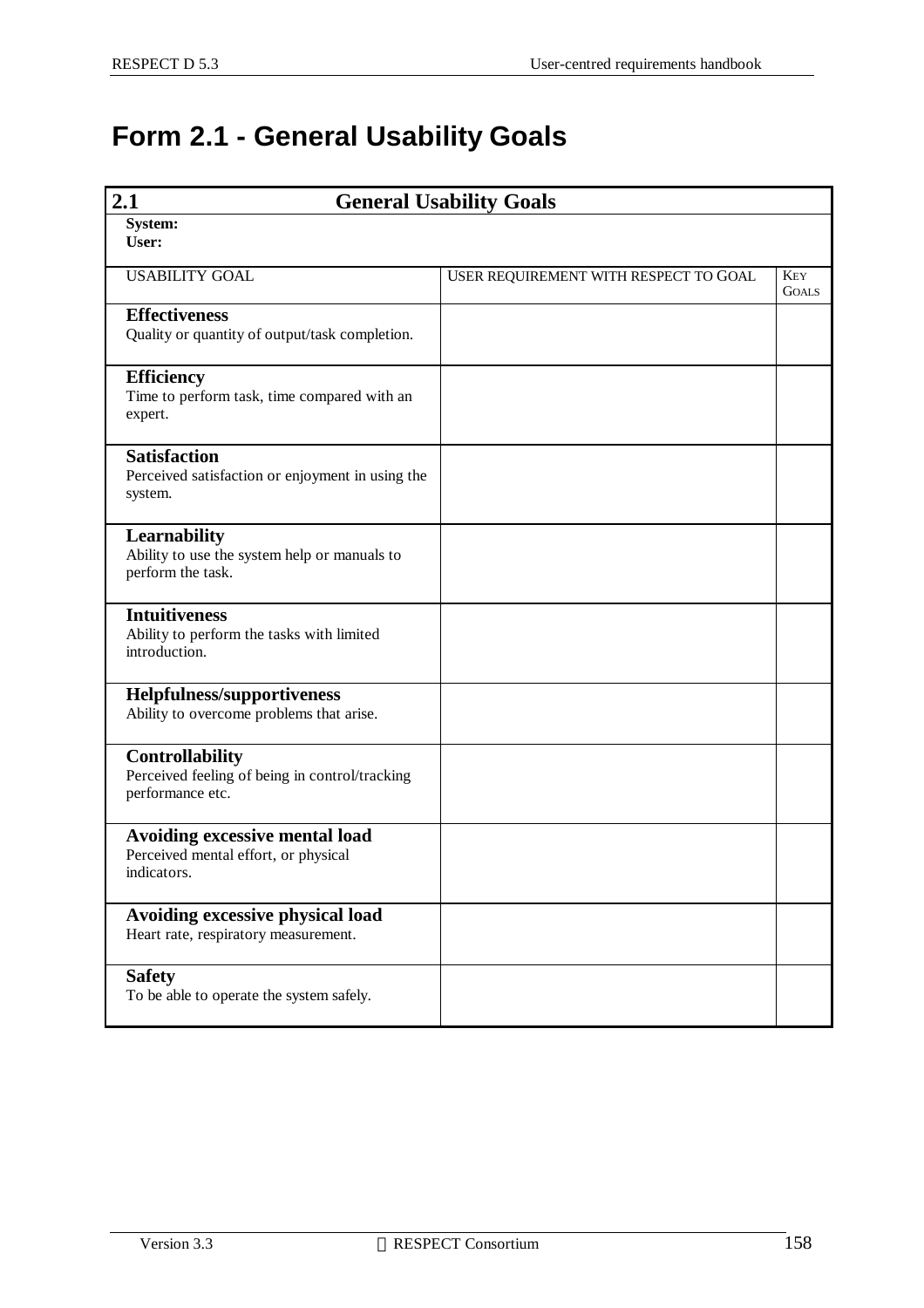## **Form 2.1 - General Usability Goals**

| 2.1<br><b>General Usability Goals</b>                                                 |                                       |                            |
|---------------------------------------------------------------------------------------|---------------------------------------|----------------------------|
| System:<br>User:                                                                      |                                       |                            |
| <b>USABILITY GOAL</b>                                                                 | USER REQUIREMENT WITH RESPECT TO GOAL | <b>KEY</b><br><b>GOALS</b> |
| <b>Effectiveness</b><br>Quality or quantity of output/task completion.                |                                       |                            |
| <b>Efficiency</b><br>Time to perform task, time compared with an<br>expert.           |                                       |                            |
| <b>Satisfaction</b><br>Perceived satisfaction or enjoyment in using the<br>system.    |                                       |                            |
| Learnability<br>Ability to use the system help or manuals to<br>perform the task.     |                                       |                            |
| <b>Intuitiveness</b><br>Ability to perform the tasks with limited<br>introduction.    |                                       |                            |
| <b>Helpfulness/supportiveness</b><br>Ability to overcome problems that arise.         |                                       |                            |
| Controllability<br>Perceived feeling of being in control/tracking<br>performance etc. |                                       |                            |
| Avoiding excessive mental load<br>Perceived mental effort, or physical<br>indicators. |                                       |                            |
| Avoiding excessive physical load<br>Heart rate, respiratory measurement.              |                                       |                            |
| <b>Safety</b><br>To be able to operate the system safely.                             |                                       |                            |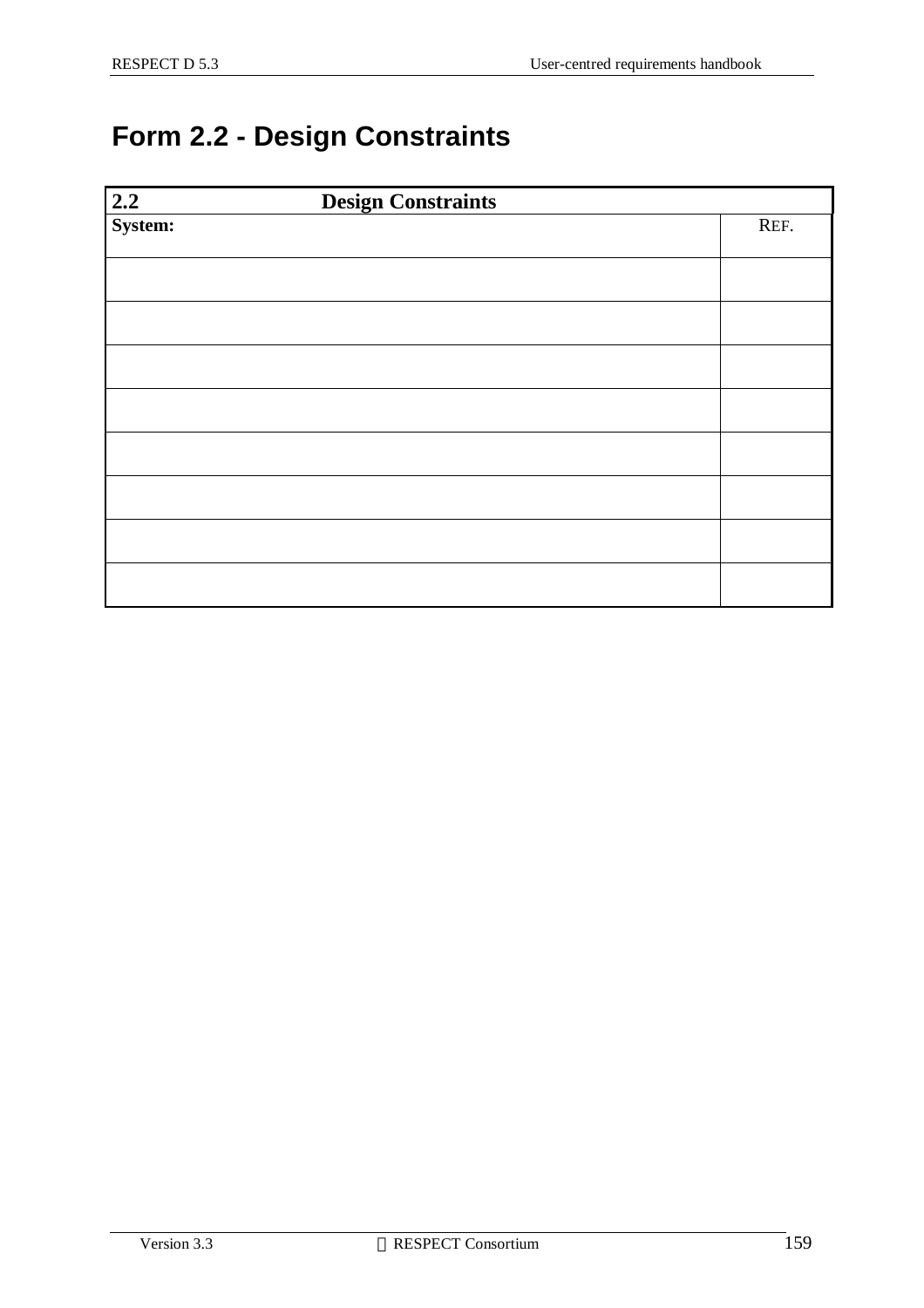## **Form 2.2 - Design Constraints**

| $\begin{array}{ c }\n\hline\n2.2 \\ \hline\n\text{System:}\n\end{array}$<br><b>Design Constraints</b> |      |
|-------------------------------------------------------------------------------------------------------|------|
|                                                                                                       | REF. |
|                                                                                                       |      |
|                                                                                                       |      |
|                                                                                                       |      |
|                                                                                                       |      |
|                                                                                                       |      |
|                                                                                                       |      |
|                                                                                                       |      |
|                                                                                                       |      |
|                                                                                                       |      |
|                                                                                                       |      |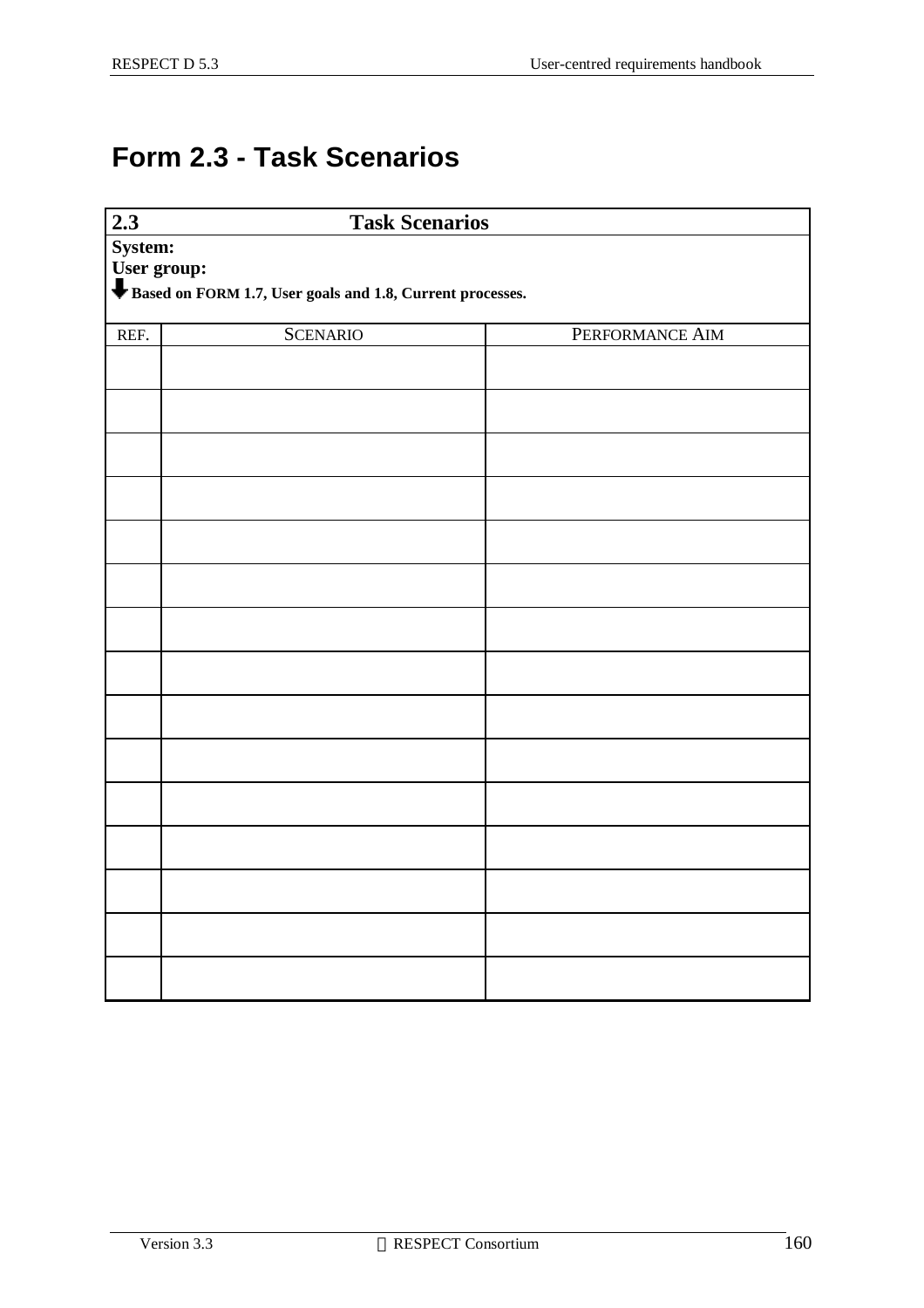## **Form 2.3 - Task Scenarios**

| 2.3         | <b>Task Scenarios</b>                                     |                 |
|-------------|-----------------------------------------------------------|-----------------|
| System:     |                                                           |                 |
| User group: |                                                           |                 |
|             | Based on FORM 1.7, User goals and 1.8, Current processes. |                 |
|             |                                                           |                 |
| REF.        | <b>SCENARIO</b>                                           | PERFORMANCE AIM |
|             |                                                           |                 |
|             |                                                           |                 |
|             |                                                           |                 |
|             |                                                           |                 |
|             |                                                           |                 |
|             |                                                           |                 |
|             |                                                           |                 |
|             |                                                           |                 |
|             |                                                           |                 |
|             |                                                           |                 |
|             |                                                           |                 |
|             |                                                           |                 |
|             |                                                           |                 |
|             |                                                           |                 |
|             |                                                           |                 |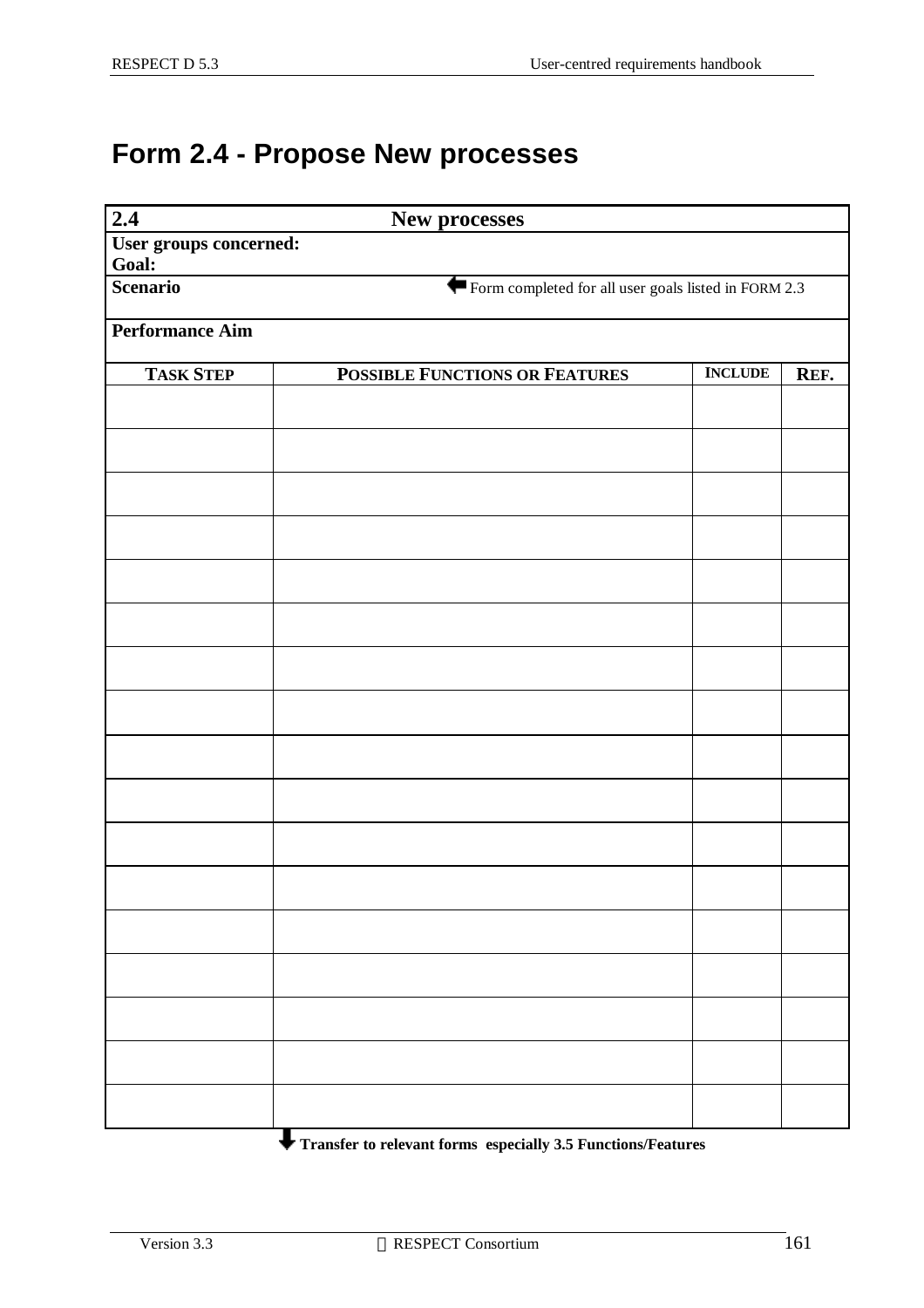## **Form 2.4 - Propose New processes**

| 2.4<br>New processes     |                                                      |                |      |
|--------------------------|------------------------------------------------------|----------------|------|
| User groups concerned:   |                                                      |                |      |
| Goal:<br><b>Scenario</b> | Form completed for all user goals listed in FORM 2.3 |                |      |
|                          |                                                      |                |      |
| <b>Performance Aim</b>   |                                                      |                |      |
| <b>TASK STEP</b>         | <b>POSSIBLE FUNCTIONS OR FEATURES</b>                | <b>INCLUDE</b> | REF. |
|                          |                                                      |                |      |
|                          |                                                      |                |      |
|                          |                                                      |                |      |
|                          |                                                      |                |      |
|                          |                                                      |                |      |
|                          |                                                      |                |      |
|                          |                                                      |                |      |
|                          |                                                      |                |      |
|                          |                                                      |                |      |
|                          |                                                      |                |      |
|                          |                                                      |                |      |
|                          |                                                      |                |      |
|                          |                                                      |                |      |
|                          |                                                      |                |      |
|                          |                                                      |                |      |
|                          |                                                      |                |      |
|                          |                                                      |                |      |
|                          |                                                      |                |      |
|                          |                                                      |                |      |
|                          |                                                      |                |      |
|                          |                                                      |                |      |
|                          |                                                      |                |      |

**Transfer to relevant forms especially 3.5 Functions/Features**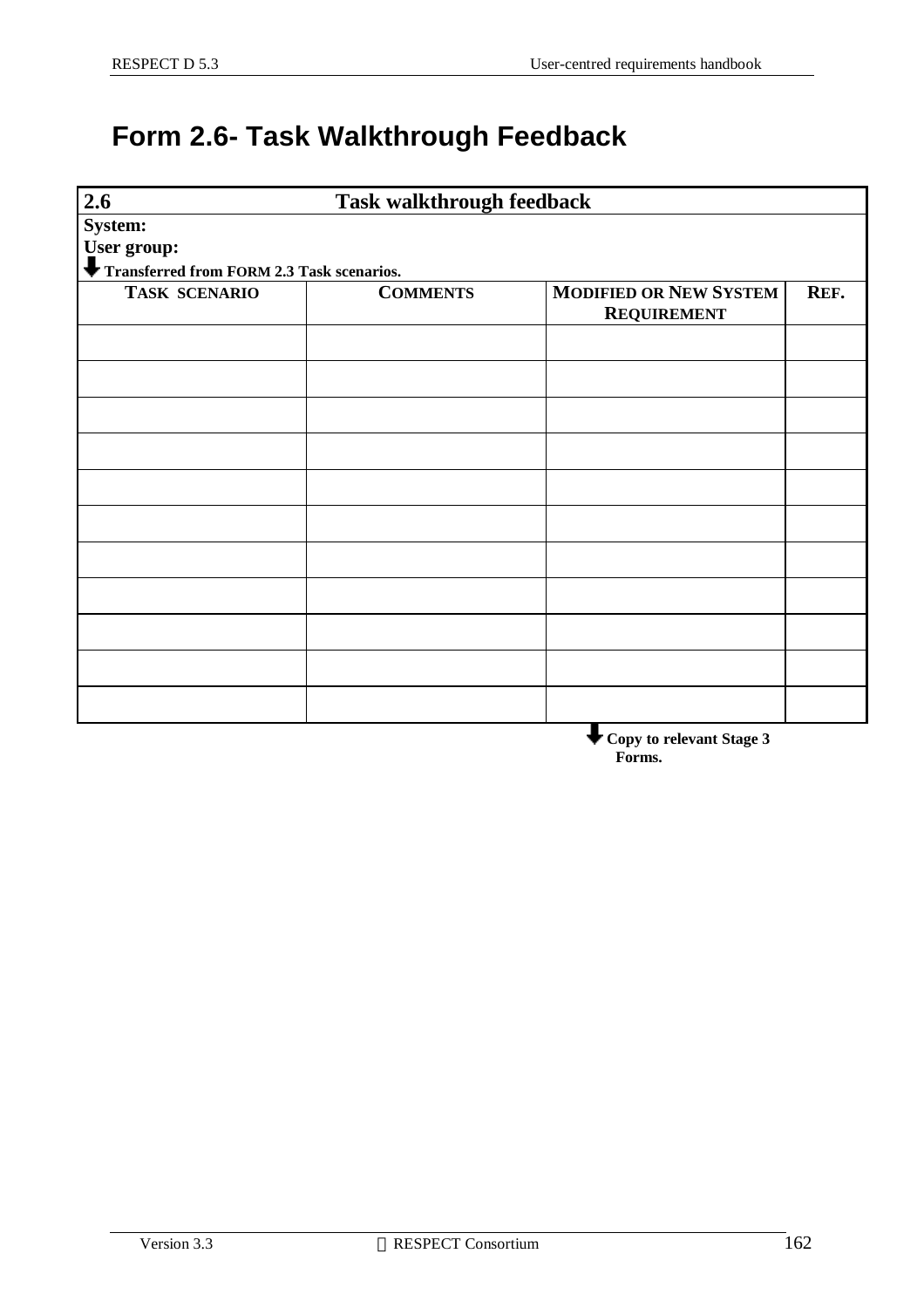## **Form 2.6- Task Walkthrough Feedback**

| 2.6<br><b>Task walkthrough feedback</b>   |                 |                                    |      |
|-------------------------------------------|-----------------|------------------------------------|------|
| System:                                   |                 |                                    |      |
| User group:                               |                 |                                    |      |
| Transferred from FORM 2.3 Task scenarios. |                 |                                    |      |
| <b>TASK SCENARIO</b>                      | <b>COMMENTS</b> | <b>MODIFIED OR NEW SYSTEM</b>      | REF. |
|                                           |                 | <b>REQUIREMENT</b>                 |      |
|                                           |                 |                                    |      |
|                                           |                 |                                    |      |
|                                           |                 |                                    |      |
|                                           |                 |                                    |      |
|                                           |                 |                                    |      |
|                                           |                 |                                    |      |
|                                           |                 |                                    |      |
|                                           |                 |                                    |      |
|                                           |                 |                                    |      |
|                                           |                 |                                    |      |
|                                           |                 |                                    |      |
|                                           |                 |                                    |      |
|                                           |                 |                                    |      |
|                                           |                 |                                    |      |
|                                           |                 |                                    |      |
|                                           |                 |                                    |      |
|                                           |                 |                                    |      |
|                                           |                 | Copy to relevant Stage 3<br>Forms. |      |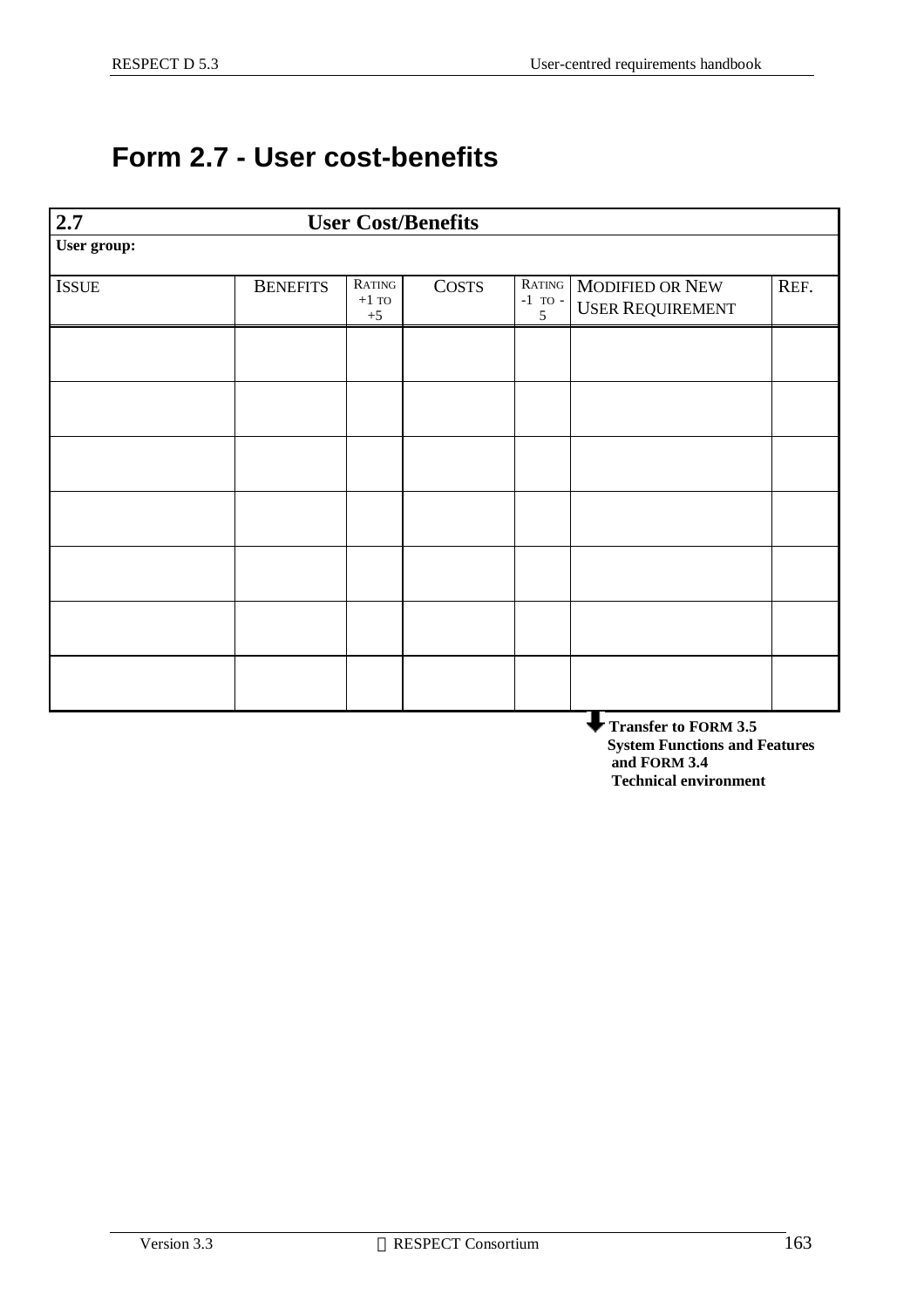#### **Form 2.7 - User cost-benefits**

| 2.7                                                          |                 |                                    | <b>User Cost/Benefits</b> |                            |                                                   |      |
|--------------------------------------------------------------|-----------------|------------------------------------|---------------------------|----------------------------|---------------------------------------------------|------|
| User group:                                                  |                 |                                    |                           |                            |                                                   |      |
| <b>ISSUE</b>                                                 | <b>BENEFITS</b> | RATING<br>$+1~\mathrm{TO}$<br>$+5$ | <b>COSTS</b>              | RATING<br>$-1$ TO $-$<br>5 | <b>MODIFIED OR NEW</b><br><b>USER REQUIREMENT</b> | REF. |
|                                                              |                 |                                    |                           |                            |                                                   |      |
|                                                              |                 |                                    |                           |                            |                                                   |      |
|                                                              |                 |                                    |                           |                            |                                                   |      |
|                                                              |                 |                                    |                           |                            |                                                   |      |
|                                                              |                 |                                    |                           |                            |                                                   |      |
|                                                              |                 |                                    |                           |                            |                                                   |      |
|                                                              |                 |                                    |                           |                            |                                                   |      |
| <b>Transfer to FORM 3.5</b><br>System Eunetians and Features |                 |                                    |                           |                            |                                                   |      |

 **System Functions and Features and FORM 3.4 Technical environment**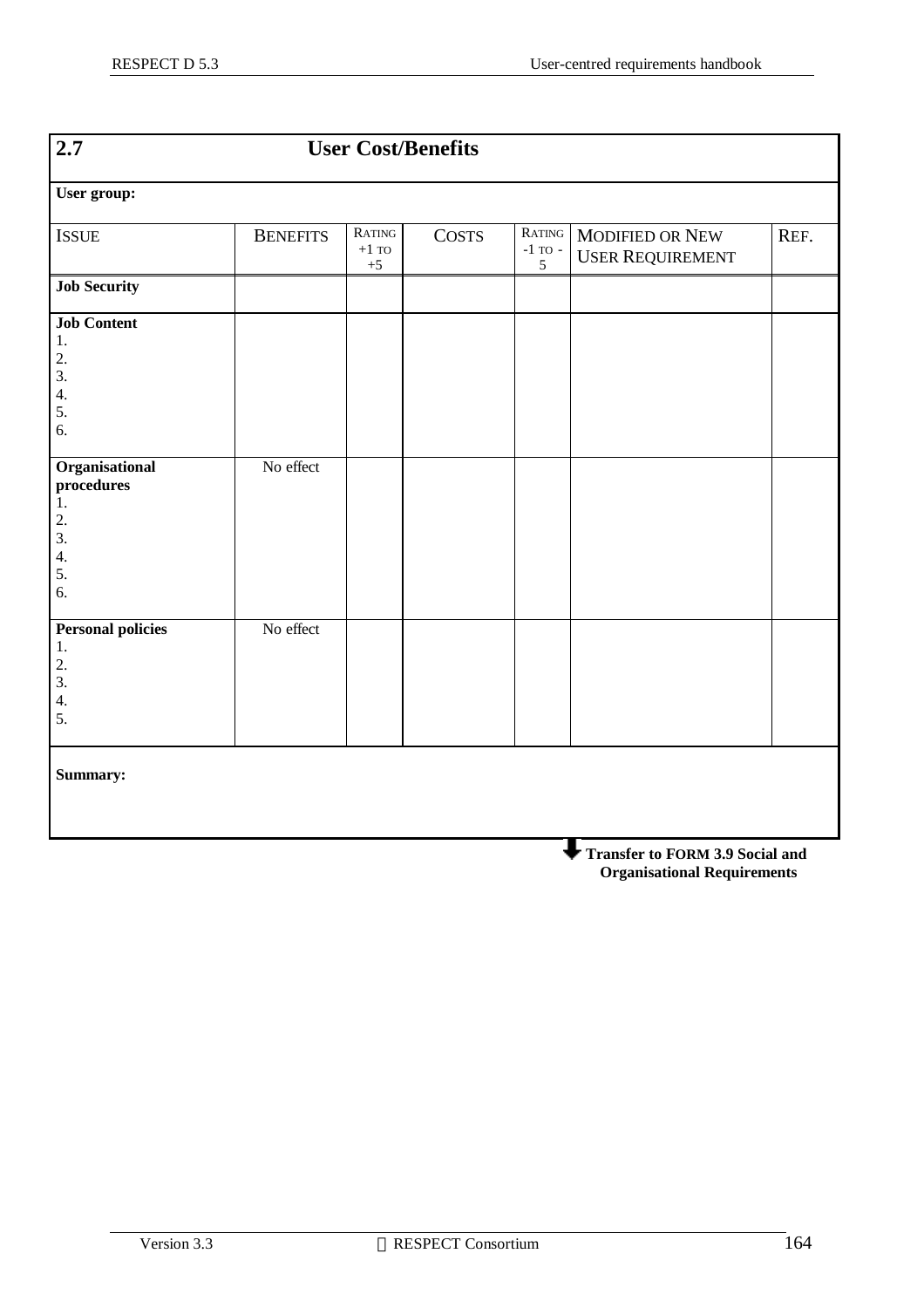| $\overline{2.7}$                                                 |                 | <b>User Cost/Benefits</b>          |              |                                                  |                                                   |      |
|------------------------------------------------------------------|-----------------|------------------------------------|--------------|--------------------------------------------------|---------------------------------------------------|------|
| User group:                                                      |                 |                                    |              |                                                  |                                                   |      |
| <b>ISSUE</b>                                                     | <b>BENEFITS</b> | RATING<br>$+1~\mathrm{TO}$<br>$+5$ | <b>COSTS</b> | RATING<br>-1 $\operatorname{TO}$ -<br>$\sqrt{5}$ | <b>MODIFIED OR NEW</b><br><b>USER REQUIREMENT</b> | REF. |
| <b>Job Security</b>                                              |                 |                                    |              |                                                  |                                                   |      |
| <b>Job Content</b><br>1.<br>2.<br>3.<br>4.<br>5.<br>6.           |                 |                                    |              |                                                  |                                                   |      |
| Organisational<br>procedures<br>1.<br>2.<br>3.<br>4.<br>5.<br>6. | No effect       |                                    |              |                                                  |                                                   |      |
| <b>Personal policies</b><br>1.<br>2.<br>3.<br>4.<br>5.           | No effect       |                                    |              |                                                  |                                                   |      |
| Summary:                                                         |                 |                                    |              |                                                  |                                                   |      |

**Transfer to FORM 3.9 Social and Organisational Requirements**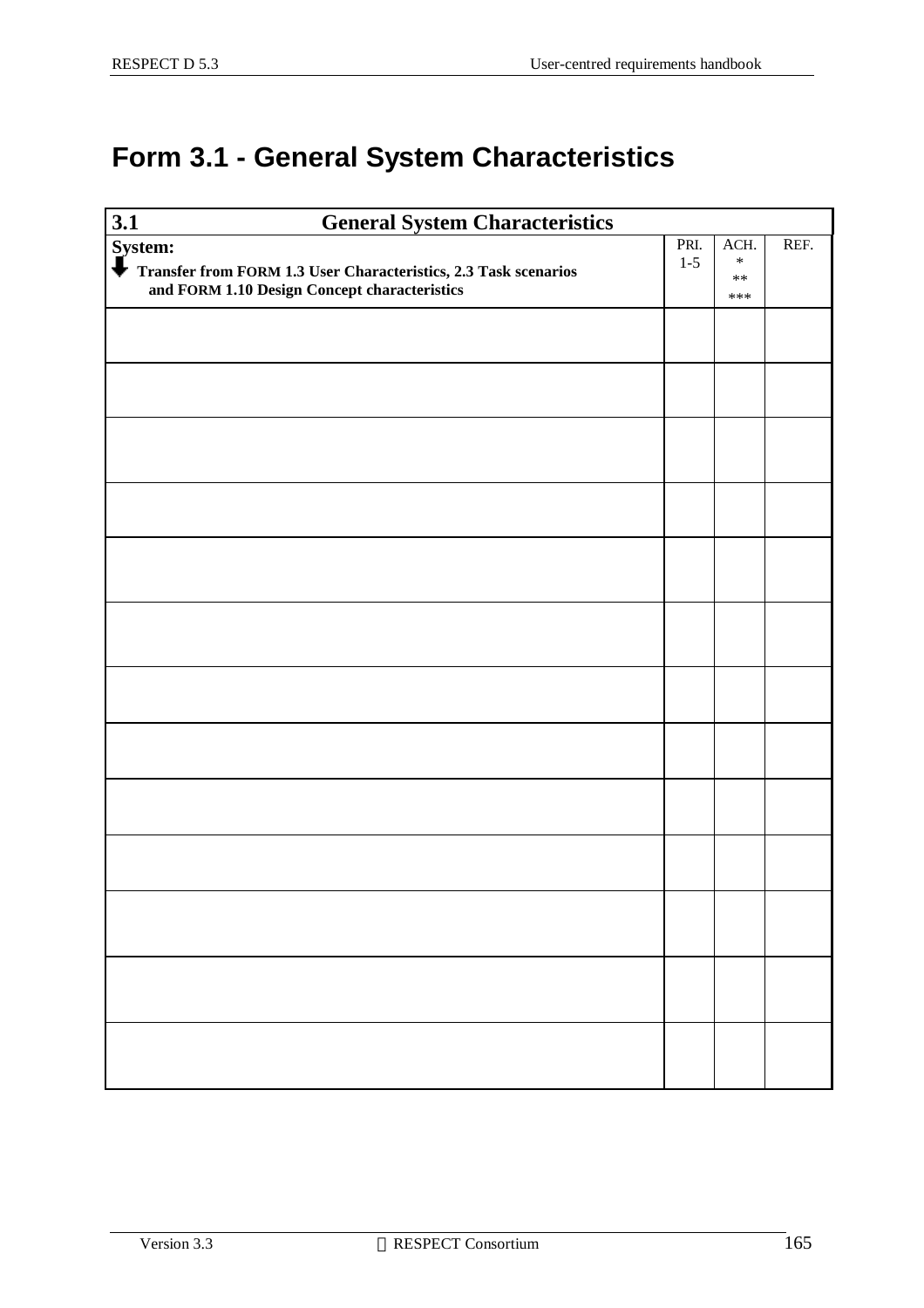### **Form 3.1 - General System Characteristics**

| 3.1<br><b>General System Characteristics</b>                    |         |                 |      |
|-----------------------------------------------------------------|---------|-----------------|------|
| System:<br>$\bigdownarrow$ Trans                                | PRI.    | ACH.            | REF. |
| Transfer from FORM 1.3 User Characteristics, 2.3 Task scenarios | $1 - 5$ | $\ast$<br>$***$ |      |
| and FORM 1.10 Design Concept characteristics                    |         | ***             |      |
|                                                                 |         |                 |      |
|                                                                 |         |                 |      |
|                                                                 |         |                 |      |
|                                                                 |         |                 |      |
|                                                                 |         |                 |      |
|                                                                 |         |                 |      |
|                                                                 |         |                 |      |
|                                                                 |         |                 |      |
|                                                                 |         |                 |      |
|                                                                 |         |                 |      |
|                                                                 |         |                 |      |
|                                                                 |         |                 |      |
|                                                                 |         |                 |      |
|                                                                 |         |                 |      |
|                                                                 |         |                 |      |
|                                                                 |         |                 |      |
|                                                                 |         |                 |      |
|                                                                 |         |                 |      |
|                                                                 |         |                 |      |
|                                                                 |         |                 |      |
|                                                                 |         |                 |      |
|                                                                 |         |                 |      |
|                                                                 |         |                 |      |
|                                                                 |         |                 |      |
|                                                                 |         |                 |      |
|                                                                 |         |                 |      |
|                                                                 |         |                 |      |
|                                                                 |         |                 |      |
|                                                                 |         |                 |      |
|                                                                 |         |                 |      |
|                                                                 |         |                 |      |
|                                                                 |         |                 |      |
|                                                                 |         |                 |      |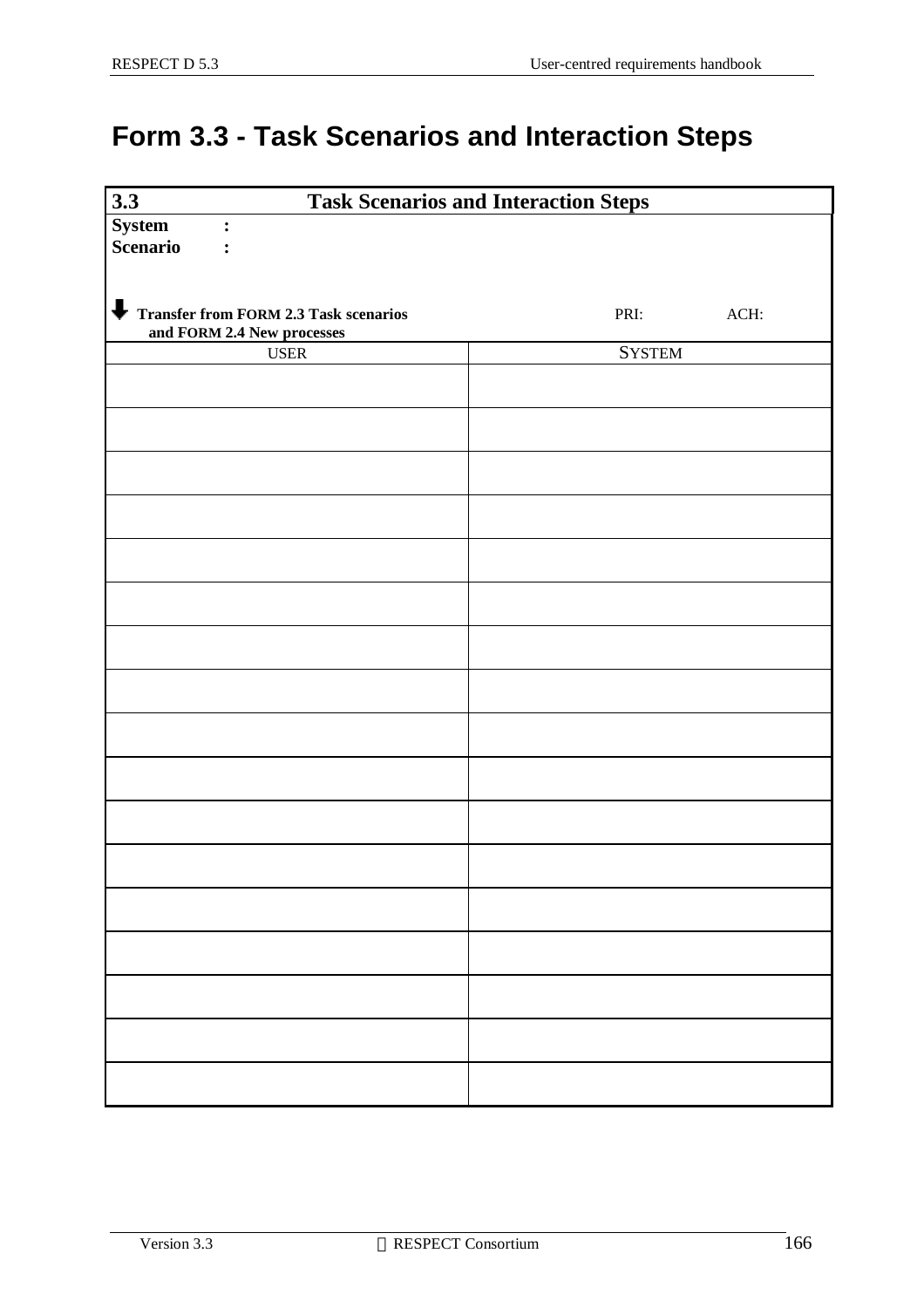### **Form 3.3 - Task Scenarios and Interaction Steps**

| 3.3                                   | <b>Task Scenarios and Interaction Steps</b> |
|---------------------------------------|---------------------------------------------|
| <b>System</b><br>$\ddot{\cdot}$       |                                             |
| <b>Scenario</b><br>$\ddot{\cdot}$     |                                             |
|                                       |                                             |
|                                       |                                             |
| Transfer from FORM 2.3 Task scenarios | PRI:<br>ACH:                                |
| and FORM 2.4 New processes            |                                             |
| $_{\rm{USER}}$                        | <b>SYSTEM</b>                               |
|                                       |                                             |
|                                       |                                             |
|                                       |                                             |
|                                       |                                             |
|                                       |                                             |
|                                       |                                             |
|                                       |                                             |
|                                       |                                             |
|                                       |                                             |
|                                       |                                             |
|                                       |                                             |
|                                       |                                             |
|                                       |                                             |
|                                       |                                             |
|                                       |                                             |
|                                       |                                             |
|                                       |                                             |
|                                       |                                             |
|                                       |                                             |
|                                       |                                             |
|                                       |                                             |
|                                       |                                             |
|                                       |                                             |
|                                       |                                             |
|                                       |                                             |
|                                       |                                             |
|                                       |                                             |
|                                       |                                             |
|                                       |                                             |
|                                       |                                             |
|                                       |                                             |
|                                       |                                             |
|                                       |                                             |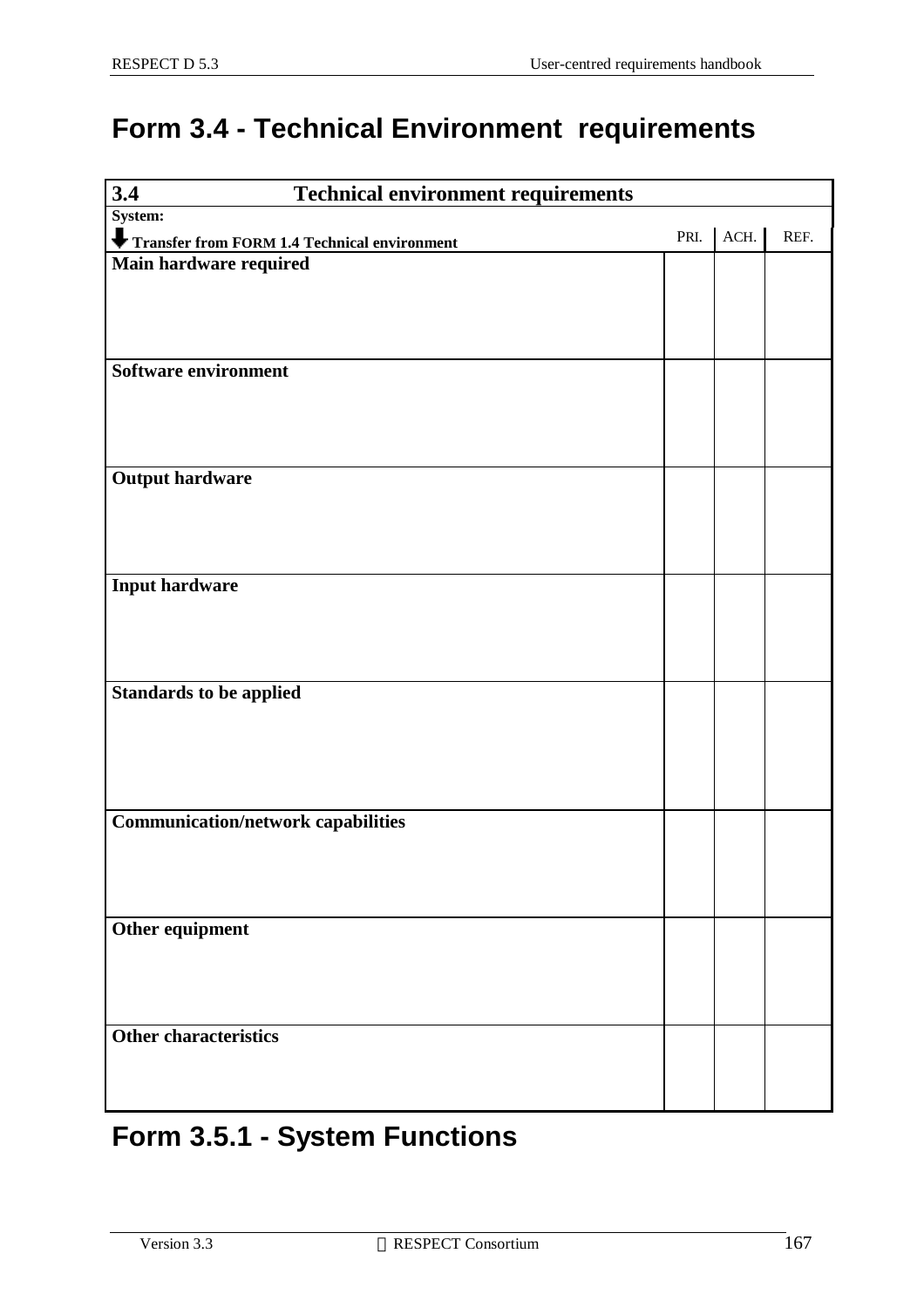#### **Form 3.4 - Technical Environment requirements**

| 3.4<br><b>Technical environment requirements</b> |      |      |      |
|--------------------------------------------------|------|------|------|
| System:                                          |      |      |      |
| Transfer from FORM 1.4 Technical environment     | PRI. | ACH. | REF. |
| Main hardware required                           |      |      |      |
|                                                  |      |      |      |
|                                                  |      |      |      |
|                                                  |      |      |      |
| Software environment                             |      |      |      |
|                                                  |      |      |      |
|                                                  |      |      |      |
|                                                  |      |      |      |
| <b>Output hardware</b>                           |      |      |      |
|                                                  |      |      |      |
|                                                  |      |      |      |
|                                                  |      |      |      |
| <b>Input hardware</b>                            |      |      |      |
|                                                  |      |      |      |
|                                                  |      |      |      |
|                                                  |      |      |      |
| <b>Standards to be applied</b>                   |      |      |      |
|                                                  |      |      |      |
|                                                  |      |      |      |
|                                                  |      |      |      |
|                                                  |      |      |      |
| <b>Communication/network capabilities</b>        |      |      |      |
|                                                  |      |      |      |
|                                                  |      |      |      |
|                                                  |      |      |      |
| Other equipment                                  |      |      |      |
|                                                  |      |      |      |
|                                                  |      |      |      |
|                                                  |      |      |      |
| <b>Other characteristics</b>                     |      |      |      |
|                                                  |      |      |      |
|                                                  |      |      |      |
|                                                  |      |      |      |

### **Form 3.5.1 - System Functions**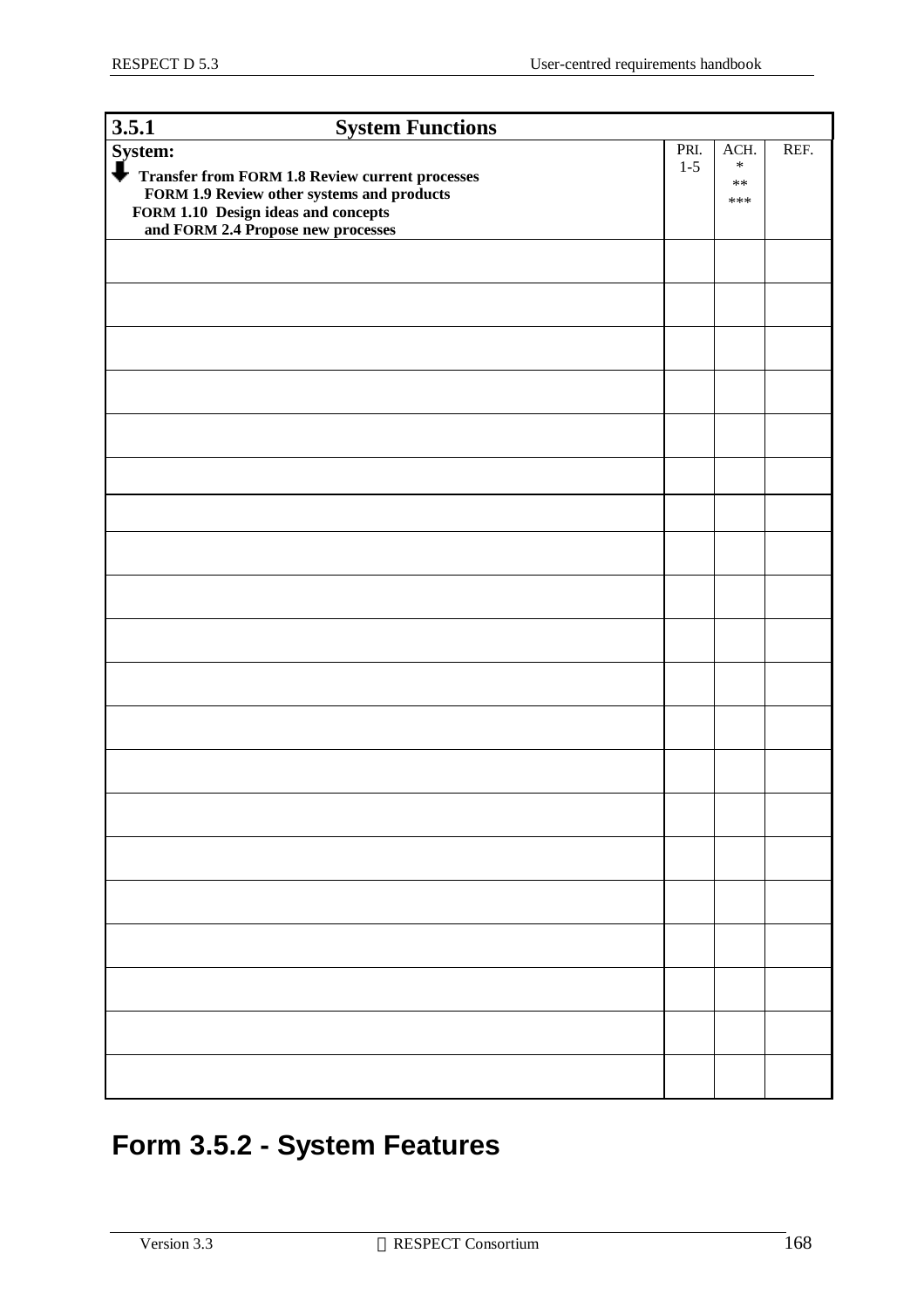| 3.5.1<br><b>System Functions</b>                                                                                                                                                                              |       |                             |      |
|---------------------------------------------------------------------------------------------------------------------------------------------------------------------------------------------------------------|-------|-----------------------------|------|
| System:                                                                                                                                                                                                       | PRI.  | ACH.                        | REF. |
| $\overline{\phantom{a}}$<br><b>Transfer from FORM 1.8 Review current processes</b><br>FORM 1.9 Review other systems and products<br>FORM 1.10 Design ideas and concepts<br>and FORM 2.4 Propose new processes | $1-5$ | $\ast$<br>$\ast\ast$<br>*** |      |
|                                                                                                                                                                                                               |       |                             |      |
|                                                                                                                                                                                                               |       |                             |      |
|                                                                                                                                                                                                               |       |                             |      |
|                                                                                                                                                                                                               |       |                             |      |
|                                                                                                                                                                                                               |       |                             |      |
|                                                                                                                                                                                                               |       |                             |      |
|                                                                                                                                                                                                               |       |                             |      |
|                                                                                                                                                                                                               |       |                             |      |
|                                                                                                                                                                                                               |       |                             |      |
|                                                                                                                                                                                                               |       |                             |      |
|                                                                                                                                                                                                               |       |                             |      |
|                                                                                                                                                                                                               |       |                             |      |
|                                                                                                                                                                                                               |       |                             |      |
|                                                                                                                                                                                                               |       |                             |      |
|                                                                                                                                                                                                               |       |                             |      |
|                                                                                                                                                                                                               |       |                             |      |
|                                                                                                                                                                                                               |       |                             |      |
|                                                                                                                                                                                                               |       |                             |      |
|                                                                                                                                                                                                               |       |                             |      |
|                                                                                                                                                                                                               |       |                             |      |

### **Form 3.5.2 - System Features**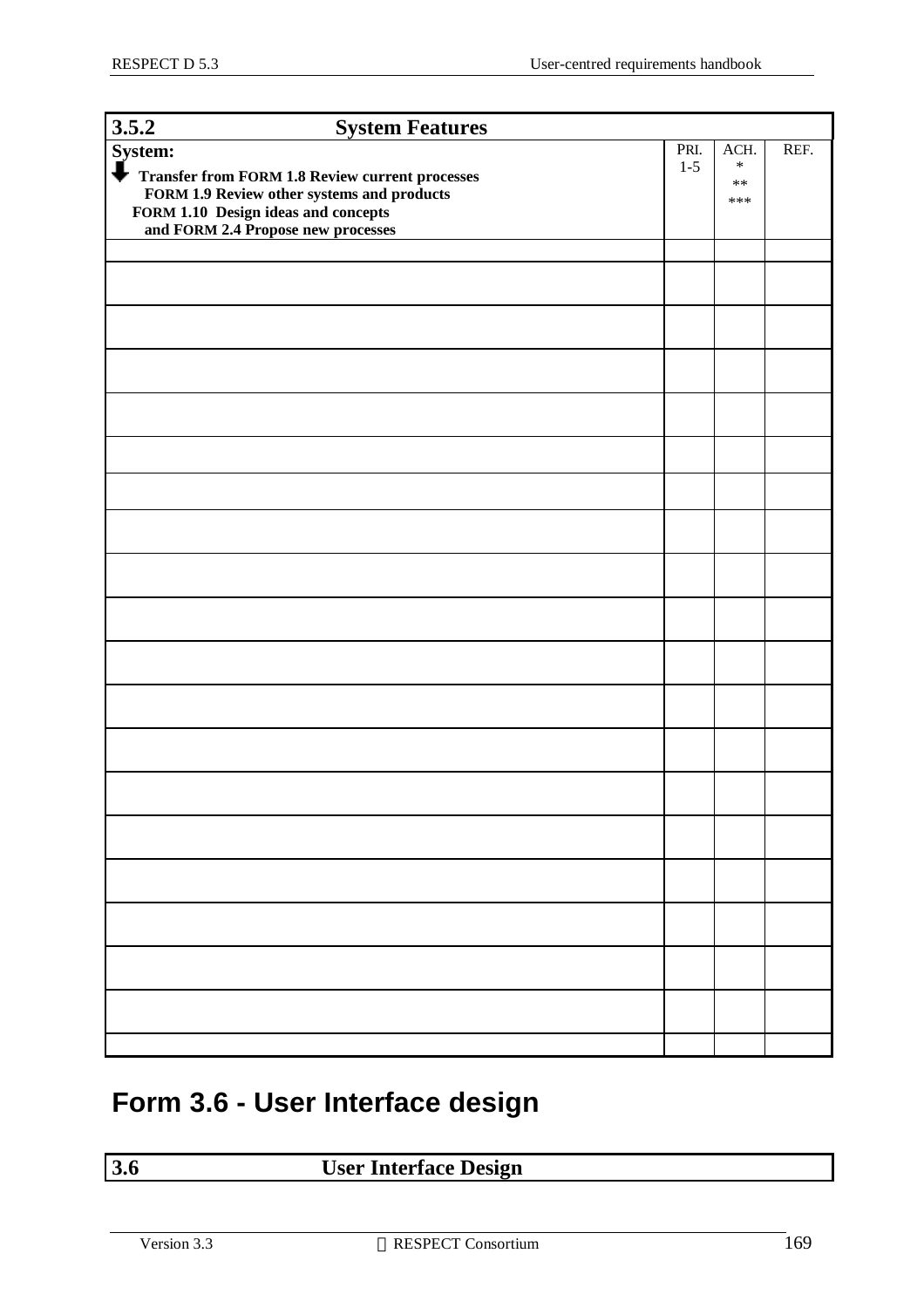| 3.5.2                                                                                                                                                                                                                    | <b>System Features</b> |                 |                                     |      |
|--------------------------------------------------------------------------------------------------------------------------------------------------------------------------------------------------------------------------|------------------------|-----------------|-------------------------------------|------|
| System:<br>$\overline{\phantom{a}}$<br><b>Transfer from FORM 1.8 Review current processes</b><br>FORM 1.9 Review other systems and products<br>FORM 1.10 Design ideas and concepts<br>and FORM 2.4 Propose new processes |                        | PRI.<br>$1 - 5$ | ACH.<br>$\ast$<br>$\ast\ast$<br>*** | REF. |
|                                                                                                                                                                                                                          |                        |                 |                                     |      |
|                                                                                                                                                                                                                          |                        |                 |                                     |      |
|                                                                                                                                                                                                                          |                        |                 |                                     |      |
|                                                                                                                                                                                                                          |                        |                 |                                     |      |
|                                                                                                                                                                                                                          |                        |                 |                                     |      |
|                                                                                                                                                                                                                          |                        |                 |                                     |      |
|                                                                                                                                                                                                                          |                        |                 |                                     |      |
|                                                                                                                                                                                                                          |                        |                 |                                     |      |
|                                                                                                                                                                                                                          |                        |                 |                                     |      |
|                                                                                                                                                                                                                          |                        |                 |                                     |      |
|                                                                                                                                                                                                                          |                        |                 |                                     |      |
|                                                                                                                                                                                                                          |                        |                 |                                     |      |
|                                                                                                                                                                                                                          |                        |                 |                                     |      |
|                                                                                                                                                                                                                          |                        |                 |                                     |      |
|                                                                                                                                                                                                                          |                        |                 |                                     |      |
|                                                                                                                                                                                                                          |                        |                 |                                     |      |
|                                                                                                                                                                                                                          |                        |                 |                                     |      |
|                                                                                                                                                                                                                          |                        |                 |                                     |      |

### **Form 3.6 - User Interface design**

#### **3.6 User Interface Design**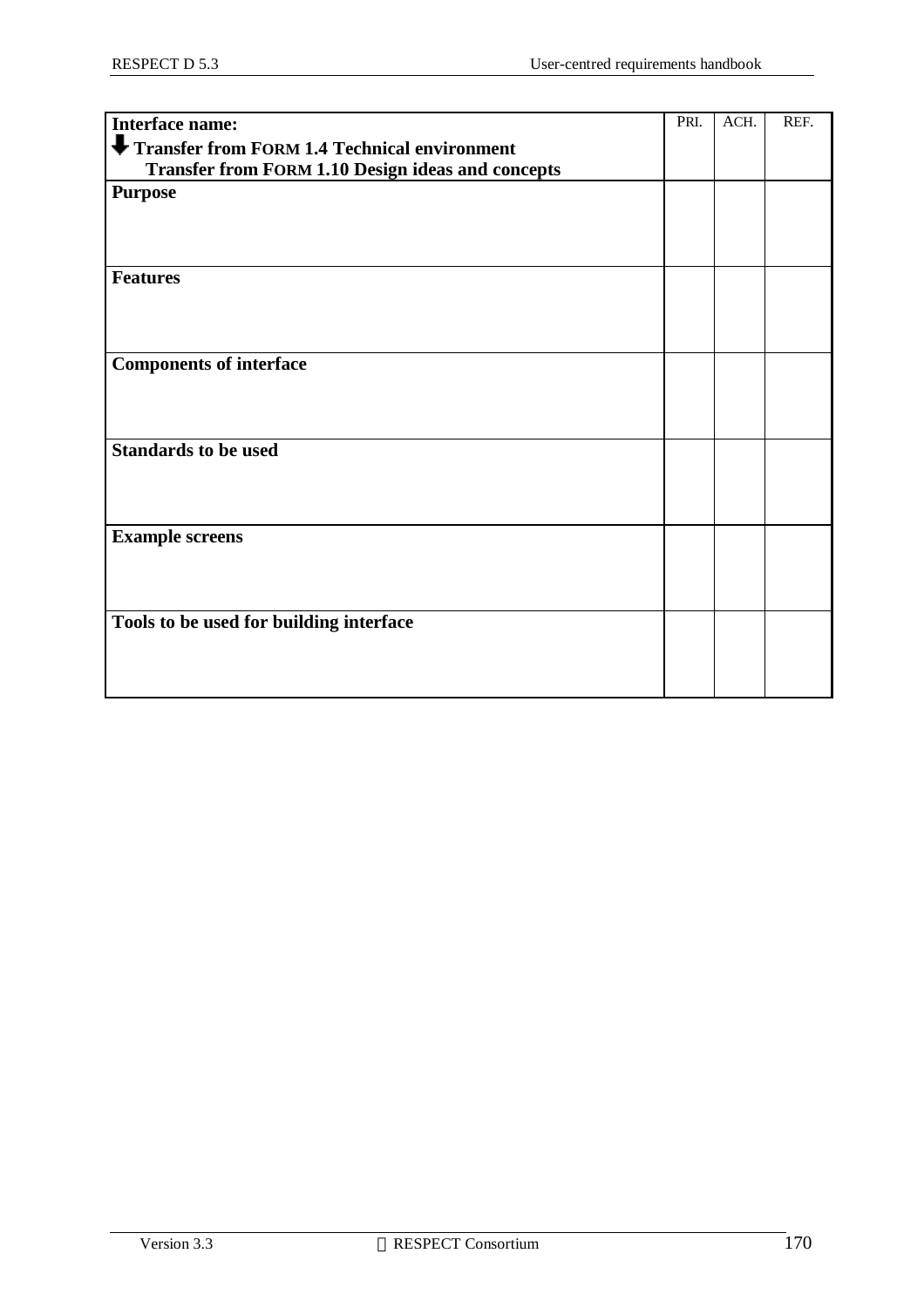| Interface name:                                          | PRI. | ACH. | REF. |
|----------------------------------------------------------|------|------|------|
| Transfer from FORM 1.4 Technical environment             |      |      |      |
| <b>Transfer from FORM 1.10 Design ideas and concepts</b> |      |      |      |
| <b>Purpose</b>                                           |      |      |      |
|                                                          |      |      |      |
|                                                          |      |      |      |
|                                                          |      |      |      |
| <b>Features</b>                                          |      |      |      |
|                                                          |      |      |      |
|                                                          |      |      |      |
| <b>Components of interface</b>                           |      |      |      |
|                                                          |      |      |      |
|                                                          |      |      |      |
|                                                          |      |      |      |
| <b>Standards to be used</b>                              |      |      |      |
|                                                          |      |      |      |
|                                                          |      |      |      |
| <b>Example screens</b>                                   |      |      |      |
|                                                          |      |      |      |
|                                                          |      |      |      |
|                                                          |      |      |      |
| Tools to be used for building interface                  |      |      |      |
|                                                          |      |      |      |
|                                                          |      |      |      |
|                                                          |      |      |      |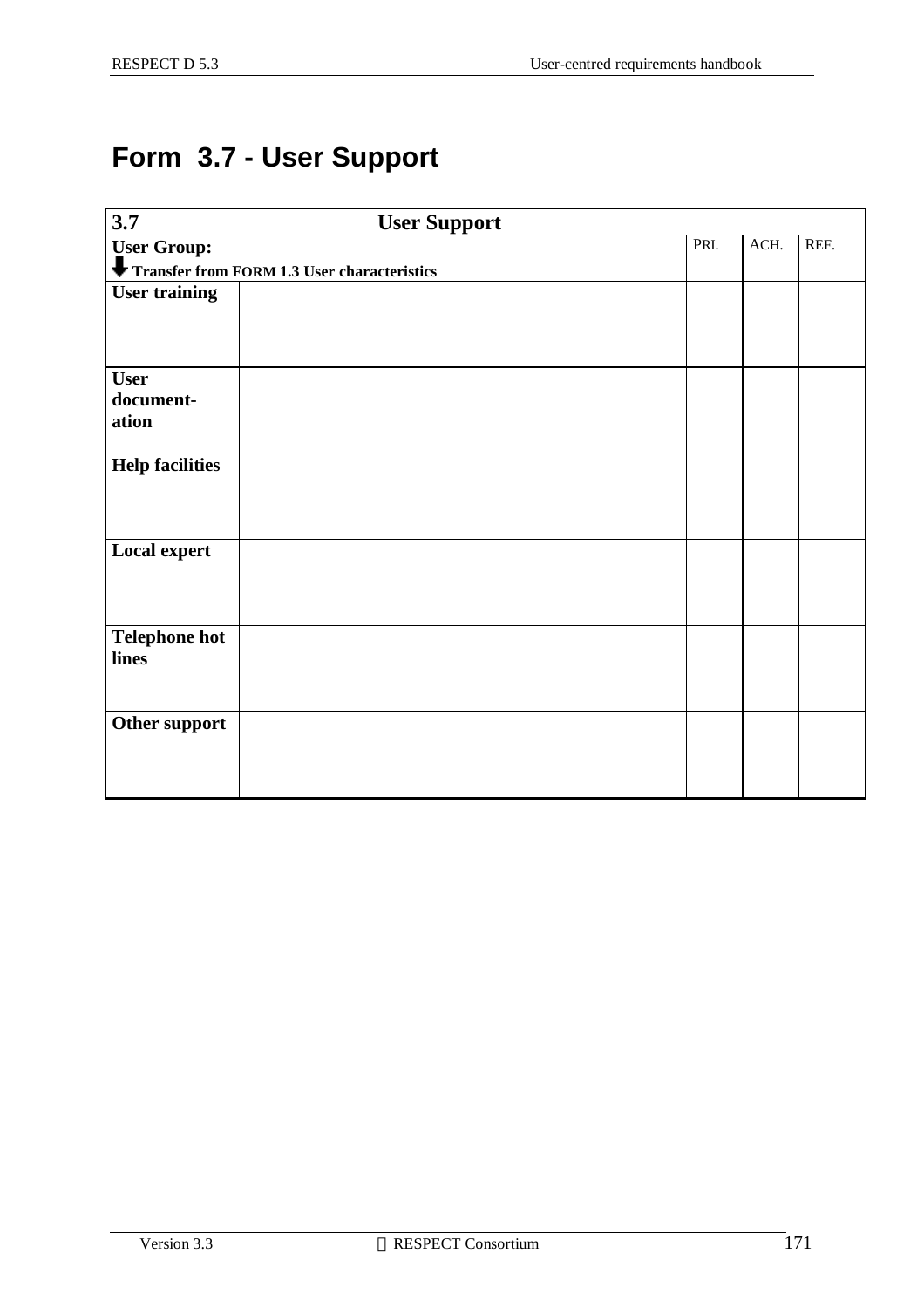### **Form 3.7 - User Support**

| $\overline{3.7}$       | <b>User Support</b>                         |      |      |      |
|------------------------|---------------------------------------------|------|------|------|
| <b>User Group:</b>     |                                             | PRI. | ACH. | REF. |
|                        | Transfer from FORM 1.3 User characteristics |      |      |      |
| <b>User training</b>   |                                             |      |      |      |
|                        |                                             |      |      |      |
|                        |                                             |      |      |      |
| <b>User</b>            |                                             |      |      |      |
| document-              |                                             |      |      |      |
| ation                  |                                             |      |      |      |
|                        |                                             |      |      |      |
| <b>Help facilities</b> |                                             |      |      |      |
|                        |                                             |      |      |      |
|                        |                                             |      |      |      |
|                        |                                             |      |      |      |
| <b>Local expert</b>    |                                             |      |      |      |
|                        |                                             |      |      |      |
|                        |                                             |      |      |      |
| <b>Telephone hot</b>   |                                             |      |      |      |
| lines                  |                                             |      |      |      |
|                        |                                             |      |      |      |
|                        |                                             |      |      |      |
| Other support          |                                             |      |      |      |
|                        |                                             |      |      |      |
|                        |                                             |      |      |      |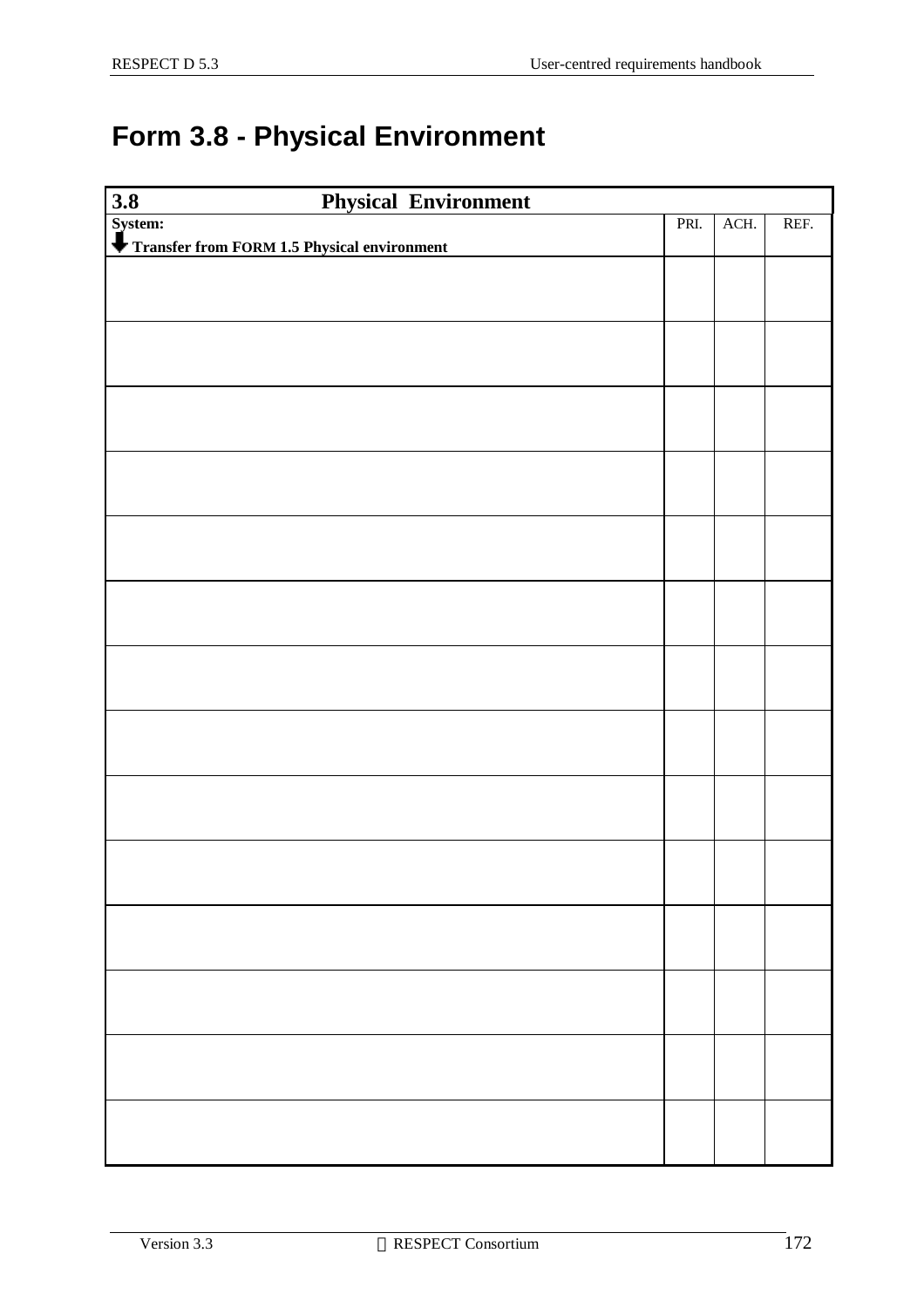### **Form 3.8 - Physical Environment**

| 3.8<br><b>Physical Environment</b>                     |      |      |      |
|--------------------------------------------------------|------|------|------|
| System:<br>Transfer from FORM 1.5 Physical environment | PRI. | ACH. | REF. |
|                                                        |      |      |      |
|                                                        |      |      |      |
|                                                        |      |      |      |
|                                                        |      |      |      |
|                                                        |      |      |      |
|                                                        |      |      |      |
|                                                        |      |      |      |
|                                                        |      |      |      |
|                                                        |      |      |      |
|                                                        |      |      |      |
|                                                        |      |      |      |
|                                                        |      |      |      |
|                                                        |      |      |      |
|                                                        |      |      |      |
|                                                        |      |      |      |
|                                                        |      |      |      |
|                                                        |      |      |      |
|                                                        |      |      |      |
|                                                        |      |      |      |
|                                                        |      |      |      |
|                                                        |      |      |      |
|                                                        |      |      |      |
|                                                        |      |      |      |
|                                                        |      |      |      |
|                                                        |      |      |      |
|                                                        |      |      |      |
|                                                        |      |      |      |
|                                                        |      |      |      |
|                                                        |      |      |      |
|                                                        |      |      |      |
|                                                        |      |      |      |
|                                                        |      |      |      |
|                                                        |      |      |      |
|                                                        |      |      |      |
|                                                        |      |      |      |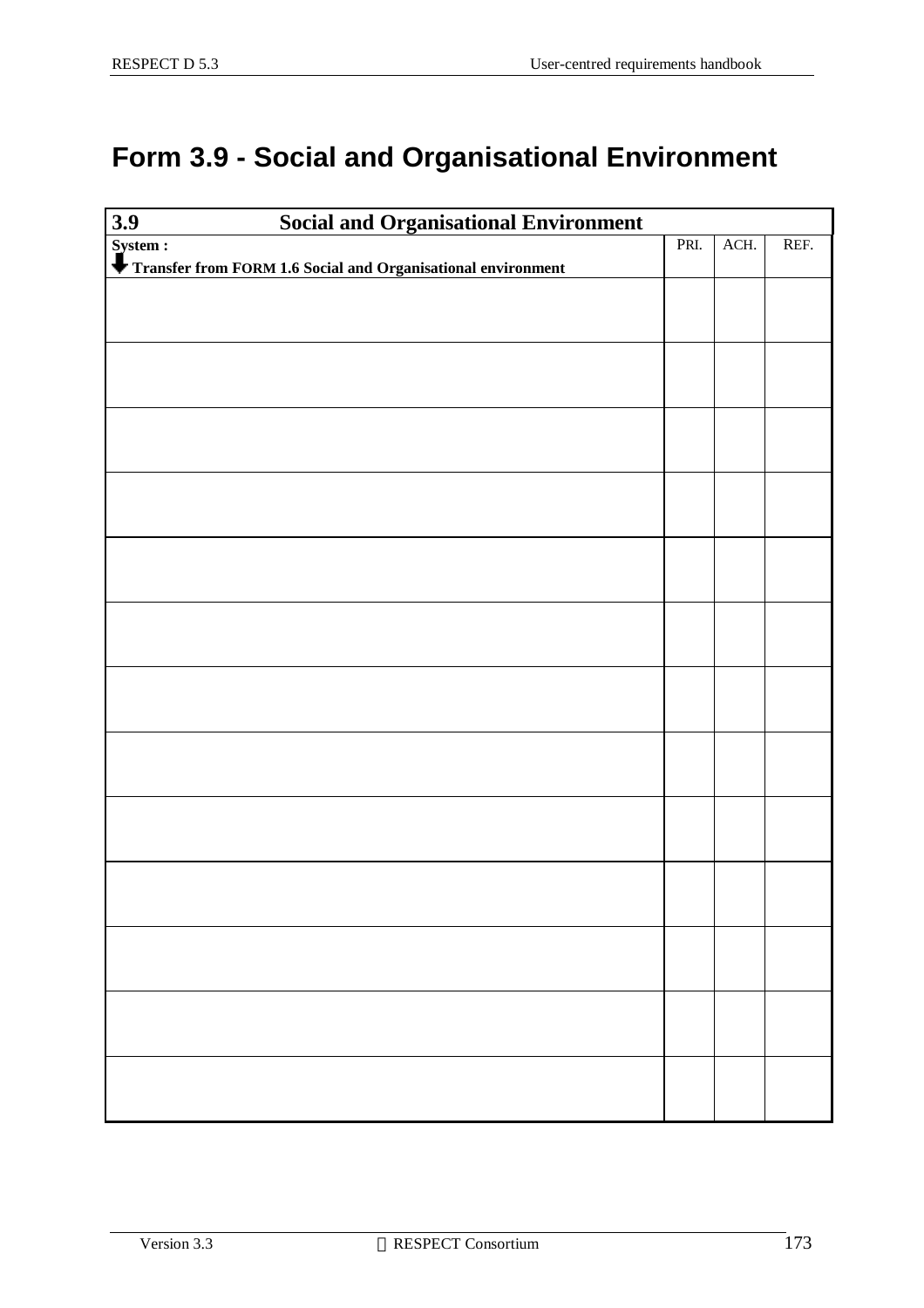### **Form 3.9 - Social and Organisational Environment**

| $\overline{3.9}$<br><b>Social and Organisational Environment</b> |      |      |      |
|------------------------------------------------------------------|------|------|------|
| System :                                                         | PRI. | ACH. | REF. |
| Transfer from FORM 1.6 Social and Organisational environment     |      |      |      |
|                                                                  |      |      |      |
|                                                                  |      |      |      |
|                                                                  |      |      |      |
|                                                                  |      |      |      |
|                                                                  |      |      |      |
|                                                                  |      |      |      |
|                                                                  |      |      |      |
|                                                                  |      |      |      |
|                                                                  |      |      |      |
|                                                                  |      |      |      |
|                                                                  |      |      |      |
|                                                                  |      |      |      |
|                                                                  |      |      |      |
|                                                                  |      |      |      |
|                                                                  |      |      |      |
|                                                                  |      |      |      |
|                                                                  |      |      |      |
|                                                                  |      |      |      |
|                                                                  |      |      |      |
|                                                                  |      |      |      |
|                                                                  |      |      |      |
|                                                                  |      |      |      |
|                                                                  |      |      |      |
|                                                                  |      |      |      |
|                                                                  |      |      |      |
|                                                                  |      |      |      |
|                                                                  |      |      |      |
|                                                                  |      |      |      |
|                                                                  |      |      |      |
|                                                                  |      |      |      |
|                                                                  |      |      |      |
|                                                                  |      |      |      |
|                                                                  |      |      |      |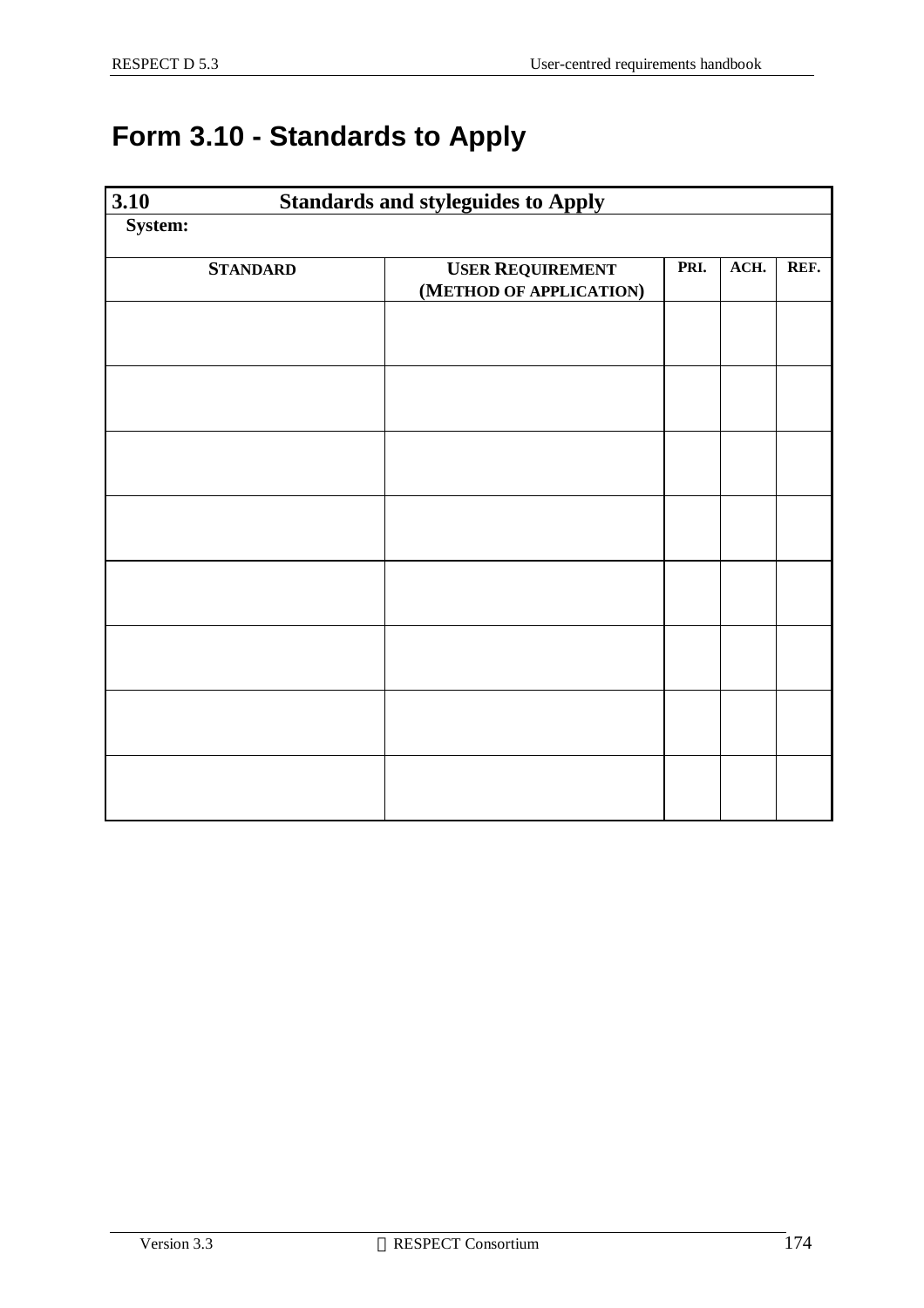### **Form 3.10 - Standards to Apply**

| $\overline{3.10}$ |                 | <b>Standards and styleguides to Apply</b>          |      |      |      |
|-------------------|-----------------|----------------------------------------------------|------|------|------|
| System:           |                 |                                                    |      |      |      |
|                   | <b>STANDARD</b> | <b>USER REQUIREMENT</b><br>(METHOD OF APPLICATION) | PRI. | ACH. | REF. |
|                   |                 |                                                    |      |      |      |
|                   |                 |                                                    |      |      |      |
|                   |                 |                                                    |      |      |      |
|                   |                 |                                                    |      |      |      |
|                   |                 |                                                    |      |      |      |
|                   |                 |                                                    |      |      |      |
|                   |                 |                                                    |      |      |      |
|                   |                 |                                                    |      |      |      |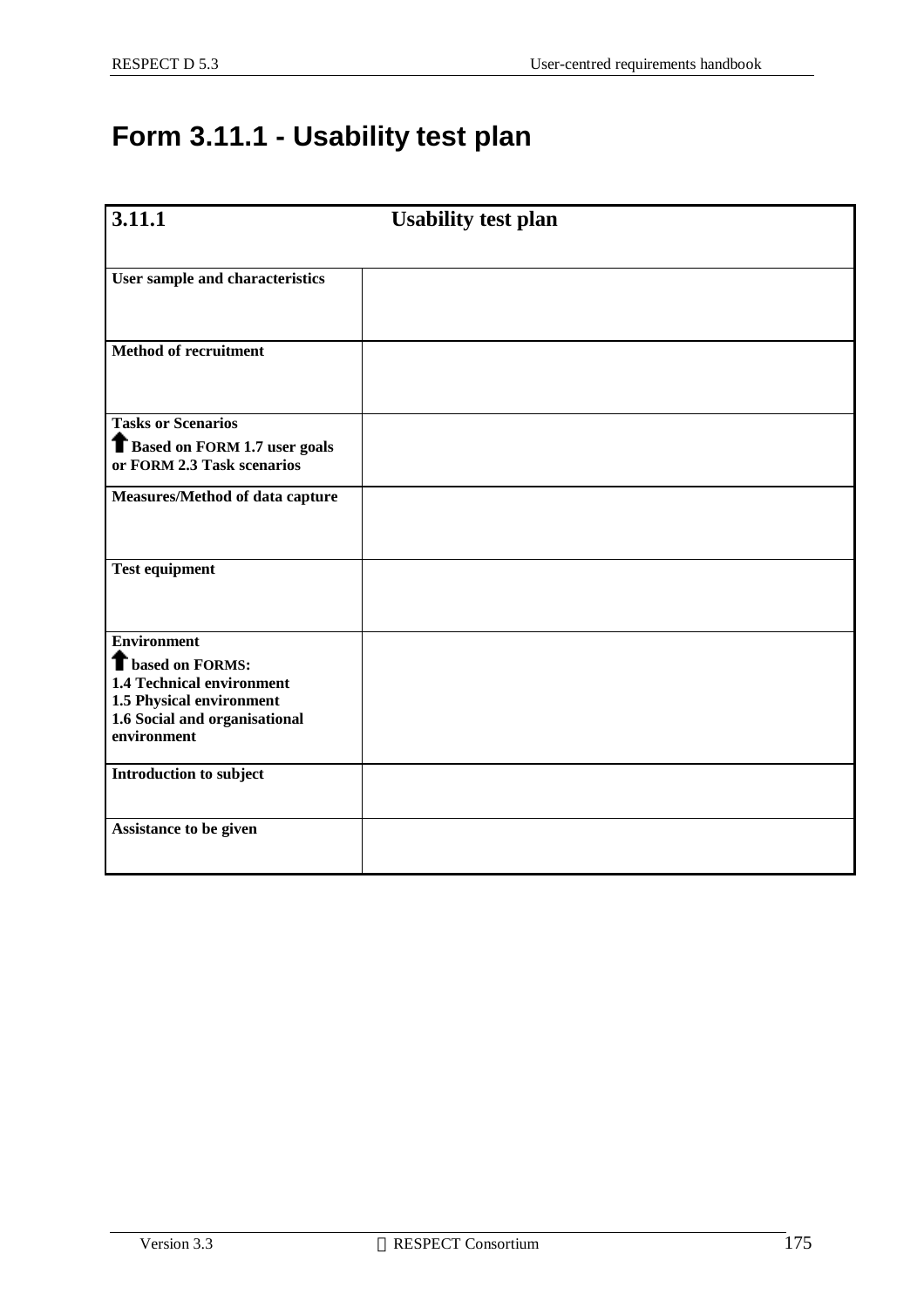### **Form 3.11.1 - Usability test plan**

| 3.11.1                                                              | <b>Usability test plan</b> |
|---------------------------------------------------------------------|----------------------------|
|                                                                     |                            |
| User sample and characteristics                                     |                            |
|                                                                     |                            |
| <b>Method of recruitment</b>                                        |                            |
|                                                                     |                            |
| <b>Tasks or Scenarios</b>                                           |                            |
| <b>T</b> Based on FORM 1.7 user goals<br>or FORM 2.3 Task scenarios |                            |
| Measures/Method of data capture                                     |                            |
|                                                                     |                            |
| <b>Test equipment</b>                                               |                            |
|                                                                     |                            |
| <b>Environment</b>                                                  |                            |
| <b>T</b> based on FORMS:<br><b>1.4 Technical environment</b>        |                            |
| 1.5 Physical environment                                            |                            |
| 1.6 Social and organisational<br>environment                        |                            |
| Introduction to subject                                             |                            |
|                                                                     |                            |
| Assistance to be given                                              |                            |
|                                                                     |                            |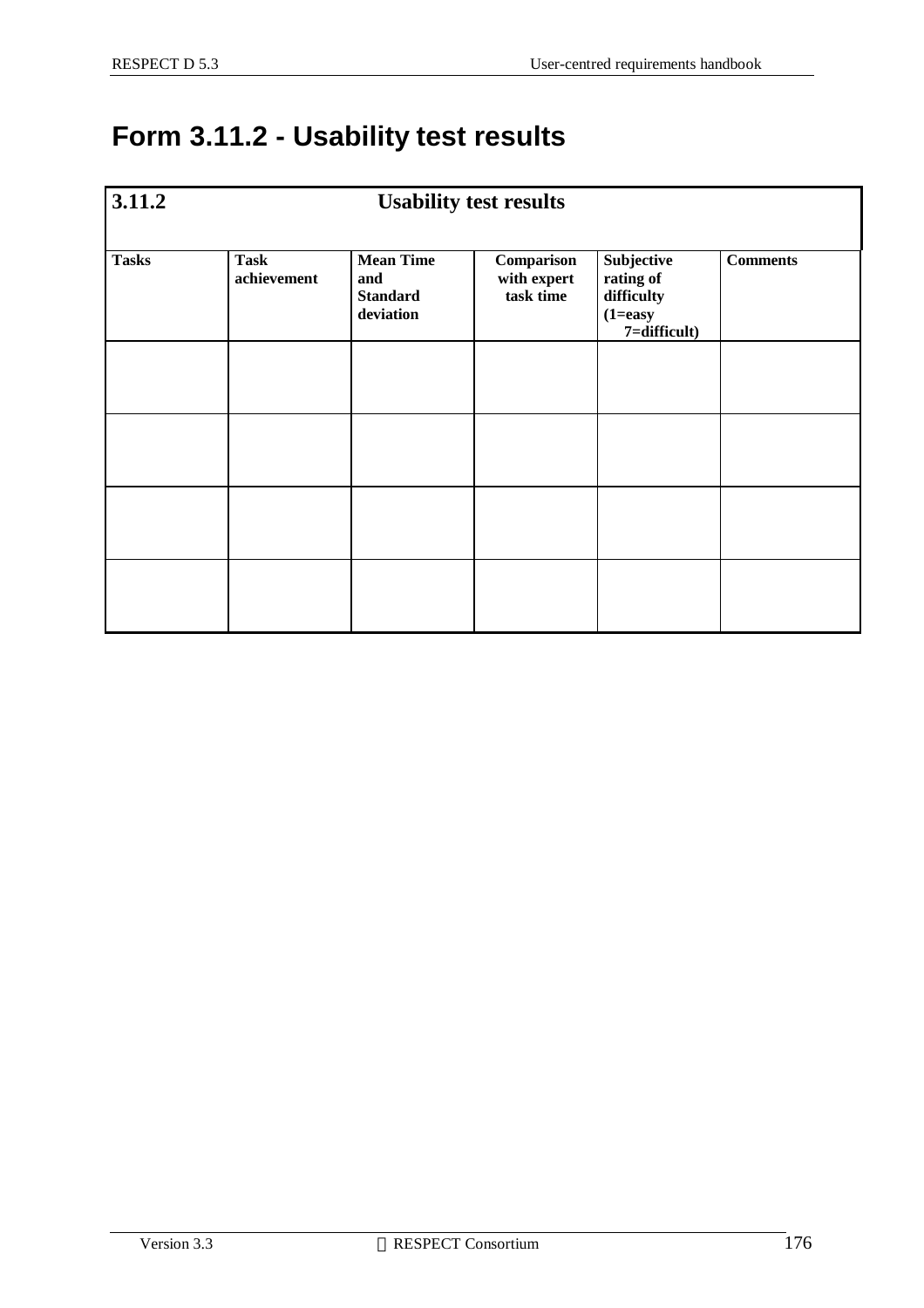### **Form 3.11.2 - Usability test results**

| 3.11.2       | <b>Usability test results</b> |                                                         |                                        |                                                                       |                 |
|--------------|-------------------------------|---------------------------------------------------------|----------------------------------------|-----------------------------------------------------------------------|-----------------|
| <b>Tasks</b> | <b>Task</b><br>achievement    | <b>Mean Time</b><br>and<br><b>Standard</b><br>deviation | Comparison<br>with expert<br>task time | Subjective<br>rating of<br>difficulty<br>$(1 = easy)$<br>7=difficult) | <b>Comments</b> |
|              |                               |                                                         |                                        |                                                                       |                 |
|              |                               |                                                         |                                        |                                                                       |                 |
|              |                               |                                                         |                                        |                                                                       |                 |
|              |                               |                                                         |                                        |                                                                       |                 |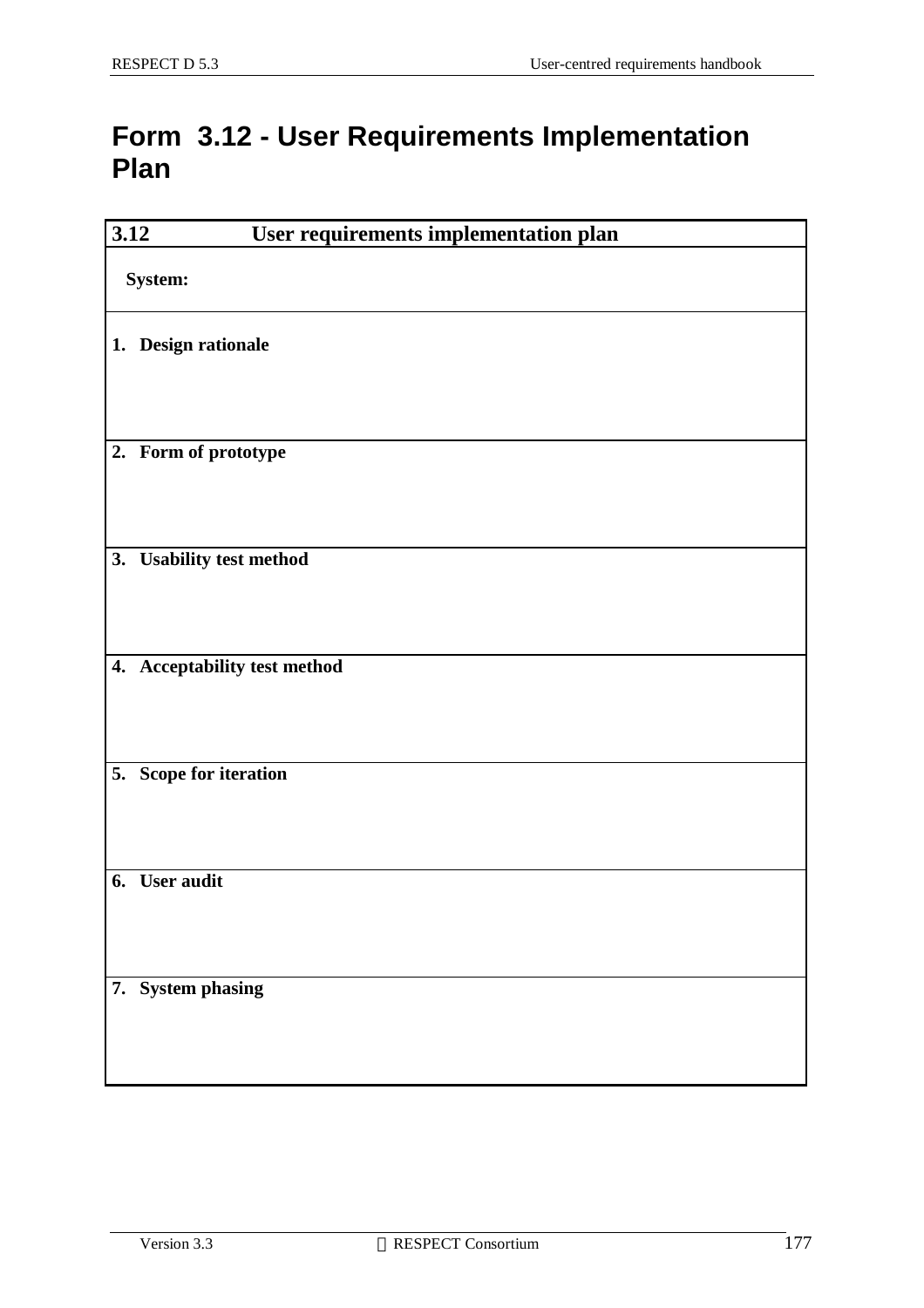#### **Form 3.12 - User Requirements Implementation Plan**

| 3.12 | User requirements implementation plan |
|------|---------------------------------------|
|      | System:                               |
|      | 1. Design rationale                   |
|      | 2. Form of prototype                  |
| 3.   | <b>Usability test method</b>          |
|      |                                       |
|      | 4. Acceptability test method          |
|      | 5. Scope for iteration                |
|      | 6. User audit                         |
|      | 7. System phasing                     |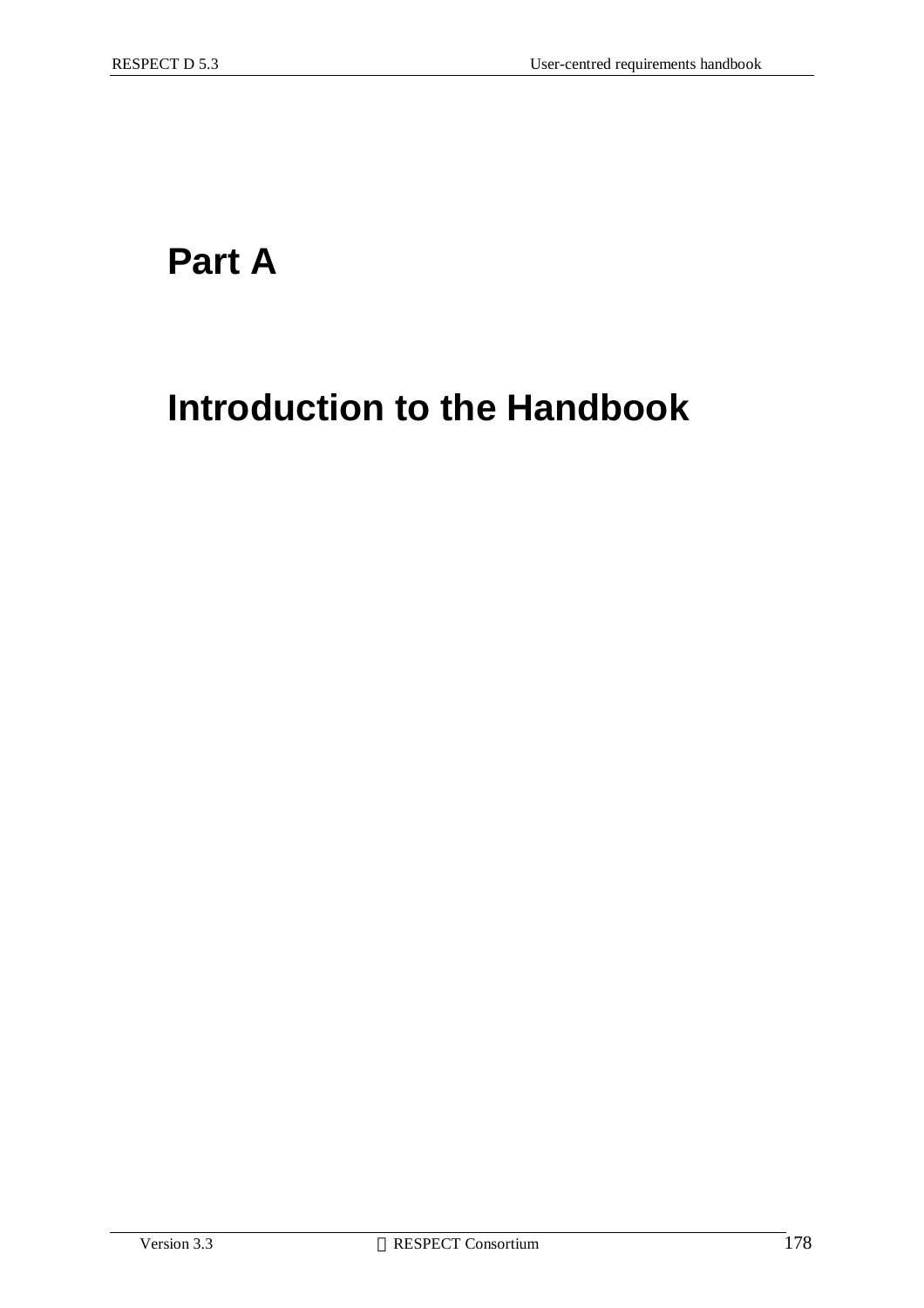### **Part A**

## **Introduction to the Handbook**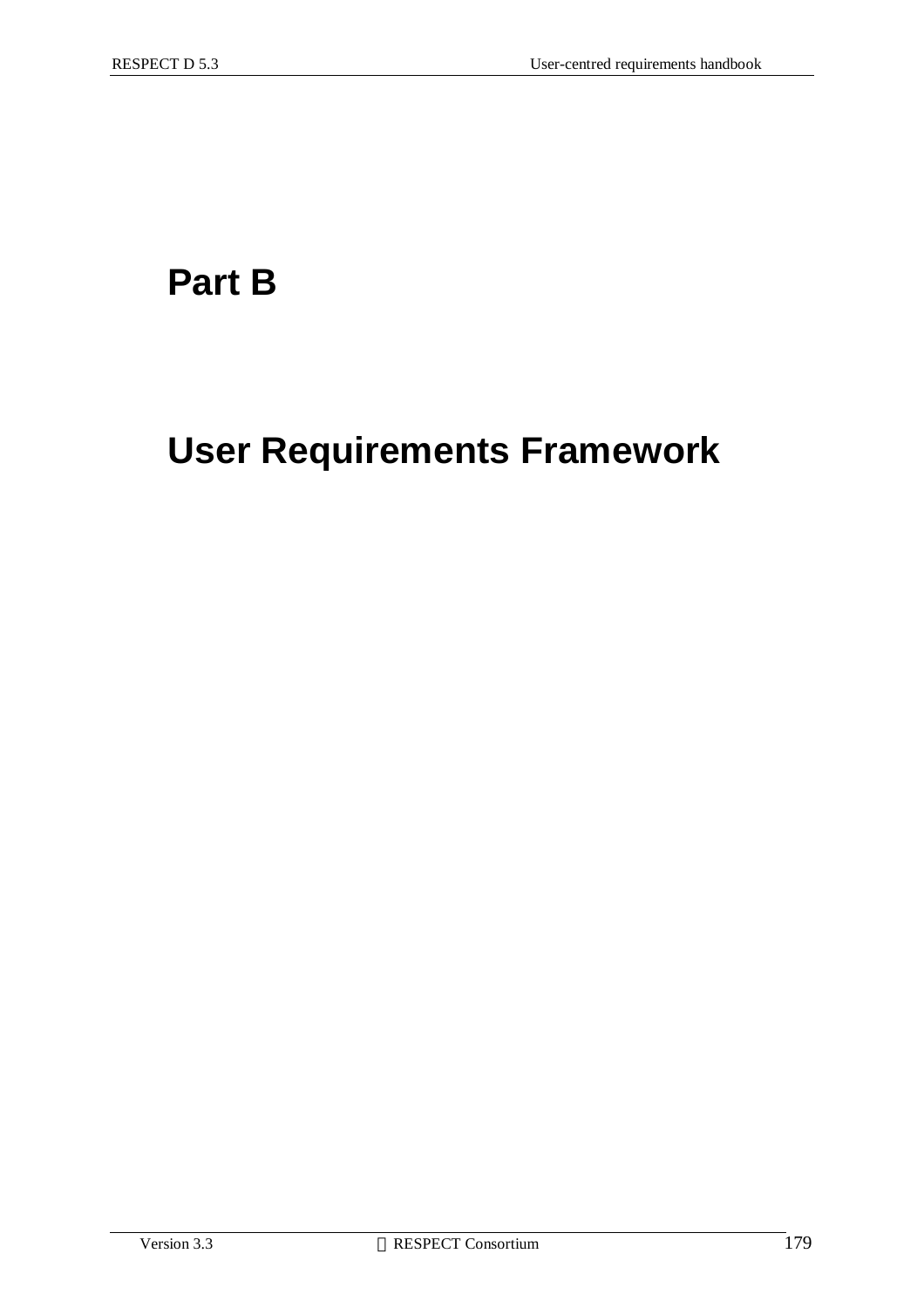### **Part B**

## **User Requirements Framework**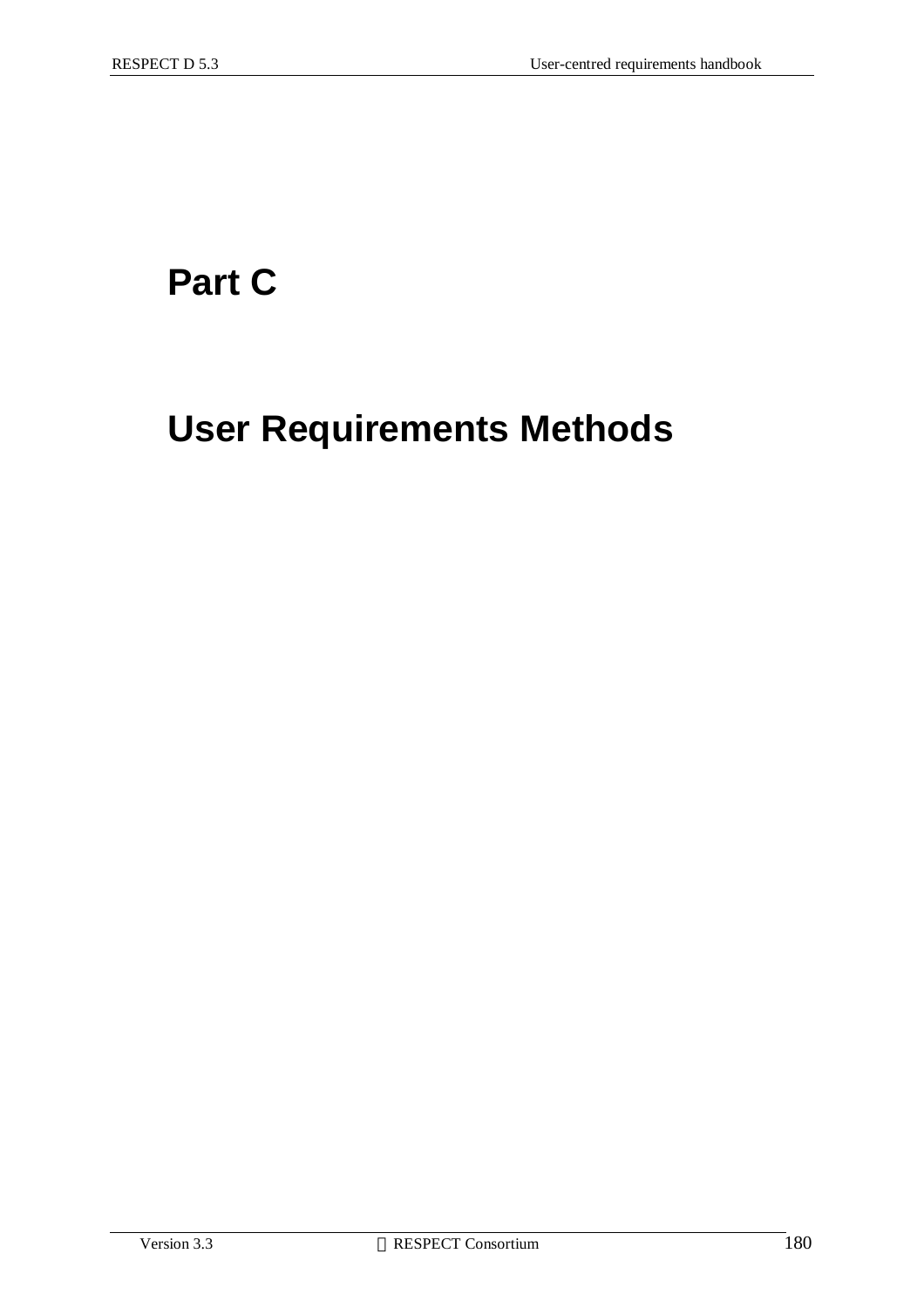## **Part C**

## **User Requirements Methods**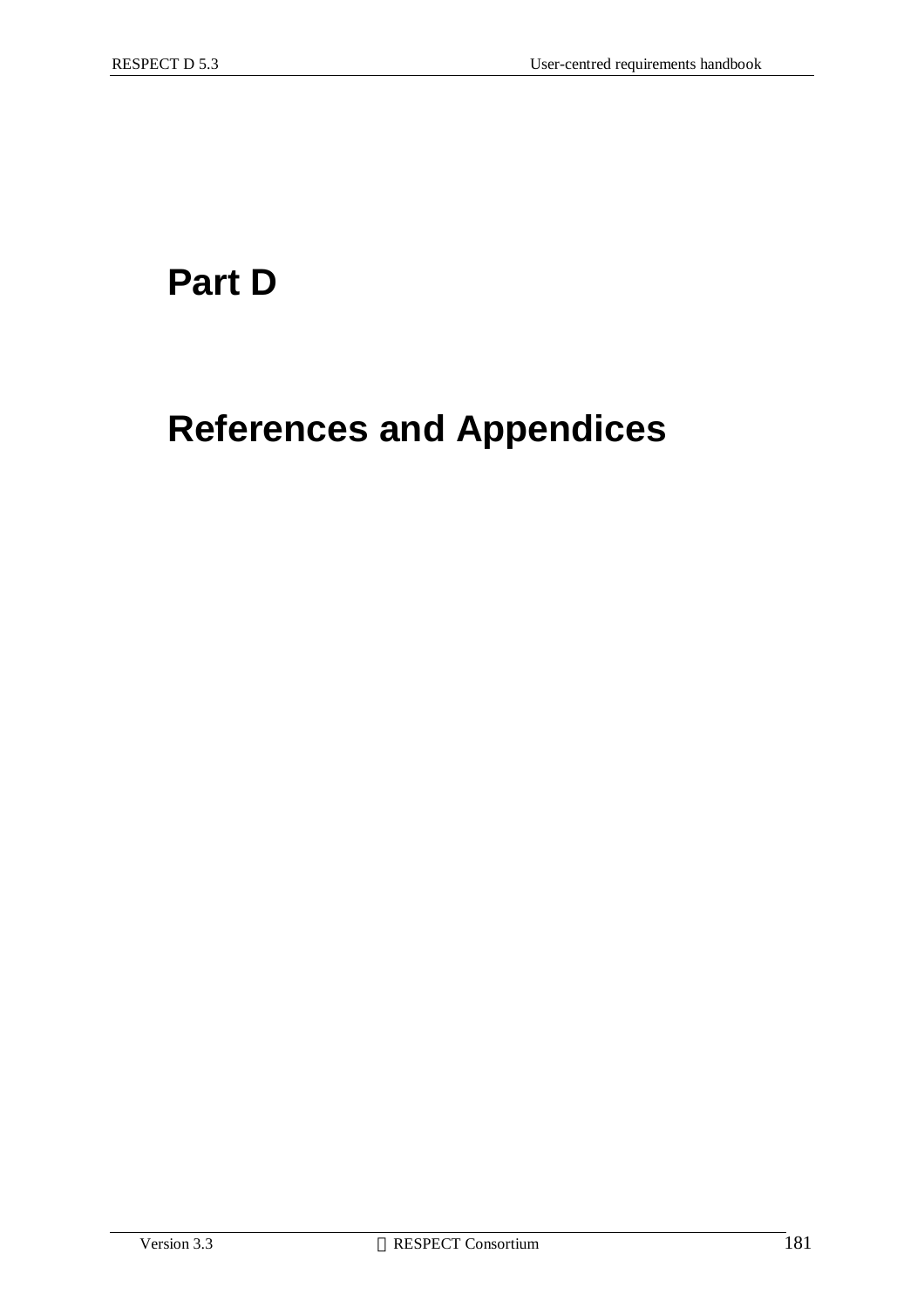## **Part D**

# **References and Appendices**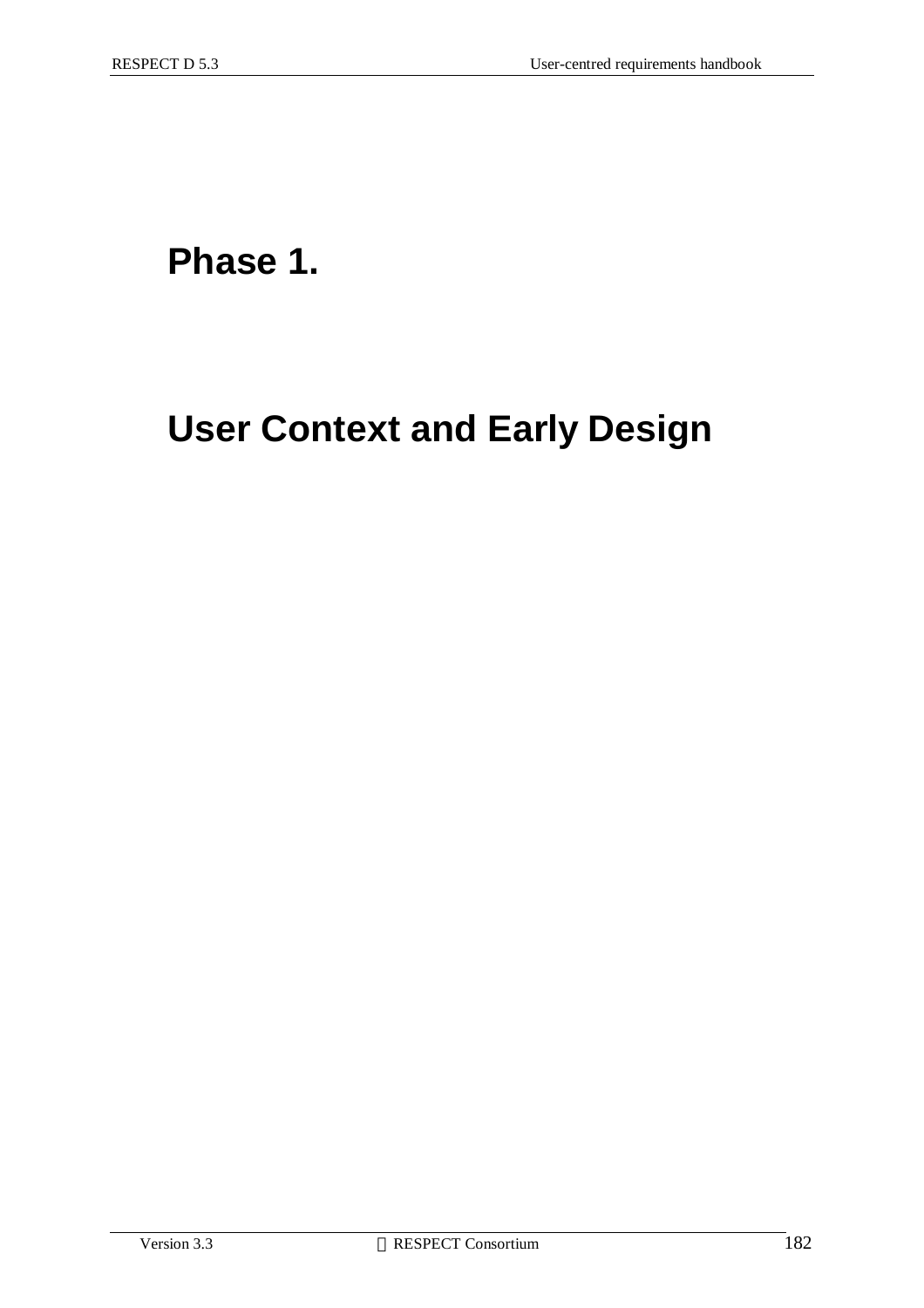### **Phase 1.**

## **User Context and Early Design**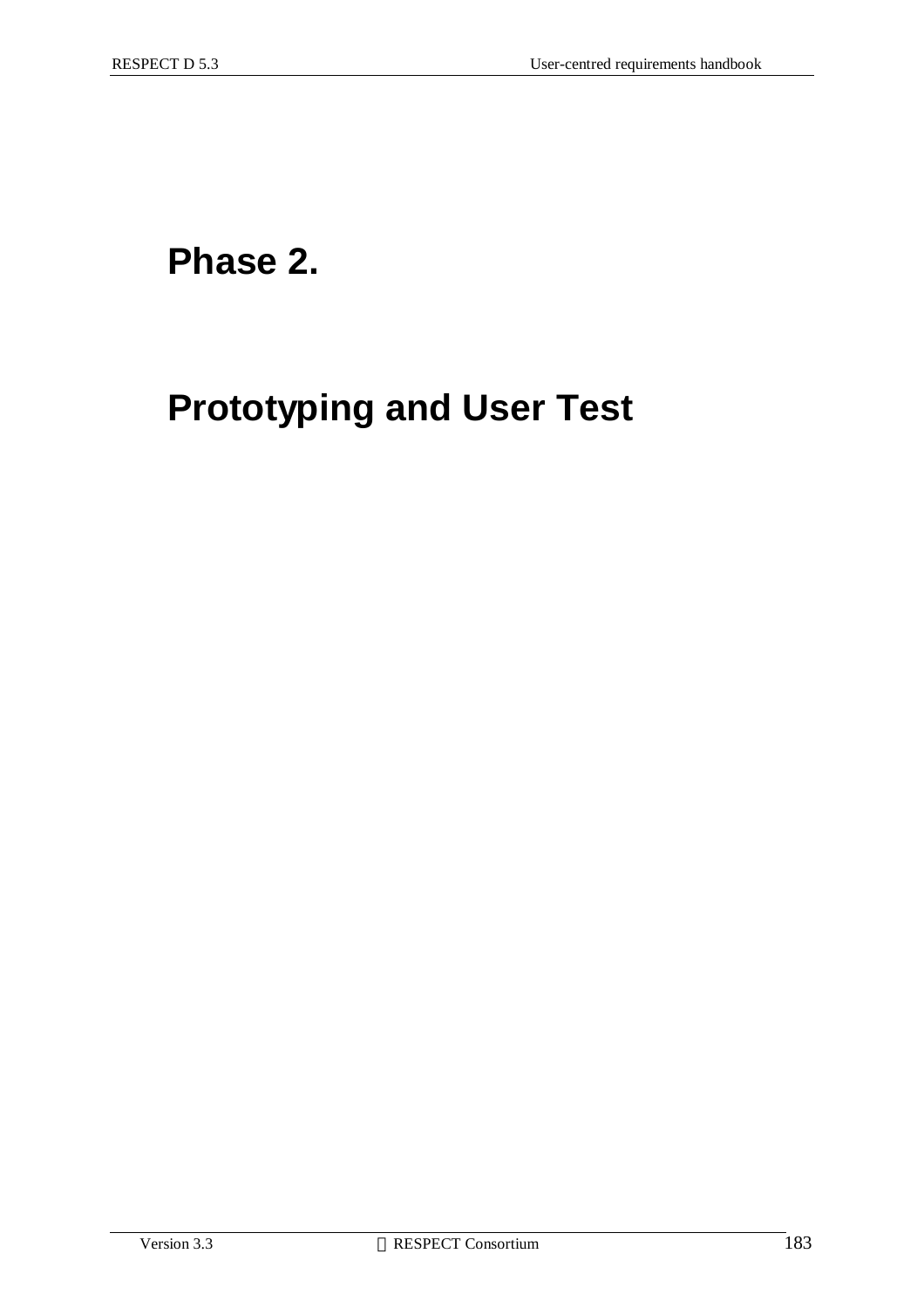## **Phase 2.**

# **Prototyping and User Test**